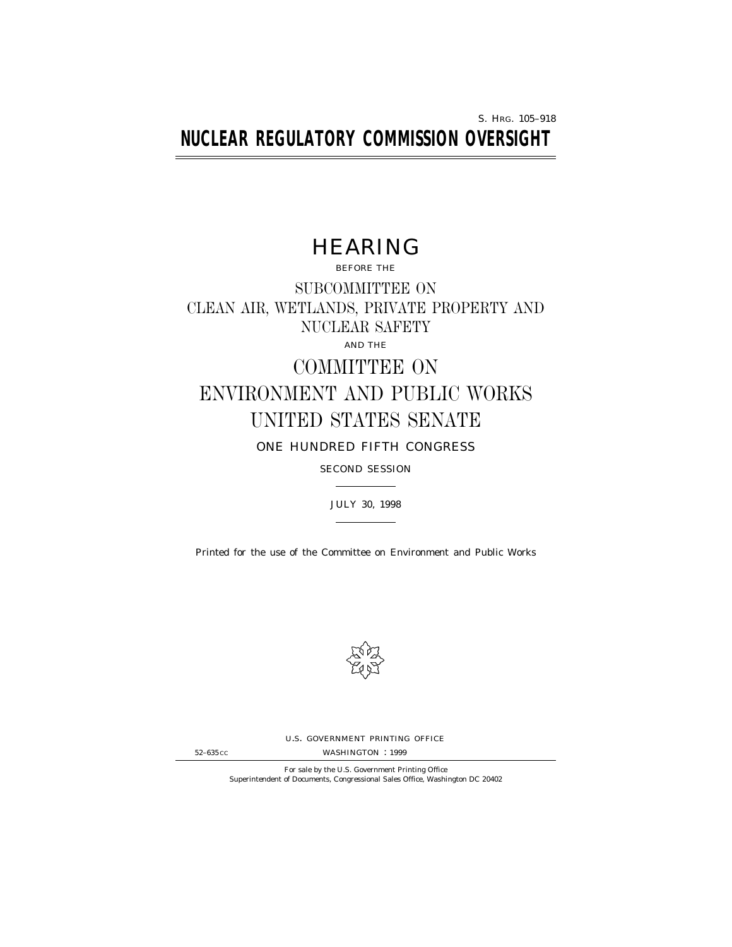S. HRG. 105–918 **NUCLEAR REGULATORY COMMISSION OVERSIGHT**

# HEARING

BEFORE THE SUBCOMMITTEE ON CLEAN AIR, WETLANDS, PRIVATE PROPERTY AND NUCLEAR SAFETY AND THE

# COMMITTEE ON ENVIRONMENT AND PUBLIC WORKS UNITED STATES SENATE

ONE HUNDRED FIFTH CONGRESS

SECOND SESSION

JULY 30, 1998

Printed for the use of the Committee on Environment and Public Works



U.S. GOVERNMENT PRINTING OFFICE

52–635 CC WASHINGTON : 1999

For sale by the U.S. Government Printing Office Superintendent of Documents, Congressional Sales Office, Washington DC 20402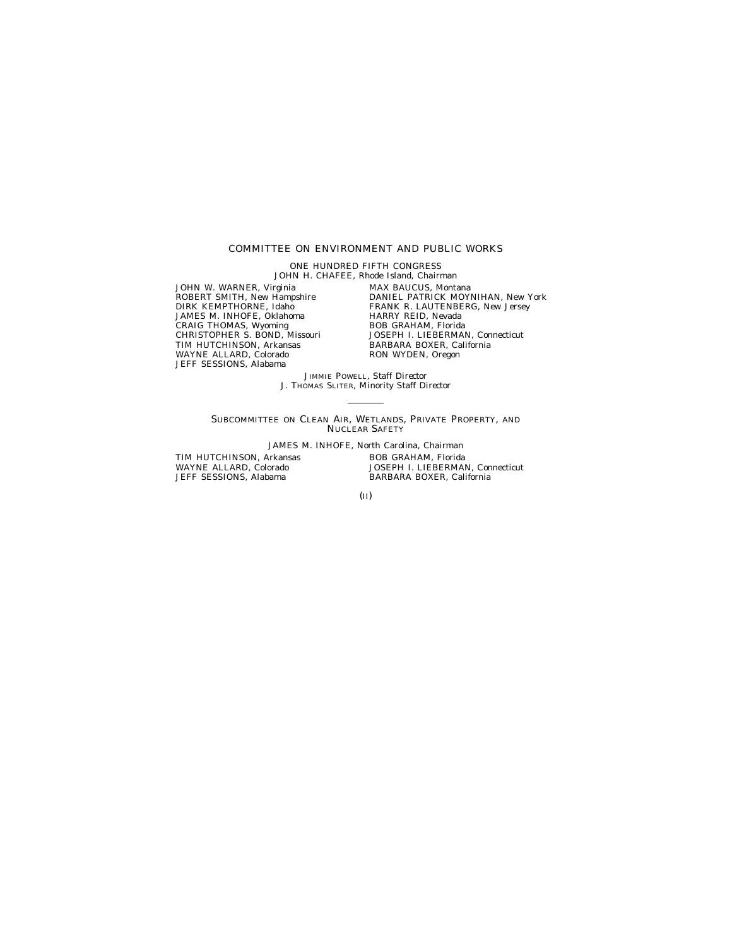#### COMMITTEE ON ENVIRONMENT AND PUBLIC WORKS

ONE HUNDRED FIFTH CONGRESS JOHN H. CHAFEE, Rhode Island, *Chairman*

JOHN W. WARNER, Virginia ROBERT SMITH, New Hampshire DIRK KEMPTHORNE, Idaho JAMES M. INHOFE, Oklahoma CRAIG THOMAS, Wyoming CHRISTOPHER S. BOND, Missouri TIM HUTCHINSON, Arkansas WAYNE ALLARD, Colorado JEFF SESSIONS, Alabama

MAX BAUCUS, Montana DANIEL PATRICK MOYNIHAN, New York FRANK R. LAUTENBERG, New Jersey HARRY REID, Nevada BOB GRAHAM, Florida JOSEPH I. LIEBERMAN, Connecticut BARBARA BOXER, California RON WYDEN, Oregon

JIMMIE POWELL, *Staff Director* J. THOMAS SLITER, *Minority Staff Director*

SUBCOMMITTEE ON CLEAN AIR, WETLANDS, PRIVATE PROPERTY, AND NUCLEAR SAFETY

JAMES M. INHOFE, North Carolina, *Chairman* TIM HUTCHINSON, Arkansas WAYNE ALLARD, Colorado JEFF SESSIONS, Alabama BOB GRAHAM, Florida JOSEPH I. LIEBERMAN, Connecticut BARBARA BOXER, California

(II)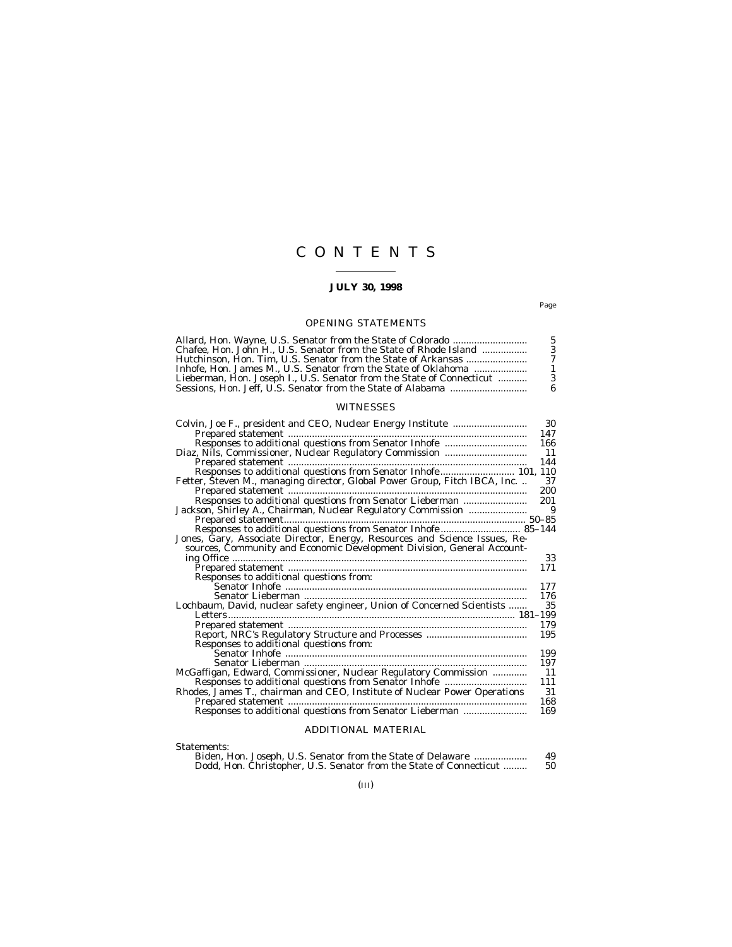# CONTENTS

## **JULY 30, 1998**

Page

# OPENING STATEMENTS

| Allard, Hon. Wayne, U.S. Senator from the State of Colorado           |  |
|-----------------------------------------------------------------------|--|
| Chafee, Hon. John H., U.S. Senator from the State of Rhode Island     |  |
| Hutchinson. Hon. Tim. U.S. Senator from the State of Arkansas         |  |
| Inhofe. Hon. James M U.S. Senator from the State of Oklahoma          |  |
| Lieberman, Hon. Joseph I., U.S. Senator from the State of Connecticut |  |
|                                                                       |  |

## WITNESSES

| Colvin, Joe F., president and CEO, Nuclear Energy Institute                                                                                     | 30  |
|-------------------------------------------------------------------------------------------------------------------------------------------------|-----|
|                                                                                                                                                 | 147 |
|                                                                                                                                                 | 166 |
|                                                                                                                                                 |     |
|                                                                                                                                                 |     |
|                                                                                                                                                 |     |
| Fetter, Steven M., managing director, Global Power Group, Fitch IBCA, Inc.                                                                      | 37  |
|                                                                                                                                                 | 200 |
| Responses to additional questions from Senator Lieberman                                                                                        | 201 |
| Jackson, Shirley A., Chairman, Nuclear Regulatory Commission                                                                                    | 9   |
|                                                                                                                                                 |     |
|                                                                                                                                                 |     |
| Jones, Gary, Associate Director, Energy, Resources and Science Issues, Resources, Community and Economic Development Division, General Account- |     |
|                                                                                                                                                 |     |
|                                                                                                                                                 | 33  |
|                                                                                                                                                 | 171 |
| Responses to additional questions from:                                                                                                         |     |
|                                                                                                                                                 | 177 |
|                                                                                                                                                 | 176 |
| Lochbaum, David, nuclear safety engineer, Union of Concerned Scientists                                                                         | 35  |
|                                                                                                                                                 |     |
|                                                                                                                                                 | 179 |
|                                                                                                                                                 | 195 |
| Responses to additional questions from:                                                                                                         |     |
|                                                                                                                                                 | 199 |
|                                                                                                                                                 | 197 |
| McGaffigan, Edward, Commissioner, Nuclear Regulatory Commission                                                                                 | 11  |
|                                                                                                                                                 | 111 |
| Rhodes, James T., chairman and CEO, Institute of Nuclear Power Operations                                                                       | 31  |
|                                                                                                                                                 | 168 |
| Responses to additional questions from Senator Lieberman                                                                                        | 169 |
|                                                                                                                                                 |     |
|                                                                                                                                                 |     |

## ADDITIONAL MATERIAL

Statements:

| Biden, Hon. Joseph, U.S. Senator from the State of Delaware        |  | 49. |
|--------------------------------------------------------------------|--|-----|
| Dodd, Hon. Christopher, U.S. Senator from the State of Connecticut |  | 50  |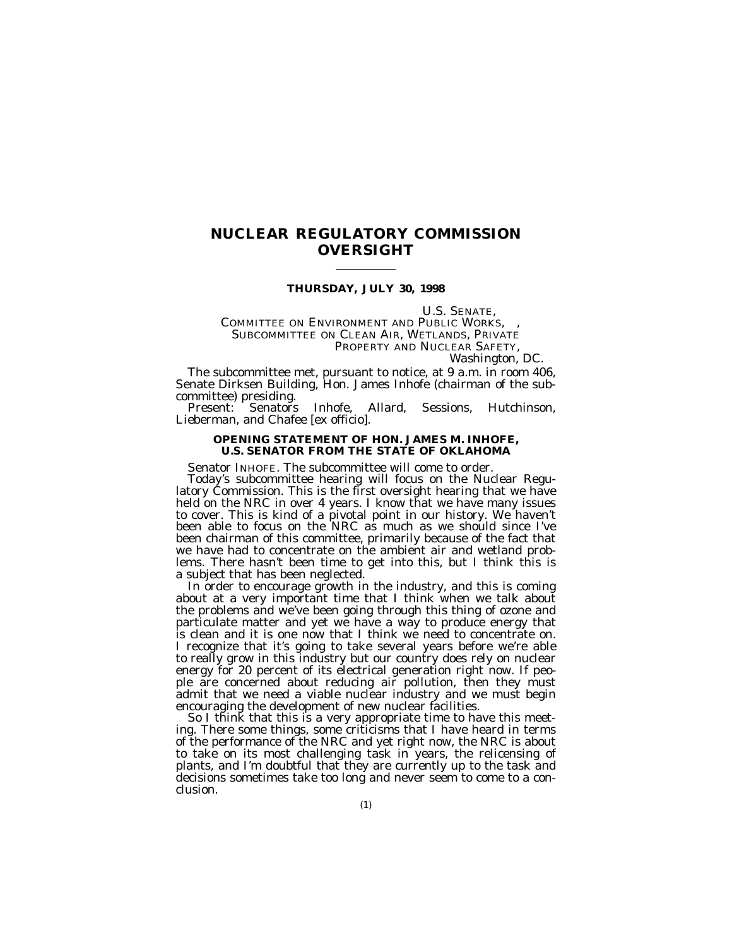# **NUCLEAR REGULATORY COMMISSION OVERSIGHT**

#### **THURSDAY, JULY 30, 1998**

U.S. SENATE,<br>COMMITTEE ON ENVIRONMENT AND PUBLIC WORKS,<br>SUBCOMMITTEE ON CLEAN AIR, WETLANDS, PRIVATE PROPERTY AND NUCLEAR SAFETY, *Washington, DC.*

The subcommittee met, pursuant to notice, at 9 a.m. in room 406, Senate Dirksen Building, Hon. James Inhofe (chairman of the sub-

Present: Senators Inhofe, Allard, Sessions, Hutchinson, Lieberman, and Chafee [ex officio].

#### **OPENING STATEMENT OF HON. JAMES M. INHOFE, U.S. SENATOR FROM THE STATE OF OKLAHOMA**

Senator INHOFE. The subcommittee will come to order.<br>Today's subcommittee hearing will focus on the Nuclear Regulatory Commission. This is the first oversight hearing that we have held on the NRC in over 4 years. I know that we have many issues to cover. This is kind of a pivotal point in our history. We haven't been able to focus on the NRC as much as we should since I've been chairman of this committee, primarily because of the fact that we have had to concentrate on the ambient air and wetland problems. There hasn't been time to get into this, but I think this is a subject that has been neglected.

In order to encourage growth in the industry, and this is coming about at a very important time that I think when we talk about the problems and we've been going through this thing of ozone and particulate matter and yet we have a way to produce energy that is clean and it is one now that I think we need to concentrate on. I recognize that it's going to take several years before we're able to really grow in this industry but our country does rely on nuclear energy for 20 percent of its electrical generation right now. If people are concerned about reducing air pollution, then they must admit that we need a viable nuclear industry and we must begin encouraging the development of new nuclear facilities.

So I think that this is a very appropriate time to have this meeting. There some things, some criticisms that I have heard in terms of the performance of the NRC and yet right now, the NRC is about to take on its most challenging task in years, the relicensing of plants, and I'm doubtful that they are currently up to the task and decisions sometimes take too long and never seem to come to a conclusion.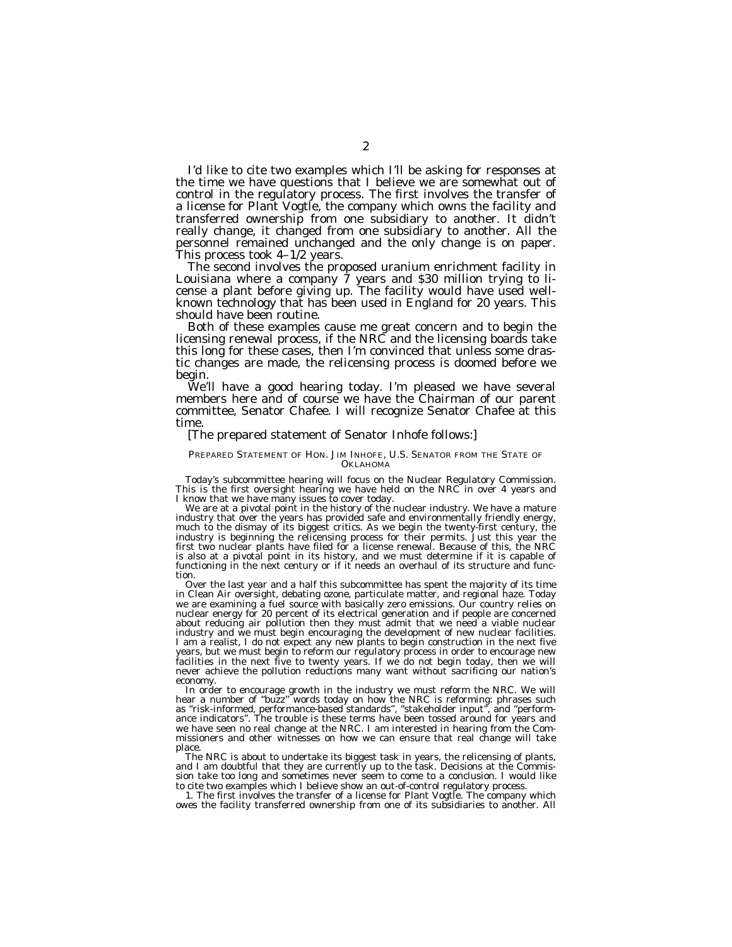I'd like to cite two examples which I'll be asking for responses at the time we have questions that I believe we are somewhat out of control in the regulatory process. The first involves the transfer of a license for Plant Vogtle, the company which owns the facility and transferred ownership from one subsidiary to another. It didn't really change, it changed from one subsidiary to another. All the personnel remained unchanged and the only change is on paper. This process took 4–1/2 years.

The second involves the proposed uranium enrichment facility in Louisiana where a company 7 years and \$30 million trying to license a plant before giving up. The facility would have used wellknown technology that has been used in England for 20 years. This should have been routine.

Both of these examples cause me great concern and to begin the licensing renewal process, if the NRC and the licensing boards take this long for these cases, then I'm convinced that unless some drastic changes are made, the relicensing process is doomed before we begin.

We'll have a good hearing today. I'm pleased we have several members here and of course we have the Chairman of our parent committee, Senator Chafee. I will recognize Senator Chafee at this time.

#### [The prepared statement of Senator Inhofe follows:]

#### PREPARED STATEMENT OF HON. JIM INHOFE, U.S. SENATOR FROM THE STATE OF **OKLAHOMA**

Today's subcommittee hearing will focus on the Nuclear Regulatory Commission. This is the first oversight hearing we have held on the NRC in over 4 years and I know that we have many issues to cover today.

We are at a pivotal point in the history of the nuclear industry. We have a mature industry that over the years has provided safe and environmentally friendly energy, much to the dismay of its biggest critics. As we begin the twenty-first century, the industry is beginning the relicensing process for their permits. Just this year the first two nuclear plants have filed for a license renewal. Because of this, the NRC is also at a pivotal point in its history, and we must determine if it is capable of functioning in the next century or if it needs an overhaul of its structure and function.

Over the last year and a half this subcommittee has spent the majority of its time in Clean Air oversight, debating ozone, particulate matter, and regional haze. Today we are examining a fuel source with basically zero emissions. Our country relies on nuclear energy for 20 percent of its electrical generation and if people are concerned about reducing air pollution then they must admit that we need a viable nuclear industry and we must begin encouraging the development of new nuclear facilities. I am a realist, I do not expect any new plants to begin construction in the next five years, but we must begin to reform our regulatory process in order to encourage new facilities in the next five to twenty years. If we do not begin today, then we will never achieve the pollution reductions many want without sacrificing our nation's economy.

In order to encourage growth in the industry we must reform the NRC. We will hear a number of ''buzz'' words today on how the NRC is reforming: phrases such as ''risk-informed, performance-based standards'', ''stakeholder input'', and ''performance indicators''. The trouble is these terms have been tossed around for years and we have seen no real change at the NRC. I am interested in hearing from the Commissioners and other witnesses on how we can ensure that real change will take place.

The NRC is about to undertake its biggest task in years, the relicensing of plants, and I am doubtful that they are currently up to the task. Decisions at the Commission take too long and sometimes never seem to come to a conclusion. I would like to cite two examples which I believe show an out-of-control regulatory process.

1. The first involves the transfer of a license for Plant Vogtle. The company which owes the facility transferred ownership from one of its subsidiaries to another. All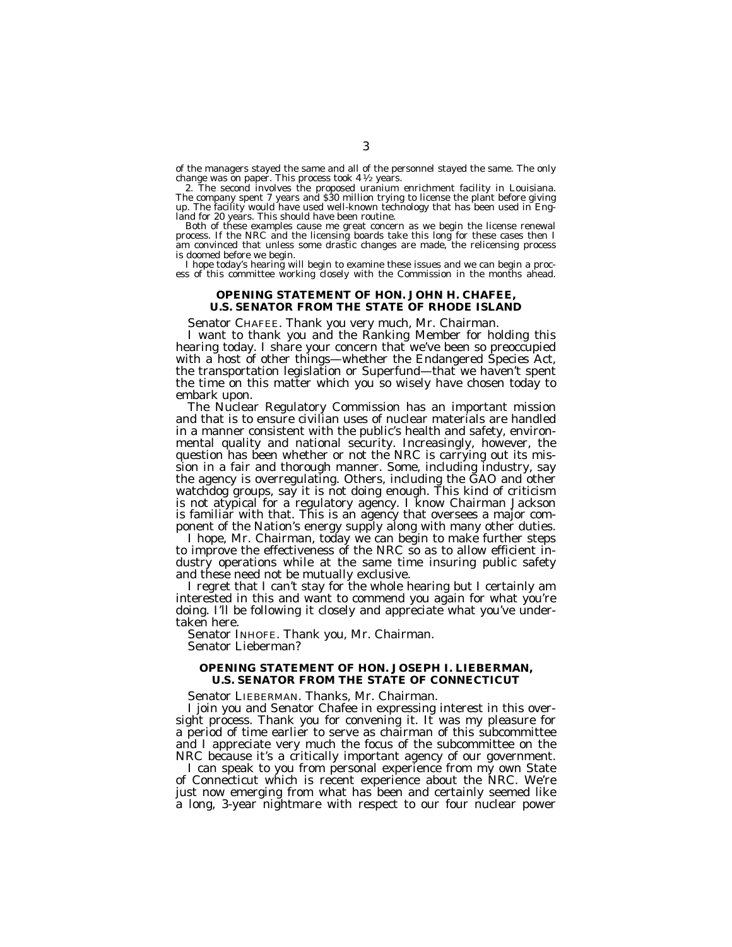of the managers stayed the same and all of the personnel stayed the same. The only change was on paper. This process took  $4\frac{1}{2}$  years.

2. The second involves the proposed uranium enrichment facility in Louisiana. The company spent 7 years and \$30 million trying to license the plant before giving up. The facility would have used well-known technology that has been used in England for 20 years. This should have been routine.

Both of these examples cause me great concern as we begin the license renewal process. If the NRC and the licensing boards take this long for these cases then I am convinced that unless some drastic changes are made, the relicensing process is doomed before we begin.

I hope today's hearing will begin to examine these issues and we can begin a process of this committee working closely with the Commission in the months ahead.

#### **OPENING STATEMENT OF HON. JOHN H. CHAFEE, U.S. SENATOR FROM THE STATE OF RHODE ISLAND**

Senator CHAFEE. Thank you very much, Mr. Chairman.

I want to thank you and the Ranking Member for holding this hearing today. I share your concern that we've been so preoccupied with a host of other things—whether the Endangered Species Act, the transportation legislation or Superfund—that we haven't spent the time on this matter which you so wisely have chosen today to embark upon.

The Nuclear Regulatory Commission has an important mission and that is to ensure civilian uses of nuclear materials are handled in a manner consistent with the public's health and safety, environmental quality and national security. Increasingly, however, the question has been whether or not the NRC is carrying out its mission in a fair and thorough manner. Some, including industry, say the agency is overregulating. Others, including the GAO and other watchdog groups, say it is not doing enough. This kind of criticism is not atypical for a regulatory agency. I know Chairman Jackson is familiar with that. This is an agency that oversees a major component of the Nation's energy supply along with many other duties.

I hope, Mr. Chairman, today we can begin to make further steps to improve the effectiveness of the NRC so as to allow efficient industry operations while at the same time insuring public safety and these need not be mutually exclusive.

I regret that I can't stay for the whole hearing but I certainly am interested in this and want to commend you again for what you're doing. I'll be following it closely and appreciate what you've undertaken here.

Senator INHOFE. Thank you, Mr. Chairman. Senator Lieberman?

#### **OPENING STATEMENT OF HON. JOSEPH I. LIEBERMAN, U.S. SENATOR FROM THE STATE OF CONNECTICUT**

Senator LIEBERMAN. Thanks, Mr. Chairman.

I join you and Senator Chafee in expressing interest in this oversight process. Thank you for convening it. It was my pleasure for a period of time earlier to serve as chairman of this subcommittee and I appreciate very much the focus of the subcommittee on the NRC because it's a critically important agency of our government.

I can speak to you from personal experience from my own State of Connecticut which is recent experience about the NRC. We're just now emerging from what has been and certainly seemed like a long, 3-year nightmare with respect to our four nuclear power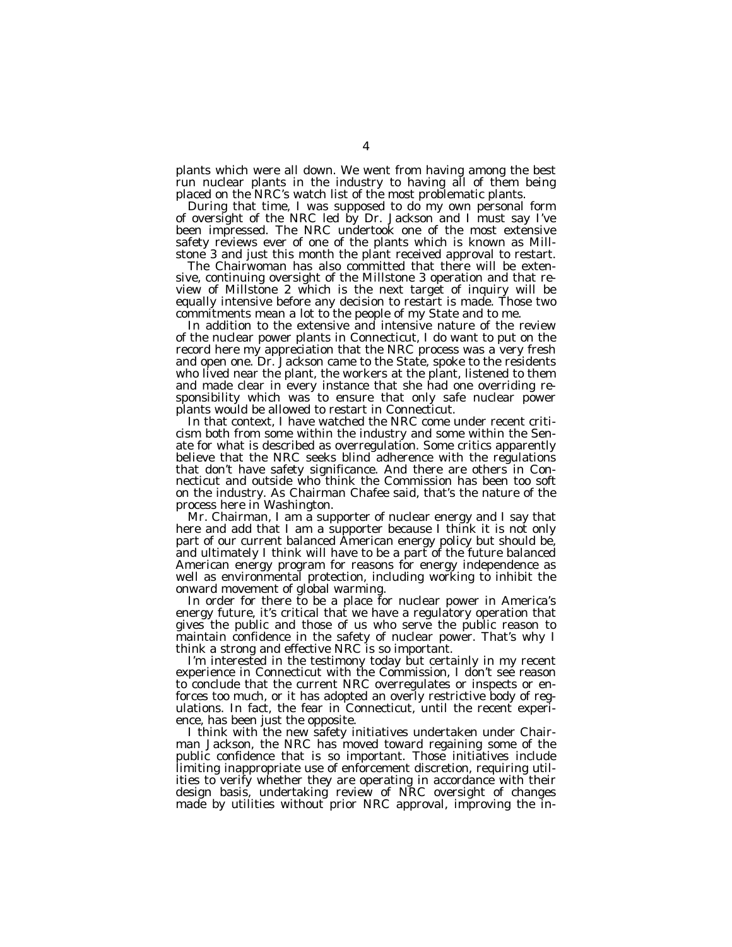plants which were all down. We went from having among the best run nuclear plants in the industry to having all of them being placed on the NRC's watch list of the most problematic plants.

During that time, I was supposed to do my own personal form of oversight of the NRC led by Dr. Jackson and I must say I've been impressed. The NRC undertook one of the most extensive safety reviews ever of one of the plants which is known as Millstone 3 and just this month the plant received approval to restart.

The Chairwoman has also committed that there will be extensive, continuing oversight of the Millstone 3 operation and that review of Millstone 2 which is the next target of inquiry will be equally intensive before any decision to restart is made. Those two commitments mean a lot to the people of my State and to me.

In addition to the extensive and intensive nature of the review of the nuclear power plants in Connecticut, I do want to put on the record here my appreciation that the NRC process was a very fresh and open one. Dr. Jackson came to the State, spoke to the residents who lived near the plant, the workers at the plant, listened to them and made clear in every instance that she had one overriding responsibility which was to ensure that only safe nuclear power plants would be allowed to restart in Connecticut.

In that context, I have watched the NRC come under recent criticism both from some within the industry and some within the Senate for what is described as overregulation. Some critics apparently believe that the NRC seeks blind adherence with the regulations that don't have safety significance. And there are others in Connecticut and outside who think the Commission has been too soft on the industry. As Chairman Chafee said, that's the nature of the process here in Washington.

Mr. Chairman, I am a supporter of nuclear energy and I say that here and add that I am a supporter because I think it is not only part of our current balanced American energy policy but should be, and ultimately I think will have to be a part of the future balanced American energy program for reasons for energy independence as well as environmental protection, including working to inhibit the onward movement of global warming.

In order for there to be a place for nuclear power in America's energy future, it's critical that we have a regulatory operation that gives the public and those of us who serve the public reason to maintain confidence in the safety of nuclear power. That's why I think a strong and effective NRC is so important.

I'm interested in the testimony today but certainly in my recent experience in Connecticut with the Commission, I don't see reason to conclude that the current NRC overregulates or inspects or enforces too much, or it has adopted an overly restrictive body of regulations. In fact, the fear in Connecticut, until the recent experience, has been just the opposite.

I think with the new safety initiatives undertaken under Chairman Jackson, the NRC has moved toward regaining some of the public confidence that is so important. Those initiatives include limiting inappropriate use of enforcement discretion, requiring utilities to verify whether they are operating in accordance with their design basis, undertaking review of NRC oversight of changes made by utilities without prior NRC approval, improving the in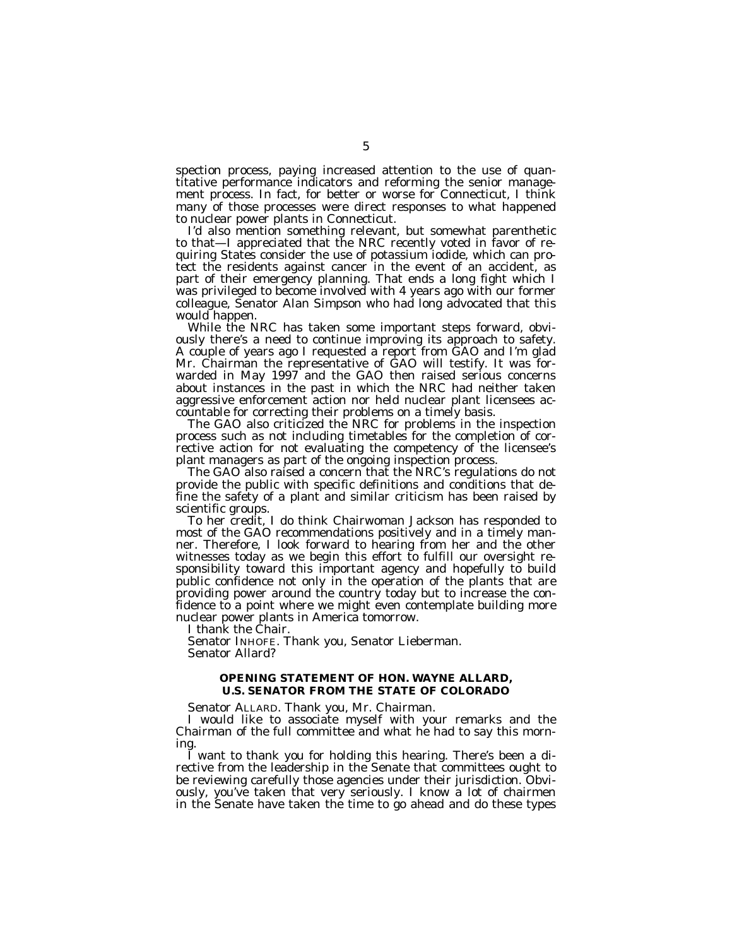spection process, paying increased attention to the use of quantitative performance indicators and reforming the senior management process. In fact, for better or worse for Connecticut, I think many of those processes were direct responses to what happened to nuclear power plants in Connecticut.

I'd also mention something relevant, but somewhat parenthetic to that—I appreciated that the NRC recently voted in favor of requiring States consider the use of potassium iodide, which can protect the residents against cancer in the event of an accident, as part of their emergency planning. That ends a long fight which I was privileged to become involved with 4 years ago with our former colleague, Senator Alan Simpson who had long advocated that this would happen.

While the NRC has taken some important steps forward, obviously there's a need to continue improving its approach to safety. A couple of years ago I requested a report from GAO and I'm glad Mr. Chairman the representative of GAO will testify. It was forwarded in May 1997 and the GAO then raised serious concerns about instances in the past in which the NRC had neither taken aggressive enforcement action nor held nuclear plant licensees accountable for correcting their problems on a timely basis.

The GAO also criticized the NRC for problems in the inspection process such as not including timetables for the completion of corrective action for not evaluating the competency of the licensee's plant managers as part of the ongoing inspection process.

The GAO also raised a concern that the NRC's regulations do not provide the public with specific definitions and conditions that define the safety of a plant and similar criticism has been raised by scientific groups.

To her credit, I do think Chairwoman Jackson has responded to most of the GAO recommendations positively and in a timely manner. Therefore, I look forward to hearing from her and the other witnesses today as we begin this effort to fulfill our oversight responsibility toward this important agency and hopefully to build public confidence not only in the operation of the plants that are providing power around the country today but to increase the confidence to a point where we might even contemplate building more nuclear power plants in America tomorrow.

I thank the Chair.

Senator INHOFE. Thank you, Senator Lieberman. Senator Allard?

#### **OPENING STATEMENT OF HON. WAYNE ALLARD, U.S. SENATOR FROM THE STATE OF COLORADO**

Senator ALLARD. Thank you, Mr. Chairman.

I would like to associate myself with your remarks and the Chairman of the full committee and what he had to say this morning.

I want to thank you for holding this hearing. There's been a directive from the leadership in the Senate that committees ought to be reviewing carefully those agencies under their jurisdiction. Obviously, you've taken that very seriously. I know a lot of chairmen in the Senate have taken the time to go ahead and do these types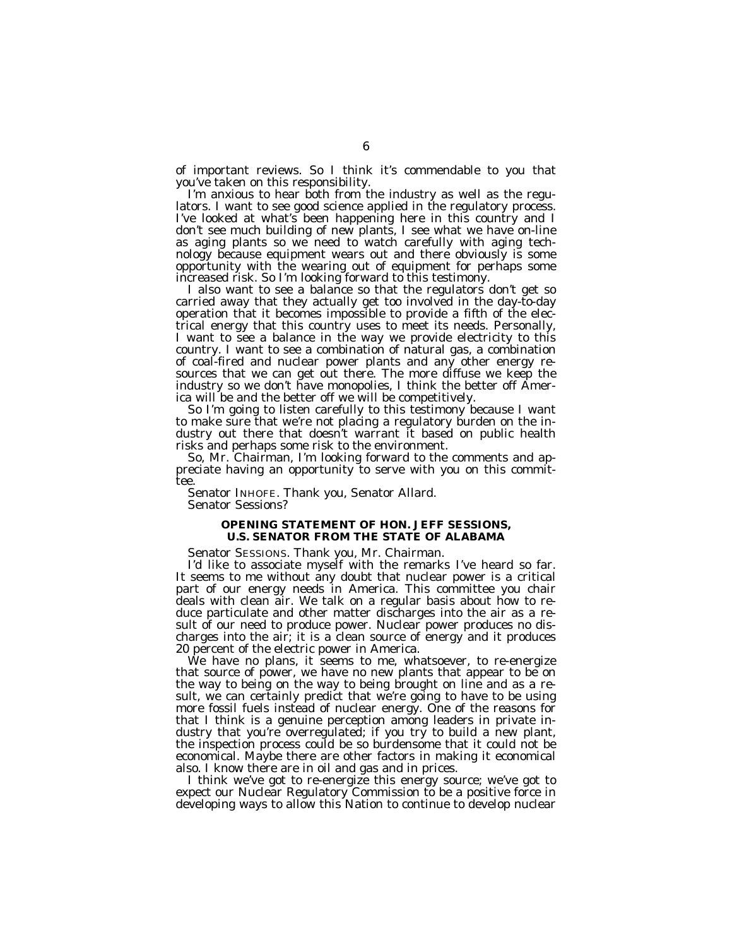of important reviews. So I think it's commendable to you that you've taken on this responsibility.

I'm anxious to hear both from the industry as well as the regulators. I want to see good science applied in the regulatory process. I've looked at what's been happening here in this country and I don't see much building of new plants, I see what we have on-line as aging plants so we need to watch carefully with aging technology because equipment wears out and there obviously is some opportunity with the wearing out of equipment for perhaps some increased risk. So I'm looking forward to this testimony.

I also want to see a balance so that the regulators don't get so carried away that they actually get too involved in the day-to-day operation that it becomes impossible to provide a fifth of the electrical energy that this country uses to meet its needs. Personally, I want to see a balance in the way we provide electricity to this country. I want to see a combination of natural gas, a combination of coal-fired and nuclear power plants and any other energy resources that we can get out there. The more diffuse we keep the industry so we don't have monopolies, I think the better off America will be and the better off we will be competitively.

So I'm going to listen carefully to this testimony because I want to make sure that we're not placing a regulatory burden on the industry out there that doesn't warrant it based on public health risks and perhaps some risk to the environment.

So, Mr. Chairman, I'm looking forward to the comments and appreciate having an opportunity to serve with you on this committee.

Senator INHOFE. Thank you, Senator Allard. Senator Sessions?

#### **OPENING STATEMENT OF HON. JEFF SESSIONS, U.S. SENATOR FROM THE STATE OF ALABAMA**

Senator SESSIONS. Thank you, Mr. Chairman.

I'd like to associate myself with the remarks I've heard so far. It seems to me without any doubt that nuclear power is a critical part of our energy needs in America. This committee you chair deals with clean air. We talk on a regular basis about how to reduce particulate and other matter discharges into the air as a result of our need to produce power. Nuclear power produces no discharges into the air; it is a clean source of energy and it produces 20 percent of the electric power in America.

We have no plans, it seems to me, whatsoever, to re-energize that source of power, we have no new plants that appear to be on the way to being on the way to being brought on line and as a result, we can certainly predict that we're going to have to be using more fossil fuels instead of nuclear energy. One of the reasons for that I think is a genuine perception among leaders in private industry that you're overregulated; if you try to build a new plant, the inspection process could be so burdensome that it could not be economical. Maybe there are other factors in making it economical also. I know there are in oil and gas and in prices.

I think we've got to re-energize this energy source; we've got to expect our Nuclear Regulatory Commission to be a positive force in developing ways to allow this Nation to continue to develop nuclear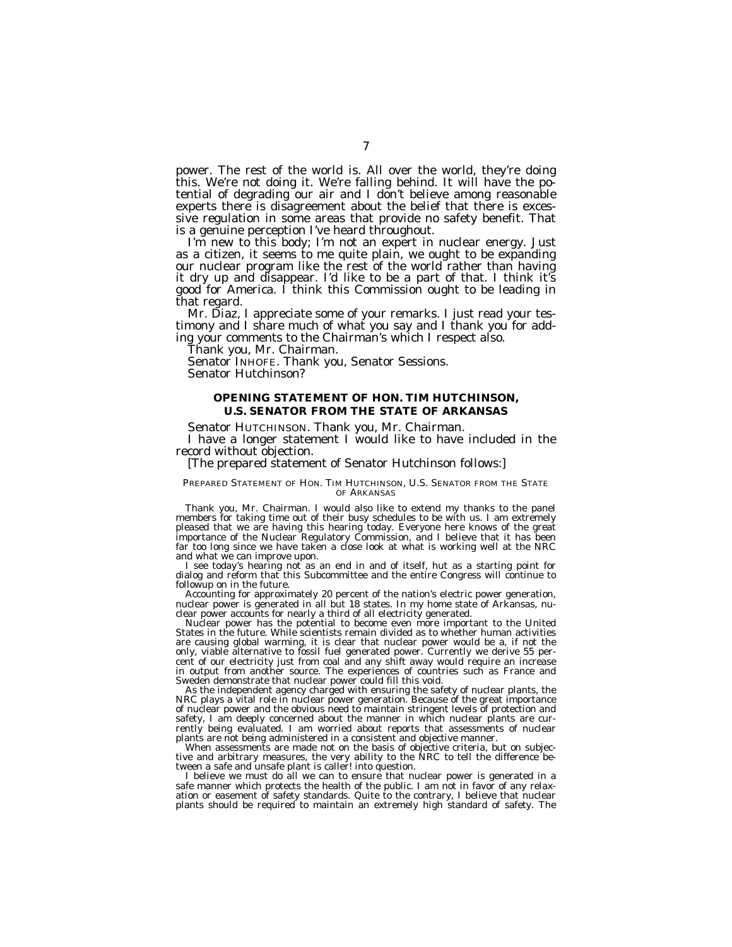power. The rest of the world is. All over the world, they're doing this. We're not doing it. We're falling behind. It will have the potential of degrading our air and I don't believe among reasonable experts there is disagreement about the belief that there is excessive regulation in some areas that provide no safety benefit. That is a genuine perception I've heard throughout.

I'm new to this body; I'm not an expert in nuclear energy. Just as a citizen, it seems to me quite plain, we ought to be expanding our nuclear program like the rest of the world rather than having it dry up and disappear. I'd like to be a part of that. I think it's good for America. I think this Commission ought to be leading in that regard.

Mr. Diaz, I appreciate some of your remarks. I just read your testimony and I share much of what you say and I thank you for adding your comments to the Chairman's which I respect also.

Thank you, Mr. Chairman.

Senator INHOFE. Thank you, Senator Sessions. Senator Hutchinson?

#### **OPENING STATEMENT OF HON. TIM HUTCHINSON, U.S. SENATOR FROM THE STATE OF ARKANSAS**

Senator HUTCHINSON. Thank you, Mr. Chairman.

I have a longer statement I would like to have included in the record without objection.

[The prepared statement of Senator Hutchinson follows:]

#### PREPARED STATEMENT OF HON. TIM HUTCHINSON, U.S. SENATOR FROM THE STATE OF ARKANSAS

Thank you, Mr. Chairman. I would also like to extend my thanks to the panel members for taking time out of their busy schedules to be with us. I am extremely pleased that we are having this hearing today. Everyone here knows of the great importance of the Nuclear Regulatory Commission, and I believe that it has been far too long since we have taken a close look at what is working well at the NRC and what we can improve upon.

I see today's hearing not as an end in and of itself, hut as a starting point for dialog and reform that this Subcommittee and the entire Congress will continue to followup on in the future.

Accounting for approximately 20 percent of the nation's electric power generation, nuclear power is generated in all but 18 states. In my home state of Arkansas, nuclear power accounts for nearly a third of all electricity generated.

Nuclear power has the potential to become even more important to the United States in the future. While scientists remain divided as to whether human activities are causing global warming, it is clear that nuclear power would be a, if not the only, viable alternative to fossil fuel generated power. Currently we derive 55 percent of our electricity just from coal and any shift away would require an increase in output from another source. The experiences of countries such as France and Sweden demonstrate that nuclear power could fill this void.

As the independent agency charged with ensuring the safety of nuclear plants, the NRC plays a vital role in nuclear power generation. Because of the great importance of nuclear power and the obvious need to maintain stringent levels of protection and safety, I am deeply concerned about the manner in which nuclear plants are currently being evaluated. I am worried about reports that assessments of nuclear plants are not being administered in a consistent and objective manner.

When assessments are made not on the basis of objective criteria, but on subjective and arbitrary measures, the very ability to the NRC to tell the difference between a safe and unsafe plant is caller! into question.

I believe we must do all we can to ensure that nuclear power is generated in a safe manner which protects the health of the public. I am not in favor of any relaxation or easement of safety standards. Quite to the contrary, I believe that nuclear plants should be required to maintain an extremely high standard of safety. The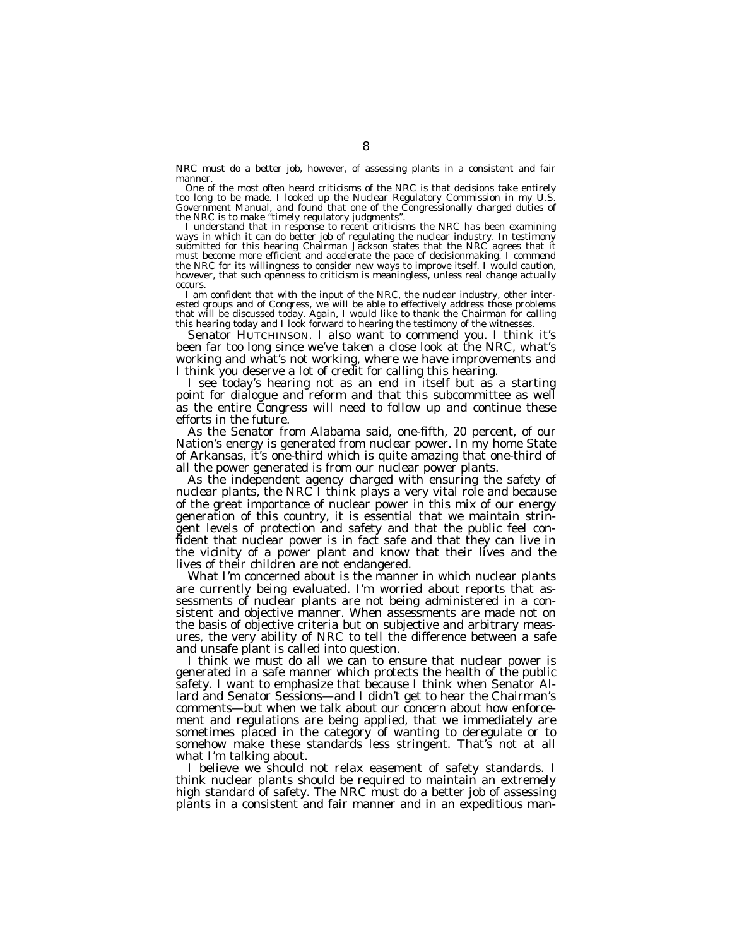NRC must do a better job, however, of assessing plants in a consistent and fair manner

One of the most often heard criticisms of the NRC is that decisions take entirely too long to be made. I looked up the Nuclear Regulatory Commission in my U.S. Government Manual, and found that one of the Congressionally charged duties of the NRC is to make ''timely regulatory judgments''.

I understand that in response to recent criticisms the NRC has been examining ways in which it can do better job of regulating the nuclear industry. In testimony submitted for this hearing Chairman Jackson states that the NRC agrees that it must become more efficient and accelerate the pace of decisionmaking. I commend the NRC for its willingness to consider new ways to improve itself. I would caution, however, that such openness to criticism is meaningless, unless real change actually occurs.

I am confident that with the input of the NRC, the nuclear industry, other interested groups and of Congress, we will be able to effectively address those problems that will be discussed today. Again, I would like to thank the Chairman for calling this hearing today and I look forward to hearing the testimony of the witnesses.

Senator HUTCHINSON. I also want to commend you. I think it's been far too long since we've taken a close look at the NRC, what's working and what's not working, where we have improvements and I think you deserve a lot of credit for calling this hearing.

I see today's hearing not as an end in itself but as a starting point for dialogue and reform and that this subcommittee as well as the entire Congress will need to follow up and continue these efforts in the future.

As the Senator from Alabama said, one-fifth, 20 percent, of our Nation's energy is generated from nuclear power. In my home State of Arkansas, it's one-third which is quite amazing that one-third of all the power generated is from our nuclear power plants.

As the independent agency charged with ensuring the safety of nuclear plants, the NRC I think plays a very vital role and because of the great importance of nuclear power in this mix of our energy generation of this country, it is essential that we maintain stringent levels of protection and safety and that the public feel confident that nuclear power is in fact safe and that they can live in the vicinity of a power plant and know that their lives and the lives of their children are not endangered.

What I'm concerned about is the manner in which nuclear plants are currently being evaluated. I'm worried about reports that assessments of nuclear plants are not being administered in a consistent and objective manner. When assessments are made not on the basis of objective criteria but on subjective and arbitrary measures, the very ability of NRC to tell the difference between a safe and unsafe plant is called into question.

I think we must do all we can to ensure that nuclear power is generated in a safe manner which protects the health of the public safety. I want to emphasize that because I think when Senator Allard and Senator Sessions—and I didn't get to hear the Chairman's comments—but when we talk about our concern about how enforcement and regulations are being applied, that we immediately are sometimes placed in the category of wanting to deregulate or to somehow make these standards less stringent. That's not at all what I'm talking about.

I believe we should not relax easement of safety standards. I think nuclear plants should be required to maintain an extremely high standard of safety. The NRC must do a better job of assessing plants in a consistent and fair manner and in an expeditious man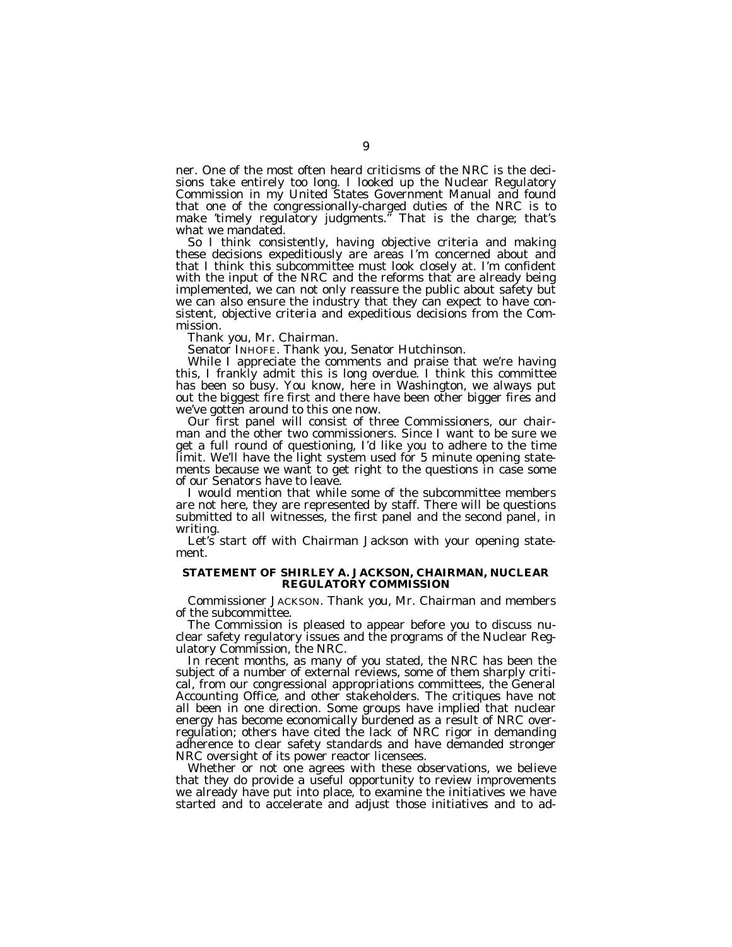ner. One of the most often heard criticisms of the NRC is the decisions take entirely too long. I looked up the Nuclear Regulatory Commission in my United States Government Manual and found that one of the congressionally-charged duties of the NRC is to make 'timely regulatory judgments.'' That is the charge; that's what we mandated.

So I think consistently, having objective criteria and making these decisions expeditiously are areas I'm concerned about and that I think this subcommittee must look closely at. I'm confident with the input of the NRC and the reforms that are already being implemented, we can not only reassure the public about safety but we can also ensure the industry that they can expect to have consistent, objective criteria and expeditious decisions from the Commission.

Thank you, Mr. Chairman.

Senator INHOFE. Thank you, Senator Hutchinson.

While I appreciate the comments and praise that we're having this, I frankly admit this is long overdue. I think this committee has been so busy. You know, here in Washington, we always put out the biggest fire first and there have been other bigger fires and we've gotten around to this one now.

Our first panel will consist of three Commissioners, our chairman and the other two commissioners. Since I want to be sure we get a full round of questioning, I'd like you to adhere to the time limit. We'll have the light system used for 5 minute opening statements because we want to get right to the questions in case some of our Senators have to leave.

I would mention that while some of the subcommittee members are not here, they are represented by staff. There will be questions submitted to all witnesses, the first panel and the second panel, in writing.

Let's start off with Chairman Jackson with your opening statement.

#### **STATEMENT OF SHIRLEY A. JACKSON, CHAIRMAN, NUCLEAR REGULATORY COMMISSION**

Commissioner JACKSON. Thank you, Mr. Chairman and members of the subcommittee.

The Commission is pleased to appear before you to discuss nuclear safety regulatory issues and the programs of the Nuclear Regulatory Commission, the NRC.

In recent months, as many of you stated, the NRC has been the subject of a number of external reviews, some of them sharply critical, from our congressional appropriations committees, the General Accounting Office, and other stakeholders. The critiques have not all been in one direction. Some groups have implied that nuclear energy has become economically burdened as a result of NRC overregulation; others have cited the lack of NRC rigor in demanding adherence to clear safety standards and have demanded stronger NRC oversight of its power reactor licensees.

Whether or not one agrees with these observations, we believe that they do provide a useful opportunity to review improvements we already have put into place, to examine the initiatives we have started and to accelerate and adjust those initiatives and to ad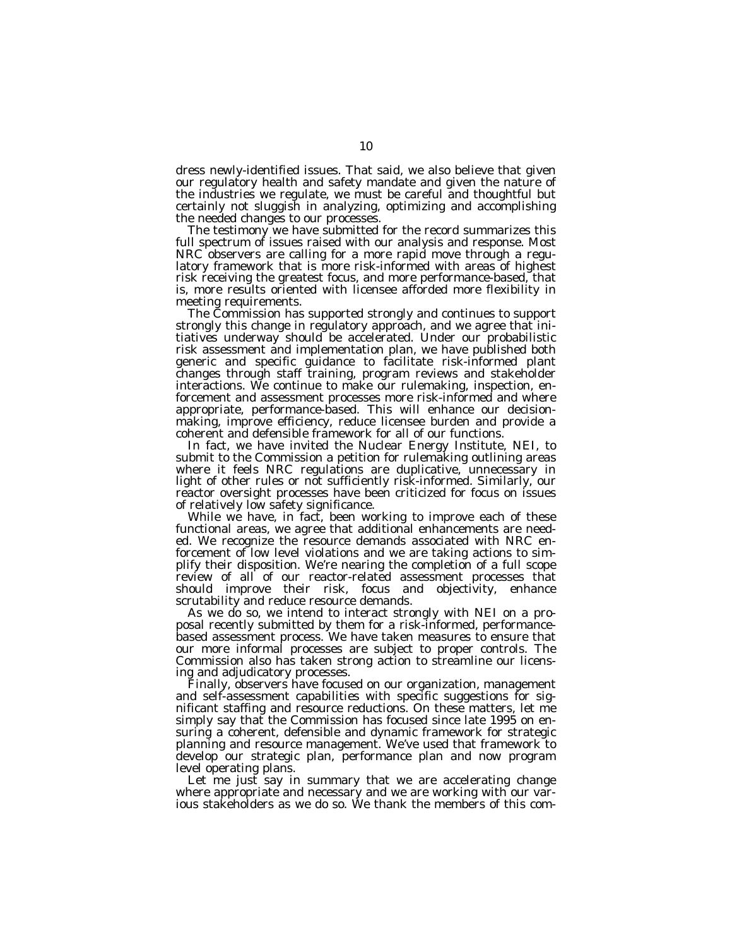dress newly-identified issues. That said, we also believe that given our regulatory health and safety mandate and given the nature of the industries we regulate, we must be careful and thoughtful but certainly not sluggish in analyzing, optimizing and accomplishing the needed changes to our processes.

The testimony we have submitted for the record summarizes this full spectrum of issues raised with our analysis and response. Most NRC observers are calling for a more rapid move through a regulatory framework that is more risk-informed with areas of highest risk receiving the greatest focus, and more performance-based, that is, more results oriented with licensee afforded more flexibility in meeting requirements.

The Commission has supported strongly and continues to support strongly this change in regulatory approach, and we agree that initiatives underway should be accelerated. Under our probabilistic risk assessment and implementation plan, we have published both generic and specific guidance to facilitate risk-informed plant changes through staff training, program reviews and stakeholder interactions. We continue to make our rulemaking, inspection, enforcement and assessment processes more risk-informed and where appropriate, performance-based. This will enhance our decisionmaking, improve efficiency, reduce licensee burden and provide a coherent and defensible framework for all of our functions.

In fact, we have invited the Nuclear Energy Institute, NEI, to submit to the Commission a petition for rulemaking outlining areas where it feels NRC regulations are duplicative, unnecessary in light of other rules or not sufficiently risk-informed. Similarly, our reactor oversight processes have been criticized for focus on issues of relatively low safety significance.

While we have, in fact, been working to improve each of these functional areas, we agree that additional enhancements are needed. We recognize the resource demands associated with NRC enforcement of low level violations and we are taking actions to simplify their disposition. We're nearing the completion of a full scope review of all of our reactor-related assessment processes that should improve their risk, focus and objectivity, enhance scrutability and reduce resource demands.

As we do so, we intend to interact strongly with NEI on a proposal recently submitted by them for a risk-informed, performancebased assessment process. We have taken measures to ensure that our more informal processes are subject to proper controls. The Commission also has taken strong action to streamline our licensing and adjudicatory processes.

Finally, observers have focused on our organization, management and self-assessment capabilities with specific suggestions for significant staffing and resource reductions. On these matters, let me simply say that the Commission has focused since late 1995 on ensuring a coherent, defensible and dynamic framework for strategic planning and resource management. We've used that framework to develop our strategic plan, performance plan and now program level operating plans.

Let me just say in summary that we are accelerating change where appropriate and necessary and we are working with our various stakeholders as we do so. We thank the members of this com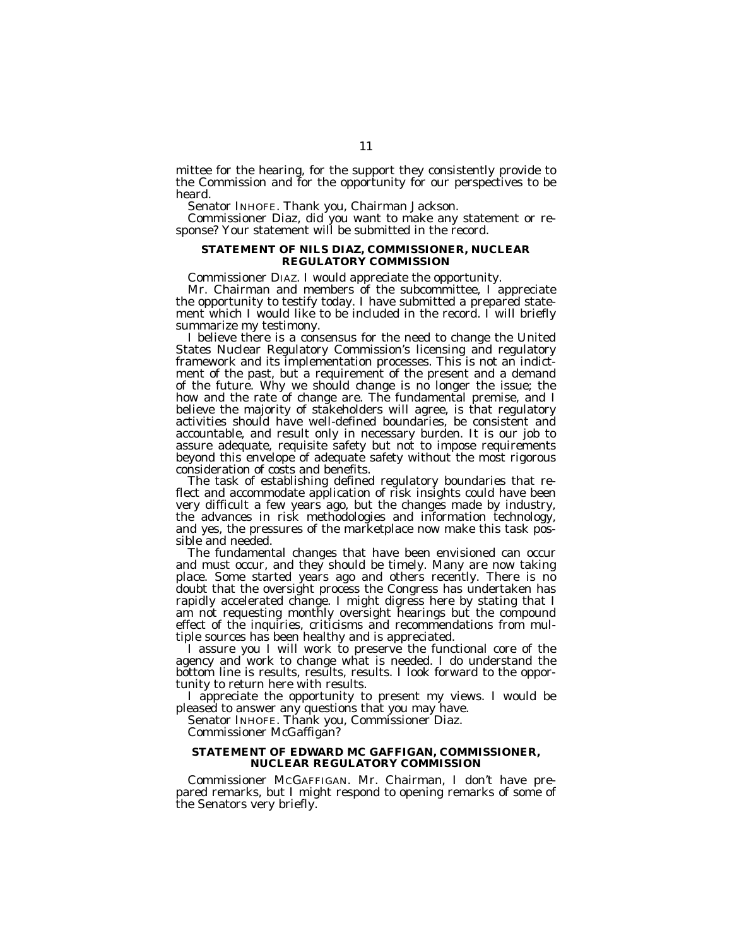mittee for the hearing, for the support they consistently provide to the Commission and for the opportunity for our perspectives to be heard.

Senator INHOFE. Thank you, Chairman Jackson.

Commissioner Diaz, did you want to make any statement or response? Your statement will be submitted in the record.

#### **STATEMENT OF NILS DIAZ, COMMISSIONER, NUCLEAR REGULATORY COMMISSION**

Commissioner DIAZ. I would appreciate the opportunity.

Mr. Chairman and members of the subcommittee, I appreciate the opportunity to testify today. I have submitted a prepared statement which I would like to be included in the record. I will briefly summarize my testimony.

I believe there is a consensus for the need to change the United States Nuclear Regulatory Commission's licensing and regulatory framework and its implementation processes. This is not an indictment of the past, but a requirement of the present and a demand of the future. Why we should change is no longer the issue; the how and the rate of change are. The fundamental premise, and I believe the majority of stakeholders will agree, is that regulatory activities should have well-defined boundaries, be consistent and accountable, and result only in necessary burden. It is our job to assure adequate, requisite safety but not to impose requirements beyond this envelope of adequate safety without the most rigorous consideration of costs and benefits.

The task of establishing defined regulatory boundaries that reflect and accommodate application of risk insights could have been very difficult a few years ago, but the changes made by industry, the advances in risk methodologies and information technology, and yes, the pressures of the marketplace now make this task possible and needed.

The fundamental changes that have been envisioned can occur and must occur, and they should be timely. Many are now taking place. Some started years ago and others recently. There is no doubt that the oversight process the Congress has undertaken has rapidly accelerated change. I might digress here by stating that I am not requesting monthly oversight hearings but the compound effect of the inquiries, criticisms and recommendations from multiple sources has been healthy and is appreciated.

I assure you I will work to preserve the functional core of the agency and work to change what is needed. I do understand the bottom line is results, results, results. I look forward to the opportunity to return here with results.

I appreciate the opportunity to present my views. I would be pleased to answer any questions that you may have.

Senator INHOFE. Thank you, Commissioner Diaz.

Commissioner McGaffigan?

#### **STATEMENT OF EDWARD MC GAFFIGAN, COMMISSIONER, NUCLEAR REGULATORY COMMISSION**

Commissioner MCGAFFIGAN. Mr. Chairman, I don't have prepared remarks, but I might respond to opening remarks of some of the Senators very briefly.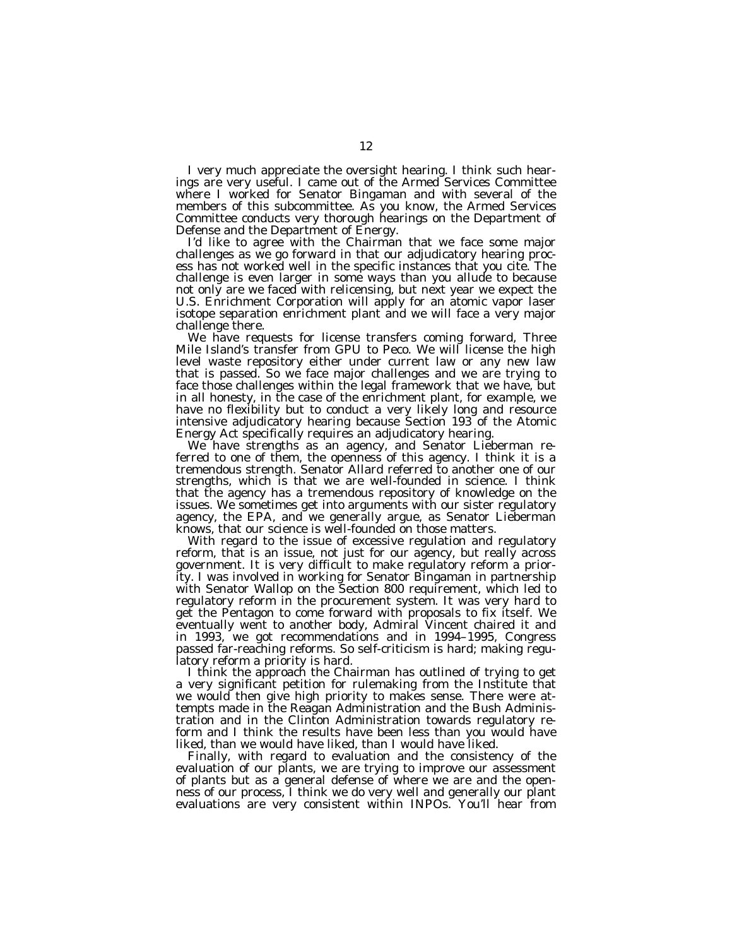I very much appreciate the oversight hearing. I think such hearings are very useful. I came out of the Armed Services Committee where I worked for Senator Bingaman and with several of the members of this subcommittee. As you know, the Armed Services Committee conducts very thorough hearings on the Department of Defense and the Department of Energy.

I'd like to agree with the Chairman that we face some major challenges as we go forward in that our adjudicatory hearing process has not worked well in the specific instances that you cite. The challenge is even larger in some ways than you allude to because not only are we faced with relicensing, but next year we expect the U.S. Enrichment Corporation will apply for an atomic vapor laser isotope separation enrichment plant and we will face a very major challenge there.

We have requests for license transfers coming forward, Three Mile Island's transfer from GPU to Peco. We will license the high level waste repository either under current law or any new law that is passed. So we face major challenges and we are trying to face those challenges within the legal framework that we have, but in all honesty, in the case of the enrichment plant, for example, we have no flexibility but to conduct a very likely long and resource intensive adjudicatory hearing because Section 193 of the Atomic Energy Act specifically requires an adjudicatory hearing.

We have strengths as an agency, and Senator Lieberman referred to one of them, the openness of this agency. I think it is a tremendous strength. Senator Allard referred to another one of our strengths, which is that we are well-founded in science. I think that the agency has a tremendous repository of knowledge on the issues. We sometimes get into arguments with our sister regulatory agency, the EPA, and we generally argue, as Senator Lieberman knows, that our science is well-founded on those matters.

With regard to the issue of excessive regulation and regulatory reform, that is an issue, not just for our agency, but really across government. It is very difficult to make regulatory reform a priority. I was involved in working for Senator Bingaman in partnership with Senator Wallop on the Section 800 requirement, which led to regulatory reform in the procurement system. It was very hard to get the Pentagon to come forward with proposals to fix itself. We eventually went to another body, Admiral Vincent chaired it and in 1993, we got recommendations and in 1994–1995, Congress passed far-reaching reforms. So self-criticism is hard; making regulatory reform a priority is hard.

I think the approach the Chairman has outlined of trying to get a very significant petition for rulemaking from the Institute that we would then give high priority to makes sense. There were attempts made in the Reagan Administration and the Bush Administration and in the Clinton Administration towards regulatory reform and I think the results have been less than you would have liked, than we would have liked, than I would have liked.

Finally, with regard to evaluation and the consistency of the evaluation of our plants, we are trying to improve our assessment of plants but as a general defense of where we are and the openness of our process, I think we do very well and generally our plant evaluations are very consistent within INPOs. You'll hear from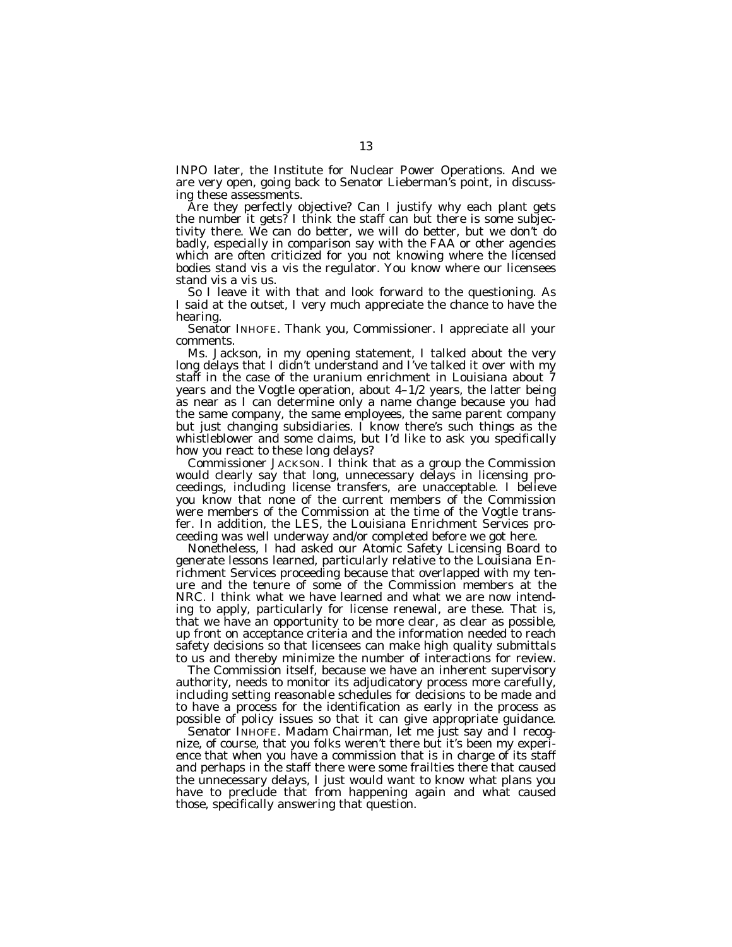INPO later, the Institute for Nuclear Power Operations. And we are very open, going back to Senator Lieberman's point, in discussing these assessments.

Are they perfectly objective? Can I justify why each plant gets the number it gets? I think the staff can but there is some subjectivity there. We can do better, we will do better, but we don't do badly, especially in comparison say with the FAA or other agencies which are often criticized for you not knowing where the licensed bodies stand vis a vis the regulator. You know where our licensees stand vis a vis us.

So I leave it with that and look forward to the questioning. As I said at the outset, I very much appreciate the chance to have the hearing.

Senator INHOFE. Thank you, Commissioner. I appreciate all your comments.

Ms. Jackson, in my opening statement, I talked about the very long delays that I didn't understand and I've talked it over with my staff in the case of the uranium enrichment in Louisiana about 7 years and the Vogtle operation, about 4–1/2 years, the latter being as near as I can determine only a name change because you had the same company, the same employees, the same parent company but just changing subsidiaries. I know there's such things as the whistleblower and some claims, but I'd like to ask you specifically how you react to these long delays?

Commissioner JACKSON. I think that as a group the Commission would clearly say that long, unnecessary delays in licensing proceedings, including license transfers, are unacceptable. I believe you know that none of the current members of the Commission were members of the Commission at the time of the Vogtle transfer. In addition, the LES, the Louisiana Enrichment Services proceeding was well underway and/or completed before we got here.

Nonetheless, I had asked our Atomic Safety Licensing Board to generate lessons learned, particularly relative to the Louisiana Enrichment Services proceeding because that overlapped with my tenure and the tenure of some of the Commission members at the NRC. I think what we have learned and what we are now intending to apply, particularly for license renewal, are these. That is, that we have an opportunity to be more clear, as clear as possible, up front on acceptance criteria and the information needed to reach safety decisions so that licensees can make high quality submittals to us and thereby minimize the number of interactions for review.

The Commission itself, because we have an inherent supervisory authority, needs to monitor its adjudicatory process more carefully, including setting reasonable schedules for decisions to be made and to have a process for the identification as early in the process as possible of policy issues so that it can give appropriate guidance.

Senator INHOFE. Madam Chairman, let me just say and I recognize, of course, that you folks weren't there but it's been my experience that when you have a commission that is in charge of its staff and perhaps in the staff there were some frailties there that caused the unnecessary delays, I just would want to know what plans you have to preclude that from happening again and what caused those, specifically answering that question.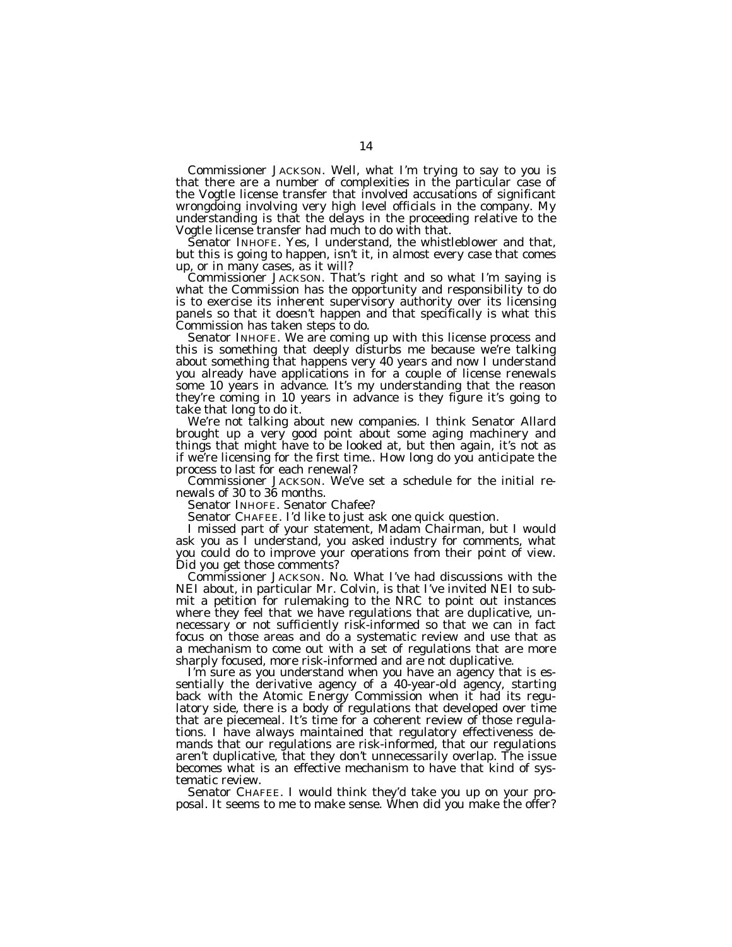Commissioner JACKSON. Well, what I'm trying to say to you is that there are a number of complexities in the particular case of the Vogtle license transfer that involved accusations of significant wrongdoing involving very high level officials in the company. My understanding is that the delays in the proceeding relative to the Vogtle license transfer had much to do with that.

Senator INHOFE. Yes, I understand, the whistleblower and that, but this is going to happen, isn't it, in almost every case that comes up, or in many cases, as it will?

Commissioner JACKSON. That's right and so what I'm saying is what the Commission has the opportunity and responsibility to do is to exercise its inherent supervisory authority over its licensing panels so that it doesn't happen and that specifically is what this Commission has taken steps to do.

Senator INHOFE. We are coming up with this license process and this is something that deeply disturbs me because we're talking about something that happens very 40 years and now I understand you already have applications in for a couple of license renewals some 10 years in advance. It's my understanding that the reason they're coming in 10 years in advance is they figure it's going to take that long to do it.

We're not talking about new companies. I think Senator Allard brought up a very good point about some aging machinery and things that might have to be looked at, but then again, it's not as if we're licensing for the first time.. How long do you anticipate the process to last for each renewal?

Commissioner JACKSON. We've set a schedule for the initial renewals of 30 to 36 months.

Senator INHOFE. Senator Chafee?

Senator CHAFEE. I'd like to just ask one quick question.

I missed part of your statement, Madam Chairman, but I would ask you as I understand, you asked industry for comments, what you could do to improve your operations from their point of view. Did you get those comments?

Commissioner JACKSON. No. What I've had discussions with the NEI about, in particular Mr. Colvin, is that I've invited NEI to submit a petition for rulemaking to the NRC to point out instances where they feel that we have regulations that are duplicative, unnecessary or not sufficiently risk-informed so that we can in fact focus on those areas and do a systematic review and use that as a mechanism to come out with a set of regulations that are more sharply focused, more risk-informed and are not duplicative.

I'm sure as you understand when you have an agency that is essentially the derivative agency of a 40-year-old agency, starting back with the Atomic Energy Commission when it had its regulatory side, there is a body of regulations that developed over time that are piecemeal. It's time for a coherent review of those regulations. I have always maintained that regulatory effectiveness demands that our regulations are risk-informed, that our regulations aren't duplicative, that they don't unnecessarily overlap. The issue becomes what is an effective mechanism to have that kind of systematic review.

Senator CHAFEE. I would think they'd take you up on your proposal. It seems to me to make sense. When did you make the offer?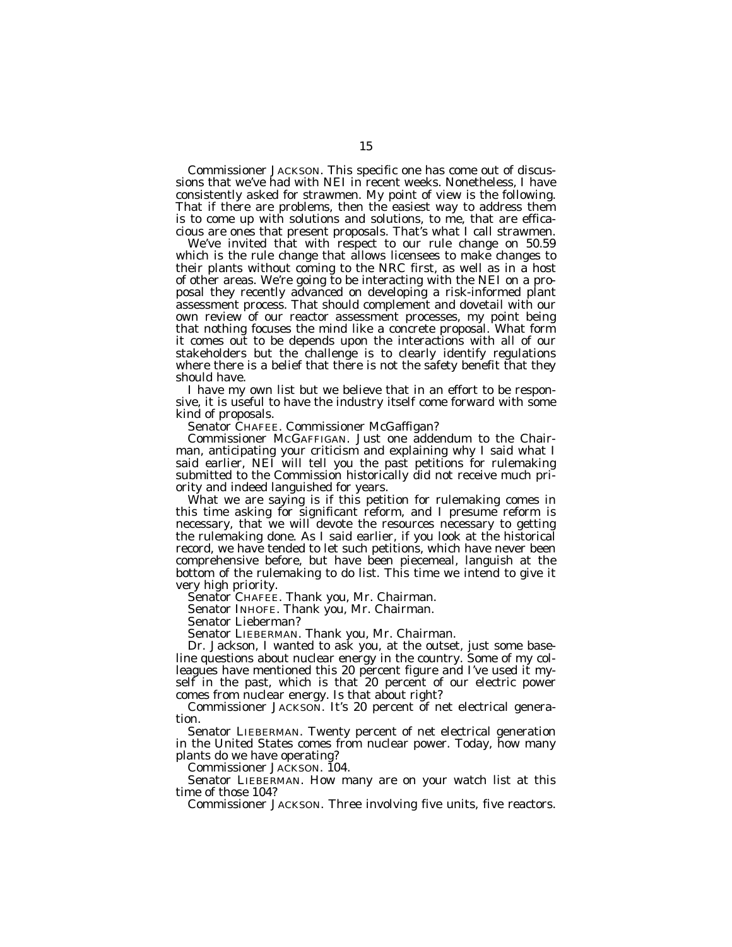Commissioner JACKSON. This specific one has come out of discussions that we've had with NEI in recent weeks. Nonetheless, I have consistently asked for strawmen. My point of view is the following. That if there are problems, then the easiest way to address them is to come up with solutions and solutions, to me, that are efficacious are ones that present proposals. That's what I call strawmen.

We've invited that with respect to our rule change on 50.59 which is the rule change that allows licensees to make changes to their plants without coming to the NRC first, as well as in a host of other areas. We're going to be interacting with the NEI on a proposal they recently advanced on developing a risk-informed plant assessment process. That should complement and dovetail with our own review of our reactor assessment processes, my point being that nothing focuses the mind like a concrete proposal. What form it comes out to be depends upon the interactions with all of our stakeholders but the challenge is to clearly identify regulations where there is a belief that there is not the safety benefit that they should have.

I have my own list but we believe that in an effort to be responsive, it is useful to have the industry itself come forward with some kind of proposals.

Senator CHAFEE. Commissioner McGaffigan?

Commissioner MCGAFFIGAN. Just one addendum to the Chairman, anticipating your criticism and explaining why I said what I said earlier, NEI will tell you the past petitions for rulemaking submitted to the Commission historically did not receive much priority and indeed languished for years.

What we are saying is if this petition for rulemaking comes in this time asking for significant reform, and I presume reform is necessary, that we will devote the resources necessary to getting the rulemaking done. As I said earlier, if you look at the historical record, we have tended to let such petitions, which have never been comprehensive before, but have been piecemeal, languish at the bottom of the rulemaking to do list. This time we intend to give it very high priority.

Senator CHAFEE. Thank you, Mr. Chairman.

Senator INHOFE. Thank you, Mr. Chairman.

Senator Lieberman?

Senator LIEBERMAN. Thank you, Mr. Chairman.

Dr. Jackson, I wanted to ask you, at the outset, just some baseline questions about nuclear energy in the country. Some of my colleagues have mentioned this 20 percent figure and I've used it myself in the past, which is that 20 percent of our electric power comes from nuclear energy. Is that about right?

Commissioner JACKSON. It's 20 percent of net electrical generation.

Senator LIEBERMAN. Twenty percent of net electrical generation in the United States comes from nuclear power. Today, how many plants do we have operating?

Commissioner JACKSON. 104.

Senator LIEBERMAN. How many are on your watch list at this time of those 104?

Commissioner JACKSON. Three involving five units, five reactors.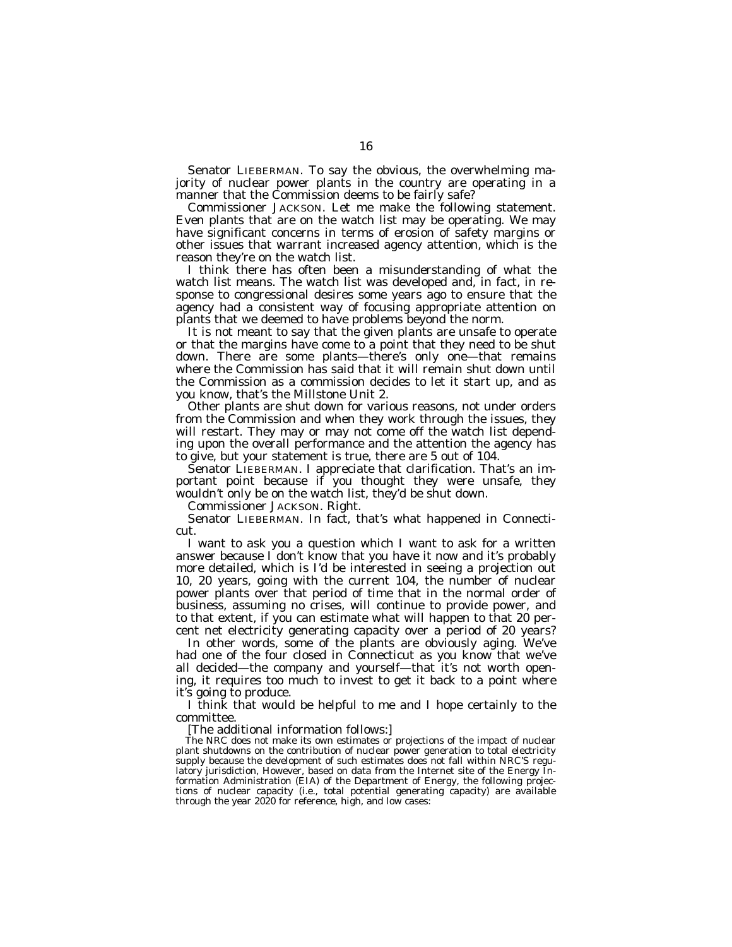Senator LIEBERMAN. To say the obvious, the overwhelming majority of nuclear power plants in the country are operating in a manner that the Commission deems to be fairly safe?

Commissioner JACKSON. Let me make the following statement. Even plants that are on the watch list may be operating. We may have significant concerns in terms of erosion of safety margins or other issues that warrant increased agency attention, which is the reason they're on the watch list.

I think there has often been a misunderstanding of what the watch list means. The watch list was developed and, in fact, in response to congressional desires some years ago to ensure that the agency had a consistent way of focusing appropriate attention on plants that we deemed to have problems beyond the norm.

It is not meant to say that the given plants are unsafe to operate or that the margins have come to a point that they need to be shut down. There are some plants—there's only one—that remains where the Commission has said that it will remain shut down until the Commission as a commission decides to let it start up, and as you know, that's the Millstone Unit 2.

Other plants are shut down for various reasons, not under orders from the Commission and when they work through the issues, they will restart. They may or may not come off the watch list depending upon the overall performance and the attention the agency has to give, but your statement is true, there are 5 out of 104.

Senator LIEBERMAN. I appreciate that clarification. That's an important point because if you thought they were unsafe, they wouldn't only be on the watch list, they'd be shut down.

Commissioner JACKSON. Right.

Senator LIEBERMAN. In fact, that's what happened in Connecticut.

I want to ask you a question which I want to ask for a written answer because I don't know that you have it now and it's probably more detailed, which is I'd be interested in seeing a projection out 10, 20 years, going with the current 104, the number of nuclear power plants over that period of time that in the normal order of business, assuming no crises, will continue to provide power, and to that extent, if you can estimate what will happen to that 20 percent net electricity generating capacity over a period of 20 years?

In other words, some of the plants are obviously aging. We've had one of the four closed in Connecticut as you know that we've all decided—the company and yourself—that it's not worth opening, it requires too much to invest to get it back to a point where it's going to produce.

I think that would be helpful to me and I hope certainly to the committee.

[The additional information follows:]

The NRC does not make its own estimates or projections of the impact of nuclear plant shutdowns on the contribution of nuclear power generation to total electricity supply because the development of such estimates does not fall within NRC'S regulatory jurisdiction, However, based on data from the Internet site of the Energy Information Administration (EIA) of the Department of Energy, the following projections of nuclear capacity (i.e., total potential generating capacity) are available through the year 2020 for reference, high, and low cases: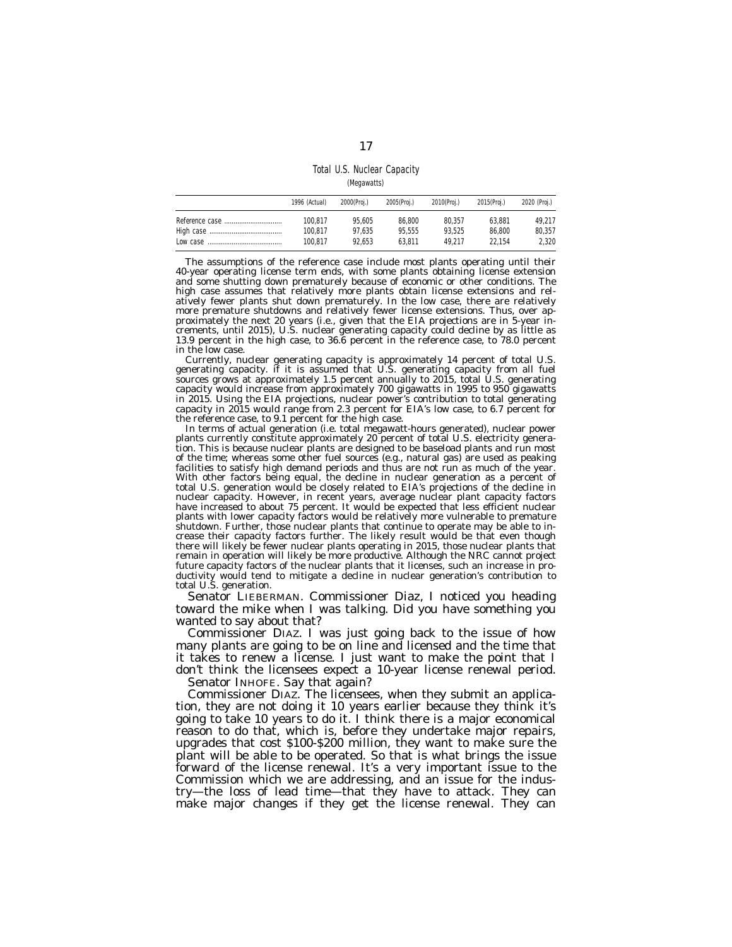Total U.S. Nuclear Capacity

| (Megawatts) |  |
|-------------|--|
|-------------|--|

| 1996 (Actual) | 2000(Proi.) | 2005(Proj.) | 2010(Proi.) | 2015(Proi.) | 2020 (Proj.) |
|---------------|-------------|-------------|-------------|-------------|--------------|
| 100.817       | 95.605      | 86.800      | 80.357      | 63.881      | 49.217       |
| 100.817       | 97.635      | 95.555      | 93.525      | 86.800      | 80.357       |
| 100.817       | 92.653      | 63.811      | 49.217      | 22.154      | 2.320        |

The assumptions of the reference case include most plants operating until their 40-year operating license term ends, with some plants obtaining license extension and some shutting down prematurely because of economic or other conditions. The high case assumes that relatively more plants obtain license extensions and relatively fewer plants shut down prematurely. In the low case, there are relatively more premature shutdowns and relatively fewer license extensions. Thus, over approximately the next 20 years (i.e., given that the EIA projections are in 5-year increments, until 2015), U.S. nuclear generating capacity could decline by as little as 13.9 percent in the high case, to 36.6 percent in the reference case, to 78.0 percent in the low case.

Currently, nuclear generating capacity is approximately 14 percent of total U.S. generating capacity. if it is assumed that U.S. generating capacity from all fuel sources grows at approximately 1.5 percent annually to 2015, total U.S. generating capacity would increase from approximately 700 gigawatts in 1995 to 950 gigawatts in 2015. Using the EIA projections, nuclear power's contribution to total generating capacity in 2015 would range from 2.3 percent for EIA's low case, to 6.7 percent for the reference case, to 9.1 percent for the high case.

In terms of actual generation (i.e. total megawatt-hours generated), nuclear power plants currently constitute approximately 20 percent of total U.S. electricity generation. This is because nuclear plants are designed to be baseload plants and run most of the time; whereas some other fuel sources (e.g., natural gas) are used as peaking facilities to satisfy high demand periods and thus are not run as much of the year. With other factors being equal, the decline in nuclear generation as a percent of total U.S. generation would be closely related to EIA's projections of the decline in nuclear capacity. However, in recent years, average nuclear plant capacity factors have increased to about 75 percent. It would be expected that less efficient nuclear plants with lower capacity factors would be relatively more vulnerable to premature shutdown. Further, those nuclear plants that continue to operate may be able to increase their capacity factors further. The likely result would be that even though there will likely be fewer nuclear plants operating in 2015, those nuclear plants that remain in operation will likely be more productive. Although the NRC cannot project future capacity factors of the nuclear plants that it licenses, such an increase in productivity would tend to mitigate a decline in nuclear generation's contribution to total U.S. generation.

Senator LIEBERMAN. Commissioner Diaz, I noticed you heading toward the mike when I was talking. Did you have something you wanted to say about that?

Commissioner DIAZ. I was just going back to the issue of how many plants are going to be on line and licensed and the time that it takes to renew a license. I just want to make the point that I don't think the licensees expect a 10-year license renewal period.

Senator INHOFE. Say that again?

Commissioner DIAZ. The licensees, when they submit an application, they are not doing it 10 years earlier because they think it's going to take 10 years to do it. I think there is a major economical reason to do that, which is, before they undertake major repairs, upgrades that cost \$100-\$200 million, they want to make sure the plant will be able to be operated. So that is what brings the issue forward of the license renewal. It's a very important issue to the Commission which we are addressing, and an issue for the industry—the loss of lead time—that they have to attack. They can make major changes if they get the license renewal. They can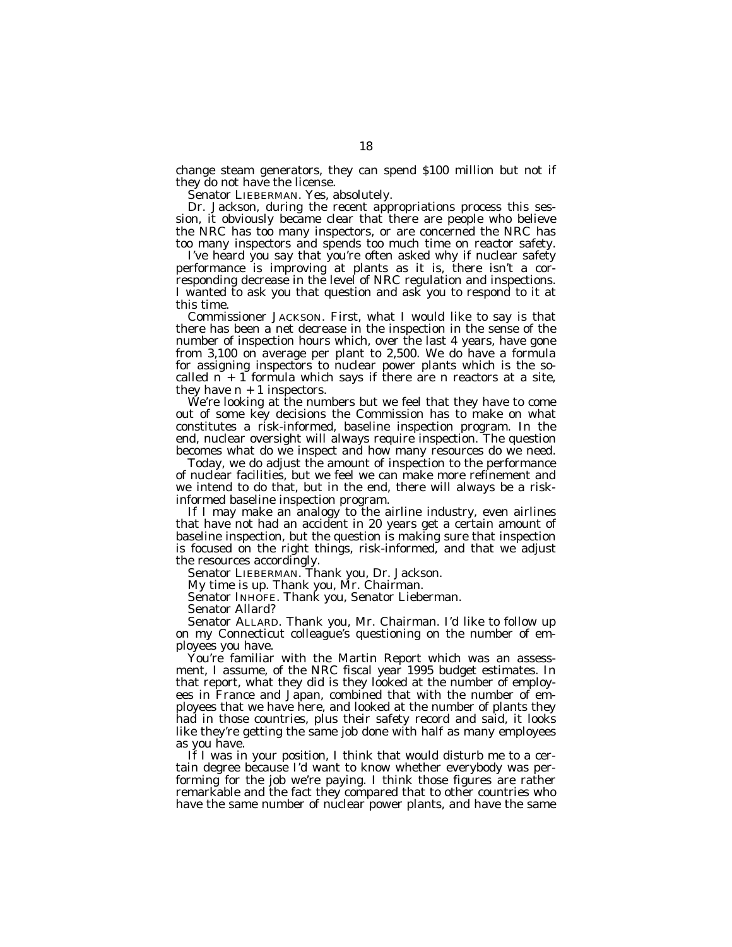change steam generators, they can spend \$100 million but not if they do not have the license.

Senator LIEBERMAN. Yes, absolutely.

Dr. Jackson, during the recent appropriations process this session, it obviously became clear that there are people who believe the NRC has too many inspectors, or are concerned the NRC has too many inspectors and spends too much time on reactor safety.

I've heard you say that you're often asked why if nuclear safety performance is improving at plants as it is, there isn't a corresponding decrease in the level of NRC regulation and inspections. I wanted to ask you that question and ask you to respond to it at this time.

Commissioner JACKSON. First, what I would like to say is that there has been a net decrease in the inspection in the sense of the number of inspection hours which, over the last 4 years, have gone from 3,100 on average per plant to 2,500. We do have a formula for assigning inspectors to nuclear power plants which is the socalled  $n + 1$  formula which says if there are n reactors at a site, they have  $n + 1$  inspectors.

We're looking at the numbers but we feel that they have to come out of some key decisions the Commission has to make on what constitutes a risk-informed, baseline inspection program. In the end, nuclear oversight will always require inspection. The question becomes what do we inspect and how many resources do we need.

Today, we do adjust the amount of inspection to the performance of nuclear facilities, but we feel we can make more refinement and we intend to do that, but in the end, there will always be a riskinformed baseline inspection program.

If I may make an analogy to the airline industry, even airlines that have not had an accident in 20 years get a certain amount of baseline inspection, but the question is making sure that inspection is focused on the right things, risk-informed, and that we adjust the resources accordingly.

Senator LIEBERMAN. Thank you, Dr. Jackson.

My time is up. Thank you, Mr. Chairman.

Senator INHOFE. Thank you, Senator Lieberman.

Senator Allard?

Senator ALLARD. Thank you, Mr. Chairman. I'd like to follow up on my Connecticut colleague's questioning on the number of employees you have.

You're familiar with the Martin Report which was an assessment, I assume, of the NRC fiscal year 1995 budget estimates. In that report, what they did is they looked at the number of employees in France and Japan, combined that with the number of employees that we have here, and looked at the number of plants they had in those countries, plus their safety record and said, it looks like they're getting the same job done with half as many employees as you have.

If I was in your position, I think that would disturb me to a certain degree because I'd want to know whether everybody was performing for the job we're paying. I think those figures are rather remarkable and the fact they compared that to other countries who have the same number of nuclear power plants, and have the same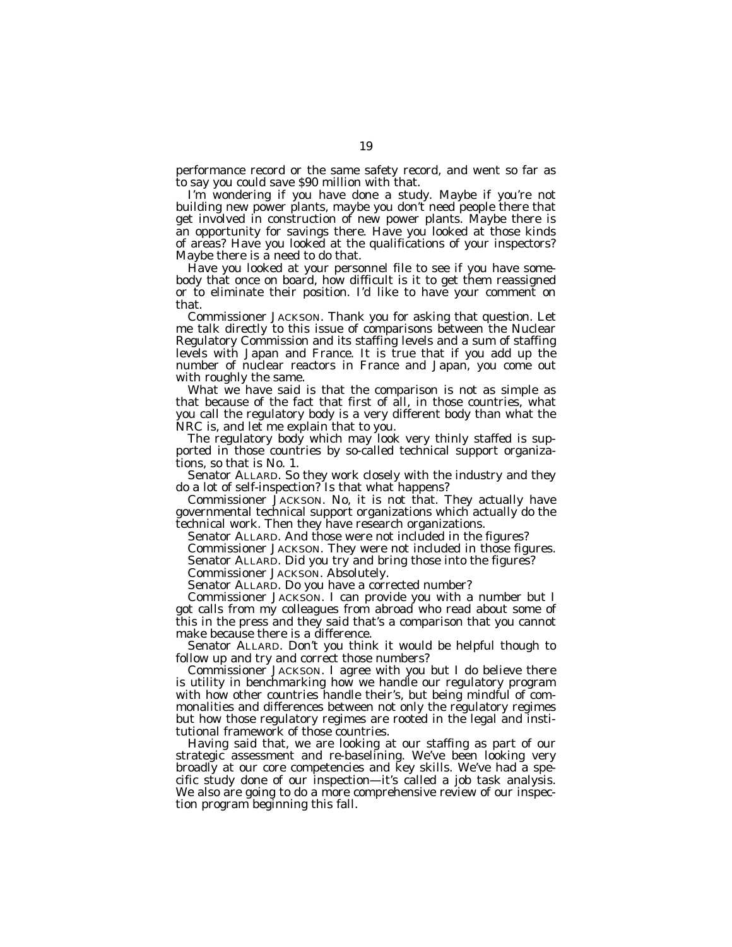performance record or the same safety record, and went so far as to say you could save \$90 million with that.

I'm wondering if you have done a study. Maybe if you're not building new power plants, maybe you don't need people there that get involved in construction of new power plants. Maybe there is an opportunity for savings there. Have you looked at those kinds of areas? Have you looked at the qualifications of your inspectors? Maybe there is a need to do that.

Have you looked at your personnel file to see if you have somebody that once on board, how difficult is it to get them reassigned or to eliminate their position. I'd like to have your comment on that.

Commissioner JACKSON. Thank you for asking that question. Let me talk directly to this issue of comparisons between the Nuclear Regulatory Commission and its staffing levels and a sum of staffing levels with Japan and France. It is true that if you add up the number of nuclear reactors in France and Japan, you come out with roughly the same.

What we have said is that the comparison is not as simple as that because of the fact that first of all, in those countries, what you call the regulatory body is a very different body than what the NRC is, and let me explain that to you.

The regulatory body which may look very thinly staffed is supported in those countries by so-called technical support organizations, so that is No. 1.

Senator ALLARD. So they work closely with the industry and they do a lot of self-inspection? Is that what happens?

Commissioner JACKSON. No, it is not that. They actually have governmental technical support organizations which actually do the technical work. Then they have research organizations.

Senator ALLARD. And those were not included in the figures?

Commissioner JACKSON. They were not included in those figures.

Senator ALLARD. Did you try and bring those into the figures?

Commissioner JACKSON. Absolutely.

Senator ALLARD. Do you have a corrected number?

Commissioner JACKSON. I can provide you with a number but I got calls from my colleagues from abroad who read about some of this in the press and they said that's a comparison that you cannot make because there is a difference.

Senator ALLARD. Don't you think it would be helpful though to follow up and try and correct those numbers?

Commissioner JACKSON. I agree with you but I do believe there is utility in benchmarking how we handle our regulatory program with how other countries handle their's, but being mindful of commonalities and differences between not only the regulatory regimes but how those regulatory regimes are rooted in the legal and institutional framework of those countries.

Having said that, we are looking at our staffing as part of our strategic assessment and re-baselining. We've been looking very broadly at our core competencies and key skills. We've had a specific study done of our inspection—it's called a job task analysis. We also are going to do a more comprehensive review of our inspection program beginning this fall.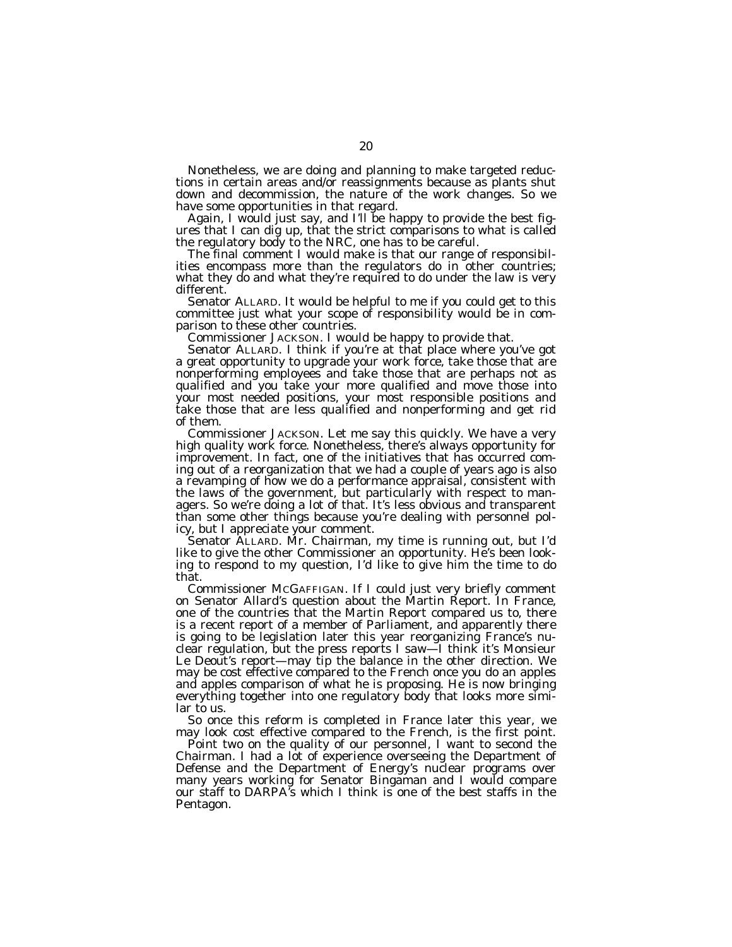Nonetheless, we are doing and planning to make targeted reductions in certain areas and/or reassignments because as plants shut down and decommission, the nature of the work changes. So we have some opportunities in that regard.

Again, I would just say, and I'll be happy to provide the best figures that I can dig up, that the strict comparisons to what is called the regulatory body to the NRC, one has to be careful.

The final comment I would make is that our range of responsibilities encompass more than the regulators do in other countries; what they do and what they're required to do under the law is very different.

Senator ALLARD. It would be helpful to me if you could get to this committee just what your scope of responsibility would be in comparison to these other countries.

Commissioner JACKSON. I would be happy to provide that.

Senator ALLARD. I think if you're at that place where you've got a great opportunity to upgrade your work force, take those that are nonperforming employees and take those that are perhaps not as qualified and you take your more qualified and move those into your most needed positions, your most responsible positions and take those that are less qualified and nonperforming and get rid of them.

Commissioner JACKSON. Let me say this quickly. We have a very high quality work force. Nonetheless, there's always opportunity for improvement. In fact, one of the initiatives that has occurred coming out of a reorganization that we had a couple of years ago is also a revamping of how we do a performance appraisal, consistent with the laws of the government, but particularly with respect to managers. So we're doing a lot of that. It's less obvious and transparent than some other things because you're dealing with personnel policy, but I appreciate your comment.

Senator ALLARD. Mr. Chairman, my time is running out, but I'd like to give the other Commissioner an opportunity. He's been looking to respond to my question, I'd like to give him the time to do that.

Commissioner MCGAFFIGAN. If I could just very briefly comment on Senator Allard's question about the Martin Report. In France, one of the countries that the Martin Report compared us to, there is a recent report of a member of Parliament, and apparently there is going to be legislation later this year reorganizing France's nuclear regulation, but the press reports I saw—I think it's Monsieur Le Deout's report—may tip the balance in the other direction. We may be cost effective compared to the French once you do an apples and apples comparison of what he is proposing. He is now bringing everything together into one regulatory body that looks more similar to us.

So once this reform is completed in France later this year, we may look cost effective compared to the French, is the first point.

Point two on the quality of our personnel, I want to second the Chairman. I had a lot of experience overseeing the Department of Defense and the Department of Energy's nuclear programs over many years working for Senator Bingaman and I would compare our staff to DARPA's which I think is one of the best staffs in the Pentagon.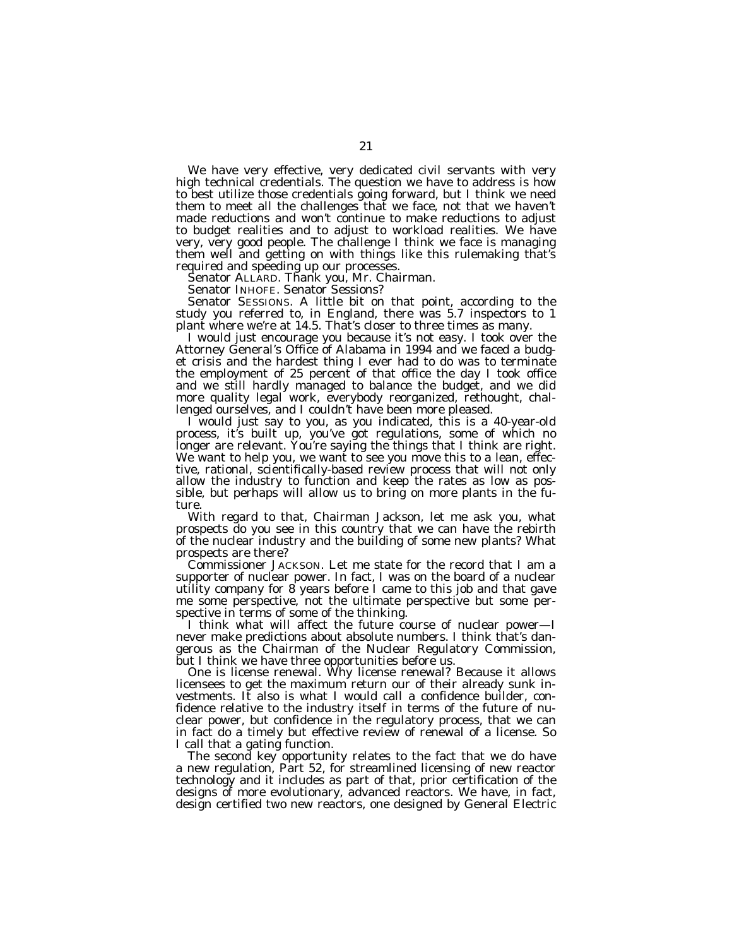We have very effective, very dedicated civil servants with very high technical credentials. The question we have to address is how to best utilize those credentials going forward, but I think we need them to meet all the challenges that we face, not that we haven't made reductions and won't continue to make reductions to adjust to budget realities and to adjust to workload realities. We have very, very good people. The challenge I think we face is managing them well and getting on with things like this rulemaking that's required and speeding up our processes.

Senator ALLARD. Thank you, Mr. Chairman.

Senator INHOFE. Senator Sessions?

Senator SESSIONS. A little bit on that point, according to the study you referred to, in England, there was 5.7 inspectors to 1 plant where we're at 14.5. That's closer to three times as many.

I would just encourage you because it's not easy. I took over the Attorney General's Office of Alabama in 1994 and we faced a budget crisis and the hardest thing I ever had to do was to terminate the employment of 25 percent of that office the day I took office and we still hardly managed to balance the budget, and we did more quality legal work, everybody reorganized, rethought, challenged ourselves, and I couldn't have been more pleased.

I would just say to you, as you indicated, this is a 40-year-old process, it's built up, you've got regulations, some of which no longer are relevant. You're saying the things that I think are right. We want to help you, we want to see you move this to a lean, effective, rational, scientifically-based review process that will not only allow the industry to function and keep the rates as low as possible, but perhaps will allow us to bring on more plants in the future.

With regard to that, Chairman Jackson, let me ask you, what prospects do you see in this country that we can have the rebirth of the nuclear industry and the building of some new plants? What prospects are there?

Commissioner JACKSON. Let me state for the record that I am a supporter of nuclear power. In fact, I was on the board of a nuclear utility company for 8 years before I came to this job and that gave me some perspective, not the ultimate perspective but some perspective in terms of some of the thinking.

I think what will affect the future course of nuclear power—I never make predictions about absolute numbers. I think that's dangerous as the Chairman of the Nuclear Regulatory Commission, but I think we have three opportunities before us.

One is license renewal. Why license renewal? Because it allows licensees to get the maximum return our of their already sunk investments. It also is what I would call a confidence builder, confidence relative to the industry itself in terms of the future of nuclear power, but confidence in the regulatory process, that we can in fact do a timely but effective review of renewal of a license. So I call that a gating function.

The second key opportunity relates to the fact that we do have a new regulation, Part 52, for streamlined licensing of new reactor technology and it includes as part of that, prior certification of the designs of more evolutionary, advanced reactors. We have, in fact, design certified two new reactors, one designed by General Electric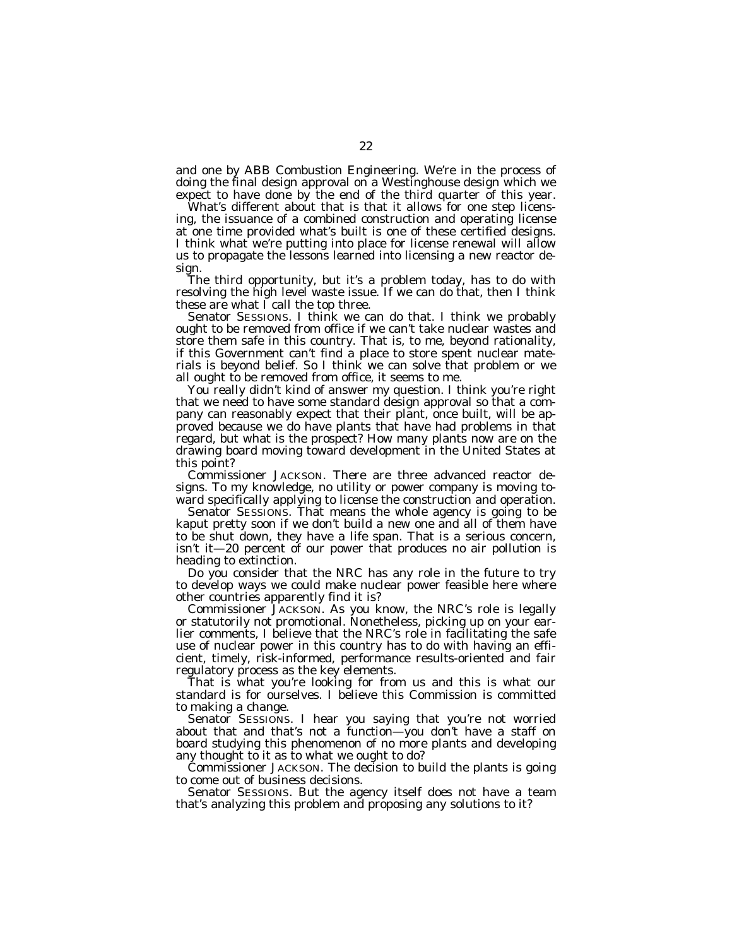and one by ABB Combustion Engineering. We're in the process of doing the final design approval on a Westinghouse design which we expect to have done by the end of the third quarter of this year.

What's different about that is that it allows for one step licensing, the issuance of a combined construction and operating license at one time provided what's built is one of these certified designs. I think what we're putting into place for license renewal will allow us to propagate the lessons learned into licensing a new reactor design.

The third opportunity, but it's a problem today, has to do with resolving the high level waste issue. If we can do that, then I think these are what I call the top three.

Senator SESSIONS. I think we can do that. I think we probably ought to be removed from office if we can't take nuclear wastes and store them safe in this country. That is, to me, beyond rationality, if this Government can't find a place to store spent nuclear materials is beyond belief. So I think we can solve that problem or we all ought to be removed from office, it seems to me.

You really didn't kind of answer my question. I think you're right that we need to have some standard design approval so that a company can reasonably expect that their plant, once built, will be approved because we do have plants that have had problems in that regard, but what is the prospect? How many plants now are on the drawing board moving toward development in the United States at this point?

Commissioner JACKSON. There are three advanced reactor designs. To my knowledge, no utility or power company is moving toward specifically applying to license the construction and operation.

Senator SESSIONS. That means the whole agency is going to be kaput pretty soon if we don't build a new one and all of them have to be shut down, they have a life span. That is a serious concern, isn't it—20 percent of our power that produces no air pollution is heading to extinction.

Do you consider that the NRC has any role in the future to try to develop ways we could make nuclear power feasible here where other countries apparently find it is?

Commissioner JACKSON. As you know, the NRC's role is legally or statutorily not promotional. Nonetheless, picking up on your earlier comments, I believe that the NRC's role in facilitating the safe use of nuclear power in this country has to do with having an efficient, timely, risk-informed, performance results-oriented and fair regulatory process as the key elements.

That is what you're looking for from us and this is what our standard is for ourselves. I believe this Commission is committed to making a change.

Senator SESSIONS. I hear you saying that you're not worried about that and that's not a function—you don't have a staff on board studying this phenomenon of no more plants and developing any thought to it as to what we ought to do?

Commissioner JACKSON. The decision to build the plants is going to come out of business decisions.

Senator SESSIONS. But the agency itself does not have a team that's analyzing this problem and proposing any solutions to it?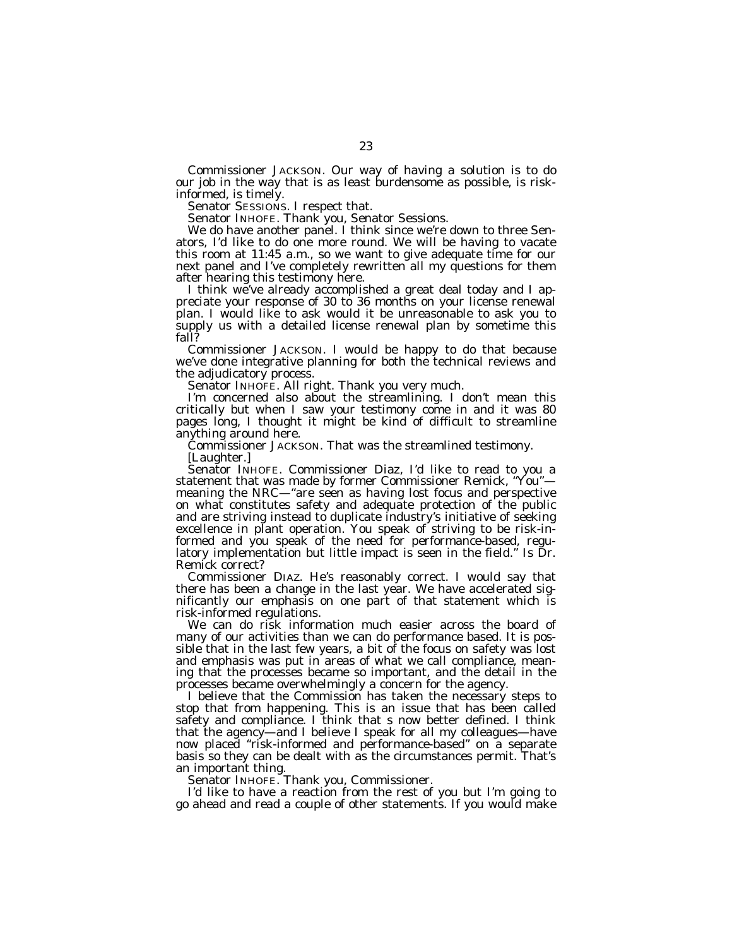Commissioner JACKSON. Our way of having a solution is to do our job in the way that is as least burdensome as possible, is riskinformed, is timely.

Senator SESSIONS. I respect that.

Senator INHOFE. Thank you, Senator Sessions.

We do have another panel. I think since we're down to three Senators, I'd like to do one more round. We will be having to vacate this room at 11:45 a.m., so we want to give adequate time for our next panel and I've completely rewritten all my questions for them after hearing this testimony here.

I think we've already accomplished a great deal today and I appreciate your response of 30 to 36 months on your license renewal plan. I would like to ask would it be unreasonable to ask you to supply us with a detailed license renewal plan by sometime this fall?

Commissioner JACKSON. I would be happy to do that because we've done integrative planning for both the technical reviews and the adjudicatory process.

Senator INHOFE. All right. Thank you very much.

I'm concerned also about the streamlining. I don't mean this critically but when I saw your testimony come in and it was 80 pages long, I thought it might be kind of difficult to streamline anything around here.

Commissioner JACKSON. That was the streamlined testimony.

[Laughter.]

Senator INHOFE. Commissioner Diaz, I'd like to read to you a statement that was made by former Commissioner Remick, "You"meaning the NRC—''are seen as having lost focus and perspective on what constitutes safety and adequate protection of the public and are striving instead to duplicate industry's initiative of seeking excellence in plant operation. You speak of striving to be risk-informed and you speak of the need for performance-based, regulatory implementation but little impact is seen in the field.'' Is Dr. Remick correct?

Commissioner DIAZ. He's reasonably correct. I would say that there has been a change in the last year. We have accelerated significantly our emphasis on one part of that statement which is risk-informed regulations.

We can do risk information much easier across the board of many of our activities than we can do performance based. It is possible that in the last few years, a bit of the focus on safety was lost and emphasis was put in areas of what we call compliance, meaning that the processes became so important, and the detail in the processes became overwhelmingly a concern for the agency.

I believe that the Commission has taken the necessary steps to stop that from happening. This is an issue that has been called safety and compliance. I think that s now better defined. I think that the agency—and I believe I speak for all my colleagues—have now placed ''risk-informed and performance-based'' on a separate basis so they can be dealt with as the circumstances permit. That's an important thing.

Senator INHOFE. Thank you, Commissioner.

I'd like to have a reaction from the rest of you but I'm going to go ahead and read a couple of other statements. If you would make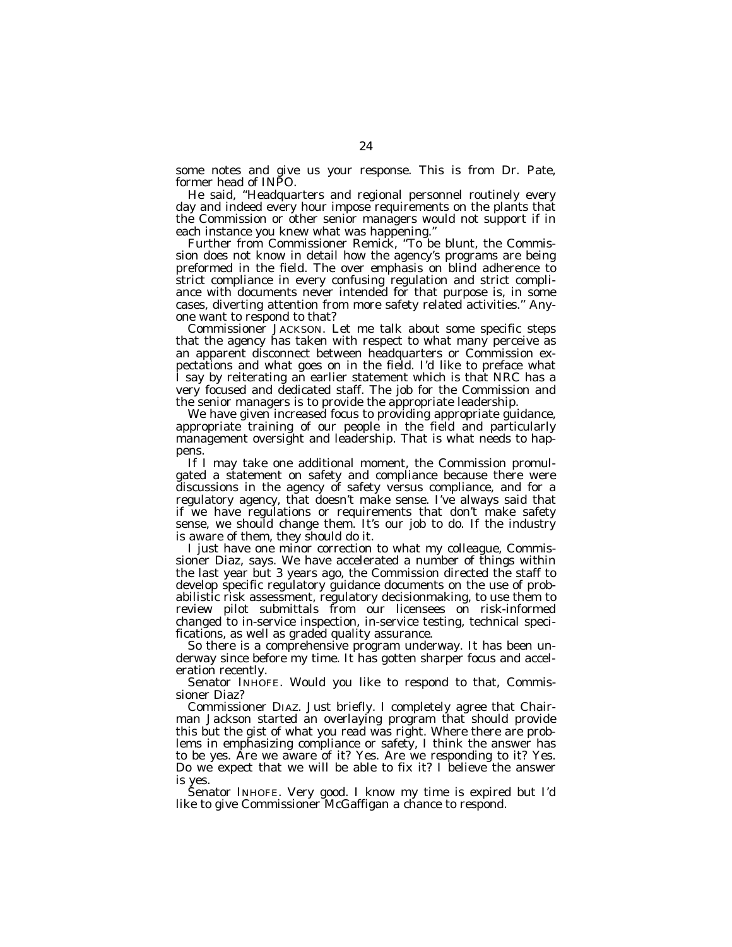some notes and give us your response. This is from Dr. Pate, former head of INPO.

He said, ''Headquarters and regional personnel routinely every day and indeed every hour impose requirements on the plants that the Commission or other senior managers would not support if in each instance you knew what was happening.''

Further from Commissioner Remick, "To be blunt, the Commission does not know in detail how the agency's programs are being preformed in the field. The over emphasis on blind adherence to strict compliance in every confusing regulation and strict compliance with documents never intended for that purpose is, in some cases, diverting attention from more safety related activities.'' Anyone want to respond to that?

Commissioner JACKSON. Let me talk about some specific steps that the agency has taken with respect to what many perceive as an apparent disconnect between headquarters or Commission expectations and what goes on in the field. I'd like to preface what I say by reiterating an earlier statement which is that NRC has a very focused and dedicated staff. The job for the Commission and the senior managers is to provide the appropriate leadership.

We have given increased focus to providing appropriate guidance, appropriate training of our people in the field and particularly management oversight and leadership. That is what needs to happens.

If I may take one additional moment, the Commission promulgated a statement on safety and compliance because there were discussions in the agency of safety versus compliance, and for a regulatory agency, that doesn't make sense. I've always said that if we have regulations or requirements that don't make safety sense, we should change them. It's our job to do. If the industry is aware of them, they should do it.

I just have one minor correction to what my colleague, Commissioner Diaz, says. We have accelerated a number of things within the last year but 3 years ago, the Commission directed the staff to develop specific regulatory guidance documents on the use of probabilistic risk assessment, regulatory decisionmaking, to use them to review pilot submittals from our licensees on risk-informed changed to in-service inspection, in-service testing, technical specifications, as well as graded quality assurance.

So there is a comprehensive program underway. It has been underway since before my time. It has gotten sharper focus and acceleration recently.

Senator INHOFE. Would you like to respond to that, Commissioner Diaz?

Commissioner DIAZ. Just briefly. I completely agree that Chairman Jackson started an overlaying program that should provide this but the gist of what you read was right. Where there are problems in emphasizing compliance or safety, I think the answer has to be yes. Are we aware of it? Yes. Are we responding to it? Yes. Do we expect that we will be able to fix it? I believe the answer is yes.

Senator INHOFE. Very good. I know my time is expired but I'd like to give Commissioner McGaffigan a chance to respond.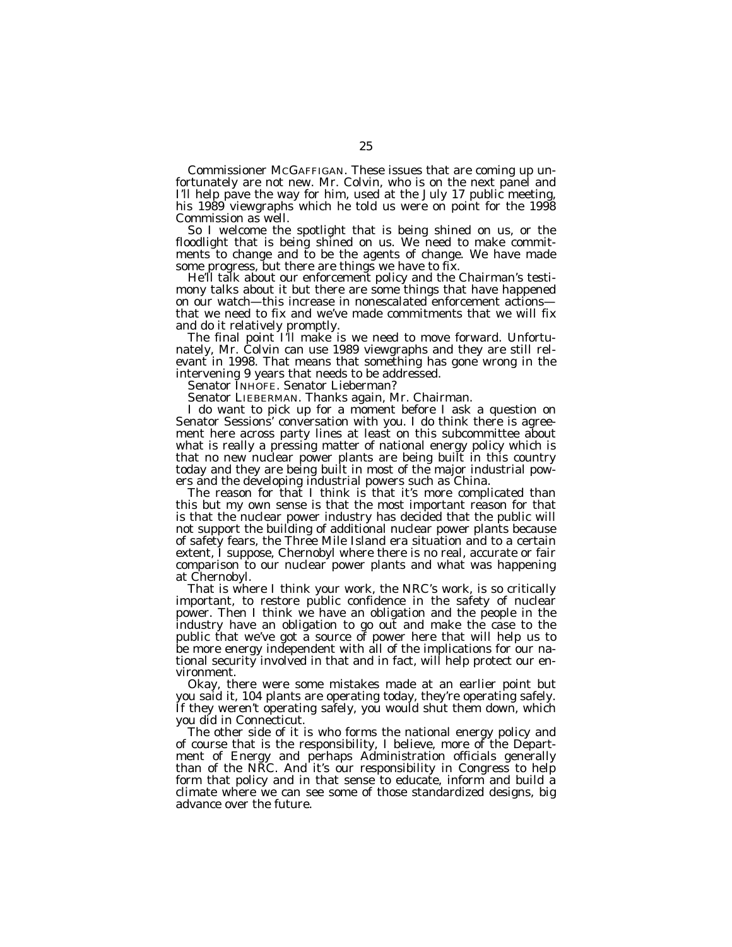Commissioner MCGAFFIGAN. These issues that are coming up unfortunately are not new. Mr. Colvin, who is on the next panel and I'll help pave the way for him, used at the July 17 public meeting, his 1989 viewgraphs which he told us were on point for the 1998 Commission as well.

So I welcome the spotlight that is being shined on us, or the floodlight that is being shined on us. We need to make commitments to change and to be the agents of change. We have made some progress, but there are things we have to fix.

He'll talk about our enforcement policy and the Chairman's testimony talks about it but there are some things that have happened on our watch—this increase in nonescalated enforcement actions that we need to fix and we've made commitments that we will fix and do it relatively promptly.

The final point I'll make is we need to move forward. Unfortunately, Mr. Colvin can use 1989 viewgraphs and they are still relevant in 1998. That means that something has gone wrong in the intervening 9 years that needs to be addressed.

Senator INHOFE. Senator Lieberman?

Senator LIEBERMAN. Thanks again, Mr. Chairman.

I do want to pick up for a moment before I ask a question on Senator Sessions' conversation with you. I do think there is agreement here across party lines at least on this subcommittee about what is really a pressing matter of national energy policy which is that no new nuclear power plants are being built in this country today and they are being built in most of the major industrial powers and the developing industrial powers such as China.

The reason for that I think is that it's more complicated than this but my own sense is that the most important reason for that is that the nuclear power industry has decided that the public will not support the building of additional nuclear power plants because of safety fears, the Three Mile Island era situation and to a certain extent, I suppose, Chernobyl where there is no real, accurate or fair comparison to our nuclear power plants and what was happening at Chernobyl.

That is where I think your work, the NRC's work, is so critically important, to restore public confidence in the safety of nuclear power. Then I think we have an obligation and the people in the industry have an obligation to go out and make the case to the public that we've got a source of power here that will help us to be more energy independent with all of the implications for our national security involved in that and in fact, will help protect our environment.

Okay, there were some mistakes made at an earlier point but you said it, 104 plants are operating today, they're operating safely. If they weren't operating safely, you would shut them down, which you did in Connecticut.

The other side of it is who forms the national energy policy and of course that is the responsibility, I believe, more of the Department of Energy and perhaps Administration officials generally than of the NRC. And it's our responsibility in Congress to help form that policy and in that sense to educate, inform and build a climate where we can see some of those standardized designs, big advance over the future.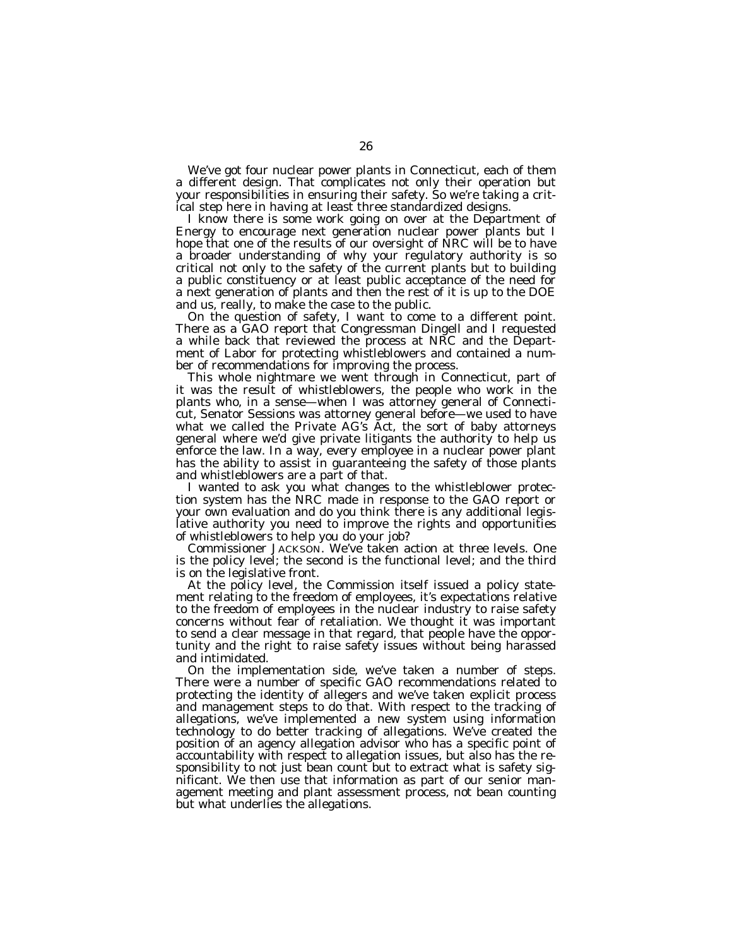We've got four nuclear power plants in Connecticut, each of them a different design. That complicates not only their operation but your responsibilities in ensuring their safety. So we're taking a critical step here in having at least three standardized designs.

I know there is some work going on over at the Department of Energy to encourage next generation nuclear power plants but I hope that one of the results of our oversight of NRC will be to have a broader understanding of why your regulatory authority is so critical not only to the safety of the current plants but to building a public constituency or at least public acceptance of the need for a next generation of plants and then the rest of it is up to the DOE and us, really, to make the case to the public.

On the question of safety, I want to come to a different point. There as a GAO report that Congressman Dingell and I requested a while back that reviewed the process at NRC and the Department of Labor for protecting whistleblowers and contained a number of recommendations for improving the process.

This whole nightmare we went through in Connecticut, part of it was the result of whistleblowers, the people who work in the plants who, in a sense—when I was attorney general of Connecticut, Senator Sessions was attorney general before—we used to have what we called the Private AG's Act, the sort of baby attorneys general where we'd give private litigants the authority to help us enforce the law. In a way, every employee in a nuclear power plant has the ability to assist in guaranteeing the safety of those plants and whistleblowers are a part of that.

I wanted to ask you what changes to the whistleblower protection system has the NRC made in response to the GAO report or your own evaluation and do you think there is any additional legislative authority you need to improve the rights and opportunities of whistleblowers to help you do your job?

Commissioner JACKSON. We've taken action at three levels. One is the policy level; the second is the functional level; and the third is on the legislative front.

At the policy level, the Commission itself issued a policy statement relating to the freedom of employees, it's expectations relative to the freedom of employees in the nuclear industry to raise safety concerns without fear of retaliation. We thought it was important to send a clear message in that regard, that people have the opportunity and the right to raise safety issues without being harassed and intimidated.

On the implementation side, we've taken a number of steps. There were a number of specific GAO recommendations related to protecting the identity of allegers and we've taken explicit process and management steps to do that. With respect to the tracking of allegations, we've implemented a new system using information technology to do better tracking of allegations. We've created the position of an agency allegation advisor who has a specific point of accountability with respect to allegation issues, but also has the responsibility to not just bean count but to extract what is safety significant. We then use that information as part of our senior management meeting and plant assessment process, not bean counting but what underlies the allegations.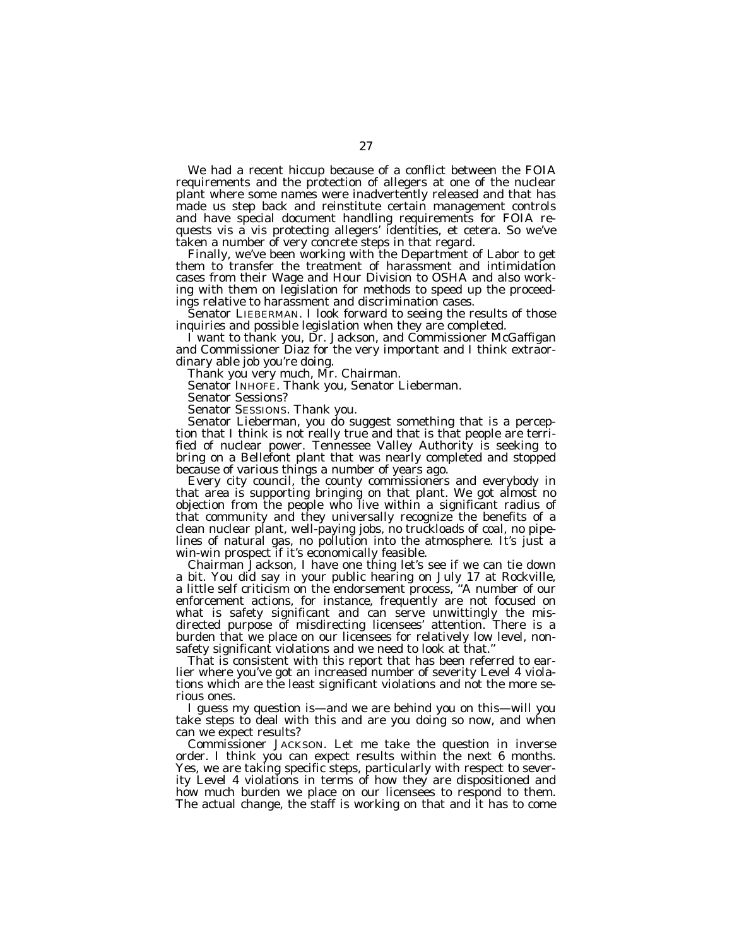We had a recent hiccup because of a conflict between the FOIA requirements and the protection of allegers at one of the nuclear plant where some names were inadvertently released and that has made us step back and reinstitute certain management controls and have special document handling requirements for FOIA requests vis a vis protecting allegers' identities, et cetera. So we've taken a number of very concrete steps in that regard.

Finally, we've been working with the Department of Labor to get them to transfer the treatment of harassment and intimidation cases from their Wage and Hour Division to OSHA and also working with them on legislation for methods to speed up the proceedings relative to harassment and discrimination cases.

Senator LIEBERMAN. I look forward to seeing the results of those inquiries and possible legislation when they are completed.

I want to thank you, Dr. Jackson, and Commissioner McGaffigan and Commissioner Diaz for the very important and I think extraordinary able job you're doing.

Thank you very much, Mr. Chairman.

Senator INHOFE. Thank you, Senator Lieberman.

Senator Sessions?

Senator SESSIONS. Thank you.

Senator Lieberman, you do suggest something that is a perception that I think is not really true and that is that people are terrified of nuclear power. Tennessee Valley Authority is seeking to bring on a Bellefont plant that was nearly completed and stopped because of various things a number of years ago.

Every city council, the county commissioners and everybody in that area is supporting bringing on that plant. We got almost no objection from the people who live within a significant radius of that community and they universally recognize the benefits of a clean nuclear plant, well-paying jobs, no truckloads of coal, no pipelines of natural gas, no pollution into the atmosphere. It's just a win-win prospect if it's economically feasible.

Chairman Jackson, I have one thing let's see if we can tie down a bit. You did say in your public hearing on July 17 at Rockville, a little self criticism on the endorsement process, ''A number of our enforcement actions, for instance, frequently are not focused on what is safety significant and can serve unwittingly the misdirected purpose of misdirecting licensees' attention. There is a burden that we place on our licensees for relatively low level, nonsafety significant violations and we need to look at that.''

That is consistent with this report that has been referred to earlier where you've got an increased number of severity Level 4 violations which are the least significant violations and not the more serious ones.

I guess my question is—and we are behind you on this—will you take steps to deal with this and are you doing so now, and when can we expect results?

Commissioner JACKSON. Let me take the question in inverse order. I think you can expect results within the next 6 months. Yes, we are taking specific steps, particularly with respect to severity Level 4 violations in terms of how they are dispositioned and how much burden we place on our licensees to respond to them. The actual change, the staff is working on that and it has to come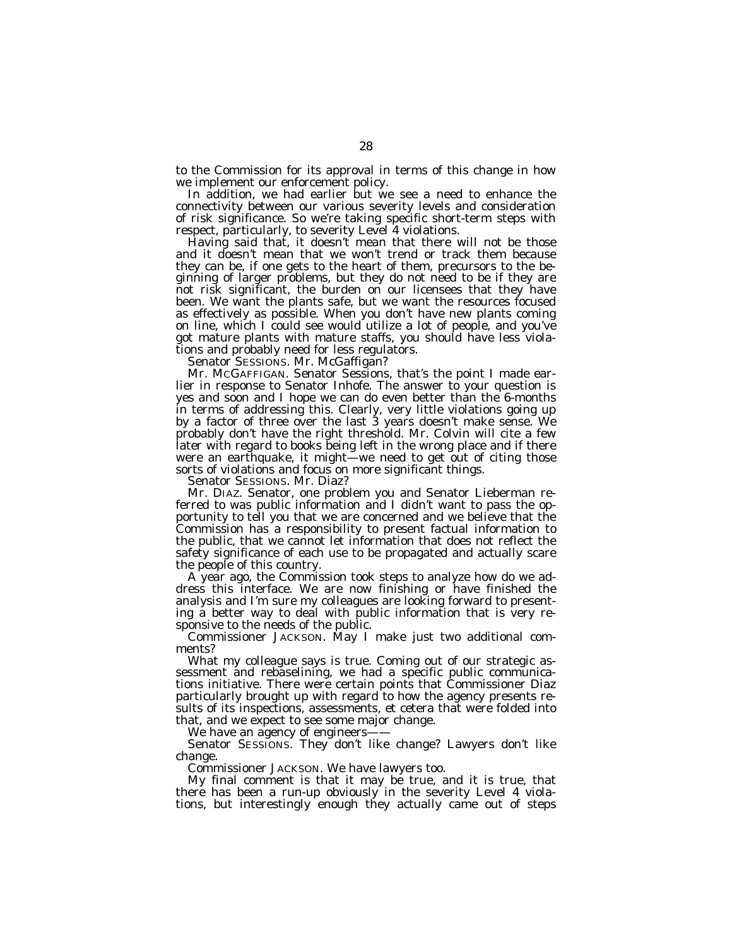to the Commission for its approval in terms of this change in how we implement our enforcement policy.

In addition, we had earlier but we see a need to enhance the connectivity between our various severity levels and consideration of risk significance. So we're taking specific short-term steps with respect, particularly, to severity Level 4 violations.

Having said that, it doesn't mean that there will not be those and it doesn't mean that we won't trend or track them because they can be, if one gets to the heart of them, precursors to the beginning of larger problems, but they do not need to be if they are not risk significant, the burden on our licensees that they have been. We want the plants safe, but we want the resources focused as effectively as possible. When you don't have new plants coming on line, which I could see would utilize a lot of people, and you've got mature plants with mature staffs, you should have less violations and probably need for less regulators.

Senator SESSIONS. Mr. McGaffigan?

Mr. MCGAFFIGAN. Senator Sessions, that's the point I made earlier in response to Senator Inhofe. The answer to your question is yes and soon and I hope we can do even better than the 6-months in terms of addressing this. Clearly, very little violations going up by a factor of three over the last 3 years doesn't make sense. We probably don't have the right threshold. Mr. Colvin will cite a few later with regard to books being left in the wrong place and if there were an earthquake, it might—we need to get out of citing those sorts of violations and focus on more significant things.

Senator SESSIONS. Mr. Diaz?

Mr. DIAZ. Senator, one problem you and Senator Lieberman referred to was public information and I didn't want to pass the opportunity to tell you that we are concerned and we believe that the Commission has a responsibility to present factual information to the public, that we cannot let information that does not reflect the safety significance of each use to be propagated and actually scare the people of this country.

A year ago, the Commission took steps to analyze how do we address this interface. We are now finishing or have finished the analysis and I'm sure my colleagues are looking forward to presenting a better way to deal with public information that is very responsive to the needs of the public.

Commissioner JACKSON. May I make just two additional comments?

What my colleague says is true. Coming out of our strategic assessment and rebaselining, we had a specific public communications initiative. There were certain points that Commissioner Diaz particularly brought up with regard to how the agency presents results of its inspections, assessments, et cetera that were folded into that, and we expect to see some major change.

We have an agency of engineers-

Senator SESSIONS. They don't like change? Lawyers don't like change.

Commissioner JACKSON. We have lawyers too.

My final comment is that it may be true, and it is true, that there has been a run-up obviously in the severity Level 4 violations, but interestingly enough they actually came out of steps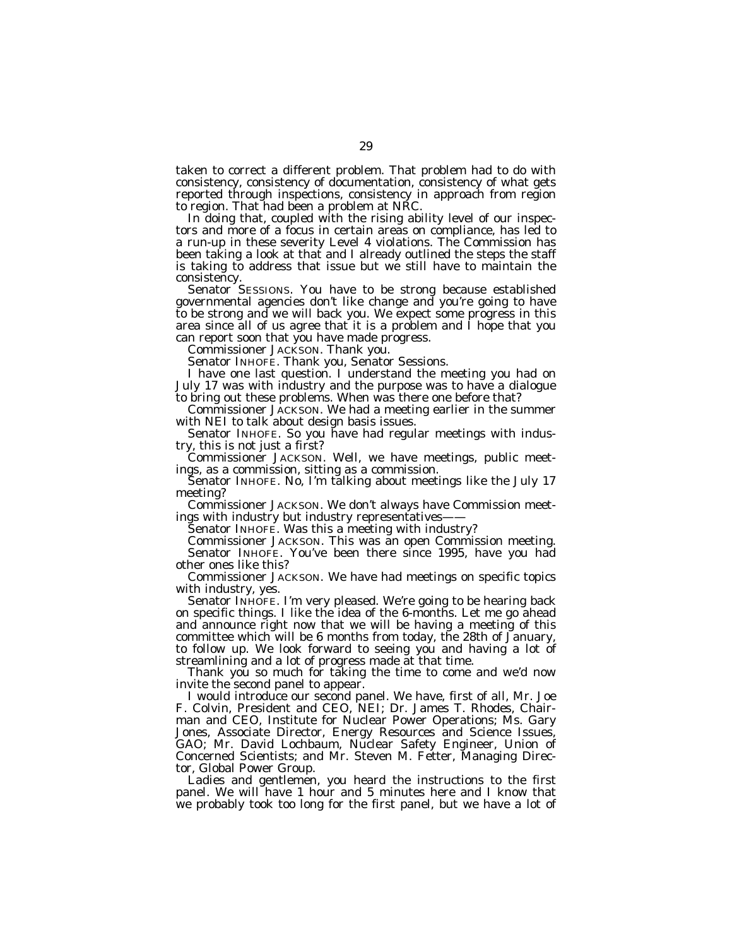taken to correct a different problem. That problem had to do with consistency, consistency of documentation, consistency of what gets reported through inspections, consistency in approach from region to region. That had been a problem at NRC.

In doing that, coupled with the rising ability level of our inspectors and more of a focus in certain areas on compliance, has led to a run-up in these severity Level 4 violations. The Commission has been taking a look at that and I already outlined the steps the staff is taking to address that issue but we still have to maintain the consistency.

Senator SESSIONS. You have to be strong because established governmental agencies don't like change and you're going to have to be strong and we will back you. We expect some progress in this area since all of us agree that it is a problem and I hope that you can report soon that you have made progress.

Commissioner JACKSON. Thank you.

Senator INHOFE. Thank you, Senator Sessions.

I have one last question. I understand the meeting you had on July 17 was with industry and the purpose was to have a dialogue to bring out these problems. When was there one before that?

Commissioner JACKSON. We had a meeting earlier in the summer with NEI to talk about design basis issues.

Senator INHOFE. So you have had regular meetings with industry, this is not just a first?

Commissioner JACKSON. Well, we have meetings, public meetings, as a commission, sitting as a commission.

Senator INHOFE. No, I'm talking about meetings like the July 17 meeting?

Commissioner JACKSON. We don't always have Commission meetings with industry but industry representatives-

Senator INHOFE. Was this a meeting with industry?

Commissioner JACKSON. This was an open Commission meeting. Senator INHOFE. You've been there since 1995, have you had other ones like this?

Commissioner JACKSON. We have had meetings on specific topics with industry, yes.

Senator INHOFE. I'm very pleased. We're going to be hearing back on specific things. I like the idea of the 6-months. Let me go ahead and announce right now that we will be having a meeting of this committee which will be 6 months from today, the 28th of January, to follow up. We look forward to seeing you and having a lot of streamlining and a lot of progress made at that time.

Thank you so much for taking the time to come and we'd now invite the second panel to appear.

I would introduce our second panel. We have, first of all, Mr. Joe F. Colvin, President and CEO, NEI; Dr. James T. Rhodes, Chairman and CEO, Institute for Nuclear Power Operations; Ms. Gary Jones, Associate Director, Energy Resources and Science Issues, GAO; Mr. David Lochbaum, Nuclear Safety Engineer, Union of Concerned Scientists; and Mr. Steven M. Fetter, Managing Director, Global Power Group.

Ladies and gentlemen, you heard the instructions to the first panel. We will have 1 hour and 5 minutes here and I know that we probably took too long for the first panel, but we have a lot of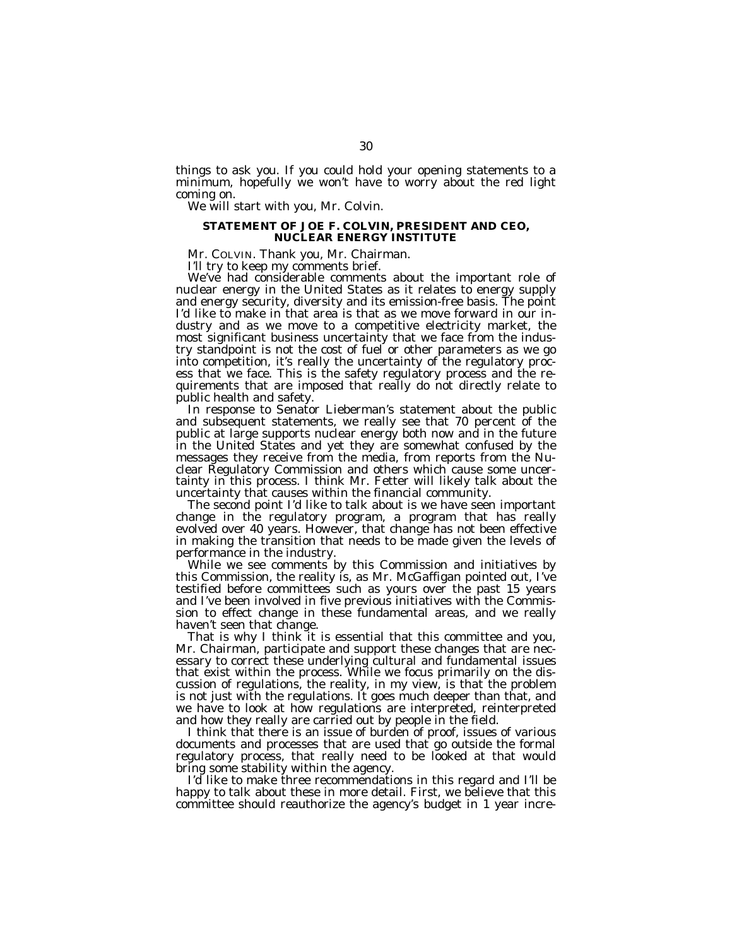things to ask you. If you could hold your opening statements to a minimum, hopefully we won't have to worry about the red light coming on.

We will start with you, Mr. Colvin.

#### **STATEMENT OF JOE F. COLVIN, PRESIDENT AND CEO, NUCLEAR ENERGY INSTITUTE**

Mr. COLVIN. Thank you, Mr. Chairman.

I'll try to keep my comments brief.

We've had considerable comments about the important role of nuclear energy in the United States as it relates to energy supply and energy security, diversity and its emission-free basis. The point I'd like to make in that area is that as we move forward in our industry and as we move to a competitive electricity market, the most significant business uncertainty that we face from the industry standpoint is not the cost of fuel or other parameters as we go into competition, it's really the uncertainty of the regulatory process that we face. This is the safety regulatory process and the requirements that are imposed that really do not directly relate to public health and safety.

In response to Senator Lieberman's statement about the public and subsequent statements, we really see that 70 percent of the public at large supports nuclear energy both now and in the future in the United States and yet they are somewhat confused by the messages they receive from the media, from reports from the Nuclear Regulatory Commission and others which cause some uncertainty in this process. I think Mr. Fetter will likely talk about the uncertainty that causes within the financial community.

The second point I'd like to talk about is we have seen important change in the regulatory program, a program that has really evolved over 40 years. However, that change has not been effective in making the transition that needs to be made given the levels of performance in the industry.

While we see comments by this Commission and initiatives by this Commission, the reality is, as Mr. McGaffigan pointed out, I've testified before committees such as yours over the past 15 years and I've been involved in five previous initiatives with the Commission to effect change in these fundamental areas, and we really haven't seen that change.

That is why I think it is essential that this committee and you, Mr. Chairman, participate and support these changes that are necessary to correct these underlying cultural and fundamental issues that exist within the process. While we focus primarily on the discussion of regulations, the reality, in my view, is that the problem is not just with the regulations. It goes much deeper than that, and we have to look at how regulations are interpreted, reinterpreted and how they really are carried out by people in the field.

I think that there is an issue of burden of proof, issues of various documents and processes that are used that go outside the formal regulatory process, that really need to be looked at that would bring some stability within the agency.

I'd like to make three recommendations in this regard and I'll be happy to talk about these in more detail. First, we believe that this committee should reauthorize the agency's budget in 1 year incre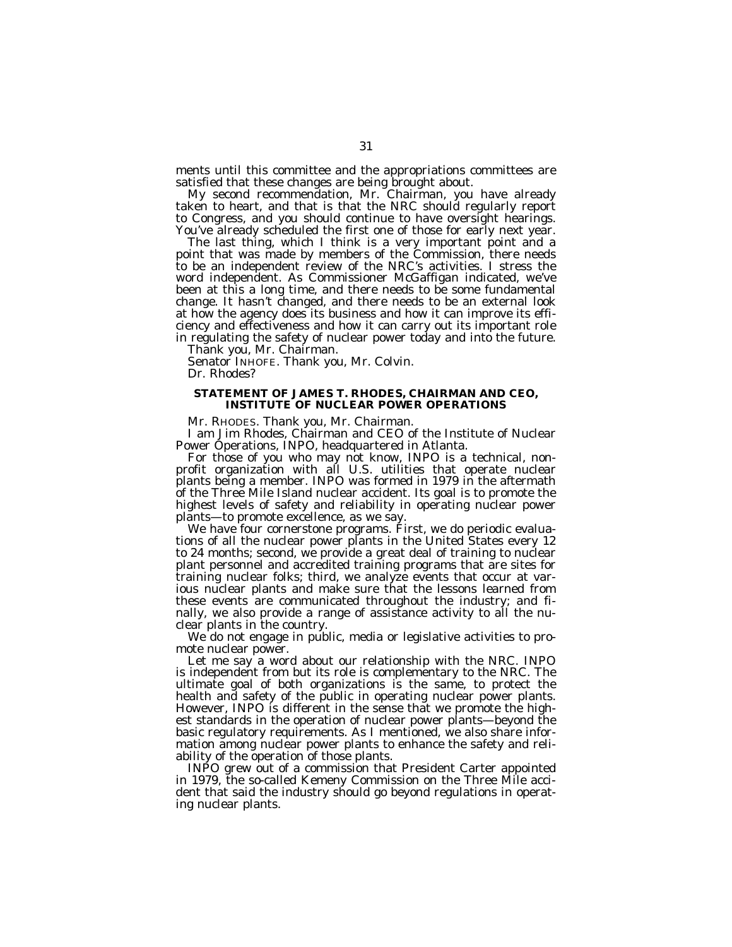ments until this committee and the appropriations committees are satisfied that these changes are being brought about.

My second recommendation, Mr. Chairman, you have already taken to heart, and that is that the NRC should regularly report to Congress, and you should continue to have oversight hearings. You've already scheduled the first one of those for early next year.

The last thing, which I think is a very important point and a point that was made by members of the Commission, there needs to be an independent review of the NRC's activities. I stress the word independent. As Commissioner McGaffigan indicated, we've been at this a long time, and there needs to be some fundamental change. It hasn't changed, and there needs to be an external look at how the agency does its business and how it can improve its efficiency and effectiveness and how it can carry out its important role in regulating the safety of nuclear power today and into the future.

Thank you, Mr. Chairman.

Senator INHOFE. Thank you, Mr. Colvin. Dr. Rhodes?

#### **STATEMENT OF JAMES T. RHODES, CHAIRMAN AND CEO, INSTITUTE OF NUCLEAR POWER OPERATIONS**

Mr. RHODES. Thank you, Mr. Chairman.

I am Jim Rhodes, Chairman and CEO of the Institute of Nuclear Power Operations, INPO, headquartered in Atlanta.

For those of you who may not know, INPO is a technical, nonprofit organization with all U.S. utilities that operate nuclear plants being a member. INPO was formed in 1979 in the aftermath of the Three Mile Island nuclear accident. Its goal is to promote the highest levels of safety and reliability in operating nuclear power plants—to promote excellence, as we say.

We have four cornerstone programs. First, we do periodic evaluations of all the nuclear power plants in the United States every 12 to 24 months; second, we provide a great deal of training to nuclear plant personnel and accredited training programs that are sites for training nuclear folks; third, we analyze events that occur at various nuclear plants and make sure that the lessons learned from these events are communicated throughout the industry; and finally, we also provide a range of assistance activity to all the nuclear plants in the country.

We do not engage in public, media or legislative activities to promote nuclear power.

Let me say a word about our relationship with the NRC. INPO is independent from but its role is complementary to the NRC. The ultimate goal of both organizations is the same, to protect the health and safety of the public in operating nuclear power plants. However, INPO is different in the sense that we promote the highest standards in the operation of nuclear power plants—beyond the basic regulatory requirements. As I mentioned, we also share information among nuclear power plants to enhance the safety and reliability of the operation of those plants.

INPO grew out of a commission that President Carter appointed in 1979, the so-called Kemeny Commission on the Three Mile accident that said the industry should go beyond regulations in operating nuclear plants.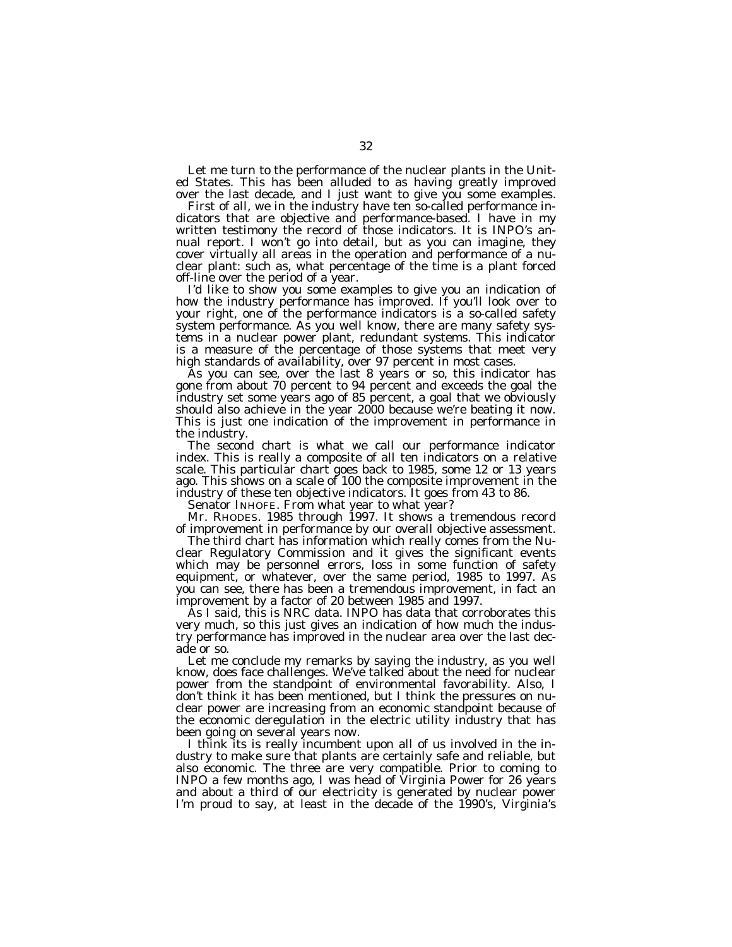Let me turn to the performance of the nuclear plants in the United States. This has been alluded to as having greatly improved over the last decade, and I just want to give you some examples.

First of all, we in the industry have ten so-called performance indicators that are objective and performance-based. I have in my written testimony the record of those indicators. It is INPO's annual report. I won't go into detail, but as you can imagine, they cover virtually all areas in the operation and performance of a nuclear plant: such as, what percentage of the time is a plant forced off-line over the period of a year.

I'd like to show you some examples to give you an indication of how the industry performance has improved. If you'll look over to your right, one of the performance indicators is a so-called safety system performance. As you well know, there are many safety systems in a nuclear power plant, redundant systems. This indicator is a measure of the percentage of those systems that meet very high standards of availability, over 97 percent in most cases.

As you can see, over the last 8 years or so, this indicator has gone from about 70 percent to 94 percent and exceeds the goal the industry set some years ago of 85 percent, a goal that we obviously should also achieve in the year 2000 because we're beating it now. This is just one indication of the improvement in performance in the industry.

The second chart is what we call our performance indicator index. This is really a composite of all ten indicators on a relative scale. This particular chart goes back to 1985, some 12 or 13 years ago. This shows on a scale of 100 the composite improvement in the industry of these ten objective indicators. It goes from 43 to 86.

Senator INHOFE. From what year to what year?

Mr. RHODES. 1985 through 1997. It shows a tremendous record of improvement in performance by our overall objective assessment.

The third chart has information which really comes from the Nuclear Regulatory Commission and it gives the significant events which may be personnel errors, loss in some function of safety equipment, or whatever, over the same period, 1985 to 1997. As you can see, there has been a tremendous improvement, in fact an improvement by a factor of 20 between 1985 and 1997.

As I said, this is NRC data. INPO has data that corroborates this very much, so this just gives an indication of how much the industry performance has improved in the nuclear area over the last decade or so.

Let me conclude my remarks by saying the industry, as you well know, does face challenges. We've talked about the need for nuclear power from the standpoint of environmental favorability. Also, I don't think it has been mentioned, but I think the pressures on nuclear power are increasing from an economic standpoint because of the economic deregulation in the electric utility industry that has been going on several years now.

I think its is really incumbent upon all of us involved in the industry to make sure that plants are certainly safe and reliable, but also economic. The three are very compatible. Prior to coming to INPO a few months ago, I was head of Virginia Power for 26 years and about a third of our electricity is generated by nuclear power I'm proud to say, at least in the decade of the 1990's, Virginia's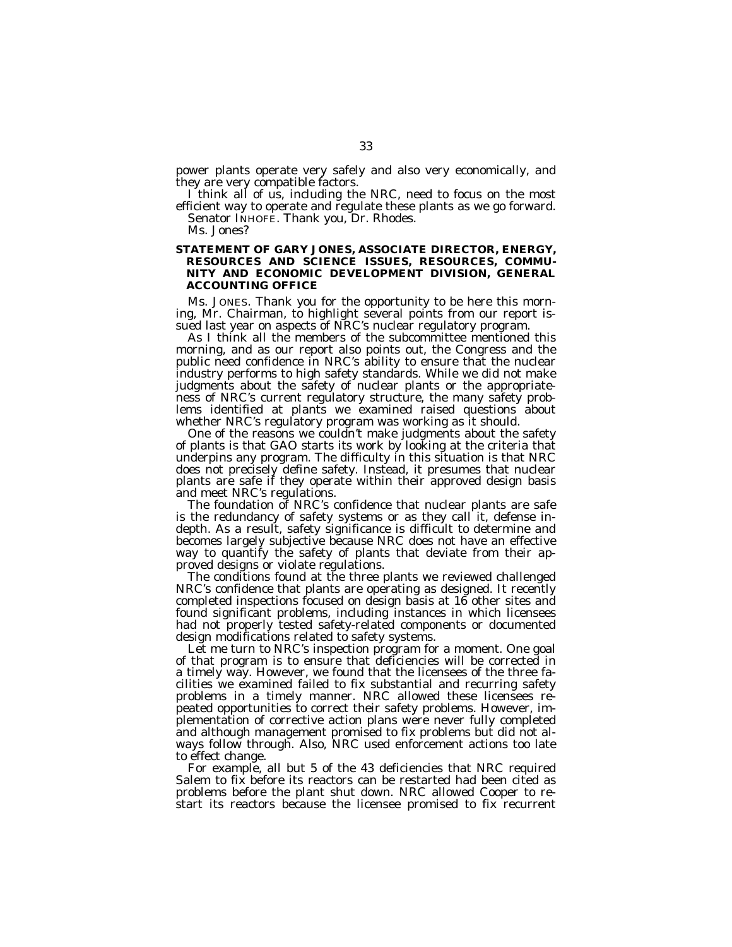power plants operate very safely and also very economically, and they are very compatible factors.

I think all of us, including the NRC, need to focus on the most efficient way to operate and regulate these plants as we go forward. Senator INHOFE. Thank you, Dr. Rhodes.

# Ms. Jones?

#### **STATEMENT OF GARY JONES, ASSOCIATE DIRECTOR, ENERGY, RESOURCES AND SCIENCE ISSUES, RESOURCES, COMMU-NITY AND ECONOMIC DEVELOPMENT DIVISION, GENERAL ACCOUNTING OFFICE**

Ms. JONES. Thank you for the opportunity to be here this morning, Mr. Chairman, to highlight several points from our report issued last year on aspects of NRC's nuclear regulatory program.

As I think all the members of the subcommittee mentioned this morning, and as our report also points out, the Congress and the public need confidence in NRC's ability to ensure that the nuclear industry performs to high safety standards. While we did not make judgments about the safety of nuclear plants or the appropriateness of NRC's current regulatory structure, the many safety problems identified at plants we examined raised questions about whether NRC's regulatory program was working as it should.

One of the reasons we couldn't make judgments about the safety of plants is that GAO starts its work by looking at the criteria that underpins any program. The difficulty in this situation is that NRC does not precisely define safety. Instead, it presumes that nuclear plants are safe if they operate within their approved design basis and meet NRC's regulations.

The foundation of NRC's confidence that nuclear plants are safe is the redundancy of safety systems or as they call it, defense indepth. As a result, safety significance is difficult to determine and becomes largely subjective because NRC does not have an effective way to quantify the safety of plants that deviate from their approved designs or violate regulations.

The conditions found at the three plants we reviewed challenged NRC's confidence that plants are operating as designed. It recently completed inspections focused on design basis at 16 other sites and found significant problems, including instances in which licensees had not properly tested safety-related components or documented design modifications related to safety systems.

Let me turn to NRC's inspection program for a moment. One goal of that program is to ensure that deficiencies will be corrected in a timely way. However, we found that the licensees of the three facilities we examined failed to fix substantial and recurring safety problems in a timely manner. NRC allowed these licensees repeated opportunities to correct their safety problems. However, implementation of corrective action plans were never fully completed and although management promised to fix problems but did not always follow through. Also, NRC used enforcement actions too late to effect change.

For example, all but 5 of the 43 deficiencies that NRC required Salem to fix before its reactors can be restarted had been cited as problems before the plant shut down. NRC allowed Cooper to restart its reactors because the licensee promised to fix recurrent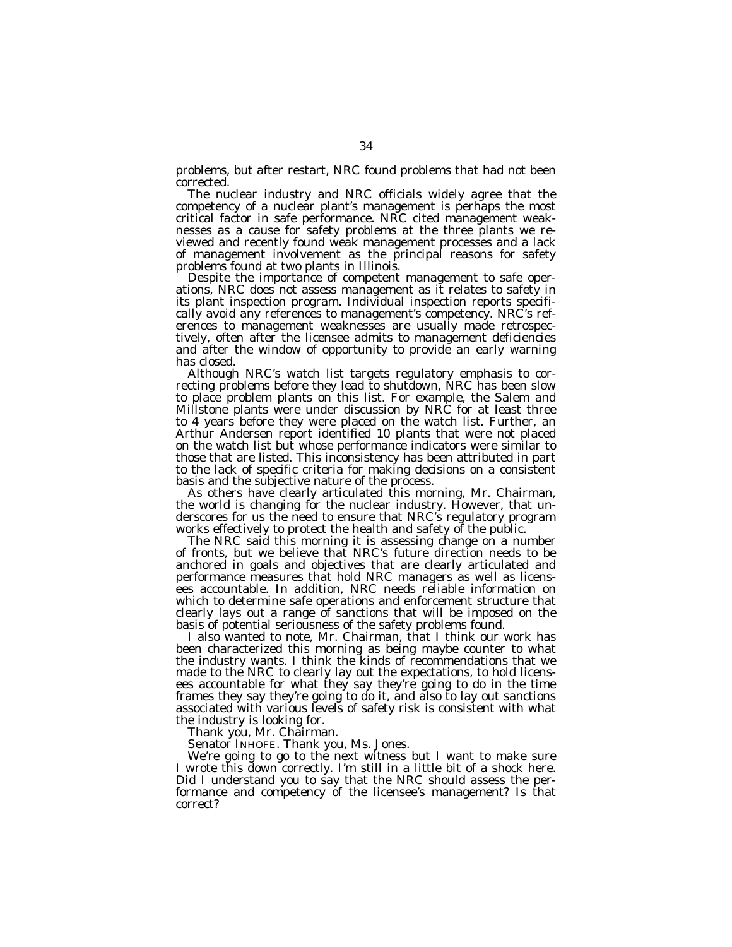problems, but after restart, NRC found problems that had not been corrected.

The nuclear industry and NRC officials widely agree that the competency of a nuclear plant's management is perhaps the most critical factor in safe performance. NRC cited management weaknesses as a cause for safety problems at the three plants we reviewed and recently found weak management processes and a lack of management involvement as the principal reasons for safety problems found at two plants in Illinois.

Despite the importance of competent management to safe operations, NRC does not assess management as it relates to safety in its plant inspection program. Individual inspection reports specifically avoid any references to management's competency. NRC's references to management weaknesses are usually made retrospectively, often after the licensee admits to management deficiencies and after the window of opportunity to provide an early warning has closed.

Although NRC's watch list targets regulatory emphasis to correcting problems before they lead to shutdown, NRC has been slow to place problem plants on this list. For example, the Salem and Millstone plants were under discussion by NRC for at least three to 4 years before they were placed on the watch list. Further, an Arthur Andersen report identified 10 plants that were not placed on the watch list but whose performance indicators were similar to those that are listed. This inconsistency has been attributed in part to the lack of specific criteria for making decisions on a consistent basis and the subjective nature of the process.

As others have clearly articulated this morning, Mr. Chairman, the world is changing for the nuclear industry. However, that underscores for us the need to ensure that NRC's regulatory program works effectively to protect the health and safety of the public.

The NRC said this morning it is assessing change on a number of fronts, but we believe that NRC's future direction needs to be anchored in goals and objectives that are clearly articulated and performance measures that hold NRC managers as well as licensees accountable. In addition, NRC needs reliable information on which to determine safe operations and enforcement structure that clearly lays out a range of sanctions that will be imposed on the basis of potential seriousness of the safety problems found.

I also wanted to note, Mr. Chairman, that I think our work has been characterized this morning as being maybe counter to what the industry wants. I think the kinds of recommendations that we made to the NRC to clearly lay out the expectations, to hold licensees accountable for what they say they're going to do in the time frames they say they're going to do it, and also to lay out sanctions associated with various levels of safety risk is consistent with what the industry is looking for.

Thank you, Mr. Chairman.

Senator INHOFE. Thank you, Ms. Jones.

We're going to go to the next witness but I want to make sure I wrote this down correctly. I'm still in a little bit of a shock here. Did I understand you to say that the NRC should assess the performance and competency of the licensee's management? Is that correct?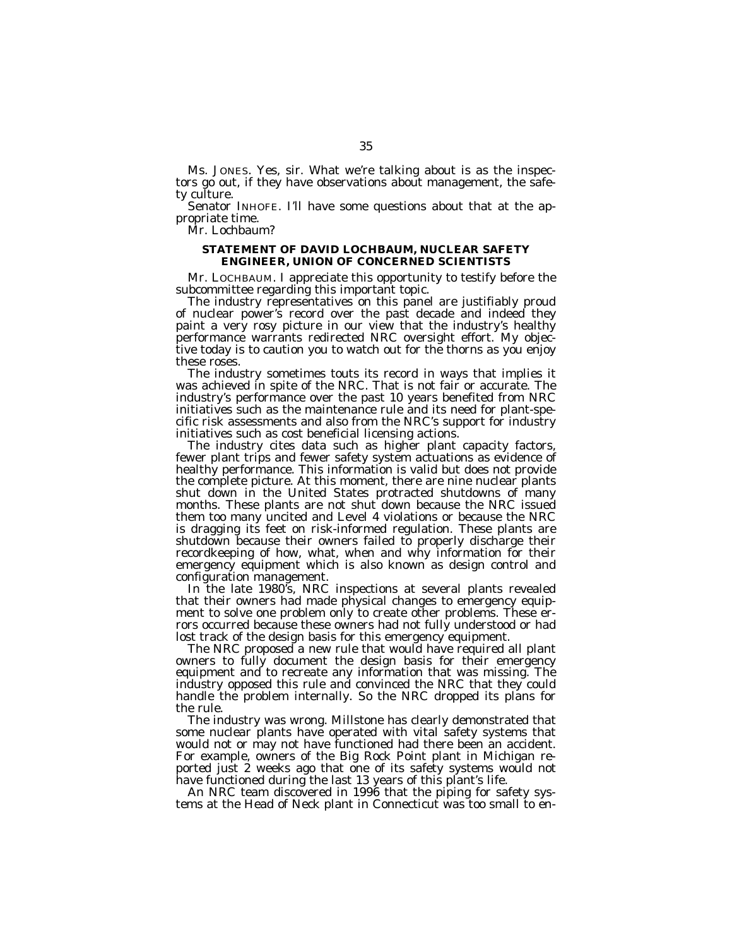Ms. JONES. Yes, sir. What we're talking about is as the inspectors go out, if they have observations about management, the safety culture.

Senator INHOFE. I'll have some questions about that at the appropriate time.

Mr. Lochbaum?

# **STATEMENT OF DAVID LOCHBAUM, NUCLEAR SAFETY ENGINEER, UNION OF CONCERNED SCIENTISTS**

Mr. LOCHBAUM. I appreciate this opportunity to testify before the subcommittee regarding this important topic.

The industry representatives on this panel are justifiably proud of nuclear power's record over the past decade and indeed they paint a very rosy picture in our view that the industry's healthy performance warrants redirected NRC oversight effort. My objective today is to caution you to watch out for the thorns as you enjoy these roses.

The industry sometimes touts its record in ways that implies it was achieved in spite of the NRC. That is not fair or accurate. The industry's performance over the past 10 years benefited from NRC initiatives such as the maintenance rule and its need for plant-specific risk assessments and also from the NRC's support for industry initiatives such as cost beneficial licensing actions.

The industry cites data such as higher plant capacity factors, fewer plant trips and fewer safety system actuations as evidence of healthy performance. This information is valid but does not provide the complete picture. At this moment, there are nine nuclear plants shut down in the United States protracted shutdowns of many months. These plants are not shut down because the NRC issued them too many uncited and Level 4 violations or because the NRC is dragging its feet on risk-informed regulation. These plants are shutdown because their owners failed to properly discharge their recordkeeping of how, what, when and why information for their emergency equipment which is also known as design control and configuration management.

In the late 1980's, NRC inspections at several plants revealed that their owners had made physical changes to emergency equipment to solve one problem only to create other problems. These errors occurred because these owners had not fully understood or had lost track of the design basis for this emergency equipment.

The NRC proposed a new rule that would have required all plant owners to fully document the design basis for their emergency equipment and to recreate any information that was missing. The industry opposed this rule and convinced the NRC that they could handle the problem internally. So the NRC dropped its plans for the rule.

The industry was wrong. Millstone has clearly demonstrated that some nuclear plants have operated with vital safety systems that would not or may not have functioned had there been an accident. For example, owners of the Big Rock Point plant in Michigan reported just 2 weeks ago that one of its safety systems would not have functioned during the last 13 years of this plant's life.

An NRC team discovered in 1996 that the piping for safety systems at the Head of Neck plant in Connecticut was too small to en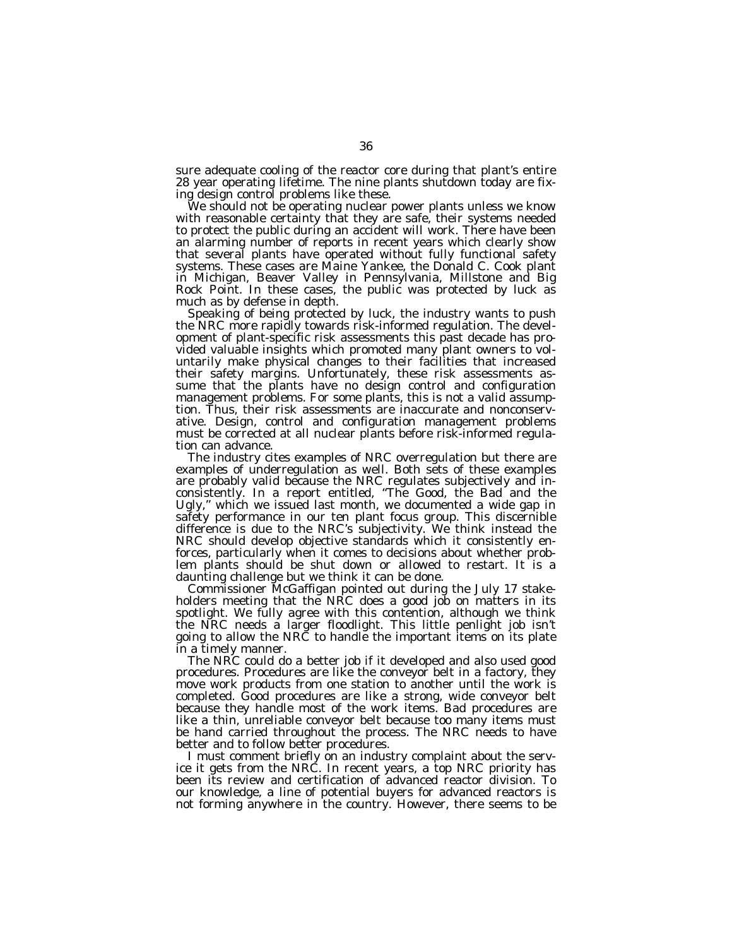sure adequate cooling of the reactor core during that plant's entire 28 year operating lifetime. The nine plants shutdown today are fixing design control problems like these.

We should not be operating nuclear power plants unless we know with reasonable certainty that they are safe, their systems needed to protect the public during an accident will work. There have been an alarming number of reports in recent years which clearly show that several plants have operated without fully functional safety systems. These cases are Maine Yankee, the Donald C. Cook plant in Michigan, Beaver Valley in Pennsylvania, Millstone and Big Rock Point. In these cases, the public was protected by luck as much as by defense in depth.

Speaking of being protected by luck, the industry wants to push the NRC more rapidly towards risk-informed regulation. The development of plant-specific risk assessments this past decade has provided valuable insights which promoted many plant owners to voluntarily make physical changes to their facilities that increased their safety margins. Unfortunately, these risk assessments assume that the plants have no design control and configuration management problems. For some plants, this is not a valid assumption. Thus, their risk assessments are inaccurate and nonconservative. Design, control and configuration management problems must be corrected at all nuclear plants before risk-informed regulation can advance.

The industry cites examples of NRC overregulation but there are examples of underregulation as well. Both sets of these examples are probably valid because the NRC regulates subjectively and inconsistently. In a report entitled, "The Good, the Bad and the Ugly,'' which we issued last month, we documented a wide gap in safety performance in our ten plant focus group. This discernible difference is due to the NRC's subjectivity. We think instead the NRC should develop objective standards which it consistently enforces, particularly when it comes to decisions about whether problem plants should be shut down or allowed to restart. It is a daunting challenge but we think it can be done.

Commissioner McGaffigan pointed out during the July 17 stakeholders meeting that the NRC does a good job on matters in its spotlight. We fully agree with this contention, although we think the NRC needs a larger floodlight. This little penlight job isn't going to allow the NRC to handle the important items on its plate in a timely manner.

The NRC could do a better job if it developed and also used good procedures. Procedures are like the conveyor belt in a factory, they move work products from one station to another until the work is completed. Good procedures are like a strong, wide conveyor belt because they handle most of the work items. Bad procedures are like a thin, unreliable conveyor belt because too many items must be hand carried throughout the process. The NRC needs to have better and to follow better procedures.

I must comment briefly on an industry complaint about the service it gets from the NRC. In recent years, a top NRC priority has been its review and certification of advanced reactor division. To our knowledge, a line of potential buyers for advanced reactors is not forming anywhere in the country. However, there seems to be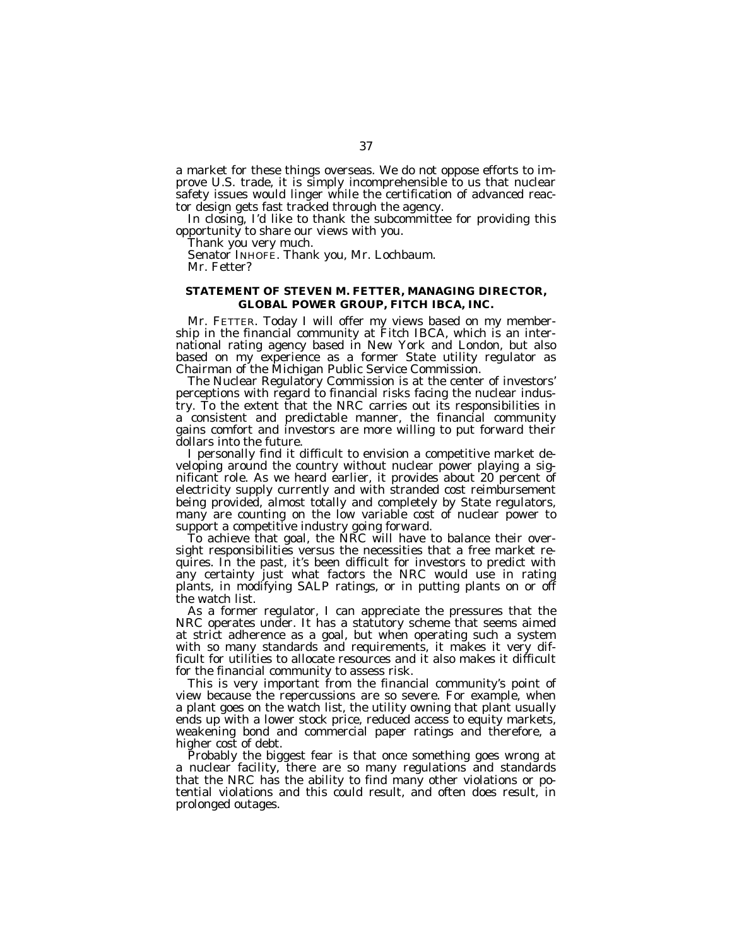a market for these things overseas. We do not oppose efforts to improve U.S. trade, it is simply incomprehensible to us that nuclear safety issues would linger while the certification of advanced reactor design gets fast tracked through the agency.

In closing, I'd like to thank the subcommittee for providing this opportunity to share our views with you.

Thank you very much.

Senator INHOFE. Thank you, Mr. Lochbaum. Mr. Fetter?

# **STATEMENT OF STEVEN M. FETTER, MANAGING DIRECTOR, GLOBAL POWER GROUP, FITCH IBCA, INC.**

Mr. FETTER. Today I will offer my views based on my membership in the financial community at Fitch IBCA, which is an international rating agency based in New York and London, but also based on my experience as a former State utility regulator as Chairman of the Michigan Public Service Commission.

The Nuclear Regulatory Commission is at the center of investors' perceptions with regard to financial risks facing the nuclear industry. To the extent that the NRC carries out its responsibilities in a consistent and predictable manner, the financial community gains comfort and investors are more willing to put forward their dollars into the future.

I personally find it difficult to envision a competitive market developing around the country without nuclear power playing a significant role. As we heard earlier, it provides about 20 percent of electricity supply currently and with stranded cost reimbursement being provided, almost totally and completely by State regulators, many are counting on the low variable cost of nuclear power to support a competitive industry going forward.

To achieve that goal, the NRC will have to balance their oversight responsibilities versus the necessities that a free market requires. In the past, it's been difficult for investors to predict with any certainty just what factors the NRC would use in rating plants, in modifying SALP ratings, or in putting plants on or off the watch list.

As a former regulator, I can appreciate the pressures that the NRC operates under. It has a statutory scheme that seems aimed at strict adherence as a goal, but when operating such a system with so many standards and requirements, it makes it very difficult for utilities to allocate resources and it also makes it difficult for the financial community to assess risk.

This is very important from the financial community's point of view because the repercussions are so severe. For example, when a plant goes on the watch list, the utility owning that plant usually ends up with a lower stock price, reduced access to equity markets, weakening bond and commercial paper ratings and therefore, a higher cost of debt.

Probably the biggest fear is that once something goes wrong at a nuclear facility, there are so many regulations and standards that the NRC has the ability to find many other violations or potential violations and this could result, and often does result, in prolonged outages.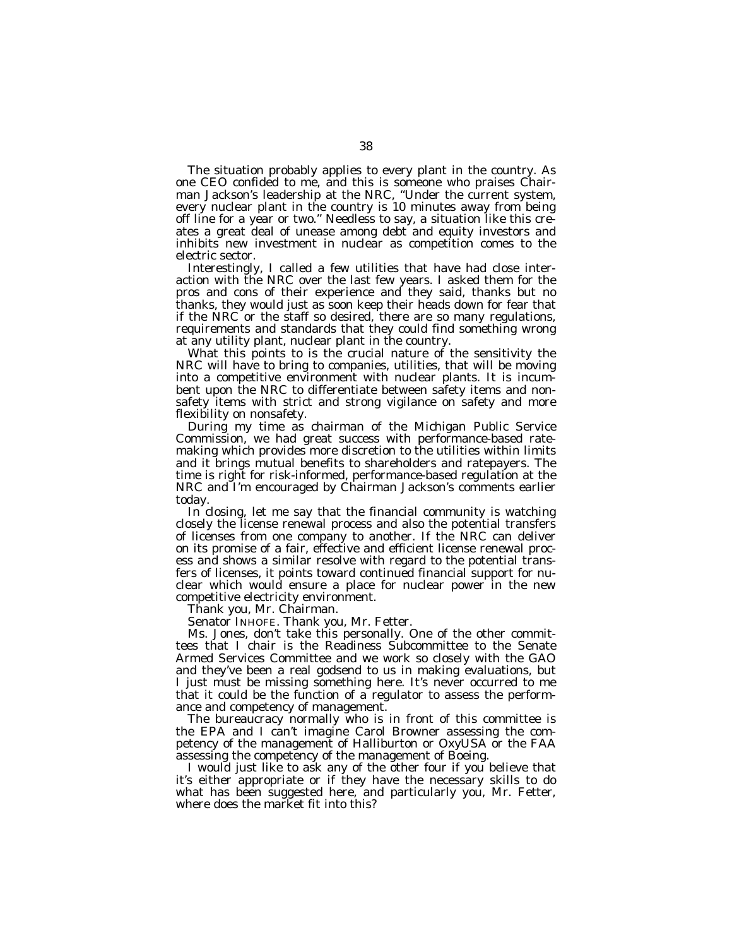The situation probably applies to every plant in the country. As one CEO confided to me, and this is someone who praises Chairman Jackson's leadership at the NRC, ''Under the current system, every nuclear plant in the country is 10 minutes away from being off line for a year or two." Needless to say, a situation like this creates a great deal of unease among debt and equity investors and inhibits new investment in nuclear as competition comes to the electric sector.

Interestingly, I called a few utilities that have had close interaction with the NRC over the last few years. I asked them for the pros and cons of their experience and they said, thanks but no thanks, they would just as soon keep their heads down for fear that if the NRC or the staff so desired, there are so many regulations, requirements and standards that they could find something wrong at any utility plant, nuclear plant in the country.

What this points to is the crucial nature of the sensitivity the NRC will have to bring to companies, utilities, that will be moving into a competitive environment with nuclear plants. It is incumbent upon the NRC to differentiate between safety items and nonsafety items with strict and strong vigilance on safety and more flexibility on nonsafety.

During my time as chairman of the Michigan Public Service Commission, we had great success with performance-based ratemaking which provides more discretion to the utilities within limits and it brings mutual benefits to shareholders and ratepayers. The time is right for risk-informed, performance-based regulation at the NRC and I'm encouraged by Chairman Jackson's comments earlier today.

In closing, let me say that the financial community is watching closely the license renewal process and also the potential transfers of licenses from one company to another. If the NRC can deliver on its promise of a fair, effective and efficient license renewal process and shows a similar resolve with regard to the potential transfers of licenses, it points toward continued financial support for nuclear which would ensure a place for nuclear power in the new competitive electricity environment.

Thank you, Mr. Chairman.

Senator INHOFE. Thank you, Mr. Fetter.

Ms. Jones, don't take this personally. One of the other committees that I chair is the Readiness Subcommittee to the Senate Armed Services Committee and we work so closely with the GAO and they've been a real godsend to us in making evaluations, but I just must be missing something here. It's never occurred to me that it could be the function of a regulator to assess the performance and competency of management.

The bureaucracy normally who is in front of this committee is the EPA and I can't imagine Carol Browner assessing the competency of the management of Halliburton or OxyUSA or the FAA assessing the competency of the management of Boeing.

I would just like to ask any of the other four if you believe that it's either appropriate or if they have the necessary skills to do what has been suggested here, and particularly you, Mr. Fetter, where does the market fit into this?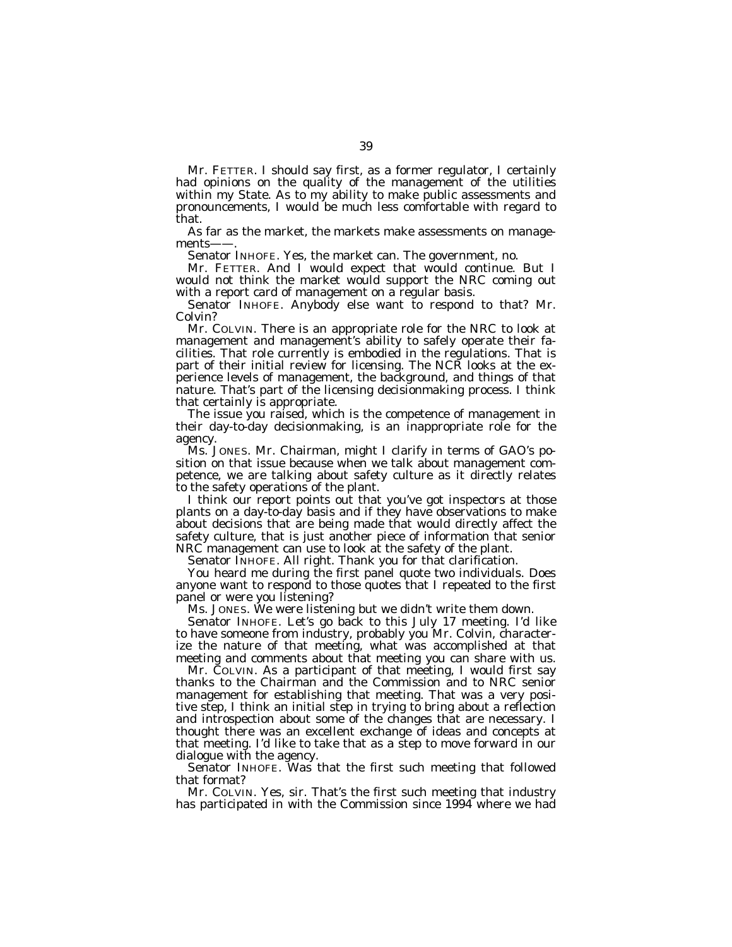Mr. FETTER. I should say first, as a former regulator, I certainly had opinions on the quality of the management of the utilities within my State. As to my ability to make public assessments and pronouncements, I would be much less comfortable with regard to that.

As far as the market, the markets make assessments on managements-

Senator INHOFE. Yes, the market can. The government, no.

Mr. FETTER. And I would expect that would continue. But I would not think the market would support the NRC coming out with a report card of management on a regular basis.

Senator INHOFE. Anybody else want to respond to that? Mr. Colvin?

Mr. COLVIN. There is an appropriate role for the NRC to look at management and management's ability to safely operate their facilities. That role currently is embodied in the regulations. That is part of their initial review for licensing. The NCR looks at the experience levels of management, the background, and things of that nature. That's part of the licensing decisionmaking process. I think that certainly is appropriate.

The issue you raised, which is the competence of management in their day-to-day decisionmaking, is an inappropriate role for the agency.

Ms. JONES. Mr. Chairman, might I clarify in terms of GAO's position on that issue because when we talk about management competence, we are talking about safety culture as it directly relates to the safety operations of the plant.

I think our report points out that you've got inspectors at those plants on a day-to-day basis and if they have observations to make about decisions that are being made that would directly affect the safety culture, that is just another piece of information that senior NRC management can use to look at the safety of the plant.

Senator INHOFE. All right. Thank you for that clarification.

You heard me during the first panel quote two individuals. Does anyone want to respond to those quotes that I repeated to the first panel or were you listening?

Ms. JONES. We were listening but we didn't write them down.

Senator INHOFE. Let's go back to this July 17 meeting. I'd like to have someone from industry, probably you Mr. Colvin, characterize the nature of that meeting, what was accomplished at that meeting and comments about that meeting you can share with us.

Mr. COLVIN. As a participant of that meeting, I would first say thanks to the Chairman and the Commission and to NRC senior management for establishing that meeting. That was a very positive step, I think an initial step in trying to bring about a reflection and introspection about some of the changes that are necessary. I thought there was an excellent exchange of ideas and concepts at that meeting. I'd like to take that as a step to move forward in our dialogue with the agency.

Senator INHOFE. Was that the first such meeting that followed that format?

Mr. COLVIN. Yes, sir. That's the first such meeting that industry has participated in with the Commission since 1994 where we had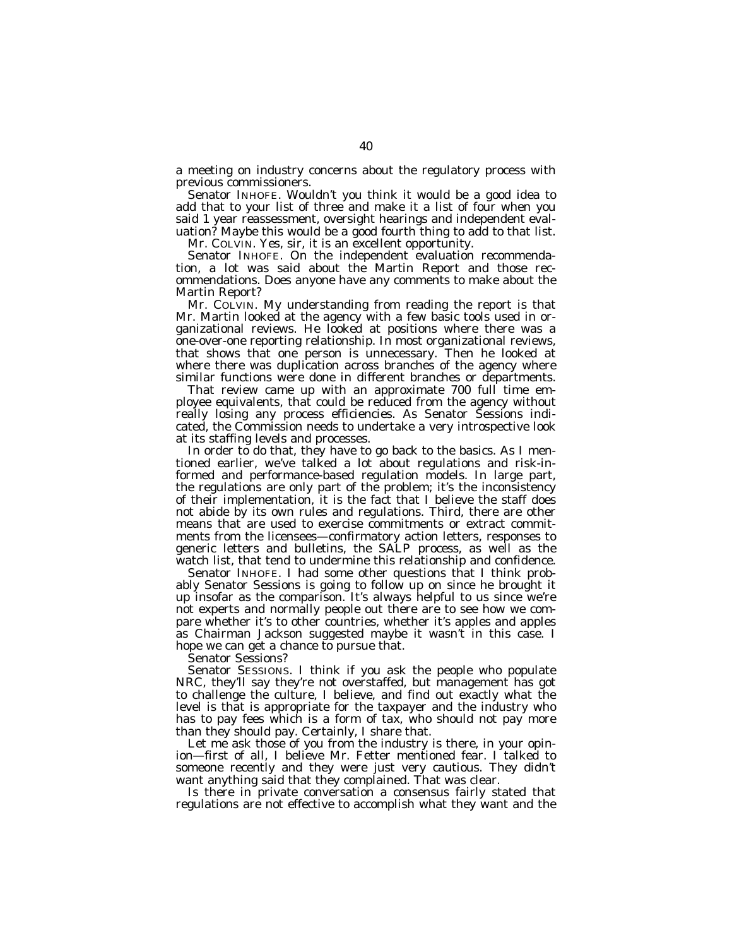a meeting on industry concerns about the regulatory process with previous commissioners.

Senator INHOFE. Wouldn't you think it would be a good idea to add that to your list of three and make it a list of four when you said 1 year reassessment, oversight hearings and independent evaluation? Maybe this would be a good fourth thing to add to that list.

Mr. COLVIN. Yes, sir, it is an excellent opportunity.

Senator INHOFE. On the independent evaluation recommendation, a lot was said about the Martin Report and those recommendations. Does anyone have any comments to make about the Martin Report?

Mr. COLVIN. My understanding from reading the report is that Mr. Martin looked at the agency with a few basic tools used in organizational reviews. He looked at positions where there was a one-over-one reporting relationship. In most organizational reviews, that shows that one person is unnecessary. Then he looked at where there was duplication across branches of the agency where similar functions were done in different branches or departments.

That review came up with an approximate 700 full time employee equivalents, that could be reduced from the agency without really losing any process efficiencies. As Senator Sessions indicated, the Commission needs to undertake a very introspective look at its staffing levels and processes.

In order to do that, they have to go back to the basics. As I mentioned earlier, we've talked a lot about regulations and risk-informed and performance-based regulation models. In large part, the regulations are only part of the problem; it's the inconsistency of their implementation, it is the fact that I believe the staff does not abide by its own rules and regulations. Third, there are other means that are used to exercise commitments or extract commitments from the licensees—confirmatory action letters, responses to generic letters and bulletins, the SALP process, as well as the watch list, that tend to undermine this relationship and confidence.

Senator INHOFE. I had some other questions that I think probably Senator Sessions is going to follow up on since he brought it up insofar as the comparison. It's always helpful to us since we're not experts and normally people out there are to see how we compare whether it's to other countries, whether it's apples and apples as Chairman Jackson suggested maybe it wasn't in this case. I hope we can get a chance to pursue that.

Senator Sessions?

Senator SESSIONS. I think if you ask the people who populate NRC, they'll say they're not overstaffed, but management has got to challenge the culture, I believe, and find out exactly what the level is that is appropriate for the taxpayer and the industry who has to pay fees which is a form of tax, who should not pay more than they should pay. Certainly, I share that.

Let me ask those of you from the industry is there, in your opinion—first of all, I believe Mr. Fetter mentioned fear. I talked to someone recently and they were just very cautious. They didn't want anything said that they complained. That was clear.

Is there in private conversation a consensus fairly stated that regulations are not effective to accomplish what they want and the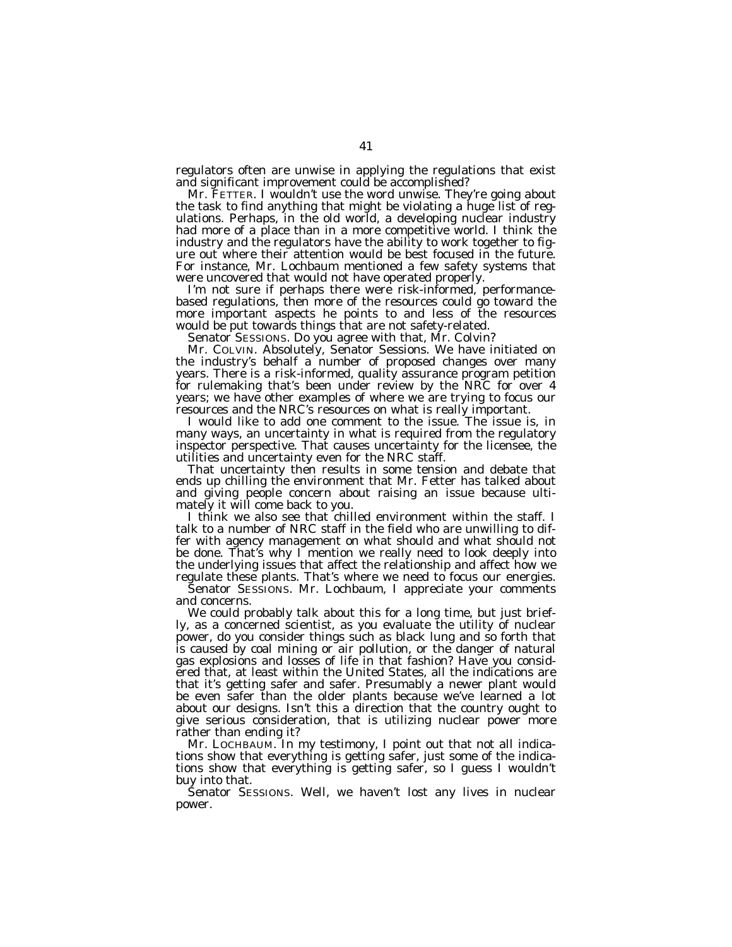regulators often are unwise in applying the regulations that exist and significant improvement could be accomplished?

Mr. FETTER. I wouldn't use the word unwise. They're going about the task to find anything that might be violating a huge list of regulations. Perhaps, in the old world, a developing nuclear industry had more of a place than in a more competitive world. I think the industry and the regulators have the ability to work together to figure out where their attention would be best focused in the future. For instance, Mr. Lochbaum mentioned a few safety systems that were uncovered that would not have operated properly.

I'm not sure if perhaps there were risk-informed, performancebased regulations, then more of the resources could go toward the more important aspects he points to and less of the resources would be put towards things that are not safety-related.

Senator SESSIONS. Do you agree with that, Mr. Colvin?

Mr. COLVIN. Absolutely, Senator Sessions. We have initiated on the industry's behalf a number of proposed changes over many years. There is a risk-informed, quality assurance program petition for rulemaking that's been under review by the NRC for over 4 years; we have other examples of where we are trying to focus our resources and the NRC's resources on what is really important.

I would like to add one comment to the issue. The issue is, in many ways, an uncertainty in what is required from the regulatory inspector perspective. That causes uncertainty for the licensee, the utilities and uncertainty even for the NRC staff.

That uncertainty then results in some tension and debate that ends up chilling the environment that Mr. Fetter has talked about and giving people concern about raising an issue because ultimately it will come back to you.

I think we also see that chilled environment within the staff. I talk to a number of NRC staff in the field who are unwilling to differ with agency management on what should and what should not be done. That's why I mention we really need to look deeply into the underlying issues that affect the relationship and affect how we regulate these plants. That's where we need to focus our energies.

Senator SESSIONS. Mr. Lochbaum, I appreciate your comments and concerns.

We could probably talk about this for a long time, but just briefly, as a concerned scientist, as you evaluate the utility of nuclear power, do you consider things such as black lung and so forth that is caused by coal mining or air pollution, or the danger of natural gas explosions and losses of life in that fashion? Have you considered that, at least within the United States, all the indications are that it's getting safer and safer. Presumably a newer plant would be even safer than the older plants because we've learned a lot about our designs. Isn't this a direction that the country ought to give serious consideration, that is utilizing nuclear power more rather than ending it?

Mr. LOCHBAUM. In my testimony, I point out that not all indications show that everything is getting safer, just some of the indications show that everything is getting safer, so I guess I wouldn't buy into that.

Senator SESSIONS. Well, we haven't lost any lives in nuclear power.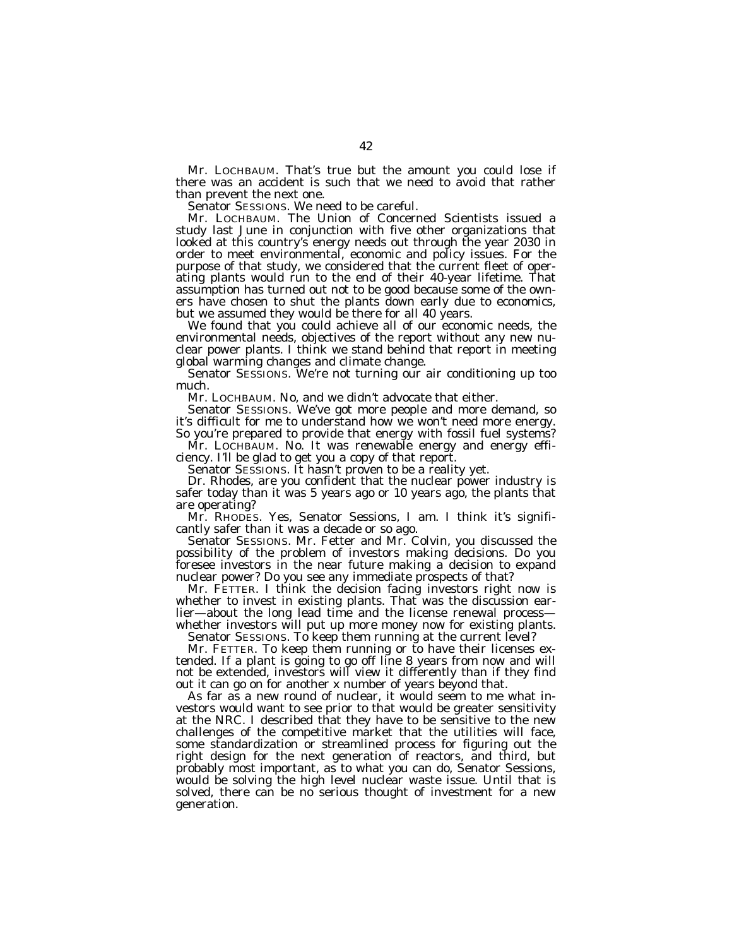Mr. LOCHBAUM. That's true but the amount you could lose if there was an accident is such that we need to avoid that rather than prevent the next one.

Senator SESSIONS. We need to be careful.

Mr. LOCHBAUM. The Union of Concerned Scientists issued a study last June in conjunction with five other organizations that looked at this country's energy needs out through the year 2030 in order to meet environmental, economic and policy issues. For the purpose of that study, we considered that the current fleet of operating plants would run to the end of their 40-year lifetime. That assumption has turned out not to be good because some of the owners have chosen to shut the plants down early due to economics, but we assumed they would be there for all 40 years.

We found that you could achieve all of our economic needs, the environmental needs, objectives of the report without any new nuclear power plants. I think we stand behind that report in meeting global warming changes and climate change.

Senator SESSIONS. We're not turning our air conditioning up too much.

Mr. LOCHBAUM. No, and we didn't advocate that either.

Senator SESSIONS. We've got more people and more demand, so it's difficult for me to understand how we won't need more energy. So you're prepared to provide that energy with fossil fuel systems?

Mr. LOCHBAUM. No. It was renewable energy and energy efficiency. I'll be glad to get you a copy of that report.

Senator SESSIONS. It hasn't proven to be a reality yet.

Dr. Rhodes, are you confident that the nuclear power industry is safer today than it was 5 years ago or 10 years ago, the plants that are operating?

Mr. RHODES. Yes, Senator Sessions, I am. I think it's significantly safer than it was a decade or so ago.

Senator SESSIONS. Mr. Fetter and Mr. Colvin, you discussed the possibility of the problem of investors making decisions. Do you foresee investors in the near future making a decision to expand nuclear power? Do you see any immediate prospects of that?

Mr. FETTER. I think the decision facing investors right now is whether to invest in existing plants. That was the discussion earlier—about the long lead time and the license renewal process whether investors will put up more money now for existing plants.

Senator SESSIONS. To keep them running at the current level?

Mr. FETTER. To keep them running or to have their licenses extended. If a plant is going to go off line 8 years from now and will not be extended, investors will view it differently than if they find out it can go on for another x number of years beyond that.

As far as a new round of nuclear, it would seem to me what investors would want to see prior to that would be greater sensitivity at the NRC. I described that they have to be sensitive to the new challenges of the competitive market that the utilities will face, some standardization or streamlined process for figuring out the right design for the next generation of reactors, and third, but probably most important, as to what you can do, Senator Sessions, would be solving the high level nuclear waste issue. Until that is solved, there can be no serious thought of investment for a new generation.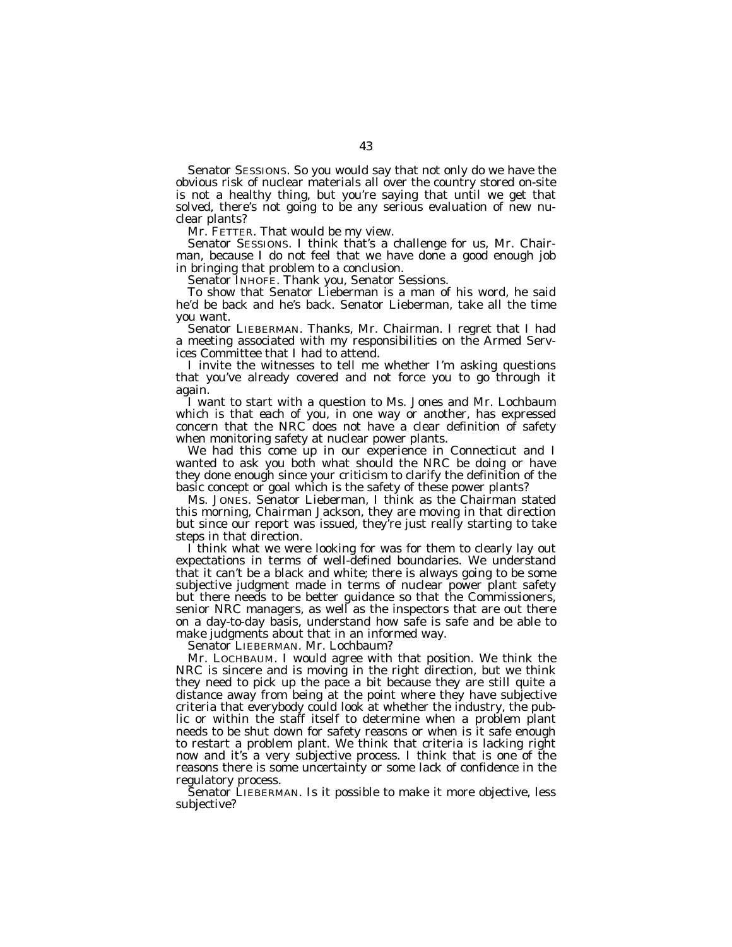Senator SESSIONS. So you would say that not only do we have the obvious risk of nuclear materials all over the country stored on-site is not a healthy thing, but you're saying that until we get that solved, there's not going to be any serious evaluation of new nuclear plants?

Mr. FETTER. That would be my view.

Senator SESSIONS. I think that's a challenge for us, Mr. Chairman, because I do not feel that we have done a good enough job in bringing that problem to a conclusion.

Senator INHOFE. Thank you, Senator Sessions.

To show that Senator Lieberman is a man of his word, he said he'd be back and he's back. Senator Lieberman, take all the time you want.

Senator LIEBERMAN. Thanks, Mr. Chairman. I regret that I had a meeting associated with my responsibilities on the Armed Services Committee that I had to attend.

I invite the witnesses to tell me whether I'm asking questions that you've already covered and not force you to go through it again.

I want to start with a question to Ms. Jones and Mr. Lochbaum which is that each of you, in one way or another, has expressed concern that the NRC does not have a clear definition of safety when monitoring safety at nuclear power plants.

We had this come up in our experience in Connecticut and I wanted to ask you both what should the NRC be doing or have they done enough since your criticism to clarify the definition of the basic concept or goal which is the safety of these power plants?

Ms. JONES. Senator Lieberman, I think as the Chairman stated this morning, Chairman Jackson, they are moving in that direction but since our report was issued, they're just really starting to take steps in that direction.

I think what we were looking for was for them to clearly lay out expectations in terms of well-defined boundaries. We understand that it can't be a black and white; there is always going to be some subjective judgment made in terms of nuclear power plant safety but there needs to be better guidance so that the Commissioners, senior NRC managers, as well as the inspectors that are out there on a day-to-day basis, understand how safe is safe and be able to make judgments about that in an informed way.

Senator LIEBERMAN. Mr. Lochbaum?

Mr. LOCHBAUM. I would agree with that position. We think the NRC is sincere and is moving in the right direction, but we think they need to pick up the pace a bit because they are still quite a distance away from being at the point where they have subjective criteria that everybody could look at whether the industry, the public or within the staff itself to determine when a problem plant needs to be shut down for safety reasons or when is it safe enough to restart a problem plant. We think that criteria is lacking right now and it's a very subjective process. I think that is one of the reasons there is some uncertainty or some lack of confidence in the regulatory process.

Senator LIEBERMAN. Is it possible to make it more objective, less subjective?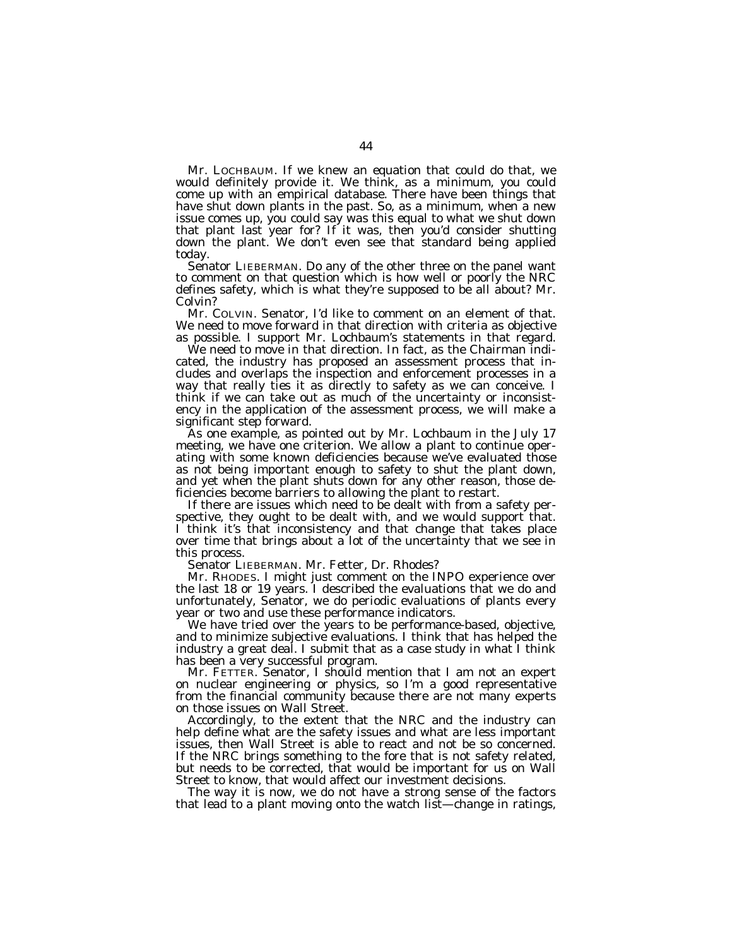Mr. LOCHBAUM. If we knew an equation that could do that, we would definitely provide it. We think, as a minimum, you could come up with an empirical database. There have been things that have shut down plants in the past. So, as a minimum, when a new issue comes up, you could say was this equal to what we shut down that plant last year for? If it was, then you'd consider shutting down the plant. We don't even see that standard being applied today.

Senator LIEBERMAN. Do any of the other three on the panel want to comment on that question which is how well or poorly the NRC defines safety, which is what they're supposed to be all about? Mr. Colvin?

Mr. COLVIN. Senator, I'd like to comment on an element of that. We need to move forward in that direction with criteria as objective as possible. I support Mr. Lochbaum's statements in that regard.

We need to move in that direction. In fact, as the Chairman indicated, the industry has proposed an assessment process that includes and overlaps the inspection and enforcement processes in a way that really ties it as directly to safety as we can conceive. I think if we can take out as much of the uncertainty or inconsistency in the application of the assessment process, we will make a significant step forward.

As one example, as pointed out by Mr. Lochbaum in the July 17 meeting, we have one criterion. We allow a plant to continue operating with some known deficiencies because we've evaluated those as not being important enough to safety to shut the plant down, and yet when the plant shuts down for any other reason, those deficiencies become barriers to allowing the plant to restart.

If there are issues which need to be dealt with from a safety perspective, they ought to be dealt with, and we would support that. I think it's that inconsistency and that change that takes place over time that brings about a lot of the uncertainty that we see in this process.

Senator LIEBERMAN. Mr. Fetter, Dr. Rhodes?

Mr. RHODES. I might just comment on the INPO experience over the last 18 or 19 years. I described the evaluations that we do and unfortunately, Senator, we do periodic evaluations of plants every year or two and use these performance indicators.

We have tried over the years to be performance-based, objective, and to minimize subjective evaluations. I think that has helped the industry a great deal. I submit that as a case study in what I think has been a very successful program.

Mr. FETTER. Senator, I should mention that I am not an expert on nuclear engineering or physics, so I'm a good representative from the financial community because there are not many experts on those issues on Wall Street.

Accordingly, to the extent that the NRC and the industry can help define what are the safety issues and what are less important issues, then Wall Street is able to react and not be so concerned. If the NRC brings something to the fore that is not safety related, but needs to be corrected, that would be important for us on Wall Street to know, that would affect our investment decisions.

The way it is now, we do not have a strong sense of the factors that lead to a plant moving onto the watch list—change in ratings,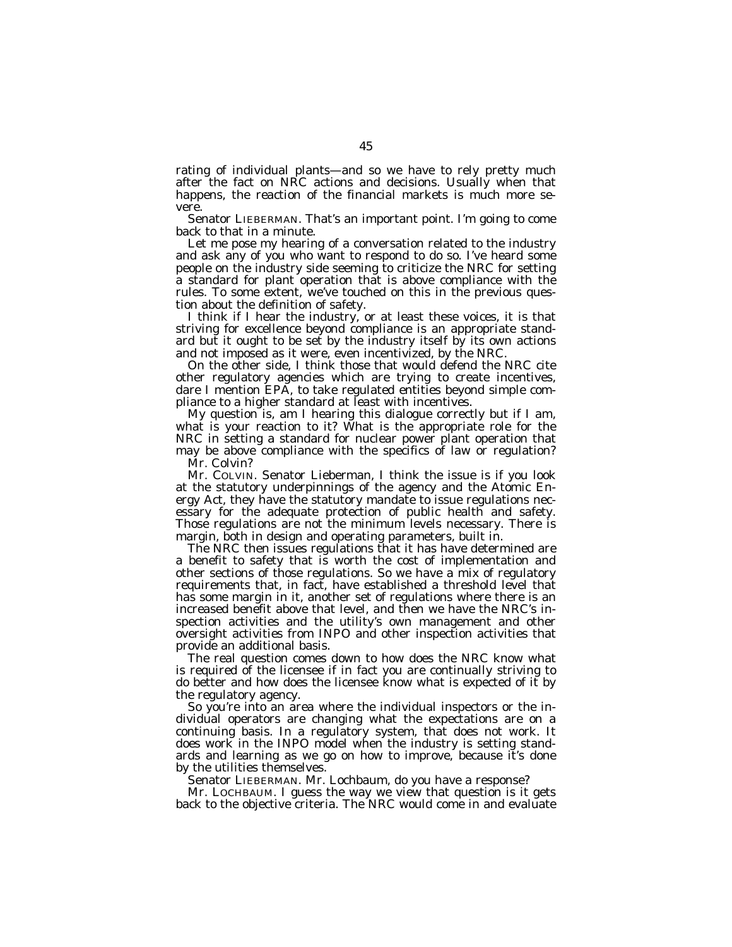rating of individual plants—and so we have to rely pretty much after the fact on NRC actions and decisions. Usually when that happens, the reaction of the financial markets is much more severe.

Senator LIEBERMAN. That's an important point. I'm going to come back to that in a minute.

Let me pose my hearing of a conversation related to the industry and ask any of you who want to respond to do so. I've heard some people on the industry side seeming to criticize the NRC for setting a standard for plant operation that is above compliance with the rules. To some extent, we've touched on this in the previous question about the definition of safety.

I think if I hear the industry, or at least these voices, it is that striving for excellence beyond compliance is an appropriate standard but it ought to be set by the industry itself by its own actions and not imposed as it were, even incentivized, by the NRC.

On the other side, I think those that would defend the NRC cite other regulatory agencies which are trying to create incentives, dare I mention EPA, to take regulated entities beyond simple compliance to a higher standard at least with incentives.

My question is, am I hearing this dialogue correctly but if I am, what is your reaction to it? What is the appropriate role for the NRC in setting a standard for nuclear power plant operation that may be above compliance with the specifics of law or regulation? Mr. Colvin?

Mr. COLVIN. Senator Lieberman, I think the issue is if you look at the statutory underpinnings of the agency and the Atomic Energy Act, they have the statutory mandate to issue regulations necessary for the adequate protection of public health and safety. Those regulations are not the minimum levels necessary. There is margin, both in design and operating parameters, built in.

The NRC then issues regulations that it has have determined are a benefit to safety that is worth the cost of implementation and other sections of those regulations. So we have a mix of regulatory requirements that, in fact, have established a threshold level that has some margin in it, another set of regulations where there is an increased benefit above that level, and then we have the NRC's inspection activities and the utility's own management and other oversight activities from INPO and other inspection activities that provide an additional basis.

The real question comes down to how does the NRC know what is required of the licensee if in fact you are continually striving to do better and how does the licensee know what is expected of it by the regulatory agency.

So you're into an area where the individual inspectors or the individual operators are changing what the expectations are on a continuing basis. In a regulatory system, that does not work. It does work in the INPO model when the industry is setting standards and learning as we go on how to improve, because it's done by the utilities themselves.

Senator LIEBERMAN. Mr. Lochbaum, do you have a response?

Mr. LOCHBAUM. I guess the way we view that question is it gets back to the objective criteria. The NRC would come in and evaluate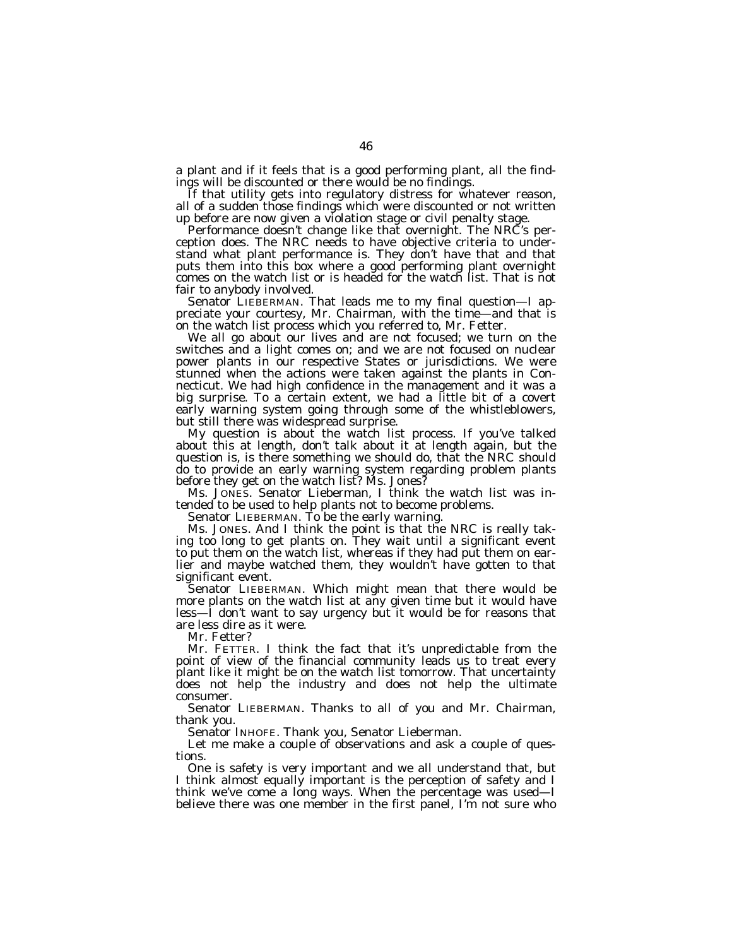a plant and if it feels that is a good performing plant, all the findings will be discounted or there would be no findings.

If that utility gets into regulatory distress for whatever reason, all of a sudden those findings which were discounted or not written up before are now given a violation stage or civil penalty stage.

Performance doesn't change like that overnight. The NRC's perception does. The NRC needs to have objective criteria to understand what plant performance is. They don't have that and that puts them into this box where a good performing plant overnight comes on the watch list or is headed for the watch list. That is not fair to anybody involved.

Senator LIEBERMAN. That leads me to my final question—I appreciate your courtesy, Mr. Chairman, with the time—and that is on the watch list process which you referred to, Mr. Fetter.

We all go about our lives and are not focused; we turn on the switches and a light comes on; and we are not focused on nuclear power plants in our respective States or jurisdictions. We were stunned when the actions were taken against the plants in Connecticut. We had high confidence in the management and it was a big surprise. To a certain extent, we had a little bit of a covert early warning system going through some of the whistleblowers, but still there was widespread surprise.

My question is about the watch list process. If you've talked about this at length, don't talk about it at length again, but the question is, is there something we should do, that the NRC should do to provide an early warning system regarding problem plants before they get on the watch list? Ms. Jones?

Ms. JONES. Senator Lieberman, I think the watch list was intended to be used to help plants not to become problems.

Senator LIEBERMAN. To be the early warning.

Ms. JONES. And I think the point is that the NRC is really taking too long to get plants on. They wait until a significant event to put them on the watch list, whereas if they had put them on earlier and maybe watched them, they wouldn't have gotten to that significant event.

Senator LIEBERMAN. Which might mean that there would be more plants on the watch list at any given time but it would have less—I don't want to say urgency but it would be for reasons that are less dire as it were.

Mr. Fetter?

Mr. FETTER. I think the fact that it's unpredictable from the point of view of the financial community leads us to treat every plant like it might be on the watch list tomorrow. That uncertainty does not help the industry and does not help the ultimate consumer.

Senator LIEBERMAN. Thanks to all of you and Mr. Chairman, thank you.

Senator INHOFE. Thank you, Senator Lieberman.

Let me make a couple of observations and ask a couple of questions.

One is safety is very important and we all understand that, but I think almost equally important is the perception of safety and I think we've come a long ways. When the percentage was used—I believe there was one member in the first panel, I'm not sure who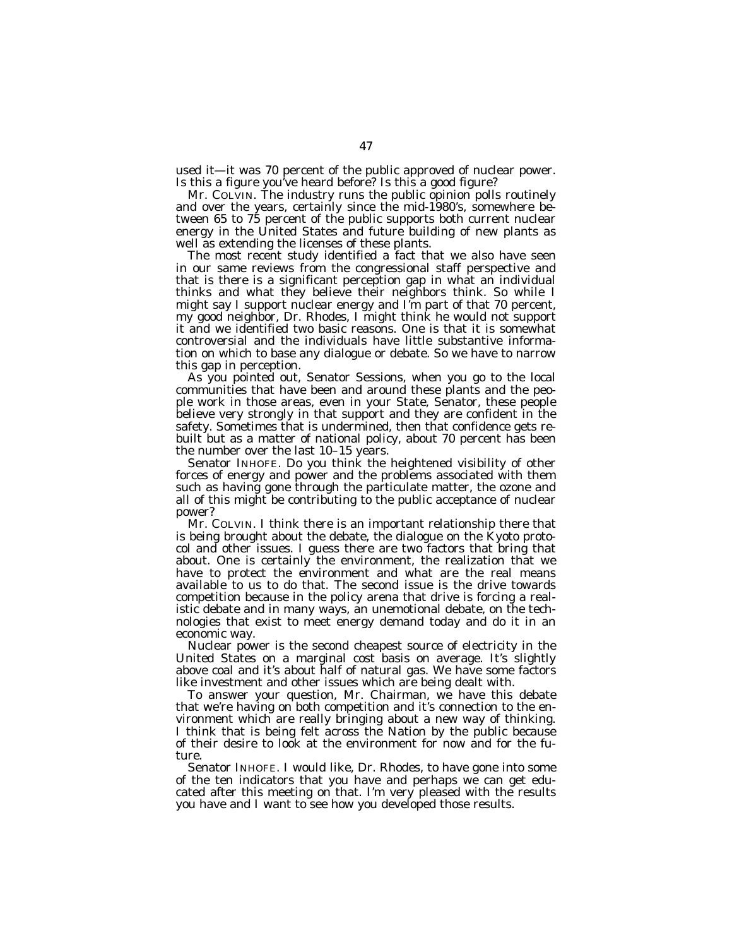used it—it was 70 percent of the public approved of nuclear power. Is this a figure you've heard before? Is this a good figure?

Mr. COLVIN. The industry runs the public opinion polls routinely and over the years, certainly since the mid-1980's, somewhere between 65 to 75 percent of the public supports both current nuclear energy in the United States and future building of new plants as well as extending the licenses of these plants.

The most recent study identified a fact that we also have seen in our same reviews from the congressional staff perspective and that is there is a significant perception gap in what an individual thinks and what they believe their neighbors think. So while I might say I support nuclear energy and I'm part of that 70 percent, my good neighbor, Dr. Rhodes, I might think he would not support it and we identified two basic reasons. One is that it is somewhat controversial and the individuals have little substantive information on which to base any dialogue or debate. So we have to narrow this gap in perception.

As you pointed out, Senator Sessions, when you go to the local communities that have been and around these plants and the people work in those areas, even in your State, Senator, these people believe very strongly in that support and they are confident in the safety. Sometimes that is undermined, then that confidence gets rebuilt but as a matter of national policy, about 70 percent has been the number over the last 10–15 years.

Senator INHOFE. Do you think the heightened visibility of other forces of energy and power and the problems associated with them such as having gone through the particulate matter, the ozone and all of this might be contributing to the public acceptance of nuclear power?

Mr. COLVIN. I think there is an important relationship there that is being brought about the debate, the dialogue on the Kyoto protocol and other issues. I guess there are two factors that bring that about. One is certainly the environment, the realization that we have to protect the environment and what are the real means available to us to do that. The second issue is the drive towards competition because in the policy arena that drive is forcing a realistic debate and in many ways, an unemotional debate, on the technologies that exist to meet energy demand today and do it in an economic way.

Nuclear power is the second cheapest source of electricity in the United States on a marginal cost basis on average. It's slightly above coal and it's about half of natural gas. We have some factors like investment and other issues which are being dealt with.

To answer your question, Mr. Chairman, we have this debate that we're having on both competition and it's connection to the environment which are really bringing about a new way of thinking. I think that is being felt across the Nation by the public because of their desire to look at the environment for now and for the future.

Senator INHOFE. I would like, Dr. Rhodes, to have gone into some of the ten indicators that you have and perhaps we can get educated after this meeting on that. I'm very pleased with the results you have and I want to see how you developed those results.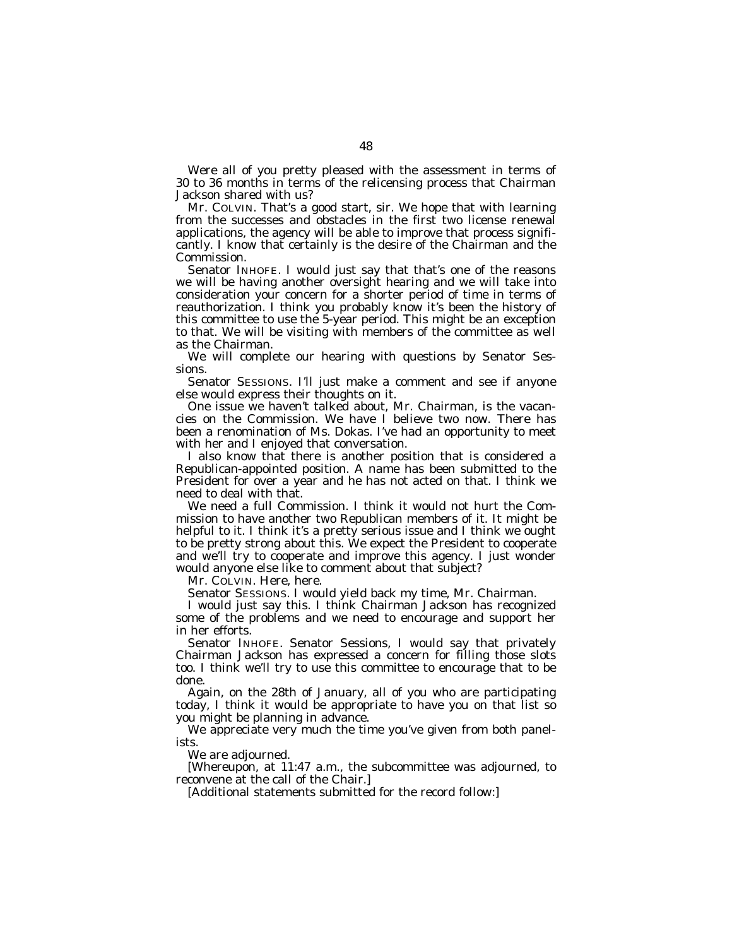Were all of you pretty pleased with the assessment in terms of 30 to 36 months in terms of the relicensing process that Chairman Jackson shared with us?

Mr. COLVIN. That's a good start, sir. We hope that with learning from the successes and obstacles in the first two license renewal applications, the agency will be able to improve that process significantly. I know that certainly is the desire of the Chairman and the Commission.

Senator INHOFE. I would just say that that's one of the reasons we will be having another oversight hearing and we will take into consideration your concern for a shorter period of time in terms of reauthorization. I think you probably know it's been the history of this committee to use the 5-year period. This might be an exception to that. We will be visiting with members of the committee as well as the Chairman.

We will complete our hearing with questions by Senator Sessions.

Senator SESSIONS. I'll just make a comment and see if anyone else would express their thoughts on it.

One issue we haven't talked about, Mr. Chairman, is the vacancies on the Commission. We have I believe two now. There has been a renomination of Ms. Dokas. I've had an opportunity to meet with her and I enjoyed that conversation.

I also know that there is another position that is considered a Republican-appointed position. A name has been submitted to the President for over a year and he has not acted on that. I think we need to deal with that.

We need a full Commission. I think it would not hurt the Commission to have another two Republican members of it. It might be helpful to it. I think it's a pretty serious issue and I think we ought to be pretty strong about this. We expect the President to cooperate and we'll try to cooperate and improve this agency. I just wonder would anyone else like to comment about that subject?

Mr. COLVIN. Here, here.

Senator SESSIONS. I would yield back my time, Mr. Chairman.

I would just say this. I think Chairman Jackson has recognized some of the problems and we need to encourage and support her in her efforts.

Senator INHOFE. Senator Sessions, I would say that privately Chairman Jackson has expressed a concern for filling those slots too. I think we'll try to use this committee to encourage that to be done.

Again, on the 28th of January, all of you who are participating today, I think it would be appropriate to have you on that list so you might be planning in advance.

We appreciate very much the time you've given from both panelists.

We are adjourned.

[Whereupon, at 11:47 a.m., the subcommittee was adjourned, to reconvene at the call of the Chair.]

[Additional statements submitted for the record follow:]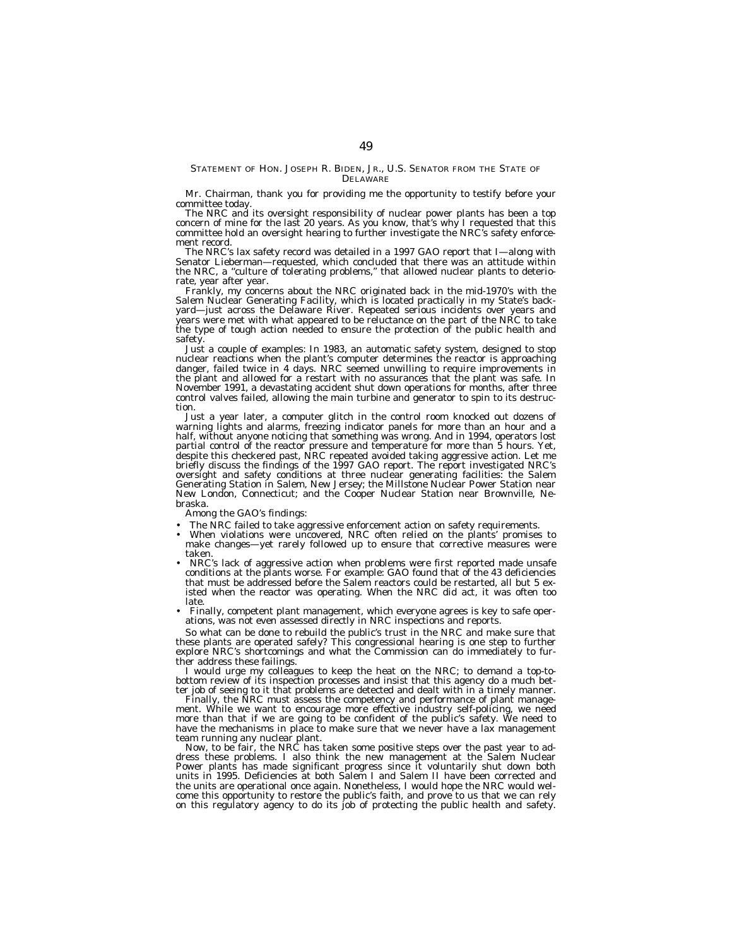## STATEMENT OF HON. JOSEPH R. BIDEN, JR., U.S. SENATOR FROM THE STATE OF DELAWARE

Mr. Chairman, thank you for providing me the opportunity to testify before your committee today.

The NRC and its oversight responsibility of nuclear power plants has been a top concern of mine for the last 20 years. As you know, that's why I requested that this committee hold an oversight hearing to further investigate the NRC's safety enforcement record.

The NRC's lax safety record was detailed in a 1997 GAO report that I—along with Senator Lieberman—requested, which concluded that there was an attitude within the NRC, a ''culture of tolerating problems,'' that allowed nuclear plants to deteriorate, year after year.

Frankly, my concerns about the NRC originated back in the mid-1970's with the Salem Nuclear Generating Facility, which is located practically in my State's backyard—just across the Delaware River. Repeated serious incidents over years and years were met with what appeared to be reluctance on the part of the NRC to take the type of tough action needed to ensure the protection of the public health and safety.

Just a couple of examples: In 1983, an automatic safety system, designed to stop nuclear reactions when the plant's computer determines the reactor is approaching danger, failed twice in 4 days. NRC seemed unwilling to require improvements in the plant and allowed for a restart with no assurances that the plant was safe. In November 1991, a devastating accident shut down operations for months, after three control valves failed, allowing the main turbine and generator to spin to its destruction.

Just a year later, a computer glitch in the control room knocked out dozens of warning lights and alarms, freezing indicator panels for more than an hour and a half, without anyone noticing that something was wrong. And in 1994, operators lost partial control of the reactor pressure and temperature for more than 5 hours. Yet, despite this checkered past, NRC repeated avoided taking aggressive action. Let me briefly discuss the findings of the 1997 GAO report. The report investigated NRC's oversight and safety conditions at three nuclear generating facilities: the Salem Generating Station in Salem, New Jersey; the Millstone Nuclear Power Station near New London, Connecticut; and the Cooper Nuclear Station near Brownville, Nebraska.

Among the GAO's findings:

- The NRC failed to take aggressive enforcement action on safety requirements.
- When violations were uncovered, NRC often relied on the plants' promises to make changes—yet rarely followed up to ensure that corrective measures were taken.
- NRC's lack of aggressive action when problems were first reported made unsafe conditions at the plants worse. For example: GAO found that of the 43 deficiencies that must be addressed before the Salem reactors could be restarted, all but 5 existed when the reactor was operating. When the NRC did act, it was often too late.
- Finally, competent plant management, which everyone agrees is key to safe operations, was not even assessed directly in NRC inspections and reports.

So what can be done to rebuild the public's trust in the NRC and make sure that these plants are operated safely? This congressional hearing is one step to further explore NRC's shortcomings and what the Commission can do immediately to further address these failings.

I would urge my colleagues to keep the heat on the NRC; to demand a top-tobottom review of its inspection processes and insist that this agency do a much better job of seeing to it that problems are detected and dealt with in a timely manner.

Finally, the NRC must assess the competency and performance of plant management. While we want to encourage more effective industry self-policing, we need more than that if we are going to be confident of the public's safety. We need to have the mechanisms in place to make sure that we never have a lax management team running any nuclear plant.

Now, to be fair, the NRC has taken some positive steps over the past year to address these problems. I also think the new management at the Salem Nuclear Power plants has made significant progress since it voluntarily shut down both units in 1995. Deficiencies at both Salem I and Salem II have been corrected and the units are operational once again. Nonetheless, I would hope the NRC would welcome this opportunity to restore the public's faith, and prove to us that we can rely on this regulatory agency to do its job of protecting the public health and safety.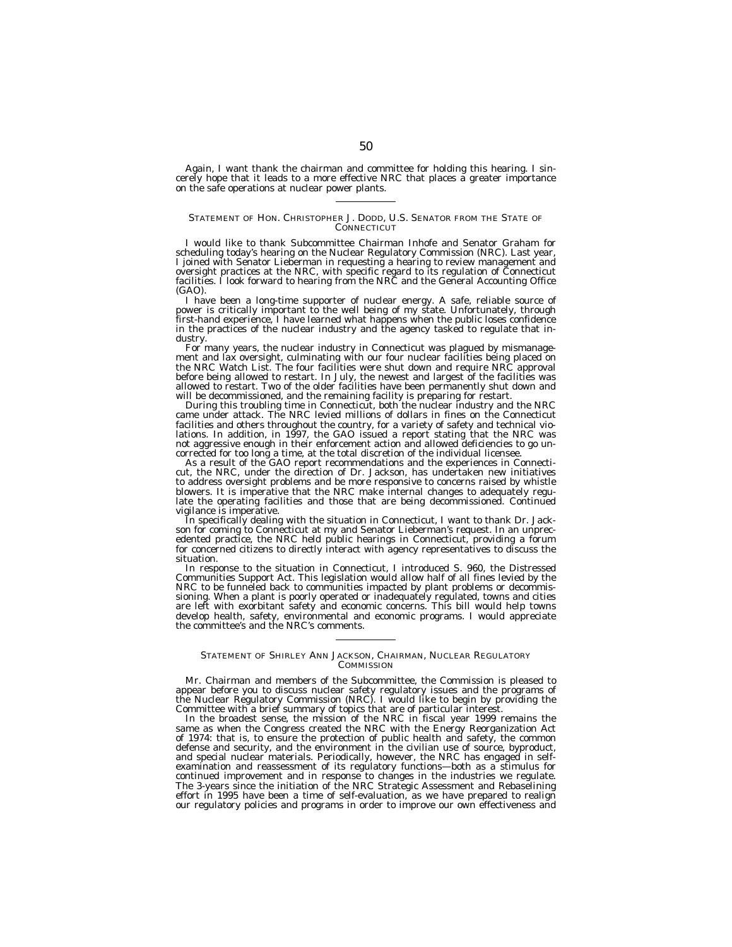Again, I want thank the chairman and committee for holding this hearing. I sincerely hope that it leads to a more effective NRC that places a greater importance on the safe operations at nuclear power plants.

## STATEMENT OF HON. CHRISTOPHER J. DODD, U.S. SENATOR FROM THE STATE OF **CONNECTICUT**

I would like to thank Subcommittee Chairman Inhofe and Senator Graham for scheduling today's hearing on the Nuclear Regulatory Commission (NRC). Last year, I joined with Senator Lieberman in requesting a hearing to review management and oversight practices at the NRC, with specific regard to its regulation of Connecticut facilities. I look forward to hearing from the NRC and the General Accounting Office (GAO).

I have been a long-time supporter of nuclear energy. A safe, reliable source of power is critically important to the well being of my state. Unfortunately, through first-hand experience, I have learned what happens when the public loses confidence in the practices of the nuclear industry and the agency tasked to regulate that industry.

For many years, the nuclear industry in Connecticut was plagued by mismanagement and lax oversight, culminating with our four nuclear facilities being placed on the NRC Watch List. The four facilities were shut down and require NRC approval before being allowed to restart. In July, the newest and largest of the facilities was allowed to restart. Two of the older facilities have been permanently shut down and will be decommissioned, and the remaining facility is preparing for restart

During this troubling time in Connecticut, both the nuclear industry and the NRC came under attack. The NRC levied millions of dollars in fines on the Connecticut facilities and others throughout the country, for a variety of safety and technical violations. In addition, in 1997, the GAO issued a report stating that the NRC was not aggressive enough in their enforcement action and allowed deficiencies to go uncorrected for too long a time, at the total discretion of the individual licensee.

As a result of the GAO report recommendations and the experiences in Connecticut, the NRC, under the direction of Dr. Jackson, has undertaken new initiatives to address oversight problems and be more responsive to concerns raised by whistle blowers. It is imperative that the NRC make internal changes to adequately regulate the operating facilities and those that are being decommissioned. Continued vigilance is imperative.

In specifically dealing with the situation in Connecticut, I want to thank Dr. Jackson for coming to Connecticut at my and Senator Lieberman's request. In an unprecedented practice, the NRC held public hearings in Connecticut, providing a forum for concerned citizens to directly interact with agency representatives to discuss the situation.

In response to the situation in Connecticut, I introduced S. 960, the Distressed Communities Support Act. This legislation would allow half of all fines levied by the NRC to be funneled back to communities impacted by plant problems or decommissioning. When a plant is poorly operated or inadequately regulated, towns and cities are left with exorbitant safety and economic concerns. This bill would help towns develop health, safety, environmental and economic programs. I would appreciate the committee's and the NRC's comments.

#### STATEMENT OF SHIRLEY ANN JACKSON, CHAIRMAN, NUCLEAR REGULATORY **COMMISSION**

Mr. Chairman and members of the Subcommittee, the Commission is pleased to appear before you to discuss nuclear safety regulatory issues and the programs of the Nuclear Regulatory Commission (NRC). I would like to begin by providing the Committee with a brief summary of topics that are of particular interest.

In the broadest sense, the mission of the NRC in fiscal year 1999 remains the same as when the Congress created the NRC with the Energy Reorganization Act of 1974: that is, to ensure the protection of public health and safety, the common defense and security, and the environment in the civilian use of source, byproduct, and special nuclear materials. Periodically, however, the NRC has engaged in selfexamination and reassessment of its regulatory functions—both as a stimulus for continued improvement and in response to changes in the industries we regulate. The 3-years since the initiation of the NRC Strategic Assessment and Rebaselining effort in 1995 have been a time of self-evaluation, as we have prepared to realign our regulatory policies and programs in order to improve our own effectiveness and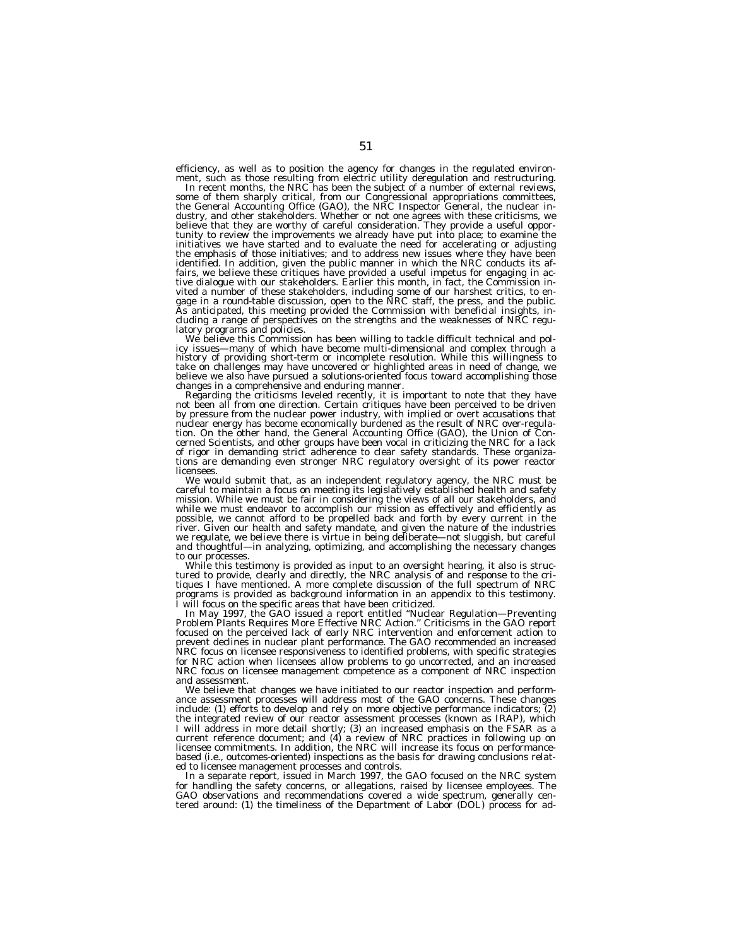efficiency, as well as to position the agency for changes in the regulated environment, such as those resulting from electric utility deregulation and restructuring.<br>In recent months, the NRC has been the subject of a number of external reviews,

some of them sharply critical, from our Congressional appropriations committees, the General Accounting Office (GAO), the NRC Inspector General, the nuclear industry, and other stakeholders. Whether or not one agrees with these criticisms, we believe that they are worthy of careful consideration. They provide a useful opportunity to review the improvements we already have put into place; to examine the initiatives we have started and to evaluate the need for accelerating or adjusting the emphasis of those initiatives; and to address new issues where they have been identified. In addition, given the public manner in which the NRC conducts its affairs, we believe these critiques have provided a useful impetus for engaging in ac-tive dialogue with our stakeholders. Earlier this month, in fact, the Commission invited a number of these stakeholders, including some of our harshest critics, to en-<br>gage in a round-table discussion, open to the NRC staff, the press, and the public.<br>As anticipated, this meeting provided the Commission cluding a range of perspectives on the strengths and the weaknesses of NRC regulatory programs and policies.

latory programs and policies.<br>We believe this Commission has been willing to tackle difficult technical and pol-<br>icy issues—many of which have become multi-dimensional and complex through a<br>history of providing short-term take on challenges may have uncovered or highlighted areas in need of change, we believe we also have pursued a solutions-oriented focus toward accomplishing those changes in a comprehensive and enduring manner.

Regarding the criticisms leveled recently, it is important to note that they have not been all from one direction. Certain critiques have been perceived to be driven by pressure from the nuclear power industry, with implied or overt accusations that<br>nuclear energy has become economically burdened as the result of NRC over-regula-<br>tion. On the other hand, the General Accounting Office ( cerned Scientists, and other groups have been vocal in criticizing the NRC for a lack of rigor in demanding strict adherence to clear safety standards. These organizations are demanding even stronger NRC regulatory oversight of its power reactor licensees.

We would submit that, as an independent regulatory agency, the NRC must be careful to maintain a focus on meeting its legislatively established health and safety mission. While we must be fair in considering the views of all our stakeholders, and while we must endeavor to accomplish our mission as effectively and efficiently as possible, we cannot afford to be propelled back and forth by every current in the<br>river. Given our health and safety mandate, and given the nature of the industries<br>we regulate, we believe there is virtue in being delibera to our processes.

While this testimony is provided as input to an oversight hearing, it also is structured to provide, clearly and directly, the NRC analysis of and response to the critiques I have mentioned. A more complete discussion of the full spectrum of NRC programs is provided as background information in an appendix to this testimony. I will focus on the specific areas that have been criticized.

In May 1997, the GAO issued a report entitled ''Nuclear Regulation—Preventing Problem Plants Requires More Effective NRC Action.'' Criticisms in the GAO report focused on the perceived lack of early NRC intervention and enforcement action to prevent declines in nuclear plant performance. The GAO recommended an increased NRC focus on licensee responsiveness to identified problems, with specific strategies for NRC action when licensees allow problems to go uncorrected, and an increased NRC focus on licensee management competence as a component of NRC inspection and assessment.

We believe that changes we have initiated to our reactor inspection and performance assessment processes will address most of the GAO concerns. These changes include: (1) efforts to develop and rely on more objective performance indicators; (2) the integrated review of our reactor assessment processes (known as IRAP), which I will address in more detail shortly; (3) an increased emphasis on the FSAR as a current reference document; and (4) a review of NRC practices in following up on licensee commitments. In addition, the NRC will increase its focus on performancebased (i.e., outcomes-oriented) inspections as the basis for drawing conclusions related to licensee management processes and controls.

In a separate report, issued in March 1997, the GAO focused on the NRC system for handling the safety concerns, or allegations, raised by licensee employees. The GAO observations and recommendations covered a wide spectrum, generally cen-tered around: (1) the timeliness of the Department of Labor (DOL) process for ad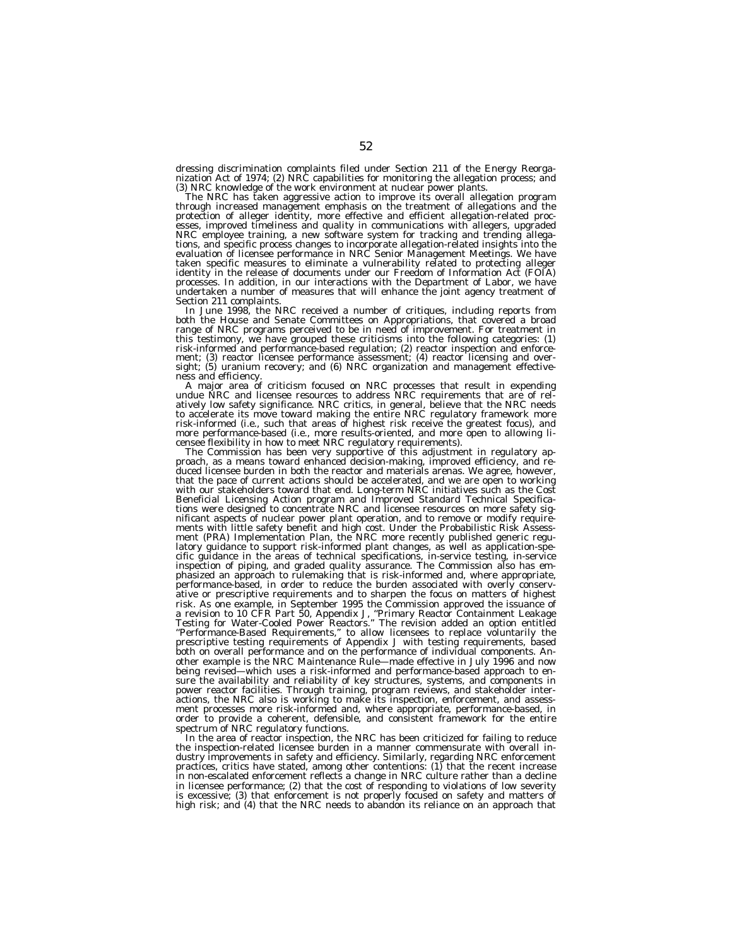dressing discrimination complaints filed under Section 211 of the Energy Reorganization Act of 1974; (2) NRC capabilities for monitoring the allegation process; and<br>(3) NRC knowledge of the work environment at nuclear power plants.

The NRC has taken aggressive action to improve its overall allegation program through increased management emphasis on the treatment of allegations and the protection of alleger identity, more effective and efficient allegation-related processes, improved timeliness and quality in communications with allegers, upgraded NRC employee training, a new software system for tracking and trending allegations, and specific process changes to incorporate allegation-related insights into the<br>evaluation of licensee performance in NRC Senior Management Meetings. We have<br>taken specific measures to eliminate a vulnerability rel identity in the release of documents under our Freedom of Information Act (FOIA) processes. In addition, in our interactions with the Department of Labor, we have undertaken a number of measures that will enhance the joint agency treatment of

Section 211 complaints.<br>In June 1998, the NRC received a number of critiques, including reports from both the House and Senate Committees on Appropriations, that covered a broad range of NRC programs perceived to be in need of improvement. For treatment in this testimony, we have grouped these criticisms into the following categories: (1) risk-informed and performance-based regulation; (2) reactor inspection and enforcement; (3) reactor licensee performance assessment; (4) reactor licensing and oversight; (5) uranium recovery; and (6) NRC organization and management effective-

ness and efficiency.<br>
A major area of criticism focused on NRC processes that result in expending<br>
undue NRC and licensee resources to address NRC requirements that are of rel-<br>
undue NRC and licensee resources to address

proach, as a means toward enhanced decision-making, improved efficiency, and reduced licensee burden in both the reactor and materials arenas. We agree, however, that the pace of current actions should be accelerated, and we are open to working with our stakeholders toward that end. Long-term NRC initiatives such as the Cost Beneficial Licensing Action program and Improved Standard Technical Specifica-tions were designed to concentrate NRC and licensee resources on more safety significant aspects of nuclear power plant operation, and to remove or modify require-ments with little safety benefit and high cost. Under the Probabilistic Risk Assessment (PRA) Implementation Plan, the NRC more recently published generic regu-latory guidance to support risk-informed plant changes, as well as application-specific guidance in the areas of technical specifications, in-service testing, in-service inspection of piping, and graded quality assurance. The Commission also has emphasized an approach to rulemaking that is risk-informed and, where appropriate, performance-based, in order to reduce the burden associated with overly conservative or prescriptive requirements and to sharpen the focus on matters of highest risk. As one example, in September 1995 the Commission approved the issuance of a revision to 10 CFR Part 50, Appendix J, ''Primary Reactor Containment Leakage Testing for Water-Cooled Power Reactors.'' The revision added an option entitled ''Performance-Based Requirements,'' to allow licensees to replace voluntarily the prescriptive testing requirements of Appendix J with testing requirements, based both on overall performance and on the performance of individual components. Another example is the NRC Maintenance Rule—made effective in July 1996 and now being revised—which uses a risk-informed and performance-based approach to ensure the availability and reliability of key structures, systems, and components in power reactor facilities. Through training, program reviews, and stakeholder interactions, the NRC also is working to make its inspection, enforcement, and assessment processes more risk-informed and, where appropriate, performance-based, in order to provide a coherent, defensible, and consistent framework for the entire spectrum of NRC regulatory functions.

In the area of reactor inspection, the NRC has been criticized for failing to reduce the inspection-related licensee burden in a manner commensurate with overall industry improvements in safety and efficiency. Similarly, regarding NRC enforcement practices, critics have stated, among other contentions: (1) that the recent increase in non-escalated enforcement reflects a change in NRC culture rather than a decline in licensee performance; (2) that the cost of responding to violations of low severity is excessive; (3) that enforcement is not properly focused on safety and matters of high risk; and (4) that the NRC needs to abandon its reliance on an approach that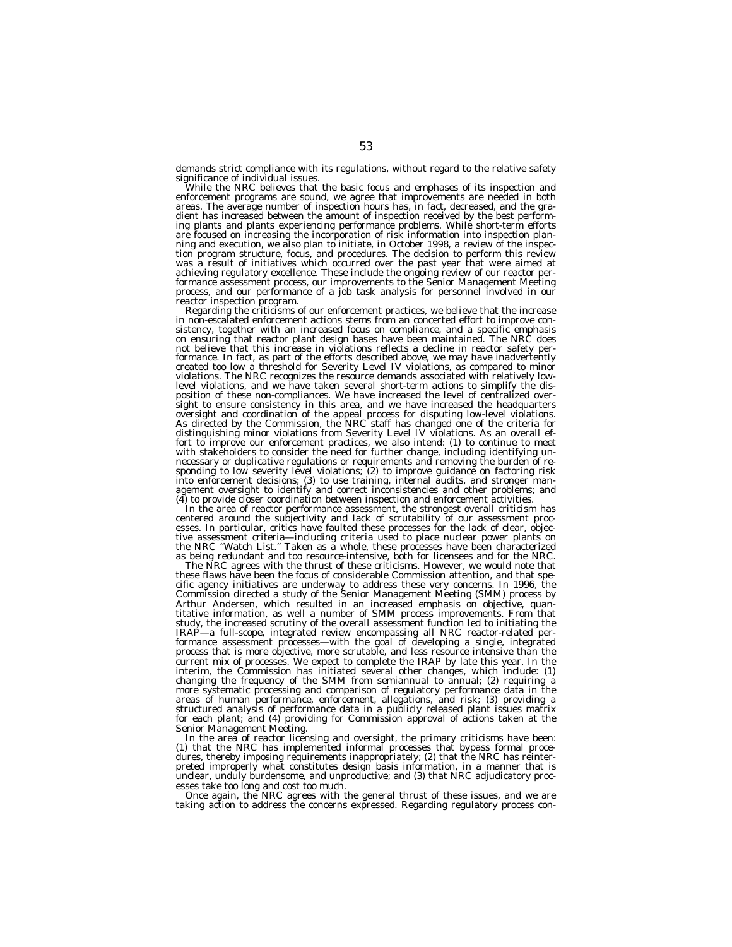demands strict compliance with its regulations, without regard to the relative safety significance of individual issues.

While the NRC believes that the basic focus and emphases of its inspection and enforcement programs are sound, we agree that improvements are needed in both areas. The average number of inspection hours has, in fact, decreased, and the gradient has increased between the amount of inspection received by the best performing plants and plants experiencing performance problems. While short-term efforts<br>are focused on increasing the incorporation of risk information into inspection plan-<br>ning and execution, we also plan to initiate, in Octob tion program structure, focus, and procedures. The decision to perform this review was a result of initiatives which occurred over the past year that were aimed at achieving regulatory excellence. These include the ongoing review of our reactor performance assessment process, our improvements to the Senior Management Meeting process, and our performance of a job task analysis for personnel involved in our

Regarding the criticisms of our enforcement practices, we believe that the increase in non-escalated enforcement actions stems from an concerted effort to improve consistency, together with an increased focus on compliance, and a specific emphasis on ensuring that reactor plant design bases have been maintained. The NRC does not believe that this increase in violations reflects a decline in reactor safety performance. In fact, as part of the efforts described above, we may have inadvertently created too low a threshold for Severity Level IV violations, as compared to minor violations. The NRC recognizes the resource demands associated with relatively lowlevel violations, and we have taken several short-term actions to simplify the disposition of these non-compliances. We have increased the level of centralized oversight to ensure consistency in this area, and we have increased the headquarters<br>oversight and coordination of the appeal process for disputing low-level violations.<br>As directed by the Commission, the NRC staff has changed fort to improve our enforcement practices, we also intend: (1) to continue to meet<br>with stakeholders to consider the need for further change, including identifying unnecessary or duplicative regulations or requirements and removing the burden of re-sponding to low severity level violations; (2) to improve guidance on factoring risk into enforcement decisions; (3) to use training, internal audits, and stronger man-agement oversight to identify and correct inconsistencies and other problems; and

(4) to provide closer coordination between inspection and enforcement activities.<br>In the area of reactor performance assessment, the strongest overall criticism has In the area of reactor performance assessment, the strongest overall criticism has<br>centered around the subjectivity and lack of scrutability of our assessment proc-<br>esses. In particular, critics have faulted these processe tive assessment criteria—including criteria used to place nuclear power plants on the NRC ''Watch List.'' Taken as a whole, these processes have been characterized as being redundant and too resource-intensive, both for licensees and for the NRC.

The NRC agrees with the thrust of these criticisms. However, we would note that these flaws have been the focus of considerable Commission attention, and that specific agency initiatives are underway to address these very concerns. In 1996, the Commission directed a study of the Senior Management Meeting (SMM) process by Arthur Andersen, which resulted in an increased emphasis on objective, quantitative information, as well a number of SMM process improvements. From that study, the increased scrutiny of the overall assessment function led to initiating the IRAP—a full-scope, integrated review encompassing all NRC reactor-related performance assessment processes—with the goal of developing a single, integrated process that is more objective, more scrutable, and less resource intensive than the current mix of processes. We expect to complete the IRAP by late this year. In the interim, the Commission has initiated several other changes, which include: (1) changing the frequency of the SMM from semiannual to annual; (2) requiring a more systematic processing and comparison of regulatory performance data in the areas of human performance, enforcement, allegations, and risk; (3) providing a structured analysis of performance data in a publicly released plant issues matrix for each plant; and (4) providing for Commission approval of actions taken at the Senior Management Meeting.

In the area of reactor licensing and oversight, the primary criticisms have been: (1) that the NRC has implemented informal processes that bypass formal procedures, thereby imposing requirements inappropriately; (2) that the NRC has reinterpreted improperly what constitutes design basis information, in a manner that is unclear, unduly burdensome, and unproductive; and (3) that NRC adjudicatory processes take too long and cost too much.

Once again, the NRC agrees with the general thrust of these issues, and we are taking action to address the concerns expressed. Regarding regulatory process con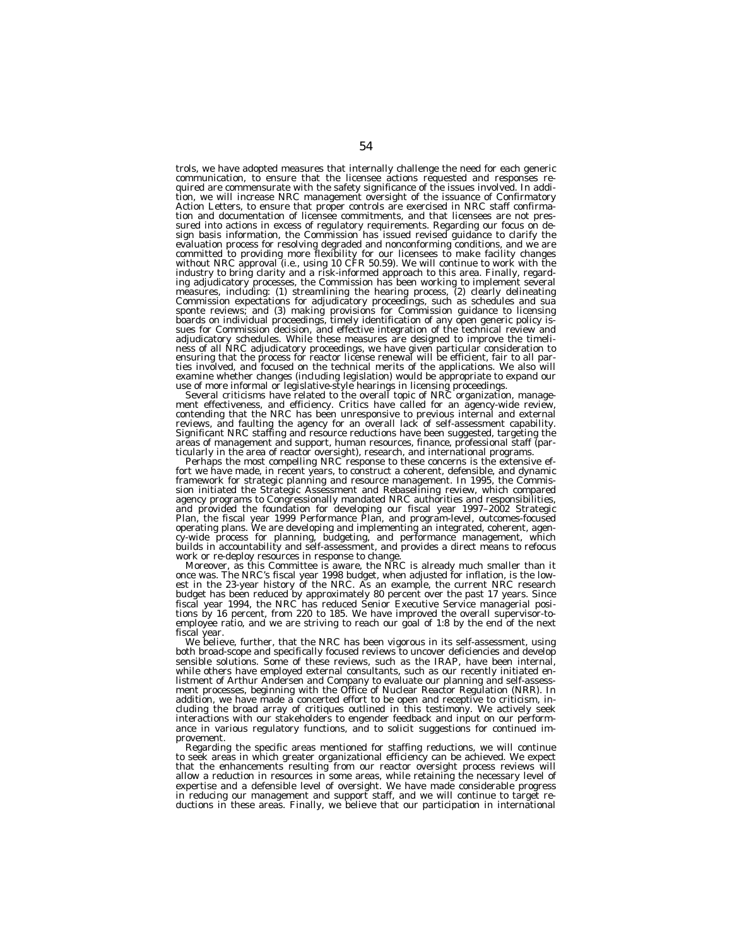trols, we have adopted measures that internally challenge the need for each generic communication, to ensure that the licensee actions requested and responses required are commensurate with the safety significance of the issues involved. In addition, we will increase NRC management oversight of the issuance of Confirmatory Action Letters, to ensure that proper controls are exercised in NRC staff confirmation and documentation of licensee commitments, and that licensees are not pressured into actions in excess of regulatory requirements. Regarding our focus on design basis information, the Commission has issued revised guidance to clarify the evaluation process for resolving degraded and nonconforming conditions, and we are committed to providing more flexibility for our licensees to make facility changes without NRC approval (i.e., using 10 CFR 50.59). We will continue to work with the industry to bring clarity and a risk-informed approach to this area. Finally, regard-<br>ing adjudicatory processes, the Commission has been working to implement several<br>measures, including: (1) streamlining the hearing proce sponte reviews; and (3) making provisions for Commission guidance to licensing<br>boards on individual proceedings, timely identification of any open generic policy is-<br>sues for Commission decision, and effective integration adjudicatory schedules. While these measures are designed to improve the timeliness of all NRC adjudicatory proceedings, we have given particular consideration to<br>ensuring that the process for reactor license renewal will be efficient, fair to all par-<br>ties involved, and focused on the technical meri

examine whether changes (including legislation) would be appropriate to expand our<br>use of more informal or legislative-style hearings in licensing proceedings.<br>Several criticisms have related to the overall topic of NRC or areas of management and support, human resources, finance, professional staff (par-<br>ticularly in the area of reactor oversight), research, and international programs.

Perhaps the most compelling NRC response to these concerns is the extensive ef-<br>fort we have made, in recent years, to construct a coherent, defensible, and dynamic framework for strategic planning and resource management. In 1995, the Commis-sion initiated the Strategic Assessment and Rebaselining review, which compared agency programs to Congressionally mandated NRC authorities and responsibilities, and provided the foundation for developing our fiscal year 1997–2002 Strategic Plan, the fiscal year 1999 Performance Plan, and program-level, outcomes-focused operating plans. We are developing and implementing an integrated, coherent, agency-wide process for planning, budgeting, and performance management, which builds in accountability and self-assessment, and provides a direct means to refocus work or re-deploy resources in response to change.

Moreover, as this Committee is aware, the NRC is already much smaller than it once was. The NRC's fiscal year 1998 budget, when adjusted for inflation, is the lowest in the 23-year history of the NRC. As an example, the current NRC research budget has been reduced by approximately 80 percent over the past 17 years. Since fiscal year 1994, the NRC has reduced Senior Executive Service managerial positions by 16 percent, from 220 to 185. We have improved the overall supervisor-toemployee ratio, and we are striving to reach our goal of 1:8 by the end of the next fiscal year.

We believe, further, that the NRC has been vigorous in its self-assessment, using both broad-scope and specifically focused reviews to uncover deficiencies and develop sensible solutions. Some of these reviews, such as the IRAP, have been internal, while others have employed external consultants, such as our recently initiated enlistment of Arthur Andersen and Company to evaluate our planning and self-assessment processes, beginning with the Office of Nuclear Reactor Regulation (NRR). In addition, we have made a concerted effort to be open and receptive to criticism, including the broad array of critiques outlined in this testimony. We actively seek interactions with our stakeholders to engender feedback and input on our performance in various regulatory functions, and to solicit suggestions for continued improvement.

Regarding the specific areas mentioned for staffing reductions, we will continue to seek areas in which greater organizational efficiency can be achieved. We expect that the enhancements resulting from our reactor oversight process reviews will allow a reduction in resources in some areas, while retaining the necessary level of expertise and a defensible level of oversight. We have made considerable progress in reducing our management and support staff, and we will continue to target re-ductions in these areas. Finally, we believe that our participation in international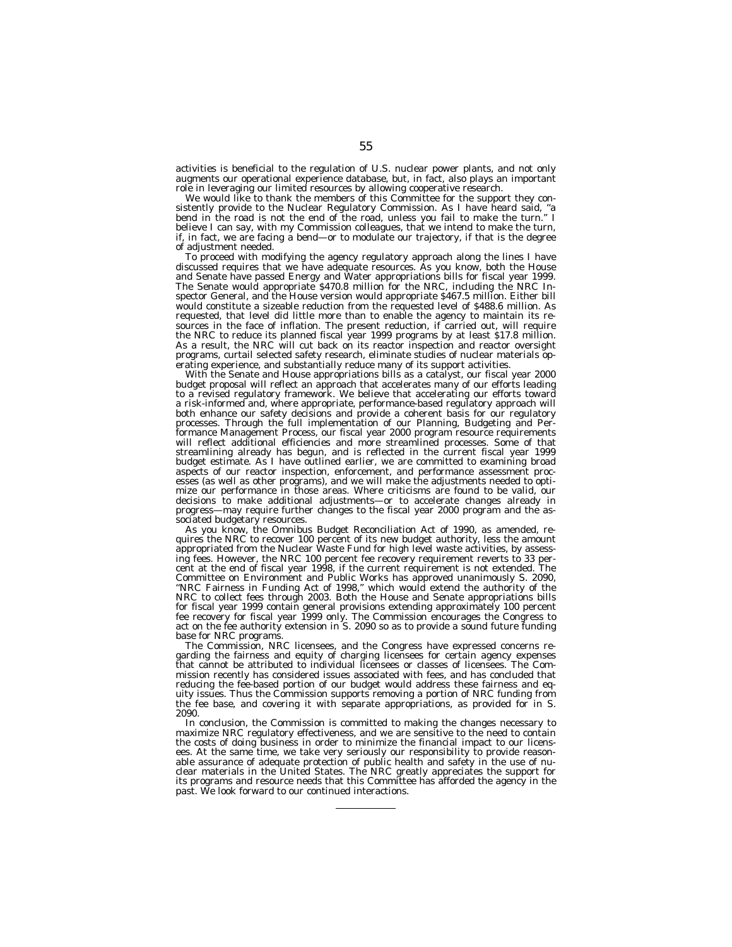activities is beneficial to the regulation of U.S. nuclear power plants, and not only augments our operational experience database, but, in fact, also plays an important role in leveraging our limited resources by allowing cooperative research.

We would like to thank the members of this Committee for the support they consistently provide to the Nuclear Regulatory Commission. As I have heard said, ''a bend in the road is not the end of the road, unless you fail to make the turn.'' I believe I can say, with my Commission colleagues, that we intend to make the turn, if, in fact, we are facing a bend—or to modulate our trajectory, if that is the degree of adjustment needed.

To proceed with modifying the agency regulatory approach along the lines I have discussed requires that we have adequate resources. As you know, both the House and Senate have passed Energy and Water appropriations bills for fiscal year 1999. The Senate would appropriate \$470.8 million for the NRC, including the NRC Inspector General, and the House version would appropriate \$467.5 million. Either bill would constitute a sizeable reduction from the requested level of \$488.6 million. As requested, that level did little more than to enable the agency to maintain its resources in the face of inflation. The present reduction, if carried out, will require the NRC to reduce its planned fiscal year 1999 programs by at least \$17.8 million. As a result, the NRC will cut back on its reactor inspection and reactor oversight programs, curtail selected safety research, eliminate studies of nuclear materials operating experience, and substantially reduce many of its support activities.

With the Senate and House appropriations bills as a catalyst, our fiscal year 2000 budget proposal will reflect an approach that accelerates many of our efforts leading to a revised regulatory framework. We believe that accelerating our efforts toward a risk-informed and, where appropriate, performance-based regulatory approach will both enhance our safety decisions and provide a coherent basis for our regulatory processes. Through the full implementation of our Planning, Budgeting and Performance Management Process, our fiscal year 2000 program resource requirements will reflect additional efficiencies and more streamlined processes. Some of that streamlining already has begun, and is reflected in the current fiscal year 1999 budget estimate. As I have outlined earlier, we are committed to examining broad aspects of our reactor inspection, enforcement, and performance assessment processes (as well as other programs), and we will make the adjustments needed to optimize our performance in those areas. Where criticisms are found to be valid, our decisions to make additional adjustments—or to accelerate changes already in progress—may require further changes to the fiscal year 2000 program and the associated budgetary resources.

As you know, the Omnibus Budget Reconciliation Act of 1990, as amended, requires the NRC to recover 100 percent of its new budget authority, less the amount appropriated from the Nuclear Waste Fund for high level waste activities, by assessing fees. However, the NRC 100 percent fee recovery requirement reverts to 33 percent at the end of fiscal year 1998, if the current requirement is not extended. The Committee on Environment and Public Works has approved unanimously S. 2090, ''NRC Fairness in Funding Act of 1998,'' which would extend the authority of the NRC to collect fees through 2003. Both the House and Senate appropriations bills for fiscal year 1999 contain general provisions extending approximately 100 percent fee recovery for fiscal year 1999 only. The Commission encourages the Congress to act on the fee authority extension in S. 2090 so as to provide a sound future funding base for NRC programs.

The Commission, NRC licensees, and the Congress have expressed concerns regarding the fairness and equity of charging licensees for certain agency expenses that cannot be attributed to individual licensees or classes of licensees. The Commission recently has considered issues associated with fees, and has concluded that reducing the fee-based portion of our budget would address these fairness and equity issues. Thus the Commission supports removing a portion of NRC funding from the fee base, and covering it with separate appropriations, as provided for in S. 2090.

In conclusion, the Commission is committed to making the changes necessary to maximize NRC regulatory effectiveness, and we are sensitive to the need to contain the costs of doing business in order to minimize the financial impact to our licensees. At the same time, we take very seriously our responsibility to provide reasonable assurance of adequate protection of public health and safety in the use of nuclear materials in the United States. The NRC greatly appreciates the support for its programs and resource needs that this Committee has afforded the agency in the past. We look forward to our continued interactions.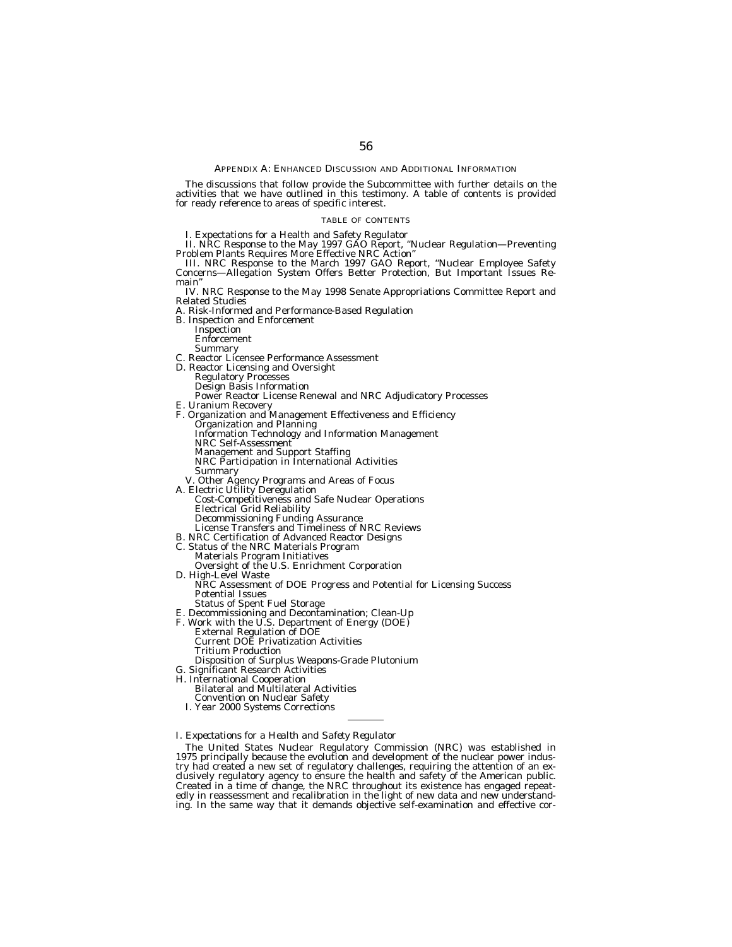#### APPENDIX A: ENHANCED DISCUSSION AND ADDITIONAL INFORMATION

The discussions that follow provide the Subcommittee with further details on the activities that we have outlined in this testimony. A table of contents is provided for ready reference to areas of specific interest.

#### TABLE OF CONTENTS

I. Expectations for a Health and Safety Regulator

II. NRC Response to the May 1997 GAO Report, ''Nuclear Regulation—Preventing Problem Plants Requires More Effective NRC Action''

III. NRC Response to the March 1997 GAO Report, ''Nuclear Employee Safety Concerns—Allegation System Offers Better Protection, But Important Issues Remain''

IV. NRC Response to the May 1998 Senate Appropriations Committee Report and Related Studies

- A. Risk-Informed and Performance-Based Regulation
- B. Inspection and Enforcement
	- Inspection Enforcement

- Summary C. Reactor Licensee Performance Assessment
- D. Reactor Licensing and Oversight Regulatory Processes
	-
	- Design Basis Information
	- Power Reactor License Renewal and NRC Adjudicatory Processes
- 
- E. Uranium Recovery F. Organization and Management Effectiveness and Efficiency Organization and Planning Information and Planning<br>Information Technology and Information Management NRC Self-Assessment Management and Support Staffing NRC Participation in International Activities<br>Summarv
- 
- V. Other Agency Programs and Areas of Focus<br>A. Electric Utility Deregulation
	- **Example Transformation**<br>Cost-Competitiveness and Safe Nuclear Operations<br>Electrical Grid Reliability Decommissioning Funding Assurance
	- License Transfers and Timeliness of NRC Reviews
- B. NRC Certification of Advanced Reactor Designs<br>C. Status of the NRC Materials Program
- C. Status of the NRC Materials Program Materials Program Initiatives
	-
- Oversight of the U.S. Enrichment Corporation D. High-Level Waste NRC Assessment of DOE Progress and Potential for Licensing Success ARC Assessment of DOE Progress and Potential for Licensing Success<br>Potential Issues<br>Status of Spent Fuel Storage
	-
- Status of Spent Fuel Storage E. Decommissioning and Decontamination; Clean-Up
- 
- F. Work with the U.S. Department of Energy (DOE) External Regulation of DOE Current DOE Privatization Activities Tritium Production
- Disposition of Surplus Weapons-Grade Plutonium
- Significant Research Activities
- H. International Cooperation
	- Bilateral and Multilateral Activities
	- Convention on Nuclear Safety
	- I. Year 2000 Systems Corrections
- *I. Expectations for a Health and Safety Regulator*

The United States Nuclear Regulatory Commission (NRC) was established in 1975 principally because the evolution and development of the nuclear power industry had created a new set of regulatory challenges, requiring the attention of an exclusively regulatory agency to ensure the health and safety of the American public. Created in a time of change, the NRC throughout its existence has engaged repeatedly in reassessment and recalibration in the light of new data and new understanding. In the same way that it demands objective self-examination and effective cor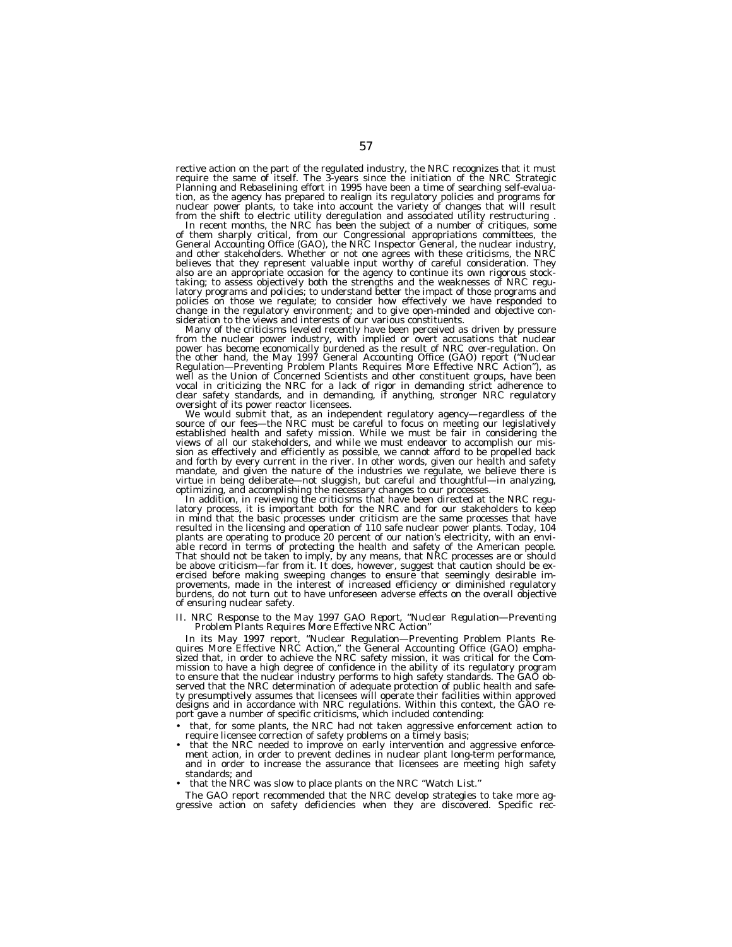rective action on the part of the regulated industry, the NRC recognizes that it must require the same of itself. The 3-years since the initiation of the NRC Strategic Planning and Rebaselining effort in 1995 have been a time of searching self-evaluation, as the agency has prepared to realign its regulatory policies and programs for nuclear power plants, to take into account the variety of changes that will result

from the shift to electric utility deregulation and associated utility restructuring .<br>In recent months, the NRC has been the subject of a number of critiques, some<br>of them sharply critical, from our Congressional appropri and other stakeholders. Whether or not one agrees with these criticisms, the NRC believes that they represent valuable input worthy of careful consideration. They also are an appropriate occasion for the agency to continue its own rigorous stock-taking; to assess objectively both the strengths and the weaknesses of NRC regulatory programs and policies; to understand better the impact of those programs and policies on those we regulate; to consider how effectively we have responded to change in the regulatory environment; and to give open-minded and objective consideration to the views and interests of our various constituents.

Many of the criticisms leveled recently have been perceived as driven by pressure from the nuclear power industry, with implied or overt accusations that nuclear power has become economically burdened as the result of NRC over-regulation. On<br>the other hand, the May 1997 General Accounting Office (GAO) report ("Nuclear<br>Regulation—Preventing Problem Plants Requires More Effective NRC well as the Union of Concerned Scientists and other constituent groups, have been vocal in criticizing the NRC for a lack of rigor in demanding strict adherence to clear safety standards, and in demanding, if anything, stronger NRC regulatory

oversight of its power reactor licensees.<br>We would submit that, as an independent regulatory agency—regardless of the<br>source of our fees—the NRC must be careful to focus on meeting our legislatively<br>established health and views of all our stakeholders, and while we must endeavor to accomplish our mission as effectively and efficiently as possible, we cannot afford to be propelled back and forth by every current in the river. In other words, given our health and safety mandate, and given the nature of the industries we regulate, we believe there is virtue in being deliberate—not sluggish, but careful and thoughtful—in analyzing,

In addition, in reviewing the criticisms that have been directed at the NRC regulatory process, it is important both for the NRC and for our stakeholders to keep in mind that the basic processes under criticism are the same processes that have resulted in the licensing and operation of 110 safe nuclear power plants. Today, 104 plants are operating to produce 20 percent of our nation's electricity, with an envi-<br>able record in terms of protecting the health and safety of the American people. That should not be taken to imply, by any means, that NRC processes are or should be above criticism—far from it. It does, however, suggest that caution should be exercised before making sweeping changes to ensure that seemingly desirable im-<br>provements, made in the interest of increased efficiency or diminished regulatory<br>burdens, do not turn out to have unforeseen adverse effects on of ensuring nuclear safety.

# *II. NRC Response to the May 1997 GAO Report, ''Nuclear Regulation—Preventing Problem Plants Requires More Effective NRC Action''*

In its May 1997 report, "Nuclear Regulation—Preventing Problem Plants Re-<br>quires More Effective NRC Action," the General Accounting Office (GAO) empha-<br>sized that, in order to achieve the NRC safety mission, it was critica mission to have a high degree of confidence in the ability of its regulatory program to ensure that the nuclear industry performs to high safety standards. The GAO observed that the NRC determination of adequate protection of public health and safety presumptively assumes that licensees will operate their facilities within approved designs and in accordance with NRC regulations. Within this context, the GAO report gave a number of specific criticisms, which included contending:

- that, for some plants, the NRC had not taken aggressive enforcement action to require licensee correction of safety problems on a timely basis;
- that the NRC needed to improve on early intervention and aggressive enforcement action, in order to prevent declines in nuclear plant long-term performance, and in order to increase the assurance that licensees are meeting high safety standards; and
- that the NRC was slow to place plants on the NRC ''Watch List.''

The GAO report recommended that the NRC develop strategies to take more aggressive action on safety deficiencies when they are discovered. Specific rec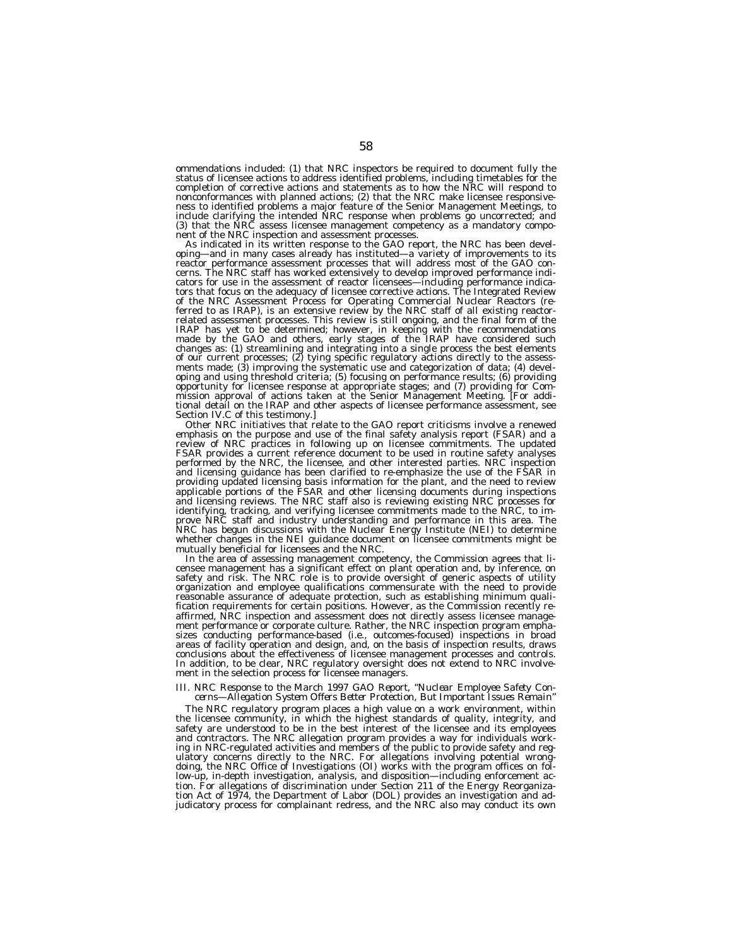ommendations included: (1) that NRC inspectors be required to document fully the status of licensee actions to address identified problems, including timetables for the completion of corrective actions and statements as to how the NRC will respond to nonconformances with planned actions; (2) that the NRC make licensee responsive-ness to identified problems a major feature of the Senior Management Meetings, to include clarifying the intended NRC response when problems go uncorrected; and (3) that the NRC assess licensee management competency as a mandatory component of the NRC inspection and assessment processes.

As indicated in its written response to the GAO report, the NRC has been developing—and in many cases already has instituted—a variety of improvements to its<br>reactor performance assessment processes that will address most of the GAO concerns. The NRC staff has worked extensively to develop improved performance indi-cators for use in the assessment of reactor licensees—including performance indicators that focus on the adequacy of licensee corrective actions. The Integrated Review of the NRC Assessment Process for Operating Commercial Nuclear Reactors (referred to as IRAP), is an extensive review by the NRC staff of all existing reactorrelated assessment processes. This review is still ongoing, and the final form of the IRAP has yet to be determined; however, in keeping with the recommendations<br>made by the GAO and others, early stages of the IRAP have considered such<br>changes as: (1) streamlining and integrating into a single process the b ments made; (3) improving the systematic use and categorization of data; (4) developing and using threshold criteria; (5) focusing on performance results; (6) providing opportunity for licensee response at appropriate stages; and (7) providing for Commission approval of actions taken at the Senior Management Meeting. [For additional detail on the IRAP and other aspects of licensee performance assessment, see Section IV.C of this testimony.]

Other NRC initiatives that relate to the GAO report criticisms involve a renewed emphasis on the purpose and use of the final safety analysis report (FSAR) and a review of NRC practices in following up on licensee commitments. The updated FSAR provides a current reference document to be used in routine safety analyses performed by the NRC, the licensee, and other interested parties. NRC inspection and licensing guidance has been clarified to re-emphasize the use of the FSAR in providing updated licensing basis information for the plant, and the need to review applicable portions of the FSAR and other licensing documents during inspections and licensing reviews. The NRC staff also is reviewing existing NRC processes for identifying, tracking, and verifying licensee commitments made to the NRC, to improve NRC staff and industry understanding and performance in this area. The NRC has begun discussions with the Nuclear Energy Institute (NEI) to determine whether changes in the NEI guidance document on licensee commitments might be mutually beneficial for licensees and the NRC.

In the area of assessing management competency, the Commission agrees that licensee management has a significant effect on plant operation and, by inference, on safety and risk. The NRC role is to provide oversight of generic aspects of utility organization and employee qualifications commensurate with the need to provide reasonable assurance of adequate protection, such as establishing minimum qualification requirements for certain positions. However, as the Commission recently reaffirmed, NRC inspection and assessment does not directly assess licensee management performance or corporate culture. Rather, the NRC inspection program emphasizes conducting performance-based (i.e., outcomes-focused) inspections in broad areas of facility operation and design, and, on the basis of inspection results, draws conclusions about the effectiveness of licensee management processes and controls. In addition, to be clear, NRC regulatory oversight does not extend to NRC involvement in the selection process for licensee managers.

#### *III. NRC Response to the March 1997 GAO Report, ''Nuclear Employee Safety Concerns—Allegation System Offers Better Protection, But Important Issues Remain''*

The NRC regulatory program places a high value on a work environment, within the licensee community, in which the highest standards of quality, integrity, and safety are understood to be in the best interest of the licensee and its employees and contractors. The NRC allegation program provides a way for individuals working in NRC-regulated activities and members of the public to provide safety and regulatory concerns directly to the NRC. For allegations involving potential wrongdoing, the NRC Office of Investigations (OI) works with the program offices on follow-up, in-depth investigation, analysis, and disposition—including enforcement action. For allegations of discrimination under Section 211 of the Energy Reorganization Act of 1974, the Department of Labor (DOL) provides an investigation and ad-judicatory process for complainant redress, and the NRC also may conduct its own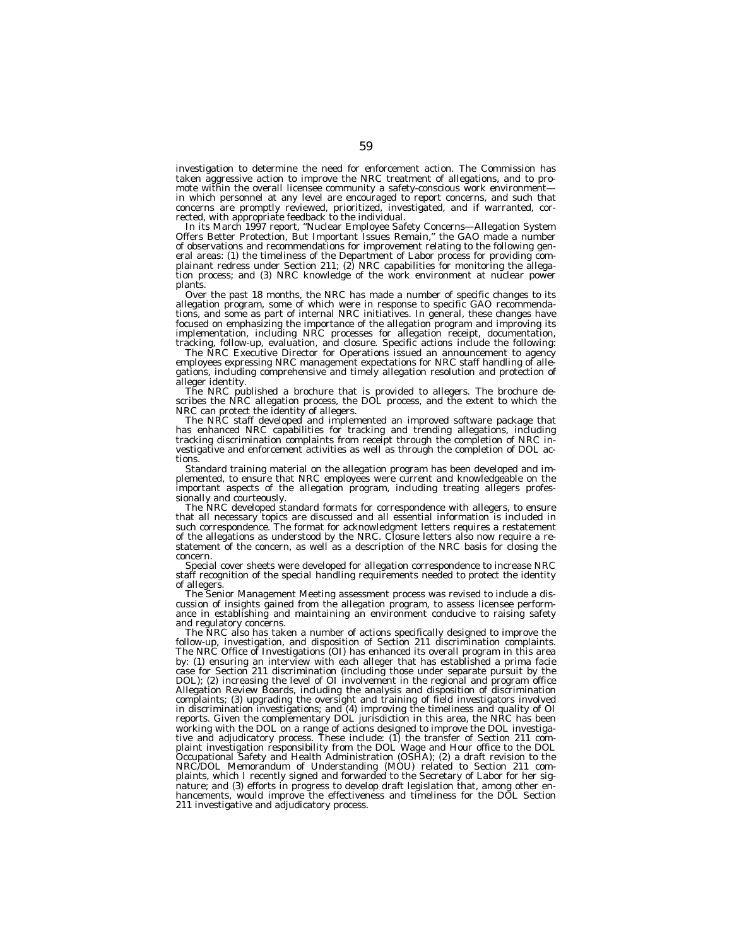investigation to determine the need for enforcement action. The Commission has taken aggressive action to improve the NRC treatment of allegations, and to promote within the overall licensee community a safety-conscious work environmentin which personnel at any level are encouraged to report concerns, and such that concerns are promptly reviewed, prioritized, investigated, and if warranted, corrected, with appropriate feedback to the individual.

In its March 1997 report, ''Nuclear Employee Safety Concerns—Allegation System Offers Better Protection, But Important Issues Remain,'' the GAO made a number of observations and recommendations for improvement relating to the following general areas: (1) the timeliness of the Department of Labor process for providing complainant redress under Section 211; (2) NRC capabilities for monitoring the allegation process; and (3) NRC knowledge of the work environment at nuclear power plants.

Over the past 18 months, the NRC has made a number of specific changes to its allegation program, some of which were in response to specific GAO recommendations, and some as part of internal NRC initiatives. In general, these changes have focused on emphasizing the importance of the allegation program and improving its implementation, including NRC processes for allegation receipt, documentation, tracking, follow-up, evaluation, and closure. Specific actions include the following:

The NRC Executive Director for Operations issued an announcement to agency employees expressing NRC management expectations for NRC staff handling of allegations, including comprehensive and timely allegation resolution and protection of alleger identity.

The NRC published a brochure that is provided to allegers. The brochure describes the NRC allegation process, the DOL process, and the extent to which the NRC can protect the identity of allegers.

The NRC staff developed and implemented an improved software package that has enhanced NRC capabilities for tracking and trending allegations, including tracking discrimination complaints from receipt through the completion of NRC investigative and enforcement activities as well as through the completion of DOL actions.

Standard training material on the allegation program has been developed and implemented, to ensure that NRC employees were current and knowledgeable on the important aspects of the allegation program, including treating allegers professionally and courteously.

The NRC developed standard formats for correspondence with allegers, to ensure that all necessary topics are discussed and all essential information is included in such correspondence. The format for acknowledgment letters requires a restatement of the allegations as understood by the NRC. Closure letters also now require a restatement of the concern, as well as a description of the NRC basis for closing the concern.

Special cover sheets were developed for allegation correspondence to increase NRC staff recognition of the special handling requirements needed to protect the identity of allegers.

The Senior Management Meeting assessment process was revised to include a discussion of insights gained from the allegation program, to assess licensee performance in establishing and maintaining an environment conducive to raising safety and regulatory concerns.

The NRC also has taken a number of actions specifically designed to improve the follow-up, investigation, and disposition of Section 211 discrimination complaints. The NRC Office of Investigations (OI) has enhanced its overall program in this area by: (1) ensuring an interview with each alleger that has established a prima facie case for Section 211 discrimination (including those under separate pursuit by the DOL); (2) increasing the level of OI involvement in the regional and program office Allegation Review Boards, including the analysis and disposition of discrimination complaints; (3) upgrading the oversight and training of field investigators involved in discrimination investigations; and (4) improving the timeliness and quality of OI reports. Given the complementary DOL jurisdiction in this area, the NRC has been working with the DOL on a range of actions designed to improve the DOL investigative and adjudicatory process. These include: (1) the transfer of Section 211 complaint investigation responsibility from the DOL Wage and Hour office to the DOL Occupational Safety and Health Administration (OSHA); (2) a draft revision to the NRC/DOL Memorandum of Understanding (MOU) related to Section 211 complaints, which I recently signed and forwarded to the Secretary of Labor for her signature; and (3) efforts in progress to develop draft legislation that, among other enhancements, would improve the effectiveness and timeliness for the DOL Section 211 investigative and adjudicatory process.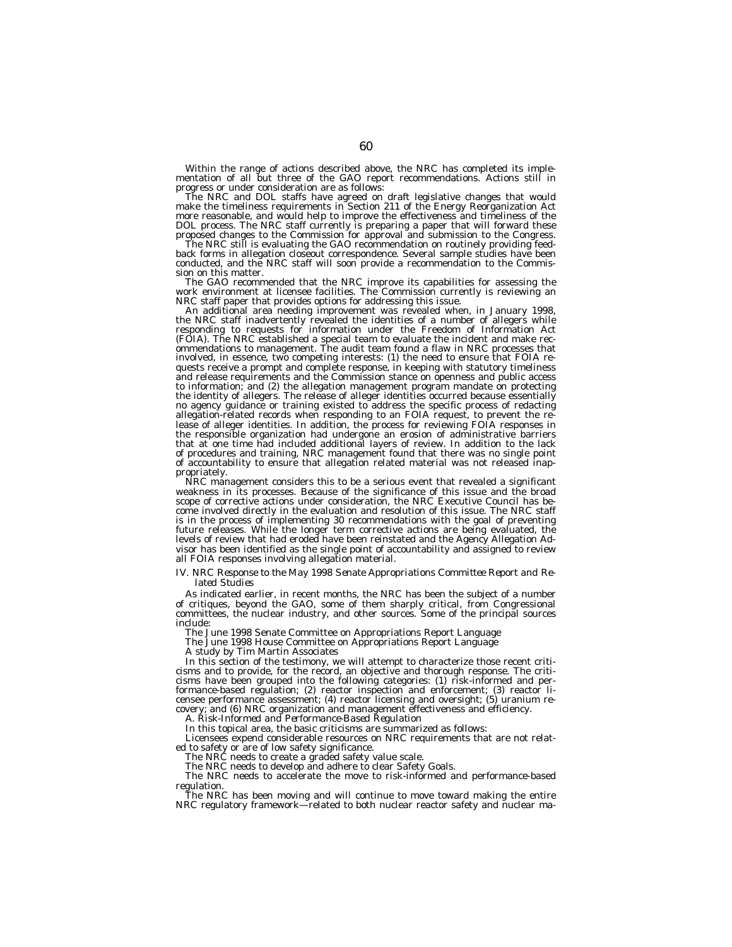Within the range of actions described above, the NRC has completed its imple-<br>mentation of all but three of the GAO report recommendations. Actions still in<br>progress or under consideration are as follows:

The NRC and DOL staffs have agreed on draft legislative changes that would make the timeliness requirements in Section 211 of the Energy Reorganization Act more reasonable, and would help to improve the effectiveness and timeliness of the DOL process. The NRC staff currently is preparing a paper that will forward these

proposed changes to the Commission for approval and submission to the Congress.<br>The NRC still is evaluating the GAO recommendation on routinely providing feed-<br>back forms in allegation closeout correspondence. Several samp conducted, and the NRC staff will soon provide a recommendation to the Commis-

sion on this matter.<br>The GAO recommended that the NRC improve its capabilities for assessing the work environment at licensee facilities. The Commission currently is reviewing an NRC staff paper that provides options for addressing this issue.

NRC staff paper that provides options for addressing this issue.<br>An additional area needing improvement was revealed when, in January 1998,<br>the NRC staff inadvertently revealed the identities of a number of allegers while<br> (FOIA). The NRC established a special team to evaluate the incident and make rec-<br>ommendations to management. The audit team found a flaw in NRC processes that<br>involved, in essence, two competing interests: (1) the need to quests receive a prompt and complete response, in keeping with statutory timeliness and release requirements and the Commission stance on openness and public access to information; and (2) the allegation management program mandate on protecting the identity of allegers. The release of alleger identities occurred because essentially no agency guidance or training existed to address the specific process of redacting allegation-related records when responding to an FOIA request, to prevent the release of alleger identities. In addition, the process for reviewing FOIA responses in the responsible organization had undergone an erosion of administrative barriers that at one time had included additional layers of review. In addition to the lack of procedures and training, NRC management found that there was no single point of accountability to ensure that allegation related material was not released inappropriately.

NRC management considers this to be a serious event that revealed a significant weakness in its processes. Because of the significance of this issue and the broad scope of corrective actions under consideration, the NRC Executive Council has become involved directly in the evaluation and resolution of this issue. The NRC staff is in the process of implementing 30 recommendations with the goal of preventing future releases. While the longer term corrective actions are being evaluated, the levels of review that had eroded have been reinstated and the Agency Allegation Advisor has been identified as the single point of accountability and assigned to review all FOIA responses involving allegation material.

## *IV. NRC Response to the May 1998 Senate Appropriations Committee Report and Related Studies*

As indicated earlier, in recent months, the NRC has been the subject of a number of critiques, beyond the GAO, some of them sharply critical, from Congressional committees, the nuclear industry, and other sources. Some of the principal sources include:

The June 1998 Senate Committee on Appropriations Report Language

The June 1998 House Committee on Appropriations Report Language

A study by Tim Martin Associates

In this section of the testimony, we will attempt to characterize those recent criticisms and to provide, for the record, an objective and thorough response. The criticisms have been grouped into the following categories: (1) risk-informed and performance-based regulation; (2) reactor inspection and enforcement; (3) reactor licensee performance assessment; (4) reactor licensing and oversight; (5) uranium recovery; and (6) NRC organization and management effectiveness and efficiency.

*A. Risk-Informed and Performance-Based Regulation* In this topical area, the basic criticisms are summarized as follows:

Licensees expend considerable resources on NRC requirements that are not related to safety or are of low safety significance.

The NRC needs to create a graded safety value scale.

The NRC needs to develop and adhere to clear Safety Goals.

The NRC needs to accelerate the move to risk-informed and performance-based regulation.

The NRC has been moving and will continue to move toward making the entire NRC regulatory framework—related to both nuclear reactor safety and nuclear ma-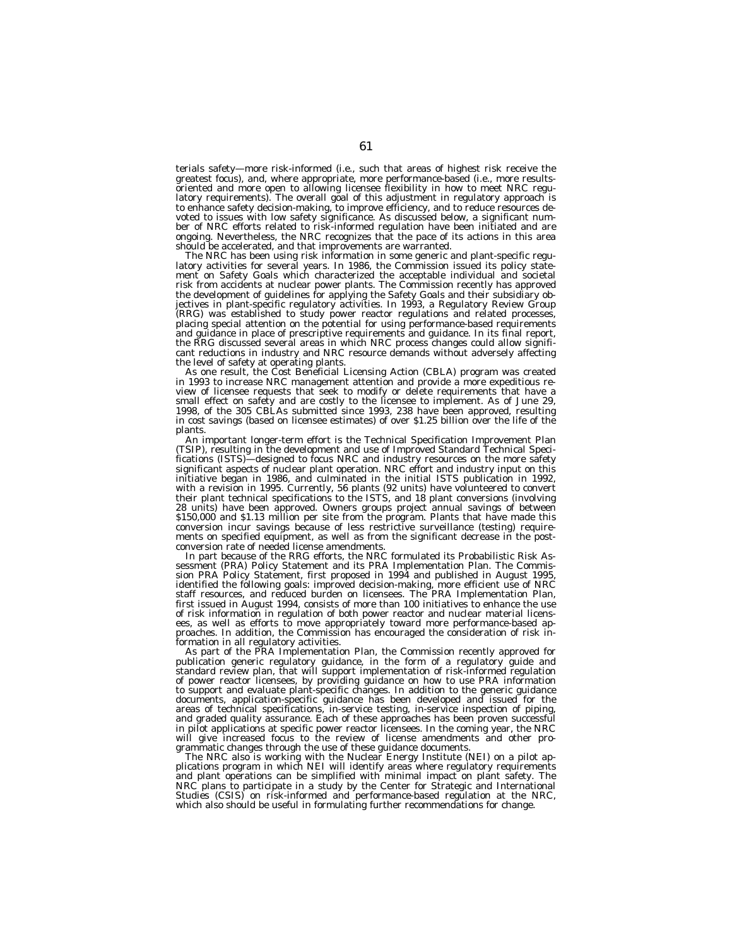terials safety—more risk-informed (i.e., such that areas of highest risk receive the greatest focus), and, where appropriate, more performance-based (i.e., more resultsoriented and more open to allowing licensee flexibility in how to meet NRC regulatory requirements). The overall goal of this adjustment in regulatory approach is to enhance safety decision-making, to improve efficiency, and to reduce resources devoted to issues with low safety significance. As discussed below, a significant number of NRC efforts related to risk-informed regulation have been initiated and are ongoing. Nevertheless, the NRC recognizes that the pace of its actions in this area should be accelerated, and that improvements are warranted.

The NRC has been using risk information in some generic and plant-specific regulatory activities for several years. In 1986, the Commission issued its policy statement on Safety Goals which characterized the acceptable individual and societal risk from accidents at nuclear power plants. The Commission recently has approved the development of guidelines for applying the Safety Goals and their subsidiary objectives in plant-specific regulatory activities. In 1993, a Regulatory Review Group (RRG) was established to study power reactor regulations and related processes, placing special attention on the potential for using performance-based requirements and guidance in place of prescriptive requirements and guidance. In its final report, the RRG discussed several areas in which NRC process changes could allow significant reductions in industry and NRC resource demands without adversely affecting the level of safety at operating plants.

As one result, the Cost Beneficial Licensing Action (CBLA) program was created in 1993 to increase NRC management attention and provide a more expeditious review of licensee requests that seek to modify or delete requirements that have a small effect on safety and are costly to the licensee to implement. As of June 29, 1998, of the 305 CBLAs submitted since 1993, 238 have been approved, resulting in cost savings (based on licensee estimates) of over \$1.25 billion over the life of the plants.

An important longer-term effort is the Technical Specification Improvement Plan (TSIP), resulting in the development and use of Improved Standard Technical Specifications (ISTS)—designed to focus NRC and industry resources on the more safety significant aspects of nuclear plant operation. NRC effort and industry input on this initiative began in 1986, and culminated in the initial ISTS publication in 1992, with a revision in 1995. Currently, 56 plants (92 units) have volunteered to convert their plant technical specifications to the ISTS, and 18 plant conversions (involving 28 units) have been approved. Owners groups project annual savings of between \$150,000 and \$1.13 million per site from the program. Plants that have made this conversion incur savings because of less restrictive surveillance (testing) requirements on specified equipment, as well as from the significant decrease in the postconversion rate of needed license amendments.

In part because of the RRG efforts, the NRC formulated its Probabilistic Risk Assessment (PRA) Policy Statement and its PRA Implementation Plan. The Commission PRA Policy Statement, first proposed in 1994 and published in August 1995, identified the following goals: improved decision-making, more efficient use of NRC staff resources, and reduced burden on licensees. The PRA Implementation Plan, first issued in August 1994, consists of more than 100 initiatives to enhance the use of risk information in regulation of both power reactor and nuclear material licensees, as well as efforts to move appropriately toward more performance-based approaches. In addition, the Commission has encouraged the consideration of risk information in all regulatory activities.

As part of the PRA Implementation Plan, the Commission recently approved for publication generic regulatory guidance, in the form of a regulatory guide and standard review plan, that will support implementation of risk-informed regulation of power reactor licensees, by providing guidance on how to use PRA information to support and evaluate plant-specific changes. In addition to the generic guidance documents, application-specific guidance has been developed and issued for the areas of technical specifications, in-service testing, in-service inspection of piping, and graded quality assurance. Each of these approaches has been proven successful in pilot applications at specific power reactor licensees. In the coming year, the NRC will give increased focus to the review of license amendments and other programmatic changes through the use of these guidance documents.

The NRC also is working with the Nuclear Energy Institute (NEI) on a pilot applications program in which NEI will identify areas where regulatory requirements and plant operations can be simplified with minimal impact on plant safety. The NRC plans to participate in a study by the Center for Strategic and International Studies (CSIS) on risk-informed and performance-based regulation at the NRC, which also should be useful in formulating further recommendations for change.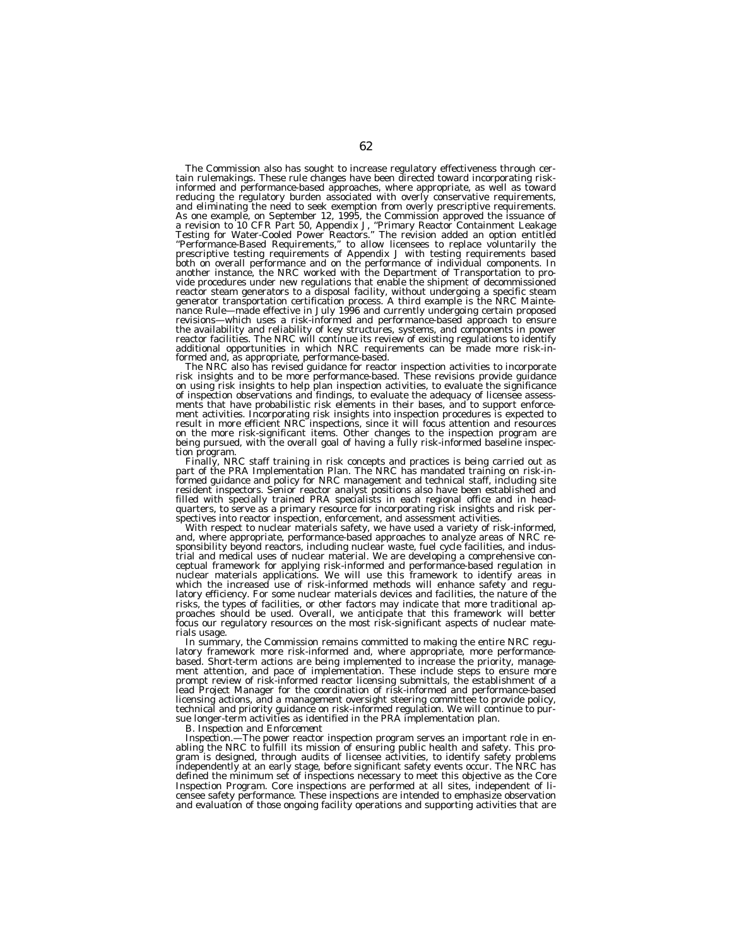The Commission also has sought to increase regulatory effectiveness through cer- tain rulemakings. These rule changes have been directed toward incorporating riskinformed and performance-based approaches, where appropriate, as well as toward reducing the regulatory burden associated with overly conservative requirements, and eliminating the need to seek exemption from overly prescriptive requirements. As one example, on September 12, 1995, the Commission approved the issuance of<br>a revision to 10 CFR Part 50, Appendix J, "Primary Reactor Containment Leakage<br>Testing for Water-Cooled Power Reactors." The revision added an vide procedures under new regulations that enable the shipment of decommissioned reactor steam generators to a disposal facility, without undergoing a specific steam generator transportation certification process. A third example is the NRC Maintenance Rule—made effective in July 1996 and currently undergoing certain proposed revisions—which uses a risk-informed and performance-based approach to ensure the availability and reliability of key structures, systems, and components in power reactor facilities. The NRC will continue its review of existing regulations to identify additional opportunities in which NRC requirements can be made more risk-in-

formed and, as appropriate, performance-based.<br>The NRC also has revised guidance for reactor inspection activities to incorporate<br>risk insights and to be more performance-based. These revisions provide guidance on using risk insights to help plan inspection activities, to evaluate the significance of inspection observations and findings, to evaluate the adequacy of licensee assessments that have probabilistic risk elements in their bases, and to support enforcement activities. Incorporating risk insights into inspection procedures is expected to result in more efficient NRC inspections, since it wi being pursued, with the overall goal of having a fully risk-informed baseline inspec-

tion program. Finally, NRC staff training in risk concepts and practices is being carried out as part of the PRA Implementation Plan. The NRC has mandated training on risk-informed guidance and policy for NRC management and technical staff, including site resident inspectors. Senior reactor analyst positions also have been established and filled with specially trained PRA specialists in each regional office and in head-quarters, to serve as a primary resource for incorporating risk insights and risk per-

spectives into reactor inspection, enforcement, and assessment activities.<br>With respect to nuclear materials safety, we have used a variety of risk-informed,<br>and, where appropriate, performance-based approaches to analyze trial and medical uses of nuclear material. We are developing a comprehensive conceptual framework for applying risk-informed and performance-based regulation in nuclear materials applications. We will use this framework to identify areas in which the increased use of risk-informed methods will enhance safety and regulatory efficiency. For some nuclear materials devices and facilities, the nature of the risks, the types of facilities, or other factors may indicate that more traditional approaches should be used. Overall, we anticipate that this framework will better focus our regulatory resources on the most risk-significant aspects of nuclear materials usage.

In summary, the Commission remains committed to making the entire NRC regulatory framework more risk-informed and, where appropriate, more performancebased. Short-term actions are being implemented to increase the priority, management attention, and pace of implementation. These include steps to ensure more prompt review of risk-informed reactor licensing submittals, the establishment of a lead Project Manager for the coordination of risk-informed and performance-based licensing actions, and a management oversight steering committee to provide policy, technical and priority guidance on risk-informed regulation. We will continue to pursue longer-term activities as identified in the PRA implementation plan.

*B. Inspection and Enforcement*

*Inspection.—*The power reactor inspection program serves an important role in enabling the NRC to fulfill its mission of ensuring public health and safety. This program is designed, through audits of licensee activities, to identify safety problems independently at an early stage, before significant safety events occur. The NRC has defined the minimum set of inspections necessary to meet this objective as the Core Inspection Program. Core inspections are performed at all sites, independent of licensee safety performance. These inspections are intended to emphasize observation and evaluation of those ongoing facility operations and supporting activities that are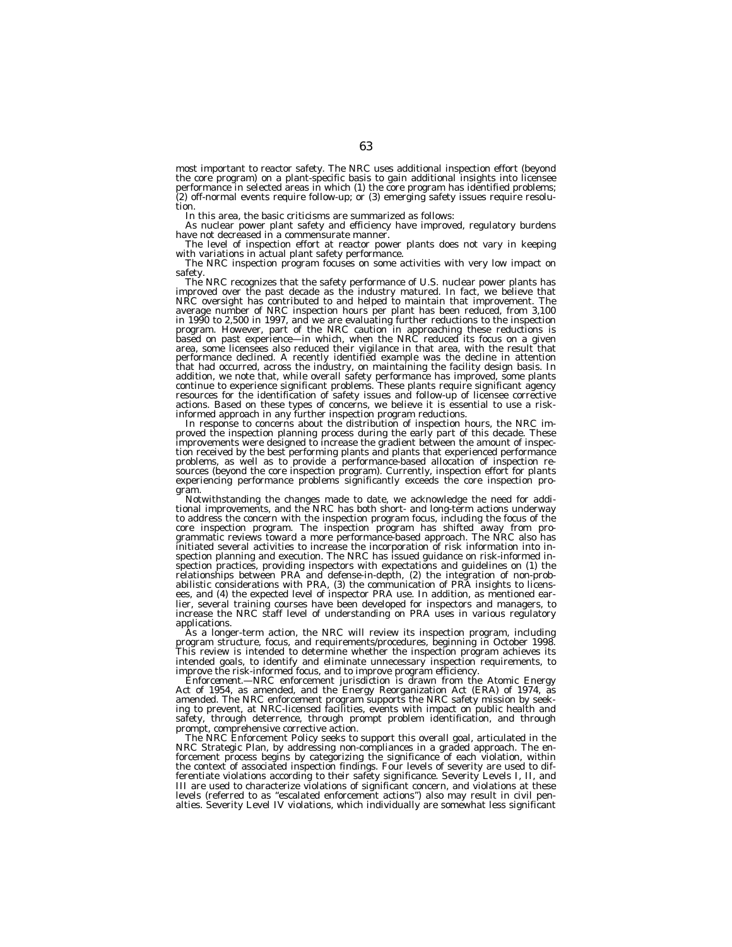most important to reactor safety. The NRC uses additional inspection effort (beyond the core program) on a plant-specific basis to gain additional insights into licensee performance in selected areas in which (1) the core program has identified problems; (2) off-normal events require follow-up; or (3) emerging safety issues require resolution.

In this area, the basic criticisms are summarized as follows:

As nuclear power plant safety and efficiency have improved, regulatory burdens have not decreased in a commensurate manner.<br>The level of inspection effort at reactor power plants does not vary in keeping

with variations in actual plant safety performance.<br>The NRC inspection program focuses on some activities with very low impact on<br>safety.<br>The NRC recognizes that the safety performance of U.S. nuclear power plants has

improved over the past decade as the industry matured. In fact, we believe that NRC oversight has contributed to and helped to maintain that improvement. The average number of NRC inspection hours per plant has been reduced, from 3,100 in 1990 to 2,500 in 1997, and we are evaluating further reductions to the inspection<br>program. However, part of the NRC caution in approaching these reductions is<br>based on past experience—in which, when the NRC reduced its area, some licensees also reduced their vigilance in that area, with the result that<br>performance declined. A recently identified example was the decline in attention<br>that had occurred, across the industry, on maintaining t addition, we note that, while overall safety performance has improved, some plants<br>continue to experience significant problems. These plants require significant agency<br>resources for the identification of safety issues and

tion received by the best performing plants and plants that experienced performance problems, as well as to provide a performance-based allocation of inspection re-sources (beyond the core inspection program). Currently, inspection effort for plants experiencing performance problems significantly exceeds the core inspection pro-

gram. Notwithstanding the changes made to date, we acknowledge the need for addi- tional improvements, and the NRC has both short- and long-term actions underway to address the concern with the inspection program focus, including the focus of the core inspection program. The inspection program has shifted away from programmatic reviews toward a more performance-based approach. The NRC also has initiated several activities to increase the incorporation of risk information into inspection planning and execution. The NRC has issued guidance on risk-informed inspection practices, providing inspectors with expectations and guidelines on (1) the relationships between PRA and defense-in-depth, (2) the integration of non-probabilistic considerations with PRA, (3) the communication of PRA insights to licensees, and (4) the expected level of inspector PRA use. In addition, as mentioned earlier, several training courses have been developed for inspectors and managers, to increase the NRC staff level of understanding on PRA uses in various regulatory applications.

As a longer-term action, the NRC will review its inspection program, including program structure, focus, and requirements/procedures, beginning in October 1998. This review is intended to determine whether the inspection program achieves its intended goals, to identify and eliminate unnecessary inspection requirements, to improve the risk-informed focus, and to improve program efficiency.

*Enforcement.—*NRC enforcement jurisdiction is drawn from the Atomic Energy Act of 1954, as amended, and the Energy Reorganization Act (ERA) of 1974, as amended. The NRC enforcement program supports the NRC safety mission by seeking to prevent, at NRC-licensed facilities, events with impact on public health and safety, through deterrence, through prompt problem identification, and through prompt, comprehensive corrective action.

The NRC Enforcement Policy seeks to support this overall goal, articulated in the NRC Strategic Plan, by addressing non-compliances in a graded approach. The enforcement process begins by categorizing the significance of each violation, within the context of associated inspection findings. Four levels of severity are used to differentiate violations according to their safety significance. Severity Levels I, II, and III are used to characterize violations of significant concern, and violations at these levels (referred to as ''escalated enforcement actions'') also may result in civil pen-alties. Severity Level IV violations, which individually are somewhat less significant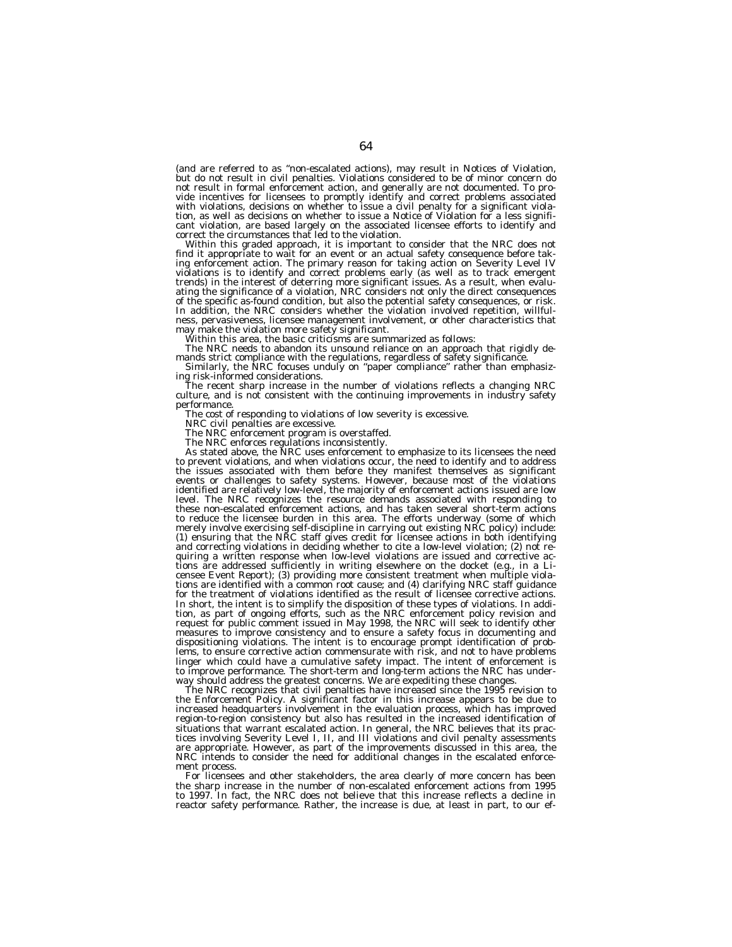(and are referred to as ''non-escalated actions), may result in Notices of Violation, but do not result in civil penalties. Violations considered to be of minor concern do not result in formal enforcement action, and generally are not documented. To provide incentives for licensees to promptly identify and correct problems associated with violations, decisions on whether to issue a civil penalty for a significant violation, as well as decisions on whether to issue a Notice of Violation for a less significant violation, are based largely on the associated licensee efforts to identify and

correct the circumstances that led to the violation.<br>Within this graded approach, it is important to consider that the NRC does not Within this graded approach, it is important to consider that the NRC does not<br>find it appropriate to wait for an event or an actual safety consequence before tak-<br>ing enforcement action. The primary reason for taking acti violations is to identify and correct problems early (as well as to track emergent<br>trends) in the interest of deterring more significant issues. As a result, when evalu-<br>ating the significance of a violation, NRC considers In addition, the NRC considers whether the violation involved repetition, willfulness, pervasiveness, licensee management involvement, or other characteristics that

may make the violation more safety significant.<br>Within this area, the basic criticisms are summarized as follows:<br>The NRC needs to abandon its unsound reliance on an approach that rigidly de-

mands strict compliance with the regulations, regardless of safety significance.<br>Similarly, the NRC focuses unduly on "paper compliance" rather than emphasiz-<br>ing risk-informed considerations.<br>The recent sharp increase in performance.

The cost of responding to violations of low severity is excessive.

NRC civil penalties are excessive.

The NRC enforcement program is overstaffed.

The NRC enforces regulations inconsistently. As stated above, the NRC uses enforcement to emphasize to its licensees the need to prevent violations, and when violations occur, the need to identify and to address the issues associated with them before they manifest themselves as significant events or challenges to safety systems. However, because most of the violations identified are relatively low-level, the majority of enforcement actions issued are low level. The NRC recognizes the resource demands associated with responding to these non-escalated enforcement actions, and has taken several short-term actions to reduce the licensee burden in this area. The efforts underway (some of which merely involve exercising self-discipline in carrying out existing NRC policy) include: (1) ensuring that the NRC staff gives credit for licensee actions in both identifying and correcting violations in deciding whether to cite a low-level violation; (2) not requiring a written response when low-level violations are issued and corrective actions are addressed sufficiently in writing elsewhere on the docket (e.g., in a Licensee Event Report); (3) providing more consistent treatment when multiple violations are identified with a common root cause; and (4) clarifying NRC staff guidance for the treatment of violations identified as the result of licensee corrective actions. In short, the intent is to simplify the disposition of these types of violations. In addition, as part of ongoing efforts, such as the NRC enforcement policy revision and request for public comment issued in May 1998, the NRC will seek to identify other measures to improve consistency and to ensure a safety focus in documenting and dispositioning violations. The intent is to encourage prompt identification of problems, to ensure corrective action commensurate with risk, and not to have problems linger which could have a cumulative safety impact. The intent of enforcement is to improve performance. The short-term and long-term actions the NRC has underway should address the greatest concerns. We are expediting these changes.

The NRC recognizes that civil penalties have increased since the 1995 revision to the Enforcement Policy. A significant factor in this increase appears to be due to increased headquarters involvement in the evaluation process, which has improved region-to-region consistency but also has resulted in the increased identification of situations that warrant escalated action. In general, the NRC believes that its practices involving Severity Level I, II, and III violations and civil penalty assessments are appropriate. However, as part of the improvements discussed in this area, the NRC intends to consider the need for additional changes in the escalated enforcement process.

For licensees and other stakeholders, the area clearly of more concern has been the sharp increase in the number of non-escalated enforcement actions from 1995 to 1997. In fact, the NRC does not believe that this increase reflects a decline in reactor safety performance. Rather, the increase is due, at least in part, to our ef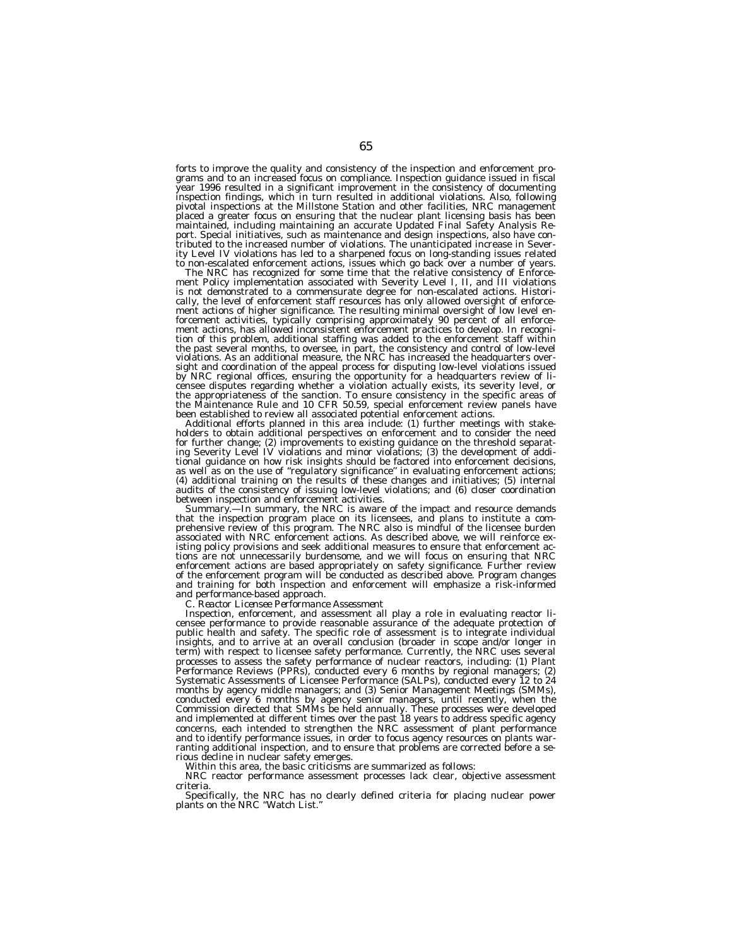forts to improve the quality and consistency of the inspection and enforcement programs and to an increased focus on compliance. Inspection guidance issued in fiscal year 1996 resulted in a significant improvement in the consistency of documenting inspection findings, which in turn resulted in additional violations. Also, following pivotal inspections at the Millstone Station and other facilities, NRC management placed a greater focus on ensuring that the nuclear plant licensing basis has been maintained, including maintaining an accurate Updated Final Safety Analysis Report. Special initiatives, such as maintenance and design inspections, also have con-tributed to the increased number of violations. The unanticipated increase in Severity Level IV violations has led to a sharpened focus on long-standing issues related

The NRC has recognized for some time that the relative consistency of Enforcement Policy implementation associated with Severity Level I, II, and III violations is not demonstrated to a commensurate degree for non-escalated actions. Histori-cally, the level of enforcement staff resources has only allowed oversight of enforcement actions of higher significance. The resulting minimal oversight of low level enforcement activities, typically comprising approximately 90 percent of all enforce-ment actions, has allowed inconsistent enforcement practices to develop. In recognition of this problem, additional staffing was added to the enforcement staff within the past several months, to oversee, in part, the consistency and control of low-level violations. As an additional measure, the NRC has increased the headquarters oversight and coordination of the appeal process for disputing low-level violations issued by NRC regional offices, ensuring the opportunity for a headquarters review of licensee disputes regarding whether a violation actually exists, its severity level, or<br>the appropriateness of the sanction. To ensure consistency in the specific areas of<br>the Maintenance Rule and 10 CFR 50.59, special enfor

the measurement actions.<br>
Additional efforts planned in this area include: (1) further meetings with stake-<br>
holders to obtain additional perspectives on enforcement and to consider the need for further change; (2) improvements to existing guidance on the threshold separat-ing Severity Level IV violations and minor violations; (3) the development of additional guidance on how risk insights should be factored into enforcement decisions, as well as on the use of ''regulatory significance'' in evaluating enforcement actions; (4) additional training on the results of these changes and initiatives; (5) internal audits of the consistency of issuing low-level violations; and (6) closer coordination

between inspection and enforcement activities.<br>*Summary.*—In summary, the NRC is aware of the impact and resource demands<br>that the inspection program place on its licensees, and plans to institute a compartitude in the inspection program. The NRC also is mindful of the licensee burden<br>prehensive review of this program. The NRC also is mindful of the licensee burden associated with NRC enforcement actions. As described above, we will reinforce ex-isting policy provisions and seek additional measures to ensure that enforcement actions are not unnecessarily burdensome, and we will focus on ensuring that NRC enforcement actions are based appropriately on safety significance. Further review of the enforcement program will be conducted as described above. Program changes and training for both inspection and enforcement will emphasize a risk-informed and performance-based approach.

*C. Reactor Licensee Performance Assessment*

Inspection, enforcement, and assessment all play a role in evaluating reactor licensee performance to provide reasonable assurance of the adequate protection of public health and safety. The specific role of assessment is to integrate individual insights, and to arrive at an overall conclusion (broader in scope and/or longer in term) with respect to licensee safety performance. Currently, the NRC uses several processes to assess the safety performance of nuclear reactors, including: (1) Plant Performance Reviews (PPRs), conducted every 6 months by regional managers; (2) Systematic Assessments of Licensee Performance (SALPs), conducted every 12 to 24 months by agency middle managers; and (3) Senior Management Meetings (SMMs), conducted every 6 months by agency senior managers, until recently, when the Commission directed that SMMs be held annually. These processes were developed and implemented at different times over the past 18 years to address specific agency concerns, each intended to strengthen the NRC assessment of plant performance and to identify performance issues, in order to focus agency resources on plants warranting additional inspection, and to ensure that problems are corrected before a serious decline in nuclear safety emerges.

Within this area, the basic criticisms are summarized as follows:

NRC reactor performance assessment processes lack clear, objective assessment criteria.

Specifically, the NRC has no clearly defined criteria for placing nuclear power plants on the NRC ''Watch List.''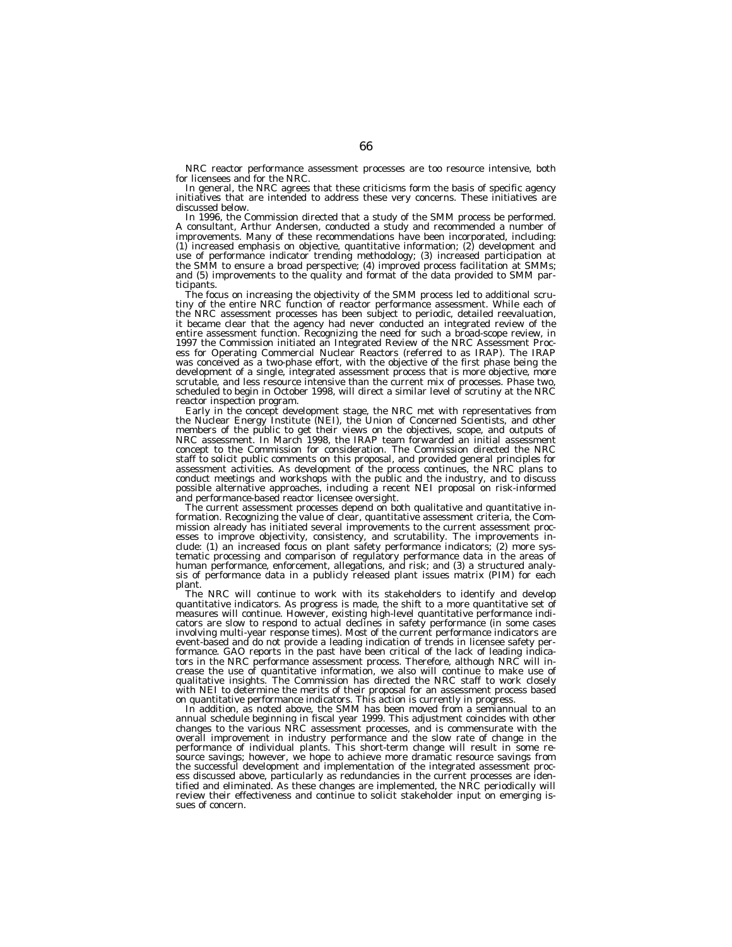NRC reactor performance assessment processes are too resource intensive, both for licensees and for the NRC.

In general, the NRC agrees that these criticisms form the basis of specific agency initiatives that are intended to address these very concerns. These initiatives are discussed below.

In 1996, the Commission directed that a study of the SMM process be performed. A consultant, Arthur Andersen, conducted a study and recommended a number of improvements. Many of these recommendations have been incorporated, including: (1) increased emphasis on objective, quantitative information; (2) development and use of performance indicator trending methodology; (3) increased participation at the SMM to ensure a broad perspective; (4) improved process facilitation at SMMs; and (5) improvements to the quality and format of the data provided to SMM participants.

The focus on increasing the objectivity of the SMM process led to additional scrutiny of the entire NRC function of reactor performance assessment. While each of the NRC assessment processes has been subject to periodic, detailed reevaluation, it became clear that the agency had never conducted an integrated review of the entire assessment function. Recognizing the need for such a broad-scope review, in 1997 the Commission initiated an Integrated Review of the NRC Assessment Process for Operating Commercial Nuclear Reactors (referred to as IRAP). The IRAP was conceived as a two-phase effort, with the objective of the first phase being the development of a single, integrated assessment process that is more objective, more scrutable, and less resource intensive than the current mix of processes. Phase two, scheduled to begin in October 1998, will direct a similar level of scrutiny at the NRC reactor inspection program.

Early in the concept development stage, the NRC met with representatives from the Nuclear Energy Institute (NEI), the Union of Concerned Scientists, and other members of the public to get their views on the objectives, scope, and outputs of NRC assessment. In March 1998, the IRAP team forwarded an initial assessment concept to the Commission for consideration. The Commission directed the NRC staff to solicit public comments on this proposal, and provided general principles for assessment activities. As development of the process continues, the NRC plans to conduct meetings and workshops with the public and the industry, and to discuss possible alternative approaches, including a recent NEI proposal on risk-informed and performance-based reactor licensee oversight.

The current assessment processes depend on both qualitative and quantitative information. Recognizing the value of clear, quantitative assessment criteria, the Commission already has initiated several improvements to the current assessment processes to improve objectivity, consistency, and scrutability. The improvements include: (1) an increased focus on plant safety performance indicators; (2) more systematic processing and comparison of regulatory performance data in the areas of human performance, enforcement, allegations, and risk; and (3) a structured analysis of performance data in a publicly released plant issues matrix (PIM) for each plant.

The NRC will continue to work with its stakeholders to identify and develop quantitative indicators. As progress is made, the shift to a more quantitative set of measures will continue. However, existing high-level quantitative performance indicators are slow to respond to actual declines in safety performance (in some cases involving multi-year response times). Most of the current performance indicators are event-based and do not provide a leading indication of trends in licensee safety performance. GAO reports in the past have been critical of the lack of leading indicators in the NRC performance assessment process. Therefore, although NRC will increase the use of quantitative information, we also will continue to make use of qualitative insights. The Commission has directed the NRC staff to work closely with NEI to determine the merits of their proposal for an assessment process based on quantitative performance indicators. This action is currently in progress.

In addition, as noted above, the SMM has been moved from a semiannual to an annual schedule beginning in fiscal year 1999. This adjustment coincides with other changes to the various NRC assessment processes, and is commensurate with the overall improvement in industry performance and the slow rate of change in the performance of individual plants. This short-term change will result in some resource savings; however, we hope to achieve more dramatic resource savings from the successful development and implementation of the integrated assessment process discussed above, particularly as redundancies in the current processes are identified and eliminated. As these changes are implemented, the NRC periodically will review their effectiveness and continue to solicit stakeholder input on emerging issues of concern.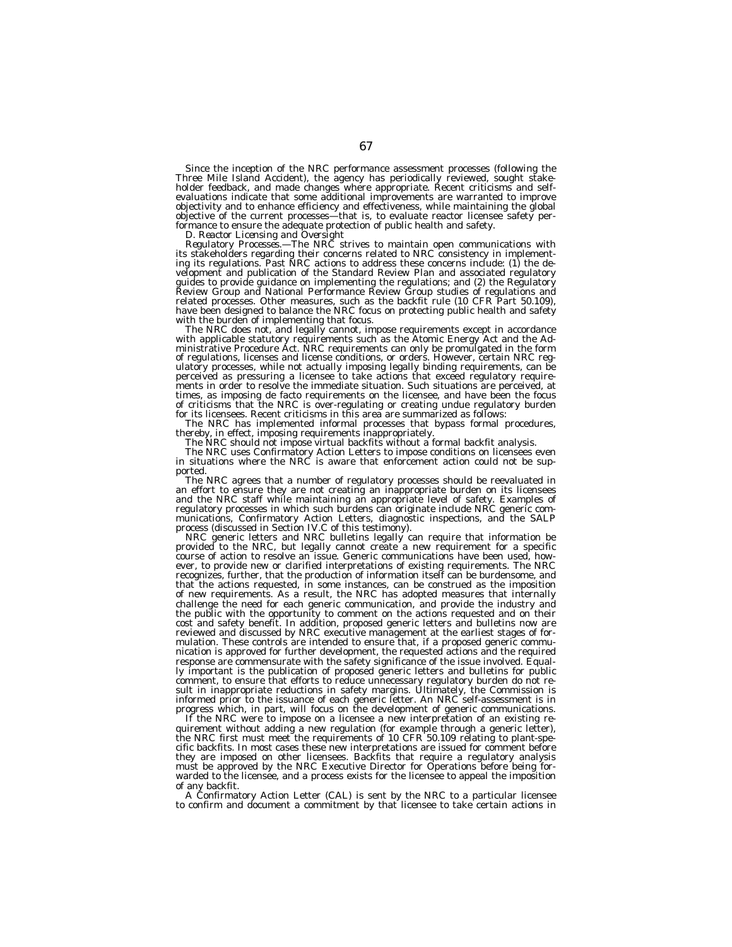Since the inception of the NRC performance assessment processes (following the Three Mile Island Accident), the agency has periodically reviewed, sought stakeholder feedback, and made changes where appropriate. Recent criticisms and selfevaluations indicate that some additional improvements are warranted to improve objectivity and to enhance efficiency and effectiveness, while maintaining the global objective of the current processes—that is, to evaluate reactor licensee safety per-

formance to ensure the adequate protection of public health and safety. *D. Reactor Licensing and Oversight Regulatory Processes.—*The NRC strives to maintain open communications with its stakeholders regarding their concerns related to NRC consistency in implement-ing its regulations. Past NRC actions to address these concerns include: (1) the development and publication of the Standard Review Plan and associated regulatory guides to provide guidance on implementing the regulations; and (2) the Regulatory Review Group and National Performance Review Group studies of regulations and related processes. Other measures, such as the backfit rule (10 CFR Part 50.109), have been designed to balance the NRC focus on protecting public health and safety with the burden of implementing that focus.

The NRC does not, and legally cannot, impose requirements except in accordance ministrative Procedure Act. NRC requirements can only be promulgated in the form of regulations, licenses and license conditions, or orders. However, certain NRC regulatory processes, while not actually imposing legally binding requirements, can be perceived as pressuring a licensee to take actions that exceed regulatory require-ments in order to resolve the immediate situation. Such situations are perceived, at times, as imposing de facto requirements on the licensee, and have been the focus<br>of criticisms that the NRC is over-regulating or creating undue regulatory burden<br>for its licensees. Recent criticisms in this area are summ

The NRC has implemented informal processes that bypass formal procedures, thereby, in effect, imposing requirements inappropriately.<br>The NRC should not impose virtual backfits without a formal backfit analysis.<br>The NRC use

in situations where the NRC is aware that enforcement action could not be supported.

The NRC agrees that a number of regulatory processes should be reevaluated in an effort to ensure they are not creating an inappropriate burden on its licensees and the NRC staff while maintaining an appropriate level of safety. Examples of regulatory processes in which such burdens can originate include NRC generic communications, Confirmatory Action Letters, diagnostic inspections, and the SALP process (discussed in Section IV.C of this testimony).

process (discussed in Section IV.C of the IV.C of the NRC bulletins legally can require that information be provided to the NRC, but legally cannot create a new requirement for a specific course of action to resolve an issue. Generic communications have been used, however, to provide new or clarified interpretations of existing requirements. The NRC recognizes, further, that the production of information itself can be burdensome, and that the actions requested, in some instances, can be construed as the imposition of new requirements. As a result, the NRC has adopted measures that internally challenge the need for each generic communication, and provide the industry and the public with the opportunity to comment on the actions requested and on their cost and safety benefit. In addition, proposed generic letters and bulletins now are reviewed and discussed by NRC executive management at the earliest stages of formulation. These controls are intended to ensure that, if a proposed generic communication is approved for further development, the requested actions and the required response are commensurate with the safety significance of the issue involved. Equally important is the publication of proposed generic letters and bulletins for public comment, to ensure that efforts to reduce unnecessary regulatory burden do not result in inappropriate reductions in safety margins. Ultimately, the Commission is informed prior to the issuance of each generic letter. An NRC self-assessment is in progress which, in part, will focus on the development of generic communications.

If the NRC were to impose on a licensee a new interpretation of an existing requirement without adding a new regulation (for example through a generic letter), the NRC first must meet the requirements of 10 CFR 50.109 relating to plant-specific backfits. In most cases these new interpretations are issued for comment before they are imposed on other licensees. Backfits that require a regulatory analysis must be approved by the NRC Executive Director for Operations before being forwarded to the licensee, and a process exists for the licensee to appeal the imposition of any backfit.

A Confirmatory Action Letter (CAL) is sent by the NRC to a particular licensee to confirm and document a commitment by that licensee to take certain actions in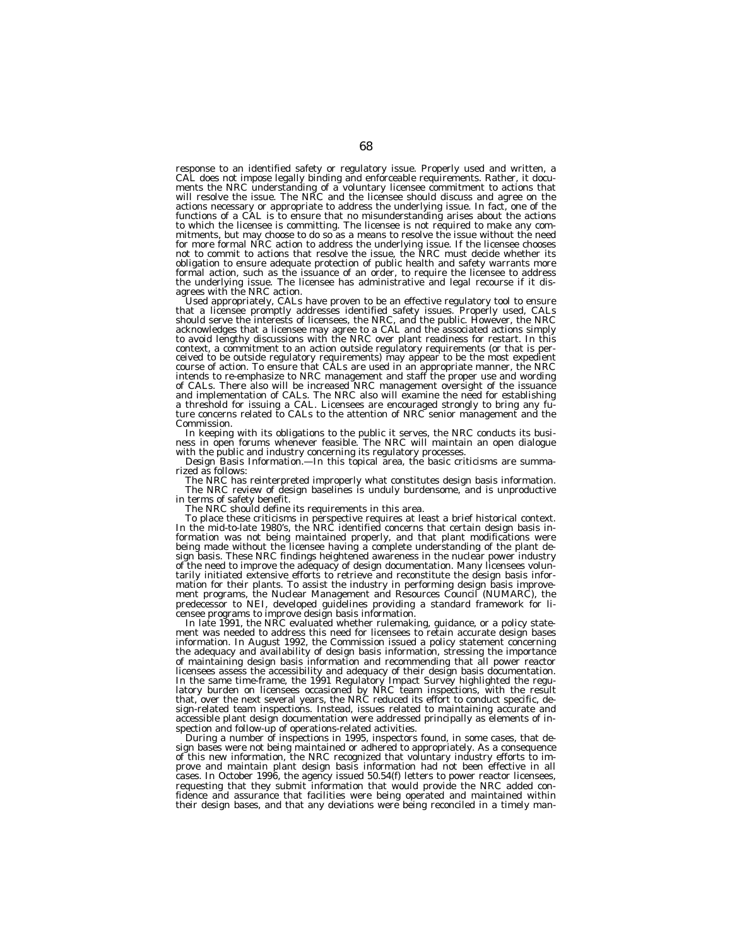response to an identified safety or regulatory issue. Properly used and written, a CAL does not impose legally binding and enforceable requirements. Rather, it documents the NRC understanding of a voluntary licensee commitment to actions that will resolve the issue. The NRC and the licensee should discuss and agree on the actions necessary or appropriate to address the underlying issue. In fact, one of the functions of a CAL is to ensure that no misunderstanding arises about the actions to which the licensee is committing. The licensee is not required to make any commitments, but may choose to do so as a means to resolve the issue without the need<br>for more formal NRC action to address the underlying issue. If the licensee chooses<br>not to commit to actions that resolve the issue, the NR formal action, such as the issuance of an order, to require the licensee to address the underlying issue. The licensee has administrative and legal recourse if it dis-

agrees with the NRC action.<br>Used appropriately, CALs have proven to be an effective regulatory tool to ensure<br>that a licensee promptly addresses identified safety issues. Properly used, CALs<br>should serve the interests of l context, a commitment to an action outside regulatory requirements (or that is perceived to be outside regulatory requirements) may appear to be the most expedient<br>course of action. To ensure that CALs are used in an appropriate manner, the NRC<br>intends to re-emphasize to NRC management and staff the pro of CALs. There also will be increased NRC management oversight of the issuance<br>and implementation of CALs. The NRC also will examine the need for establishing<br>a threshold for issuing a CAL. Licensees are encouraged strongl Commission.

In keeping with its obligations to the public it serves, the NRC conducts its busi- ness in open forums whenever feasible. The NRC will maintain an open dialogue

with the public and industry concerning its regulatory processes.<br>*Design Basis Information*.—In this topical area, the basic criticisms are summa-*Design Basis Information*.—In this topical area, the basic criticisms are summarized as follows:

The NRC has reinterpreted improperly what constitutes design basis information.<br>The NRC review of design baselines is unduly burdensome, and is unproductive<br>in terms of safety benefit.<br>The NRC should define its requirement

To place these criticisms in perspective requires at least a brief historical context. In the mid-to-late 1980's, the NRC identified concerns that certain design basis information was not being maintained properly, and that plant modifications were being made without the licensee having a complete understanding of the plant design basis. These NRC findings heightened awareness in the nuclear power industry of the need to improve the adequacy of design documentation. Many licensees voluntarily initiated extensive efforts to retrieve and reconstitute the design basis information for their plants. To assist the industry in performing design basis improvement programs, the Nuclear Management and Resources Council (NUMARC), the predecessor to NEI, developed guidelines providing a standard framework for licensee programs to improve design basis information.

In late 1991, the NRC evaluated whether rulemaking, guidance, or a policy statement was needed to address this need for licensees to retain accurate design bases information. In August 1992, the Commission issued a policy statement concerning the adequacy and availability of design basis information, stressing the importance of maintaining design basis information and recommending that all power reactor licensees assess the accessibility and adequacy of their design basis documentation. In the same time-frame, the 1991 Regulatory Impact Survey highlighted the regulatory burden on licensees occasioned by NRC team inspections, with the result that, over the next several years, the NRC reduced its effort to conduct specific, design-related team inspections. Instead, issues related to maintaining accurate and accessible plant design documentation were addressed principally as elements of inspection and follow-up of operations-related activities.

During a number of inspections in 1995, inspectors found, in some cases, that design bases were not being maintained or adhered to appropriately. As a consequence of this new information, the NRC recognized that voluntary industry efforts to improve and maintain plant design basis information had not been effective in all cases. In October 1996, the agency issued 50.54(f) letters to power reactor licensees, requesting that they submit information that would provide the NRC added confidence and assurance that facilities were being operated and maintained within their design bases, and that any deviations were being reconciled in a timely man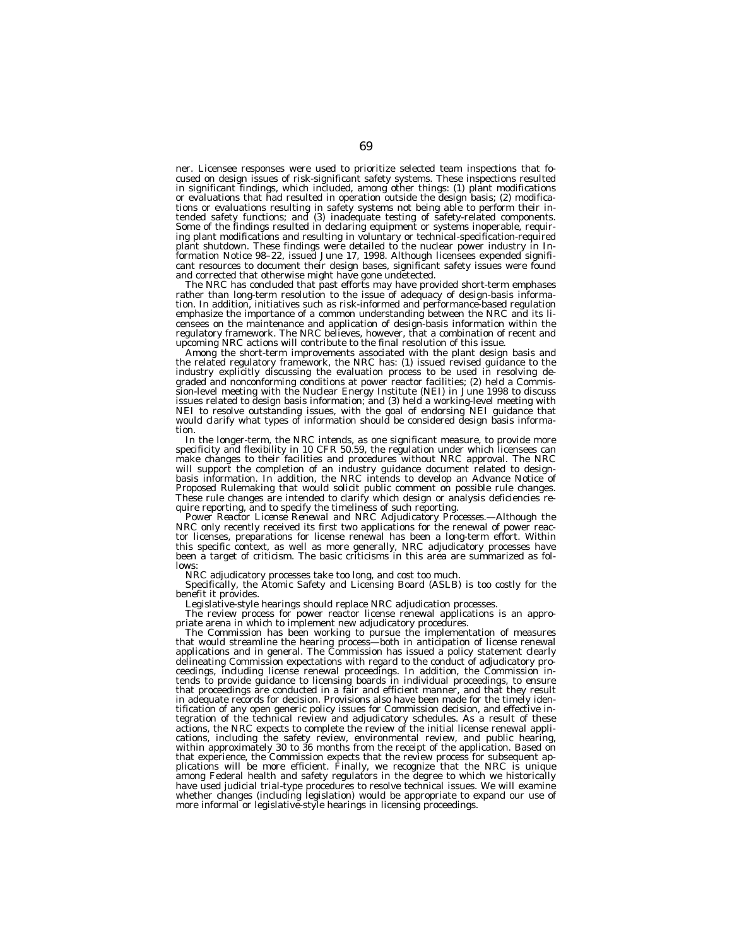ner. Licensee responses were used to prioritize selected team inspections that focused on design issues of risk-significant safety systems. These inspections resulted in significant findings, which included, among other things: (1) plant modifications or evaluations that had resulted in operation outside the design basis; (2) modifications or evaluations resulting in safety systems not being able to perform their intended safety functions; and (3) inadequate testing of safety-related components. Some of the findings resulted in declaring equipment or systems inoperable, requiring plant modifications and resulting in voluntary or technical-specification-required plant shutdown. These findings were detailed to the nuclear power industry in Information Notice 98–22, issued June 17, 1998. Although licensees expended significant resources to document their design bases, significant safety issues were found and corrected that otherwise might have gone undetected.

The NRC has concluded that past efforts may have provided short-term emphases rather than long-term resolution to the issue of adequacy of design-basis information. In addition, initiatives such as risk-informed and performance-based regulation emphasize the importance of a common understanding between the NRC and its licensees on the maintenance and application of design-basis information within the regulatory framework. The NRC believes, however, that a combination of recent and upcoming NRC actions will contribute to the final resolution of this issue.

Among the short-term improvements associated with the plant design basis and the related regulatory framework, the NRC has: (1) issued revised guidance to the industry explicitly discussing the evaluation process to be used in resolving degraded and nonconforming conditions at power reactor facilities; (2) held a Commission-level meeting with the Nuclear Energy Institute (NEI) in June 1998 to discuss issues related to design basis information; and (3) held a working-level meeting with NEI to resolve outstanding issues, with the goal of endorsing NEI guidance that would clarify what types of information should be considered design basis information.

In the longer-term, the NRC intends, as one significant measure, to provide more specificity and flexibility in 10 CFR 50.59, the regulation under which licensees can make changes to their facilities and procedures without NRC approval. The NRC will support the completion of an industry guidance document related to designbasis information. In addition, the NRC intends to develop an Advance Notice of Proposed Rulemaking that would solicit public comment on possible rule changes. These rule changes are intended to clarify which design or analysis deficiencies require reporting, and to specify the timeliness of such reporting.

*Power Reactor License Renewal and NRC Adjudicatory Processes.—*Although the NRC only recently received its first two applications for the renewal of power reactor licenses, preparations for license renewal has been a long-term effort. Within this specific context, as well as more generally, NRC adjudicatory processes have been a target of criticism. The basic criticisms in this area are summarized as follows:

NRC adjudicatory processes take too long, and cost too much.

Specifically, the Atomic Safety and Licensing Board (ASLB) is too costly for the benefit it provides.

Legislative-style hearings should replace NRC adjudication processes.

The review process for power reactor license renewal applications is an appropriate arena in which to implement new adjudicatory procedures.

The Commission has been working to pursue the implementation of measures that would streamline the hearing process—both in anticipation of license renewal applications and in general. The Commission has issued a policy statement clearly delineating Commission expectations with regard to the conduct of adjudicatory proceedings, including license renewal proceedings. In addition, the Commission intends to provide guidance to licensing boards in individual proceedings, to ensure that proceedings are conducted in a fair and efficient manner, and that they result in adequate records for decision. Provisions also have been made for the timely identification of any open generic policy issues for Commission decision, and effective integration of the technical review and adjudicatory schedules. As a result of these actions, the NRC expects to complete the review of the initial license renewal applications, including the safety review, environmental review, and public hearing, within approximately 30 to 36 months from the receipt of the application. Based on that experience, the Commission expects that the review process for subsequent applications will be more efficient. Finally, we recognize that the NRC is unique among Federal health and safety regulators in the degree to which we historically have used judicial trial-type procedures to resolve technical issues. We will examine<br>whether changes (including legislation) would be appropriate to expand our use of<br>more informal or legislative-style hearings in licensi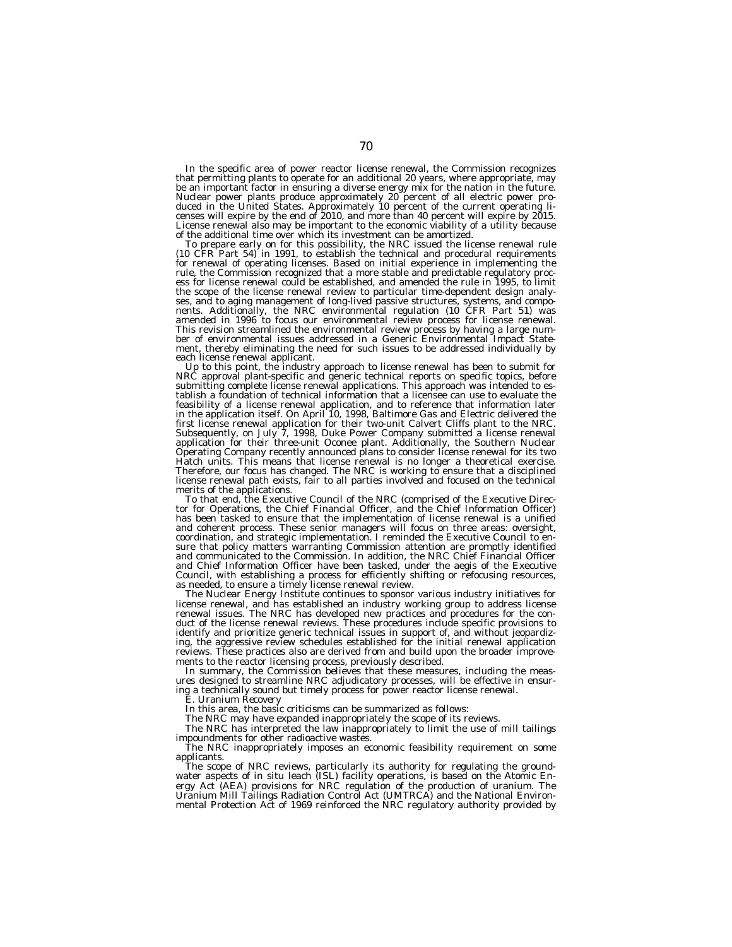In the specific area of power reactor license renewal, the Commission recognizes that permitting plants to operate for an additional 20 years, where appropriate, may be an important factor in ensuring a diverse energy mix for the nation in the future. Nuclear power plants produce approximately 20 percent of all electric power pro-<br>duced in the United States. Approximately 10 percent of the current operating li-<br>censes will expire by the end of 2010, and more than 40 per License renewal also may be important to the economic viability of a utility because of the additional time over which its investment can be amortized.

 $(10 \t{CFR}'$  Part 54) in 1991, to establish the technical and procedural requirements for renewal of operating licenses. Based on initial experience in implementing the rule, the Commission recognized that a more stable and predictable regulatory proc-ess for license renewal could be established, and amended the rule in 1995, to limit the scope of the license renewal review to particular time-dependent design analy-<br>ses, and to aging management of long-lived passive structures, systems, and compo-<br>nents. Additionally, the NRC environmental regulation (1 amended in 1996 to focus our environmental review process for license renewal. This revision streamlined the environmental review process by having a large number of environmental issues addressed in a Generic Environmental Impact Statement, thereby eliminating the need for such issues to be addressed individually by each license renewal applicant.

Up to this point, the industry approach to license renewal has been to submit for NRC approval plant-specific and generic technical reports on specific topics, before submitting complete license renewal applications. This approach was intended to establish a foundation of technical information that a licensee can use to evaluate the feasibility of a license renewal application, and to reference that information later<br>in the application itself. On April 10, 1998, Baltimore Gas and Electric delivered the<br>first license renewal application for their two-u Hatch units. This means that license renewal is no longer a theoretical exercise. Therefore, our focus has changed. The NRC is working to ensure that a disciplined license renewal path exists, fair to all parties involved and focused on the technical

merits of the applications.<br>To that end, the Executive Council of the NRC (comprised of the Executive Director for Operations, the Chief Financial Officer, and the Chief Information Officer) has been tasked to ensure that the implementation of license renewal is a unified and coherent process. These senior managers will focus on three areas: oversight, coordination, and strategic implementation. I reminded the Executive Council to ensure that policy matters warranting Commission attention are promptly identified and communicated to the Commission. In addition, the NRC Chief Financial Officer and Chief Information Officer have been tasked, under the aegis of the Executive Council, with establishing a process for efficiently shifting or refocusing resources, as needed, to ensure a timely license renewal review.

The Nuclear Energy Institute continues to sponsor various industry initiatives for license renewal, and has established an industry working group to address license renewal issues. The NRC has developed new practices and procedures for the conduct of the license renewal reviews. These procedures include specific provisions to identify and prioritize generic technical issues in support of, and without jeopardizing, the aggressive review schedules established for the initial renewal application reviews. These practices also are derived from and build upon the broader improvements to the reactor licensing process, previously described.

In summary, the Commission believes that these measures, including the measures designed to streamline NRC adjudicatory processes, will be effective in ensuring a technically sound but timely process for power reactor license renewal.

*E. Uranium Recovery*

In this area, the basic criticisms can be summarized as follows:

The NRC may have expanded inappropriately the scope of its reviews.

The NRC has interpreted the law inappropriately to limit the use of mill tailings impoundments for other radioactive wastes.

The NRC inappropriately imposes an economic feasibility requirement on some applicants.

The scope of NRC reviews, particularly its authority for regulating the groundwater aspects of in situ leach (ISL) facility operations, is based on the Atomic Energy Act (AEA) provisions for NRC regulation of the production of uranium. The Uranium Mill Tailings Radiation Control Act (UMTRCA) and the National Environ-<br>mental Protection Act of 1969 reinforced the NRC regulatory authority provided by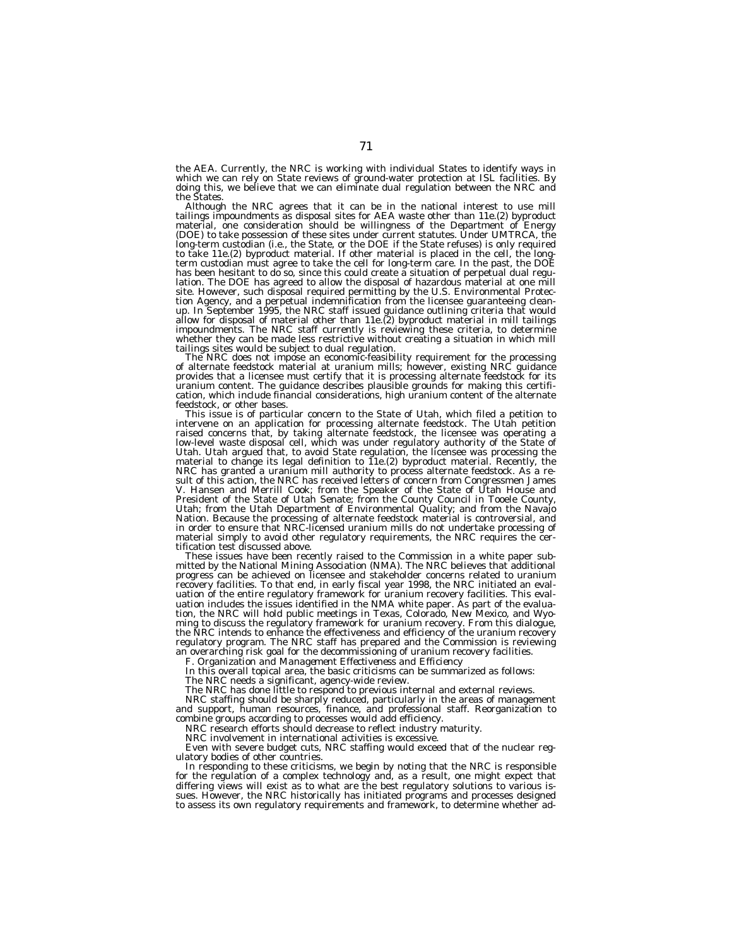the AEA. Currently, the NRC is working with individual States to identify ways in which we can rely on State reviews of ground-water protection at ISL facilities. By doing this, we believe that we can eliminate dual regulation between the NRC and the States.<br>Although the NRC agrees that it can be in the national interest to use mill

Although the NRC agrees that it can be in the national interest to use mill<br>tailings impoundments as disposal sites for AEA waste other than 11e.(2) byproduct<br>material, one consideration should be willingness of the Depart (DOE) to take possession of these sites under current statutes. Under UMTRCA, the long-term custodian (i.e., the State, or the DOE if the State refuses) is only required to take 11e.(2) byproduct material. If other material is placed in the cell, the long-<br>term custodian must agree to take the cell for long-term care. In the past, the DOE has been hesitant to do so, since this could create a situation of perpetual dual regu-lation. The DOE has agreed to allow the disposal of hazardous material at one mill site. However, such disposal required permitting by the U.S. Environmental Protec-<br>tion Agency, and a perpetual indemnification from the licensee guaranteeing clean-<br>up. In September 1995, the NRC staff issued guidance out impoundments. The NRC staff currently is reviewing these criteria, to determine whether they can be made less restrictive without creating a situation in which mill

tailings sites would be subject to dual regulation. The NRC does not impose an economic-feasibility requirement for the processing of alternate feedstock material at uranium mills; however, existing NRC guidance provides that a licensee must certify that it is processing alternate feedstock for its uranium content. The guidance describes plausible grounds for making this certification, which include financial considerations, high uranium content of the alternate feedstock, or other bases.

This issue is of particular concern to the State of Utah, which filed a petition to intervene on an application for processing alternate feedstock. The Utah petition<br>raised concerns that, by taking alternate feedstock, the licensee was operating a<br>low-level waste disposal cell, which was under regulatory material to change its legal definition to 11e.(2) byproduct material. Recently, the NRC has granted a uranium mill authority to process alternate feedstock. As a result of this action, the NRC has received letters of concern from Congressmen James V. Hansen and Merrill Cook; from the Speaker of the State of Utah House and President of the State of Utah Senate; from the County Council in Tooele County, Utah; from the Utah Department of Environmental Quality; and from the Navajo Nation. Because the processing of alternate feedstock material is controversial, and in order to ensure that NRC-licensed uranium mills do not undertake processing of material simply to avoid other regulatory requirements, the NRC requires the cer-tification test discussed above.

These issues have been recently raised to the Commission in a white paper submitted by the National Mining Association (NMA). The NRC believes that additional progress can be achieved on licensee and stakeholder concerns related to uranium recovery facilities. To that end, in early fiscal year 1998, the NRC initiated an evaluation of the entire regulatory framework for uranium recovery facilities. This evaluation includes the issues identified in the NMA white paper. As part of the evaluation, the NRC will hold public meetings in Texas, Colorado, New Mexico, and Wyoming to discuss the regulatory framework for uranium recovery. From this dialogue, the NRC intends to enhance the effectiveness and efficiency of the uranium recovery regulatory program. The NRC staff has prepared and the Commission is reviewing an overarching risk goal for the decommissioning of uranium recovery facilities.

*F. Organization and Management Effectiveness and Efficiency*

In this overall topical area, the basic criticisms can be summarized as follows: The NRC needs a significant, agency-wide review.

The NRC has done little to respond to previous internal and external reviews. NRC staffing should be sharply reduced, particularly in the areas of management and support, human resources, finance, and professional staff. Reorganization to combine groups according to processes would add efficiency.

NRC research efforts should decrease to reflect industry maturity.

NRC involvement in international activities is excessive.

Even with severe budget cuts, NRC staffing would exceed that of the nuclear regulatory bodies of other countries.

In responding to these criticisms, we begin by noting that the NRC is responsible for the regulation of a complex technology and, as a result, one might expect that differing views will exist as to what are the best regulatory solutions to various issues. However, the NRC historically has initiated programs and processes designed to assess its own regulatory requirements and framework, to determine whether ad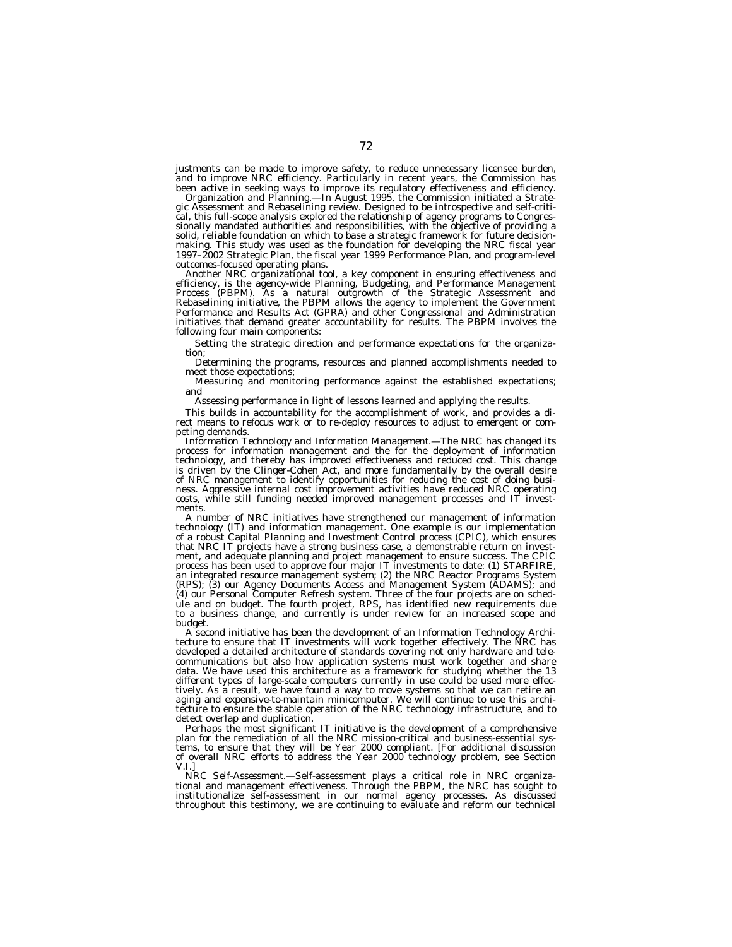justments can be made to improve safety, to reduce unnecessary licensee burden, and to improve NRC efficiency. Particularly in recent years, the Commission has been active in seeking ways to improve its regulatory effectiveness and efficiency.

*Organization and Planning.—*In August 1995, the Commission initiated a Strategic Assessment and Rebaselining review. Designed to be introspective and self-critical, this full-scope analysis explored the relationship of agency programs to Congressionally mandated authorities and responsibilities, with the objective of providing a solid, reliable foundation on which to base a strategic framework for future decisionmaking. This study was used as the foundation for developing the NRC fiscal year 1997–2002 Strategic Plan, the fiscal year 1999 Performance Plan, and program-level outcomes-focused operating plans.

Another NRC organizational tool, a key component in ensuring effectiveness and efficiency, is the agency-wide Planning, Budgeting, and Performance Management Process (PBPM). As a natural outgrowth of the Strategic Assessment and Rebaselining initiative, the PBPM allows the agency to implement the Government Performance and Results Act (GPRA) and other Congressional and Administration initiatives that demand greater accountability for results. The PBPM involves the following four main components:

Setting the strategic direction and performance expectations for the organization;

Determining the programs, resources and planned accomplishments needed to meet those expectations;

Measuring and monitoring performance against the established expectations; and

Assessing performance in light of lessons learned and applying the results.

This builds in accountability for the accomplishment of work, and provides a direct means to refocus work or to re-deploy resources to adjust to emergent or competing demands.

*Information Technology and Information Management.—*The NRC has changed its process for information management and the for the deployment of information technology, and thereby has improved effectiveness and reduced cost. This change is driven by the Clinger-Cohen Act, and more fundamentally by the overall desire of NRC management to identify opportunities for reducing the cost of doing business. Aggressive internal cost improvement activities have reduced NRC operating costs, while still funding needed improved management processes and IT investments.

A number of NRC initiatives have strengthened our management of information technology (IT) and information management. One example is our implementation of a robust Capital Planning and Investment Control process (CPIC), which ensures that NRC IT projects have a strong business case, a demonstrable return on investment, and adequate planning and project management to ensure success. The CPIC process has been used to approve four major IT investments to date: (1) STARFIRE, an integrated resource management system; (2) the NRC Reactor Programs System (RPS); (3) our Agency Documents Access and Management System (ADAMS); and (4) our Personal Computer Refresh system. Three of the four projects are on schedule and on budget. The fourth project, RPS, has identified new requirements due to a business change, and currently is under review for an increased scope and budget.

A second initiative has been the development of an Information Technology Architecture to ensure that IT investments will work together effectively. The NRC has developed a detailed architecture of standards covering not only hardware and telecommunications but also how application systems must work together and share data. We have used this architecture as a framework for studying whether the 13 different types of large-scale computers currently in use could be used more effectively. As a result, we have found a way to move systems so that we can retire an aging and expensive-to-maintain minicomputer. We will continue to use this architecture to ensure the stable operation of the NRC technology infrastructure, and to detect overlap and duplication.

Perhaps the most significant IT initiative is the development of a comprehensive plan for the remediation of all the NRC mission-critical and business-essential systems, to ensure that they will be Year 2000 compliant. [For additional discussion of overall NRC efforts to address the Year 2000 technology problem, see Section V.I.]

*NRC Self-Assessment.—*Self-assessment plays a critical role in NRC organizational and management effectiveness. Through the PBPM, the NRC has sought to institutionalize self-assessment in our normal agency processes. As discussed throughout this testimony, we are continuing to evaluate and reform our technical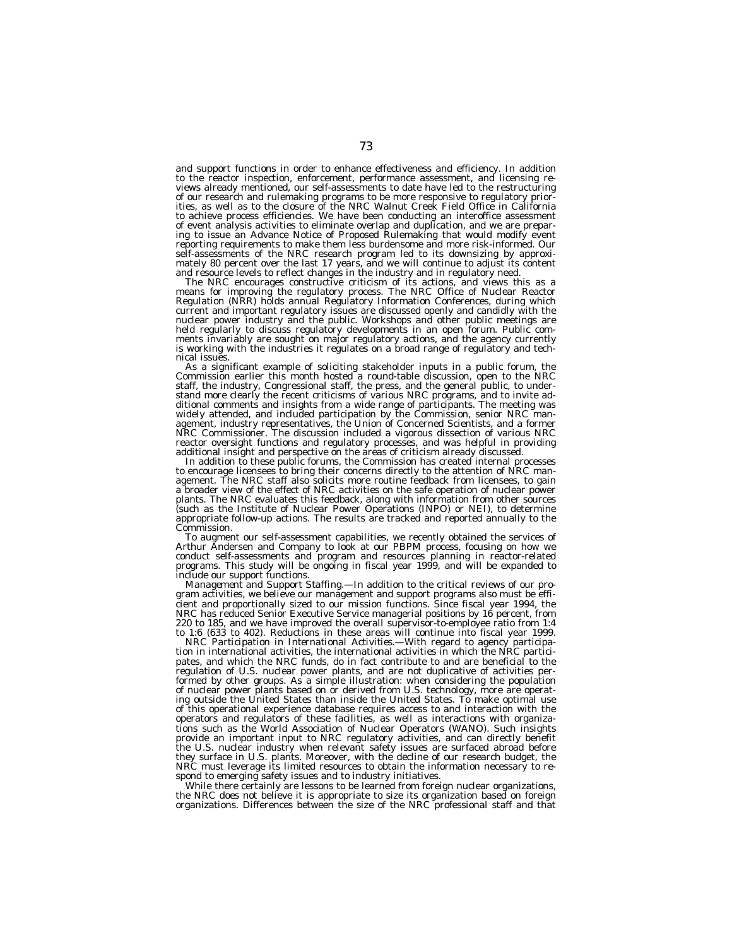and support functions in order to enhance effectiveness and efficiency. In addition to the reactor inspection, enforcement, performance assessment, and licensing reviews already mentioned, our self-assessments to date have led to the restructuring of our research and rulemaking programs to be more responsive to regulatory prior-ities, as well as to the closure of the NRC Walnut Creek Field Office in California to achieve process efficiencies. We have been conducting an interoffice assessment of event analysis activities to eliminate overlap and duplication, and we are preparing to issue an Advance Notice of Proposed Rulemaking that would modify event reporting requirements to make them less burdensome and more risk-informed. Our self-assessments of the NRC research program led to its downsizing by approximately 80 percent over the last 17 years, and we will continue to adjust its content

and resource levels to reflect changes in the industry and in regulatory need.<br>The NRC encourages constructive criticism of its actions, and views this as a<br>means for improving the regulatory process. The NRC Office of Nuc current and important regulatory issues are discussed openly and candidly with the nuclear power industry and the public. Workshops and other public meetings are held regularly to discuss regulatory developments in an open forum. Public comments invariably are sought on major regulatory actions, and the agency currently is working with the industries it regulates on a broad range of regulatory and tech-

nical issues.<br>As a significant example of soliciting stakeholder inputs in a public forum, the As a significant example of soliciting stakeholder inputs in a public forum, the Commission earlier this month hosted a round-table discussion, open to the NRC staff, the industry, Congressional staff, the press, and the g reactor oversight functions and regulatory processes, and was helpful in providing additional insight and perspective on the areas of criticism already discussed.

additional insight and perspective on the areas of criticism already discussed.<br>In addition to these public forums, the Commission has created internal processes<br>to encourage licensees to bring their concerns directly to t agement. The NRC staff also solicits more routine feedback from licensees, to gain a broader view of the effect of NRC activities on the safe operation of nuclear power plants. The NRC evaluates this feedback, along with information from other sources (such as the Institute of Nuclear Power Operations (INPO) or NEI), to determine appropriate follow-up actions. The results are tracked and reported annually to the Commission.

To augment our self-assessment capabilities, we recently obtained the services of Arthur Andersen and Company to look at our PBPM process, focusing on how we conduct self-assessments and program and resources planning in reactor-related programs. This study will be ongoing in fiscal year 1999, and will be expanded to include our support functions.

*Management and Support Staffing.—*In addition to the critical reviews of our program activities, we believe our management and support programs also must be efficient and proportionally sized to our mission functions. Since fiscal year 1994, the NRC has reduced Senior Executive Service managerial positions by 16 percent, from 220 to 185, and we have improved the overall supervisor-to-employee ratio from 1:4 to 1:6 (633 to 402). Reductions in these areas will continue into fiscal year 1999.

*NRC Participation in International Activities.—*With regard to agency participation in international activities, the international activities in which the NRC participates, and which the NRC funds, do in fact contribute to and are beneficial to the regulation of U.S. nuclear power plants, and are not duplicative of activities performed by other groups. As a simple illustration: when considering the population of nuclear power plants based on or derived from U.S. technology, more are operating outside the United States than inside the United States. To make optimal use of this operational experience database requires access to and interaction with the operators and regulators of these facilities, as well as interactions with organizations such as the World Association of Nuclear Operators (WANO). Such insights provide an important input to NRC regulatory activities, and can directly benefit the U.S. nuclear industry when relevant safety issues are surfaced abroad before they surface in U.S. plants. Moreover, with the decline of our research budget, the NRC must leverage its limited resources to obtain the information necessary to respond to emerging safety issues and to industry initiatives.

While there certainly are lessons to be learned from foreign nuclear organizations, the NRC does not believe it is appropriate to size its organization based on foreign organizations. Differences between the size of the NRC professional staff and that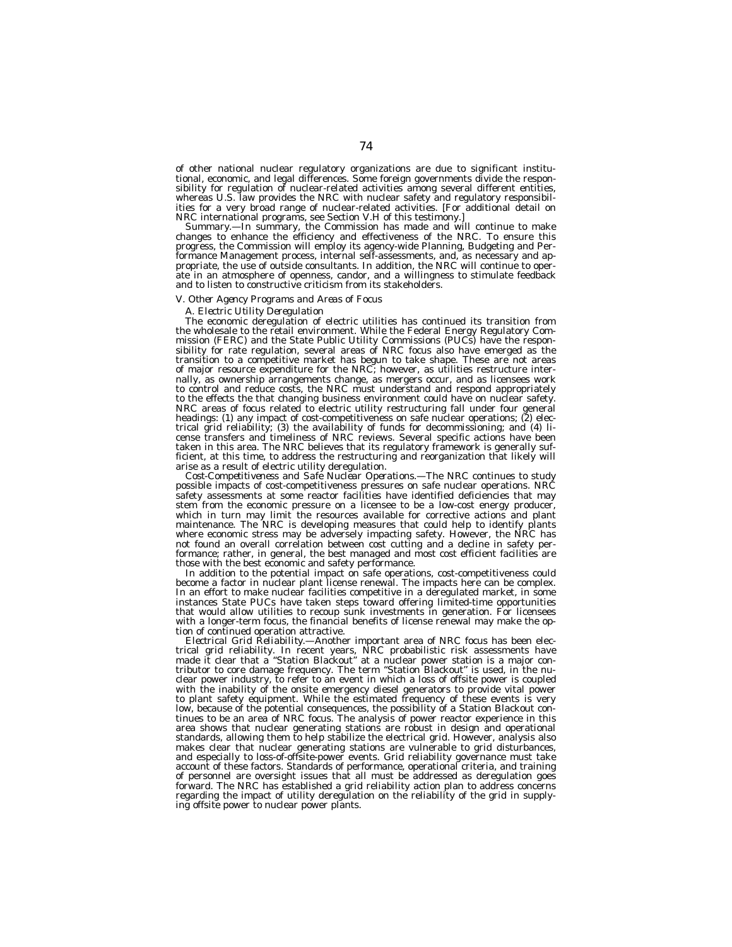of other national nuclear regulatory organizations are due to significant institutional, economic, and legal differences. Some foreign governments divide the responsibility for regulation of nuclear-related activities among several different entities, whereas U.S. law provides the NRC with nuclear safety and regulatory responsibilities for a very broad range of nuclear-related activities. [For additional detail on NRC international programs, see Section V.H of this testimony.]

*Summary.—*In summary, the Commission has made and will continue to make changes to enhance the efficiency and effectiveness of the NRC. To ensure this progress, the Commission will employ its agency-wide Planning, Budgeting and Performance Management process, internal self-assessments, and, as necessary and appropriate, the use of outside consultants. In addition, the NRC will continue to operate in an atmosphere of openness, candor, and a willingness to stimulate feedback and to listen to constructive criticism from its stakeholders.

#### *V. Other Agency Programs and Areas of Focus*

# *A. Electric Utility Deregulation*

The economic deregulation of electric utilities has continued its transition from the wholesale to the retail environment. While the Federal Energy Regulatory Commission (FERC) and the State Public Utility Commissions (PUCs) have the responsibility for rate regulation, several areas of NRC focus also have emerged as the transition to a competitive market has begun to take shape. These are not areas of major resource expenditure for the NRC; however, as utilities restructure internally, as ownership arrangements change, as mergers occur, and as licensees work to control and reduce costs, the NRC must understand and respond appropriately to the effects the that changing business environment could have on nuclear safety. NRC areas of focus related to electric utility restructuring fall under four general headings: (1) any impact of cost-competitiveness on safe nuclear operations; (2) electrical grid reliability; (3) the availability of funds for decommissioning; and (4) license transfers and timeliness of NRC reviews. Several specific actions have been taken in this area. The NRC believes that its regulatory framework is generally sufficient, at this time, to address the restructuring and reorganization that likely will arise as a result of electric utility deregulation.

*Cost-Competitiveness and Safe Nuclear Operations.—*The NRC continues to study possible impacts of cost-competitiveness pressures on safe nuclear operations. NRC safety assessments at some reactor facilities have identified deficiencies that may stem from the economic pressure on a licensee to be a low-cost energy producer, which in turn may limit the resources available for corrective actions and plant maintenance. The NRC is developing measures that could help to identify plants where economic stress may be adversely impacting safety. However, the NRC has not found an overall correlation between cost cutting and a decline in safety performance; rather, in general, the best managed and most cost efficient facilities are those with the best economic and safety performance.

In addition to the potential impact on safe operations, cost-competitiveness could become a factor in nuclear plant license renewal. The impacts here can be complex. In an effort to make nuclear facilities competitive in a deregulated market, in some instances State PUCs have taken steps toward offering limited-time opportunities that would allow utilities to recoup sunk investments in generation. For licensees with a longer-term focus, the financial benefits of license renewal may make the option of continued operation attractive.

*Electrical Grid Reliability.—*Another important area of NRC focus has been electrical grid reliability. In recent years, NRC probabilistic risk assessments have made it clear that a ''Station Blackout'' at a nuclear power station is a major contributor to core damage frequency. The term ''Station Blackout'' is used, in the nuclear power industry, to refer to an event in which a loss of offsite power is coupled with the inability of the onsite emergency diesel generators to provide vital power to plant safety equipment. While the estimated frequency of these events is very low, because of the potential consequences, the possibility of a Station Blackout continues to be an area of NRC focus. The analysis of power reactor experience in this area shows that nuclear generating stations are robust in design and operational standards, allowing them to help stabilize the electrical grid. However, analysis also makes clear that nuclear generating stations are vulnerable to grid disturbances, and especially to loss-of-offsite-power events. Grid reliability governance must take account of these factors. Standards of performance, operational criteria, and training of personnel are oversight issues that all must be addressed as deregulation goes forward. The NRC has established a grid reliability action plan to address concerns regarding the impact of utility deregulation on the reliability of the grid in supplying offsite power to nuclear power plants.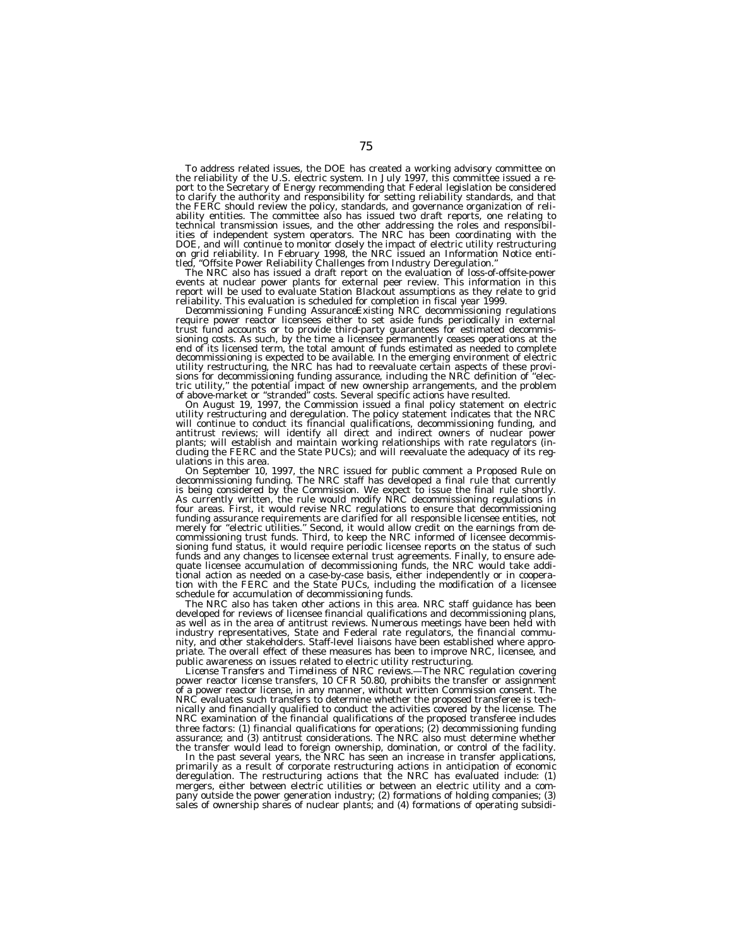To address related issues, the DOE has created a working advisory committee on the reliability of the U.S. electric system. In July 1997, this committee issued a report to the Secretary of Energy recommending that Federal legislation be considered to clarify the authority and responsibility for setting reliability standards, and that the FERC should review the policy, standards, and governance organization of reliability entities. The committee also has issued two draft reports, one relating to technical transmission issues, and the other addressing the roles and responsibilities of independent system operators. The NRC has been coordinating with the DOE, and will continue to monitor closely the impact of electric utility restructuring on grid reliability. In February 1998, the NRC issued an Information Notice enti-<br>tled, "Offsite Power Reliability Challenges from Industry Deregulation."<br>The NRC also has issued a draft report on the evaluation of loss-of

The NRC also has issued a draft report on the evaluation of loss-of-offsite-power events at nuclear power plants for external peer review. This information in this report will be used to evaluate Station Blackout assumptions as they relate to grid

reliability. This evaluation is scheduled for completion in fiscal year 1999.<br>*Decommissioning Funding Assurance*Existing NRC decommissioning regulations<br>require power reactor licensees either to set aside funds periodical sioning costs. As such, by the time a licensee permanently ceases operations at the end of its licensed term, the total amount of funds estimated as needed to complete decommissioning is expected to be available. In the emerging environment of electric utility restructuring, the NRC has had to reevaluate certain aspects of these provi-sions for decommissioning funding assurance, including the NRC definition of ''electric utility,'' the potential impact of new ownership arrangements, and the problem of above-market or ''stranded'' costs. Several specific actions have resulted.

On August 19, 1997, the Commission issued a final policy statement on electric<br>utility restructuring and deregulation. The policy statement indicates that the NRC<br>will continue to conduct its financial qualifications, deco plants; will establish and maintain working relationships with rate regulators (in-cluding the FERC and the State PUCs); and will reevaluate the adequacy of its reg-

ulations in this area.<br>
On September 10, 1997, the NRC issued for public comment a Proposed Rule on<br>
decommissioning funding. The NRC staff has developed a final rule that currently<br>
is being considered by the Commission. funding assurance requirements are clarified for all responsible licensee entities, not<br>merely for "electric utilities." Second, it would allow credit on the earnings from de-<br>commissioning trust funds. Third, to keep the funds and any changes to licensee external trust agreements. Finally, to ensure adequate licensee accumulation of decommissioning funds, the NRC would take additional action as needed on a case-by-case basis, either independently or in cooperation with the FERC and the State PUCs, including the modification of a licensee schedule for accumulation of decommissioning funds.

The NRC also has taken other actions in this area. NRC staff guidance has been developed for reviews of licensee financial qualifications and decommissioning plans, as well as in the area of antitrust reviews. Numerous meetings have been held with industry representatives, State and Federal rate regulators, the financial community, and other stakeholders. Staff-level liaisons have been established where appropriate. The overall effect of these measures has been to improve NRC, licensee, and public awareness on issues related to electric utility restructuring.

*License Transfers and Timeliness of NRC reviews.—*The NRC regulation covering power reactor license transfers, 10 CFR 50.80, prohibits the transfer or assignment of a power reactor license, in any manner, without written Commission consent. The NRC evaluates such transfers to determine whether the proposed transferee is technically and financially qualified to conduct the activities covered by the license. The NRC examination of the financial qualifications of the proposed transferee includes three factors: (1) financial qualifications for operations; (2) decommissioning funding assurance; and (3) antitrust considerations. The NRC also must determine whether the transfer would lead to foreign ownership, domination, or control of the facility.

In the past several years, the NRC has seen an increase in transfer applications, primarily as a result of corporate restructuring actions in anticipation of economic deregulation. The restructuring actions that the NRC has evaluated include: (1) mergers, either between electric utilities or between an electric utility and a company outside the power generation industry; (2) formations of holding companies; (3) sales of ownership shares of nuclear plants; and (4) formations of operating subsidi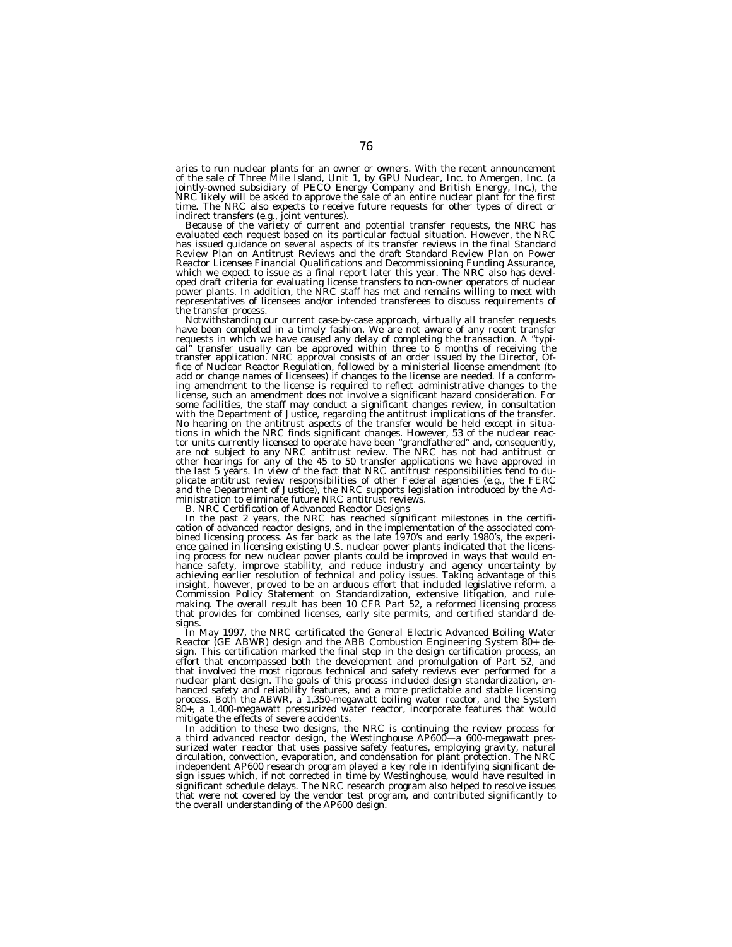aries to run nuclear plants for an owner or owners. With the recent announcement of the sale of Three Mile Island, Unit 1, by GPU Nuclear, Inc. to Amergen, Inc. (a jointly-owned subsidiary of PECO Energy Company and British Energy, Inc.), the NRC likely will be asked to approve the sale of an entire nuclear plant for the first time. The NRC also expects to receive future requests for other types of direct or

indirect transfers (e.g., foint ventures).<br>Because of the variety of current and potential transfer requests, the NRC has<br>evaluated each request based on its particular factual situation. However, the NRC<br>has issued guidan Review Plan on Antitrust Reviews and the draft Standard Review Plan on Power Reactor Licensee Financial Qualifications and Decommissioning Funding Assurance, which we expect to issue as a final report later this year. The NRC also has developed draft criteria for evaluating license transfers to non-owner operators of nuclear power plants. In addition, the NRC staff has met and remains willing to meet with representatives of licensees and/or intended transferees to discuss requirements of the transfer process.

Notwithstanding our current case-by-case approach, virtually all transfer requests have been completed in a timely fashion. We are not aware of any recent transfer requests in which we have caused any delay of completing the transaction. A ''typical" transfer usually can be approved within three to 6 months of receiving the<br>transfer application. NRC approval consists of an order issued by the Director, Of-<br>fice of Nuclear Reactor Regulation, followed by a minister add or change names of licensees) if changes to the license are needed. If a conform-<br>ing amendment to the license is required to reflect administrative changes to the<br>license, such an amendment does not involve a signific some facilities, the staff may conduct a significant changes review, in consultation<br>with the Department of Justice, regarding the antitrust implications of the transfer.<br>No hearing on the antitrust aspects of the transfer other hearings for any of the 45 to 50 transfer applications we have approved in the last 5 years. In view of the fact that NRC antitrust responsibilities tend to duplicate antitrust review responsibilities of other Federal agencies (e.g., the FERC and the Department of Justice), the NRC supports legislation introduced by the Administration to eliminate future NRC antitrust reviews. *B. NRC Certification of Advanced Reactor Designs*

In the past 2 years, the NRC has reached significant milestones in the certifi- cation of advanced reactor designs, and in the implementation of the associated combined licensing process. As far back as the late 1970's and early 1980's, the experi-ence gained in licensing existing U.S. nuclear power plants indicated that the licensing process for new nuclear power plants could be improved in ways that would enhance safety, improve stability, and reduce industry and agency uncertainty by achieving earlier resolution of technical and policy issues. Taking advantage of this insight, however, proved to be an arduous effort that included legislative reform, a Commission Policy Statement on Standardization, extensive litigation, and rulemaking. The overall result has been 10 CFR Part 52, a reformed licensing process that provides for combined licenses, early site permits, and certified standard designs.

In May 1997, the NRC certificated the General Electric Advanced Boiling Water Reactor (GE ABWR) design and the ABB Combustion Engineering System 80+ design. This certification marked the final step in the design certification process, an effort that encompassed both the development and promulgation of Part 52, and that involved the most rigorous technical and safety reviews ever performed for a nuclear plant design. The goals of this process included design standardization, enhanced safety and reliability features, and a more predictable and stable licensing process. Both the ABWR, a 1,350-megawatt boiling water reactor, and the System 80+, a 1,400-megawatt pressurized water reactor, incorporate features that would mitigate the effects of severe accidents.

In addition to these two designs, the NRC is continuing the review process for a third advanced reactor design, the Westinghouse AP600—a 600-megawatt pressurized water reactor that uses passive safety features, employing gravity, natural circulation, convection, evaporation, and condensation for plant protection. The NRC independent AP600 research program played a key role in identifying significant design issues which, if not corrected in time by Westinghouse, would have resulted in significant schedule delays. The NRC research program also helped to resolve issues that were not covered by the vendor test program, and contributed significantly to the overall understanding of the AP600 design.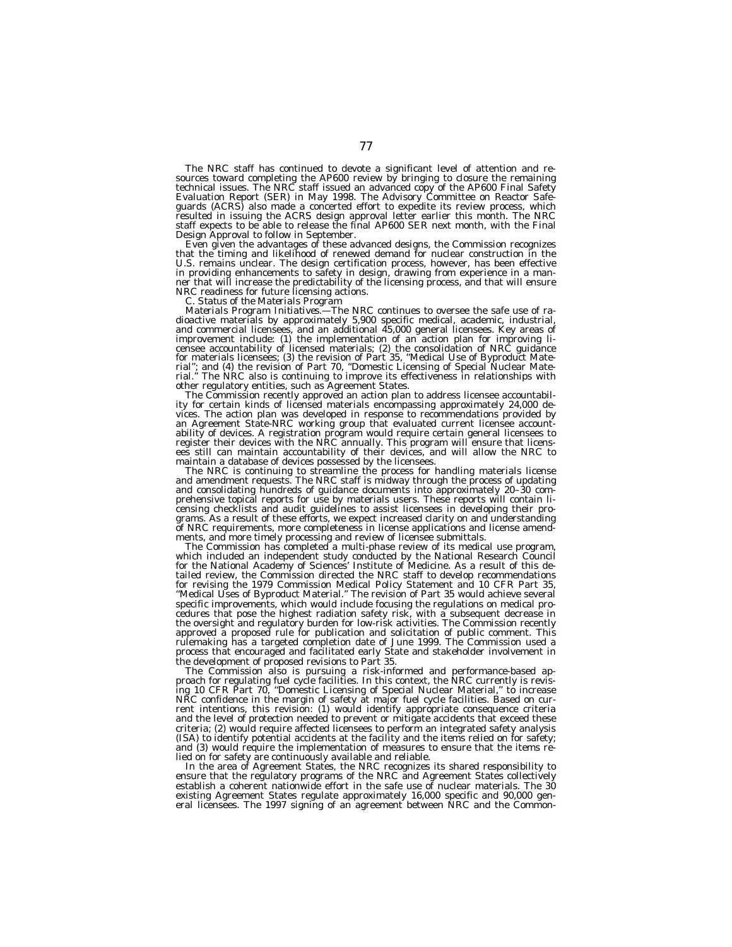The NRC staff has continued to devote a significant level of attention and re-<br>sources toward completing the AP600 review by bringing to closure the remaining<br>technical issues. The NRC staff issued an advanced copy of the Evaluation Report (SER) in May 1998. The Advisory Committee on Reactor Safe-guards (ACRS) also made a concerted effort to expedite its review process, which resulted in issuing the ACRS design approval letter earlier this month. The NRC staff expects to be able to release the final AP600 SER next month, with the Final

Design Approval to follow in September. Even given the advantages of these advanced designs, the Commission recognizes that the timing and likelihood of renewed demand for nuclear construction in the U.S. remains unclear. The design certification process, however, has been effective in providing enhancements to safety in design, drawing from experience in a man-ner that will increase the predictability of the licensing process, and that will ensure

NRC readiness for future licensing actions. *C. Status of the Materials Program Materials Program Initiatives.—*The NRC continues to oversee the safe use of radioactive materials by approximately 5,900 specific medical, academic, industrial,<br>and commercial licensees, and an additional 45,000 general licensees. Key areas of<br>improvement include: (1) the implementation of an action censee accountability of licensed materials; (2) the consolidation of NRC guidance<br>for materials licensees; (3) the revision of Part 35, "Medical Use of Byproduct Mate-<br>rial"; and (4) the revision of Part 70, "Domestic Lic

other regulatory entities, such as Agreement States. The Commission recently approved an action plan to address licensee accountabil- ity for certain kinds of licensed materials encompassing approximately 24,000 devices. The action plan was developed in response to recommendations provided by<br>an Agreement State-NRC working group that evaluated current licensee account-<br>ability of devices. A registration program would require certain

maintain a database of devices possessed by the licensees.<br>The NRC is continuing to streamline the process for handling materials license<br>and amendment requests. The NRC staff is midway through the process of updating<br>and prehensive topical reports for use by materials users. These reports will contain li-<br>censing checklists and audit guidelines to assist licensees in developing their programs. As a result of these efforts, we expect increased clarity on and understanding of NRC requirements, more completeness in license applications and license amendments, and more timely processing and review of licensee submittals. The Commission has completed a multi-phase review of its medical use program,

which included an independent study conducted by the National Research Council for the National Academy of Sciences' Institute of Medicine. As a result of this detailed review, the Commission directed the NRC staff to develop recommendations for revising the 1979 Commission Medical Policy Statement and 10 CFR Part 35, ''Medical Uses of Byproduct Material.'' The revision of Part 35 would achieve several specific improvements, which would include focusing the regulations on medical procedures that pose the highest radiation safety risk, with a subsequent decrease in the oversight and regulatory burden for low-risk activities. The Commission recently approved a proposed rule for publication and solicitation of public comment. This rulemaking has a targeted completion date of June 1999. The Commission used a process that encouraged and facilitated early State and stakeholder involvement in the development of proposed revisions to Part 35.

The Commission also is pursuing a risk-informed and performance-based approach for regulating fuel cycle facilities. In this context, the NRC currently is revising 10 CFR Part 70, ''Domestic Licensing of Special Nuclear Material,'' to increase NRC confidence in the margin of safety at major fuel cycle facilities. Based on current intentions, this revision: (1) would identify appropriate consequence criteria and the level of protection needed to prevent or mitigate accidents that exceed these criteria; (2) would require affected licensees to perform an integrated safety analysis (ISA) to identify potential accidents at the facility and the items relied on for safety; and (3) would require the implementation of measures to ensure that the items relied on for safety are continuously available and reliable.

In the area of Agreement States, the NRC recognizes its shared responsibility to ensure that the regulatory programs of the NRC and Agreement States collectively establish a coherent nationwide effort in the safe use of nuclear materials. The 30 existing Agreement States regulate approximately 16,000 specific and 90,000 gen-eral licensees. The 1997 signing of an agreement between NRC and the Common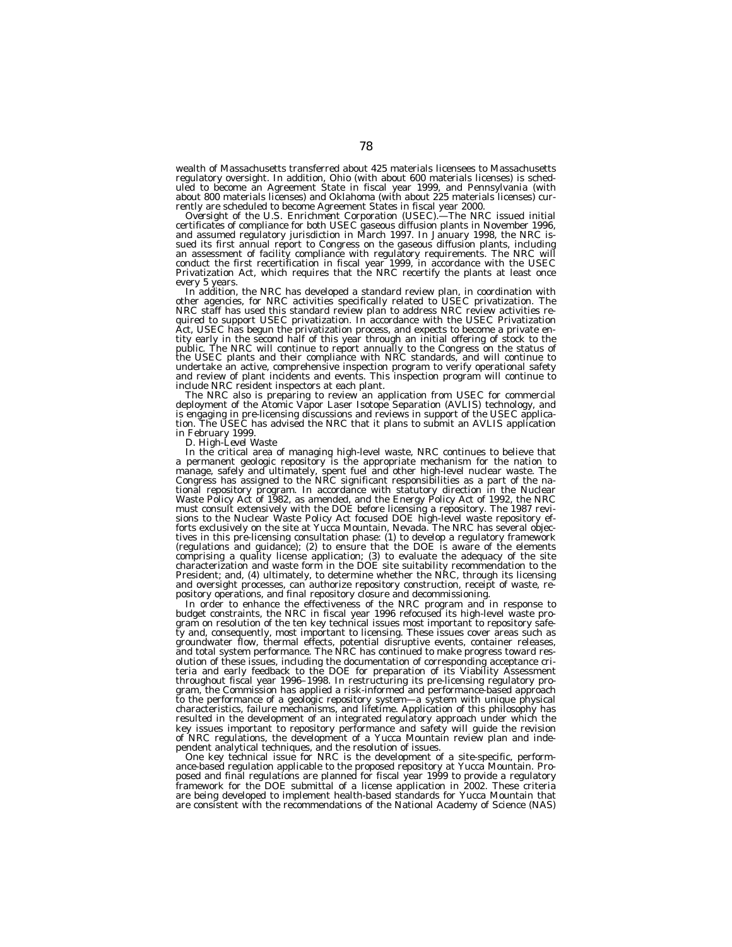wealth of Massachusetts transferred about 425 materials licensees to Massachusetts regulatory oversight. In addition, Ohio (with about 600 materials licenses) is sched-uled to become an Agreement State in fiscal year 1999, and Pennsylvania (with about 800 materials licenses) and Oklahoma (with about 225 materials licenses) cur-

rently are scheduled to become Agreement States in fiscal year 2000.<br>*Oversight of the U.S. Enrichment Corporation (USEC).*—The NRC issued initial<br>certificates of compliance for both USEC gaseous diffusion plants in Novemb and assumed regulatory jurisdiction in March 1997. In January 1998, the NRC issued its first annual report to Congress on the gaseous diffusion plants, including an assessment of facility compliance with regulatory requirements. The NRC will conduct the first recertification in fiscal year 1999, in accordance with the USEC Privatization Act, which requires that the NRC recertify the plants at least once

every 5 years. In addition, the NRC has developed a standard review plan, in coordination with other agencies, for NRC activities specifically related to USEC privatization. The NRC staff has used this standard review plan to address NRC review activities required to support USEC privatization. In accordance with the USEC Privatization Act, USEC has begun the privatization process, and expects to become a private entity early in the second half of this year through an initial offering of stock to the public. The NRC will continue to report annually to the Congress on the status of the USEC plants and their compliance with NRC standards, and will continue to undertake an active, comprehensive inspection program to verify operational safety and review of plant incidents and events. This inspection program will continue to include NRC resident inspectors at each plant.

The NRC also is preparing to review an application from USEC for commercial<br>deployment of the Atomic Vapor Laser Isotope Separation (AVLIS) technology, and<br>is engaging in pre-licensing discussions and reviews in support of

in February 1999. *D. High-Level Waste* In the critical area of managing high-level waste, NRC continues to believe that<br>a permanent geologic repository is the appropriate mechanism for the nation to<br>manage, safely and ultimately, spent fuel and other high-level Waste Policy Act of 1982, as amended, and the Energy Policy Act of 1992, the NRC must consult extensively with the DOE before licensing a repository. The 1987 revisions to the Nuclear Waste Policy Act focused DOE high-level waste repository ef-forts exclusively on the site at Yucca Mountain, Nevada. The NRC has several objectives in this pre-licensing consultation phase: (1) to develop a regulatory framework (regulations and guidance); (2) to ensure that the DOE is aware of the elements comprising a quality license application; (3) to evaluate the adequacy of the site characterization and waste form in the DOE site suitability recommendation to the President; and, (4) ultimately, to determine whether the NRC, through its licensing and oversight processes, can authorize repository construction, receipt of waste, repository operations, and final repository closure and decommissioning.

In order to enhance the effectiveness of the NRC program and in response to budget constraints, the NRC in fiscal year 1996 refocused its high-level waste program on resolution of the ten key technical issues most important to repository safety and, consequently, most important to licensing. These issues cover areas such as groundwater flow, thermal effects, potential disruptive events, container releases, and total system performance. The NRC has continued to make progress toward resolution of these issues, including the documentation of corresponding acceptance criteria and early feedback to the DOE for preparation of its Viability Assessment throughout fiscal year 1996–1998. In restructuring its pre-licensing regulatory program, the Commission has applied a risk-informed and performance-based approach to the performance of a geologic repository system—a system with unique physical characteristics, failure mechanisms, and lifetime. Application of this philosophy has resulted in the development of an integrated regulatory approach under which the key issues important to repository performance and safety will guide the revision of NRC regulations, the development of a Yucca Mountain review plan and independent analytical techniques, and the resolution of issues.

One key technical issue for NRC is the development of a site-specific, performance-based regulation applicable to the proposed repository at Yucca Mountain. Proposed and final regulations are planned for fiscal year 1999 to provide a regulatory framework for the DOE submittal of a license application in 2002. These criteria are being developed to implement health-based standards for Yucca Mountain that are consistent with the recommendations of the National Academy of Science (NAS)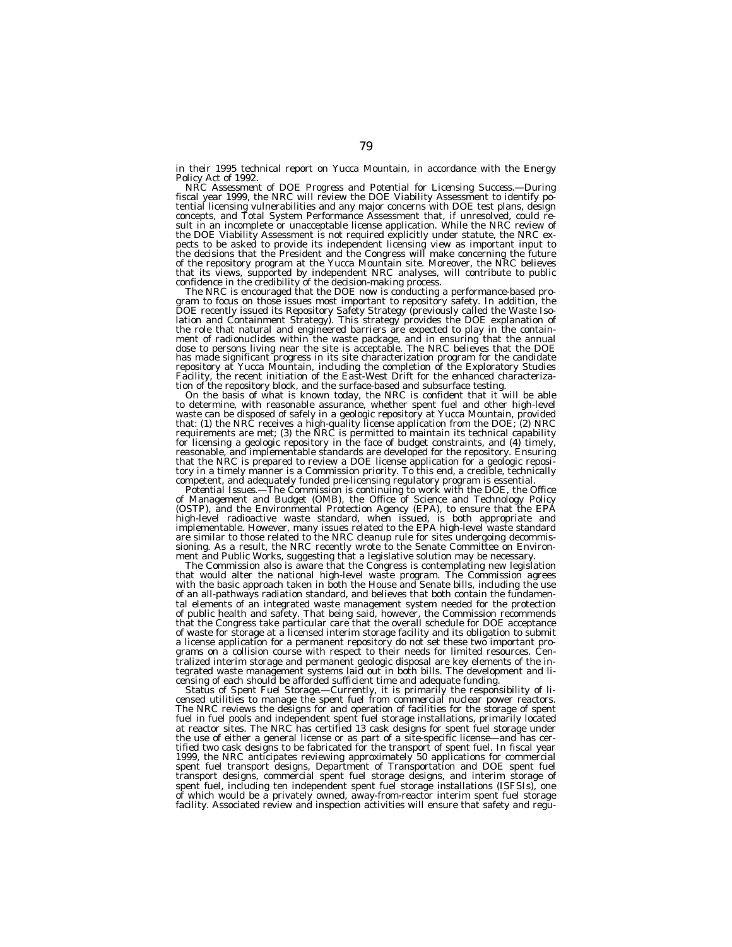in their 1995 technical report on Yucca Mountain, in accordance with the Energy Policy Act of 1992.<br>*NRC Assessment of DOE Progress and Potential for Licensing Success.*—During  $R$ 

fiscal year 1999, the NRC will review the DOE Viability Assessment to identify potential licensing vulnerabilities and any major concerns with DOE test plans, design concepts, and Total System Performance Assessment that, if unresolved, could re-sult in an incomplete or unacceptable license application. While the NRC review of the DOE Viability Assessment is not required explicitly under statute, the NRC ex-pects to be asked to provide its independent licensing view as important input to the decisions that the President and the Congress will make concerning the future of the repository program at the Yucca Mountain site. Moreover, the NRC believes that its views, supported by independent NRC analyses, will contribute to public

confidence in the credibility of the decision-making process.<br>The NRC is encouraged that the DOE now is conducting a performance-based pro-<br>gram to focus on those issues most important to repository safety. In addition, th the role that natural and engineered barriers are expected to play in the containment of radionuclides within the waste package, and in ensuring that the annual dose to persons living near the site is acceptable. The NRC believes that the DOE has made significant progress in its site characterization program for the candidate<br>repository at Yucca Mountain, including the completion of the Exploratory Studies<br>Facility, the recent initiation of the East-West Drift

tion of the repository block, and the surface-based and subsurface testing.<br>
On the basis of what is known today, the NRC is confident that it will be able<br>
to determine, with reasonable assurance, whether spent fuel and o that the NRC is prepared to review a DOE license application for a geologic reposi-tory in a timely manner is a Commission priority. To this end, a credible, technically competent, and adequately funded pre-licensing regulatory program is essential.<br>Potential Issues.—The Commission is continuing to work with the DOE, the Office

of Management and Budget (OMB), the Office of Science and Technology Policy<br>(OSTP), and the Environmental Protection Agency (EPA), to ensure that the EPA high-level radioactive waste standard, when issued, is both appropriate and implementable. However, many issues related to the EPA high-level waste standard are similar to those related to the NRC cleanup rule for sites undergoing decommis-sioning. As a result, the NRC recently wrote to the Senate Committee on Environment and Public Works, suggesting that a legislative solution may be necessary.

The Commission also is aware that the Congress is contemplating new legislation that would alter the national high-level waste program. The Commission agrees with the basic approach taken in both the House and Senate bills, including the use of an all-pathways radiation standard, and believes that both contain the fundamental elements of an integrated waste management system needed for the protection of public health and safety. That being said, however, the Commission recommends that the Congress take particular care that the overall schedule for DOE acceptance of waste for storage at a licensed interim storage facility and its obligation to submit a license application for a permanent repository do not set these two important programs on a collision course with respect to their needs for limited resources. Centralized interim storage and permanent geologic disposal are key elements of the integrated waste management systems laid out in both bills. The development and licensing of each should be afforded sufficient time and adequate funding.

*Status of Spent Fuel Storage.—*Currently, it is primarily the responsibility of licensed utilities to manage the spent fuel from commercial nuclear power reactors. The NRC reviews the designs for and operation of facilities for the storage of spent fuel in fuel pools and independent spent fuel storage installations, primarily located at reactor sites. The NRC has certified 13 cask designs for spent fuel storage under the use of either a general license or as part of a site-specific license—and has certified two cask designs to be fabricated for the transport of spent fuel. In fiscal year 1999, the NRC anticipates reviewing approximately 50 applications for commercial spent fuel transport designs, Department of Transportation and DOE spent fuel transport designs, commercial spent fuel storage designs, and interim storage of spent fuel, including ten independent spent fuel storage installations (ISFSIs), one of which would be a privately owned, away-from-reactor interim spent fuel storage<br>facility. Associated review and inspection activities will ensure that safety and regu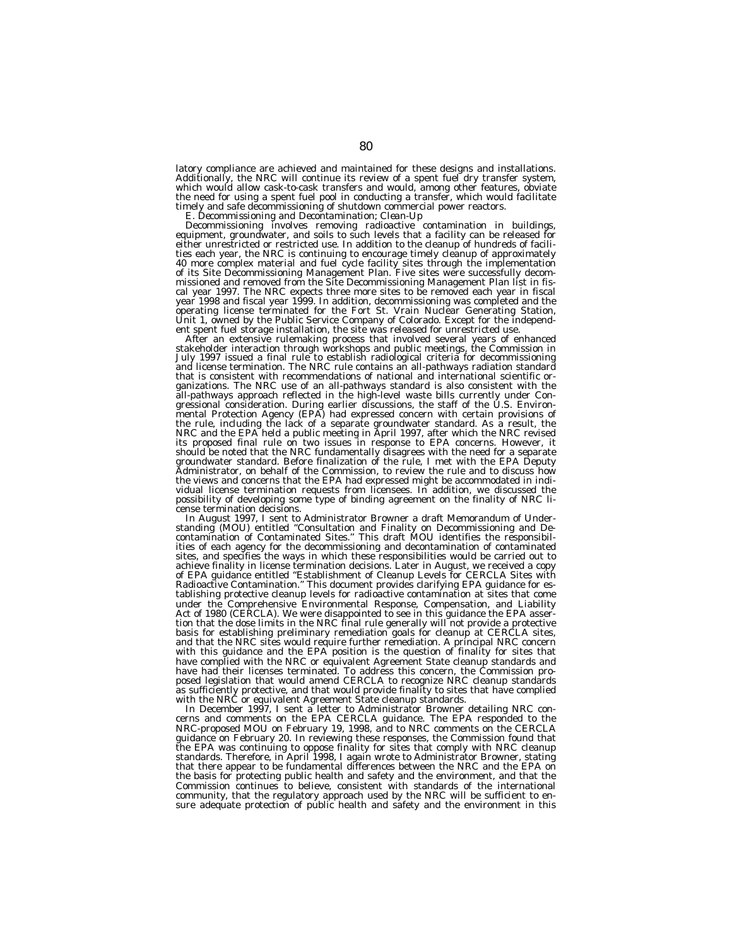latory compliance are achieved and maintained for these designs and installations. Additionally, the NRC will continue its review of a spent fuel dry transfer system, which would allow cask-to-cask transfers and would, among other features, obviate the need for using a spent fuel pool in conducting a transfer, which would facilitate

timely and safe decommissioning of shutdown commercial power reactors. *E. Decommissioning and Decontamination; Clean-Up* Decommissioning Involves removing radioactive contamination in buildings,<br>equipment, groundwater, and soils to such levels that a facility can be released for<br>either unrestricted or restricted use. In addition to the clean ties each year, the NRC is continuing to encourage timely cleanup of approximately 40 more complex material and fuel cycle facility sites through the implementation of its Site Decommissioning Management Plan. Five sites were successfully decom-missioned and removed from the Site Decommissioning Management Plan list in fiscal year 1997. The NRC expects three more sites to be removed each year in fiscal year 1998 and fiscal year 1999. In addition, decommissioning was completed and the operating license terminated for the Fort St. Vrain Nuclear Generating Station, Unit 1, owned by the Public Service Company of Colorado. Except for the independ-

ent spent fuel storage installation, the site was released for unrestricted use.<br>After an extensive rulemaking process that involved several years of enhanced<br>stakeholder interaction through workshops and public meetings, that is consistent with recommendations of national and international scientific organizations. The NRC use of an all-pathways standard is also consistent with the all-pathways approach reflected in the high-level waste bills currently under Congressional consideration. During earlier discussions, the staff of the U.S. Environ-<br>mental Protection Agency (EPA) had expressed concern with certain provisions of<br>the rule, including the lack of a separate groundwater st its proposed final rule on two issues in response to EPA concerns. However, it should be noted that the NRC fundamentally disagrees with the need for a separate groundwater standard. Before finalization of the rule, I met with the EPA Deputy Administrator, on behalf of the Commission, to review the rule and to discuss how the views and concerns that the EPA had expressed might be accommodated in indi-vidual license termination requests from licensees. In addition, we discussed the possibility of developing some type of binding agreement on the finality of NRC li-cense termination decisions.

In August 1997, I sent to Administrator Browner a draft Memorandum of Understanding (MOU) entitled "Consultation and Finality on Decommissioning and Decontamination of Contaminated Sites." This draft MOU identifies the res sites, and specifies the ways in which these responsibilities would be carried out to achieve finality in license termination decisions. Later in August, we received a copy of EPA guidance entitled ''Establishment of Cleanup Levels for CERCLA Sites with Radioactive Contamination.'' This document provides clarifying EPA guidance for establishing protective cleanup levels for radioactive contamination at sites that come under the Comprehensive Environmental Response, Compensation, and Liability Act of 1980 (CERCLA). We were disappointed to see in this guidance the EPA assertion that the dose limits in the NRC final rule generally will not provide a protective basis for establishing preliminary remediation goals for cleanup at CERCLA sites, and that the NRC sites would require further remediation. A principal NRC concern with this guidance and the EPA position is the question of finality for sites that have complied with the NRC or equivalent Agreement State cleanup standards and have had their licenses terminated. To address this concern, the Commission proposed legislation that would amend CERCLA to recognize NRC cleanup standards as sufficiently protective, and that would provide finality to sites that have complied with the NRC or equivalent Agreement State cleanup standards.

In December 1997, I sent a letter to Administrator Browner detailing NRC concerns and comments on the EPA CERCLA guidance. The EPA responded to the NRC-proposed MOU on February 19, 1998, and to NRC comments on the CERCLA guidance on February 20. In reviewing these responses, the Commission found that the EPA was continuing to oppose finality for sites that comply with NRC cleanup standards. Therefore, in April 1998, I again wrote to Administrator Browner, stating that there appear to be fundamental differences between the NRC and the EPA on the basis for protecting public health and safety and the environment, and that the Commission continues to believe, consistent with standards of the international community, that the regulatory approach used by the NRC will be sufficient to en-sure adequate protection of public health and safety and the environment in this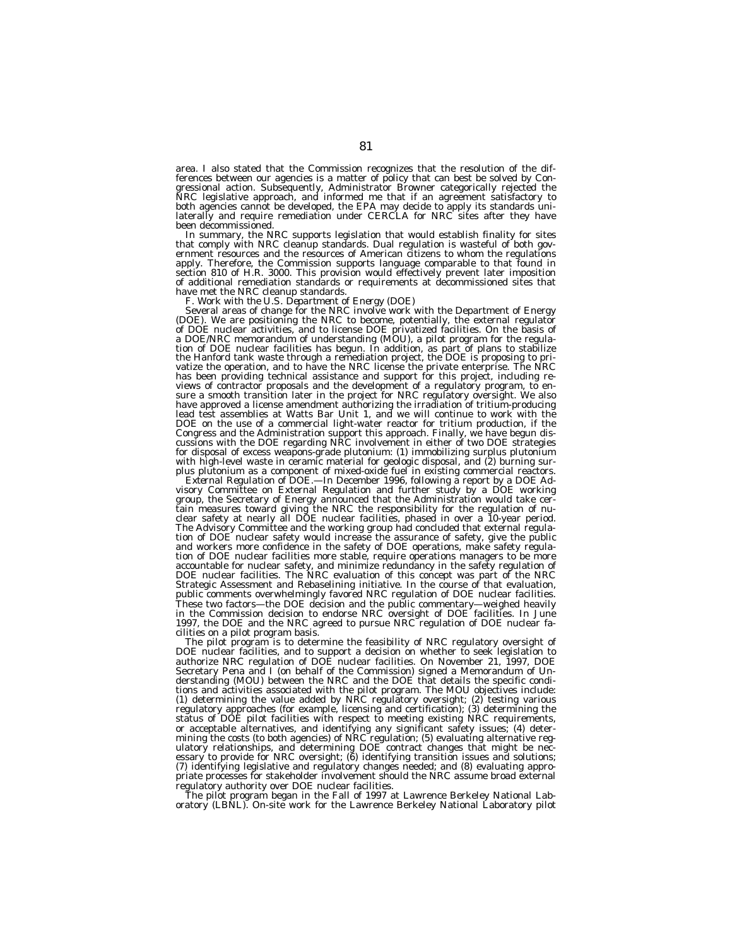area. I also stated that the Commission recognizes that the resolution of the differences between our agencies is a matter of policy that can best be solved by Congressional action. Subsequently, Administrator Browner categorically rejected the NRC legislative approach, and informed me that if an agreement satisfactory to both agencies cannot be developed, the EPA may decide to apply its standards unilaterally and require remediation under CERCLA for NRC sites after they have been decommissioned.

In summary, the NRC supports legislation that would establish finality for sites that comply with NRC cleanup standards. Dual regulation is wasteful of both government resources and the resources of American citizens to whom the regulations apply. Therefore, the Commission supports language comparable to that found in section 810 of H.R. 3000. This provision would effectively prevent later imposition<br>of additional remediation standards or requirements at decommissioned sites that have met the NRC cleanup standards. *F. Work with the U.S. Department of Energy (DOE)*

(DOE). We are positioning the NRC to become, potentially, the external regulator of DOE nuclear activities, and to license DOE privatized facilities. On the basis of a DOE/NRC memorandum of understanding (MOU), a pilot program for the regulation of DOE nuclear facilities has begun. In addition, as part of plans to stabilize the Hanford tank waste through a remediation project, the DOE is proposing to privatize the operation, and to have the NRC license the private enterprise. The NRC has been providing technical assistance and support for this project, including reviews of contractor proposals and the development of a regulatory program, to ensure a smooth transition later in the project for NRC regula DOE on the use of a commercial light-water reactor for tritium production, if the<br>Congress and the Administration support this approach. Finally, we have begun dis-<br>cussions with the DOE regarding NRC involvement in either for disposal of excess weapons-grade plutonium: (1) immobilizing surplus plutonium with high-level waste in ceramic material for geologic disposal, and (2) burning sur-<br>plus plutonium as a component of mixed-oxide fuel in existing commercial reactors.

External Regulation of DOE.—In December 1996, following a report by a DOE Advisory Committee on External Regulation and further study by a DOE working group, the Secretary of Energy announced that the Administration would take certain measures toward giving the NRC the responsibility for the regulation of nuclear safety at nearly all DOE nuclear facilities, phased in ove tion of DOE nuclear safety would increase the assurance of safety, give the public and workers more confidence in the safety of DOE operations, make safety regulation of DOE nuclear facilities more stable, require operations managers to be more accountable for nuclear safety, and minimize redundancy in the safety regulation of DOE nuclear facilities. The NRC evaluation of this concept was part of the NRC Strategic Assessment and Rebaselining initiative. In the course of that evaluation, public comments overwhelmingly favored NRC regulation of DOE nuclear facilities. These two factors—the DOE decision and the public commentary—weighed heavily in the Commission decision to endorse NRC oversight of DOE facilities. In June 1997, the DOE and the NRC agreed to pursue NRC regulation of DOE nuclear facilities on a pilot program basis.

The pilot program is to determine the feasibility of NRC regulatory oversight of DOE nuclear facilities, and to support a decision on whether to seek legislation to authorize NRC regulation of DOE nuclear facilities. On November 21, 1997, DOE authorize ined regulation of DOE huclear facilities. On inovember 21, 1997, DOE<br>Secretary Pena and I (on behalf of the Commission) signed a Memorandum of Understanding (MOU) between the NRC and the DOE that details the specific conditions and activities associated with the pilot program. The MOU objectives include: (1) determining the value added by NRC regulatory oversight; (2) testing various regulatory approaches (for example, licensing and certification); (3) determining the status of DOE pilot facilities with respect to meeting existing NRC requirements, or acceptable alternatives, and identifying any significant safety issues; (4) determining the costs (to both agencies) of NRC regulation; (5) evaluating alternative regulatory relationships, and determining DOE contract changes that might be necessary to provide for NRC oversight; (6) identifying transition issues and solutions; (7) identifying legislative and regulatory changes needed; and (8) evaluating appropriate processes for stakeholder involvement should the NRC assume broad external regulatory authority over DOE nuclear facilities.

The pilot program began in the Fall of 1997 at Lawrence Berkeley National Lab-oratory (LBNL). On-site work for the Lawrence Berkeley National Laboratory pilot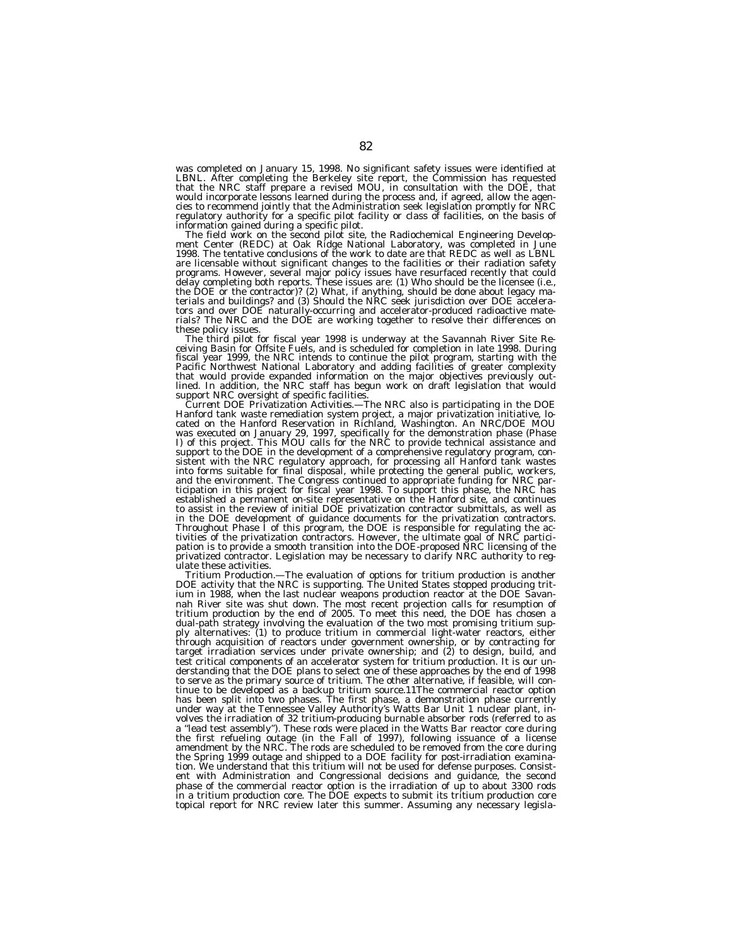was completed on January 15, 1998. No significant safety issues were identified at LBNL. After completing the Berkeley site report, the Commission has requested that the NRC staff prepare a revised MOU, in consultation with the DOE, that would incorporate lessons learned during the process and, if agreed, allow the agen-cies to recommend jointly that the Administration seek legislation promptly for NRC regulatory authority for a specific pilot facility or class of facilities, on the basis of

information gained during a specific pilot.<br>The field work on the second pilot site, the Radiochemical Engineering Develop-<br>ment Center (REDC) at Oak Ridge National Laboratory, was completed in June<br>1998. The tentative con are licensable without significant changes to the facilities or their radiation safety programs. However, several major policy issues have resurfaced recently that could delay completing both reports. These issues are: (1) Who should be the licensee (i.e., the DOE or the contractor)? (2) What, if anything, should be done about legacy ma-terials and buildings? and (3) Should the NRC seek jurisdiction over DOE accelerators and over DOE naturally-occurring and accelerator-produced radioactive materials? The NRC and the DOE are working together to resolve their differences on

these policy issues.<br>The third pilot for fiscal year 1998 is underway at the Savannah River Site Receiving Basin for Offsite Fuels, and is scheduled for completion in late 1998. During<br>fiscal year 1999, the NRC intends to that would provide expanded information on the major objectives previously outlined. In addition, the NRC staff has begun work on draft legislation that would

support NRC oversight of specific facilities.<br>Current DOE Privatization Activities.—The NRC also is participating in the DOE *Current DOE Privatization Activities.*—The NRC also is participating in the DOE Hanford tank waste remediation system project, a major privatization initiative, located on the Hanford Reservation in Richland, Washington. sistent with the NRC regulatory approach, for processing all Hanford tank wastes into forms suitable for final disposal, while protecting the general public, workers, and the environment. The Congress continued to appropriate funding for NRC par-ticipation in this project for fiscal year 1998. To support this phase, the NRC has established a permanent on-site representative on the Hanford site, and continues to assist in the review of initial DOE privatization contractor submittals, as well as in the DOE development of guidance documents for the privatization contractors. Throughout Phase I of this program, the DOE is responsible for regulating the activities of the privatization contractors. However, the ultimate goal of NRC partici-<br>pation is to provide a smooth transition into the DOE-proposed NRC licensing of the privatized contractor. Legislation may be necessary to clarify NRC authority to regulate these activities.

*Tritium Production.—*The evaluation of options for tritium production is another DOE activity that the NRC is supporting. The United States stopped producing tritium in 1988, when the last nuclear weapons production reactor at the DOE Savannah River site was shut down. The most recent projection calls for resumption of tritium production by the end of 2005. To meet this need, the DOE has chosen a dual-path strategy involving the evaluation of the two most promising tritium supply alternatives: (1) to produce tritium in commercial light-water reactors, either through acquisition of reactors under government ownership, or by contracting for target irradiation services under private ownership; and (2) to design, build, and test critical components of an accelerator system for tritium production. It is our understanding that the DOE plans to select one of these approaches by the end of 1998 to serve as the primary source of tritium. The other alternative, if feasible, will continue to be developed as a backup tritium source.11The commercial reactor option has been split into two phases. The first phase, a demonstration phase currently under way at the Tennessee Valley Authority's Watts Bar Unit 1 nuclear plant, involves the irradiation of 32 tritium-producing burnable absorber rods (referred to as a ''lead test assembly''). These rods were placed in the Watts Bar reactor core during the first refueling outage (in the Fall of 1997), following issuance of a license amendment by the NRC. The rods are scheduled to be removed from the core during the Spring 1999 outage and shipped to a DOE facility for post-irradiation examination. We understand that this tritium will not be used for defense purposes. Consistent with Administration and Congressional decisions and guidance, the second phase of the commercial reactor option is the irradiation of up to about 3300 rods in a tritium production core. The DOE expects to submit its tritium production core topical report for NRC review later this summer. Assuming any necessary legisla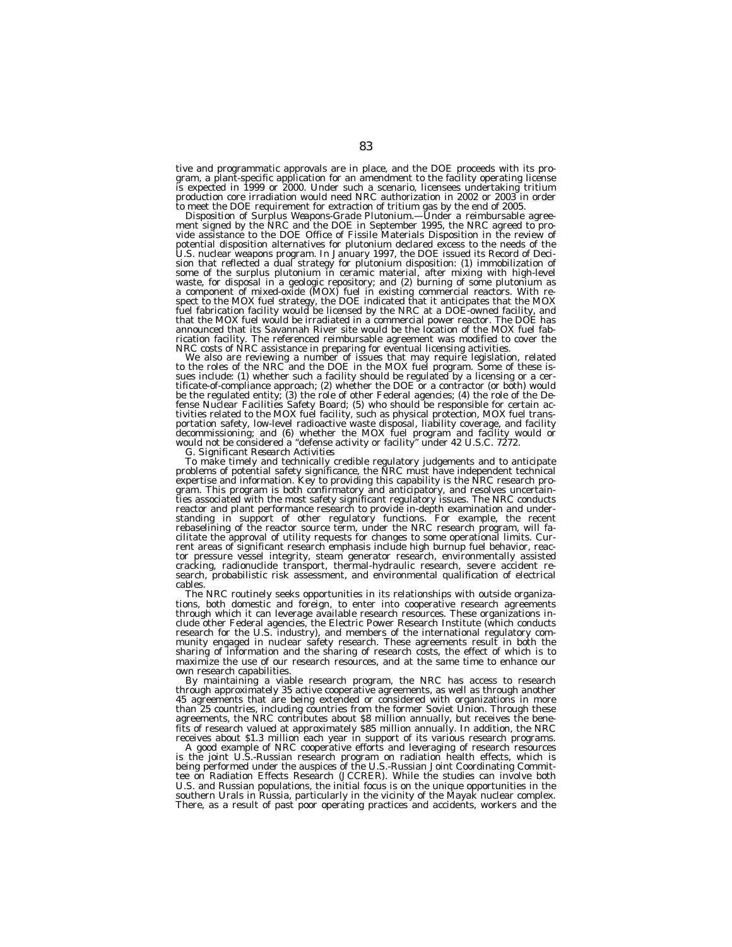tive and programmatic approvals are in place, and the DOE proceeds with its program, a plant-specific application for an amendment to the facility operating license is expected in 1999 or 2000. Under such a scenario, licensees undertaking tritium

production core irradiation would need NRC authorization in 2002 or 2003 in order<br>to meet the DOE requirement for extraction of tritium gas by the end of 2005.<br>*Disposition of Surplus Weapons-Grade Plutonium.*—Under a reim vide assistance to the DOE Office of Fissile Materials Disposition in the review of potential disposition alternatives for plutonium declared excess to the needs of the<br>U.S. nuclear weapons program. In January 1997, the DOE issued its Record of Deci-<br>sion that reflected a dual strategy for plutonium dispo some of the surplus plutonium in ceramic material, after mixing with high-level<br>waste, for disposal in a geologic repository; and (2) burning of some plutonium as<br>a component of mixed-oxide (MOX) fuel in existing commercia fuel fabrication facility would be licensed by the NRC at a DOE-owned facility, and that the MOX fuel would be irradiated in a commercial power reactor. The DOE has announced that its Savannah River site would be the location of the MOX fuel fabrication facility. The referenced reimbursable agreement was modified to cover the<br>NRC costs of NRC assistance in preparing for eventual licensing activities.

We also are reviewing a number of issues that may require legislation, related<br>to the roles of the NRC and the DOE in the MOX fuel program. Some of these issues include: (1) whether such a facility should be regulated by a licensing or a certificate-of-compliance approach; (2) whether the DOE or a contractor (or both) would be the regulated entity; (3) the role of other Fede

To make timely and technically credible regulatory judgements and to anticipate problems of potential safety significance, the NRC must have independent technical expertise and information. Key to providing this capability is the NRC research pro-gram. This program is both confirmatory and anticipatory, and resolves uncertainties associated with the most safety significant regulatory issues. The NRC conducts reactor and plant performance research to provide in-depth examination and understanding in support of other regulatory functions. For example, the recent rebaselining of the reactor source term, under the NRC research program, will facilitate the approval of utility requests for changes to some operational limits. Cur-rent areas of significant research emphasis include high burnup fuel behavior, reactor pressure vessel integrity, steam generator research, environmentally assisted cracking, radionuclide transport, thermal-hydraulic research, severe accident research, probabilistic risk assessment, and environmental qualification of electrical cables.

The NRC routinely seeks opportunities in its relationships with outside organizations, both domestic and foreign, to enter into cooperative research agreements through which it can leverage available research resources. These organizations include other Federal agencies, the Electric Power Research Institute (which conducts research for the U.S. industry), and members of the international regulatory community engaged in nuclear safety research. These agreements result in both the sharing of information and the sharing of research costs, the effect of which is to maximize the use of our research resources, and at the same time to enhance our own research capabilities.

By maintaining a viable research program, the NRC has access to research through approximately 35 active cooperative agreements, as well as through another 45 agreements that are being extended or considered with organizations in more than 25 countries, including countries from the former Soviet Union. Through these agreements, the NRC contributes about \$8 million annually, but receives the benefits of research valued at approximately \$85 million annually. In addition, the NRC receives about \$1.3 million each year in support of its various research programs.

A good example of NRC cooperative efforts and leveraging of research resources is the joint U.S.-Russian research program on radiation health effects, which is being performed under the auspices of the U.S.-Russian Joint Coordinating Committee on Radiation Effects Research (JCCRER). While the studies can involve both U.S. and Russian populations, the initial focus is on the unique opportunities in the southern Urals in Russia, particularly in the vicinity of the Mayak nuclear complex. There, as a result of past poor operating practices and accidents, workers and the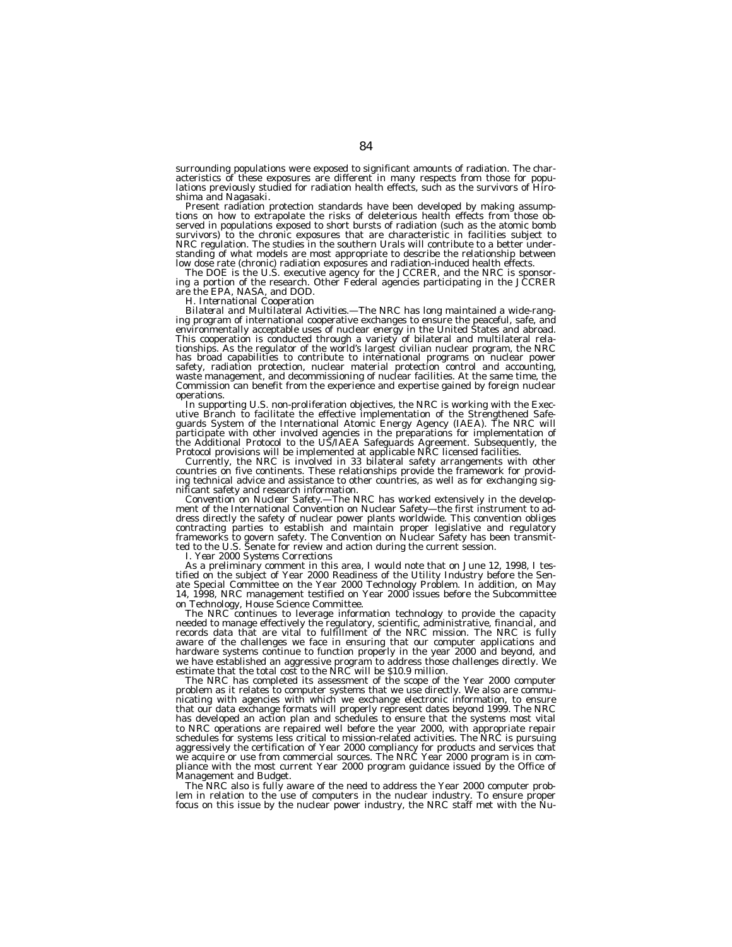surrounding populations were exposed to significant amounts of radiation. The characteristics of these exposures are different in many respects from those for populations previously studied for radiation health effects, such as the survivors of Hiro-<br>shima and Nagasaki.

Present radiation protection standards have been developed by making assumptions on how to extrapolate the risks of deleterious health effects from those observed in populations exposed to short bursts of radiation (such as the atomic bomb survivors) to the chronic exposures that are characteristic in facilities subject to<br>NRC regulation. The studies in the southern Urals will contribute to a better understanding of what models are most appropriate to describe the relationship between low dose rate (chronic) radiation exposures and radiation-induced health effects.

The DOE is the U.S. executive agency for the JCCRER, and the NRC is sponsor- ing a portion of the research. Other Federal agencies participating in the JCCRER

are the EPA, NASA, and DOD. *H. International Cooperation*

*Bilateral and Multilateral Activities*.—The NRC has long maintained a wide-rang-<br>ing program of international cooperative exchanges to ensure the peaceful, safe, and<br>environmentally acceptable uses of nuclear energy in th This cooperation is conducted through a variety of bilateral and multilateral relationships. As the regulator of the world's largest civilian nuclear program, the NRC has broad capabilities to contribute to international programs on nuclear power<br>safety, radiation protection, nuclear material protection control and accounting,<br>waste management, and decommissioning of nuclear facilities. Commission can benefit from the experience and expertise gained by foreign nuclear operations.<br>In supporting U.S. non-proliferation objectives, the NRC is working with the Exec-

utive Branch to facilitate the effective implementation of the Strengthened Safeguards System of the International Atomic Energy Agency (IAEA). The NRC will<br>participate with other involved agencies in the preparations for implementation of<br>the Additional Protocol to the US/IAEA Safeguards Agreement. S

Currently, the NRC is involved in 33 bilateral safety arrangements with other countries on five continents. These relationships provide the framework for providing technical advice and assistance to other countries, as well as for exchanging sig-

nificant safety and research information. *Convention on Nuclear Safety.*—The NRC has worked extensively in the development of the International Convention on Nuclear Safety—the first instrument to address directly the safety of nuclear power plants worldwide. This convention obliges<br>contracting parties to establish and maintain proper legislative and regulatory<br>frameworks to govern safety. The Convention on Nuclear Sa

*I. Year 2000 Systems Corrections*

As a preliminary comment in this area, I would note that on June 12, 1998, I testified on the subject of Year 2000 Readiness of the Utility Industry before the Senate Special Committee on the Year 2000 Technology Problem. In addition, on May 14, 1998, NRC management testified on Year 2000 issues before the Subcommittee on Technology, House Science Committee.

The NRC continues to leverage information technology to provide the capacity needed to manage effectively the regulatory, scientific, administrative, financial, and records data that are vital to fulfillment of the NRC mission. The NRC is fully aware of the challenges we face in ensuring that our computer applications and hardware systems continue to function properly in the year 2000 and beyond, and we have established an aggressive program to address those challenges directly. We estimate that the total cost to the NRC will be \$10.9 million.

The NRC has completed its assessment of the scope of the Year 2000 computer problem as it relates to computer systems that we use directly. We also are communicating with agencies with which we exchange electronic information, to ensure that our data exchange formats will properly represent dates beyond 1999. The NRC has developed an action plan and schedules to ensure that the systems most vital to NRC operations are repaired well before the year 2000, with appropriate repair schedules for systems less critical to mission-related activities. The NRC is pursuing aggressively the certification of Year 2000 compliancy for products and services that we acquire or use from commercial sources. The NRC Year 2000 program is in compliance with the most current Year 2000 program guidance issued by the Office of Management and Budget.

The NRC also is fully aware of the need to address the Year 2000 computer problem in relation to the use of computers in the nuclear industry. To ensure proper focus on this issue by the nuclear power industry, the NRC staff met with the Nu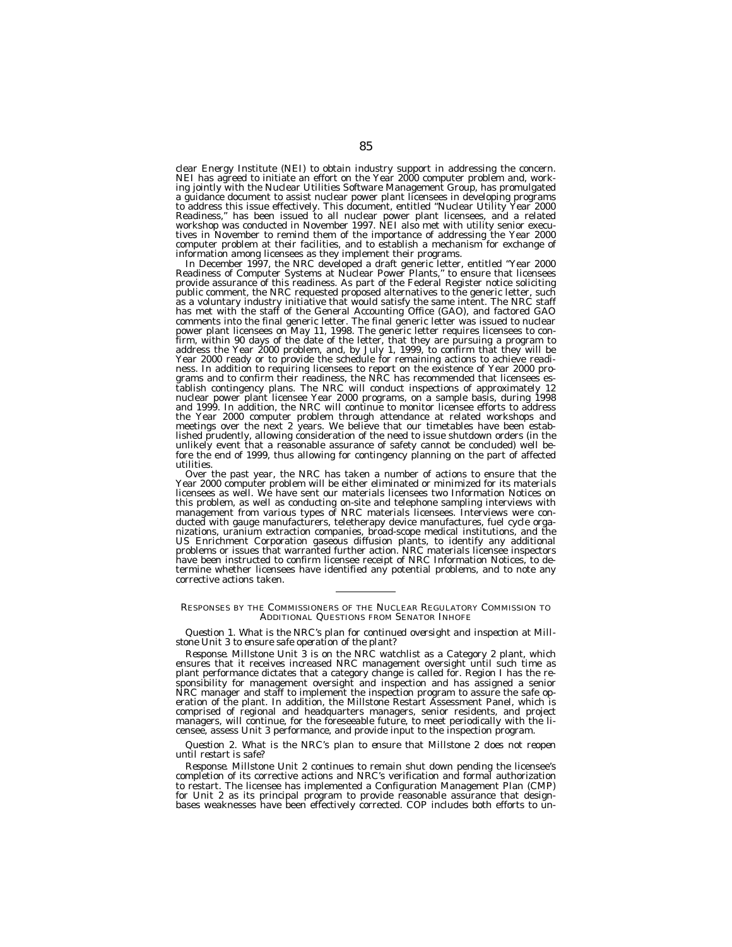clear Energy Institute (NEI) to obtain industry support in addressing the concern. NEI has agreed to initiate an effort on the Year 2000 computer problem and, working jointly with the Nuclear Utilities Software Management Group, has promulgated a guidance document to assist nuclear power plant licensees in developing programs<br>to address this issue effectively. This document, entitled "Nuclear Utility Year 2000 Readiness,'' has been issued to all nuclear power plant licensees, and a related workshop was conducted in November 1997. NEI also met with utility senior executives in November to remind them of the importance of addressing the Year 2000 computer problem at their facilities, and to establish a mechanism for exchange of information among licensees as they implement their programs.

In December 1997, the NRC developed a draft generic letter, entitled ''Year 2000 Readiness of Computer Systems at Nuclear Power Plants,'' to ensure that licensees provide assurance of this readiness. As part of the Federal Register notice soliciting public comment, the NRC requested proposed alternatives to the generic letter, such as a voluntary industry initiative that would satisfy the same intent. The NRC staff has met with the staff of the General Accounting Office (GAO), and factored GAO comments into the final generic letter. The final generic letter was issued to nuclear power plant licensees on May 11, 1998. The generic letter requires licensees to confirm, within 90 days of the date of the letter, that they are pursuing a program to address the Year 2000 problem, and, by July 1, 1999, to confirm that they will be Year 2000 ready or to provide the schedule for remaining actions to achieve readiness. In addition to requiring licensees to report on the existence of Year 2000 programs and to confirm their readiness, the NRC has recommended that licensees establish contingency plans. The NRC will conduct inspections of approximately 12 nuclear power plant licensee Year 2000 programs, on a sample basis, during 1998 and 1999. In addition, the NRC will continue to monitor licensee efforts to address the Year 2000 computer problem through attendance at related workshops and meetings over the next 2 years. We believe that our timetables have been established prudently, allowing consideration of the need to issue shutdown orders (in the unlikely event that a reasonable assurance of safety cannot be concluded) well before the end of 1999, thus allowing for contingency planning on the part of affected utilities.

Over the past year, the NRC has taken a number of actions to ensure that the Year 2000 computer problem will be either eliminated or minimized for its materials licensees as well. We have sent our materials licensees two Information Notices on this problem, as well as conducting on-site and telephone sampling interviews with management from various types of NRC materials licensees. Interviews were conducted with gauge manufacturers, teletherapy device manufactures, fuel cycle organizations, uranium extraction companies, broad-scope medical institutions, and the US Enrichment Corporation gaseous diffusion plants, to identify any additional problems or issues that warranted further action. NRC materials licensee inspectors have been instructed to confirm licensee receipt of NRC Information Notices, to determine whether licensees have identified any potential problems, and to note any corrective actions taken.

## RESPONSES BY THE COMMISSIONERS OF THE NUCLEAR REGULATORY COMMISSION TO ADDITIONAL QUESTIONS FROM SENATOR INHOFE

*Question 1. What is the NRC's plan for continued oversight and inspection at Millstone Unit 3 to ensure safe operation of the plant?*

*Response.* Millstone Unit 3 is on the NRC watchlist as a Category 2 plant, which ensures that it receives increased NRC management oversight until such time as plant performance dictates that a category change is called for. Region I has the responsibility for management oversight and inspection and has assigned a senior NRC manager and staff to implement the inspection program to assure the safe operation of the plant. In addition, the Millstone Restart Assessment Panel, which is comprised of regional and headquarters managers, senior residents, and project managers, will continue, for the foreseeable future, to meet periodically with the licensee, assess Unit 3 performance, and provide input to the inspection program.

# *Question 2. What is the NRC's plan to ensure that Millstone 2 does not reopen until restart is safe?*

*Response.* Millstone Unit 2 continues to remain shut down pending the licensee's completion of its corrective actions and NRC's verification and formal authorization to restart. The licensee has implemented a Configuration Management Plan (CMP) for Unit 2 as its principal program to provide reasonable assurance that design-bases weaknesses have been effectively corrected. COP includes both efforts to un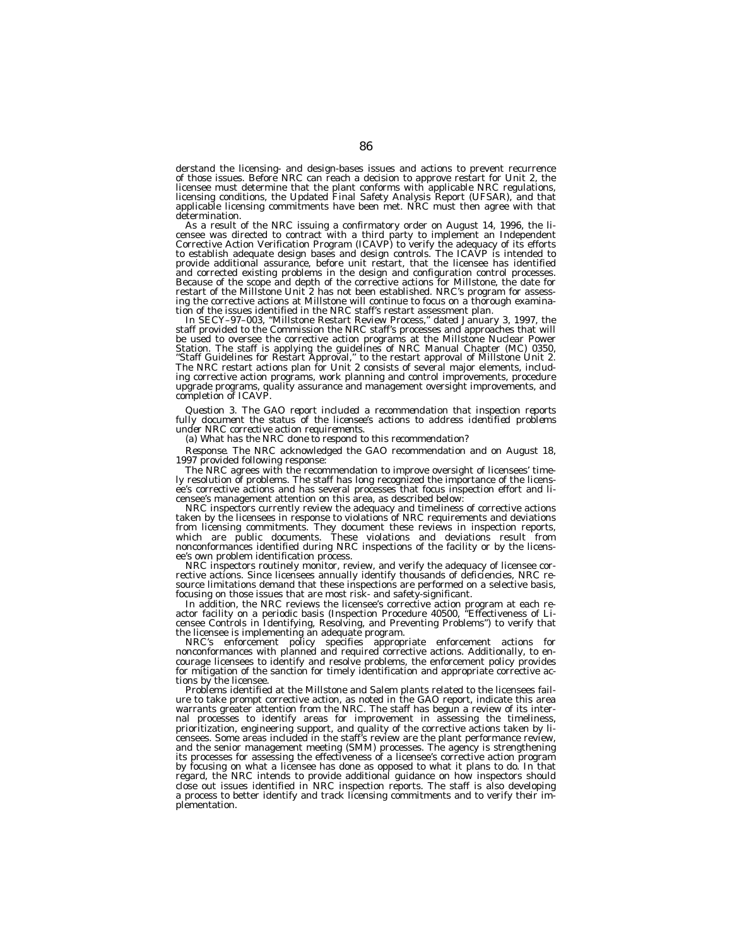derstand the licensing- and design-bases issues and actions to prevent recurrence of those issues. Before NRC can reach a decision to approve restart for Unit 2, the licensee must determine that the plant conforms with applicable NRC regulations, licensing conditions, the Updated Final Safety Analysis Report (UFSAR), and that applicable licensing commitments have been met. NRC must then agree with that

determination.<br>As a result of the NRC issuing a confirmatory order on August 14, 1996, the li-As a result of the NRC issuing a confirmatory order on August 14, 1996, the li-<br>censee was directed to contract with a third party to implement an Independent<br>Corrective Action Verification Program (ICAVP) to verify the ad to establish adequate design bases and design controls. The ICAVP is intended to provide additional assurance, before unit restart, that the licensee has identified and corrected existing problems in the design and configuration control processes. Because of the scope and depth of the corrective actions for Millstone, the date for restart of the Millstone Unit 2 has not been established. NRC's program for assess-ing the corrective actions at Millstone will continue to focus on a thorough examina-

tion of the issues identified in the NRC staff's restart assessment plan.<br>In SECY–97–003, "Millstone Restart Review Process," dated January 3, 1997, the<br>staff provided to the Commission the NRC staff's processes and approa be used to oversee the corrective action programs at the Millstone Nuclear Power<br>Station. The staff is applying the guidelines of NRC Manual Chapter (MC) 0350,<br>"Staff Guidelines for Restart Approval," to the restart approv The NRC restart actions plan for Unit 2 consists of several major elements, including corrective action programs, work planning and control improvements, procedure upgrade programs, quality assurance and management oversight improvements, and completion of ICAVP.

*Question 3. The GAO report included a recommendation that inspection reports fully document the status of the licensee's actions to address identified problems under NRC corrective action requirements.*

*(a) What has the NRC done to respond to this recommendation?*

*Response.* The NRC acknowledged the GAO recommendation and on August 18, 1997 provided following response:

The NRC agrees with the recommendation to improve oversight of licensees' timely resolution of problems. The staff has long recognized the importance of the licensee's corrective actions and has several processes that focus inspection effort and licensee's management attention on this area, as described below:

NRC inspectors currently review the adequacy and timeliness of corrective actions taken by the licensees in response to violations of NRC requirements and deviations from licensing commitments. They document these reviews in inspection reports, which are public documents. These violations and deviations result from nonconformances identified during NRC inspections of the facility or by the licensee's own problem identification process.

NRC inspectors routinely monitor, review, and verify the adequacy of licensee corrective actions. Since licensees annually identify thousands of deficiencies, NRC resource limitations demand that these inspections are performed on a selective basis, focusing on those issues that are most risk- and safety-significant.

In addition, the NRC reviews the licensee's corrective action program at each reactor facility on a periodic basis (Inspection Procedure 40500, ''Effectiveness of Licensee Controls in Identifying, Resolving, and Preventing Problems'') to verify that the licensee is implementing an adequate program.

NRC's enforcement policy specifies appropriate enforcement actions for nonconformances with planned and required corrective actions. Additionally, to encourage licensees to identify and resolve problems, the enforcement policy provides for mitigation of the sanction for timely identification and appropriate corrective actions by the licensee.

Problems identified at the Millstone and Salem plants related to the licensees failure to take prompt corrective action, as noted in the GAO report, indicate this area warrants greater attention from the NRC. The staff has begun a review of its internal processes to identify areas for improvement in assessing the timeliness, prioritization, engineering support, and quality of the corrective actions taken by licensees. Some areas included in the staff's review are the plant performance review, and the senior management meeting (SMM) processes. The agency is strengthening its processes for assessing the effectiveness of a licensee's corrective action program by focusing on what a licensee has done as opposed to what it plans to do. In that regard, the NRC intends to provide additional guidance on how inspectors should close out issues identified in NRC inspection reports. The staff is also developing a process to better identify and track licensing commitments and to verify their implementation.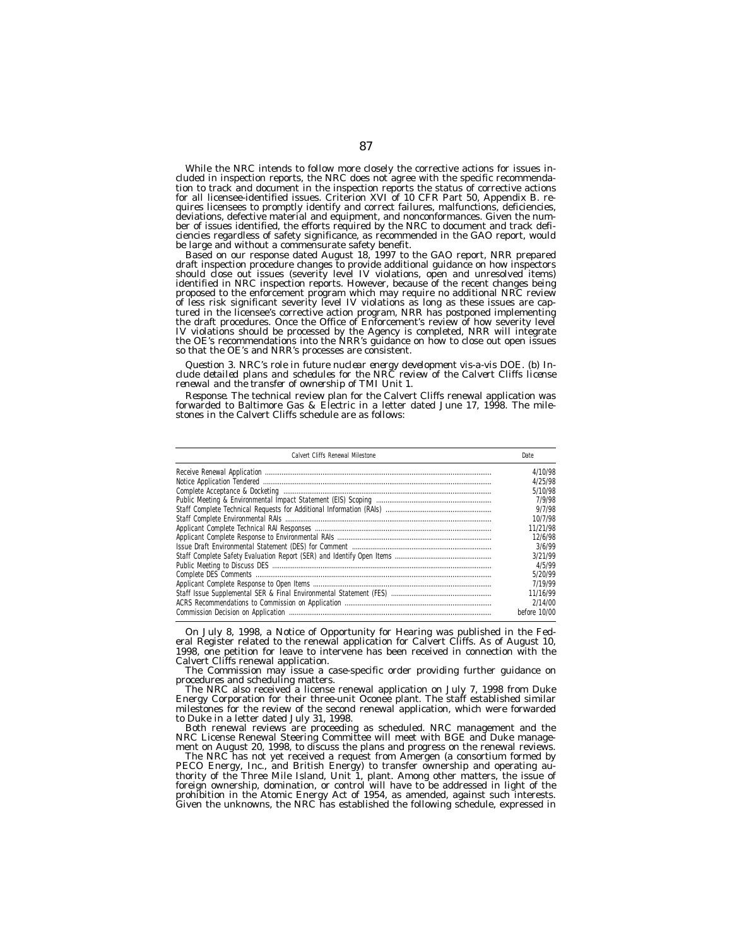While the NRC intends to follow more closely the corrective actions for issues included in inspection reports, the NRC does not agree with the specific recommendation to track and document in the inspection reports the status of corrective actions for all licensee-identified issues. Criterion XVI of 10 CFR Part 50, Appendix B. requires licensees to promptly identify and correct failures, malfunctions, deficiencies, deviations, defective material and equipment, and nonconformances. Given the number of issues identified, the efforts required by the NRC to document and track deficiencies regardless of safety significance, as recommended in the GAO report, would be large and without a commensurate safety benefit.

Based on our response dated August 18, 1997 to the GAO report, NRR prepared draft inspection procedure changes to provide additional guidance on how inspectors should close out issues (severity level IV violations, open and unresolved items) identified in NRC inspection reports. However, because of the recent changes being proposed to the enforcement program which may require no additional NRC review of less risk significant severity level IV violations as long as these issues are captured in the licensee's corrective action program, NRR has postponed implementing the draft procedures. Once the Office of Enforcement's review of how severity level IV violations should be processed by the Agency is completed, NRR will integrate the OE's recommendations into the NRR's guidance on how to close out open issues so that the OE's and NRR's processes are consistent.

*Question 3. NRC's role in future nuclear energy development vis-a-vis DOE. (b) Include detailed plans and schedules for the NRC review of the Calvert Cliffs license renewal and the transfer of ownership of TMI Unit 1.*

*Response.* The technical review plan for the Calvert Cliffs renewal application was forwarded to Baltimore Gas & Electric in a letter dated June 17, 1998. The milestones in the Calvert Cliffs schedule are as follows:

| Calvert Cliffs Renewal Milestone                                                                                                                                                                                                                                                              | <b>Date</b>  |
|-----------------------------------------------------------------------------------------------------------------------------------------------------------------------------------------------------------------------------------------------------------------------------------------------|--------------|
| $\label{p:reco} \begin{minipage}[t]{0.9\textwidth} \begin{tabular}{p{0.5cm}p{0.5cm}p{0.5cm}p{0.5cm}p{0.5cm}p{0.5cm}p{0.5cm}p{0.5cm}p{0.5cm}p{0.5cm}p{0.5cm}p{0.5cm}p{0.5cm}p{0.5cm}p{0.5cm}p{0.5cm}p{0.5cm}p{0.5cm}p{0.5cm}p{0.5cm}p{0.5cm}p{0.5cm}p{0.5cm}p{0.5cm}p{0.5cm}p{0.5cm}p{0.5cm}p$ | 4/10/98      |
|                                                                                                                                                                                                                                                                                               | 4/25/98      |
|                                                                                                                                                                                                                                                                                               | 5/10/98      |
|                                                                                                                                                                                                                                                                                               | 7/9/98       |
|                                                                                                                                                                                                                                                                                               | 9/7/98       |
|                                                                                                                                                                                                                                                                                               | 10/7/98      |
|                                                                                                                                                                                                                                                                                               | 11/21/98     |
|                                                                                                                                                                                                                                                                                               | 12/6/98      |
|                                                                                                                                                                                                                                                                                               | 3/6/99       |
|                                                                                                                                                                                                                                                                                               | 3/21/99      |
|                                                                                                                                                                                                                                                                                               | 4/5/99       |
|                                                                                                                                                                                                                                                                                               | 5/20/99      |
|                                                                                                                                                                                                                                                                                               | 7/19/99      |
|                                                                                                                                                                                                                                                                                               | 11/16/99     |
|                                                                                                                                                                                                                                                                                               | 2/14/00      |
|                                                                                                                                                                                                                                                                                               | before 10/00 |

On July 8, 1998, a Notice of Opportunity for Hearing was published in the Federal Register related to the renewal application for Calvert Cliffs. As of August 10, 1998, one petition for leave to intervene has been received in connection with the Calvert Cliffs renewal application.

The Commission may issue a case-specific order providing further guidance on procedures and scheduling matters.

The NRC also received a license renewal application on July 7, 1998 from Duke Energy Corporation for their three-unit Oconee plant. The staff established similar milestones for the review of the second renewal application, which were forwarded to Duke in a letter dated July 31, 1998.

Both renewal reviews are proceeding as scheduled. NRC management and the NRC License Renewal Steering Committee will meet with BGE and Duke management on August 20, 1998, to discuss the plans and progress on the renewal reviews.

The NRC has not yet received a request from Amergen (a consortium formed by PECO Energy, Inc., and British Energy) to transfer ownership and operating authority of the Three Mile Island, Unit 1, plant. Among other matters, the issue of foreign ownership, domination, or control will have to be addressed in light of the prohibition in the Atomic Energy Act of 1954, as amended, against such interests. Given the unknowns, the NRC has established the following schedule, expressed in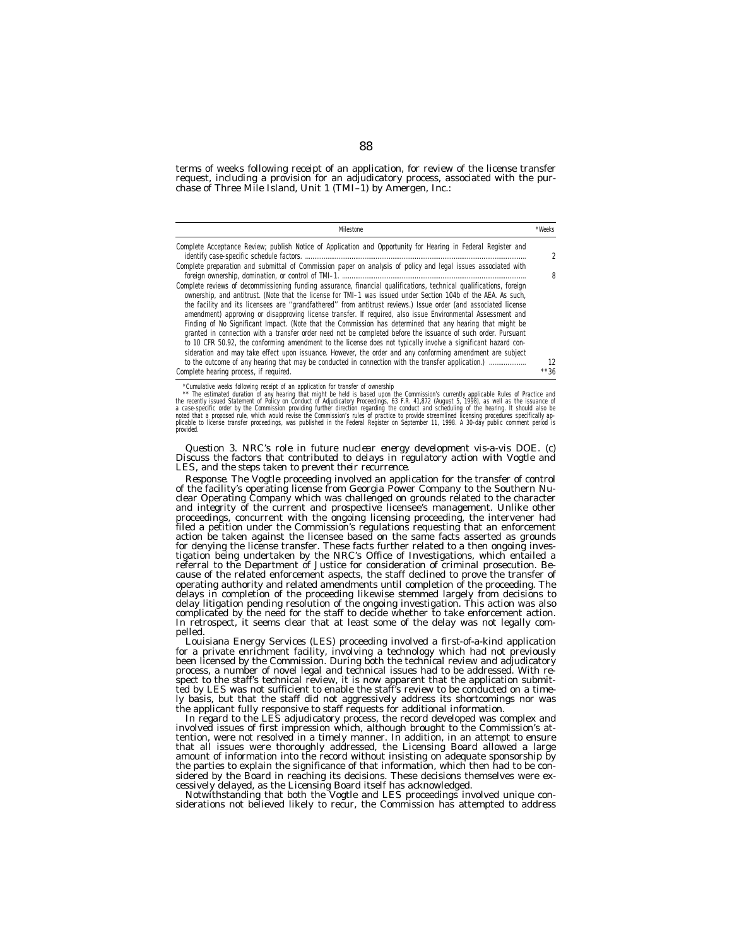terms of weeks following receipt of an application, for review of the license transfer request, including a provision for an adjudicatory process, associated with the purchase of Three Mile Island, Unit 1 (TMI–1) by Amergen, Inc.:

| <b>Milestone</b>                                                                                                                                                                                                                                                                                                                                                                                                                                                                                                                                                                                                                                                                                                                                                                                                                                                                                                                  | *Weeks                   |
|-----------------------------------------------------------------------------------------------------------------------------------------------------------------------------------------------------------------------------------------------------------------------------------------------------------------------------------------------------------------------------------------------------------------------------------------------------------------------------------------------------------------------------------------------------------------------------------------------------------------------------------------------------------------------------------------------------------------------------------------------------------------------------------------------------------------------------------------------------------------------------------------------------------------------------------|--------------------------|
| Complete Acceptance Review; publish Notice of Application and Opportunity for Hearing in Federal Register and                                                                                                                                                                                                                                                                                                                                                                                                                                                                                                                                                                                                                                                                                                                                                                                                                     | $\overline{\phantom{a}}$ |
| Complete preparation and submittal of Commission paper on analysis of policy and legal issues associated with                                                                                                                                                                                                                                                                                                                                                                                                                                                                                                                                                                                                                                                                                                                                                                                                                     | 8                        |
| Complete reviews of decommissioning funding assurance, financial qualifications, technical qualifications, foreign<br>ownership, and antitrust. (Note that the license for TMI-1 was issued under Section 104b of the AEA. As such,<br>the facility and its licensees are "grandfathered" from antitrust reviews.) Issue order (and associated license<br>amendment) approving or disapproving license transfer. If required, also issue Environmental Assessment and<br>Finding of No Significant Impact. (Note that the Commission has determined that any hearing that might be<br>granted in connection with a transfer order need not be completed before the issuance of such order. Pursuant<br>to 10 CFR 50.92, the conforming amendment to the license does not typically involve a significant hazard con-<br>sideration and may take effect upon issuance. However, the order and any conforming amendment are subject | 12                       |
| Complete hearing process, if required.                                                                                                                                                                                                                                                                                                                                                                                                                                                                                                                                                                                                                                                                                                                                                                                                                                                                                            | $***36$                  |

Cumulative weeks following receipt of an application for transfer of ownership<br>\*\* The estimated uration of any hearing that might be held is based upon the Commission's currently applicable Rules of Practice and<br>the recent **provided** 

*Question 3. NRC's role in future nuclear energy development vis-a-vis DOE. (c) Discuss the factors that contributed to delays in regulatory action with Vogtle and LES, and the steps taken to prevent their recurrence.*

*Response.* The Vogtle proceeding involved an application for the transfer of control of the facility's operating license from Georgia Power Company to the Southern Nuclear Operating Company which was challenged on grounds related to the character and integrity of the current and prospective licensee's management. Unlike other proceedings, concurrent with the ongoing licensing proceeding, the intervener had filed a petition under the Commission's regulations requesting that an enforcement action be taken against the licensee based on the same facts asserted as grounds for denying the license transfer. These facts further related to a then ongoing investigation being undertaken by the NRC's Office of Investigations, which entailed a referral to the Department of Justice for consideration of criminal prosecution. Because of the related enforcement aspects, the staff declined to prove the transfer of operating authority and related amendments until completion of the proceeding. The delays in completion of the proceeding likewise stemmed largely from decisions to delay litigation pending resolution of the ongoing investigation. This action was also complicated by the need for the staff to decide whether to take enforcement action. In retrospect, it seems clear that at least some of the delay was not legally compelled.

Louisiana Energy Services (LES) proceeding involved a first-of-a-kind application for a private enrichment facility, involving a technology which had not previously been licensed by the Commission. During both the technical review and adjudicatory process, a number of novel legal and technical issues had to be addressed. With respect to the staff's technical review, it is now apparent that the application submitted by LES was not sufficient to enable the staff's review to be conducted on a timely basis, but that the staff did not aggressively address its shortcomings nor was the applicant fully responsive to staff requests for additional information.

In regard to the LES adjudicatory process, the record developed was complex and involved issues of first impression which, although brought to the Commission's attention, were not resolved in a timely manner. In addition, in an attempt to ensure that all issues were thoroughly addressed, the Licensing Board allowed a large amount of information into the record without insisting on adequate sponsorship by the parties to explain the significance of that information, which then had to be considered by the Board in reaching its decisions. These decisions themselves were ex-

cessively delayed, as the Licensing Board itself has acknowledged. Notwithstanding that both the Vogtle and LES proceedings involved unique considerations not believed likely to recur, the Commission has attempted to address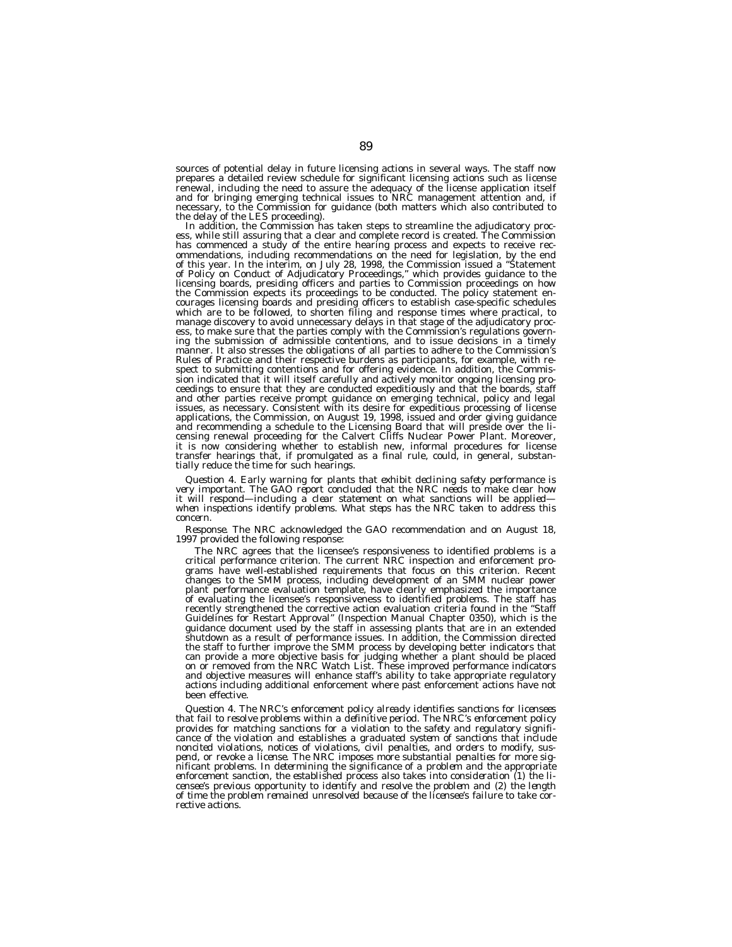sources of potential delay in future licensing actions in several ways. The staff now prepares a detailed review schedule for significant licensing actions such as license renewal, including the need to assure the adequacy of the license application itself and for bringing emerging technical issues to NRC management attention and, if necessary, to the Commission for guidance (both matters which also contributed to the delay of the LES proceeding).

In addition, the Commission has taken steps to streamline the adjudicatory process, while still assuring that a clear and complete record is created. The Commission has commenced a study of the entire hearing process and expects to receive recommendations, including recommendations on the need for legislation, by the end of this year. In the interim, on July 28, 1998, the Commission issued a ''Statement of Policy on Conduct of Adjudicatory Proceedings,'' which provides guidance to the licensing boards, presiding officers and parties to Commission proceedings on how the Commission expects its proceedings to be conducted. The policy statement encourages licensing boards and presiding officers to establish case-specific schedules which are to be followed, to shorten filing and response times where practical, to manage discovery to avoid unnecessary delays in that stage of the adjudicatory process, to make sure that the parties comply with the Commission's regulations governing the submission of admissible contentions, and to issue decisions in a timely manner. It also stresses the obligations of all parties to adhere to the Commission's Rules of Practice and their respective burdens as participants, for example, with respect to submitting contentions and for offering evidence. In addition, the Commission indicated that it will itself carefully and actively monitor ongoing licensing proceedings to ensure that they are conducted expeditiously and that the boards, staff and other parties receive prompt guidance on emerging technical, policy and legal issues, as necessary. Consistent with its desire for expeditious processing of license applications, the Commission, on August 19, 1998, issued and order giving guidance and recommending a schedule to the Licensing Board that will preside over the licensing renewal proceeding for the Calvert Cliffs Nuclear Power Plant. Moreover, it is now considering whether to establish new, informal procedures for license transfer hearings that, if promulgated as a final rule, could, in general, substantially reduce the time for such hearings.

*Question 4. Early warning for plants that exhibit declining safety performance is very important. The GAO report concluded that the NRC needs to make clear how it will respond—including a clear statement on what sanctions will be applied when inspections identify problems. What steps has the NRC taken to address this concern.*

*Response.* The NRC acknowledged the GAO recommendation and on August 18, 1997 provided the following response:

The NRC agrees that the licensee's responsiveness to identified problems is a critical performance criterion. The current NRC inspection and enforcement programs have well-established requirements that focus on this criterion. Recent changes to the SMM process, including development of an SMM nuclear power plant performance evaluation template, have clearly emphasized the importance of evaluating the licensee's responsiveness to identified problems. The staff has recently strengthened the corrective action evaluation criteria found in the ''Staff Guidelines for Restart Approval'' (Inspection Manual Chapter 0350), which is the guidance document used by the staff in assessing plants that are in an extended shutdown as a result of performance issues. In addition, the Commission directed the staff to further improve the SMM process by developing better indicators that can provide a more objective basis for judging whether a plant should be placed on or removed from the NRC Watch List. These improved performance indicators and objective measures will enhance staff's ability to take appropriate regulatory actions including additional enforcement where past enforcement actions have not been effective.

*Question 4. The NRC's enforcement policy already identifies sanctions for licensees that fail to resolve problems within a definitive period. The NRC's enforcement policy provides for matching sanctions for a violation to the safety and regulatory significance of the violation and establishes a graduated system of sanctions that include noncited violations, notices of violations, civil penalties, and orders to modify, suspend, or revoke a license. The NRC imposes more substantial penalties for more significant problems. In determining the significance of a problem and the appropriate enforcement sanction, the established process also takes into consideration (1) the licensee's previous opportunity to identify and resolve the problem and (2) the length of time the problem remained unresolved because of the licensee's failure to take corrective actions.*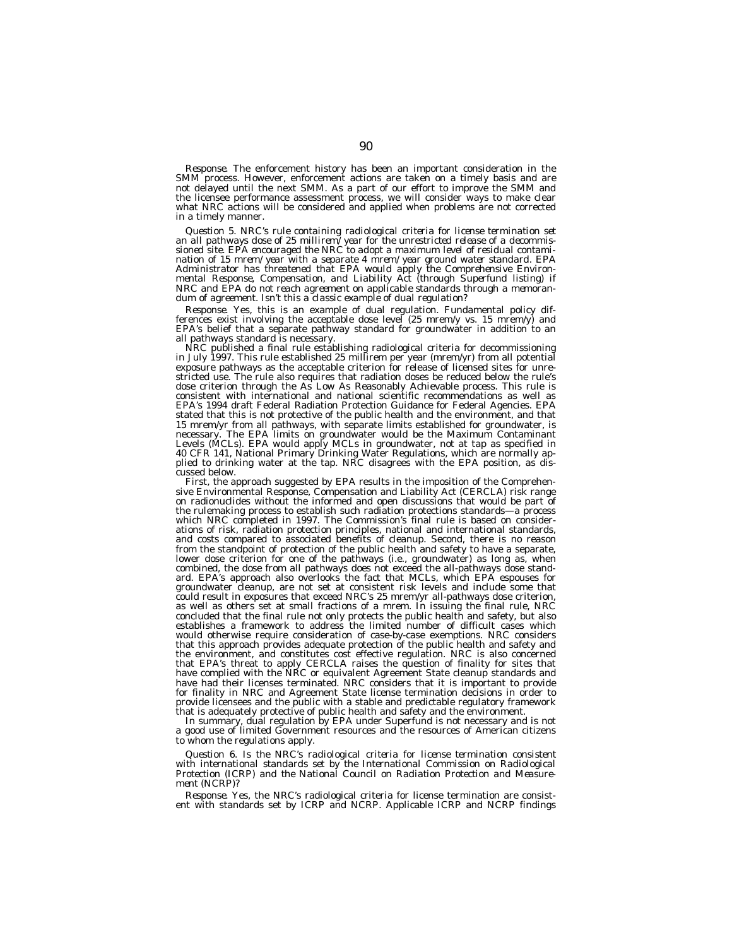*Response.* The enforcement history has been an important consideration in the SMM process. However, enforcement actions are taken on a timely basis and are not delayed until the next SMM. As a part of our effort to improve the SMM and the licensee performance assessment process, we will consider ways to make clear what NRC actions will be considered and applied when problems are not corrected in a timely manner.

*Question 5. NRC's rule containing radiological criteria for license termination set an all pathways dose of 25 millirem/year for the unrestricted release of a decommissioned site. EPA encouraged the NRC to adopt a maximum level of residual contamination of 15 mrem/year with a separate 4 mrem/year ground water standard. EPA Administrator has threatened that EPA would apply the Comprehensive Environmental Response, Compensation, and Liability Act (through Superfund listing) if NRC and EPA do not reach agreement on applicable standards through a memorandum of agreement. Isn't this a classic example of dual regulation?*

*Response.* Yes, this is an example of dual regulation. Fundamental policy differences exist involving the acceptable dose level (25 mrem/y vs. 15 mrem/y) and EPA's belief that a separate pathway standard for groundwater in addition to an all pathways standard is necessary.

NRC published a final rule establishing radiological criteria for decommissioning in July 1997. This rule established 25 millirem per year (mrem/yr) from all potential exposure pathways as the acceptable criterion for release of licensed sites for unrestricted use. The rule also requires that radiation doses be reduced below the rule's dose criterion through the As Low As Reasonably Achievable process. This rule is consistent with international and national scientific recommendations as well as EPA's 1994 draft Federal Radiation Protection Guidance for Federal Agencies. EPA stated that this is not protective of the public health and the environment, and that 15 mrem/yr from all pathways, with separate limits established for groundwater, is necessary. The EPA limits on groundwater would be the Maximum Contaminant Levels (MCLs). EPA would apply MCLs in groundwater, not at tap as specified in 40 CFR 141, National Primary Drinking Water Regulations, which are normally applied to drinking water at the tap. NRC disagrees with the EPA position, as discussed below.

First, the approach suggested by EPA results in the imposition of the Comprehensive Environmental Response, Compensation and Liability Act (CERCLA) risk range on radionuclides without the informed and open discussions that would be part of the rulemaking process to establish such radiation protections standards—a process which NRC completed in 1997. The Commission's final rule is based on considerations of risk, radiation protection principles, national and international standards, and costs compared to associated benefits of cleanup. Second, there is no reason from the standpoint of protection of the public health and safety to have a separate, lower dose criterion for one of the pathways (i.e., groundwater) as long as, when combined, the dose from all pathways does not exceed the all-pathways dose standard. EPA's approach also overlooks the fact that MCLs, which EPA espouses for groundwater cleanup, are not set at consistent risk levels and include some that could result in exposures that exceed NRC's 25 mrem/yr all-pathways dose criterion, as well as others set at small fractions of a mrem. In issuing the final rule, NRC concluded that the final rule not only protects the public health and safety, but also establishes a framework to address the limited number of difficult cases which would otherwise require consideration of case-by-case exemptions. NRC considers that this approach provides adequate protection of the public health and safety and the environment, and constitutes cost effective regulation. NRC is also concerned that EPA's threat to apply CERCLA raises the question of finality for sites that have complied with the NRC or equivalent Agreement State cleanup standards and have had their licenses terminated. NRC considers that it is important to provide for finality in NRC and Agreement State license termination decisions in order to provide licensees and the public with a stable and predictable regulatory framework that is adequately protective of public health and safety and the environment.

In summary, dual regulation by EPA under Superfund is not necessary and is not a good use of limited Government resources and the resources of American citizens to whom the regulations apply.

*Question 6. Is the NRC's radiological criteria for license termination consistent with international standards set by the International Commission on Radiological Protection (ICRP) and the National Council on Radiation Protection and Measurement (NCRP)?*

*Response.* Yes, the NRC's radiological criteria for license termination are consist-ent with standards set by ICRP and NCRP. Applicable ICRP and NCRP findings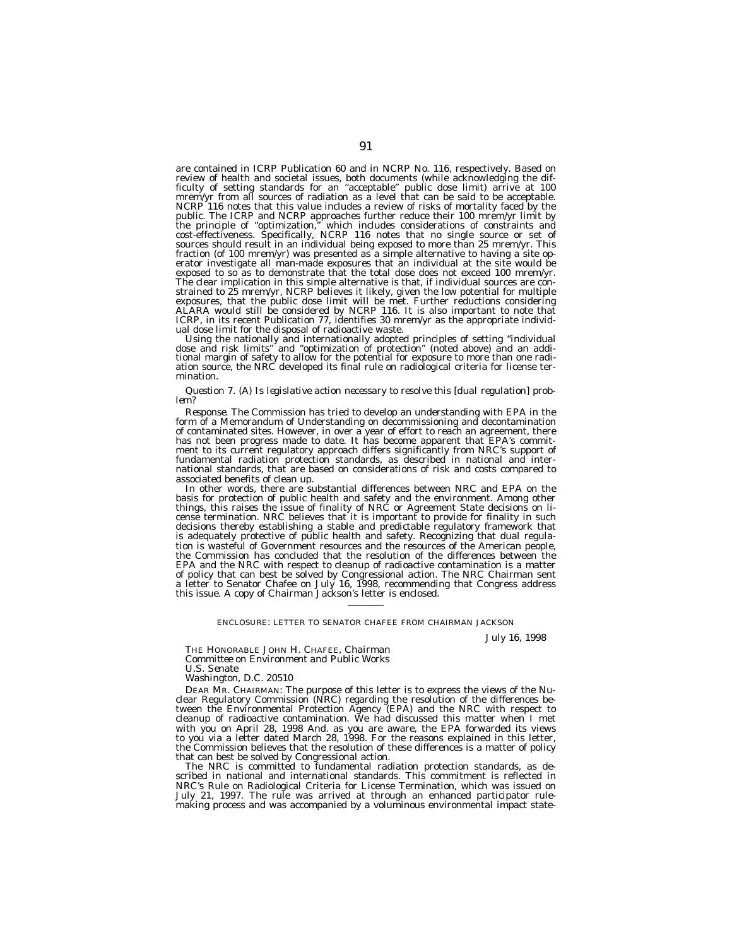are contained in ICRP Publication 60 and in NCRP No. 116, respectively. Based on review of health and societal issues, both documents (while acknowledging the dif-<br>ficulty of setting standards for an "acceptable" public dose limit) arrive at 100<br>mrem/yr from all sources of radiation as a level that can NCRP 116 notes that this value includes a review of risks of mortality faced by the public. The ICRP and NCRP approaches further reduce their 100 mrem/yr limit by<br>the principle of "optimization," which includes considerations of constraints and<br>cost-effectiveness. Specifically, NCRP 116 notes that no sing fraction (of 100 mrem/yr) was presented as a simple alternative to having a site operator investigate all man-made exposures that an individual at the site would be exposed to so as to demonstrate that the total dose does not exceed 100 mrem/yr.<br>The clear implication in this simple alternative is that, if individual sources are constrained to 25 mrem/yr, NCRP believes it likely, given the low potential for multiple<br>exposures, that the public dose limit will be met. Further reductions considering<br>ALARA would still be considered by NCRP 116. It is als ICRP, in its recent Publication 77, identifies 30 mrem/yr as the appropriate individ-

ual dose limit for the disposal of radioactive waste. Using the nationally and internationally adopted principles of setting "individual<br>dose and risk limits" and "optimization of protection" (noted above) and an addi-<br>tional margin of safety to allow for the potential for ex mination.

# *Question 7. (A) Is legislative action necessary to resolve this [dual regulation] prob- lem?*

*Response.* The Commission has tried to develop an understanding with EPA in the form of a Memorandum of Understanding on decommissioning and decontamination of contaminated sites. However, in over a year of effort to reach an agreement, there has not been progress made to date. It has become apparent that EPA's commitment to its current regulatory approach differs significantly from NRC's support of fundamental radiation protection standards, as described in national and international standards, that are based on considerations of risk and costs compared to associated benefits of clean up.

In other words, there are substantial differences between NRC and EPA on the basis for protection of public health and safety and the environment. Among other things, this raises the issue of finality of NRC or Agreement State decisions on license termination. NRC believes that it is important to provide for finality in such decisions thereby establishing a stable and predictable regulatory framework that is adequately protective of public health and safety. Recognizing that dual regulation is wasteful of Government resources and the resources of the American people, the Commission has concluded that the resolution of the differences between the EPA and the NRC with respect to cleanup of radioactive contamination is a matter of policy that can best be solved by Congressional action. The NRC Chairman sent a letter to Senator Chafee on July 16, 1998, recommending that Congress address this issue. A copy of Chairman Jackson's letter is enclosed.

#### ENCLOSURE: LETTER TO SENATOR CHAFEE FROM CHAIRMAN JACKSON

*July 16, 1998*

THE HONORABLE JOHN H. CHAFEE, *Chairman Committee on Environment and Public Works U.S. Senate*

*Washington, D.C. 20510*

DEAR MR. CHAIRMAN: The purpose of this letter is to express the views of the Nuclear Regulatory Commission (NRC) regarding the resolution of the differences between the Environmental Protection Agency (EPA) and the NRC with respect to cleanup of radioactive contamination. We had discussed this matter when I met with you on April 28, 1998 And. as you are aware, the EPA forwarded its views to you via a letter dated March 28, 1998. For the reasons explained in this letter, the Commission believes that the resolution of these differences is a matter of policy that can best be solved by Congressional action.

The NRC is committed to fundamental radiation protection standards, as described in national and international standards. This commitment is reflected in NRC's Rule on Radiological Criteria for License Termination, which was issued on July 21, 1997. The rule was arrived at through an enhanced participator rule-making process and was accompanied by a voluminous environmental impact state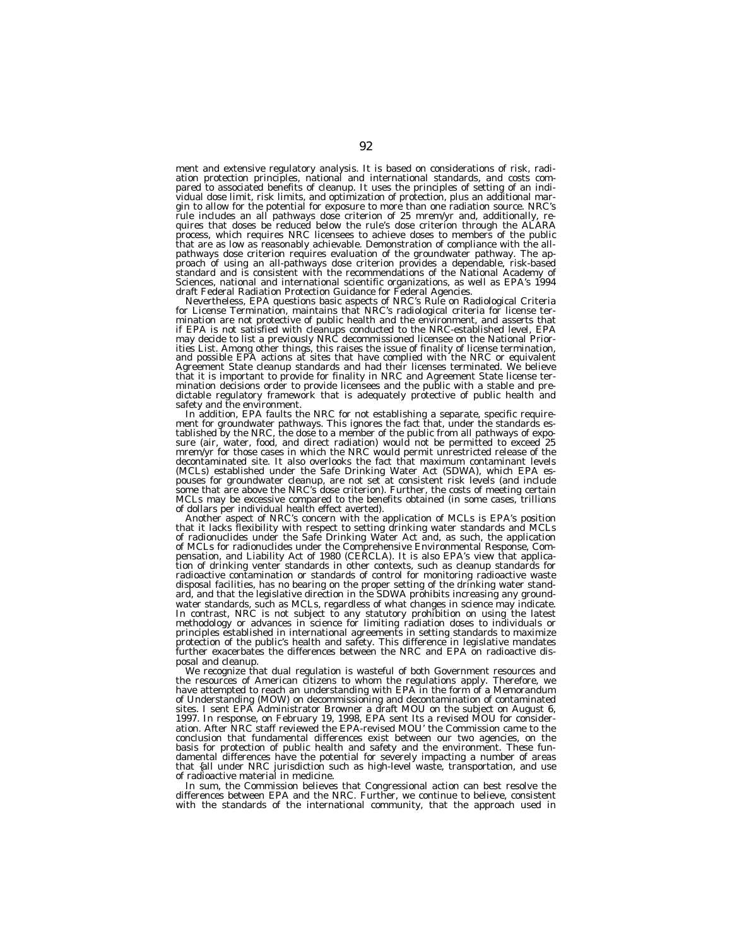ment and extensive regulatory analysis. It is based on considerations of risk, radiation protection principles, national and international standards, and costs compared to associated benefits of cleanup. It uses the principles of setting of an individual dose limit, risk limits, and optimization of protection, plus an additional mar-gin to allow for the potential for exposure to more than one radiation source. NRC's rule includes an all pathways dose criterion of 25 mrem/yr and, additionally, re-quires that doses be reduced below the rule's dose criterion through the ALARA process, which requires NRC licensees to achieve doses to members of the public that are as low as reasonably achievable. Demonstration of compliance with the allpathways dose criterion requires evaluation of the groundwater pathway. The approach of using an all-pathways dose criterion provides a dependable, risk-based standard and is consistent with the recommendations of the National Academy of Sciences, national and international scientific organizations, as well as EPA's 1994

draft Federal Radiation Protection Guidance for Federal Agencies.<br>Nevertheless, EPA questions basic aspects of NRC's Rule on Radiological Criteria<br>for License Termination, maintains that NRC's radiological criteria for lic mination are not protective of public health and the environment, and asserts that if EPA is not satisfied with cleanups conducted to the NRC-established level, EPA may decide to list a previously NRC decommissioned licensee on the National Priorities List. Among other things, this raises the issue of finality of license termination, and possible EPA actions at sites that have complied with the NRC or equivalent Agreement State cleanup standards and had their licenses terminated. We believe that it is important to provide for finality in NRC and Agreement State license termination decisions order to provide licensees and the public with a stable and predictable regulatory framework that is adequately protective of public health and safety and the environment.

safety and the environment.<br>In addition, EPA faults the NRC for not establishing a separate, specific require-<br>ment for groundwater pathways. This ignores the fact that, under the standards es-<br>tablished by the NRC, the do mrem/yr for those cases in which the NRC would permit unrestricted release of the decontaminated site. It also overlooks the fact that maximum contaminant levels (MCLs) established under the Safe Drinking Water Act (SDWA), which EPA espouses for groundwater cleanup, are not set at consistent risk levels (and include some that are above the NRC's dose criterion). Further, the costs of meeting certain MCLs may be excessive compared to the benefits obtained (in some cases, trillions of dollars per individual health effect averted).

Another aspect of NRC's concern with the application of MCLs is EPA's position<br>that it lacks flexibility with respect to setting drinking water standards and MCLs<br>of radionuclides under the Safe Drinking Water Act and, as pensation, and Liability Act of 1980 (CERCLA). It is also EPA's view that application of drinking venter standards in other contexts, such as cleanup standards for radioactive contamination or standards of control for monitoring radioactive waste disposal facilities, has no bearing on the proper setting of the drinking water standard, and that the legislative direction in the SDWA prohibits increasing any groundwater standards, such as MCLs, regardless of what changes in science may indicate. In contrast, NRC is not subject to any statutory prohibition on using the latest methodology or advances in science for limiting radiation doses to individuals or principles established in international agreements in setting standards to maximize protection of the public's health and safety. This difference in legislative mandates further exacerbates the differences between the NRC and EPA on radioactive disposal and cleanup.

We recognize that dual regulation is wasteful of both Government resources and the resources of American citizens to whom the regulations apply. Therefore, we have attempted to reach an understanding with EPA in the form of a Memorandum of Understanding (MOW) on decommissioning and decontamination of contaminated sites. I sent EPA Administrator Browner a draft MOU on the subject on August 6, 1997. In response, on February 19, 1998, EPA sent Its a revised MOU for consideration. After NRC staff reviewed the EPA-revised MOU' the Commission came to the conclusion that fundamental differences exist between our two agencies, on the basis for protection of public health and safety and the environment. These fundamental differences have the potential for severely impacting a number of areas that {all under NRC jurisdiction such as high-level waste, transportation, and use of radioactive material in medicine.

In sum, the Commission believes that Congressional action can best resolve the differences between EPA and the NRC. Further, we continue to believe, consistent with the standards of the international community, that the approach used in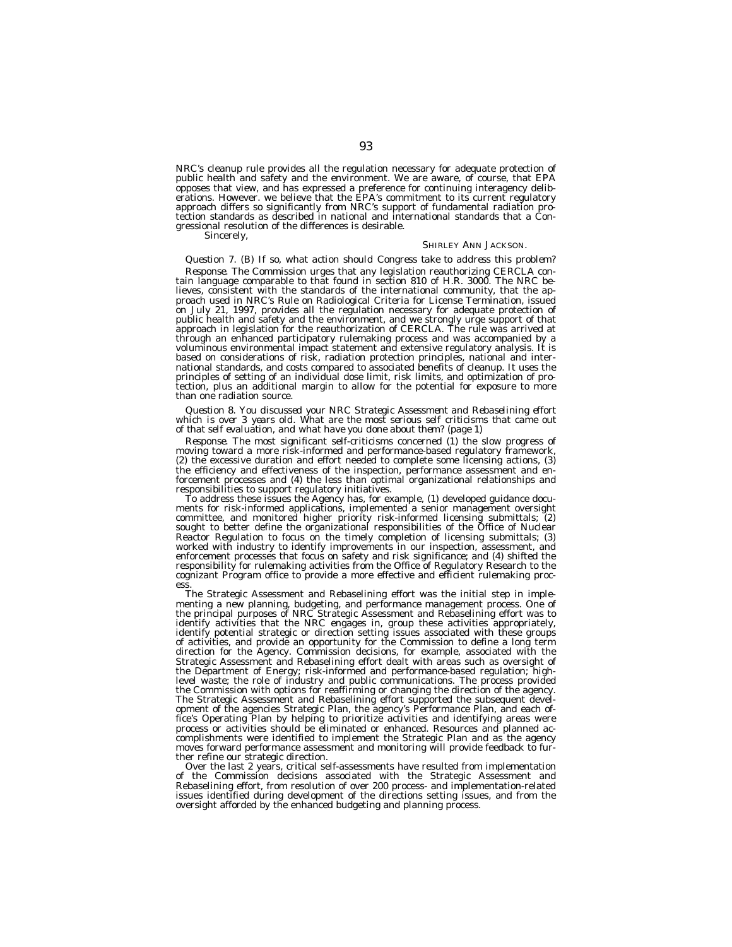NRC's cleanup rule provides all the regulation necessary for adequate protection of public health and safety and the environment. We are aware, of course, that EPA opposes that view, and has expressed a preference for continuing interagency deliberations. However. we believe that the EPA's commitment to its current regulatory approach differs so significantly from NRC's support of fundamental radiation protection standards as described in national and international standards that a Congressional resolution of the differences is desirable.

Sincerely,

#### SHIRLEY ANN JACKSON.

# *Question 7. (B) If so, what action should Congress take to address this problem?*

*Response.* The Commission urges that any legislation reauthorizing CERCLA contain language comparable to that found in section 810 of H.R. 3000. The NRC believes, consistent with the standards of the international community, that the approach used in NRC's Rule on Radiological Criteria for License Termination, issued on July 21, 1997, provides all the regulation necessary for adequate protection of public health and safety and the environment, and we strongly urge support of that approach in legislation for the reauthorization of CERCLA. The rule was arrived at through an enhanced participatory rulemaking process and was accompanied by a voluminous environmental impact statement and extensive regulatory analysis. It is based on considerations of risk, radiation protection principles, national and international standards, and costs compared to associated benefits of cleanup. It uses the principles of setting of an individual dose limit, risk limits, and optimization of protection, plus an additional margin to allow for the potential for exposure to more than one radiation source.

*Question 8. You discussed your NRC Strategic Assessment and Rebaselining effort which is over 3 years old. What are the most serious self criticisms that came out of that self evaluation, and what have you done about them? (page 1)*

*Response.* The most significant self-criticisms concerned (1) the slow progress of moving toward a more risk-informed and performance-based regulatory framework, (2) the excessive duration and effort needed to complete some licensing actions, (3) the efficiency and effectiveness of the inspection, performance assessment and enforcement processes and (4) the less than optimal organizational relationships and responsibilities to support regulatory initiatives.

To address these issues the Agency has, for example, (1) developed guidance documents for risk-informed applications, implemented a senior management oversight committee, and monitored higher priority risk-informed licensing submittals; (2) sought to better define the organizational responsibilities of the Office of Nuclear Reactor Regulation to focus on the timely completion of licensing submittals; (3) worked with industry to identify improvements in our inspection, assessment, and enforcement processes that focus on safety and risk significance; and (4) shifted the responsibility for rulemaking activities from the Office of Regulatory Research to the cognizant Program office to provide a more effective and efficient rulemaking process.

The Strategic Assessment and Rebaselining effort was the initial step in implementing a new planning, budgeting, and performance management process. One of the principal purposes of NRC Strategic Assessment and Rebaselining effort was to identify activities that the NRC engages in, group these activities appropriately, identify potential strategic or direction setting issues associated with these groups of activities, and provide an opportunity for the Commission to define a long term direction for the Agency. Commission decisions, for example, associated with the Strategic Assessment and Rebaselining effort dealt with areas such as oversight of the Department of Energy; risk-informed and performance-based regulation; highlevel waste; the role of industry and public communications. The process provided the Commission with options for reaffirming or changing the direction of the agency. The Strategic Assessment and Rebaselining effort supported the subsequent development of the agencies Strategic Plan, the agency's Performance Plan, and each office's Operating Plan by helping to prioritize activities and identifying areas were process or activities should be eliminated or enhanced. Resources and planned accomplishments were identified to implement the Strategic Plan and as the agency moves forward performance assessment and monitoring will provide feedback to further refine our strategic direction.

Over the last 2 years, critical self-assessments have resulted from implementation of the Commission decisions associated with the Strategic Assessment and Rebaselining effort, from resolution of over 200 process- and implementation-related issues identified during development of the directions setting issues, and from the oversight afforded by the enhanced budgeting and planning process.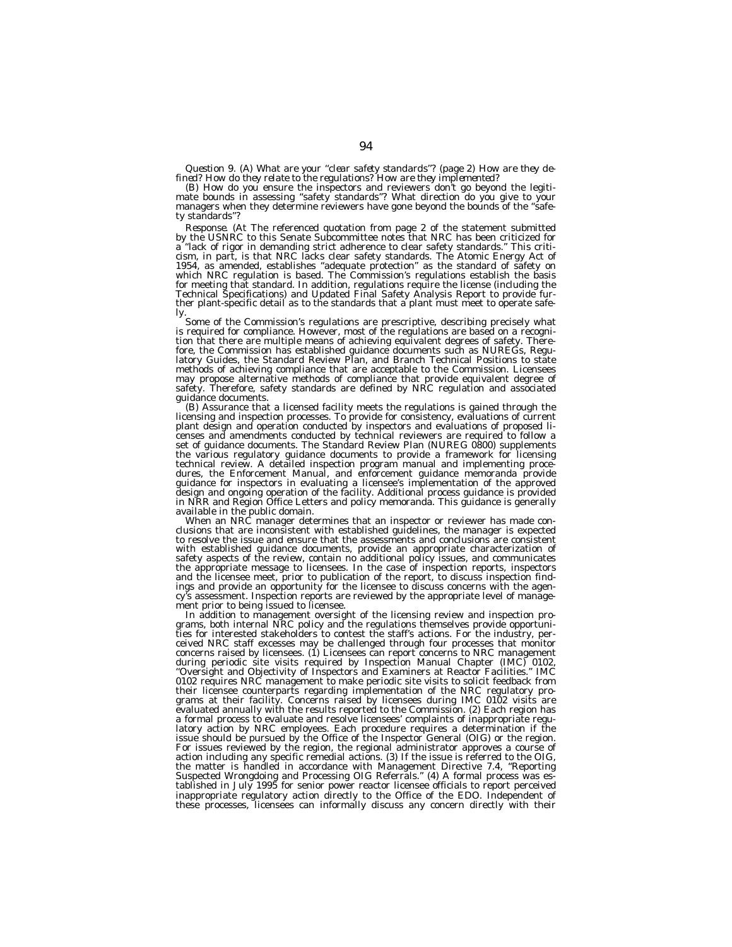Question 9. (A) What are your "clear safety standards"? (page 2) How are they de-<br>fined? How do they relate to the regulations? How are they implemented?<br>(B) How do you ensure the inspectors and reviewers don't go beyond t ty standards''?

*Response.* (At The referenced quotation from page 2 of the statement submitted by the USNRC to this Senate Subcommittee notes that NRC has been criticized for a ''lack of rigor in demanding strict adherence to clear safety standards.'' This criti-cism, in part, is that NRC lacks clear safety standards. The Atomic Energy Act of 1954, as amended, establishes "adequate protection" as the standard of safety on<br>which NRC regulation is based. The Commission's regulations establish the basis for meeting that standard. In addition, regulations require the license (including the Technical Specifications) and Updated Final Safety Analysis Report to provide further plant-specific detail as to the standards that a plant must meet to operate safe-

ly.<br>Some of the Commission's regulations are prescriptive, describing precisely what is required for compliance. However, most of the regulations are based on a recognition that there are multiple means of achieving equivalent degrees of safety. There-<br>fore, the Commission has established guidance documents such as NUREGs, Regu-<br>latory Guides, the Standard Review Plan, and Branch Technic methods of achieving compliance that are acceptable to the Commission. Licensees may propose alternative methods of compliance that provide equivalent degree of safety. Therefore, safety standards are defined by NRC regulation and associated

guidance documents.<br>(B) Assurance that a licensed facility meets the regulations is gained through the (B) Assurance that a licensed facility meets the regulations is gained through the<br>licensing and inspection processes. censes and amendments conducted by technical reviewers are required to follow a set of guidance documents. The Standard Review Plan (NUREG 0800) supplements the various regulatory guidance documents to provide a framework for licensing technical review. A detailed inspection program manual and implementing procedures, the Enforcement Manual, and enforcement guidance memoranda provide guidance for inspectors in evaluating a licensee's implementation of the approved design and ongoing operation of the facility. Additional process guidance is provided in NRR and Region Office Letters and policy memoranda. This guidance is generally available in the public domain.<br>When an NRC manager determines that an inspector or reviewer has made con-<br>When an NRC manager determines that an inspector or reviewer has made con-

clusions that are inconsistent with established guidelines, the manager is expected to resolve the issue and ensure that the assessments and conclusions are consistent with established guidance documents, provide an appropriate characterization of safety aspects of the review, contain no additional policy issues, and communicates the appropriate message to licensees. In the case of inspection reports, inspectors and the licensee meet, prior to publication of the report, to discuss inspection find-ings and provide an opportunity for the licensee to discuss concerns with the agency's assessment. Inspection reports are reviewed by the appropriate level of management prior to being issued to licensee.

In addition to management oversight of the licensing review and inspection pro-<br>grams, both internal NRC policy and the regulations themselves provide opportunities for interested stakeholders to contest the staff's actions. For the industry, perceived NRC staff excesses may be challenged through four processes that monitor concerns raised by licensees. (1) Licensees can report concerns to NRC management during periodic site visits required by Inspection Manual Chapter (IMC) 0102, ''Oversight and Objectivity of Inspectors and Examiners at Reactor Facilities.'' IMC 0102 requires NRC management to make periodic site visits to solicit feedback from their licensee counterparts regarding implementation of the NRC regulatory pro-<br>grams at their facility. Concerns raised by licensees during IMC 0102 visits are<br>evaluated annually with the results reported to the Commissio a formal process to evaluate and resolve licensees' complaints of inappropriate regulatory action by NRC employees. Each procedure requires a determination if the issue should be pursued by the Office of the Inspector General (OIG) or the region. For issues reviewed by the region, the regional administrator approves a course of action including any specific remedial actions. (3) If the issue is referred to the OIG, the matter is handled in accordance with Management Directive 7.4, ''Reporting Suspected Wrongdoing and Processing OIG Referrals.'' (4) A formal process was established in July 1995 for senior power reactor licensee officials to report perceived inappropriate regulatory action directly to the Office of the EDO. Independent of these processes, licensees can informally discuss any concern directly with their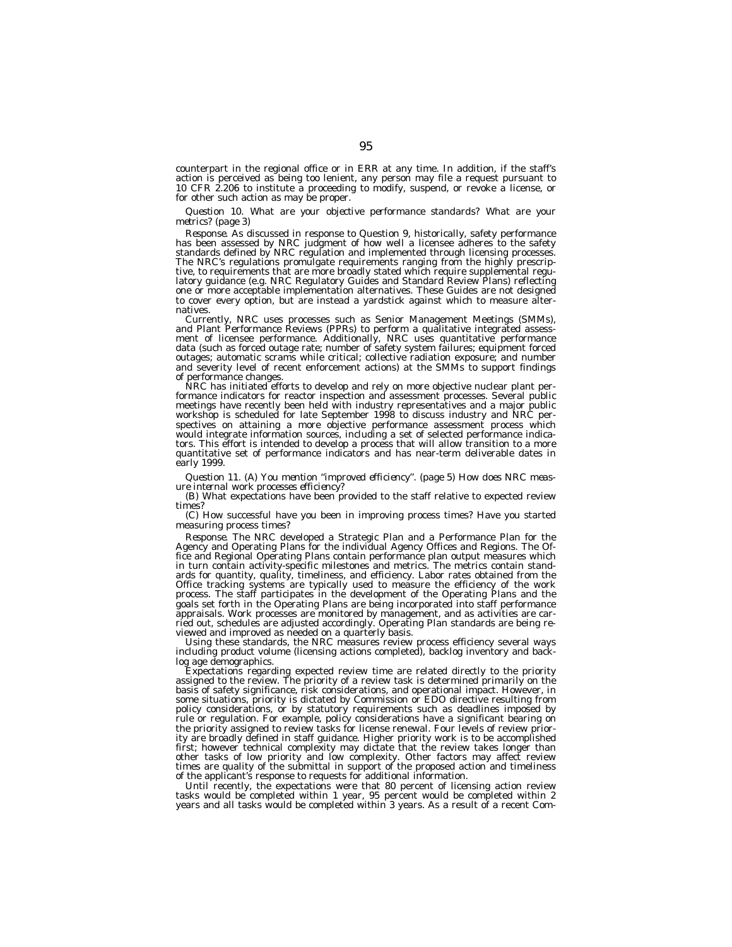counterpart in the regional office or in ERR at any time. In addition, if the staff's action is perceived as being too lenient, any person may file a request pursuant to 10 CFR 2.206 to institute a proceeding to modify, suspend, or revoke a license, or for other such action as may be proper.

*Question 10. What are your objective performance standards? What are your metrics? (page 3)*

*Response.* As discussed in response to Question 9, historically, safety performance has been assessed by NRC judgment of how well a licensee adheres to the safety standards defined by NRC regulation and implemented through licensing processes. The NRC's regulations promulgate requirements ranging from the highly prescriptive, to requirements that are more broadly stated which require supplemental regulatory guidance (e.g. NRC Regulatory Guides and Standard Review Plans) reflecting one or more acceptable implementation alternatives. These Guides are not designed to cover every option, but are instead a yardstick against which to measure alternatives.

Currently, NRC uses processes such as Senior Management Meetings (SMMs), and Plant Performance Reviews (PPRs) to perform a qualitative integrated assessment of licensee performance. Additionally, NRC uses quantitative performance data (such as forced outage rate; number of safety system failures; equipment forced outages; automatic scrams while critical; collective radiation exposure; and number and severity level of recent enforcement actions) at the SMMs to support findings of performance changes.

NRC has initiated efforts to develop and rely on more objective nuclear plant performance indicators for reactor inspection and assessment processes. Several public meetings have recently been held with industry representatives and a major public workshop is scheduled for late September 1998 to discuss industry and NRC perspectives on attaining a more objective performance assessment process which would integrate information sources, including a set of selected performance indicators. This effort is intended to develop a process that will allow transition to a more quantitative set of performance indicators and has near-term deliverable dates in early 1999.

*Question 11. (A) You mention ''improved efficiency''. (page 5) How does NRC measure internal work processes efficiency?*

(B) What expectations have been provided to the staff relative to expected review times?

(C) How successful have you been in improving process times? Have you started measuring process times?

*Response.* The NRC developed a Strategic Plan and a Performance Plan for the Agency and Operating Plans for the individual Agency Offices and Regions. The Office and Regional Operating Plans contain performance plan output measures which in turn contain activity-specific milestones and metrics. The metrics contain standards for quantity, quality, timeliness, and efficiency. Labor rates obtained from the Office tracking systems are typically used to measure the efficiency of the work process. The staff participates in the development of the Operating Plans and the goals set forth in the Operating Plans are being incorporated into staff performance appraisals. Work processes are monitored by management, and as activities are carried out, schedules are adjusted accordingly. Operating Plan standards are being reviewed and improved as needed on a quarterly basis.

Using these standards, the NRC measures review process efficiency several ways including product volume (licensing actions completed), backlog inventory and backlog age demographics.

Expectations regarding expected review time are related directly to the priority assigned to the review. The priority of a review task is determined primarily on the basis of safety significance, risk considerations, and operational impact. However, in some situations, priority is dictated by Commission or EDO directive resulting from policy considerations, or by statutory requirements such as deadlines imposed by rule or regulation. For example, policy considerations have a significant bearing on the priority assigned to review tasks for license renewal. Four levels of review priority are broadly defined in staff guidance. Higher priority work is to be accomplished first; however technical complexity may dictate that the review takes longer than other tasks of low priority and low complexity. Other factors may affect review times are quality of the submittal in support of the proposed action and timeliness of the applicant's response to requests for additional information.

Until recently, the expectations were that 80 percent of licensing action review tasks would be completed within 1 year, 95 percent would be completed within 2 years and all tasks would be completed within 3 years. As a result of a recent Com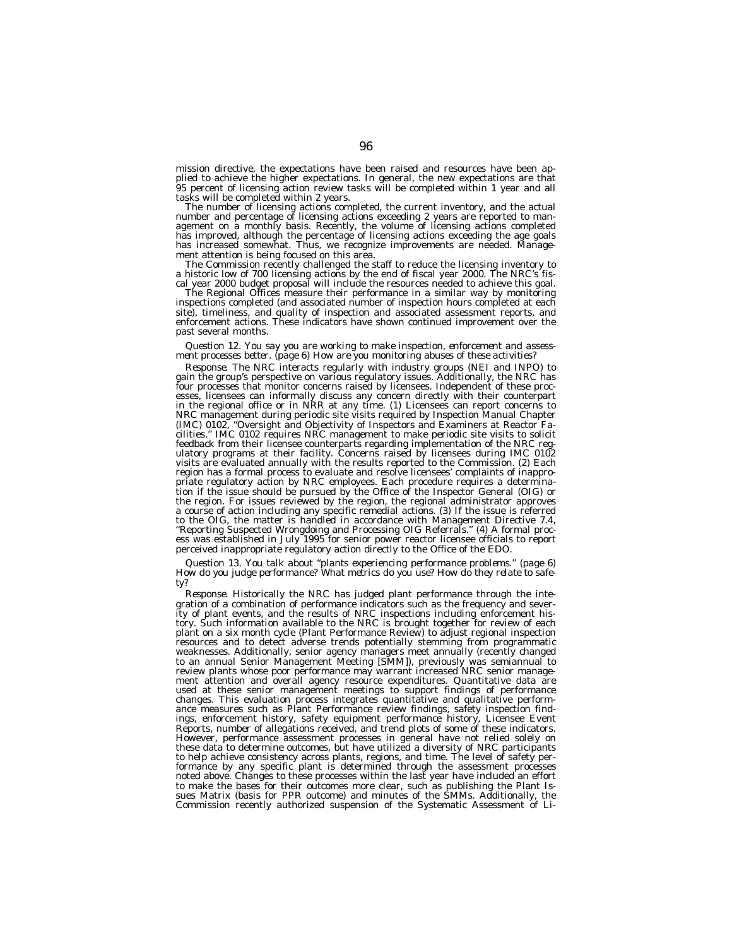mission directive, the expectations have been raised and resources have been applied to achieve the higher expectations. In general, the new expectations are that 95 percent of licensing action review tasks will be completed within 1 year and all tasks will be completed within 2 years.

The number of licensing actions completed, the current inventory, and the actual number and percentage of licensing actions exceeding 2 years are reported to management on a monthly basis. Recently, the volume of licensing actions completed has improved, although the percentage of licensing actions exceeding the age goals has increased somewhat. Thus, we recognize improvements are needed. Management attention is being focused on this area.

The Commission recently challenged the staff to reduce the licensing inventory to a historic low of 700 licensing actions by the end of fiscal year 2000. The NRC's fiscal year 2000 budget proposal will include the resources needed to achieve this goal.

The Regional Offices measure their performance in a similar way by monitoring inspections completed (and associated number of inspection hours completed at each site), timeliness, and quality of inspection and associated assessment reports, and enforcement actions. These indicators have shown continued improvement over the past several months.

*Question 12. You say you are working to make inspection, enforcement and assessment processes better. (page 6) How are you monitoring abuses of these activities?*

*Response.* The NRC interacts regularly with industry groups (NEI and INPO) to gain the group's perspective on various regulatory issues. Additionally, the NRC has four processes that monitor concerns raised by licensees. Independent of these processes, licensees can informally discuss any concern directly with their counterpart in the regional office or in NRR at any time. (1) Licensees can report concerns to NRC management during periodic site visits required by Inspection Manual Chapter (IMC) 0102, ''Oversight and Objectivity of Inspectors and Examiners at Reactor Facilities.'' IMC 0102 requires NRC management to make periodic site visits to solicit feedback from their licensee counterparts regarding implementation of the NRC regulatory programs at their facility. Concerns raised by licensees during IMC 0102 visits are evaluated annually with the results reported to the Commission. (2) Each region has a formal process to evaluate and resolve licensees' complaints of inappropriate regulatory action by NRC employees. Each procedure requires a determination if the issue should be pursued by the Office of the Inspector General (OIG) or the region. For issues reviewed by the region, the regional administrator approves a course of action including any specific remedial actions. (3) If the issue is referred to the OIG, the matter is handled in accordance with Management Directive 7.4, ''Reporting Suspected Wrongdoing and Processing OIG Referrals.'' (4) A formal process was established in July 1995 for senior power reactor licensee officials to report perceived inappropriate regulatory action directly to the Office of the EDO.

*Question 13. You talk about ''plants experiencing performance problems.'' (page 6) How do you judge performance? What metrics do you use? How do they relate to safety?*

*Response.* Historically the NRC has judged plant performance through the integration of a combination of performance indicators such as the frequency and severity of plant events, and the results of NRC inspections including enforcement history. Such information available to the NRC is brought together for review of each plant on a six month cycle (Plant Performance Review) to adjust regional inspection resources and to detect adverse trends potentially stemming from programmatic weaknesses. Additionally, senior agency managers meet annually (recently changed to an annual Senior Management Meeting [SMM]), previously was semiannual to review plants whose poor performance may warrant increased NRC senior management attention and overall agency resource expenditures. Quantitative data are used at these senior management meetings to support findings of performance changes. This evaluation process integrates quantitative and qualitative performance measures such as Plant Performance review findings, safety inspection findings, enforcement history, safety equipment performance history, Licensee Event Reports, number of allegations received, and trend plots of some of these indicators. However, performance assessment processes in general have not relied solely on these data to determine outcomes, but have utilized a diversity of NRC participants to help achieve consistency across plants, regions, and time. The level of safety performance by any specific plant is determined through the assessment processes noted above. Changes to these processes within the last year have included an effort to make the bases for their outcomes more clear, such as publishing the Plant Is-<br>sues Matrix (basis for PPR outcome) and minutes of the SMMs. Additionally, the<br>Commission recently authorized suspension of the Systematic A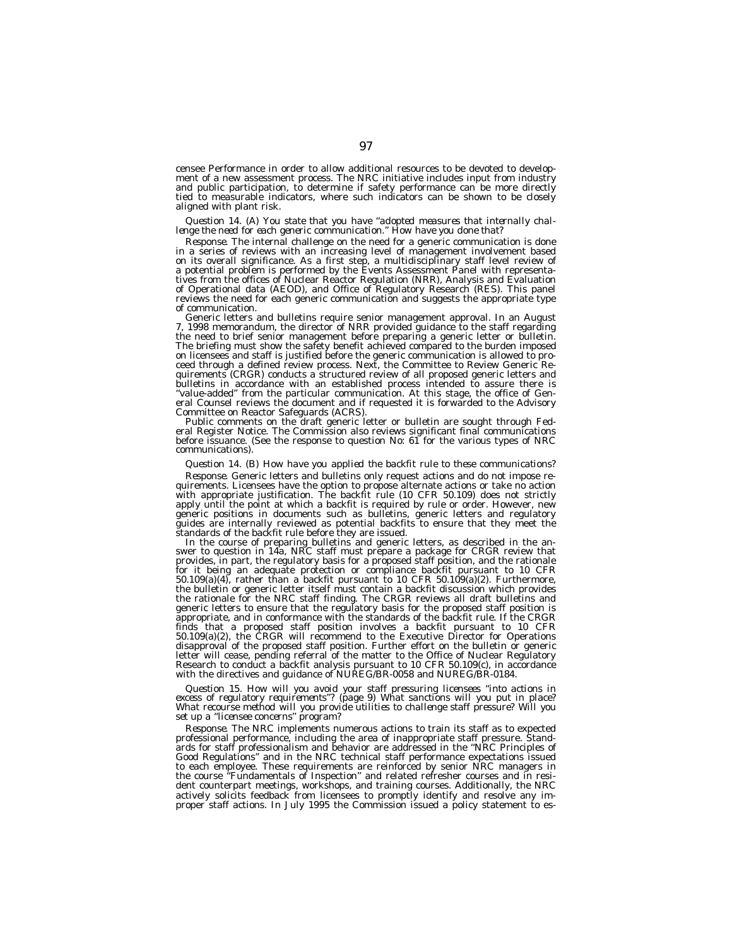censee Performance in order to allow additional resources to be devoted to development of a new assessment process. The NRC initiative includes input from industry and public participation, to determine if safety performance can be more directly tied to measurable indicators, where such indicators can be shown to be closely aligned with plant risk.

# *Question 14. (A) You state that you have ''adopted measures that internally chal- lenge the need for each generic communication.'' How have you done that?*

*Response.* The internal challenge on the need for a generic communication is done in a series of reviews with an increasing level of management involvement based on its overall significance. As a first step, a multidisciplinary staff level review of a potential problem is performed by the Events Assessment Panel with representatives from the offices of Nuclear Reactor Regulation (NRR), Analysis and Evaluation of Operational data (AEOD), and Office of Regulatory Research (RES). This panel reviews the need for each generic communication and suggests the appropriate type of communication.<br>
Generic letters and bulletins require senior management approval. In an August

7, 1998 memorandum, the director of NRR provided guidance to the staff regarding the need to brief senior management before preparing a generic letter or bulletin. The briefing must show the safety benefit achieved compared to the burden imposed on licensees and staff is justified before the generic communication is allowed to proceed through a defined review process. Next, the Committee to Review Generic Requirements (CRGR) conducts a structured review of all proposed generic letters and bulletins in accordance with an established process intended to assure there is ''value-added'' from the particular communication. At this stage, the office of General Counsel reviews the document and if requested it is forwarded to the Advisory<br>Committee on Reactor Safeguards (ACRS).

Public comments on the draft generic letter or bulletin are sought through Fed- eral Register Notice. The Commission also reviews significant final communications before issuance. (See the response to question No: 61 for the various types of NRC communications).

#### *Question 14. (B) How have you applied the backfit rule to these communications?*

*Response.* Generic letters and bulletins only request actions and do not impose re-<br>quirements. Licensees have the option to propose alternate actions or take no action<br>with appropriate justification. The backfit rule (10 apply until the point at which a backfit is required by rule or order. However, new generic positions in documents such as bulletins, generic letters and regulatory guides are internally reviewed as potential backfits to ensure that they meet the

standards of the backfit rule before they are issued.<br>In the course of preparing bulletins and generic letters, as described in the an-<br>swer to question in 14a, NRC staff must prepare a package for CRGR review that<br>provide for it being an adequate protection or compliance backfit pursuant to 10 CFR 50.109(a)(4), rather than a backfit pursuant to 10 CFR 50.109(a)(2). Furthermore, the bulletin or generic letter itself must contain a backfit discussion which provides<br>the rationale for the NRC staff finding. The CRGR reviews all draft bulletins and<br>generic letters to ensure that the regulatory basis f finds that a proposed staff position involves a backfit pursuant to 10 CFR 50.109(a)(2), the CRGR will recommend to the Executive Director for Operations disapproval of the proposed staff position. Further effort on the bulletin or generic letter will cease, pending referral of the matter to the Office of Nuclear Regulatory<br>Research to conduct a backfit analysis pursuant to 10 CFR 50.109(c), in accordance<br>with the directives and guidance of NUREG/BR-0058 and

Question 15. How will you avoid your staff pressuring licensees "into actions in<br>excess of regulatory requirements"? (page 9) What sanctions will you put in place?<br>What recourse method will you provide utilities to challen

*Response.* The NRC implements numerous actions to train its staff as to expected professional performance, including the area of inappropriate staff pressure. Stand-ards for staff professionalism and behavior are addressed in the ''NRC Principles of Good Regulations'' and in the NRC technical staff performance expectations issued to each employee. These requirements are reinforced by senior NRC managers in the course ''Fundamentals of Inspection'' and related refresher courses and in resident counterpart meetings, workshops, and training courses. Additionally, the NRC actively solicits feedback from licensees to promptly identify and resolve any im-proper staff actions. In July 1995 the Commission issued a policy statement to es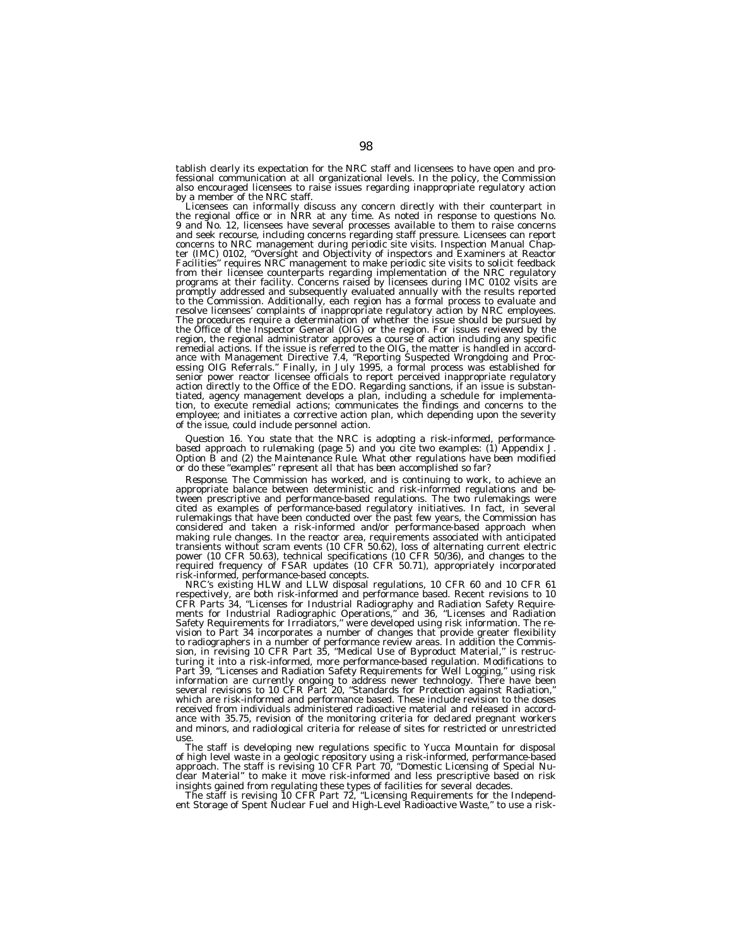tablish clearly its expectation for the NRC staff and licensees to have open and professional communication at all organizational levels. In the policy, the Commission also encouraged licensees to raise issues regarding inappropriate regulatory action<br>by a member of the NRC staff.

by a member of the NRC staff.<br>Licensees can informally discuss any concern directly with their counterpart in<br>the regional office or in NRR at any time. As noted in response to questions No.<br>9 and No. 12, licensees have se and seek recourse, including concerns regarding staff pressure. Licensees can report concerns to NRC management during periodic site visits. Inspection Manual Chapter (IMC) 0102, ''Oversight and Objectivity of inspectors and Examiners at Reactor Facilities'' requires NRC management to make periodic site visits to solicit feedback from their licensee counterparts regarding implementation of the NRC regulatory programs at their facility. Concerns raised by licensees during IMC 0102 visits are promptly addressed and subsequently evaluated annually with the results reported to the Commission. Additionally, each region has a formal process to evaluate and resolve licensees' complaints of inappropriate regulatory action by NRC employees. The procedures require a determination of whether the issue should be pursued by the Office of the Inspector General (OIG) or the region. For issues reviewed by the region, the regional administrator approves a course of action including any specific<br>remedial actions. If the issue is referred to the OIG, the matter is handled in accord-<br>ance with Management Directive 7.4, "Reporting S essing OIG Referrals.'' Finally, in July 1995, a formal process was established for senior power reactor licensee officials to report perceived inappropriate regulatory action directly to the Office of the EDO. Regarding sanctions, if an issue is substantiated, agency management develops a plan, including a schedule for implementation, to execute remedial actions; communicates the findings and concerns to the employee; and initiates a corrective action plan, which depending upon the severity of the issue, could include personnel action.

*Question 16. You state that the NRC is adopting a risk-informed, performancebased approach to rulemaking (page 5) and you cite two examples: (1) Appendix J. Option B and (2) the Maintenance Rule. What other regulations have been modified or do these ''examples'' represent all that has been accomplished so far?*

*Response.* The Commission has worked, and is continuing to work, to achieve an appropriate balance between deterministic and risk-informed regulations and between prescriptive and performance-based regulations. The two rulemakings were cited as examples of performance-based regulatory initiatives. In fact, in several rulemakings that have been conducted over the past few years, the Commission has considered and taken a risk-informed and/or performance-based approach when making rule changes. In the reactor area, requirements associated with anticipated transients without scram events (10 CFR 50.62), loss of alternating current electric power (10 CFR 50.63), technical specifications (10 CFR 50/36), and changes to the required frequency of FSAR updates (10 CFR 50.71), appropriately incorporated risk-informed, performance-based concepts.

NRC's existing HLW and LLW disposal regulations, 10 CFR 60 and 10 CFR 61 respectively, are both risk-informed and performance based. Recent revisions to 10 CFR Parts 34, ''Licenses for Industrial Radiography and Radiation Safety Requirements for Industrial Radiographic Operations,'' and 36, ''Licenses and Radiation Safety Requirements for Irradiators,'' were developed using risk information. The revision to Part 34 incorporates a number of changes that provide greater flexibility to radiographers in a number of performance review areas. In addition the Commission, in revising 10 CFR Part 35, ''Medical Use of Byproduct Material,'' is restructuring it into a risk-informed, more performance-based regulation. Modifications to Part 39, ''Licenses and Radiation Safety Requirements for Well Logging,'' using risk information are currently ongoing to address newer technology. There have been several revisions to 10 CFR Part 20, ''Standards for Protection against Radiation,'' which are risk-informed and performance based. These include revision to the doses received from individuals administered radioactive material and released in accordance with 35.75, revision of the monitoring criteria for declared pregnant workers and minors, and radiological criteria for release of sites for restricted or unrestricted use.

The staff is developing new regulations specific to Yucca Mountain for disposal of high level waste in a geologic repository using a risk-informed, performance-based approach. The staff is revising 10 CFR Part 70, ''Domestic Licensing of Special Nuclear Material'' to make it move risk-informed and less prescriptive based on risk

insights gained from regulating these types of facilities for several decades.<br>The staff is revising 10 CFR Part 72, "Licensing Requirements for the Independ-<br>ent Storage of Spent Nuclear Fuel and High-Level Radioactive Wa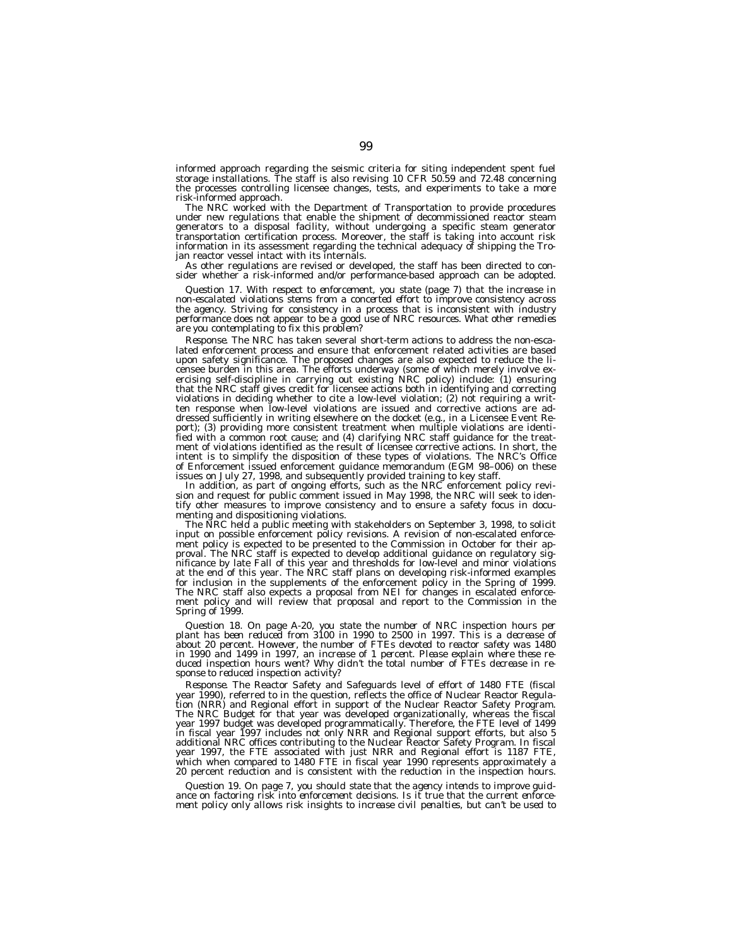informed approach regarding the seismic criteria for siting independent spent fuel storage installations. The staff is also revising 10 CFR 50.59 and 72.48 concerning the processes controlling licensee changes, tests, and experiments to take a more risk-informed approach.

The NRC worked with the Department of Transportation to provide procedures under new regulations that enable the shipment of decommissioned reactor steam generators to a disposal facility, without undergoing a specific steam generator transportation certification process. Moreover, the staff is taking into account risk information in its assessment regarding the technical adequacy of shipping the Trojan reactor vessel intact with its internals.

As other regulations are revised or developed, the staff has been directed to consider whether a risk-informed and/or performance-based approach can be adopted.

*Question 17. With respect to enforcement, you state (page 7) that the increase in non-escalated violations stems from a concerted effort to improve consistency across the agency. Striving for consistency in a process that is inconsistent with industry performance does not appear to be a good use of NRC resources. What other remedies are you contemplating to fix this problem?*

*Response.* The NRC has taken several short-term actions to address the non-escalated enforcement process and ensure that enforcement related activities are based upon safety significance. The proposed changes are also expected to reduce the licensee burden in this area. The efforts underway (some of which merely involve exercising self-discipline in carrying out existing NRC policy) include: (1) ensuring that the NRC staff gives credit for licensee actions both in identifying and correcting violations in deciding whether to cite a low-level violation; (2) not requiring a written response when low-level violations are issued and corrective actions are addressed sufficiently in writing elsewhere on the docket (e.g., in a Licensee Event Report); (3) providing more consistent treatment when multiple violations are identified with a common root cause; and (4) clarifying NRC staff guidance for the treatment of violations identified as the result of licensee corrective actions. In short, the intent is to simplify the disposition of these types of violations. The NRC's Office of Enforcement issued enforcement guidance memorandum (EGM 98–006) on these issues on July 27, 1998, and subsequently provided training to key staff.

In addition, as part of ongoing efforts, such as the NRC enforcement policy revision and request for public comment issued in May 1998, the NRC will seek to identify other measures to improve consistency and to ensure a safety focus in documenting and dispositioning violations.

The NRC held a public meeting with stakeholders on September 3, 1998, to solicit input on possible enforcement policy revisions. A revision of non-escalated enforcement policy is expected to be presented to the Commission in October for their approval. The NRC staff is expected to develop additional guidance on regulatory significance by late Fall of this year and thresholds for low-level and minor violations at the end of this year. The NRC staff plans on developing risk-informed examples for inclusion in the supplements of the enforcement policy in the Spring of 1999. The NRC staff also expects a proposal from NEI for changes in escalated enforcement policy and will review that proposal and report to the Commission in the Spring of 1999.

*Question 18. On page A-20, you state the number of NRC inspection hours per plant has been reduced from 3100 in 1990 to 2500 in 1997. This is a decrease of about 20 percent. However, the number of FTEs devoted to reactor safety was 1480 in 1990 and 1499 in 1997, an increase of 1 percent. Please explain where these reduced inspection hours went? Why didn't the total number of FTEs decrease in response to reduced inspection activity?*

*Response.* The Reactor Safety and Safeguards level of effort of 1480 FTE (fiscal year 1990), referred to in the question, reflects the office of Nuclear Reactor Regulation (NRR) and Regional effort in support of the Nuclear Reactor Safety Program. The NRC Budget for that year was developed organizationally, whereas the fiscal year 1997 budget was developed programmatically. Therefore, the FTE level of 1499 in fiscal year 1997 includes not only NRR and Regional support efforts, but also 5 additional NRC offices contributing to the Nuclear Reactor Safety Program. In fiscal year 1997, the FTE associated with just NRR and Regional effort is 1187 FTE, which when compared to 1480 FTE in fiscal year 1990 represents approximately a 20 percent reduction and is consistent with the reduction in the inspection hours.

*Question 19. On page 7, you should state that the agency intends to improve guidance on factoring risk into enforcement decisions. Is it true that the current enforce-ment policy only allows risk insights to increase civil penalties, but can't be used to*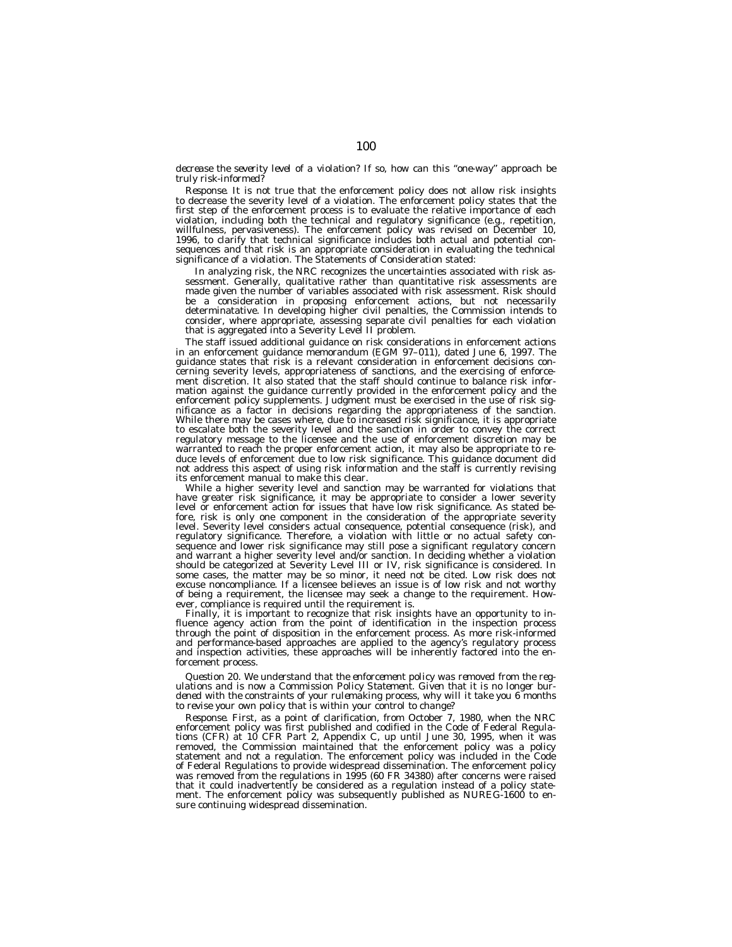# *decrease the severity level of a violation? If so, how can this ''one-way'' approach be truly risk-informed?*

*Response.* It is not true that the enforcement policy does not allow risk insights to decrease the severity level of a violation. The enforcement policy states that the first step of the enforcement process is to evaluate the relative importance of each violation, including both the technical and regulatory significance (e.g., repetition, willfulness, pervasiveness). The enforcement policy was revised on December 10, 1996, to clarify that technical significance includes both actual and potential consequences and that risk is an appropriate consideration in evaluating the technical significance of a violation. The Statements of Consideration stated:

In analyzing risk, the NRC recognizes the uncertainties associated with risk assessment. Generally, qualitative rather than quantitative risk assessments are made given the number of variables associated with risk assessment. Risk should be a consideration in proposing enforcement actions, but not necessarily determinatative. In developing higher civil penalties, the Commission intends to consider, where appropriate, assessing separate civil penalties for each violation that is aggregated into a Severity Level II problem.

The staff issued additional guidance on risk considerations in enforcement actions in an enforcement guidance memorandum (EGM 97–011), dated June 6, 1997. The guidance states that risk is a relevant consideration in enforcement decisions concerning severity levels, appropriateness of sanctions, and the exercising of enforcement discretion. It also stated that the staff should continue to balance risk information against the guidance currently provided in the enforcement policy and the enforcement policy supplements. Judgment must be exercised in the use of risk significance as a factor in decisions regarding the appropriateness of the sanction. While there may be cases where, due to increased risk significance, it is appropriate to escalate both the severity level and the sanction in order to convey the correct regulatory message to the licensee and the use of enforcement discretion may be warranted to reach the proper enforcement action, it may also be appropriate to reduce levels of enforcement due to low risk significance. This guidance document did not address this aspect of using risk information and the staff is currently revising its enforcement manual to make this clear.

While a higher severity level and sanction may be warranted for violations that have greater risk significance, it may be appropriate to consider a lower severity level or enforcement action for issues that have low risk significance. As stated before, risk is only one component in the consideration of the appropriate severity level. Severity level considers actual consequence, potential consequence (risk), and regulatory significance. Therefore, a violation with little or no actual safety consequence and lower risk significance may still pose a significant regulatory concern and warrant a higher severity level and/or sanction. In deciding whether a violation should be categorized at Severity Level III or IV, risk significance is considered. In some cases, the matter may be so minor, it need not be cited. Low risk does not excuse noncompliance. If a licensee believes an issue is of low risk and not worthy of being a requirement, the licensee may seek a change to the requirement. However, compliance is required until the requirement is.

Finally, it is important to recognize that risk insights have an opportunity to influence agency action from the point of identification in the inspection process through the point of disposition in the enforcement process. As more risk-informed and performance-based approaches are applied to the agency's regulatory process and inspection activities, these approaches will be inherently factored into the enforcement process.

*Question 20. We understand that the enforcement policy was removed from the regulations and is now a Commission Policy Statement. Given that it is no longer burdened with the constraints of your rulemaking process, why will it take you 6 months to revise your own policy that is within your control to change?*

*Response.* First, as a point of clarification, from October 7, 1980, when the NRC enforcement policy was first published and codified in the Code of Federal Regulations (CFR) at 10 CFR Part 2, Appendix C, up until June 30, 1995, when it was removed, the Commission maintained that the enforcement policy was a policy statement and not a regulation. The enforcement policy was included in the Code of Federal Regulations to provide widespread dissemination. The enforcement policy was removed from the regulations in 1995 (60 FR 34380) after concerns were raised that it could inadvertently be considered as a regulation instead of a policy statement. The enforcement policy was subsequently published as NUREG-1600 to ensure continuing widespread dissemination.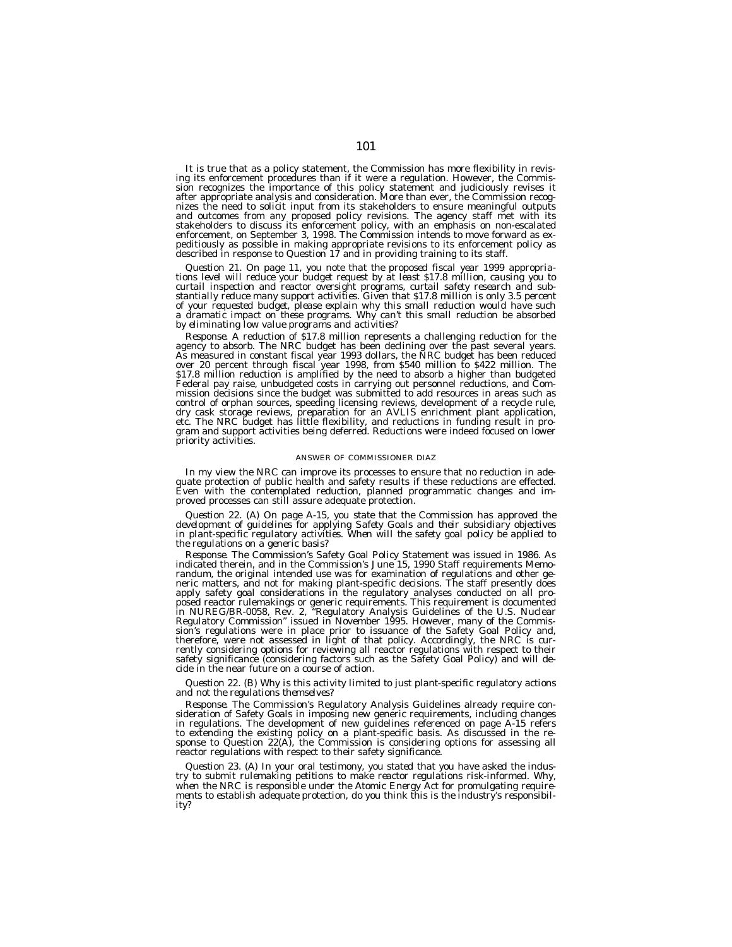It is true that as a policy statement, the Commission has more flexibility in revis- ing its enforcement procedures than if it were a regulation. However, the Commission recognizes the importance of this policy statement and judiciously revises it after appropriate analysis and consideration. More than ever, the Commission recognizes the need to solicit input from its stakeholders to ensure meaningful outputs and outcomes from any proposed policy revisions. The agency staff met with its stakeholders to discuss its enforcement policy, with an emphasis on non-escalated enforcement, on September 3, 1998. The Commission intends to move forward as expeditiously as possible in making appropriate revisions to its enforcement policy as described in response to Question 17 and in providing training to its staff.

*Question 21. On page 11, you note that the proposed fiscal year 1999 appropria- tions level will reduce your budget request by at least \$17.8 million, causing you to curtail inspection and reactor oversight programs, curtail safety research and sub-stantially reduce many support activities. Given that \$17.8 million is only 3.5 percent of your requested budget, please explain why this small reduction would have such a dramatic impact on these programs. Why can't this small reduction be absorbed by eliminating low value programs and activities?*

*Response*. A reduction of \$17.8 million represents a challenging reduction for the agency to absorb. The NRC budget has been declining over the past several years. As measured in constant fiscal year 1993 dollars, the NRC Federal pay raise, unbudgeted costs in carrying out personnel reductions, and Commission decisions since the budget was submitted to add resources in areas such as control of orphan sources, speeding licensing reviews, development of a recycle rule,<br>dry cask storage reviews, preparation for an AVLIS enrichment plant application,<br>etc. The NRC budget has little flexibility, and reducti priority activities.

#### ANSWER OF COMMISSIONER DIAZ

In my view the NRC can improve its processes to ensure that no reduction in ade- quate protection of public health and safety results if these reductions are effected. Even with the contemplated reduction, planned programmatic changes and improved processes can still assure adequate protection.

Question 22. (A) On page A-15, you state that the Commission has approved the<br>development of guidelines for applying Safety Goals and their subsidiary objectives<br>in plant-specific regulatory activities. When will the safet *the regulations on a generic basis?*

*Response.* The Commission's Safety Goal Policy Statement was issued in 1986. As indicated therein, and in the Commission's June 15, 1990 Staff requirements Memorandum, the original intended use was for examination of regulations and other generic matters, and not for making plant-specific decisions. The staff presently does<br>apply safety goal considerations in the regulatory analyses conducted on all pro-<br>posed reactor rulemakings or generic requirements. This sion's regulations were in place prior to issuance of the Safety Goal Policy and, therefore, were not assessed in light of that policy. Accordingly, the NRC is cur-rently considering options for reviewing all reactor regulations with respect to their safety significance (considering factors such as the Safety Goal Policy) and will decide in the near future on a course of action.

# *Question 22. (B) Why is this activity limited to just plant-specific regulatory actions and not the regulations themselves?*

*Response.* The Commission's Regulatory Analysis Guidelines already require consideration of Safety Goals in imposing new generic requirements, including changes in regulations. The development of new guidelines referenced on page A-15 refers to extending the existing policy on a plant-specific basis. As discussed in the response to Question 22(A), the Commission is considering options for assessing all reactor regulations with respect to their safety significance.

*Question 23. (A) In your oral testimony, you stated that you have asked the industry to submit rulemaking petitions to make reactor regulations risk-informed. Why, when the NRC is responsible under the Atomic Energy Act for promulgating requirements to establish adequate protection, do you think this is the industry's responsibility?*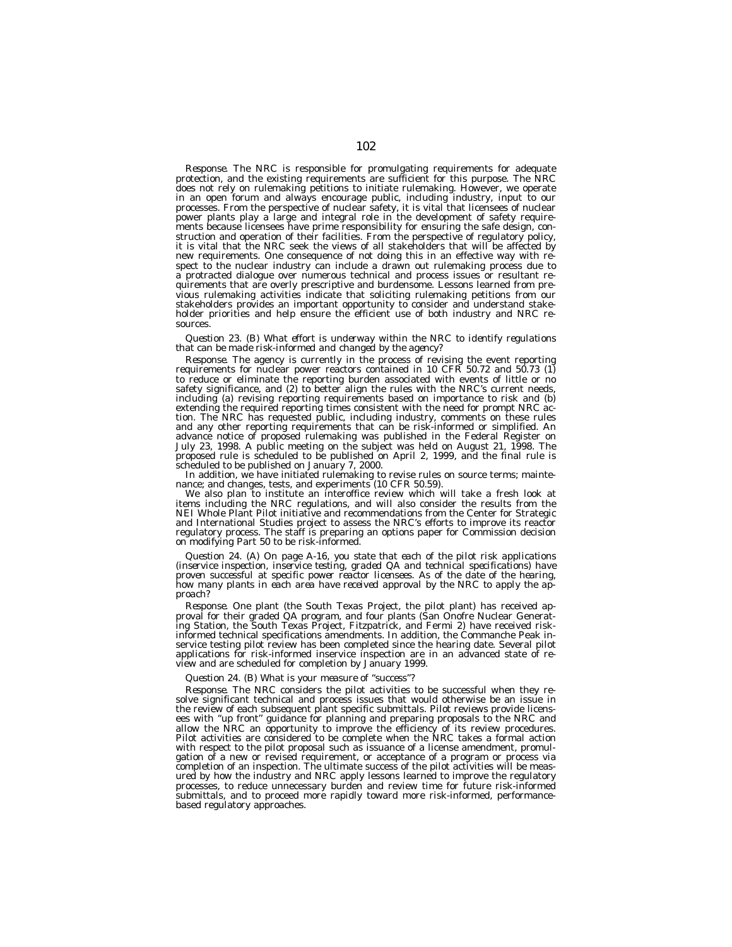*Response.* The NRC is responsible for promulgating requirements for adequate protection, and the existing requirements are sufficient for this purpose. The NRC does not rely on rulemaking petitions to initiate rulemaking. However, we operate in an open forum and always encourage public, including industry, input to our processes. From the perspective of nuclear safety, it is vital that licensees of nuclear power plants play a large and integral role in the development of safety requirements because licensees have prime responsibility for ensuring the safe design, construction and operation of their facilities. From the perspective of regulatory policy, it is vital that the NRC seek the views of all stakeholders that will be affected by new requirements. One consequence of not doing this in an effective way with respect to the nuclear industry can include a drawn out rulemaking process due to a protracted dialogue over numerous technical and process issues or resultant requirements that are overly prescriptive and burdensome. Lessons learned from previous rulemaking activities indicate that soliciting rulemaking petitions from our stakeholders provides an important opportunity to consider and understand stakeholder priorities and help ensure the efficient use of both industry and NRC resources.

# *Question 23. (B) What effort is underway within the NRC to identify regulations that can be made risk-informed and changed by the agency?*

*Response.* The agency is currently in the process of revising the event reporting requirements for nuclear power reactors contained in 10 CFR 50.72 and 50.73 (1) to reduce or eliminate the reporting burden associated with events of little or no safety significance, and (2) to better align the rules with the NRC's current needs, including (a) revising reporting requirements based on importance to risk and (b) extending the required reporting times consistent with the need for prompt NRC action. The NRC has requested public, including industry, comments on these rules and any other reporting requirements that can be risk-informed or simplified. An advance notice of proposed rulemaking was published in the Federal Register on July 23, 1998. A public meeting on the subject was held on August 21, 1998. The proposed rule is scheduled to be published on April 2, 1999, and the final rule is scheduled to be published on January 7, 2000.

In addition, we have initiated rulemaking to revise rules on source terms; maintenance; and changes, tests, and experiments (10 CFR 50.59).

We also plan to institute an interoffice review which will take a fresh look at items including the NRC regulations, and will also consider the results from the NEI Whole Plant Pilot initiative and recommendations from the Center for Strategic and International Studies project to assess the NRC's efforts to improve its reactor regulatory process. The staff is preparing an options paper for Commission decision on modifying Part 50 to be risk-informed.

*Question 24. (A) On page A-16, you state that each of the pilot risk applications (inservice inspection, inservice testing, graded QA and technical specifications) have proven successful at specific power reactor licensees. As of the date of the hearing, how many plants in each area have received approval by the NRC to apply the approach?*

*Response.* One plant (the South Texas Project, the pilot plant) has received approval for their graded QA program, and four plants (San Onofre Nuclear Generating Station, the South Texas Project, Fitzpatrick, and Fermi 2) have received riskinformed technical specifications amendments. In addition, the Commanche Peak inservice testing pilot review has been completed since the hearing date. Several pilot applications for risk-informed inservice inspection are in an advanced state of review and are scheduled for completion by January 1999.

## *Question 24. (B) What is your measure of ''success''?*

*Response.* The NRC considers the pilot activities to be successful when they resolve significant technical and process issues that would otherwise be an issue in the review of each subsequent plant specific submittals. Pilot reviews provide licensees with ''up front'' guidance for planning and preparing proposals to the NRC and allow the NRC an opportunity to improve the efficiency of its review procedures. Pilot activities are considered to be complete when the NRC takes a formal action with respect to the pilot proposal such as issuance of a license amendment, promulgation of a new or revised requirement, or acceptance of a program or process via completion of an inspection. The ultimate success of the pilot activities will be measured by how the industry and NRC apply lessons learned to improve the regulatory processes, to reduce unnecessary burden and review time for future risk-informed submittals, and to proceed more rapidly toward more risk-informed, performancebased regulatory approaches.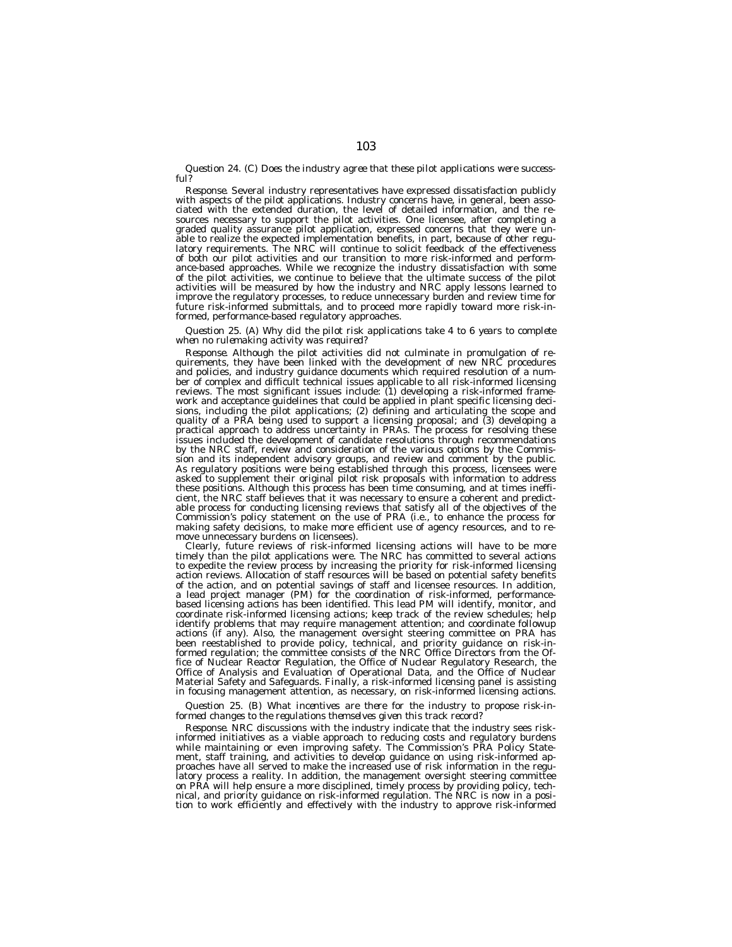*Question 24. (C) Does the industry agree that these pilot applications were successful?*

*Response.* Several industry representatives have expressed dissatisfaction publicly with aspects of the pilot applications. Industry concerns have, in general, been associated with the extended duration, the level of detailed information, and the resources necessary to support the pilot activities. One licensee, after completing a graded quality assurance pilot application, expressed concerns that they were unable to realize the expected implementation benefits, in part, because of other regulatory requirements. The NRC will continue to solicit feedback of the effectiveness of both our pilot activities and our transition to more risk-informed and performance-based approaches. While we recognize the industry dissatisfaction with some of the pilot activities, we continue to believe that the ultimate success of the pilot activities will be measured by how the industry and NRC apply lessons learned to improve the regulatory processes, to reduce unnecessary burden and review time for future risk-informed submittals, and to proceed more rapidly toward more risk-informed, performance-based regulatory approaches.

# *Question 25. (A) Why did the pilot risk applications take 4 to 6 years to complete when no rulemaking activity was required?*

*Response.* Although the pilot activities did not culminate in promulgation of requirements, they have been linked with the development of new NRC procedures and policies, and industry guidance documents which required resolution of a number of complex and difficult technical issues applicable to all risk-informed licensing reviews. The most significant issues include: (1) developing a risk-informed framework and acceptance guidelines that could be applied in plant specific licensing decisions, including the pilot applications; (2) defining and articulating the scope and quality of a PRA being used to support a licensing proposal; and (3) developing a practical approach to address uncertainty in PRAs. The process for resolving these issues included the development of candidate resolutions through recommendations by the NRC staff, review and consideration of the various options by the Commission and its independent advisory groups, and review and comment by the public. As regulatory positions were being established through this process, licensees were asked to supplement their original pilot risk proposals with information to address these positions. Although this process has been time consuming, and at times inefficient, the NRC staff believes that it was necessary to ensure a coherent and predictable process for conducting licensing reviews that satisfy all of the objectives of the Commission's policy statement on the use of PRA (i.e., to enhance the process for making safety decisions, to make more efficient use of agency resources, and to remove unnecessary burdens on licensees).

Clearly, future reviews of risk-informed licensing actions will have to be more timely than the pilot applications were. The NRC has committed to several actions to expedite the review process by increasing the priority for risk-informed licensing action reviews. Allocation of staff resources will be based on potential safety benefits of the action, and on potential savings of staff and licensee resources. In addition, a lead project manager (PM) for the coordination of risk-informed, performancebased licensing actions has been identified. This lead PM will identify, monitor, and coordinate risk-informed licensing actions; keep track of the review schedules; help identify problems that may require management attention; and coordinate followup actions (if any). Also, the management oversight steering committee on PRA has been reestablished to provide policy, technical, and priority guidance on risk-informed regulation; the committee consists of the NRC Office Directors from the Office of Nuclear Reactor Regulation, the Office of Nuclear Regulatory Research, the Office of Analysis and Evaluation of Operational Data, and the Office of Nuclear Material Safety and Safeguards. Finally, a risk-informed licensing panel is assisting in focusing management attention, as necessary, on risk-informed licensing actions.

# *Question 25. (B) What incentives are there for the industry to propose risk-informed changes to the regulations themselves given this track record?*

*Response.* NRC discussions with the industry indicate that the industry sees riskinformed initiatives as a viable approach to reducing costs and regulatory burdens while maintaining or even improving safety. The Commission's PRA Policy Statement, staff training, and activities to develop guidance on using risk-informed approaches have all served to make the increased use of risk information in the regulatory process a reality. In addition, the management oversight steering committee on PRA will help ensure a more disciplined, timely process by providing policy, tech-<br>nical, and priority guidance on risk-informed regulation. The NRC is now in a posi-<br>tion to work efficiently and effectively with the in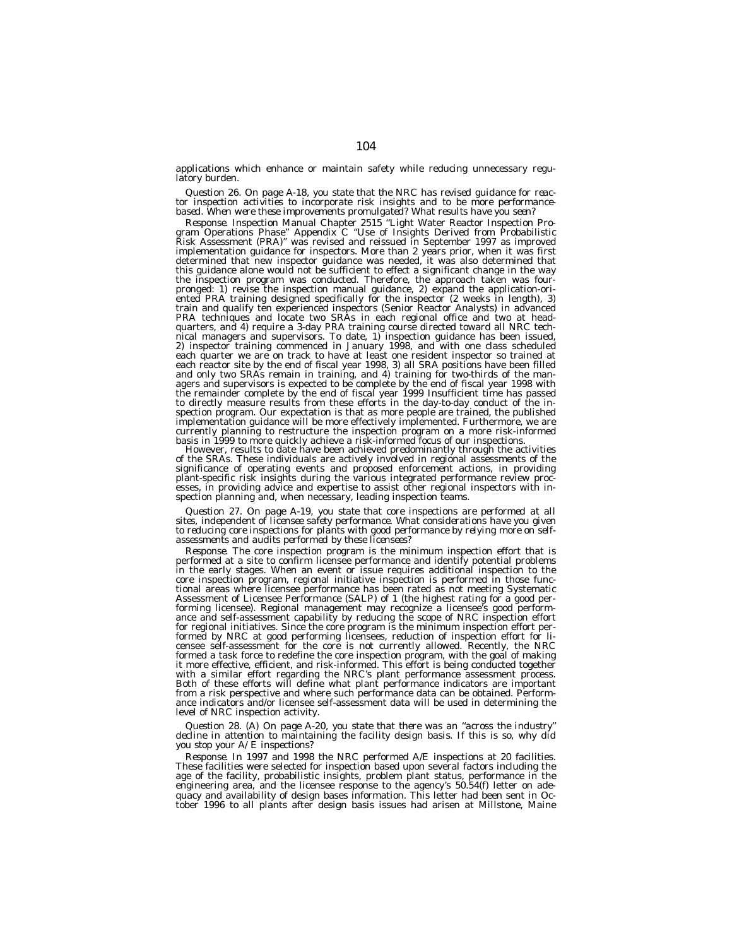applications which enhance or maintain safety while reducing unnecessary regulatory burden.

Question 26. On page A-18, you state that the NRC has revised guidance for reactor inspection activities to incorporate risk insights and to be more performance-<br>based. When were these improvements promulgated? What result

Response. Inspection Manual Chapter 2515 "Light Water Reactor Inspection Program Operations Phase" Appendix C<br>gram Operations Phase" Appendix C "Use of Insights Derived from Probabilistic<br>Risk Assessment (PRA)" was revised implementation guidance for inspectors. More than 2 years prior, when it was first determined that new inspector guidance was needed, it was also determined that this guidance alone would not be sufficient to effect a significant change in the way the inspection program was conducted. Therefore, the approach taken was four-pronged: 1) revise the inspection manual guidance, 2) expand the application-oriented PRA training designed specifically for the inspector (2 weeks in length), 3) train and qualify ten experienced inspectors (Senior Reactor Analysts) in advanced PRA techniques and locate two SRAs in each regional office and two at headquarters, and 4) require a 3-day PRA training course directed toward all NRC technical managers and supervisors. To date, 1) inspection guidance has been issued, 2) inspector training commenced in January 1998, and with one class scheduled each quarter we are on track to have at least one resident inspector so trained at each reactor site by the end of fiscal year 1998, 3) all SRA positions have been filled and only two SRAs remain in training, and 4) training for two-thirds of the managers and supervisors is expected to be complete by the end of fiscal year 1998 with the remainder complete by the end of fiscal year 1999 Insufficient time has passed to directly measure results from these efforts in the day-to-day conduct of the inspection program. Our expectation is that as more people are trained, the published implementation guidance will be more effectively implemented. Furthermore, we are currently planning to restructure the inspection program on a more risk-informed<br>basis in 1999 to more quickly achieve a risk-informed focus of our inspections.

However, results to date have been achieved predominantly through the activities of the SRAs. These individuals are actively involved in regional assessments of the significance of operating events and proposed enforcement actions, in providing plant-specific risk insights during the various integrated performance review processes, in providing advice and expertise to assist other regional inspectors with inspection planning and, when necessary, leading inspection teams.

Question 27. On page A-19, you state that core inspections are performed at all<br>sites, independent of licensee safety performance. What considerations have you given<br>to reducing core inspections for plants with good perfor

*Response.* The core inspection program is the minimum inspection effort that is performed at a site to confirm licensee performance and identify potential problems in the early stages. When an event or issue requires additional inspection to the core inspection program, regional initiative inspection is performed in those functional areas where licensee performance has been rated as not meeting Systematic Assessment of Licensee Performance (SALP) of 1 (the highest rating for a good performing licensee). Regional management may recognize a licensee's good performance and self-assessment capability by reducing the scope of NRC inspection effort for regional initiatives. Since the core program is the minimum inspection effort performed by NRC at good performing licensees, reduction of inspection effort for li-censee self-assessment for the core is not currently allowed. Recently, the NRC formed a task force to redefine the core inspection program, with the goal of making it more effective, efficient, and risk-informed. This effort is being conducted together with a similar effort regarding the NRC's plant performance assessment process. Both of these efforts will define what plant performance indicators are important from a risk perspective and where such performance data can be obtained. Performance indicators and/or licensee self-assessment data will be used in determining the level of NRC inspection activity.

*Question 28. (A) On page A-20, you state that there was an ''across the industry'' decline in attention to maintaining the facility design basis. If this is so, why did you stop your A/E inspections?*

*Response.* In 1997 and 1998 the NRC performed A/E inspections at 20 facilities. These facilities were selected for inspection based upon several factors including the age of the facility, probabilistic insights, problem plant status, performance in the engineering area, and the licensee response to the agency's 50.54(f) letter on adequacy and availability of design bases information. This letter had been sent in Oc-tober 1996 to all plants after design basis issues had arisen at Millstone, Maine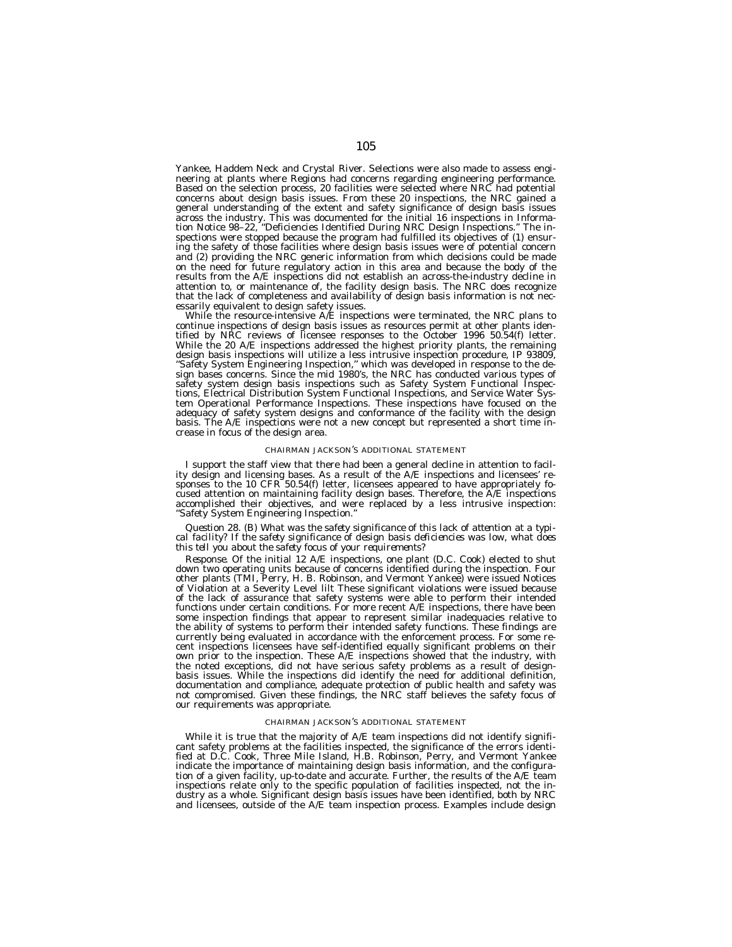Yankee, Haddem Neck and Crystal River. Selections were also made to assess engineering at plants where Regions had concerns regarding engineering performance. Based on the selection process, 20 facilities were selected where NRC had potential concerns about design basis issues. From these 20 inspections, the NRC gained a general understanding of the extent and safety significance of design basis issues across the industry. This was documented for the initial 16 inspections in Information Notice 98–22, ''Deficiencies Identified During NRC Design Inspections.'' The inspections were stopped because the program had fulfilled its objectives of (1) ensuring the safety of those facilities where design basis issues were of potential concern and (2) providing the NRC generic information from which decisions could be made on the need for future regulatory action in this area and because the body of the results from the A/E inspections did not establish an across-the-industry decline in attention to, or maintenance of, the facility design basis. The NRC does recognize that the lack of completeness and availability of design basis information is not necessarily equivalent to design safety issues.

While the resource-intensive  $A/E$  inspections were terminated, the NRC plans to continue inspections of design basis issues as resources permit at other plants identified by NRC reviews of licensee responses to the October 1996 50.54(f) letter. While the 20 A/E inspections addressed the highest priority plants, the remaining design basis inspections will utilize a less intrusive inspection procedure, IP 93809, ''Safety System Engineering Inspection,'' which was developed in response to the design bases concerns. Since the mid 1980's, the NRC has conducted various types of safety system design basis inspections such as Safety System Functional Inspections, Electrical Distribution System Functional Inspections, and Service Water System Operational Performance Inspections. These inspections have focused on the adequacy of safety system designs and conformance of the facility with the design basis. The A/E inspections were not a new concept but represented a short time increase in focus of the design area.

#### CHAIRMAN JACKSON'S ADDITIONAL STATEMENT

I support the staff view that there had been a general decline in attention to facility design and licensing bases. As a result of the A/E inspections and licensees' responses to the 10 CFR 50.54(f) letter, licensees appeared to have appropriately focused attention on maintaining facility design bases. Therefore, the A/E inspections accomplished their objectives, and were replaced by a less intrusive inspection: ''Safety System Engineering Inspection.''

*Question 28. (B) What was the safety significance of this lack of attention at a typical facility? If the safety significance of design basis deficiencies was low, what does this tell you about the safety focus of your requirements?*

*Response.* Of the initial 12 A/E inspections, one plant (D.C. Cook) elected to shut down two operating units because of concerns identified during the inspection. Four other plants (TMI, Perry, H. B. Robinson, and Vermont Yankee) were issued Notices of Violation at a Severity Level lilt These significant violations were issued because of the lack of assurance that safety systems were able to perform their intended functions under certain conditions. For more recent A/E inspections, there have been some inspection findings that appear to represent similar inadequacies relative to the ability of systems to perform their intended safety functions. These findings are currently being evaluated in accordance with the enforcement process. For some recent inspections licensees have self-identified equally significant problems on their own prior to the inspection. These A/E inspections showed that the industry, with the noted exceptions, did not have serious safety problems as a result of designbasis issues. While the inspections did identify the need for additional definition, documentation and compliance, adequate protection of public health and safety was not compromised. Given these findings, the NRC staff believes the safety focus of our requirements was appropriate.

## CHAIRMAN JACKSON'S ADDITIONAL STATEMENT

While it is true that the majority of A/E team inspections did not identify significant safety problems at the facilities inspected, the significance of the errors identified at D.C. Cook, Three Mile Island, H.B. Robinson, Perry, and Vermont Yankee indicate the importance of maintaining design basis information, and the configuration of a given facility, up-to-date and accurate. Further, the results of the A/E team inspections relate only to the specific population of facilities inspected, not the industry as a whole. Significant design basis issues have been identified, both by NRC and licensees, outside of the A/E team inspection process. Examples include design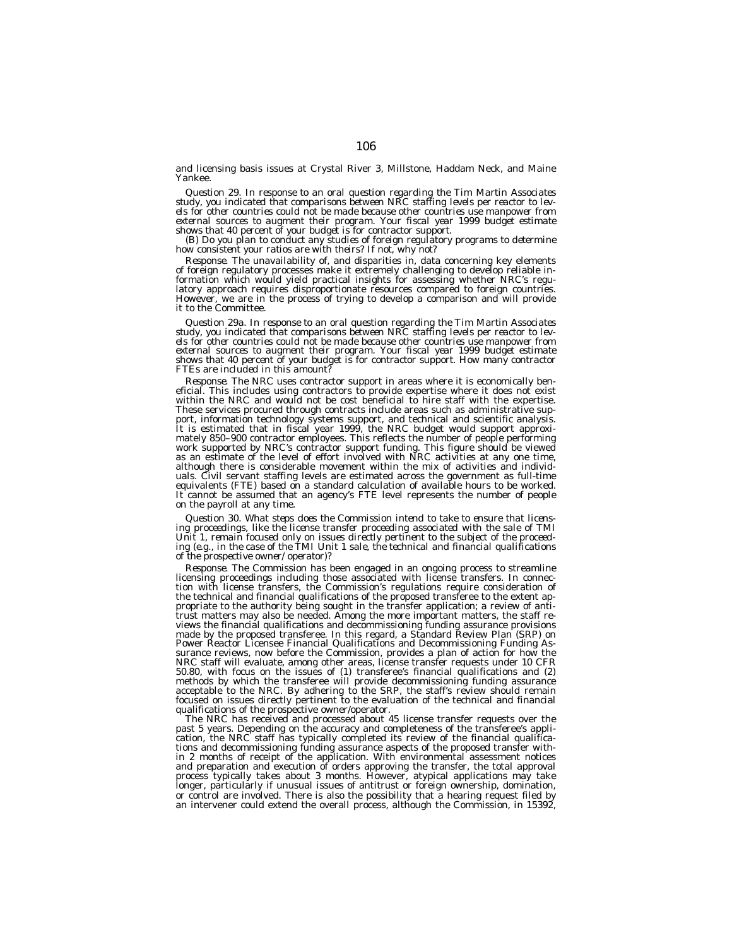and licensing basis issues at Crystal River 3, Millstone, Haddam Neck, and Maine Yankee.

Question 29. In response to an oral question regarding the Tim Martin Associates<br>study, you indicated that comparisons between NRC staffing levels per reactor to lev-<br>els for other countries could not be made because other *external sources to augment their program. Your fiscal year 1999 budget estimate*

(B) Do you plan to conduct any studies of foreign regulatory programs to determine<br>how consistent your ratios are with theirs? If not, why not?

*Response.* The unavailability of, and disparities in, data concerning key elements of foreign regulatory processes make it extremely challenging to develop reliable information which would yield practical insights for assessing whether NRC's regulatory approach requires disproportionate resources compared to foreign countries. However, we are in the process of trying to develop a comparison and will provide it to the Committee.

*Question 29a. In response to an oral question regarding the Tim Martin Associates study, you indicated that comparisons between NRC staffing levels per reactor to levels for other countries could not be made because other countries use manpower from external sources to augment their program. Your fiscal year 1999 budget estimate shows that 40 percent of your budget is for contractor support. How many contractor FTEs are included in this amount?*

*Response.* The NRC uses contractor support in areas where it is economically ben-<br>eficial. This includes using contractors to provide expertise where it does not exist<br>within the NRC and would not be cost beneficial to hi These services procured through contracts include areas such as administrative support, information technology systems support, and technical and scientific analysis. It is estimated that in fiscal year 1999, the NRC budget would support approximately 850–900 contractor employees. This reflects the number of people performing work supported by NRC's contractor support funding. This figure should be viewed as an estimate of the level of effort involved with NRC activities at any one time, although there is considerable movement within the mix of activities and individuals. Civil servant staffing levels are estimated across the government as full-time equivalents (FTE) based on a standard calculation of available hours to be worked. It cannot be assumed that an agency's FTE level represents the number of people on the payroll at any time.

*Question 30. What steps does the Commission intend to take to ensure that licensing proceedings, like the license transfer proceeding associated with the sale of TMI Unit 1, remain focused only on issues directly pertinent to the subject of the proceeding (e.g., in the case of the TMI Unit 1 sale, the technical and financial qualifications of the prospective owner/operator)?*

Response. The Commission has been engaged in an ongoing process to streamline<br>licensing proceedings including those associated with license transfers. In connec-<br>tion with license transfers, the Commission's regulations re the technical and financial qualifications of the proposed transferee to the extent appropriate to the authority being sought in the transfer application; a review of anti-trust matters may also be needed. Among the more important matters, the staff reviews the financial qualifications and decommissioning funding assurance provisions made by the proposed transferee. In this regard, a Standard Review Plan (SRP) on Power Reactor Licensee Financial Qualifications and Decommissioning Funding Assurance reviews, now before the Commission, provides a plan of action for how the NRC staff will evaluate, among other areas, license transfer requests under 10 CFR 50.80, with focus on the issues of (1) transferee's financial qualifications and (2) methods by which the transferee will provide decommissioning funding assurance acceptable to the NRC. By adhering to the SRP, the staff's review should remain focused on issues directly pertinent to the evaluation of the technical and financial qualifications of the prospective owner/operator.

The NRC has received and processed about 45 license transfer requests over the past 5 years. Depending on the accuracy and completeness of the transferee's application, the NRC staff has typically completed its review of the financial qualifications and decommissioning funding assurance aspects of the proposed transfer within 2 months of receipt of the application. With environmental assessment notices and preparation and execution of orders approving the transfer, the total approval process typically takes about 3 months. However, atypical applications may take longer, particularly if unusual issues of antitrust or foreign ownership, domination, or control are involved. There is also the possibility that a hearing request filed by an intervener could extend the overall process, although the Commission, in 15392,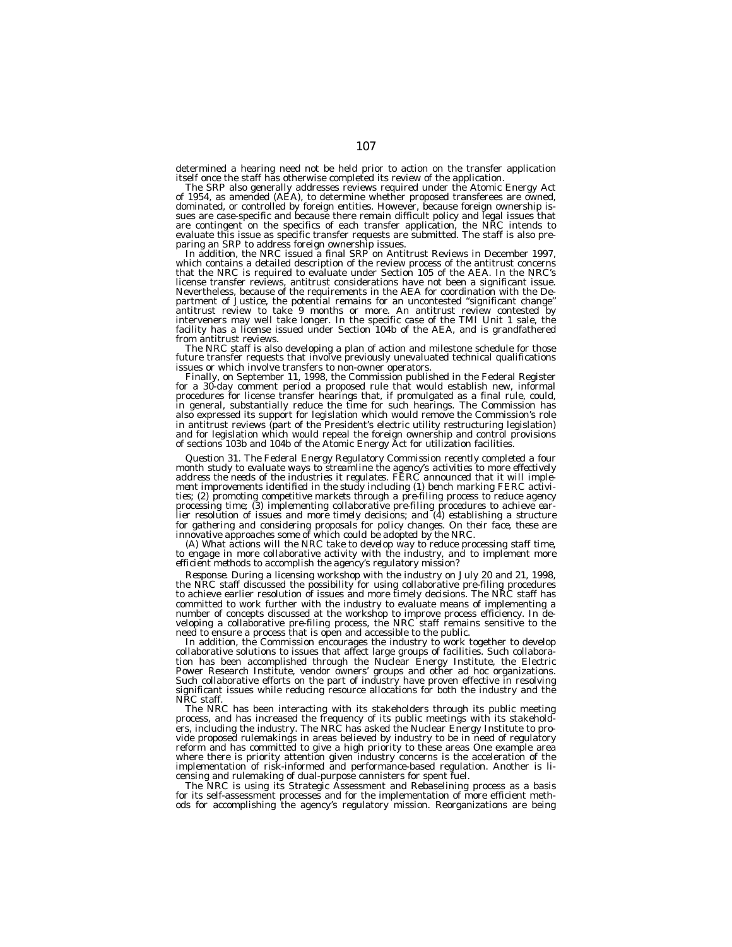determined a hearing need not be held prior to action on the transfer application itself once the staff has otherwise completed its review of the application. The SRP also generally addresses reviews required under the Atomic Energy Act

The SRP also generally addresses reviews required under the Atomic Energy Act<br>of 1954, as amended (AEA), to determine whether proposed transferees are owned,<br>dominated, or controlled by foreign entities. However, because f sues are case-specific and because there remain difficult policy and legal issues that are contingent on the specifics of each transfer application, the NRC intends to evaluate this issue as specific transfer requests are submitted. The staff is also pre-

In addition, the NRC issued a final SRP on Antitrust Reviews in December 1997, which contains a detailed description of the review process of the antitrust concerns that the NRC is required to evaluate under Section 105 of the AEA. In the NRC's license transfer reviews, antitrust considerations have not been a significant issue. Nevertheless, because of the requirements in the AEA for coordination with the De-partment of Justice, the potential remains for an uncontested ''significant change'' antitrust review to take 9 months or more. An antitrust review contested by<br>interveners may well take longer. In the specific case of the TMI Unit 1 sale, the<br>facility has a license issued under Section 104b of the AEA, an from antitrust reviews.

The NRC staff is also developing a plan of action and milestone schedule for those future transfer requests that involve previously unevaluated technical qualifications issues or which involve transfers to non-owner operators.

Finally, on September 11, 1998, the Commission published in the Federal Register for a 30-day comment period a proposed rule that would establish new, informal procedures for license transfer hearings that, if promulgated as a final rule, could, in general, substantially reduce the time for such hearings. The Commission has also expressed its support for legislation which would remove the Commission's role in antitrust reviews (part of the President's electric utility restructuring legislation) and for legislation which would repeal the foreign ownership and control provisions of sections 103b and 104b of the Atomic Energy Act for utilization facilities.

*Question 31. The Federal Energy Regulatory Commission recently completed a four month study to evaluate ways to streamline the agency's activities to more effectively address the needs of the industries it regulates. FERC announced that it will implement improvements identified in the study including (1) bench marking FERC activities; (2) promoting competitive markets through a pre-filing process to reduce agency processing time; (3) implementing collaborative pre-filing procedures to achieve earlier resolution of issues and more timely decisions; and (4) establishing a structure for gathering and considering proposals for policy changes. On their face, these are innovative approaches some of which could be adopted by the NRC.*

*(A) What actions will the NRC take to develop way to reduce processing staff time, to engage in more collaborative activity with the industry, and to implement more efficient methods to accomplish the agency's regulatory mission?*

*Response.* During a licensing workshop with the industry on July 20 and 21, 1998, the NRC staff discussed the possibility for using collaborative pre-filing procedures to achieve earlier resolution of issues and more timely decisions. The NRC staff has committed to work further with the industry to evaluate means of implementing a number of concepts discussed at the workshop to improve process efficiency. In developing a collaborative pre-filing process, the NRC staff remains sensitive to the need to ensure a process that is open and accessible to the public.

In addition, the Commission encourages the industry to work together to develop collaborative solutions to issues that affect large groups of facilities. Such collaboration has been accomplished through the Nuclear Energy Institute, the Electric Power Research Institute, vendor owners' groups and other ad hoc organizations. Such collaborative efforts on the part of industry have proven effective in resolving significant issues while reducing resource allocations for both the industry and the NRC staff.

The NRC has been interacting with its stakeholders through its public meeting process, and has increased the frequency of its public meetings with its stakeholders, including the industry. The NRC has asked the Nuclear Energy Institute to provide proposed rulemakings in areas believed by industry to be in need of regulatory reform and has committed to give a high priority to these areas One example area where there is priority attention given industry concerns is the acceleration of the implementation of risk-informed and performance-based regulation. Another is licensing and rulemaking of dual-purpose cannisters for spent fuel.

The NRC is using its Strategic Assessment and Rebaselining process as a basis for its self-assessment processes and for the implementation of more efficient meth-ods for accomplishing the agency's regulatory mission. Reorganizations are being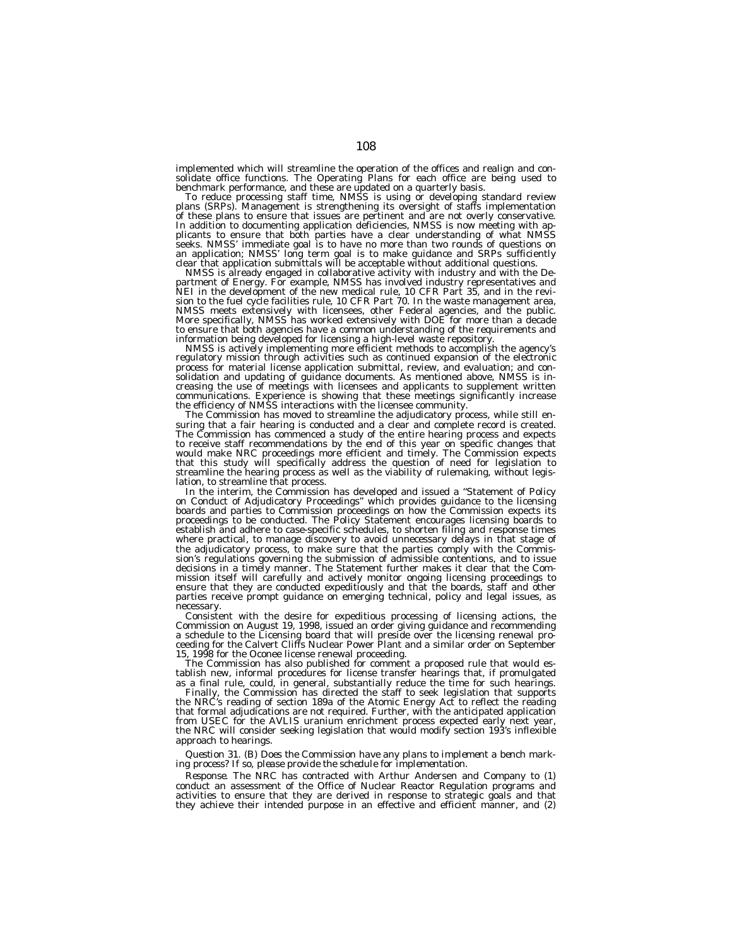implemented which will streamline the operation of the offices and realign and consolidate office functions. The Operating Plans for each office are being used to benchmark performance, and these are updated on a quarterly basis.

To reduce processing staff time, NMSS is using or developing standard review plans (SRPs). Management is strengthening its oversight of staffs implementation of these plans to ensure that issues are pertinent and are not overly conservative.<br>In addition to documenting application deficiencies, NMSS is now meeting with applicants to ensure that both parties have a clear understanding of what NMSS seeks. NMSS' immediate goal is to have no more than two rounds of questions on an application; NMSS' long term goal is to make guidance and SRPs sufficiently clear that application submittals will be acceptable without additional questions.

NMSS is already engaged in collaborative activity with industry and with the De- partment of Energy. For example, NMSS has involved industry representatives and NEI in the development of the new medical rule, 10 CFR Part 35, and in the revi-sion to the fuel cycle facilities rule, 10 CFR Part 70. In the waste management area, NMSS meets extensively with licensees, other Federal agencies, and the public. More specifically, NMSS has worked extensively with DOE for more than a decade to ensure that both agencies have a common understanding of the requirements and information being developed for licensing a high-level waste repository.

NMSS is actively implementing more efficient methods to accomplish the agency's regulatory mission through activities such as continued expansion of the electronic process for material license application submittal, review, and evaluation; and consolidation and updating of guidance documents. As mentioned above, NMSS is increasing the use of meetings with licensees and applicants to supplement written communications. Experience is showing that these meetings significantly increase the efficiency of NMSS interactions with the licensee community.

The Commission has moved to streamline the adjudicatory process, while still ensuring that a fair hearing is conducted and a clear and complete record is created. The Commission has commenced a study of the entire hearing process and expects to receive staff recommendations by the end of this year on specific changes that would make NRC proceedings more efficient and timely. The Commission expects that this study will specifically address the question of need for legislation to streamline the hearing process as well as the viability of rulemaking, without legislation, to streamline that process.

In the interim, the Commission has developed and issued a ''Statement of Policy on Conduct of Adjudicatory Proceedings'' which provides guidance to the licensing boards and parties to Commission proceedings on how the Commission expects its proceedings to be conducted. The Policy Statement encourages licensing boards to establish and adhere to case-specific schedules, to shorten filing and response times where practical, to manage discovery to avoid unnecessary delays in that stage of the adjudicatory process, to make sure that the parties comply with the Commission's regulations governing the submission of admissible contentions, and to issue decisions in a timely manner. The Statement further makes it clear that the Commission itself will carefully and actively monitor ongoing licensing proceedings to ensure that they are conducted expeditiously and that the boards, staff and other parties receive prompt guidance on emerging technical, policy and legal issues, as necessary.

Consistent with the desire for expeditious processing of licensing actions, the Commission on August 19, 1998, issued an order giving guidance and recommending a schedule to the Licensing board that will preside over the licensing renewal proceeding for the Calvert Cliffs Nuclear Power Plant and a similar order on September 15, 1998 for the Oconee license renewal proceeding.

The Commission has also published for comment a proposed rule that would establish new, informal procedures for license transfer hearings that, if promulgated as a final rule, could, in general, substantially reduce the time for such hearings.

Finally, the Commission has directed the staff to seek legislation that supports the NRC's reading of section 189a of the Atomic Energy Act to reflect the reading that formal adjudications are not required. Further, with the anticipated application from USEC for the AVLIS uranium enrichment process expected early next year, the NRC will consider seeking legislation that would modify section 193's inflexible approach to hearings.

*Question 31. (B) Does the Commission have any plans to implement a bench marking process? If so, please provide the schedule for implementation.*

*Response.* The NRC has contracted with Arthur Andersen and Company to (1) conduct an assessment of the Office of Nuclear Reactor Regulation programs and activities to ensure that they are derived in response to strategic goals and that they achieve their intended purpose in an effective and efficient manner, and (2)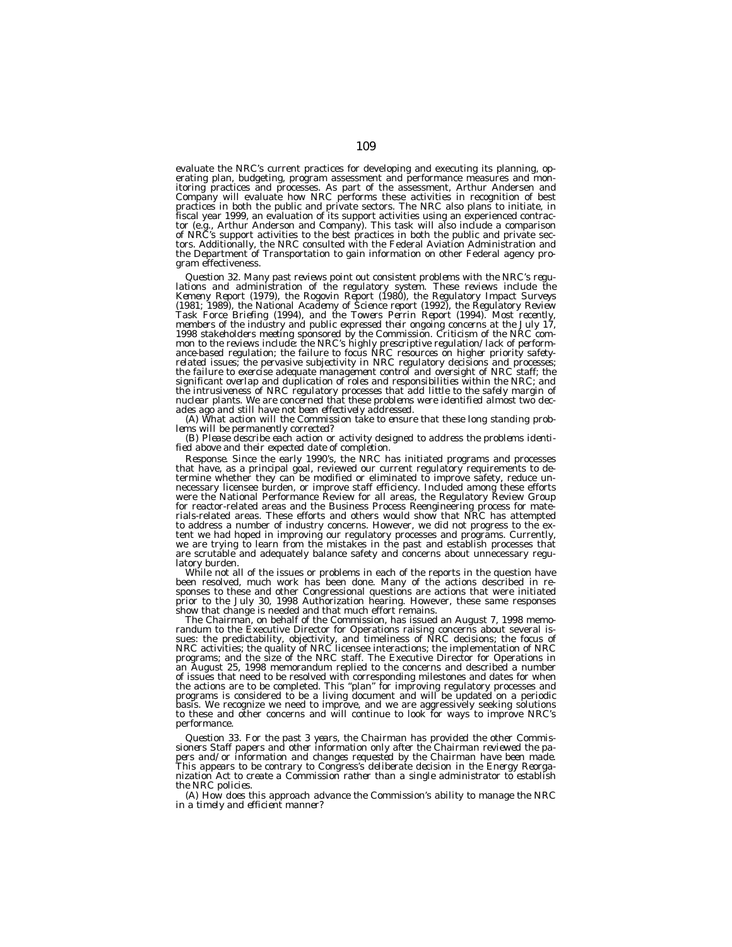evaluate the NRC's current practices for developing and executing its planning, operating plan, budgeting, program assessment and performance measures and monitoring practices and processes. As part of the assessment, Arthur Andersen and<br>Company will evaluate how NRC performs these activities in recognition of best<br>practices in both the public and private sectors. The NRC also fiscal year 1999, an evaluation of its support activities using an experienced contractor (e.g., Arthur Anderson and Company). This task will also include a comparison<br>of NRC's support activities to the best practices in b the Department of Transportation to gain information on other Federal agency program effectiveness.

Question 32. Many past reviews point out consistent problems with the NRC's regulations and administration of the regulatory system. These reviews include the Kemeny Report (1979), the Rogovin Report (1980), the Regulatory *mon to the reviews include: the NRC's highly prescriptive regulation/lack of perform-ance-based regulation; the failure to focus NRC resources on higher priority safetyrelated issues; the pervasive subjectivity in NRC regulatory decisions and processes; the failure to exercise adequate management control and oversight of NRC staff; the significant overlap and duplication of roles and responsibilities within the NRC; and the intrusiveness of NRC regulatory processes that add little to the safely margin of nuclear plants. We are concerned that these problems were identified almost two dec-*

ades ago and still have not been effectively addressed.<br>
(A) What action will the Commission take to ensure that these long standing problems will be permanently corrected?<br>
(B) Please describe each action or activity desi

*Response.* Since the early 1990's, the NRC has initiated programs and processes that have, as a principal goal, reviewed our current regulatory requirements to determine whether they can be modified or eliminated to improve safety, reduce unnecessary licensee burden, or improve staff efficiency. Included among these efforts were the National Performance Review for all areas, the Regulatory Review Group for reactor-related areas and the Business Process Reengineering process for mate-rials-related areas. These efforts and others would show that NRC has attempted to address a number of industry concerns. However, we did not progress to the extent we had hoped in improving our regulatory processes and programs. Currently, we are trying to learn from the mistakes in the past and establish processes that are scrutable and adequately balance safety and concerns about unnecessary regu-

latory burden.<br>While not all of the issues or problems in each of the reports in the question have been resolved, much work has been done. Many of the actions described in re-sponses to these and other Congressional questions are actions that were initiated prior to the July 30, 1998 Authorization hearing. However, these same responses show that change is needed and that much effort remains.

show that change is needed and that much effort remains.<br>The Chairman, on behalf of the Commission, has issued an August 7, 1998 memo-<br>randum to the Executive Director for Operations raising concerns about several is-<br>sues an August 25, 1998 memorandum replied to the concerns and described a number of issues that need to be resolved with corresponding milestones and dates for when<br>the actions are to be completed. This "plan" for improving regulatory processes and<br>programs is considered to be a living document and wil basis. We recognize we need to improve, and we are aggressively seeking solutions to these and other concerns and will continue to look for ways to improve NRC's performance.

*Question 33. For the past 3 years, the Chairman has provided the other Commis- sioners Staff papers and other information only after the Chairman reviewed the papers and/or information and changes requested by the Chairman have been made. This appears to be contrary to Congress's deliberate decision in the Energy Reorganization Act to create a Commission rather than a single administrator to establish the NRC policies.*

*(A) How does this approach advance the Commission's ability to manage the NRC in a timely and efficient manner?*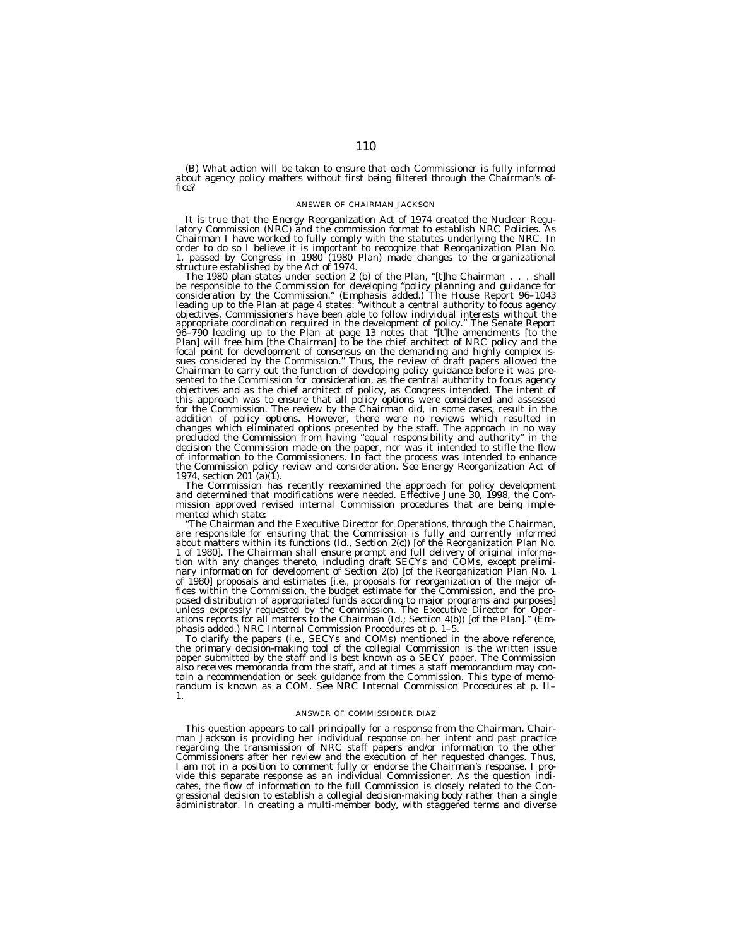*(B) What action will be taken to ensure that each Commissioner is fully informed about agency policy matters without first being filtered through the Chairman's office?*

## ANSWER OF CHAIRMAN JACKSON

It is true that the Energy Reorganization Act of 1974 created the Nuclear Regulatory Commission (NRC) and the commission format to establish NRC Policies. As<br>Chairman I have worked to fully comply with the statutes underly order to do so I believe it is important to recognize that Reorganization Plan No. 1, passed by Congress in 1980 (1980 Plan) made changes to the organizational

The 1980 plan states under section 2 (b) of the Plan, "[t]he Chairman... shall be responsible to the Commission for *developing ''policy planning and guidance for consideration by the Commission*.'' (Emphasis added.) The House Report 96–1043 leading up to the Plan at page 4 states: ''without a central authority to focus agency objectives, Commissioners have been able to follow individual interests without the appropriate coordination required in the development of policy.'' The Senate Report 96–790 leading up to the Plan at page 13 notes that ''[t]he amendments [to the Plan] will free him [the Chairman] to be the chief architect of NRC policy and the focal point for development of consensus on the demanding and highly complex issues considered by the Commission.'' Thus, the review of draft papers allowed the Chairman to carry out the function of *developing* policy guidance before it was presented to the Commission for consideration, as the central authority to focus agency objectives and as the chief architect of policy, as Congress intended. The intent of this approach was to ensure that all policy options were considered and assessed for the Commission. The review by the Chairman did, in some cases, result in the addition of policy options. However, there were no reviews which resulted in changes which eliminated options presented by the staff. The approach in no way precluded the Commission from having ''equal responsibility and authority'' in the decision the Commission made on the paper, nor was it intended to stifle the flow of information to the Commissioners. In fact the process was intended to enhance the Commission policy review and consideration. *See* Energy Reorganization Act of 1974, section  $201^{\circ}$ (a)(1).

The Commission has recently reexamined the approach for policy development and determined that modifications were needed. Effective June 30, 1998, the Commission approved revised internal Commission procedures that are being implemented which state:

'The Chairman and the Executive Director for Operations, through the Chairman, are responsible for ensuring that the Commission is fully and currently informed about matters within its functions (Id., Section 2(c)) [of the Reorganization Plan No. 1 of 1980]. The Chairman shall ensure *prompt and full delivery of original information* with any changes thereto, including draft SECYs and COMs, except preliminary information for development of Section 2(b) [of the Reorganization Plan No. 1 of 1980] proposals and estimates [i.e., proposals for reorganization of the major offices within the Commission, the budget estimate for the Commission, and the proposed distribution of appropriated funds according to major programs and purposes] unless expressly requested by the Commission. The Executive Director for Operations reports for all matters to the Chairman (Id.; Section 4(b)) [of the Plan].'' (Emphasis added.) NRC Internal Commission Procedures at p. 1–5.

To clarify the papers (i.e., SECYs and COMs) mentioned in the above reference, the primary decision-making tool of the collegial Commission is the written issue paper submitted by the staff and is best known as a SECY paper. The Commission also receives memoranda from the staff, and at times a staff memorandum may contain a recommendation or seek guidance from the Commission. This type of memorandum is known as a COM. See NRC Internal Commission Procedures at p. II– 1.

#### ANSWER OF COMMISSIONER DIAZ

This question appears to call principally for a response from the Chairman. Chairman Jackson is providing her individual response on her intent and past practice regarding the transmission of NRC staff papers and/or information to the other Commissioners after her review and the execution of her requested changes. Thus, I am not in a position to comment fully or endorse the Chairman's response. I provide this separate response as an individual Commissioner. As the question indicates, the flow of information to the full Commission is closely related to the Congressional decision to establish a collegial decision-making body rather than a single administrator. In creating a multi-member body, with staggered terms and diverse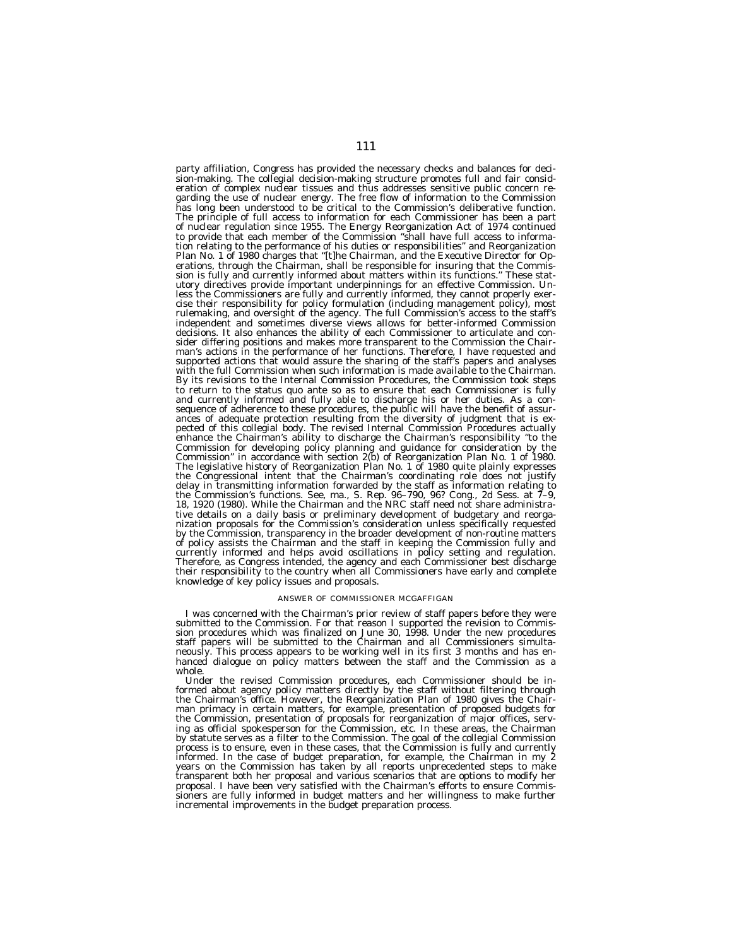party affiliation, Congress has provided the necessary checks and balances for decision-making. The collegial decision-making structure promotes full and fair consideration of complex nuclear tissues and thus addresses sensitive public concern regarding the use of nuclear energy. The free flow of information to the Commission has long been understood to be critical to the Commission's deliberative function. The principle of full access to information for each Commissioner has been a part of nuclear regulation since 1955. The Energy Reorganization Act of 1974 continued to provide that each member of the Commission ''shall have full access to information relating to the performance of his duties or responsibilities'' and Reorganization Plan No. 1 of 1980 charges that ''[t]he Chairman, and the Executive Director for Operations, through the Chairman, shall be responsible for insuring that the Commission is fully and currently informed about matters within its functions." These statutory directives provide important underpinnings for an effective Commission. Unless the Commissioners are fully and currently informed, they cannot properly exercise their responsibility for policy formulation (including management policy), most rulemaking, and oversight of the agency. The full Commission's access to the staff's independent and sometimes diverse views allows for better-informed Commission decisions. It also enhances the ability of each Commissioner to articulate and consider differing positions and makes more transparent to the Commission the Chairman's actions in the performance of her functions. Therefore, I have requested and supported actions that would assure the sharing of the staff's papers and analyses with the full Commission when such information is made available to the Chairman. By its revisions to the Internal Commission Procedures, the Commission took steps to return to the status quo ante so as to ensure that each Commissioner is fully and currently informed and fully able to discharge his or her duties. As a consequence of adherence to these procedures, the public will have the benefit of assurances of adequate protection resulting from the diversity of judgment that is expected of this collegial body. The revised Internal Commission Procedures actually enhance the Chairman's ability to discharge the Chairman's responsibility ''to the Commission for developing policy planning and guidance for consideration by the Commission'' in accordance with section 2(b) of Reorganization Plan No. 1 of 1980. The legislative history of Reorganization Plan No. 1 of 1980 quite plainly expresses the Congressional intent that the Chairman's coordinating role does not justify delay in transmitting information forwarded by the staff as information relating to the Commission's functions. See, ma., S. Rep. 96–790, 96? Cong., 2d Sess. at 7–9, 18, 1920 (1980). While the Chairman and the NRC staff need not share administrative details on a daily basis or preliminary development of budgetary and reorganization proposals for the Commission's consideration unless specifically requested by the Commission, transparency in the broader development of non-routine matters of policy assists the Chairman and the staff in keeping the Commission fully and currently informed and helps avoid oscillations in policy setting and regulation. Therefore, as Congress intended, the agency and each Commissioner best discharge their responsibility to the country when all Commissioners have early and complete knowledge of key policy issues and proposals.

## ANSWER OF COMMISSIONER MCGAFFIGAN

I was concerned with the Chairman's prior review of staff papers before they were submitted to the Commission. For that reason I supported the revision to Commission procedures which was finalized on June 30, 1998. Under the new procedures staff papers will be submitted to the Chairman and all Commissioners simultaneously. This process appears to be working well in its first 3 months and has enhanced dialogue on policy matters between the staff and the Commission as a whole.

Under the revised Commission procedures, each Commissioner should be informed about agency policy matters directly by the staff without filtering through the Chairman's office. However, the Reorganization Plan of 1980 gives the Chairman primacy in certain matters, for example, presentation of proposed budgets for the Commission, presentation of proposals for reorganization of major offices, serving as official spokesperson for the Commission, etc. In these areas, the Chairman by statute serves as a filter to the Commission. The goal of the collegial Commission process is to ensure, even in these cases, that the Commission is fully and currently informed. In the case of budget preparation, for example, the Chairman in my 2 years on the Commission has taken by all reports unprecedented steps to make transparent both her proposal and various scenarios that are options to modify her proposal. I have been very satisfied with the Chairman's efforts to ensure Commissioners are fully informed in budget matters and her willingness to make further incremental improvements in the budget preparation process.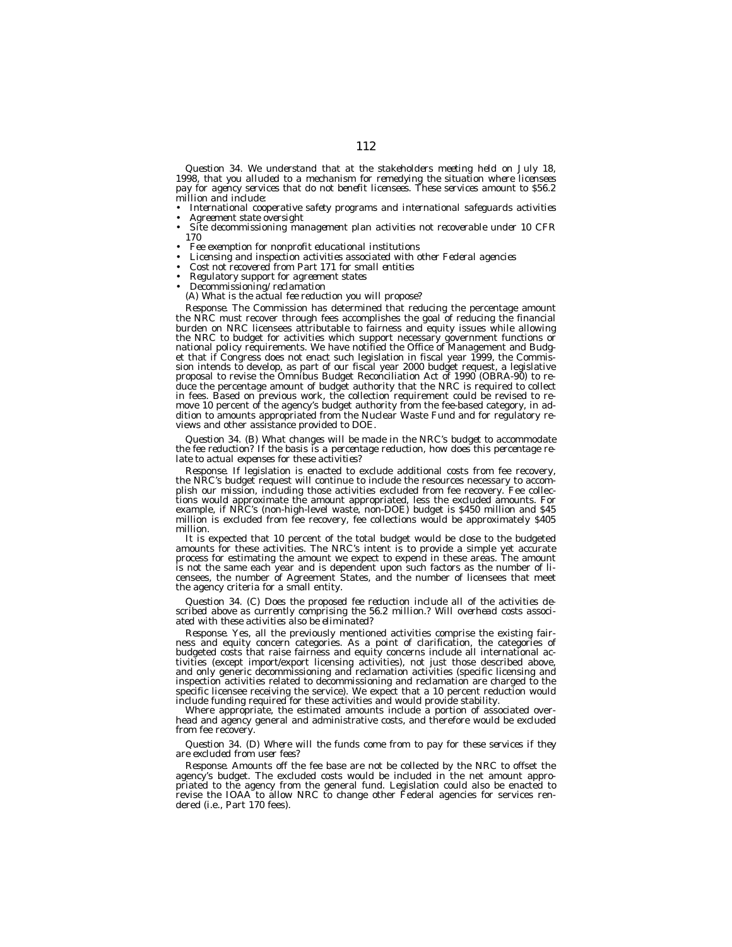*Question 34. We understand that at the stakeholders meeting held on July 18, 1998, that you alluded to a mechanism for remedying the situation where licensees pay for agency services that do not benefit licensees. These services amount to \$56.2 million and include:*

• *International cooperative safety programs and international safeguards activities*

- *Agreement state oversight*
- *Site decommissioning management plan activities not recoverable under 10 CFR 170*
- *Fee exemption for nonprofit educational institutions*
- *Licensing and inspection activities associated with other Federal agencies*
- *Cost not recovered from Part 171 for small entities*
- *Regulatory support for agreement states*
- *Decommissioning/reclamation*
- *(A) What is the actual fee reduction you will propose?*

*Response.* The Commission has determined that reducing the percentage amount the NRC must recover through fees accomplishes the goal of reducing the financial burden on NRC licensees attributable to fairness and equity issues while allowing the NRC to budget for activities which support necessary government functions or national policy requirements. We have notified the Office of Management and Budget that if Congress does not enact such legislation in fiscal year 1999, the Commission intends to develop, as part of our fiscal year 2000 budget request, a legislative proposal to revise the Omnibus Budget Reconciliation Act of 1990 (OBRA-90) to reduce the percentage amount of budget authority that the NRC is required to collect in fees. Based on previous work, the collection requirement could be revised to remove 10 percent of the agency's budget authority from the fee-based category, in addition to amounts appropriated from the Nuclear Waste Fund and for regulatory reviews and other assistance provided to DOE.

*Question 34. (B) What changes will be made in the NRC's budget to accommodate the fee reduction? If the basis is a percentage reduction, how does this percentage relate to actual expenses for these activities?*

*Response.* If legislation is enacted to exclude additional costs from fee recovery, the NRC's budget request will continue to include the resources necessary to accomplish our mission, including those activities excluded from fee recovery. Fee collections would approximate the amount appropriated, less the excluded amounts. For example, if NRC's (non-high-level waste, non-DOE) budget is \$450 million and \$45 million is excluded from fee recovery, fee collections would be approximately \$405 million.

It is expected that 10 percent of the total budget would be close to the budgeted amounts for these activities. The NRC's intent is to provide a simple yet accurate process for estimating the amount we expect to expend in these areas. The amount is not the same each year and is dependent upon such factors as the number of licensees, the number of Agreement States, and the number of licensees that meet the agency criteria for a small entity.

*Question 34. (C) Does the proposed fee reduction include all of the activities described above as currently comprising the 56.2 million.? Will overhead costs associated with these activities also be eliminated?*

*Response.* Yes, all the previously mentioned activities comprise the existing fairness and equity concern categories. As a point of clarification, the categories of budgeted costs that raise fairness and equity concerns include all international activities (except import/export licensing activities), not just those described above, and only generic decommissioning and reclamation activities (specific licensing and inspection activities related to decommissioning and reclamation are charged to the specific licensee receiving the service). We expect that a 10 percent reduction would include funding required for these activities and would provide stability.

Where appropriate, the estimated amounts include a portion of associated overhead and agency general and administrative costs, and therefore would be excluded from fee recovery.

## *Question 34. (D) Where will the funds come from to pay for these services if they are excluded from user fees?*

*Response.* Amounts off the fee base are not be collected by the NRC to offset the agency's budget. The excluded costs would be included in the net amount appropriated to the agency from the general fund. Legislation could also be enacted to revise the IOAA to allow NRC to change other Federal agencies for services rendered (i.e., Part 170 fees).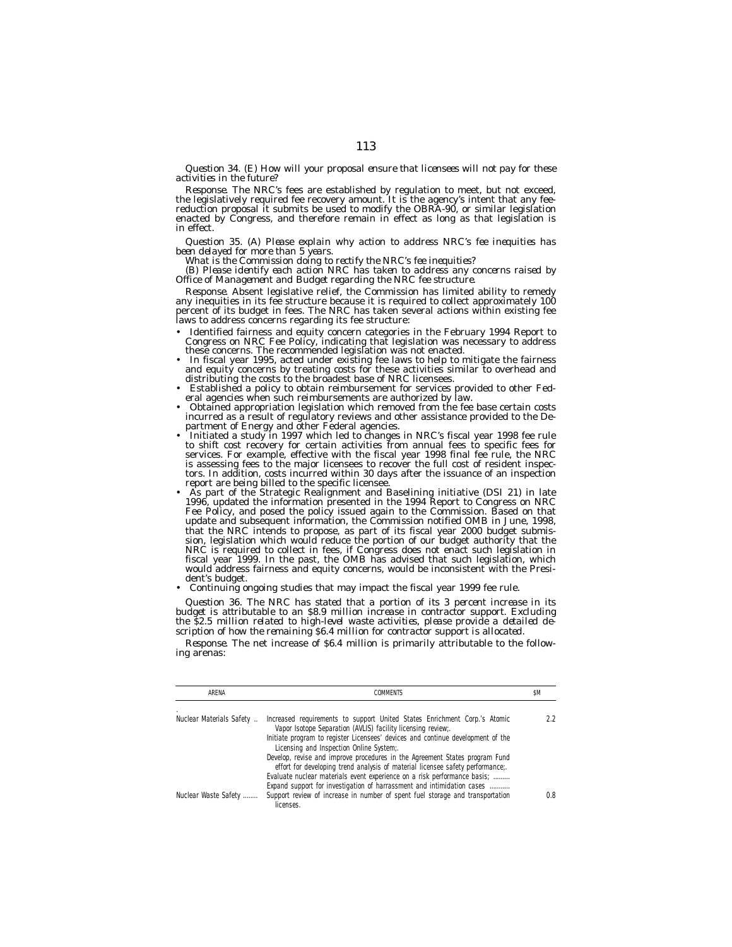*Question 34. (E) How will your proposal ensure that licensees will not pay for these activities in the future?*

*Response.* The NRC's fees are established by regulation to meet, but not exceed, the legislatively required fee recovery amount. It is the agency's intent that any feereduction proposal it submits be used to modify the OBRA-90, or similar legislation enacted by Congress, and therefore remain in effect as long as that legislation is in effect.

*Question 35. (A) Please explain why action to address NRC's fee inequities has been delayed for more than 5 years. What is the Commission doing to rectify the NRC's fee inequities?*

*(B) Please identify each action NRC has taken to address any concerns raised by Office of Management and Budget regarding the NRC fee structure.*

Response. Absent legislative relief, the Commission has limited ability to remedy<br>any inequities in its fee structure because it is required to collect approximately 100<br>percent of its budget in fees. The NRC has taken sev

- Identified fairness and equity concern categories in the February 1994 Report to Congress on NRC Fee Policy, indicating that legislation was necessary to address
- these concerns. The recommended legislation was not enacted.<br>• In fiscal year 1995, acted under existing fee laws to help to mitigate the fairness<br>and equity concerns by treating costs for these activities similar to overh
- distributing the costs to the broadest base of NRC licensees. Established a policy to obtain reimbursement for services provided to other Federal agencies when such reimbursements are authorized by law.<br>• Obtained appropriation legislation which removed from the fee base certain costs
- incurred as a result of regulatory reviews and other assistance provided to the De-<br>partment of Energy and other Federal agencies.
- partment of Energy and other Federal agencies. Initiated a study in 1997 which led to changes in NRC's fiscal year 1998 fee rule to shift cost recovery for certain activities from annual fees to specific fees for services. For example, effective with the fiscal year 1998 final fee rule, the NRC is assessing fees to the major licensees to recover the full cost of resident inspectors. In addition, costs incurred within 30 days after the issuance of an inspection
- As part of the Strategic Realignment and Baselining initiative (DSI 21) in late 1996, updated the information presented in the 1994 Report to Congress on NRC Fee Policy, and posed the policy issued again to the Commission. Based on that update and subsequent information, the Commission notified OMB in June, 1998, that the NRC intends to propose, as part of its fiscal year 2000 budget submission, legislation which would reduce the portion of our budget authority that the NRC is required to collect in fees, if Congress does not enact such legislation in fiscal year 1999. In the past, the OMB has advised that such legislation, which would address fairness and equity concerns, would be inconsistent with the President's budget.
- Continuing ongoing studies that may impact the fiscal year 1999 fee rule.

*Question 36. The NRC has stated that a portion of its 3 percent increase in its budget is attributable to an \$8.9 million increase in contractor support. Excluding the \$2.5 million related to high-level waste activities, please provide a detailed description of how the remaining \$6.4 million for contractor support is allocated.*

*Response.* The net increase of \$6.4 million is primarily attributable to the following arenas:

| ARFNA                    | <b>COMMENTS</b>                                                                                                                                               | \$M |
|--------------------------|---------------------------------------------------------------------------------------------------------------------------------------------------------------|-----|
| Nuclear Materials Safety | Increased requirements to support United States Enrichment Corp.'s Atomic<br>Vapor Isotope Separation (AVLIS) facility licensing review;.                     | 22  |
|                          | Initiate program to register Licensees' devices and continue development of the<br>Licensing and Inspection Online System;.                                   |     |
|                          | Develop, revise and improve procedures in the Agreement States program Fund<br>effort for developing trend analysis of material licensee safety performance;. |     |
|                          | Evaluate nuclear materials event experience on a risk performance basis;<br>Expand support for investigation of harrassment and intimidation cases            |     |
| Nuclear Waste Safety     | Support review of increase in number of spent fuel storage and transportation<br>licenses.                                                                    | 0.8 |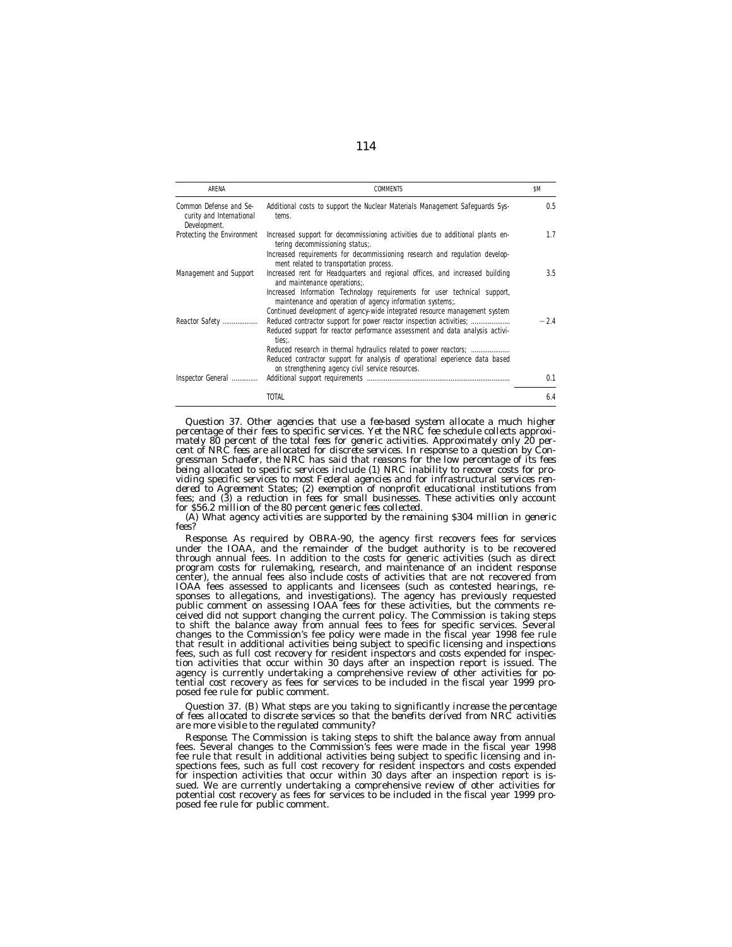| ARENA                                                              | <b>COMMENTS</b>                                                                                                                                                                                                                                                                                                                      | \$M    |
|--------------------------------------------------------------------|--------------------------------------------------------------------------------------------------------------------------------------------------------------------------------------------------------------------------------------------------------------------------------------------------------------------------------------|--------|
| Common Defense and Se-<br>curity and International<br>Development. | Additional costs to support the Nuclear Materials Management Safeguards Sys-<br>tems.                                                                                                                                                                                                                                                | 0.5    |
| Protecting the Environment                                         | Increased support for decommissioning activities due to additional plants en-<br>tering decommissioning status:.<br>Increased requirements for decommissioning research and regulation develop-<br>ment related to transportation process.                                                                                           | 1.7    |
| Management and Support                                             | Increased rent for Headquarters and regional offices, and increased building<br>and maintenance operations:.<br>Increased Information Technology requirements for user technical support,<br>maintenance and operation of agency information systems;.<br>Continued development of agency-wide integrated resource management system | 3.5    |
| Reactor Safety                                                     | Reduced contractor support for power reactor inspection activities;<br>Reduced support for reactor performance assessment and data analysis activi-<br>ties:<br>Reduced contractor support for analysis of operational experience data based<br>on strengthening agency civil service resources.                                     | $-2.4$ |
| Inspector General                                                  |                                                                                                                                                                                                                                                                                                                                      | 0.1    |
|                                                                    | <b>TOTAL</b>                                                                                                                                                                                                                                                                                                                         | 6.4    |

*Question 37. Other agencies that use a fee-based system allocate a much higher percentage of their fees to specific services. Yet the NRC fee schedule collects approximately 80 percent of the total fees for generic activities. Approximately only 20 percent of NRC fees are allocated for discrete services. In response to a question by Congressman Schaefer, the NRC has said that reasons for the low percentage of its fees being allocated to specific services include (1) NRC inability to recover costs for providing specific services to most Federal agencies and for infrastructural services rendered to Agreement States; (2) exemption of nonprofit educational institutions from fees; and (3) a reduction in fees for small businesses. These activities only account for \$56.2 million of the 80 percent generic fees collected.*

*(A) What agency activities are supported by the remaining \$304 million in generic fees?*

*Response.* As required by OBRA-90, the agency first recovers fees for services under the IOAA, and the remainder of the budget authority is to be recovered through annual fees. In addition to the costs for generic activities (such as direct program costs for rulemaking, research, and maintenance of an incident response center), the annual fees also include costs of activities that are not recovered from IOAA fees assessed to applicants and licensees (such as contested hearings, responses to allegations, and investigations). The agency has previously requested public comment on assessing IOAA fees for these activities, but the comments received did not support changing the current policy. The Commission is taking steps to shift the balance away from annual fees to fees for specific services. Several changes to the Commission's fee policy were made in the fiscal year 1998 fee rule that result in additional activities being subject to specific licensing and inspections fees, such as full cost recovery for resident inspectors and costs expended for inspection activities that occur within 30 days after an inspection report is issued. The agency is currently undertaking a comprehensive review of other activities for potential cost recovery as fees for services to be included in the fiscal year 1999 proposed fee rule for public comment.

*Question 37. (B) What steps are you taking to significantly increase the percentage of fees allocated to discrete services so that the benefits derived from NRC activities are more visible to the regulated community?*

*Response.* The Commission is taking steps to shift the balance away from annual fees. Several changes to the Commission's fees were made in the fiscal year 1998 fee rule that result in additional activities being subject to specific licensing and inspections fees, such as full cost recovery for resident inspectors and costs expended for inspection activities that occur within 30 days after an inspection report is issued. We are currently undertaking a comprehensive review of other activities for potential cost recovery as fees for services to be included in the fiscal year 1999 proposed fee rule for public comment.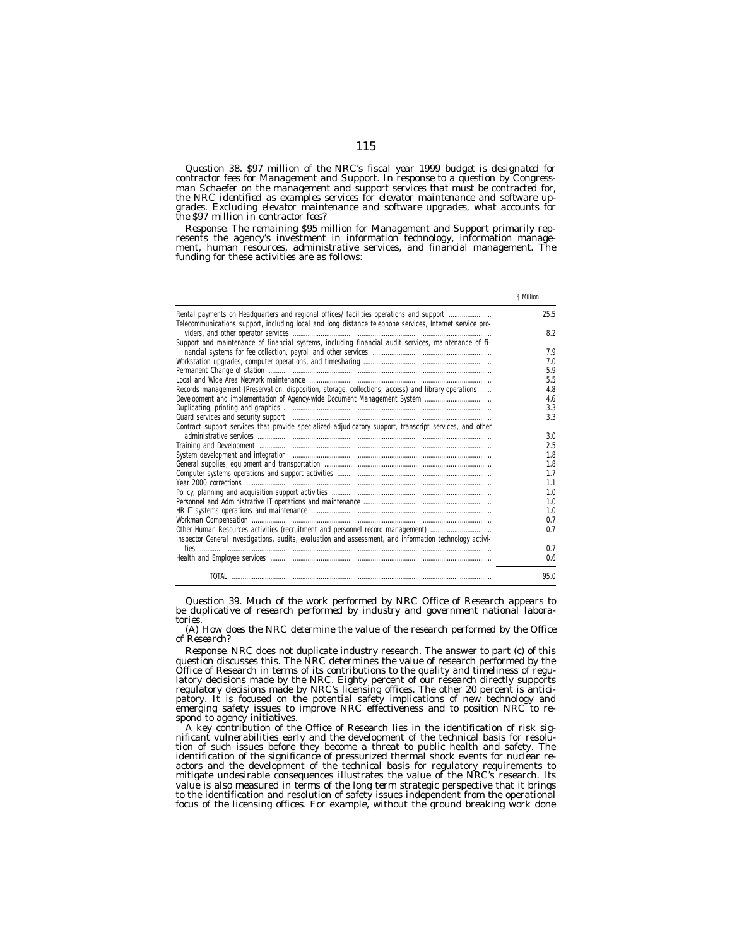*Question 38. \$97 million of the NRC's fiscal year 1999 budget is designated for contractor fees for Management and Support. In response to a question by Congressman Schaefer on the management and support services that must be contracted for, the NRC identified as examples services for elevator maintenance and software upgrades. Excluding elevator maintenance and software upgrades, what accounts for the \$97 million in contractor fees?*

*Response.* The remaining \$95 million for Management and Support primarily represents the agency's investment in information technology, information management, human resources, administrative services, and financial management. The funding for these activities are as follows:

|                                                                                                         | \$ Million |
|---------------------------------------------------------------------------------------------------------|------------|
| Rental payments on Headquarters and regional offices/ facilities operations and support                 | 25.5       |
| Telecommunications support, including local and long distance telephone services, Internet service pro- |            |
|                                                                                                         | 8.2        |
| Support and maintenance of financial systems, including financial audit services, maintenance of fi-    |            |
|                                                                                                         | 7.9        |
|                                                                                                         | 7.0        |
|                                                                                                         | 5.9        |
|                                                                                                         | 5.5        |
| Records management (Preservation, disposition, storage, collections, access) and library operations     | 4.8        |
|                                                                                                         | 4.6        |
|                                                                                                         | 3.3        |
|                                                                                                         | 3.3        |
| Contract support services that provide specialized adjudicatory support, transcript services, and other |            |
|                                                                                                         | 3.0        |
|                                                                                                         | 2.5        |
|                                                                                                         | 1.8        |
|                                                                                                         | 1.8        |
|                                                                                                         | 1.7        |
|                                                                                                         | 1.1        |
|                                                                                                         | 1.0        |
|                                                                                                         | 1.0        |
|                                                                                                         | 1.0        |
|                                                                                                         | 0.7        |
| Other Human Resources activities (recruitment and personnel record management)                          | 0.7        |
|                                                                                                         |            |
| Inspector General investigations, audits, evaluation and assessment, and information technology activi- |            |
|                                                                                                         | 0.7        |
|                                                                                                         | 0.6        |
|                                                                                                         | 95.0       |

*Question 39. Much of the work performed by NRC Office of Research appears to be duplicative of research performed by industry and government national laboratories.*

*(A) How does the NRC determine the value of the research performed by the Office of Research?*

*Response.* NRC does not duplicate industry research. The answer to part (c) of this question discusses this. The NRC determines the value of research performed by the Office of Research in terms of its contributions to the quality and timeliness of regulatory decisions made by the NRC. Eighty percent of our research directly supports regulatory decisions made by NRC's licensing offices. The other 20 percent is anticipatory. It is focused on the potential safety implications of new technology and emerging safety issues to improve NRC effectiveness and to position NRC to respond to agency initiatives.

A key contribution of the Office of Research lies in the identification of risk significant vulnerabilities early and the development of the technical basis for resolution of such issues before they become a threat to public health and safety. The identification of the significance of pressurized thermal shock events for nuclear reactors and the development of the technical basis for regulatory requirements to mitigate undesirable consequences illustrates the value of the NRC's research. Its value is also measured in terms of the long term strategic perspective that it brings to the identification and resolution of safety issues independent from the operational focus of the licensing offices. For example, without the ground breaking work done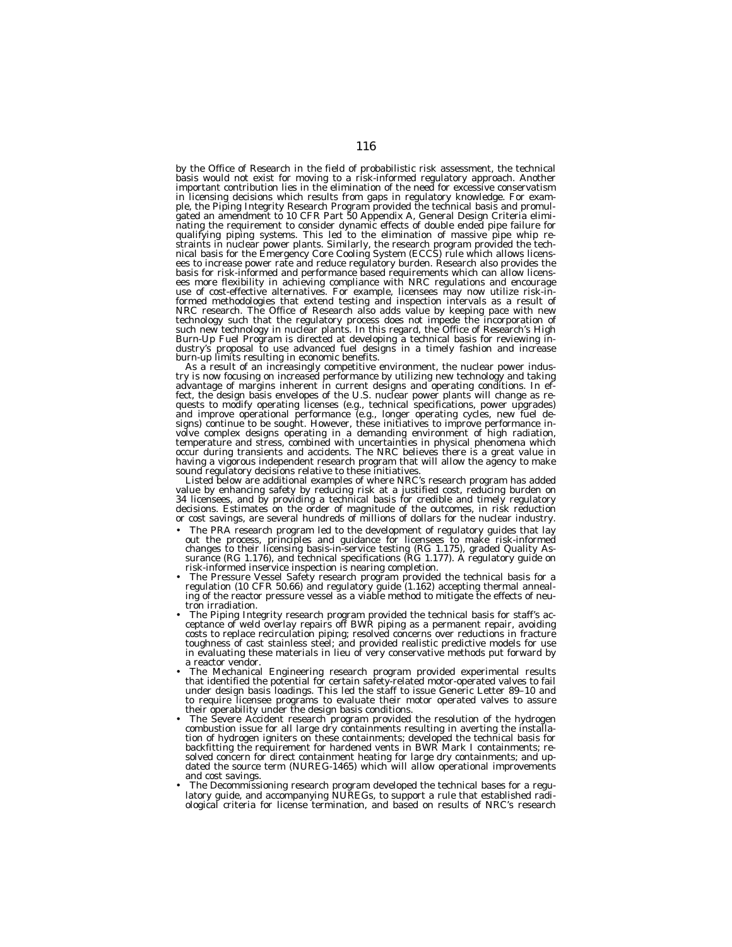by the Office of Research in the field of probabilistic risk assessment, the technical basis would not exist for moving to a risk-informed regulatory approach. Another important contribution lies in the elimination of the need for excessive conservatism in licensing decisions which results from gaps in regulatory knowledge. For exam-ple, the Piping Integrity Research Program provided the technical basis and promulgated an amendment to 10 CFR Part 50 Appendix A, General Design Criteria elimi-nating the requirement to consider dynamic effects of double ended pipe failure for qualifying piping systems. This led to the elimination of massive pipe whip re-<br>straints in nuclear power plants. Similarly, the research program provided the tech-<br>nical basis for the Emergency Core Cooling System (ECCS) basis for risk-informed and performance based requirements which can allow licens-ees more flexibility in achieving compliance with NRC regulations and encourage use of cost-effective alternatives. For example, licensees may now utilize risk-in-formed methodologies that extend testing and inspection intervals as a result of NRC research. The Office of Research also adds value by keeping pace with new technology such that the regulatory process does not impede the incorporation of such new technology in nuclear plants. In this regard, the Office of Research's High<br>Burn-Up Fuel Program is directed at developing a technical basis for reviewing in-<br>dustry's proposal to use advanced fuel designs in a ti

burn-up limits resulting in economic benefits.<br>
As a result of an increasingly competitive environment, the nuclear power indus-<br>
try is now focusing on increased performance by utilizing new technology and taking<br>
advanta having a vigorous independent research program that will allow the agency to make

sound regulatory decisions relative to these initiatives. Listed below are additional examples of where NRC's research program has added value by enhancing safety by reducing risk at a justified cost, reducing burden on 34 licensees, and by providing a technical basis for credible and timely regulatory decisions. Estimates on the order of magnitude of the outcomes, in risk reduction or cost savings, are several hundreds of millions of dollars for the nuclear industry.

- The PRA research program led to the development of regulatory guides that lay out the process, principles and guidance for licensees to make risk-informed changes to their licensing basis-in-service testing (RG 1.175), graded Quality As-surance (RG 1.176), and technical specifications (RG 1.177). A regulatory guide on
- risk-informed inservice inspection is nearing completion.<br>• The Pressure Vessel Safety research program provided the technical basis for a<br>regulation (10 CFR 50.66) and regulatory guide (1.162) accepting thermal anneal-<br>in
- tron irradiation. The Piping Integrity research program provided the technical basis for staff's ac-ceptance of weld overlay repairs off BWR piping as a permanent repair, avoiding costs to replace recirculation piping; resolved concerns over reductions in fracture toughness of cast stainless steel; and provided realistic predictive models for use<br>in evaluating these materials in lieu of very conservative methods put forward by
- a reactor vendor. The Mechanical Engineering research program provided experimental results that identified the potential for certain safety-related motor-operated valves to fail under design basis loadings. This led the staff to issue Generic Letter 89-10 and to require licensee programs to evaluate their motor operated valves to assure<br>their operatility under the design basis conditions.
- their operability under the design basis conditions. The Severe Accident research program provided the resolution of the hydrogen combustion issue for all large dry containments resulting in averting the installation of hydrogen igniters on these containments; developed the technical basis for backfitting the requirement for hardened vents in BWR Mark I containments; resolved concern for direct containment heating for large dry containments; and updated the source term (NUREG-1465) which will allow operational improvements and cost savings.
- The Decommissioning research program developed the technical bases for a regu-latory guide, and accompanying NUREGs, to support a rule that established radiological criteria for license termination, and based on results of NRC's research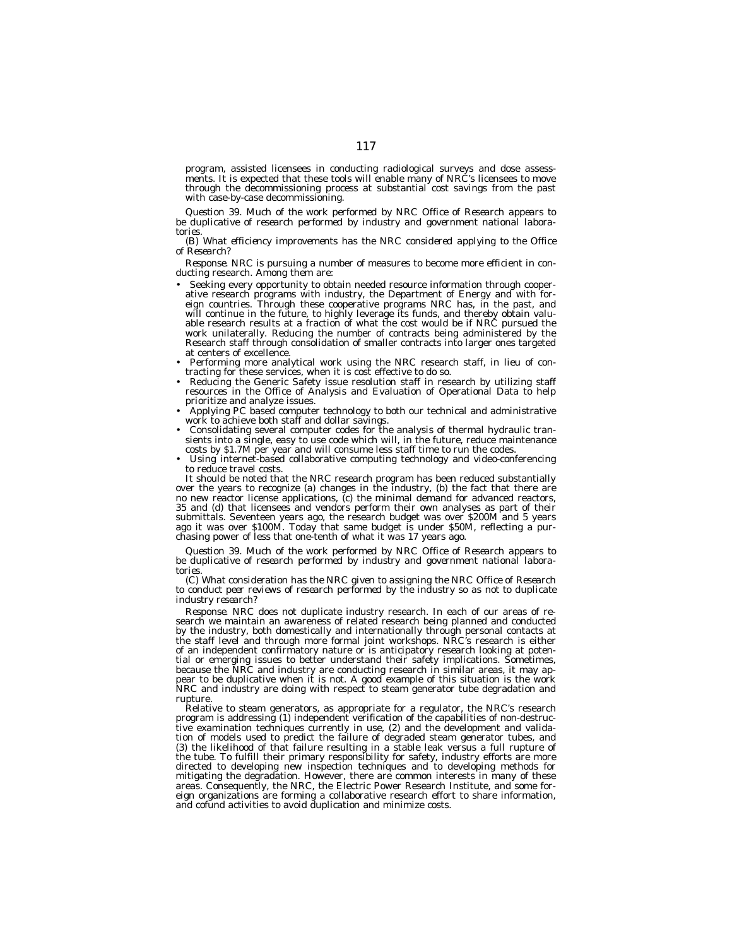program, assisted licensees in conducting radiological surveys and dose assessments. It is expected that these tools will enable many of NRC's licensees to move through the decommissioning process at substantial cost savings from the past with case-by-case decommissioning.

*Question 39. Much of the work performed by NRC Office of Research appears to be duplicative of research performed by industry and government national laboratories.*

*(B) What efficiency improvements has the NRC considered applying to the Office of Research?*

*Response.* NRC is pursuing a number of measures to become more efficient in conducting research. Among them are:

- Seeking every opportunity to obtain needed resource information through cooperative research programs with industry, the Department of Energy and with foreign countries. Through these cooperative programs NRC has, in the past, and will continue in the future, to highly leverage its funds, and thereby obtain valuable research results at a fraction of what the cost would be if NRC pursued the work unilaterally. Reducing the number of contracts being administered by the Research staff through consolidation of smaller contracts into larger ones targeted at centers of excellence.
- Performing more analytical work using the NRC research staff, in lieu of contracting for these services, when it is cost effective to do so.
- Reducing the Generic Safety issue resolution staff in research by utilizing staff resources in the Office of Analysis and Evaluation of Operational Data to help prioritize and analyze issues.
- Applying PC based computer technology to both our technical and administrative work to achieve both staff and dollar savings.
- Consolidating several computer codes for the analysis of thermal hydraulic transients into a single, easy to use code which will, in the future, reduce maintenance costs by \$1.7M per year and will consume less staff time to run the codes.
- Using internet-based collaborative computing technology and video-conferencing to reduce travel costs.

It should be noted that the NRC research program has been reduced substantially over the years to recognize (a) changes in the industry, (b) the fact that there are no new reactor license applications, (c) the minimal demand for advanced reactors, 35 and (d) that licensees and vendors perform their own analyses as part of their submittals. Seventeen years ago, the research budget was over \$200M and 5 years ago it was over \$100M. Today that same budget is under \$50M, reflecting a purchasing power of less that one-tenth of what it was 17 years ago.

*Question 39. Much of the work performed by NRC Office of Research appears to be duplicative of research performed by industry and government national laboratories.*

*(C) What consideration has the NRC given to assigning the NRC Office of Research to conduct peer reviews of research performed by the industry so as not to duplicate industry research?*

*Response.* NRC does not duplicate industry research. In each of our areas of research we maintain an awareness of related research being planned and conducted by the industry, both domestically and internationally through personal contacts at the staff level and through more formal joint workshops. NRC's research is either of an independent confirmatory nature or is anticipatory research looking at potential or emerging issues to better understand their safety implications. Sometimes, because the NRC and industry are conducting research in similar areas, it may appear to be duplicative when it is not. A good example of this situation is the work NRC and industry are doing with respect to steam generator tube degradation and rupture.

Relative to steam generators, as appropriate for a regulator, the NRC's research program is addressing (1) independent verification of the capabilities of non-destructive examination techniques currently in use, (2) and the development and validation of models used to predict the failure of degraded steam generator tubes, and (3) the likelihood of that failure resulting in a stable leak versus a full rupture of the tube. To fulfill their primary responsibility for safety, industry efforts are more directed to developing new inspection techniques and to developing methods for mitigating the degradation. However, there are common interests in many of these areas. Consequently, the NRC, the Electric Power Research Institute, and some foreign organizations are forming a collaborative research effort to share information, and cofund activities to avoid duplication and minimize costs.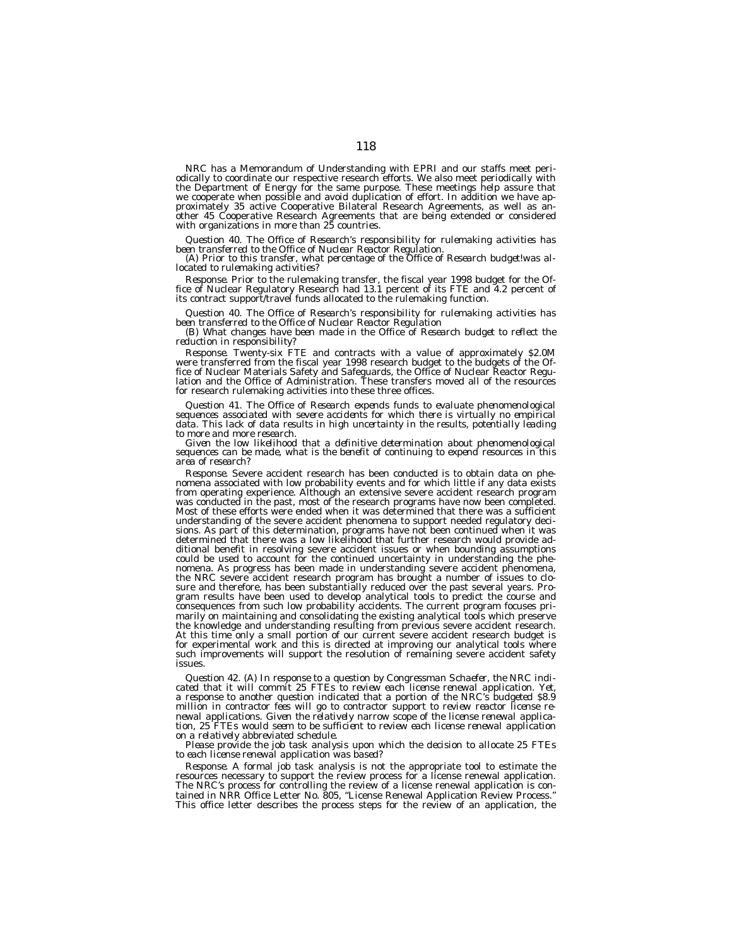NRC has a Memorandum of Understanding with EPRI and our staffs meet peri-<br>odically to coordinate our respective research efforts. We also meet periodically with<br>the Department of Energy for the same purpose. These meetings we cooperate when possible and avoid duplication of effort. In addition we have approximately 35 active Cooperative Bilateral Research Agreements, as well as another 45 Cooperative Research Agreements that are being extended or considered with organizations in more than 25 countries.

Question 40. The Office of Research's responsibility for rulemaking activities has<br>been transferred to the Office of Nuclear Reactor Regulation.<br>(A) Prior to this transfer, what percentage of the Office of Research budget!

*Response.* Prior to the rulemaking transfer, the fiscal year 1998 budget for the Of-<br>fice of Nuclear Regulatory Research had 13.1 percent of its FTE and 4.2 percent of its contract support/travel funds allocated to the rulemaking function.

Question 40. The Office of Research's responsibility for rulemaking activities has<br>been transferred to the Office of Nuclear Reactor Regulation<br>(B) What changes have been made in the Office of Research budget to reflect th

*Response.* Twenty-six FTE and contracts with a value of approximately \$2.0M were transferred from the fiscal year 1998 research budget to the budgets of the Office of Nuclear Materials Safety and Safeguards, the Office of Nuclear Reactor Regu-lation and the Office of Administration. These transfers moved all of the resources for research rulemaking activities into these three offices.

*Question 41. The Office of Research expends funds to evaluate phenomenological sequences associated with severe accidents for which there is virtually no empirical data. This lack of data results in high uncertainty in the results, potentially leading to more and more research.*

*Given the low likelihood that a definitive determination about phenomenological sequences can be made, what is the benefit of continuing to expend resources in this area of research?*

*Response.* Severe accident research has been conducted is to obtain data on phenomena associated with low probability events and for which little if any data exists<br>from operating experience. Although an extensive severe accident research program<br>was conducted in the past, most of the research progra understanding of the severe accident phenomena to support needed regulatory deci-<br>sions. As part of this determination, programs have not been continued when it was<br>determined that there was a low likelihood that further r ditional benefit in resolving severe accident issues or when bounding assumptions could be used to account for the continued uncertainty in understanding the phe-nomena. As progress has been made in understanding severe accident phenomena, the NRC severe accident research program has brought a number of issues to closure and therefore, has been substantially reduced over the past several years. Program results have been used to develop analytical tools to predict the course and consequences from such low probability accidents. The current program focuses primarily on maintaining and consolidating the existing analytical tools which preserve the knowledge and understanding resulting from previous severe accident research. At this time only a small portion of our current severe accident research budget is for experimental work and this is directed at improving our analytical tools where such improvements will support the resolution of remaining severe accident safety issues.

*Question 42. (A) In response to a question by Congressman Schaefer, the NRC indicated that it will commit 25 FTEs to review each license renewal application. Yet, a response to another question indicated that a portion of the NRC's budgeted \$8.9 million in contractor fees will go to contractor support to review reactor license renewal applications. Given the relatively narrow scope of the license renewal application, 25 FTEs would seem to be sufficient to review each license renewal application on a relatively abbreviated schedule.*

*Please provide the job task analysis upon which the decision to allocate 25 FTEs to each license renewal application was based?*

*Response.* A formal job task analysis is not the appropriate tool to estimate the resources necessary to support the review process for a license renewal application. The NRC's process for controlling the review of a license renewal application is contained in NRR Office Letter No. 805, ''License Renewal Application Review Process.'' This office letter describes the process steps for the review of an application, the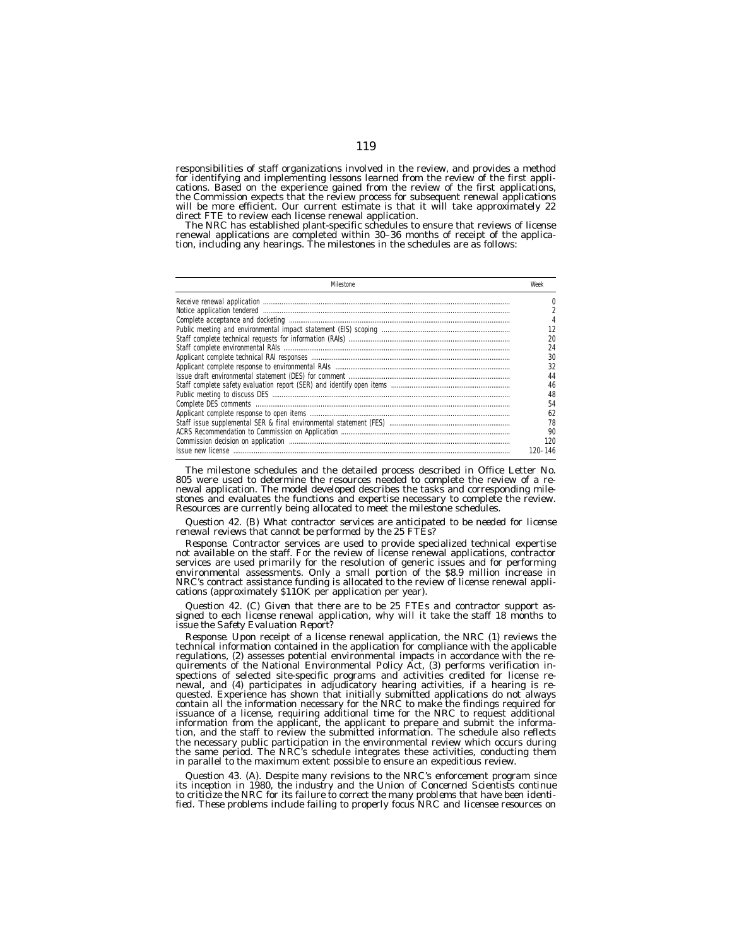responsibilities of staff organizations involved in the review, and provides a method for identifying and implementing lessons learned from the review of the first applications. Based on the experience gained from the review of the first applications, the Commission expects that the review process for subsequent renewal applications will be more efficient. Our current estimate is that it will take approximately 22 direct FTE to review each license renewal application.

The NRC has established plant-specific schedules to ensure that reviews of license renewal applications are completed within 30–36 months of receipt of the applica-tion, including any hearings. The milestones in the schedules are as follows:

| Milestone                                                                                                                                        | Weel       |
|--------------------------------------------------------------------------------------------------------------------------------------------------|------------|
|                                                                                                                                                  |            |
|                                                                                                                                                  |            |
|                                                                                                                                                  |            |
|                                                                                                                                                  |            |
|                                                                                                                                                  |            |
|                                                                                                                                                  | 24         |
|                                                                                                                                                  | 30         |
|                                                                                                                                                  |            |
|                                                                                                                                                  | 44         |
|                                                                                                                                                  | 46         |
|                                                                                                                                                  | 48         |
|                                                                                                                                                  | 54         |
| Public meeting to discuss DES<br>Complete DES comments<br>Applicant complete response to open items<br>Applicant complete response to open items | 62         |
|                                                                                                                                                  | 78         |
|                                                                                                                                                  | 90         |
|                                                                                                                                                  | 120        |
|                                                                                                                                                  | $20 - 146$ |

The milestone schedules and the detailed process described in Office Letter No. 805 were used to determine the resources needed to complete the review of a re-newal application. The model developed describes the tasks and corresponding milestones and evaluates the functions and expertise necessary to complete the review. Resources are currently being allocated to meet the milestone schedules.

*Question 42. (B) What contractor services are anticipated to be needed for license renewal reviews that cannot be performed by the 25 FTEs?*

*Response.* Contractor services are used to provide specialized technical expertise not available on the staff. For the review of license renewal applications, contractor services are used primarily for the resolution of generic issues and for performing environmental assessments. Only a small portion of the \$8.9 million increase in NRC's contract assistance funding is allocated to the review of license renewal applications (approximately \$11OK per application per year).

*Question 42. (C) Given that there are to be 25 FTEs and contractor support assigned to each license renewal application, why will it take the staff 18 months to issue the Safety Evaluation Report?*

*Response.* Upon receipt of a license renewal application, the NRC (1) reviews the technical information contained in the application for compliance with the applicable regulations, (2) assesses potential environmental impacts in accordance with the requirements of the National Environmental Policy Act, (3) performs verification inspections of selected site-specific programs and activities credited for license renewal, and (4) participates in adjudicatory hearing activities, if a hearing is requested. Experience has shown that initially submitted applications do not always contain all the information necessary for the NRC to make the findings required for issuance of a license, requiring additional time for the NRC to request additional information from the applicant, the applicant to prepare and submit the information, and the staff to review the submitted information. The schedule also reflects the necessary public participation in the environmental review which occurs during the same period. The NRC's schedule integrates these activities, conducting them in parallel to the maximum extent possible to ensure an expeditious review.

*Question 43. (A). Despite many revisions to the NRC's enforcement program since its inception in 1980, the industry and the Union of Concerned Scientists continue to criticize the NRC for its failure to correct the many problems that have been identified. These problems include failing to properly focus NRC and licensee resources on*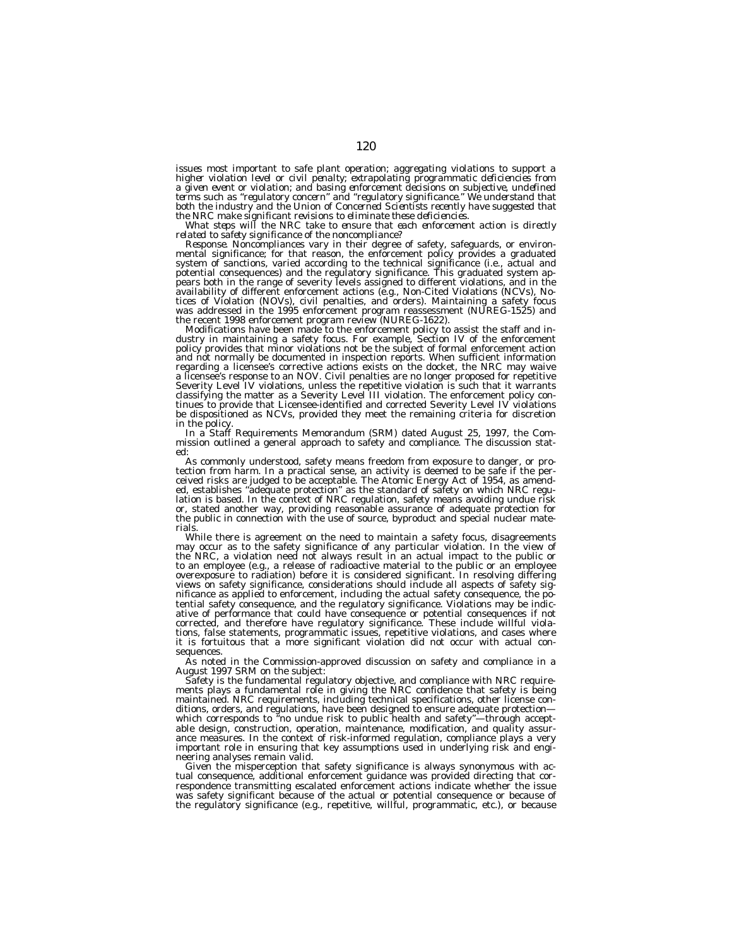*issues most important to safe plant operation; aggregating violations to support a* higher violation level or civil penalty; extrapolating programmatic deficiencies from<br>a given event or violation; and basing enforcement decisions on subjective, undefined<br>terms such as "regulatory concern" and "regulatory

*the NRC make significant revisions to eliminate these deficiencies. What steps will the NRC take to ensure that each enforcement action is directly related to safety significance of the noncompliance?*

Response. Noncompliances vary in their degree of safety, safeguards, or environ-<br>mental significance; for that reason, the enforcement policy provides a graduated<br>system of sanctions, varied according to the technical sign potential consequences) and the regulatory significance. This graduated system ap-pears both in the range of severity levels assigned to different violations, and in the availability of different enforcement actions (e.g., Non-Cited Violations (NCVs), No-tices of Violation (NOVs), civil penalties, and orders). Maintaining a safety focus was addressed in the 1995 enforcement program reassessment (NUREG-1525) and the recent 1998 enforcement program review (NUREG-1622).

Modifications have been made to the enforcement policy to assist the staff and in-<br>dustry in maintaining a safety focus. For example, Section IV of the enforcement policy provides that minor violations not be the subject of formal enforcement action and not normally be documented in inspection reports. When sufficient information regarding a licensee's corrective actions exists on the docket, the NRC may waive a licensee's response to an NOV. Civil penalties are no longer proposed for repetitive Severity Level IV violations, unless the repetitive violation is such that it warrants<br>classifying the matter as a Severity Level III violation. The enforcement policy con-<br>tinues to provide that Licensee-identified and co be dispositioned as NCVs, provided they meet the remaining criteria for discretion in the policy.

in the policy. In a Staff Requirements Memorandum (SRM) dated August 25, 1997, the Com- mission outlined a general approach to safety and compliance. The discussion stated:

As commonly understood, safety means freedom from exposure to danger, or pro-<br>tection from harm. In a practical sense, an activity is deemed to be safe if the per-<br>ceived risks are judged to be acceptable. The Atomic Energ lation is based. In the context of NRC regulation, safety means avoiding undue risk or, stated another way, providing reasonable assurance of adequate protection for the public in connection with the use of source, byproduct and special nuclear materials.

While there is agreement on the need to maintain a safety focus, disagreements may occur as to the safety significance of any particular violation. In the view of the NRC, a violation need not always result in an actual impact to the public or to an employee (e.g., a release of radioactive material to the public or an employee overexposure to radiation) before it is considered significant. In resolving differing views on safety significance, considerations should include all aspects of safety significance as applied to enforcement, including the actual safety consequence, the potential safety consequence, and the regulatory significance. Violations may be indicative of performance that could have consequence or potential consequences if not corrected, and therefore have regulatory significance. These include willful violations, false statements, programmatic issues, repetitive violations, and cases where it is fortuitous that a more significant violation did not occur with actual consequences.

As noted in the Commission-approved discussion on safety and compliance in a August 1997 SRM on the subject:

Safety is the fundamental regulatory objective, and compliance with NRC requirements plays a fundamental role in giving the NRC confidence that safety is being maintained. NRC requirements, including technical specifications, other license conditions, orders, and regulations, have been designed to ensure adequate protection which corresponds to ''no undue risk to public health and safety''—through acceptable design, construction, operation, maintenance, modification, and quality assurance measures. In the context of risk-informed regulation, compliance plays a very important role in ensuring that key assumptions used in underlying risk and engineering analyses remain valid.

Given the misperception that safety significance is always synonymous with actual consequence, additional enforcement guidance was provided directing that correspondence transmitting escalated enforcement actions indicate whether the issue was safety significant because of the actual or potential consequence or because of the regulatory significance (e.g., repetitive, willful, programmatic, etc.), or because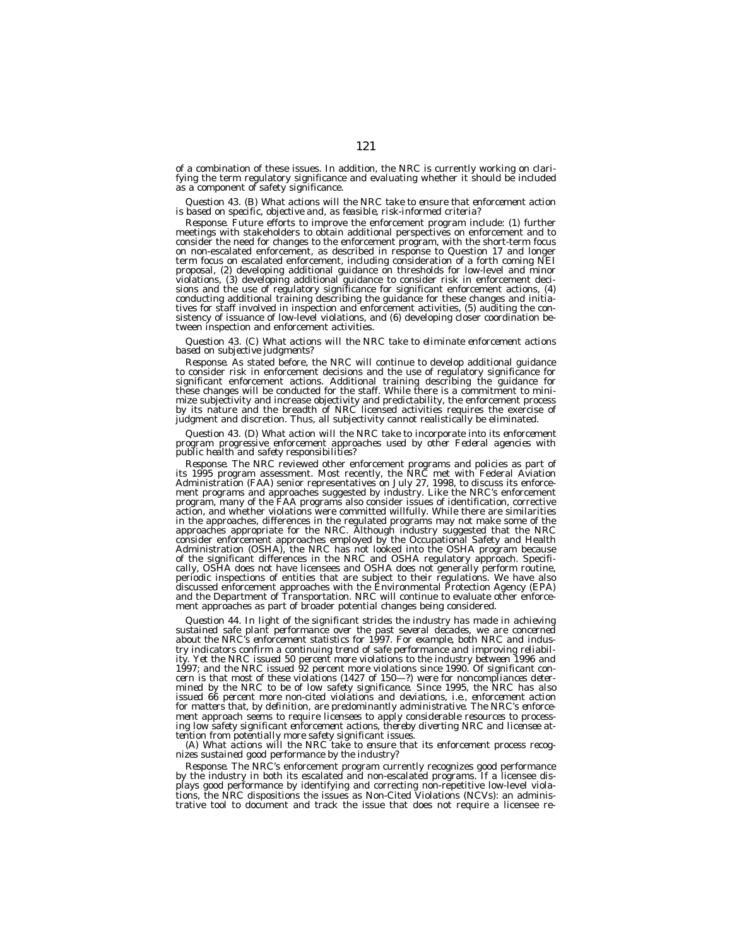of a combination of these issues. In addition, the NRC is currently working on clarifying the term regulatory significance and evaluating whether it should be included as a component of safety significance.

*Question 43. (B) What actions will the NRC take to ensure that enforcement action is based on specific, objective and, as feasible, risk-informed criteria?*

*Response.* Future efforts to improve the enforcement program include: (1) further meetings with stakeholders to obtain additional perspectives on enforcement and to consider the need for changes to the enforcement program, with the short-term focus on non-escalated enforcement, as described in response to Question 17 and longer term focus on escalated enforcement, including consideration of a forth coming NEI proposal, (2) developing additional guidance on thresholds for low-level and minor violations, (3) developing additional guidance to consider risk in enforcement deci-sions and the use of regulatory significance for significant enforcement actions, (4) conducting additional training describing the guidance for these changes and initia-tives for staff involved in inspection and enforcement activities, (5) auditing the consistency of issuance of low-level violations, and (6) developing closer coordination between inspection and enforcement activities.

*Question 43. (C) What actions will the NRC take to eliminate enforcement actions based on subjective judgments?*

*Response.* As stated before, the NRC will continue to develop additional guidance to consider risk in enforcement decisions and the use of regulatory significance for significant enforcement actions. Additional training d these changes will be conducted for the staff. While there is a commitment to minimize subjectivity and increase objectivity and predictability, the enforcement process by its nature and the breadth of NRC licensed activities requires the exercise of judgment and discretion. Thus, all subjectivity cannot realistically be eliminated.

*Question 43. (D) What action will the NRC take to incorporate into its enforcement program progressive enforcement approaches used by other Federal agencies with public health and safety responsibilities?*

*Response.* The NRC reviewed other enforcement programs and policies as part of<br>its 1995 program assessment. Most recently, the NRC met with Federal Aviation<br>Administration (FAA) senior representatives on July 27, 1998, to ment programs and approaches suggested by industry. Like the NRC's enforcement<br>program, many of the FAA programs also consider issues of identification, corrective<br>action, and whether violations were committed willfully. W in the approaches, differences in the regulated programs may not make some of the approaches appropriate for the NRC. Although industry suggested that the NRC consider enforcement approaches employed by the Occupational Safety and Health Administration (OSHA), the NRC has not looked into the OSHA program because of the significant differences in the NRC and OSHA regulatory approach. Specifically, OSHA does not have licensees and OSHA does not generally perform routine, periodic inspections of entities that are subject to their regulations. We have also discussed enforcement approaches with the Environmental Protection Agency (EPA) and the Department of Transportation. NRC will continue to evaluate other enforcement approaches as part of broader potential changes being considered.

*Question 44. In light of the significant strides the industry has made in achieving sustained safe plant performance over the past several decades, we are concerned about the NRC's enforcement statistics for 1997. For example, both NRC and industry indicators confirm a continuing trend of safe performance and improving reliability. Yet the NRC issued 50 percent more violations to the industry between 1996 and 1997; and the NRC issued 92 percent more violations since 1990. Of significant concern is that most of these violations (1427 of 150—?) were for noncompliances determined by the NRC to be of low safety significance. Since 1995, the NRC has also issued 66 percent more non-cited violations and deviations, i.e., enforcement action for matters that, by definition, are predominantly administrative. The NRC's enforcement approach seems to require licensees to apply considerable resources to processing low safety significant enforcement actions, thereby diverting NRC and licensee attention from potentially more safety significant issues.*

*(A) What actions will the NRC take to ensure that its enforcement process recognizes sustained good performance by the industry?*

*Response.* The NRC's enforcement program currently recognizes good performance by the industry in both its escalated and non-escalated programs. If a licensee displays good performance by identifying and correcting non-repetitive low-level viola-<br>tions, the NRC dispositions the issues as Non-Cited Violations (NCVs): an adminis-<br>trative tool to document and track the issue that does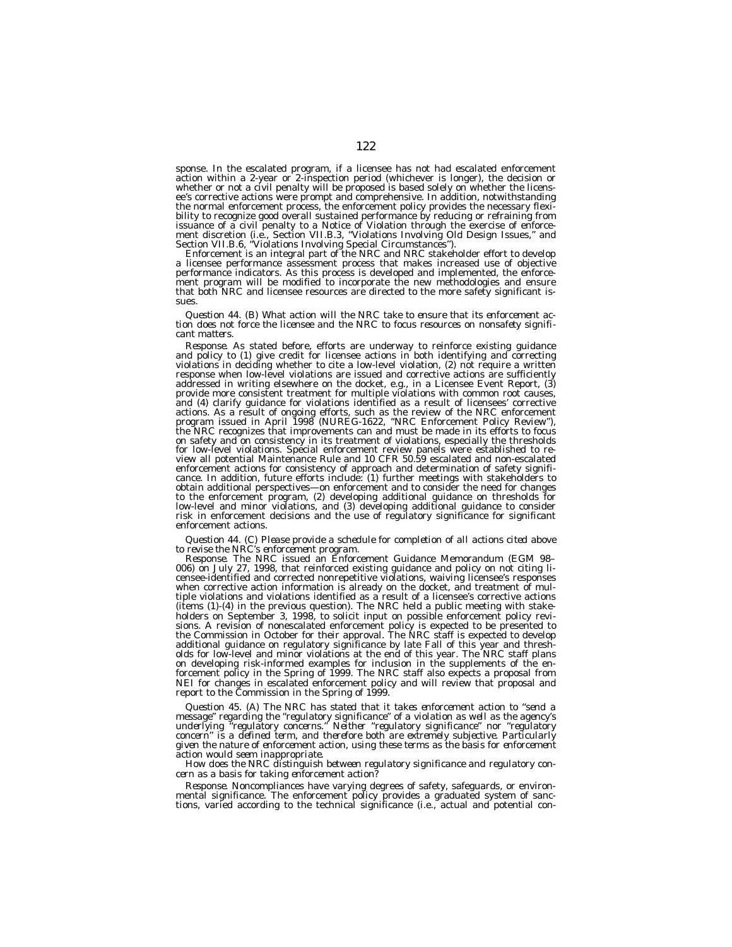sponse. In the escalated program, if a licensee has not had escalated enforcement action within a 2-year or 2-inspection period (whichever is longer), the decision or whether or not a civil penalty will be proposed is based solely on whether the licensee's corrective actions were prompt and comprehensive. In addition, notwithstanding the normal enforcement process, the enforcement policy provides the necessary flexibility to recognize good overall sustained performance by reducing or refraining from<br>issuance of a civil penalty to a Notice of Violation through the exercise of enforce-<br>ment discretion (i.e., Section VII.B.3, "Violation

Enforcement is an integral part of the NRC and NRC stakeholder effort to develop a licensee performance assessment process that makes increased use of objective performance indicators. As this process is developed and implemented, the enforce-ment program will be modified to incorporate the new methodologies and ensure that both NRC and licensee resources are directed to the more safety significant issues.

*Question 44. (B) What action will the NRC take to ensure that its enforcement action does not force the licensee and the NRC to focus resources on nonsafety significant matters.*

*Response.* As stated before, efforts are underway to reinforce existing guidance and policy to (1) give credit for licensee actions in both identifying and correcting violations in deciding whether to cite a low-level violation, (2) not require a written response when low-level violations are issued and corrective actions are sufficiently addressed in writing elsewhere on the docket, e.g., in a Licensee Event Report, (3) provide more consistent treatment for multiple violations with common root causes, and (4) clarify guidance for violations identified as a result of licensees' corrective actions. As a result of ongoing efforts, such as the review of the NRC enforcement<br>program issued in April 1998 (NUREG-1622, "NRC Enforcement Policy Review"),<br>the NRC recognizes that improvements can and must be made in it on safety and on consistency in its treatment of violations, especially the thresholds for low-level violations. Special enforcement review panels were established to re-view all potential Maintenance Rule and 10 CFR 50.59 escalated and non-escalated enforcement actions for consistency of approach and determination of safety signifi-cance. In addition, future efforts include: (1) further meetings with stakeholders to obtain additional perspectives—on enforcement and to consider the need for changes to the enforcement program, (2) developing additional guidance on thresholds for low-level and minor violations, and (3) developing additional guidance to consider risk in enforcement decisions and the use of regulatory significance for significant enforcement actions.

# *Question 44. (C) Please provide a schedule for completion of all actions cited above to revise the NRC's enforcement program.*

*Response.* The NRC issued an Enforcement Guidance Memorandum (EGM 98– 006) on July 27, 1998, that reinforced existing guidance and policy on not citing licensee-identified and corrected nonrepetitive violations, waiving licensee's responses when corrective action information is already on the docket, and treatment of multiple violations and violations identified as a result of a licensee's corrective actions (items (1)-(4) in the previous question). The NRC held a public meeting with stakeholders on September 3, 1998, to solicit input on possible enforcement policy revisions. A revision of nonescalated enforcement policy is expected to be presented to the Commission in October for their approval. The NRC staff is expected to develop additional guidance on regulatory significance by late Fall of this year and thresholds for low-level and minor violations at the end of this year. The NRC staff plans on developing risk-informed examples for inclusion in the supplements of the enforcement policy in the Spring of 1999. The NRC staff also expects a proposal from NEI for changes in escalated enforcement policy and will review that proposal and report to the Commission in the Spring of 1999.

*Question 45. (A) The NRC has stated that it takes enforcement action to ''send a message'' regarding the ''regulatory significance'' of a violation as well as the agency's underlying ''regulatory concerns.'' Neither ''regulatory significance'' nor ''regulatory concern'' is a defined term, and therefore both are extremely subjective. Particularly given the nature of enforcement action, using these terms as the basis for enforcement action would seem inappropriate.*

*How does the NRC distinguish between regulatory significance and regulatory concern as a basis for taking enforcement action?*

*Response.* Noncompliances have varying degrees of safety, safeguards, or environmental significance. The enforcement policy provides a graduated system of sanc-tions, varied according to the technical significance (i.e., actual and potential con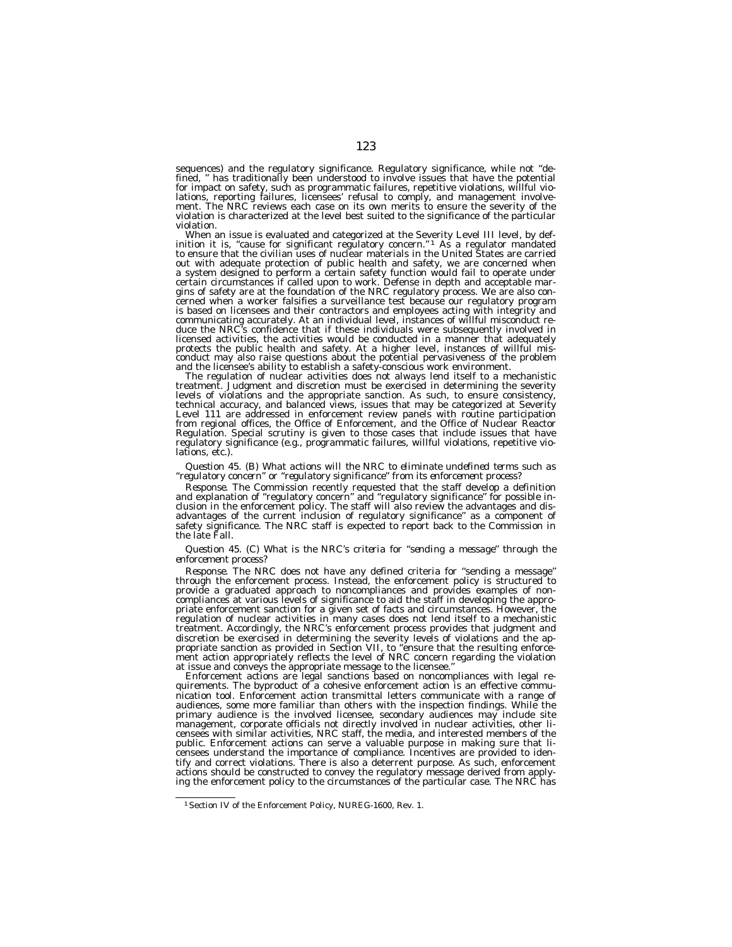sequences) and the regulatory significance. Regulatory significance, while not ''defined, '' has traditionally been understood to involve issues that have the potential for impact on safety, such as programmatic failures, repetitive violations, willful violations, reporting failures, licensees' refusal to comply, and management involve-ment. The NRC reviews each case on its own merits to ensure the severity of the violation is characterized at the level best suited to the significance of the particular violation.

When an issue is evaluated and categorized at the Severity Level III level, by definition it is, "cause for significant regulatory concern."  $\frac{1}{1}$  As a regulator mandated to ensure that the civilian uses of nuclear ma out with adequate protection of public health and safety, we are concerned when a system designed to perform a certain safety function would fail to operate under certain circumstances if called upon to work. Defense in depth and acceptable margins of safety are at the foundation of the NRC regulatory process. We are also con-cerned when a worker falsifies a surveillance test because our regulatory program is based on licensees and their contractors and employees acting with integrity and communicating accurately. At an individual level, instances of willful misconduct reduce the NRC's confidence that if these individuals were subsequently involved in licensed activities, the activities would be conducted in a manner that adequately protects the public health and safety. At a higher level, instances of willful misconduct may also raise questions about the potential pervasiveness of the problem

and the licensee's ability to establish a safety-conscious work environment.<br>The regulation of nuclear activities does not always lend itself to a mechanistic<br>treatment. Judgment and discretion must be exercised in determi levels of violations and the appropriate sanction. As such, to ensure consistency,<br>technical accuracy, and balanced views, issues that may be categorized at Severity<br>Level 111 are addressed in enforcement review panels wit Regulation. Special scrutiny is given to those cases that include issues that have regulatory significance (e.g., programmatic failures, willful violations, repetitive violations, etc.).

# *Question 45. (B) What actions will the NRC to eliminate undefined terms such as ''regulatory concern'' or ''regulatory significance'' from its enforcement process?*

*Response.* The Commission recently requested that the staff develop a definition and explanation of ''regulatory concern'' and ''regulatory significance'' for possible inclusion in the enforcement policy. The staff will also review the advantages and disadvantages of the current inclusion of regulatory significance'' as a component of safety significance. The NRC staff is expected to report back to the Commission in the late Fall.

#### *Question 45. (C) What is the NRC's criteria for ''sending a message'' through the enforcement process?*

*Response.* The NRC does not have any defined criteria for ''sending a message'' through the enforcement process. Instead, the enforcement policy is structured to provide a graduated approach to noncompliances and provides examples of noncompliances at various levels of significance to aid the staff in developing the appropriate enforcement sanction for a given set of facts and circumstances. However, the regulation of nuclear activities in many cases does not lend itself to a mechanistic treatment. Accordingly, the NRC's enforcement process provides that judgment and discretion be exercised in determining the severity levels of violations and the appropriate sanction as provided in Section VII, to ''ensure that the resulting enforcement action appropriately reflects the level of NRC concern regarding the violation at issue and conveys the appropriate message to the licensee.''

Enforcement actions are legal sanctions based on noncompliances with legal requirements. The byproduct of a cohesive enforcement action is an effective communication tool. Enforcement action transmittal letters communicate with a range of audiences, some more familiar than others with the inspection findings. While the primary audience is the involved licensee, secondary audiences may include site management, corporate officials not directly involved in nuclear activities, other licensees with similar activities, NRC staff, the media, and interested members of the public. Enforcement actions can serve a valuable purpose in making sure that licensees understand the importance of compliance. Incentives are provided to identify and correct violations. There is also a deterrent purpose. As such, enforcement actions should be constructed to convey the regulatory message derived from applying the enforcement policy to the circumstances of the particular case. The NRC has

<sup>1</sup>Section IV of the Enforcement Policy, NUREG-1600, Rev. 1.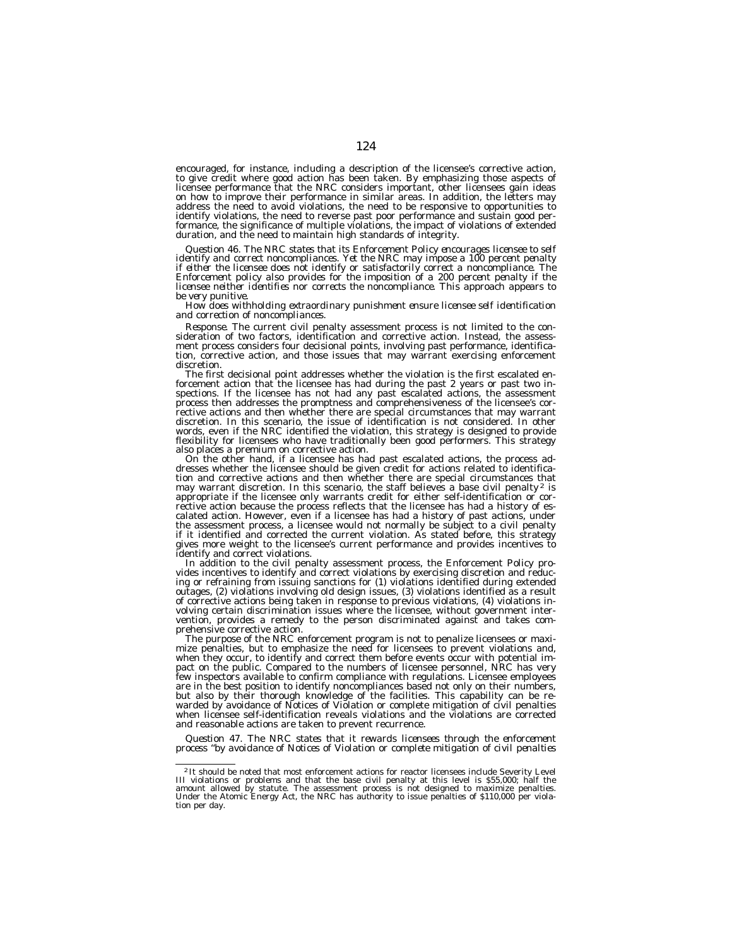encouraged, for instance, including a description of the licensee's corrective action, to give credit where good action has been taken. By emphasizing those aspects of licensee performance that the NRC considers important, other licensees gain ideas on how to improve their performance in similar areas. In addition, the letters may address the need to avoid violations, the need to be responsive to opportunities to identify violations, the need to reverse past poor performance and sustain good per-formance, the significance of multiple violations, the impact of violations of extended duration, and the need to maintain high standards of integrity.

*Question 46. The NRC states that its Enforcement Policy encourages licensee to self identify and correct noncompliances. Yet the NRC may impose a 100 percent penalty if either the licensee does not identify or satisfactorily correct a noncompliance. The Enforcement policy also provides for the imposition of a 200 percent penalty if the licensee neither identifies nor corrects the noncompliance. This approach appears to*

*be very punitive. How does withholding extraordinary punishment ensure licensee self identification and correction of noncompliances.*

*Response.* The current civil penalty assessment process is not limited to the consideration of two factors, identification and corrective action. Instead, the assessment process considers four decisional points, involving past performance, identification, corrective action, and those issues that may warrant exercising enforcement discretion.

The first decisional point addresses whether the violation is the first escalated enforcement action that the licensee has had during the past 2 years or past two inspections. If the licensee has not had any past escalated actions, the assessment process then addresses the promptness and comprehensiveness of the licensee's corrective actions and then whether there are special circumstances that may warrant discretion. In this scenario, the issue of identification is not considered. In other words, even if the NRC identified the violation, this strategy is designed to provide flexibility for licensees who have traditionally been good performers. This strategy also places a premium on corrective action.

On the other hand, if a licensee has had past escalated actions, the process addresses whether the licensee should be given credit for actions related to identification and corrective actions and then whether there are special circumstances that may warrant discretion. In this scenario, the staff believes a base civil penalty<sup>2</sup> is appropriate if the licensee only warrants credit for either self-identification or corrective action because the process reflects that the licensee has had a history of escalated action. However, even if a licensee has had a history of past actions, under the assessment process, a licensee would not normally be subject to a civil penalty if it identified and corrected the current violation. As stated before, this strategy gives more weight to the licensee's current performance and provides incentives to identify and correct violations.

In addition to the civil penalty assessment process, the Enforcement Policy provides incentives to identify and correct violations by exercising discretion and reducing or refraining from issuing sanctions for (1) violations identified during extended outages, (2) violations involving old design issues, (3) violations identified as a result of corrective actions being taken in response to previous violations, (4) violations involving certain discrimination issues where the licensee, without government intervention, provides a remedy to the person discriminated against and takes comprehensive corrective action.

The purpose of the NRC enforcement program is not to penalize licensees or maxi- mize penalties, but to emphasize the need for licensees to prevent violations and, when they occur, to identify and correct them before events occur with potential impact on the public. Compared to the numbers of licensee personnel, NRC has very few inspectors available to confirm compliance with regulations. Licensee employees are in the best position to identify noncompliances based not only on their numbers, but also by their thorough knowledge of the facilities. This capability can be rewarded by avoidance of Notices of Violation or complete mitigation of civil penalties when licensee self-identification reveals violations and the violations are corrected and reasonable actions are taken to prevent recurrence.

*Question 47. The NRC states that it rewards licensees through the enforcement process ''by avoidance of Notices of Violation or complete mitigation of civil penalties*

<sup>&</sup>lt;sup>2</sup>It should be noted that most enforcement actions for reactor licensees include Severity Level III violations or problems and that the base civil penalty at this level is  $$55,000$ ; half the amount allowed by statute. T tion per day.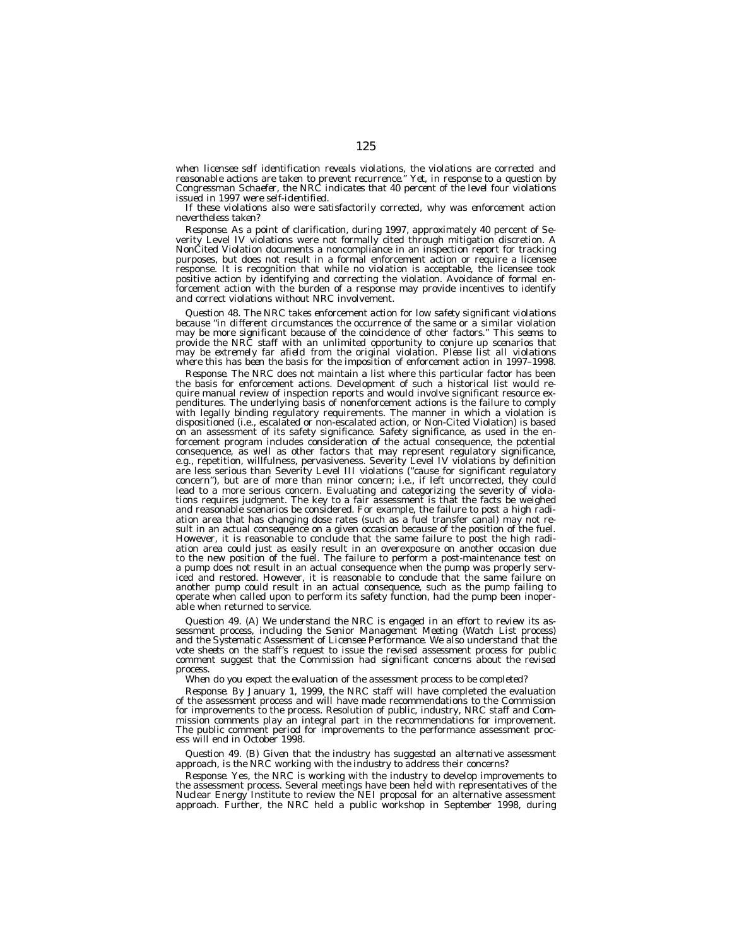*when licensee self identification reveals violations, the violations are corrected and reasonable actions are taken to prevent recurrence.'' Yet, in response to a question by Congressman Schaefer, the NRC indicates that 40 percent of the level four violations issued in 1997 were self-identified.*

*If these violations also were satisfactorily corrected, why was enforcement action nevertheless taken?*

*Response.* As a point of clarification, during 1997, approximately 40 percent of Severity Level IV violations were not formally cited through mitigation discretion. A NonCited Violation documents a noncompliance in an inspection report for tracking purposes, but does not result in a formal enforcement action or require a licensee response. It is recognition that while no violation is acceptable, the licensee took positive action by identifying and correcting the violation. Avoidance of formal enforcement action with the burden of a response may provide incentives to identify and correct violations without NRC involvement.

*Question 48. The NRC takes enforcement action for low safety significant violations because ''in different circumstances the occurrence of the same or a similar violation may be more significant because of the coincidence of other factors.'' This seems to provide the NRC staff with an unlimited opportunity to conjure up scenarios that may be extremely far afield from the original violation. Please list all violations where this has been the basis for the imposition of enforcement action in 1997–1998.*

*Response.* The NRC does not maintain a list where this particular factor has been the basis for enforcement actions. Development of such a historical list would require manual review of inspection reports and would involve significant resource expenditures. The underlying basis of nonenforcement actions is the failure to comply with legally binding regulatory requirements. The manner in which a violation is dispositioned (i.e., escalated or non-escalated action, or Non-Cited Violation) is based on an assessment of its safety significance. Safety significance, as used in the enforcement program includes consideration of the actual consequence, the potential consequence, as well as other factors that may represent regulatory significance, e.g., repetition, willfulness, pervasiveness. Severity Level IV violations by definition are less serious than Severity Level III violations (''cause for significant regulatory concern''), but are of more than minor concern; i.e., if left uncorrected, they could lead to a more serious concern. Evaluating and categorizing the severity of violations requires judgment. The key to a fair assessment is that the facts be weighed and reasonable scenarios be considered. For example, the failure to post a high radiation area that has changing dose rates (such as a fuel transfer canal) may not result in an actual consequence on a given occasion because of the position of the fuel. However, it is reasonable to conclude that the same failure to post the high radiation area could just as easily result in an overexposure on another occasion due to the new position of the fuel. The failure to perform a post-maintenance test on a pump does not result in an actual consequence when the pump was properly serviced and restored. However, it is reasonable to conclude that the same failure on another pump could result in an actual consequence, such as the pump failing to operate when called upon to perform its safety function, had the pump been inoperable when returned to service.

*Question 49. (A) We understand the NRC is engaged in an effort to review its assessment process, including the Senior Management Meeting (Watch List process) and the Systematic Assessment of Licensee Performance. We also understand that the vote sheets on the staff's request to issue the revised assessment process for public comment suggest that the Commission had significant concerns about the revised process.*

*When do you expect the evaluation of the assessment process to be completed?*

*Response.* By January 1, 1999, the NRC staff will have completed the evaluation of the assessment process and will have made recommendations to the Commission for improvements to the process. Resolution of public, industry, NRC staff and Commission comments play an integral part in the recommendations for improvement. The public comment period for improvements to the performance assessment process will end in October 1998.

*Question 49. (B) Given that the industry has suggested an alternative assessment approach, is the NRC working with the industry to address their concerns?*

*Response.* Yes, the NRC is working with the industry to develop improvements to the assessment process. Several meetings have been held with representatives of the Nuclear Energy Institute to review the NEI proposal for an alternative assessment approach. Further, the NRC held a public workshop in September 1998, during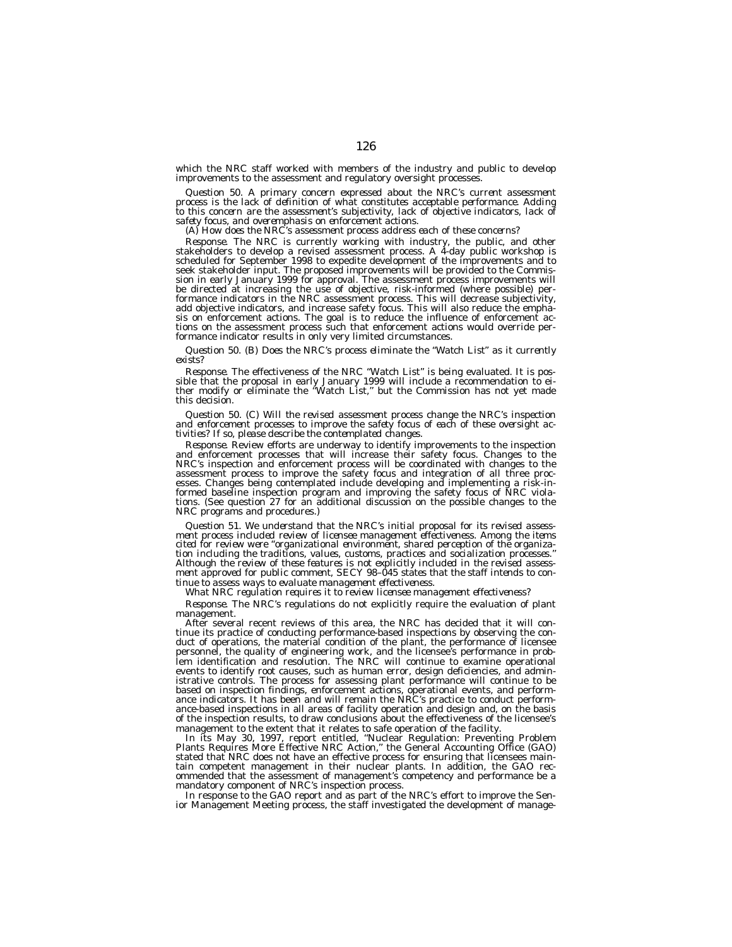which the NRC staff worked with members of the industry and public to develop improvements to the assessment and regulatory oversight processes.

Question 50. A primary concern expressed about the NRC's current assessment<br>process is the lack of definition of what constitutes acceptable performance. Adding<br>to this concern are the assessment's subjectivity, lack of ob *safety focus, and overemphasis on enforcement actions. (A) How does the NRC's assessment process address each of these concerns?*

*Response.* The NRC is currently working with industry, the public, and other stakeholders to develop a revised assessment process. A 4-day public workshop is scheduled for September 1998 to expedite development of the improvements and to seek stakeholder input. The proposed improvements will be provided to the Commission in early January 1999 for approval. The assessment process improvements will be directed at increasing the use of objective, risk-informed (where possible) performance indicators in the NRC assessment process. This will decrease subjectivity, add objective indicators, and increase safety focus. This will also reduce the emphasis on enforcement actions. The goal is to reduce the influence of enforcement actions on the assessment process such that enforcement actions would override performance indicator results in only very limited circumstances.

*Question 50. (B) Does the NRC's process eliminate the ''Watch List'' as it currently exists?*

*Response.* The effectiveness of the NRC "Watch List" is being evaluated. It is possible that the proposal in early January 1999 will include a recommendation to either modify or eliminate the "Watch List," but the Commiss this decision.

*Question 50. (C) Will the revised assessment process change the NRC's inspection and enforcement processes to improve the safety focus of each of these oversight activities? If so, please describe the contemplated changes.*

*Response.* Review efforts are underway to identify improvements to the inspection and enforcement processes that will increase their safety focus. Changes to the NRC's inspection and enforcement process will be coordinate assessment process to improve the safety focus and integration of all three processes. Changes being contemplated include developing and implementing a risk-informed baseline inspection program and improving the safety foc NRC programs and procedures.)

*Question 51. We understand that the NRC's initial proposal for its revised assessment process included review of licensee management effectiveness. Among the items cited for review were ''organizational environment, shared perception of the organization including the traditions, values, customs, practices and socialization processes.'' Although the review of these features is not explicitly included in the revised assess-ment approved for public comment, SECY 98–045 states that the staff intends to continue to assess ways to evaluate management effectiveness.*

*What NRC regulation requires it to review licensee management effectiveness?*

*Response.* The NRC's regulations do not explicitly require the evaluation of plant management.

After several recent reviews of this area, the NRC has decided that it will continue its practice of conducting performance-based inspections by observing the conduct of operations, the material condition of the plant, the performance of licensee personnel, the quality of engineering work, and the licensee's performance in problem identification and resolution. The NRC will continue to examine operational events to identify root causes, such as human error, design deficiencies, and administrative controls. The process for assessing plant performance will continue to be based on inspection findings, enforcement actions, operational events, and performance indicators. It has been and will remain the NRC's practice to conduct performance-based inspections in all areas of facility operation and design and, on the basis of the inspection results, to draw conclusions about the effectiveness of the licensee's management to the extent that it relates to safe operation of the facility.

In its May 30, 1997, report entitled, ''Nuclear Regulation: Preventing Problem Plants Requires More Effective NRC Action,'' the General Accounting Office (GAO) stated that NRC does not have an effective process for ensuring that licensees maintain competent management in their nuclear plants. In addition, the GAO recommended that the assessment of management's competency and performance be a mandatory component of NRC's inspection process.

In response to the GAO report and as part of the NRC's effort to improve the Sen-ior Management Meeting process, the staff investigated the development of manage-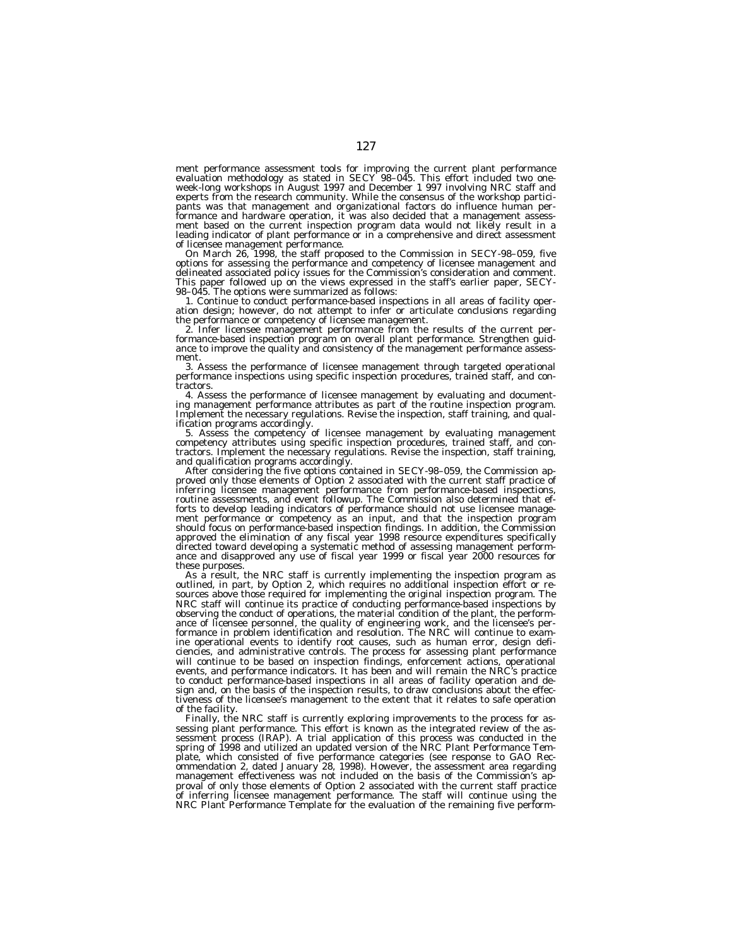ment performance assessment tools for improving the current plant performance evaluation methodology as stated in SECY 98–045. This effort included two one-week-long workshops in August 1997 and December 1 997 involving NRC staff and experts from the research community. While the consensus of the workshop participants was that management and organizational factors do influence human performance and hardware operation, it was also decided that a management assessment based on the current inspection program data would not likely result in a leading indicator of plant performance or in a comprehensive and direct assessment

of licensee management performance. On March 26, 1998, the staff proposed to the Commission in SECY-98–059, five options for assessing the performance and competency of licensee management and delineated associated policy issues for the Commission's consideration and comment. This paper followed up on the views expressed in the staff's earlier paper, SECY-98–045. The options were summarized as follows:

1. Continue to conduct performance-based inspections in all areas of facility operation design; however, do not attempt to infer or articulate conclusions regarding the performance or competency of licensee management.

the performance or competency of licensee management.<br>2. Infer licensee management performance from the results of the current per-<br>formance-based inspection program on overall plant performance. Strengthen guid-<br>ance to i ment.

3. Assess the performance of licensee management through targeted operational performance inspections using specific inspection procedures, trained staff, and contractors.<br>4. Assess the performance of licensee management by evaluating and document-

ing management performance attributes as part of the routine inspection program. Implement the necessary regulations. Revise the inspection, staff training, and qual-

ification programs accordingly.<br>5. Assess the competency of licensee management by evaluating management<br>competency attributes using specific inspection procedures, trained staff, and con-<br>tractors. Implement the necessary

and qualification programs accordingly.<br>After considering the five options contained in SECY-98–059, the Commission ap-<br>proved only those elements of Option 2 associated with the current staff practice of<br>proferring licens ment performance or competency as an input, and that the inspection program should focus on performance-based inspection findings. In addition, the Commission approved the elimination of any fiscal year 1998 resource expenditures specifically directed toward developing a systematic method of assessing management performance and disapproved any use of fiscal year 1999 or fiscal year 2000 resources for these purposes.

As a result, the NRC staff is currently implementing the inspection program as outlined, in part, by Option 2, which requires no additional inspection effort or resources above those required for implementing the original inspection program. The NRC staff will continue its practice of conducting performance-based inspections by observing the conduct of operations, the material condition of the plant, the performance of licensee personnel, the quality of engineering work, and the licensee's performance in problem identification and resolution. The NRC will continue to examine operational events to identify root causes, such as human error, design deficiencies, and administrative controls. The process for assessing plant performance will continue to be based on inspection findings, enforcement actions, operational events, and performance indicators. It has been and will remain the NRC's practice to conduct performance-based inspections in all areas of facility operation and design and, on the basis of the inspection results, to draw conclusions about the effectiveness of the licensee's management to the extent that it relates to safe operation of the facility.

Finally, the NRC staff is currently exploring improvements to the process for assessing plant performance. This effort is known as the integrated review of the assessment process (IRAP). A trial application of this process was conducted in the spring of 1998 and utilized an updated version of the NRC Plant Performance Template, which consisted of five performance categories (see response to GAO Recommendation 2, dated January 28, 1998). However, the assessment area regarding management effectiveness was not included on the basis of the Commission's approval of only those elements of Option 2 associated with the current staff practice of inferring licensee management performance. The staff will continue using the NRC Plant Performance Template for the evaluation of the remaining five perform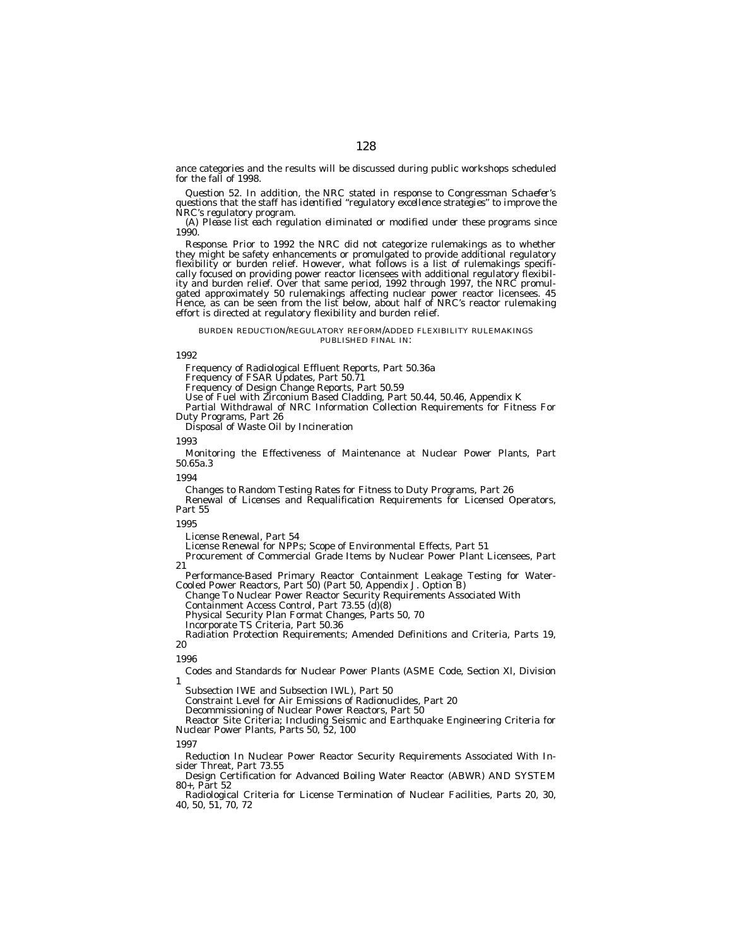ance categories and the results will be discussed during public workshops scheduled for the fall of 1998.

*Question 52. In addition, the NRC stated in response to Congressman Schaefer's questions that the staff has identified ''regulatory excellence strategies'' to improve the NRC's regulatory program.*

*(A) Please list each regulation eliminated or modified under these programs since 1990.*

*Response.* Prior to 1992 the NRC did not categorize rulemakings as to whether they might be safety enhancements or promulgated to provide additional regulatory flexibility or burden relief. However, what follows is a list of rulemakings specifically focused on providing power reactor licensees with additional regulatory flexibility and burden relief. Over that same period, 1992 through 1997, the NRC promulgated approximately 50 rulemakings affecting nuclear power reactor licensees. 45 Hence, as can be seen from the list below, about half of NRC's reactor rulemaking effort is directed at regulatory flexibility and burden relief.

#### BURDEN REDUCTION/REGULATORY REFORM/ADDED FLEXIBILITY RULEMAKINGS PUBLISHED FINAL IN:

## *1992*

Frequency of Radiological Effluent Reports, Part 50.36a

Frequency of FSAR Updates, Part 50.71

Frequency of Design Change Reports, Part 50.59

Use of Fuel with Zirconium Based Cladding, Part 50.44, 50.46, Appendix K

Partial Withdrawal of NRC Information Collection Requirements for Fitness For Duty Programs, Part 26

Disposal of Waste Oil by Incineration

#### *1993*

Monitoring the Effectiveness of Maintenance at Nuclear Power Plants, Part 50.65a.3

#### *1994*

Changes to Random Testing Rates for Fitness to Duty Programs, Part 26

Renewal of Licenses and Requalification Requirements for Licensed Operators, Part 55

#### *1995*

License Renewal, Part 54

License Renewal for NPPs; Scope of Environmental Effects, Part 51

Procurement of Commercial Grade Items by Nuclear Power Plant Licensees, Part 21

Performance-Based Primary Reactor Containment Leakage Testing for Water-Cooled Power Reactors, Part 50) (Part 50, Appendix J. Option B)

Change To Nuclear Power Reactor Security Requirements Associated With Containment Access Control, Part 73.55 (d)(8)

Physical Security Plan Format Changes, Parts 50, 70

Incorporate TS Criteria, Part 50.36

Radiation Protection Requirements; Amended Definitions and Criteria, Parts 19, 20

#### *1996*

Codes and Standards for Nuclear Power Plants (ASME Code, Section Xl, Division 1

Subsection IWE and Subsection IWL), Part 50

Constraint Level for Air Emissions of Radionuclides, Part 20

Decommissioning of Nuclear Power Reactors, Part 50

Reactor Site Criteria; Including Seismic and Earthquake Engineering Criteria for Nuclear Power Plants, Parts 50, 52, 100

#### *1997*

Reduction In Nuclear Power Reactor Security Requirements Associated With Insider Threat, Part 73.55

Design Certification for Advanced Boiling Water Reactor (ABWR) AND SYSTEM 80+, Part 52

Radiological Criteria for License Termination of Nuclear Facilities, Parts 20, 30, 40, 50, 51, 70, 72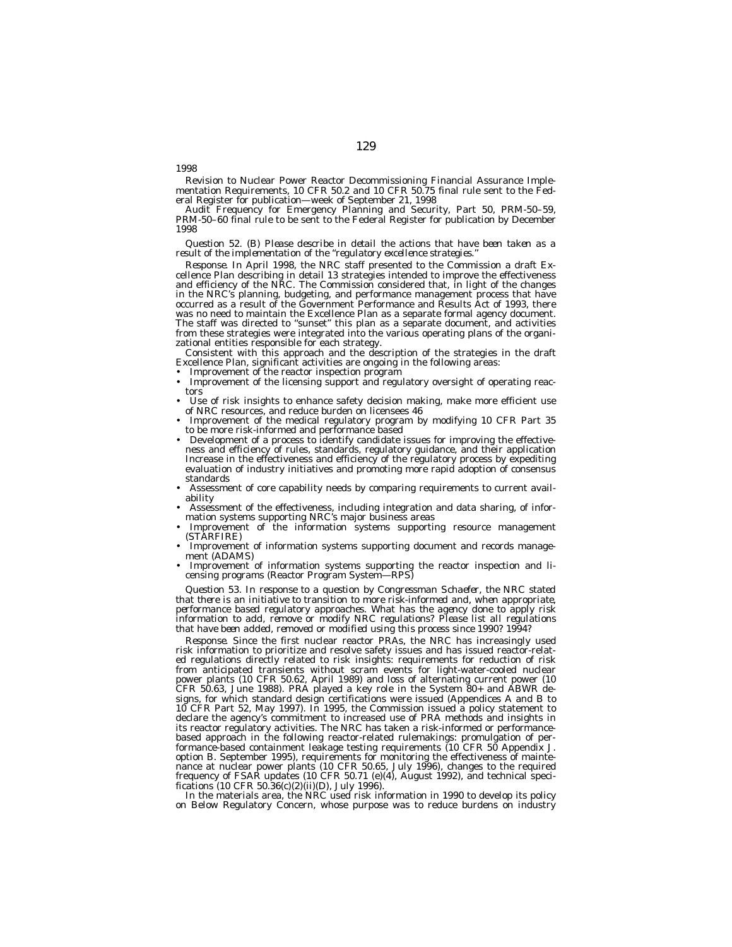Revision to Nuclear Power Reactor Decommissioning Financial Assurance Implementation Requirements, 10 CFR 50.2 and 10 CFR 50.75 final rule sent to the Federal Register for publication—week of September 21, 1998

Audit Frequency for Emergency Planning and Security, Part 50, PRM-50–59, PRM-50–60 final rule to be sent to the Federal Register for publication by December 1998

#### *Question 52. (B) Please describe in detail the actions that have been taken as a result of the implementation of the ''regulatory excellence strategies.''*

*Response.* In April 1998, the NRC staff presented to the Commission a draft Excellence Plan describing in detail 13 strategies intended to improve the effectiveness and efficiency of the NRC. The Commission considered that, in light of the changes in the NRC's planning, budgeting, and performance management process that have occurred as a result of the Government Performance and Results Act of 1993, there was no need to maintain the Excellence Plan as a separate formal agency document. The staff was directed to ''sunset'' this plan as a separate document, and activities from these strategies were integrated into the various operating plans of the organizational entities responsible for each strategy.

Consistent with this approach and the description of the strategies in the draft Excellence Plan, significant activities are ongoing in the following areas:

Improvement of the reactor inspection program

*1998*

- Improvement of the licensing support and regulatory oversight of operating reactors
- Use of risk insights to enhance safety decision making, make more efficient use of NRC resources, and reduce burden on licensees 46
- Improvement of the medical regulatory program by modifying 10 CFR Part 35 to be more risk-informed and performance based
- Development of a process to identify candidate issues for improving the effectiveness and efficiency of rules, standards, regulatory guidance, and their application Increase in the effectiveness and efficiency of the regulatory process by expediting evaluation of industry initiatives and promoting more rapid adoption of consensus standards
- Assessment of core capability needs by comparing requirements to current availability
- Assessment of the effectiveness, including integration and data sharing, of information systems supporting NRC's major business areas
- Improvement of the information systems supporting resource management (STARFIRE)
- Improvement of information systems supporting document and records management (ADAMS)
- Improvement of information systems supporting the reactor inspection and licensing programs (Reactor Program System—RPS)

*Question 53. In response to a question by Congressman Schaefer, the NRC stated that there is an initiative to transition to more risk-informed and, when appropriate, performance based regulatory approaches. What has the agency done to apply risk information to add, remove or modify NRC regulations? Please list all regulations that have been added, removed or modified using this process since 1990? 1994?*

*Response.* Since the first nuclear reactor PRAs, the NRC has increasingly used risk information to prioritize and resolve safety issues and has issued reactor-related regulations directly related to risk insights: requirements for reduction of risk from anticipated transients without scram events for light-water-cooled nuclear power plants (10 CFR 50.62, April 1989) and loss of alternating current power (10 CFR 50.63, June 1988). PRA played a key role in the System 80+ and ABWR designs, for which standard design certifications were issued (Appendices A and B to 10 CFR Part 52, May 1997). In 1995, the Commission issued a policy statement to declare the agency's commitment to increased use of PRA methods and insights in its reactor regulatory activities. The NRC has taken a risk-informed or performancebased approach in the following reactor-related rulemakings: promulgation of performance-based containment leakage testing requirements (10 CFR 50 Appendix J. option B. September 1995), requirements for monitoring the effectiveness of maintenance at nuclear power plants (10 CFR 50.65, July 1996), changes to the required frequency of FSAR updates (10 CFR 50.71 (e)(4), August 1992), and technical specifications (10 CFR 50.36(c)(2)(ii)(D), July 1996).

In the materials area, the NRC used risk information in 1990 to develop its policy on Below Regulatory Concern, whose purpose was to reduce burdens on industry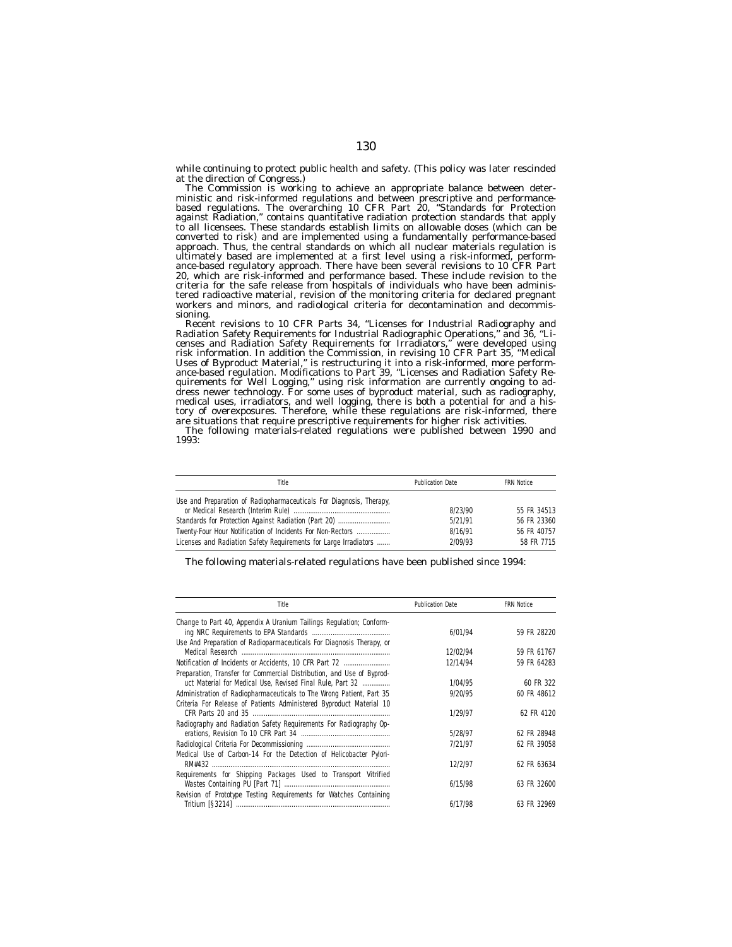while continuing to protect public health and safety. (This policy was later rescinded at the direction of Congress.)

The Commission is working to achieve an appropriate balance between deterministic and risk-informed regulations and between prescriptive and performancebased regulations. The overarching 10 CFR Part 20, ''Standards for Protection against Radiation,'' contains quantitative radiation protection standards that apply to all licensees. These standards establish limits on allowable doses (which can be converted to risk) and are implemented using a fundamentally performance-based approach. Thus, the central standards on which all nuclear materials regulation is ultimately based are implemented at a first level using a risk-informed, performance-based regulatory approach. There have been several revisions to 10 CFR Part 20, which are risk-informed and performance based. These include revision to the criteria for the safe release from hospitals of individuals who have been administered radioactive material, revision of the monitoring criteria for declared pregnant workers and minors, and radiological criteria for decontamination and decommissioning.

Recent revisions to 10 CFR Parts 34, ''Licenses for Industrial Radiography and Radiation Safety Requirements for Industrial Radiographic Operations,'' and 36, ''Licenses and Radiation Safety Requirements for Irradiators,'' were developed using risk information. In addition the Commission, in revising 10 CFR Part 35, ''Medical Uses of Byproduct Material,'' is restructuring it into a risk-informed, more performance-based regulation. Modifications to Part 39, ''Licenses and Radiation Safety Requirements for Well Logging,'' using risk information are currently ongoing to address newer technology. For some uses of byproduct material, such as radiography, medical uses, irradiators, and well logging, there is both a potential for and a history of overexposures. Therefore, while these regulations are risk-informed, there are situations that require prescriptive requirements for higher risk activities.

The following materials-related regulations were published between 1990 and 1993:

| Title                                                               | <b>Publication Date</b> | <b>FRN Notice</b> |
|---------------------------------------------------------------------|-------------------------|-------------------|
| Use and Preparation of Radiopharmaceuticals For Diagnosis, Therapy, | 8/23/90                 | 55 FR 34513       |
| Standards for Protection Against Radiation (Part 20)                | 5/21/91                 | 56 FR 23360       |
| Twenty-Four Hour Notification of Incidents For Non-Rectors          | 8/16/91                 | 56 FR 40757       |
| Licenses and Radiation Safety Requirements for Large Irradiators    | 2/09/93                 | 58 FR 7715        |

The following materials-related regulations have been published since 1994:

| Title                                                                 | <b>Publication Date</b> | <b>FRN Notice</b> |
|-----------------------------------------------------------------------|-------------------------|-------------------|
| Change to Part 40, Appendix A Uranium Tailings Regulation; Conform-   |                         |                   |
|                                                                       | 6/01/94                 | 59 FR 28220       |
| Use And Preparation of Radioparmaceuticals For Diagnosis Therapy, or  | 12/02/94                | 59 FR 61767       |
| Notification of Incidents or Accidents, 10 CFR Part 72                | 12/14/94                | 59 FR 64283       |
| Preparation, Transfer for Commercial Distribution, and Use of Byprod- |                         |                   |
| uct Material for Medical Use, Revised Final Rule, Part 32             | 1/04/95                 | 60 FR 322         |
| Administration of Radiopharmaceuticals to The Wrong Patient, Part 35  | 9/20/95                 | 60 FR 48612       |
| Criteria For Release of Patients Administered Byproduct Material 10   |                         |                   |
|                                                                       | 1/29/97                 | 62 FR 4120        |
| Radiography and Radiation Safety Requirements For Radiography Op-     |                         |                   |
|                                                                       | 5/28/97                 | 62 FR 28948       |
|                                                                       | 7/21/97                 | 62 FR 39058       |
| Medical Use of Carbon-14 For the Detection of Helicobacter Pylori-    |                         |                   |
|                                                                       | 12/2/97                 | 62 FR 63634       |
| Requirements for Shipping Packages Used to Transport Vitrified        |                         |                   |
|                                                                       | 6/15/98                 | 63 FR 32600       |
| Revision of Prototype Testing Requirements for Watches Containing     |                         |                   |
|                                                                       | 6/17/98                 | 63 FR 32969       |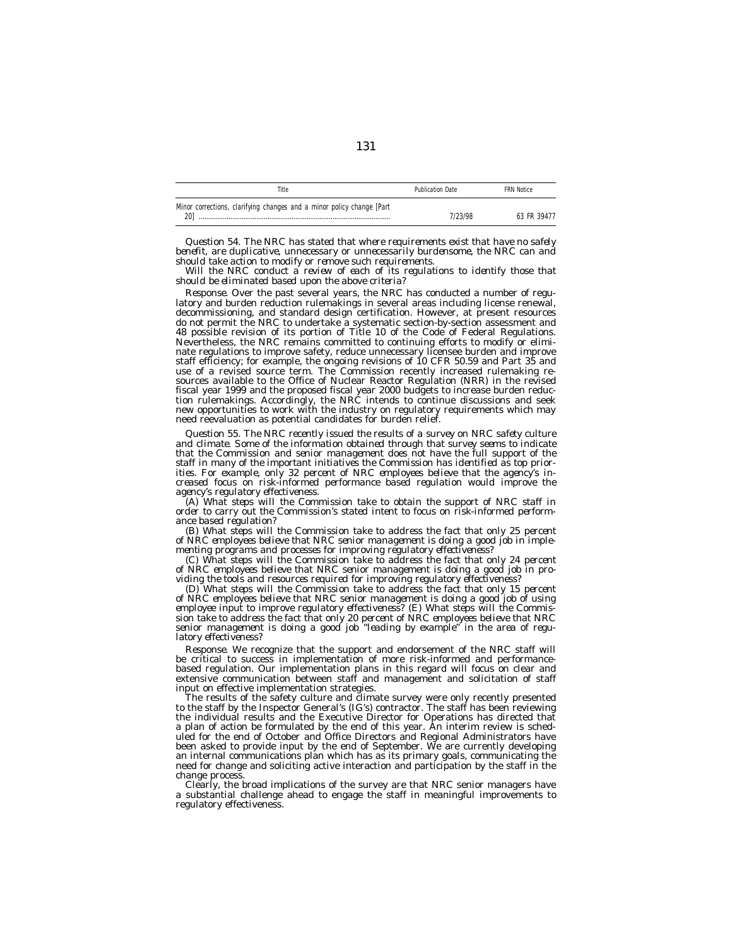| Title                                                                 | <b>Publication Date</b> | <b>FRN Notice</b> |
|-----------------------------------------------------------------------|-------------------------|-------------------|
| Minor corrections, clarifying changes and a minor policy change [Part |                         |                   |
| 201                                                                   | '/23/98                 | 63 FR 39477       |

*Question 54. The NRC has stated that where requirements exist that have no safely benefit, are duplicative, unnecessary or unnecessarily burdensome, the NRC can and should take action to modify or remove such requirements.*

*Will the NRC conduct a review of each of its regulations to identify those that should be eliminated based upon the above criteria?*

*Response.* Over the past several years, the NRC has conducted a number of regulatory and burden reduction rulemakings in several areas including license renewal, decommissioning, and standard design certification. However, at present resources do not permit the NRC to undertake a systematic section-by-section assessment and 48 possible revision of its portion of Title 10 of the Code of Federal Regulations. Nevertheless, the NRC remains committed to continuing efforts to modify or eliminate regulations to improve safety, reduce unnecessary licensee burden and improve staff efficiency; for example, the ongoing revisions of 10 CFR 50.59 and Part 35 and use of a revised source term. The Commission recently increased rulemaking resources available to the Office of Nuclear Reactor Regulation (NRR) in the revised fiscal year 1999 and the proposed fiscal year 2000 budgets to increase burden reduction rulemakings. Accordingly, the NRC intends to continue discussions and seek new opportunities to work with the industry on regulatory requirements which may need reevaluation as potential candidates for burden relief.

*Question 55. The NRC recently issued the results of a survey on NRC safety culture and climate. Some of the information obtained through that survey seems to indicate that the Commission and senior management does not have the full support of the staff in many of the important initiatives the Commission has identified as top priorities. For example, only 32 percent of NRC employees believe that the agency's increased focus on risk-informed performance based regulation would improve the agency's regulatory effectiveness.*

*(A) What steps will the Commission take to obtain the support of NRC staff in order to carry out the Commission's stated intent to focus on risk-informed performance based regulation?*

*(B) What steps will the Commission take to address the fact that only 25 percent of NRC employees believe that NRC senior management is doing a good job in implementing programs and processes for improving regulatory effectiveness?*

*(C) What steps will the Commission take to address the fact that only 24 percent of NRC employees believe that NRC senior management is doing a good job in providing the tools and resources required for improving regulatory effectiveness?*

*(D) What steps will the Commission take to address the fact that only 15 percent of NRC employees believe that NRC senior management is doing a good job of using employee input to improve regulatory effectiveness? (E) What steps will the Commission take to address the fact that only 20 percent of NRC employees believe that NRC senior management is doing a good job ''leading by example'' in the area of regulatory effectiveness?*

*Response.* We recognize that the support and endorsement of the NRC staff will be critical to success in implementation of more risk-informed and performancebased regulation. Our implementation plans in this regard will focus on clear and extensive communication between staff and management and solicitation of staff input on effective implementation strategies.

The results of the safety culture and climate survey were only recently presented to the staff by the Inspector General's (IG's) contractor. The staff has been reviewing the individual results and the Executive Director for Operations has directed that a plan of action be formulated by the end of this year. An interim review is scheduled for the end of October and Office Directors and Regional Administrators have been asked to provide input by the end of September. We are currently developing an internal communications plan which has as its primary goals, communicating the need for change and soliciting active interaction and participation by the staff in the change proces.

Clearly, the broad implications of the survey are that NRC senior managers have a substantial challenge ahead to engage the staff in meaningful improvements to regulatory effectiveness.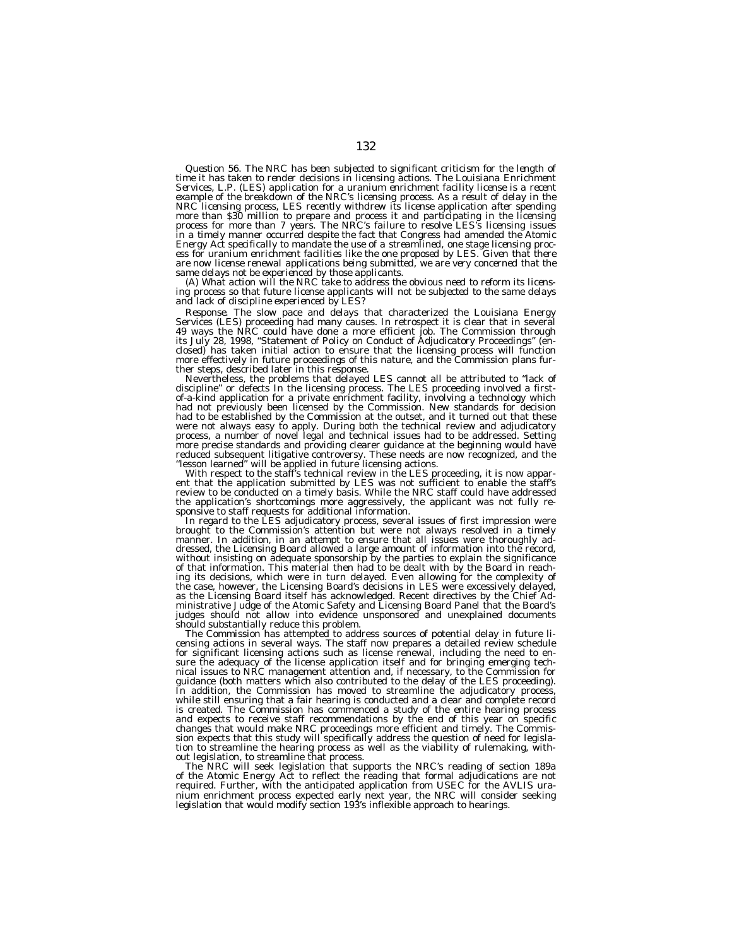*Question 56. The NRC has been subjected to significant criticism for the length of time it has taken to render decisions in licensing actions. The Louisiana Enrichment Services, L.P. (LES) application for a uranium enrichment facility license is a recent example of the breakdown of the NRC's licensing process. As a result of delay in the NRC licensing process, LES recently withdrew its license application after spending more than \$30 million to prepare and process it and participating in the licensing process for more than 7 years. The NRC's failure to resolve LES's licensing issues in a timely manner occurred despite the fact that Congress had amended the Atomic Energy Act specifically to mandate the use of a streamlined, one stage licensing process for uranium enrichment facilities like the one proposed by LES. Given that there are now license renewal applications being submitted, we are very concerned that the*

*same delays not be experienced by those applicants. (A) What action will the NRC take to address the obvious need to reform its licensing process so that future license applicants will not be subjected to the same delays and lack of discipline experienced by LES?*

*Response.* The slow pace and delays that characterized the Louisiana Energy<br>Services (LES) proceeding had many causes. In retrospect it is clear that in several<br>49 ways the NRC could have done a more efficient job. The Co closed) has taken initial action to ensure that the licensing process will function more effectively in future proceedings of this nature, and the Commission plans further steps, described later in this response.<br>Nevertheless, the problems that delayed LES cannot all be attributed to "lack of

Nevertheless, the problems that delayed LES cannot all be attributed to "lack of<br>discipline" or defects In the licensing process. The LES proceeding involved a first-<br>of-a-kind application for a private enrichment facility had to be established by the Commission at the outset, and it turned out that these were not always easy to apply. During both the technical review and adjudicatory process, a number of novel legal and technical issues had to be addressed. Setting more precise standards and providing clearer guidance at the beginning would have reduced subsequent litigative controversy. These needs are now recognized, and the "lesson learned" will be applied in future licensing actions.

With respect to the staff's technical review in the LES proceeding, it is now apparent that the application submitted by LES was not sufficient to enable the staff's review to be conducted on a timely basis. While the NRC staff could have addressed the application's shortcomings more aggressively, the applicant was not fully responsive to staff requests for additional information.<br>In regard to the LES adjudicatory process, several issues of first impression were

brought to the Commission's attention but were not always resolved in a timely manner. In addition, in an attempt to ensure that all issues were thoroughly addressed, the Licensing Board allowed a large amount of information into the record, without insisting on adequate sponsorship by the parties to explain the significance of that information. This material then had to be dealt with by the Board in reaching its decisions, which were in turn delayed. Even allowing for the complexity of the case, however, the Licensing Board's decisions in LES were excessively delayed, as the Licensing Board itself has acknowledged. Recent directives by the Chief Ad-<br>ministrative Judge of the Atomic Safety and Licensing Board Panel that the Board's<br>judges should not allow into evidence unsponsored and un

should substantially reduce this problem. The Commission has attempted to address sources of potential delay in future li- censing actions in several ways. The staff now prepares a detailed review schedule for significant licensing actions such as license renewal, including the need to ensure the adequacy of the license application itself and for bringing emerging tech-nical issues to NRC management attention and, if necessary, to the Commission for guidance (both matters which also contributed to the delay of the LES proceeding). In addition, the Commission has moved to streamline the adjudicatory process, while still ensuring that a fair hearing is conducted and a clear and complete record is created. The Commission has commenced a study of the entire hearing process and expects to receive staff recommendations by the end of this year on specific changes that would make NRC proceedings more efficient and timely. The Commis-sion expects that this study will specifically address the question of need for legislation to streamline the hearing process as well as the viability of rulemaking, without legislation, to streamline that process.

The NRC will seek legislation that supports the NRC's reading of section 189a of the Atomic Energy Act to reflect the reading that formal adjudications are not required. Further, with the anticipated application from USEC for the AVLIS uranium enrichment process expected early next year, the NRC will consider seeking legislation that would modify section 193's inflexible approach to hearings.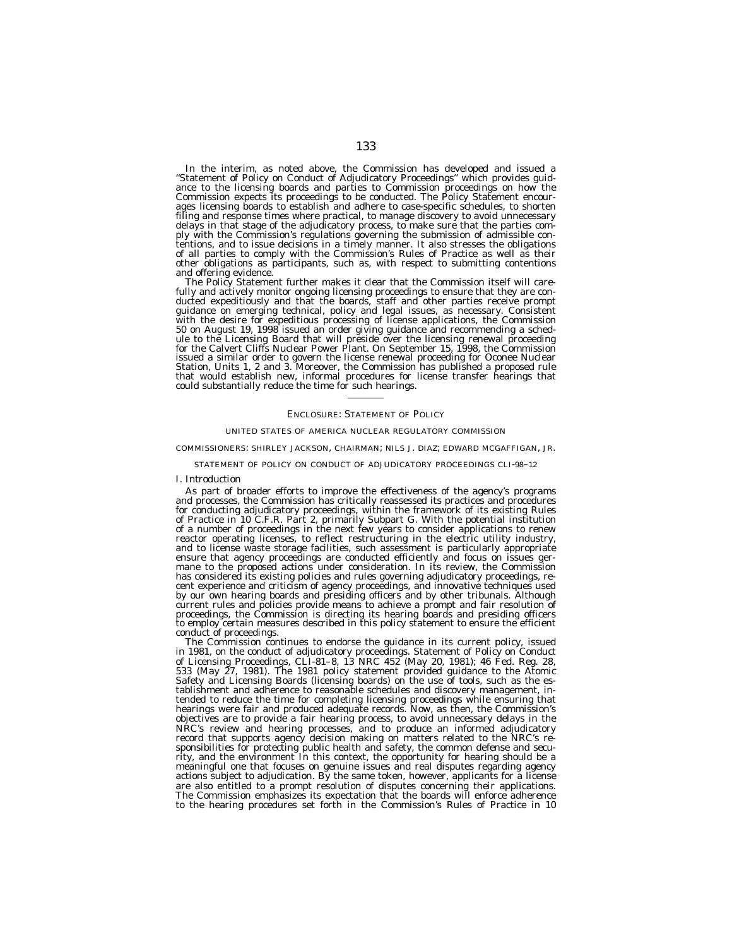In the interim, as noted above, the Commission has developed and issued a ''Statement of Policy on Conduct of Adjudicatory Proceedings'' which provides guidance to the licensing boards and parties to Commission proceedings on how the Commission expects its proceedings to be conducted. The Policy Statement encourages licensing boards to establish and adhere to case-specific schedules, to shorten filing and response times where practical, to manage discovery to avoid unnecessary delays in that stage of the adjudicatory process, to make sure that the parties comply with the Commission's regulations governing the submission of admissible con-tentions, and to issue decisions in a timely manner. It also stresses the obligations of all parties to comply with the Commission's Rules of Practice as well as their other obligations as participants, such as, with respect to submitting contentions

and offering evidence.<br>The Policy Statement further makes it clear that the Commission itself will care-<br> $\frac{d}{dt}$ fully and actively monitor ongoing licensing proceedings to ensure that they are conducted expeditiously and that the boards, staff and other parties receive prompt guidance on emerging technical, policy and legal issues, as necessary. Consistent<br>with the desire for expeditious processing of license applications, the Commission<br>50 on August 19, 1998 issued an order giving guidance and ule to the Licensing Board that will preside over the licensing renewal proceeding for the Calvert Cliffs Nuclear Power Plant. On September 15, 1998, the Commission issued a similar order to govern the license renewal proceeding for Oconee Nuclear<br>Station, Units 1, 2 and 3. Moreover, the Commission has published a proposed rule<br>that would establish new, informal procedures for license could substantially reduce the time for such hearings.

## ENCLOSURE: STATEMENT OF POLICY

#### UNITED STATES OF AMERICA NUCLEAR REGULATORY COMMISSION

## COMMISSIONERS: SHIRLEY JACKSON, CHAIRMAN; NILS J. DIAZ; EDWARD MCGAFFIGAN, JR.

#### STATEMENT OF POLICY ON CONDUCT OF ADJUDICATORY PROCEEDINGS CLI-98–12

#### *I. Introduction*

As part of broader efforts to improve the effectiveness of the agency's programs and processes, the Commission has critically reassessed its practices and procedures for conducting adjudicatory proceedings, within the framework of its existing Rules of Practice in 10 C.F.R. Part 2, primarily Subpart G. With the potential institution of a number of proceedings in the next few years to consider applications to renew reactor operating licenses, to reflect restructuring in the electric utility industry, and to license waste storage facilities, such assessment is particularly appropriate ensure that agency proceedings are conducted efficiently and focus on issues germane to the proposed actions under consideration. In its review, the Commission has considered its existing policies and rules governing adjudicatory proceedings, recent experience and criticism of agency proceedings, and innovative techniques used by our own hearing boards and presiding officers and by other tribunals. Although current rules and policies provide means to achieve a prompt and fair resolution of proceedings, the Commission is directing its hearing boards and presiding officers to employ certain measures described in this policy statement to ensure the efficient

conduct of proceedings.<br>The Commission continues to endorse the guidance in its current policy, issued in 1981, on the conduct of adjudicatory proceedings. Statement of Policy on Conduct of Licensing Proceedings, CLI-81–8, 13 NRC 452 (May 20, 1981); 46 Fed. Reg. 28, 533 (May 27, 1981). The 1981 policy statement provided guidance to the Atomic Safety and Licensing Boards (licensing boards) on the use of tools, such as the establishment and adherence to reasonable schedules and discovery management, intended to reduce the time for completing licensing proceedings while ensuring that hearings were fair and produced adequate records. Now, as then, the Commission's objectives are to provide a fair hearing process, to avoid unnecessary delays in the NRC's review and hearing processes, and to produce an informed adjudicatory record that supports agency decision making on matters related to the NRC's responsibilities for protecting public health and safety, the common defense and security, and the environment In this context, the opportunity for hearing should be a meaningful one that focuses on genuine issues and real disputes regarding agency actions subject to adjudication. By the same token, however, applicants for a license are also entitled to a prompt resolution of disputes concerning their applications. The Commission emphasizes its expectation that the boards will enforce adherence to the hearing procedures set forth in the Commission's Rules of Practice in 10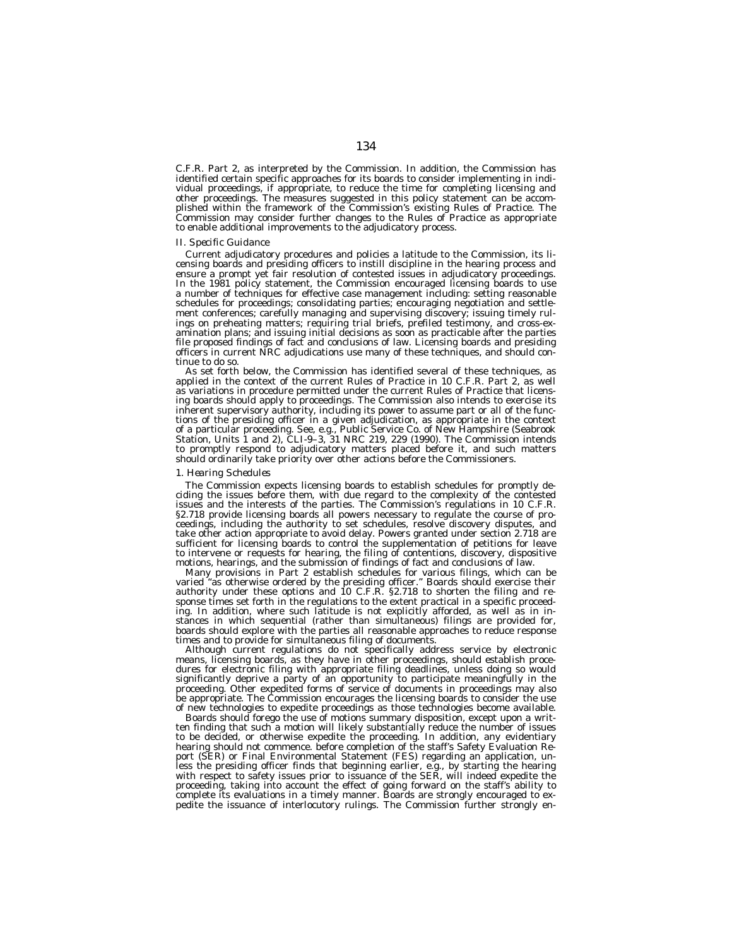C.F.R. Part 2, as interpreted by the Commission. In addition, the Commission has identified certain specific approaches for its boards to consider implementing in individual proceedings, if appropriate, to reduce the time for completing licensing and other proceedings. The measures suggested in this policy statement can be accomplished within the framework of the Commission's existing Rules of Practice. The Commission may consider further changes to the Rules of Practice as appropriate to enable additional improvements to the adjudicatory process.

## *II. Specific Guidance*

Current adjudicatory procedures and policies a latitude to the Commission, its licensing boards and presiding officers to instill discipline in the hearing process and ensure a prompt yet fair resolution of contested issues in adjudicatory proceedings. In the 1981 policy statement, the Commission encouraged licensing boards to use a number of techniques for effective case management including: setting reasonable schedules for proceedings; consolidating parties; encouraging negotiation and settlement conferences; carefully managing and supervising discovery; issuing timely rulings on preheating matters; requiring trial briefs, prefiled testimony, and cross-examination plans; and issuing initial decisions as soon as practicable after the parties file proposed findings of fact and conclusions of law. Licensing boards and presiding officers in current NRC adjudications use many of these techniques, and should continue to do so.

As set forth below, the Commission has identified several of these techniques, as applied in the context of the current Rules of Practice in 10 C.F.R. Part 2, as well as variations in procedure permitted under the current Rules of Practice that licensing boards should apply to proceedings. The Commission also intends to exercise its inherent supervisory authority, including its power to assume part or all of the functions of the presiding officer in a given adjudication, as appropriate in the context of a particular proceeding. See, e.g., Public Service Co. of New Hampshire (Seabrook Station, Units 1 and 2), CLI-9–3, 31 NRC 219, 229 (1990). The Commission intends to promptly respond to adjudicatory matters placed before it, and such matters should ordinarily take priority over other actions before the Commissioners.

#### *1. Hearing Schedules*

The Commission expects licensing boards to establish schedules for promptly deciding the issues before them, with due regard to the complexity of the contested issues and the interests of the parties. The Commission's regulations in 10 C.F.R. §2.718 provide licensing boards all powers necessary to regulate the course of proceedings, including the authority to set schedules, resolve discovery disputes, and take other action appropriate to avoid delay. Powers granted under section 2.718 are sufficient for licensing boards to control the supplementation of petitions for leave to intervene or requests for hearing, the filing of contentions, discovery, dispositive motions, hearings, and the submission of findings of fact and conclusions of law.

Many provisions in Part 2 establish schedules for various filings, which can be varied ''as otherwise ordered by the presiding officer.'' Boards should exercise their authority under these options and 10 C.F.R. §2.718 to shorten the filing and response times set forth in the regulations to the extent practical in a specific proceeding. In addition, where such latitude is not explicitly afforded, as well as in instances in which sequential (rather than simultaneous) filings are provided for, boards should explore with the parties all reasonable approaches to reduce response times and to provide for simultaneous filing of documents.

Although current regulations do not specifically address service by electronic means, licensing boards, as they have in other proceedings, should establish procedures for electronic filing with appropriate filing deadlines, unless doing so would significantly deprive a party of an opportunity to participate meaningfully in the proceeding. Other expedited forms of service of documents in proceedings may also be appropriate. The Commission encourages the licensing boards to consider the use of new technologies to expedite proceedings as those technologies become available.

Boards should forego the use of motions summary disposition, except upon a written finding that such a motion will likely substantially reduce the number of issues to be decided, or otherwise expedite the proceeding. In addition, any evidentiary hearing should not commence. before completion of the staff's Safety Evaluation Report (SER) or Final Environmental Statement (FES) regarding an application, unless the presiding officer finds that beginning earlier, e.g., by starting the hearing with respect to safety issues prior to issuance of the SER, will indeed expedite the proceeding, taking into account the effect of going forward on the staff's ability to complete its evaluations in a timely manner. Boards are strongly encouraged to expedite the issuance of interlocutory rulings. The Commission further strongly en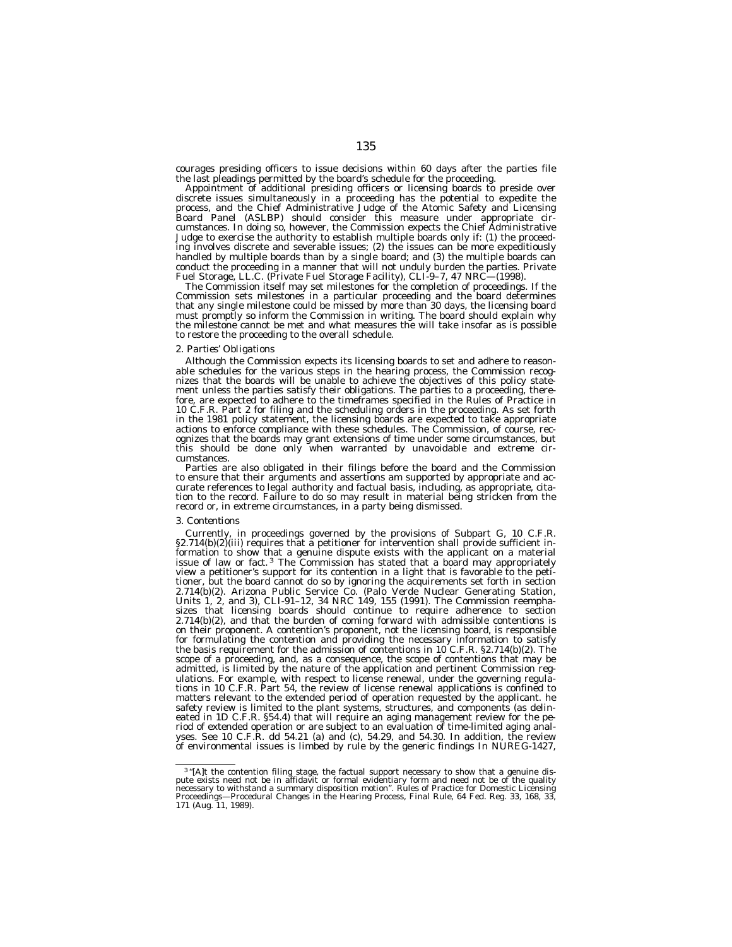courages presiding officers to issue decisions within 60 days after the parties file the last pleadings permitted by the board's schedule for the proceeding.

Appointment of additional presiding officers or licensing boards to preside over discrete issues simultaneously in a proceeding has the potential to expedite the process, and the Chief Administrative Judge of the Atomic Safety and Licensing Board Panel (ASLBP) should consider this measure under appropriate circumstances. In doing so, however, the Commission expects the Chief Administrative Judge to exercise the authority to establish multiple boards only if: (1) the proceeding involves discrete and severable issues; (2) the issues can be more expeditiously handled by multiple boards than by a single board; and (3) the multiple boards can conduct the proceeding in a manner that will not unduly burden the parties. Private Fuel Storage, LL.C. (Private Fuel Storage Facility), CLI-9-7, 47 NRC-(1998).

The Commission itself may set milestones for the completion of proceedings. If the Commission sets milestones in a particular proceeding and the board determines that any single milestone could be missed by more than 30 days, the licensing board must promptly so inform the Commission in writing. The board should explain why the milestone cannot be met and what measures the will take insofar as is possible to restore the proceeding to the overall schedule.

## *2. Parties' Obligations*

Although the Commission expects its licensing boards to set and adhere to reasonable schedules for the various steps in the hearing process, the Commission recognizes that the boards will be unable to achieve the objectives of this policy statement unless the parties satisfy their obligations. The parties to a proceeding, therefore, are expected to adhere to the timeframes specified in the Rules of Practice in 10 C.F.R. Part 2 for filing and the scheduling orders in the proceeding. As set forth in the 1981 policy statement, the licensing boards are expected to take appropriate actions to enforce compliance with these schedules. The Commission, of course, recognizes that the boards may grant extensions of time under some circumstances, but this should be done only when warranted by unavoidable and extreme circumstances.

Parties are also obligated in their filings before the board and the Commission to ensure that their arguments and assertions am supported by appropriate and accurate references to legal authority and factual basis, including, as appropriate, citation to the record. Failure to do so may result in material being stricken from the record or, in extreme circumstances, in a party being dismissed.

#### *3. Contentions*

Currently, in proceedings governed by the provisions of Subpart G, 10 C.F.R.  $\S2.714(b)(2)$ (iii) requires that a petitioner for intervention shall provide sufficient information to show that a genuine dispute exists with the applicant on a material issue of law or fact.<sup>3</sup> The Commission has stated that a board may appropriately view a petitioner's support for its contention in a light that is favorable to the petitioner, but the board cannot do so by ignoring the acquirements set forth in section 2.714(b)(2). Arizona Public Service Co. (Palo Verde Nuclear Generating Station, Units 1, 2, and 3), CLI-91–12, 34 NRC 149, 155 (1991). The Commission reemphasizes that licensing boards should continue to require adherence to section  $2.714(b)(2)$ , and that the burden of coming forward with admissible contentions is on their proponent. A contention's proponent, not the licensing board, is responsible for formulating the contention and providing the necessary information to satisfy the basis requirement for the admission of contentions in  $10^{\circ}$ C.F.R. §2.714(b)(2). The scope of a proceeding, and, as a consequence, the scope of contentions that may be admitted, is limited by the nature of the application and pertinent Commission regulations. For example, with respect to license renewal, under the governing regulations in 10 C.F.R. Part 54, the review of license renewal applications is confined to matters relevant to the extended period of operation requested by the applicant. he safety review is limited to the plant systems, structures, and components (as delineated in 1D C.F.R. §54.4) that will require an aging management review for the period of extended operation or are subject to an evaluation of time-limited aging analyses. See 10 C.F.R. dd 54.21 (a) and (c), 54.29, and 54.30. In addition, the review of environmental issues is limbed by rule by the generic findings In NUREG-1427,

<sup>&</sup>lt;sup>3</sup>"[A]t the contention filing stage, the factual support necessary to show that a genuine dis-<br>pute exists need not be in affidavit or formal evidentiary form and need not be of the quality necessary to withstand a summary disposition motion''. Rules of Practice for Domestic Licensing Proceedings—Procedural Changes in the Hearing Process, Final Rule, 64 Fed. Reg. 33, 168, 33, 171 (Aug. 11, 1989).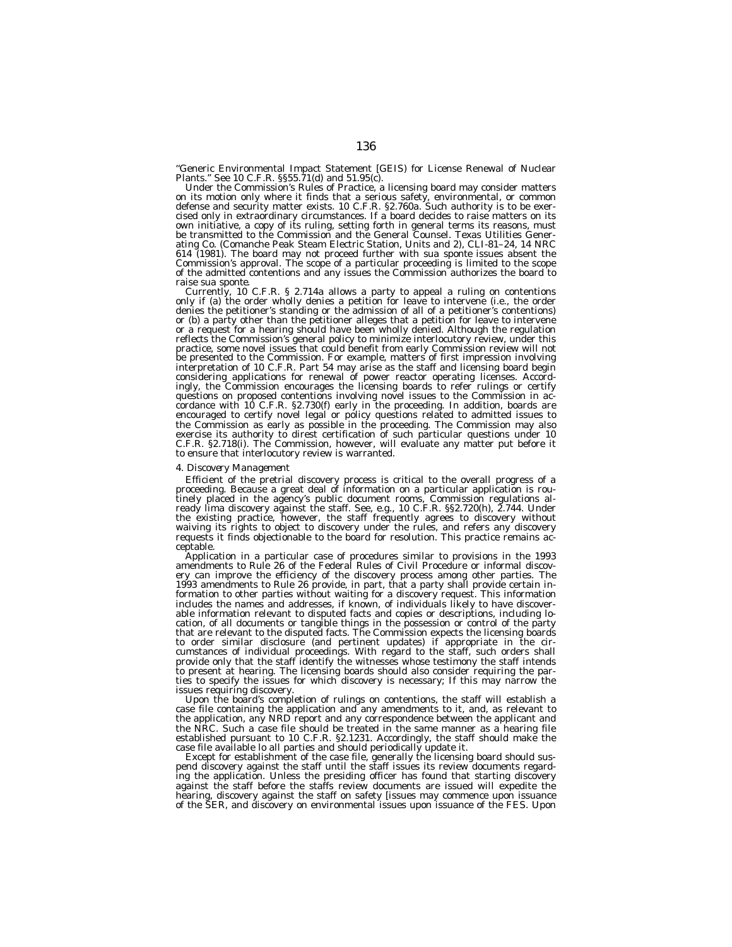''Generic Environmental Impact Statement [GEIS) for License Renewal of Nuclear Plants.'' See 10 C.F.R. §§55.71(d) and 51.95(c).

Under the Commission's Rules of Practice, a licensing board may consider matters<br>on its motion only where it finds that a serious safety, environmental, or common<br>defense and security matter exists. 10 C.F.R. §2.760a. Such cised only in extraordinary circumstances. If a board decides to raise matters on its own initiative, a copy of its ruling, setting forth in general terms its reasons, must be transmitted to the Commission and the General Counsel. Texas Utilities Gener-ating Co. (Comanche Peak Steam Electric Station, Units and 2), CLI-81–24, 14 NRC 614 (1981). The board may not proceed further with *sua sponte* issues absent the Commission's approval. The scope of a particular proceeding is limited to the scope of the admitted contentions and any issues the Commission authorizes the board to raise *sua sponte.*

Currently, 10 C.F.R. § 2.714a allows a party to appeal a ruling on contentions only if (a) the order wholly denies a petition for leave to intervene (i.e., the order denies the petitioner's standing or the admission of all of a petitioner's contentions) or (b) a party other than the petitioner alleges that a petition for leave to intervene or a request for a hearing should have been wholly denied. Although the regulation reflects the Commission's general policy to minimize interlocutory review, under this practice, some novel issues that could benefit from early Commission review will not be presented to the Commission. For example, matters of first impression involving interpretation of 10 C.F.R. Part 54 may arise as the staff and licensing board begin considering applications for renewal of power reactor operating licenses. Accordingly, the Commission encourages the licensing boards to refer rulings or certify questions on proposed contentions involving novel issues to the Commission in accordance with 10 C.F.R. §2.730(f) early in the proceeding. In addition, boards are encouraged to certify novel legal or policy questions related to admitted issues to the Commission as early as possible in the proceeding. The Commission may also exercise its authority to direst certification of such particular questions under 10 C.F.R. §2.718(i). The Commission, however, will evaluate any matter put before it to ensure that interlocutory review is warranted.

## *4. Discovery Management*

Efficient of the pretrial discovery process is critical to the overall progress of a proceeding. Because a great deal of information on a particular application is routinely placed in the agency's public document rooms, Commission regulations already lima discovery against the staff. See, e.g., 10 C.F.R. §§2.720(h), 2.744. Under the existing practice, however, the staff frequently agrees to discovery without waiving its rights to object to discovery under the rules, and refers any discovery requests it finds objectionable to the board for resolution. This practice remains acceptable.

Application in a particular case of procedures similar to provisions in the 1993 amendments to Rule 26 of the Federal Rules of Civil Procedure or informal discovery can improve the efficiency of the discovery process among other parties. The 1993 amendments to Rule 26 provide, in part, that a party shall provide certain information to other parties without waiting for a discovery request. This information includes the names and addresses, if known, of individuals likely to have discoverable information relevant to disputed facts and copies or descriptions, including location, of all documents or tangible things in the possession or control of the party that are relevant to the disputed facts. The Commission expects the licensing boards to order similar disclosure (and pertinent updates) if appropriate in the circumstances of individual proceedings. With regard to the staff, such orders shall provide only that the staff identify the witnesses whose testimony the staff intends to present at hearing. The licensing boards should also consider requiring the parties to specify the issues for which discovery is necessary; If this may narrow the issues requiring discovery.

Upon the board's completion of rulings on contentions, the staff will establish a case file containing the application and any amendments to it, and, as relevant to the application, any NRD report and any correspondence between the applicant and the NRC. Such a case file should be treated in the same manner as a hearing file established pursuant to 10 C.F.R. §2.1231. Accordingly, the staff should make the case file available lo all parties and should periodically update it.

Except for establishment of the case file, generally the licensing board should suspend discovery against the staff until the staff issues its review documents regarding the application. Unless the presiding officer has found that starting discovery against the staff before the staffs review documents are issued will expedite the hearing, discovery against the staff on safety [issues may commence upon issuance of the SER, and discovery on environmental issues upon issuance of the FES. Upon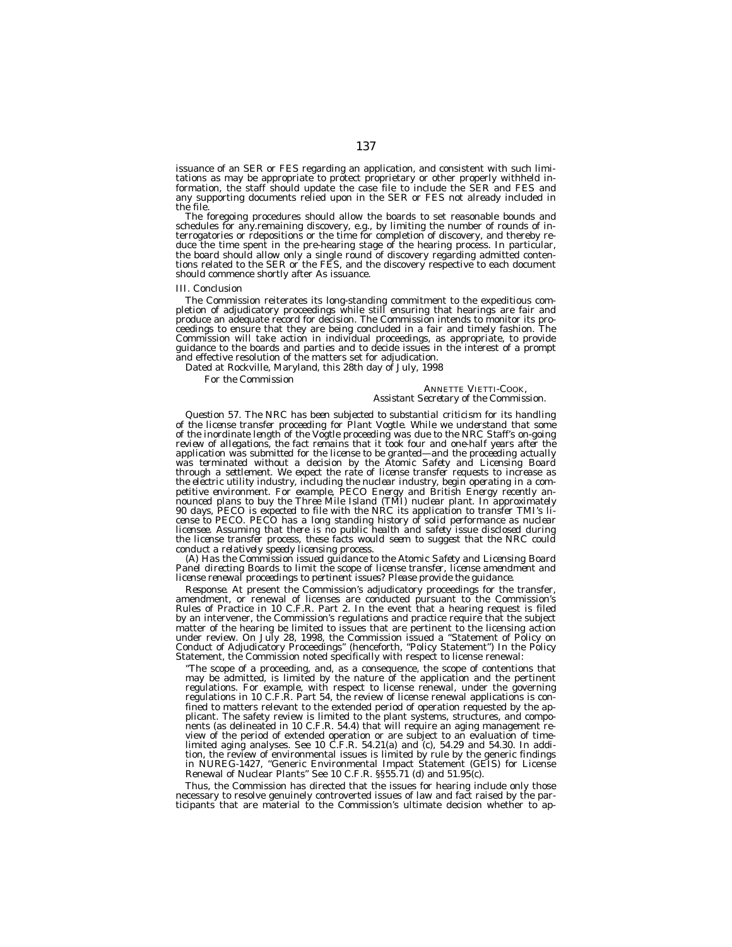issuance of an SER or FES regarding an application, and consistent with such limitations as may be appropriate to protect proprietary or other properly withheld information, the staff should update the case file to include the SER and FES and any supporting documents relied upon in the SER or FES not already included in the file.

The foregoing procedures should allow the boards to set reasonable bounds and schedules for any.remaining discovery, e.g., by limiting the number of rounds of interrogatories or rdepositions or the time for completion of discovery, and thereby reduce the time spent in the pre-hearing stage of the hearing process. In particular, the board should allow only a single round of discovery regarding admitted contentions related to the SER or the FES, and the discovery respective to each document should commence shortly after As issuance.

#### *III. Conclusion*

The Commission reiterates its long-standing commitment to the expeditious completion of adjudicatory proceedings while still ensuring that hearings are fair and produce an adequate record for decision. The Commission intends to monitor its proceedings to ensure that they are being concluded in a fair and timely fashion. The Commission will take action in individual proceedings, as appropriate, to provide guidance to the boards and parties and to decide issues in the interest of a prompt and effective resolution of the matters set for adjudication.

Dated at Rockville, Maryland, this 28th day of July, 1998

*For the Commission*

# ANNETTE VIETTI-COOK, *Assistant Secretary of the Commission.*

*Question 57. The NRC has been subjected to substantial criticism for its handling of the license transfer proceeding for Plant Vogtle. While we understand that some of the inordinate length of the Vogtle proceeding was due to the NRC Staff's on-going review of allegations, the fact remains that it took four and one-half years after the application was submitted for the license to be granted—and the proceeding actually was terminated without a decision by the Atomic Safety and Licensing Board through a settlement. We expect the rate of license transfer requests to increase as the electric utility industry, including the nuclear industry, begin operating in a competitive environment. For example, PECO Energy and British Energy recently announced plans to buy the Three Mile Island (TMI) nuclear plant. In approximately 90 days, PECO is expected to file with the NRC its application to transfer TMI's license to PECO. PECO has a long standing history of solid performance as nuclear licensee. Assuming that there is no public health and safety issue disclosed during the license transfer process, these facts would seem to suggest that the NRC could conduct a relatively speedy licensing process.*

*(A) Has the Commission issued guidance to the Atomic Safety and Licensing Board Panel directing Boards to limit the scope of license transfer, license amendment and license renewal proceedings to pertinent issues? Please provide the guidance.*

*Response.* At present the Commission's adjudicatory proceedings for the transfer, amendment, or renewal of licenses are conducted pursuant to the Commission's Rules of Practice in 10 C.F.R. Part 2. In the event that a hearing request is filed by an intervener, the Commission's regulations and practice require that the subject matter of the hearing be limited to issues that are pertinent to the licensing action under review. On July 28, 1998, the Commission issued a ''Statement of Policy on Conduct of Adjudicatory Proceedings'' (henceforth, ''Policy Statement'') In the Policy Statement, the Commission noted specifically with respect to license renewal:

''The scope of a proceeding, and, as a consequence, the scope of contentions that may be admitted, is limited by the nature of the application and the pertinent regulations. For example, with respect to license renewal, under the governing regulations in 10 C.F.R. Part 54, the review of license renewal applications is confined to matters relevant to the extended period of operation requested by the applicant. The safety review is limited to the plant systems, structures, and components (as delineated in 10 C.F.R. 54.4) that will require an aging management review of the period of extended operation or are subject to an evaluation of timelimited aging analyses. See 10 C.F.R. 54.21(a) and (c), 54.29 and 54.30. In addition, the review of environmental issues is limited by rule by the generic findings in NUREG-1427, ''Generic Environmental Impact Statement (GEIS) for License Renewal of Nuclear Plants'' See 10 C.F.R. §§55.71 (d) and 51.95(c).

Thus, the Commission has directed that the issues for hearing include only those necessary to resolve genuinely controverted issues of law and fact raised by the participants that are material to the Commission's ultimate decision whether to ap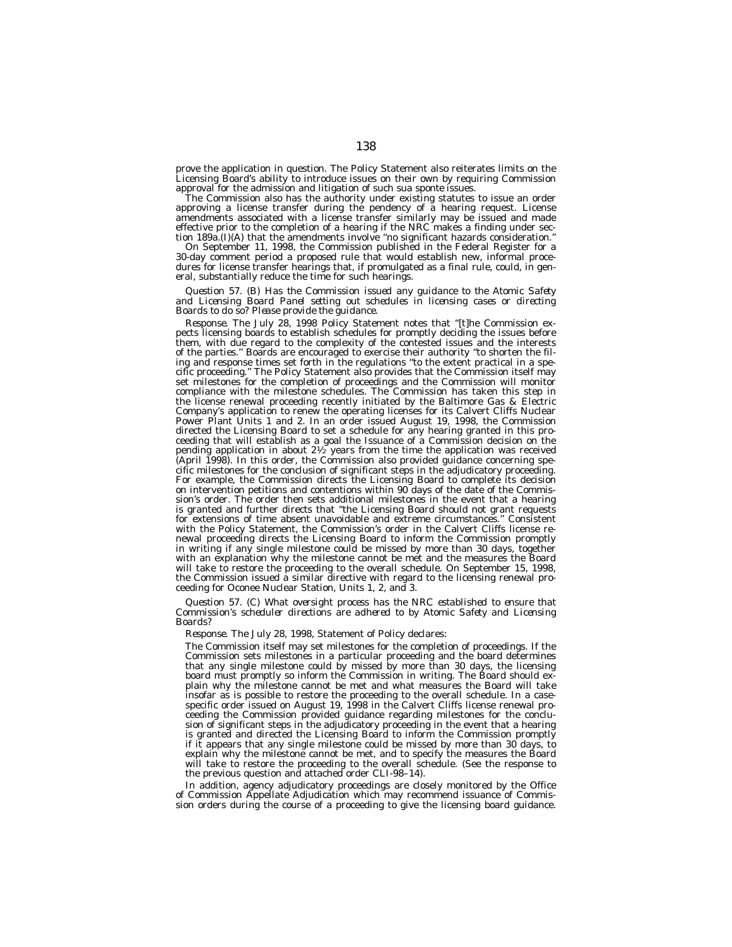prove the application in question. The Policy Statement also reiterates limits on the Licensing Board's ability to introduce issues on their own by requiring Commission approval for the admission and litigation of such *sua sponte* issues.

The Commission also has the authority under existing statutes to issue an order approving a license transfer during the pendency of a hearing request. License amendments associated with a license transfer similarly may be issued and made effective prior to the completion of a hearing if the NRC makes a finding under section 189a.(I)(A) that the amendments involve ''no significant hazards consideration.''

On September 11, 1998, the Commission published in the Federal Register for a 30-day comment period a proposed rule that would establish new, informal procedures for license transfer hearings that, if promulgated as a final rule, could, in general, substantially reduce the time for such hearings.

*Question 57. (B) Has the Commission issued any guidance to the Atomic Safety and Licensing Board Panel setting out schedules in licensing cases or directing Boards to do so? Please provide the guidance.*

*Response.* The July 28, 1998 Policy Statement notes that ''[t]he Commission expects licensing boards to establish schedules for promptly deciding the issues before them, with due regard to the complexity of the contested issues and the interests of the parties.'' Boards are encouraged to exercise their authority ''to shorten the filing and response times set forth in the regulations ''to the extent practical in a specific proceeding.'' The Policy Statement also provides that the Commission itself may set milestones for the completion of proceedings and the Commission will monitor compliance with the milestone schedules. The Commission has taken this step in the license renewal proceeding recently initiated by the Baltimore Gas & Electric Company's application to renew the operating licenses for its Calvert Cliffs Nuclear Power Plant Units 1 and 2. In an order issued August 19, 1998, the Commission directed the Licensing Board to set a schedule for any hearing granted in this proceeding that will establish as a goal the Issuance of a Commission decision on the pending application in about  $2\frac{1}{2}$  years from the time the application was received (April 1998). In this order, the Commission also provided guidance concerning specific milestones for the conclusion of significant steps in the adjudicatory proceeding. For example, the Commission directs the Licensing Board to complete its decision on intervention petitions and contentions within 90 days of the date of the Commission's order. The order then sets additional milestones in the event that a hearing is granted and further directs that "the Licensing Board should not grant requests for extensions of time absent unavoidable and extreme circumstances.'' Consistent with the Policy Statement, the Commission's order in the Calvert Cliffs license renewal proceeding directs the Licensing Board to inform the Commission promptly in writing if any single milestone could be missed by more than 30 days, together with an explanation why the milestone cannot be met and the measures the Board will take to restore the proceeding to the overall schedule. On September 15, 1998, the Commission issued a similar directive with regard to the licensing renewal proceeding for Oconee Nuclear Station, Units 1, 2, and 3.

*Question 57. (C) What oversight process has the NRC established to ensure that Commission's scheduler directions are adhered to by Atomic Safety and Licensing Boards?*

*Response.* The July 28, 1998, Statement of Policy declares:

The Commission itself may set milestones for the completion of proceedings. If the Commission sets milestones in a particular proceeding and the board determines that any single milestone could by missed by more than 30 days, the licensing board must promptly so inform the Commission in writing. The Board should explain why the milestone cannot be met and what measures the Board will take insofar as is possible to restore the proceeding to the overall schedule. In a casespecific order issued on August 19, 1998 in the Calvert Cliffs license renewal proceeding the Commission provided guidance regarding milestones for the conclusion of significant steps in the adjudicatory proceeding in the event that a hearing is granted and directed the Licensing Board to inform the Commission promptly if it appears that any single milestone could be missed by more than 30 days, to explain why the milestone cannot be met, and to specify the measures the Board will take to restore the proceeding to the overall schedule. (See the response to the previous question and attached order CLI-98–14).

In addition, agency adjudicatory proceedings are closely monitored by the Office of Commission Appellate Adjudication which may recommend issuance of Commission orders during the course of a proceeding to give the licensing board guidance.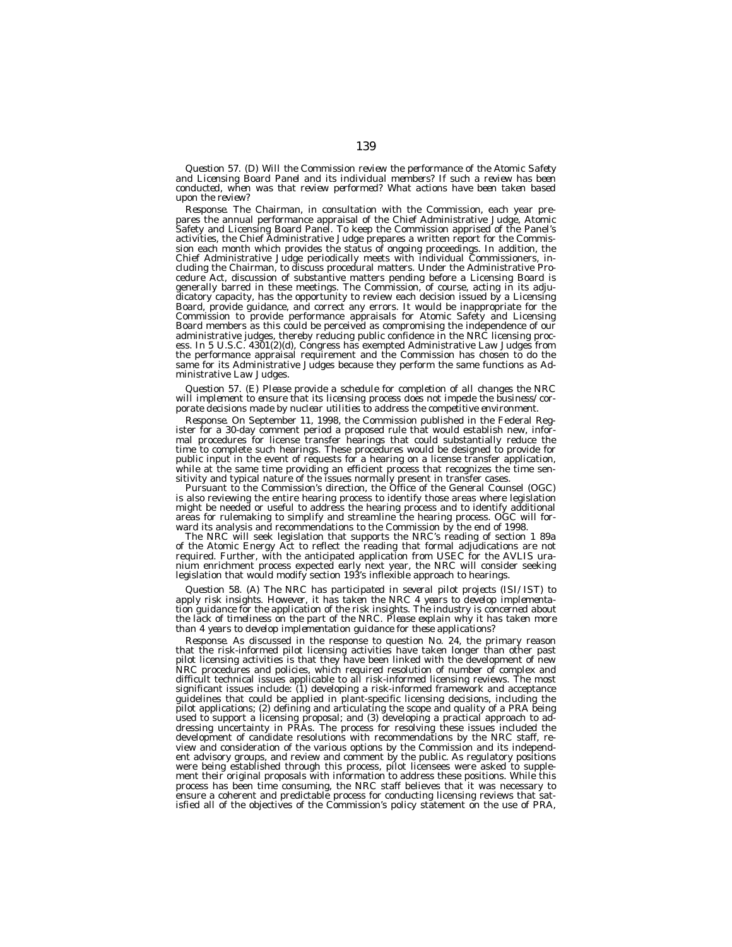*Question 57. (D) Will the Commission review the performance of the Atomic Safety and Licensing Board Panel and its individual members? If such a review has been conducted, when was that review performed? What actions have been taken based upon the review?*

*Response.* The Chairman, in consultation with the Commission, each year prepares the annual performance appraisal of the Chief Administrative Judge, Atomic Safety and Licensing Board Panel. To keep the Commission apprised of the Panel's activities, the Chief Administrative Judge prepares a written report for the Commission each month which provides the status of ongoing proceedings. In addition, the Chief Administrative Judge periodically meets with individual Commissioners, including the Chairman, to discuss procedural matters. Under the Administrative Procedure Act, discussion of substantive matters pending before a Licensing Board is generally barred in these meetings. The Commission, of course, acting in its adjudicatory capacity, has the opportunity to review each decision issued by a Licensing Board, provide guidance, and correct any errors. It would be inappropriate for the Commission to provide performance appraisals for Atomic Safety and Licensing Board members as this could be perceived as compromising the independence of our administrative judges, thereby reducing public confidence in the NRC licensing process. In 5 U.S.C. 4301(2)(d), Congress has exempted Administrative Law Judges from the performance appraisal requirement and the Commission has chosen to do the same for its Administrative Judges because they perform the same functions as Administrative Law Judges.

*Question 57. (E) Please provide a schedule for completion of all changes the NRC will implement to ensure that its licensing process does not impede the business/corporate decisions made by nuclear utilities to address the competitive environment.*

*Response.* On September 11, 1998, the Commission published in the Federal Register for a 30-day comment period a proposed rule that would establish new, informal procedures for license transfer hearings that could substantially reduce the time to complete such hearings. These procedures would be designed to provide for public input in the event of requests for a hearing on a license transfer application, while at the same time providing an efficient process that recognizes the time sensitivity and typical nature of the issues normally present in transfer cases.

Pursuant to the Commission's direction, the Office of the General Counsel (OGC) is also reviewing the entire hearing process to identify those areas where legislation might be needed or useful to address the hearing process and to identify additional areas for rulemaking to simplify and streamline the hearing process. OGC will forward its analysis and recommendations to the Commission by the end of 1998.

The NRC will seek legislation that supports the NRC's reading of section 1 89a of the Atomic Energy Act to reflect the reading that formal adjudications are not required. Further, with the anticipated application from USEC for the AVLIS uranium enrichment process expected early next year, the NRC will consider seeking legislation that would modify section 193's inflexible approach to hearings.

*Question 58. (A) The NRC has participated in several pilot projects (ISI/IST) to apply risk insights. However, it has taken the NRC 4 years to develop implementation guidance for the application of the risk insights. The industry is concerned about the lack of timeliness on the part of the NRC. Please explain why it has taken more than 4 years to develop implementation guidance for these applications?*

*Response.* As discussed in the response to question No. 24, the primary reason that the risk-informed pilot licensing activities have taken longer than other past pilot licensing activities is that they have been linked with the development of new NRC procedures and policies, which required resolution of number of complex and difficult technical issues applicable to all risk-informed licensing reviews. The most significant issues include: (1) developing a risk-informed framework and acceptance guidelines that could be applied in plant-specific licensing decisions, including the pilot applications; (2) defining and articulating the scope and quality of a PRA being used to support a licensing proposal; and (3) developing a practical approach to addressing uncertainty in PRAs. The process for resolving these issues included the development of candidate resolutions with recommendations by the NRC staff, review and consideration of the various options by the Commission and its independent advisory groups, and review and comment by the public. As regulatory positions were being established through this process, pilot licensees were asked to supplement their original proposals with information to address these positions. While this process has been time consuming, the NRC staff believes that it was necessary to ensure a coherent and predictable process for conducting licensing reviews that sat-isfied all of the objectives of the Commission's policy statement on the use of PRA,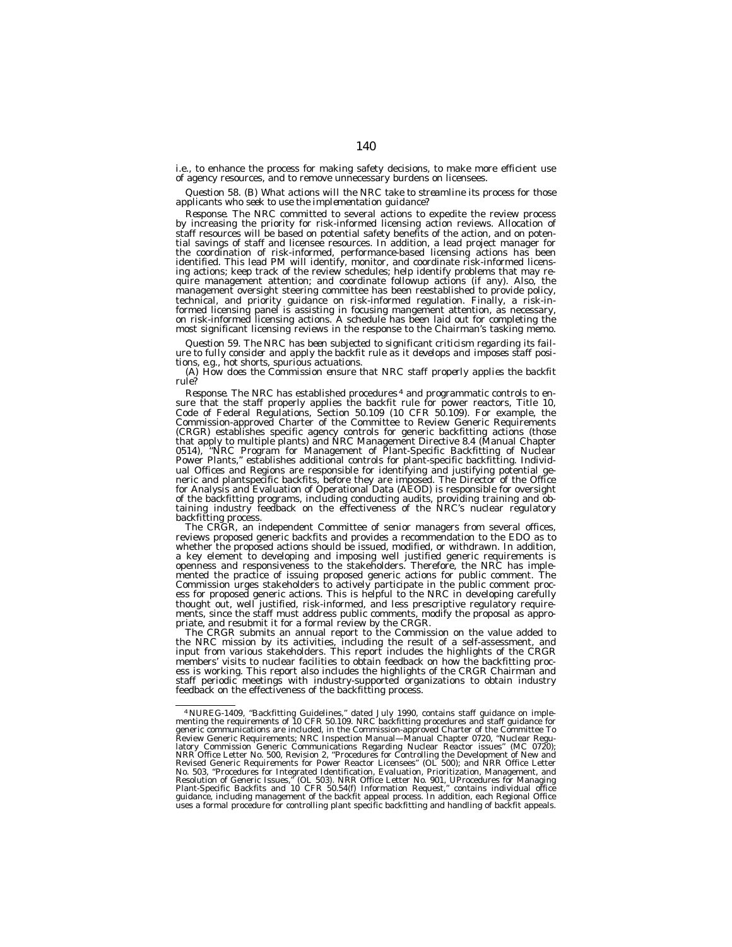i.e., to enhance the process for making safety decisions, to make more efficient use of agency resources, and to remove unnecessary burdens on licensees.

*Question 58. (B) What actions will the NRC take to streamline its process for those applicants who seek to use the implementation guidance?*

*Response.* The NRC committed to several actions to expedite the review process by increasing the priority for risk-informed licensing action reviews. Allocation of staff resources will be based on potential safety benefits of the action, and on potential savings of staff and licensee resources. In addition, a lead project manager for the coordination of risk-informed, performance-based licensing actions has been identified. This lead PM will identify, monitor, and coordinate risk-informed licensing actions; keep track of the review schedules; help identify problems that may require management attention; and coordinate followup actions (if any). Also, the management oversight steering committee has been reestablished to provide policy, technical, and priority guidance on risk-informed regulation. Finally, a risk-informed licensing panel is assisting in focusing mangement attention, as necessary, on risk-informed licensing actions. A schedule has been laid out for completing the most significant licensing reviews in the response to the Chairman's tasking memo.

*Question 59. The NRC has been subjected to significant criticism regarding its failure to fully consider and apply the backfit rule as it develops and imposes staff positions, e.g., hot shorts, spurious actuations.*

*(A) How does the Commission ensure that NRC staff properly applies the backfit rule?*

*Response.* The NRC has established procedures 4 and programmatic controls to ensure that the staff properly applies the backfit rule for power reactors, Title 10, Code of Federal Regulations, Section 50.109 (10 CFR 50.109). For example, the Commission-approved Charter of the Committee to Review Generic Requirements (CRGR) establishes specific agency controls for generic backfitting actions (those that apply to multiple plants) and NRC Management Directive 8.4 (Manual Chapter 0514), ''NRC Program for Management of Plant-Specific Backfitting of Nuclear Power Plants,'' establishes additional controls for plant-specific backfitting. Individual Offices and Regions are responsible for identifying and justifying potential generic and plantspecific backfits, before they are imposed. The Director of the Office for Analysis and Evaluation of Operational Data (AEOD) is responsible for oversight of the backfitting programs, including conducting audits, providing training and obtaining industry feedback on the effectiveness of the NRC's nuclear regulatory backfitting process.

The CRGR, an independent Committee of senior managers from several offices, reviews proposed generic backfits and provides a recommendation to the EDO as to whether the proposed actions should be issued, modified, or withdrawn. In addition, a key element to developing and imposing well justified generic requirements is openness and responsiveness to the stakeholders. Therefore, the NRC has implemented the practice of issuing proposed generic actions for public comment. The Commission urges stakeholders to actively participate in the public comment process for proposed generic actions. This is helpful to the NRC in developing carefully thought out, well justified, risk-informed, and less prescriptive regulatory requirements, since the staff must address public comments, modify the proposal as appropriate, and resubmit it for a formal review by the CRGR.

The CRGR submits an annual report to the Commission on the value added to the NRC mission by its activities, including the result of a self-assessment, and input from various stakeholders. This report includes the highlights of the CRGR members' visits to nuclear facilities to obtain feedback on how the backfitting process is working. This report also includes the highlights of the CRGR Chairman and staff periodic meetings with industry-supported organizations to obtain industry feedback on the effectiveness of the backfitting process.

<sup>&</sup>lt;sup>4</sup> NUREG-1409, "Backfitting Guidelines," dated July 1990, contains staff guidance on implementing the requirements of 10 CFR 50.109. NRC backfitting procedures and staff guidance for menuications are included, in the Comm latory Commission Generic Communications Regarding Nuclear Reactor issues" (MC 0720);<br>NRR Office Letter No. 500, Revision 2, "Procedures for Controlling the Development of New and<br>Revised Generic Requirements for Power Rea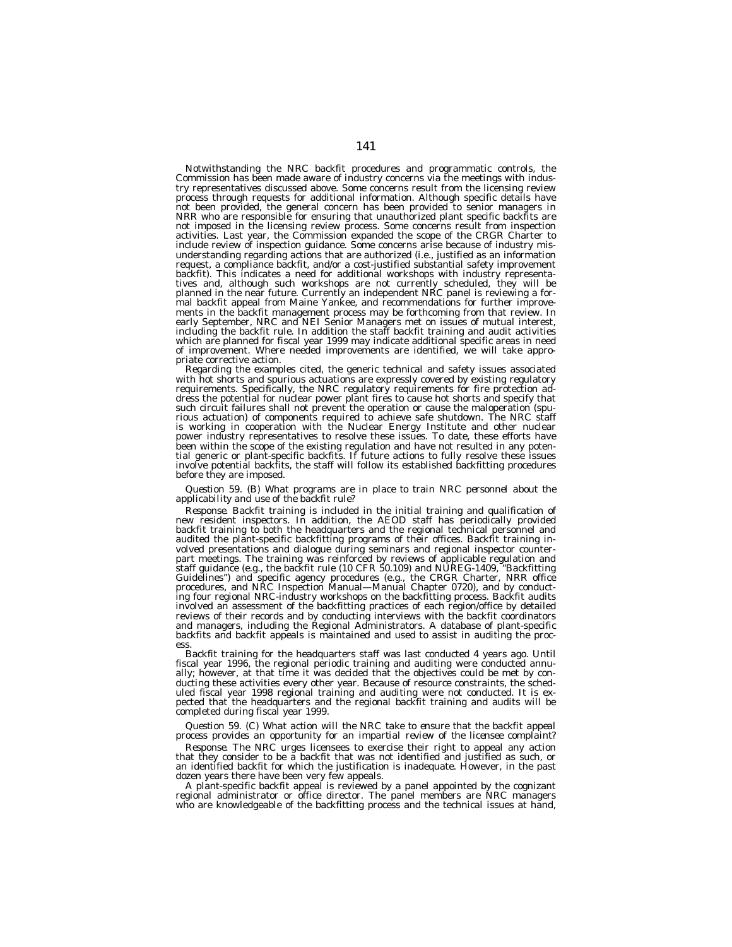Notwithstanding the NRC backfit procedures and programmatic controls, the Commission has been made aware of industry concerns via the meetings with industry representatives discussed above. Some concerns result from the licensing review process through requests for additional information. Although specific details have not been provided, the general concern has been provided to senior managers in NRR who are responsible for ensuring that unauthorized plant specific backfits are not imposed in the licensing review process. Some concerns result from inspection activities. Last year, the Commission expanded the scope of the CRGR Charter to include review of inspection guidance. Some concerns arise because of industry misunderstanding regarding actions that are authorized (i.e., justified as an information request, a compliance backfit, and/or a cost-justified substantial safety improvement backfit). This indicates a need for additional workshops with industry representatives and, although such workshops are not currently scheduled, they will be planned in the near future. Currently an independent NRC panel is reviewing a formal backfit appeal from Maine Yankee, and recommendations for further improvements in the backfit management process may be forthcoming from that review. In early September, NRC and NEI Senior Managers met on issues of mutual interest, including the backfit rule. In addition the staff backfit training and audit activities which are planned for fiscal year 1999 may indicate additional specific areas in need of improvement. Where needed improvements are identified, we will take appropriate corrective action.

Regarding the examples cited, the generic technical and safety issues associated with hot shorts and spurious actuations are expressly covered by existing regulatory requirements. Specifically, the NRC regulatory requirements for fire protection address the potential for nuclear power plant fires to cause hot shorts and specify that such circuit failures shall not prevent the operation or cause the maloperation (spurious actuation) of components required to achieve safe shutdown. The NRC staff is working in cooperation with the Nuclear Energy Institute and other nuclear power industry representatives to resolve these issues. To date, these efforts have been within the scope of the existing regulation and have not resulted in any potential generic or plant-specific backfits. If future actions to fully resolve these issues involve potential backfits, the staff will follow its established backfitting procedures before they are imposed.

#### *Question 59. (B) What programs are in place to train NRC personnel about the applicability and use of the backfit rule?*

*Response.* Backfit training is included in the initial training and qualification of new resident inspectors. In addition, the AEOD staff has periodically provided backfit training to both the headquarters and the regional technical personnel and audited the plant-specific backfitting programs of their offices. Backfit training involved presentations and dialogue during seminars and regional inspector counterpart meetings. The training was reinforced by reviews of applicable regulation and staff guidance (e.g., the backfit rule (10 CFR 50.109) and NUREG-1409, ''Backfitting Guidelines'') and specific agency procedures (e.g., the CRGR Charter, NRR office procedures, and NRC Inspection Manual—Manual Chapter 0720), and by conducting four regional NRC-industry workshops on the backfitting process. Backfit audits involved an assessment of the backfitting practices of each region/office by detailed reviews of their records and by conducting interviews with the backfit coordinators and managers, including the Regional Administrators. A database of plant-specific backfits and backfit appeals is maintained and used to assist in auditing the process.

Backfit training for the headquarters staff was last conducted 4 years ago. Until fiscal year 1996, the regional periodic training and auditing were conducted annually; however, at that time it was decided that the objectives could be met by conducting these activities every other year. Because of resource constraints, the scheduled fiscal year 1998 regional training and auditing were not conducted. It is expected that the headquarters and the regional backfit training and audits will be completed during fiscal year 1999.

## *Question 59. (C) What action will the NRC take to ensure that the backfit appeal process provides an opportunity for an impartial review of the licensee complaint?*

*Response.* The NRC urges licensees to exercise their right to appeal any action that they consider to be a backfit that was not identified and justified as such, or an identified backfit for which the justification is inadequate. However, in the past dozen years there have been very few appeals.

A plant-specific backfit appeal is reviewed by a panel appointed by the cognizant regional administrator or office director. The panel members are NRC managers who are knowledgeable of the backfitting process and the technical issues at hand,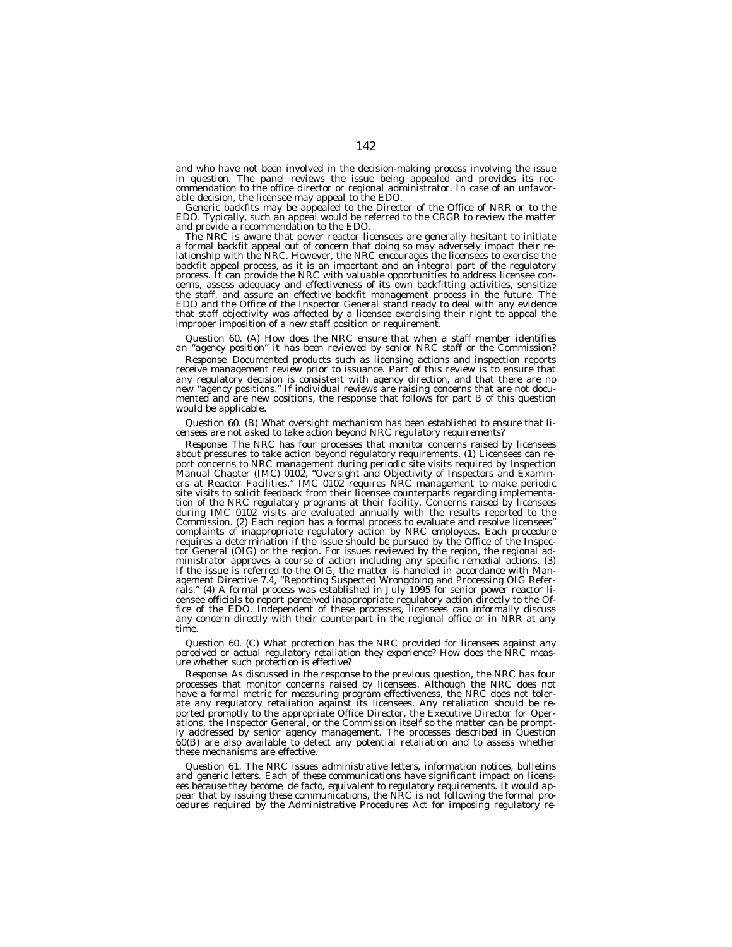and who have not been involved in the decision-making process involving the issue in question. The panel reviews the issue being appealed and provides its recommendation to the office director or regional administrator. In case of an unfavorable decision, the licensee may appeal to the EDO.

Generic backfits may be appealed to the Director of the Office of NRR or to the EDO. Typically, such an appeal would be referred to the CRGR to review the matter and provide a recommendation to the EDO.

The NRC is aware that power reactor licensees are generally hesitant to initiate a formal backfit appeal out of concern that doing so may adversely impact their relationship with the NRC. However, the NRC encourages the licensees to exercise the backfit appeal process, as it is an important and an integral part of the regulatory process. It can provide the NRC with valuable opportunities to address licensee concerns, assess adequacy and effectiveness of its own backfitting activities, sensitize the staff, and assure an effective backfit management process in the future. The EDO and the Office of the Inspector General stand ready to deal with any evidence that staff objectivity was affected by a licensee exercising their right to appeal the improper imposition of a new staff position or requirement.

# *Question 60. (A) How does the NRC ensure that when a staff member identifies an ''agency position'' it has been reviewed by senior NRC staff or the Commission?*

*Response.* Documented products such as licensing actions and inspection reports receive management review prior to issuance. Part of this review is to ensure that any regulatory decision is consistent with agency direction, and that there are no new ''agency positions.'' If individual reviews are raising concerns that are not documented and are new positions, the response that follows for part B of this question would be applicable.

# *Question 60. (B) What oversight mechanism has been established to ensure that licensees are not asked to take action beyond NRC regulatory requirements?*

*Response.* The NRC has four processes that monitor concerns raised by licensees about pressures to take action beyond regulatory requirements. (1) Licensees can report concerns to NRC management during periodic site visits required by Inspection Manual Chapter (IMC) 0102, ''Oversight and Objectivity of Inspectors and Examiners at Reactor Facilities.'' IMC 0102 requires NRC management to make periodic site visits to solicit feedback from their licensee counterparts regarding implementation of the NRC regulatory programs at their facility. Concerns raised by licensees during IMC 0102 visits are evaluated annually with the results reported to the Commission. (2) Each region has a formal process to evaluate and resolve licensees'' complaints of inappropriate regulatory action by NRC employees. Each procedure requires a determination if the issue should be pursued by the Office of the Inspector General (OIG) or the region. For issues reviewed by the region, the regional administrator approves a course of action including any specific remedial actions. (3) If the issue is referred to the OIG, the matter is handled in accordance with Management Directive 7.4, ''Reporting Suspected Wrongdoing and Processing OIG Referrals.'' (4) A formal process was established in July 1995 for senior power reactor licensee officials to report perceived inappropriate regulatory action directly to the Office of the EDO. Independent of these processes, licensees can informally discuss any concern directly with their counterpart in the regional office or in NRR at any time.

*Question 60. (C) What protection has the NRC provided for licensees against any perceived or actual regulatory retaliation they experience? How does the NRC measure whether such protection is effective?*

*Response.* As discussed in the response to the previous question, the NRC has four processes that monitor concerns raised by licensees. Although the NRC does not have a formal metric for measuring program effectiveness, the NRC does not tolerate any regulatory retaliation against its licensees. Any retaliation should be reported promptly to the appropriate Office Director, the Executive Director for Operations, the Inspector General, or the Commission itself so the matter can be promptly addressed by senior agency management. The processes described in Question 60(B) are also available to detect any potential retaliation and to assess whether these mechanisms are effective.

*Question 61. The NRC issues administrative letters, information notices, bulletins and generic letters. Each of these communications have significant impact on licensees because they become, de facto, equivalent to regulatory requirements. It would appear that by issuing these communications, the NRC is not following the formal pro-cedures required by the Administrative Procedures Act for imposing regulatory re-*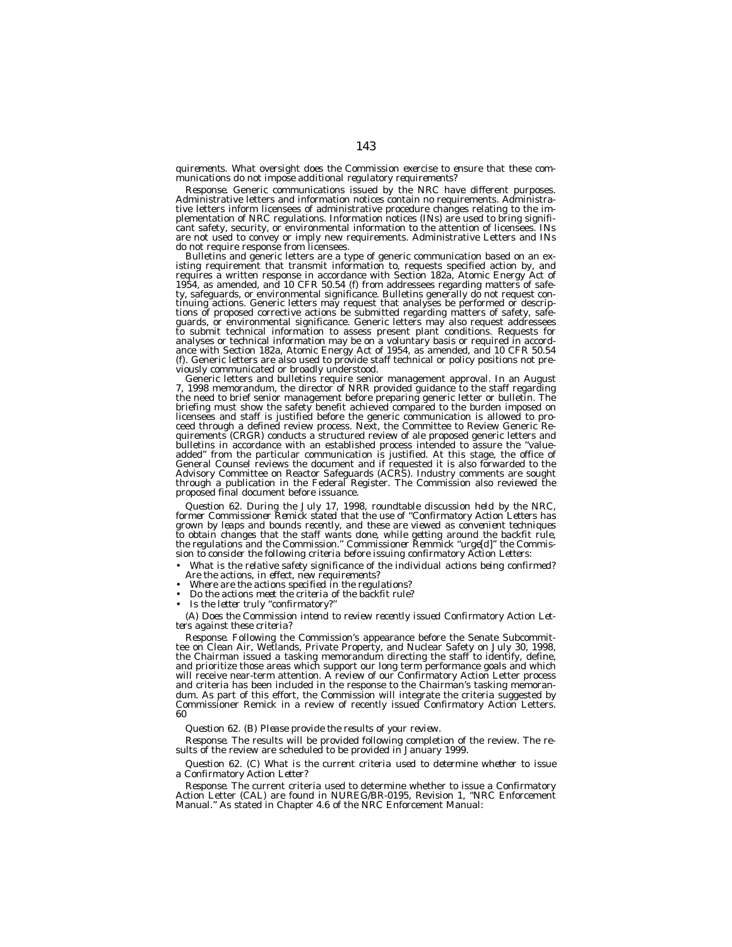#### *quirements. What oversight does the Commission exercise to ensure that these communications do not impose additional regulatory requirements?*

*Response.* Generic communications issued by the NRC have different purposes. Administrative letters and information notices contain no requirements. Administrative letters inform licensees of administrative procedure changes relating to the im-plementation of NRC regulations. Information notices (INs) are used to bring significant safety, security, or environmental information to the attention of licensees. INs are not used to convey or imply new requirements. Administrative Letters and INs do not require response from licensees.<br>Bulletins and generic letters are a type of generic communication based on an ex-

Bulletins and generic letters are a type of generic communication based on an existing requirement that transmit information to, requests specified action by, and requires a written response in accordance with Section 182a tinuing actions. Generic letters may request that analyses be performed or descriptions of proposed corrective actions be submitted regarding matters of safety, safeguards, or environmental significance. Generic letters ma analyses or technical information may be on a voluntary basis or required in accord-<br>ance with Section 182a, Atomic Energy Act of 1954, as amended, and 10 CFR 50.54<br>(f). Generic letters are also used to provide staff techn

viously communicated or broadly understood.<br>Generic letters and bulletins require senior management approval. In an August<br>7, 1998 memorandum, the director of NRR provided guidance to the staff regarding the need to brief senior management before preparing generic letter or bulletin. The briefing must show the safety benefit achieved compared to the burden imposed on licensees and staff is justified before the generic communication is allowed to pro-ceed through a defined review process. Next, the Committee to Review Generic Requirements (CRGR) conducts a structured review of ale proposed generic letters and bulletins in accordance with an established process intended to assure the ''valueadded'' from the particular communication is justified. At this stage, the office of General Counsel reviews the document and if requested it is also forwarded to the Advisory Committee on Reactor Safeguards (ACRS). Industry comments are sought through a publication in the Federal Register. The Commission also reviewed the proposed final document before issuance.

*Question 62. During the July 17, 1998, roundtable discussion held by the NRC, former Commissioner Remick stated that the use of ''Confirmatory Action Letters has* grown by leaps and bounds recently, and these are viewed as convenient techniques<br>to obtain changes that the staff wants done, while getting around the backfit rule,<br>the regulations and the Commission." Commissioner Remmic

- *What is the relative safety significance of the individual actions being confirmed? Are the actions, in effect, new requirements?*
- *Where are the actions specified in the regulations?*
- *Do the actions meet the criteria of the backfit rule?*
- *Is the letter truly ''confirmatory?''*

*(A) Does the Commission intend to review recently issued Confirmatory Action Letters against these criteria?*

*Response.* Following the Commission's appearance before the Senate Subcommittee on Clean Air, Wetlands, Private Property, and Nuclear Safety on July 30, 1998, the Chairman issued a tasking memorandum directing the staff to identify, define, and prioritize those areas which support our long term performance goals and which will receive near-term attention. A review of our Confirmatory Action Letter process and criteria has been included in the response to the Chairman's tasking memorandum. As part of this effort, the Commission will integrate the criteria suggested by Commissioner Remick in a review of recently issued Confirmatory Action Letters. 60

*Question 62. (B) Please provide the results of your review.*

*Response.* The results will be provided following completion of the review. The results of the review are scheduled to be provided in January 1999.

*Question 62. (C) What is the current criteria used to determine whether to issue a Confirmatory Action Letter?*

*Response.* The current criteria used to determine whether to issue a Confirmatory Action Letter (CAL) are found in NUREG/BR-0195, Revision 1, ''NRC Enforcement Manual.'' As stated in Chapter 4.6 of the NRC Enforcement Manual: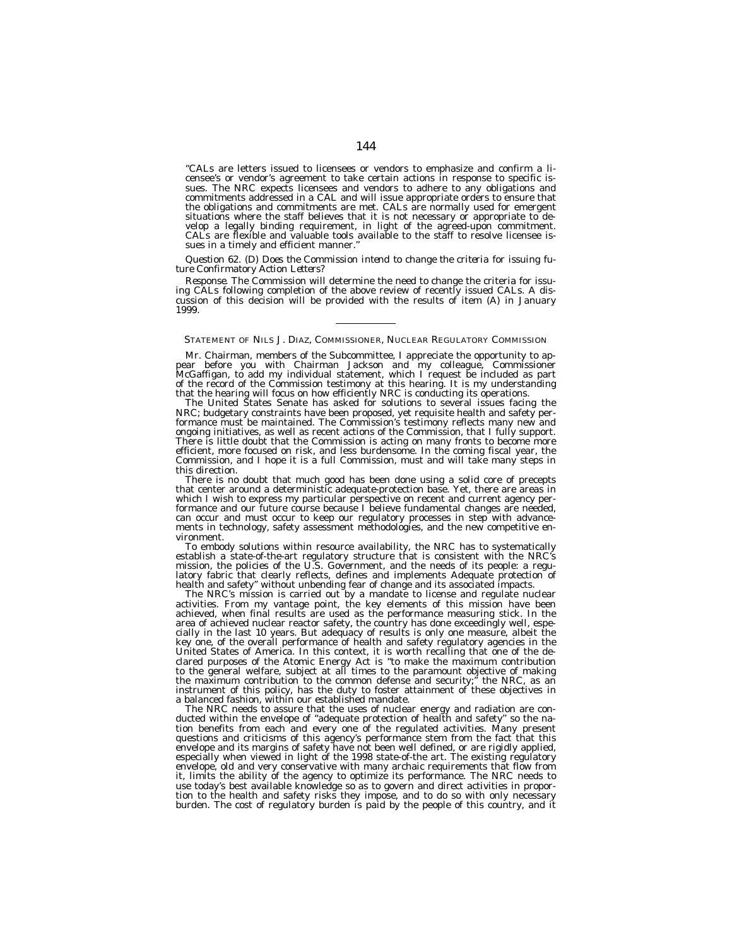''CALs are letters issued to licensees or vendors to emphasize and confirm a licensee's or vendor's agreement to take certain actions in response to specific issues. The NRC expects licensees and vendors to adhere to any obligations and commitments addressed in a CAL and will issue appropriate orders to ensure that the obligations and commitments are met. CALs are normally used for emergent situations where the staff believes that it is not necessary or appropriate to develop a legally binding requirement, in light of the agreed-upon commitment. CALs are flexible and valuable tools available to the staff to resolve licensee issues in a timely and efficient manner.

# *Question 62. (D) Does the Commission intend to change the criteria for issuing future Confirmatory Action Letters?*

*Response.* The Commission will determine the need to change the criteria for issu-<br>ing CALs following completion of the above review of recently issued CALs. A dising CALs following completion of the above review of recently issued CALs. A discussion of this decision will be provided with the results of item (A) in January 1999.

# STATEMENT OF NILS J. DIAZ, COMMISSIONER, NUCLEAR REGULATORY COMMISSION

Mr. Chairman, members of the Subcommittee, I appreciate the opportunity to appear before you with Chairman Jackson and my colleague, Commissioner McGaffigan, to add my individual statement, which I request be included as part of the record of the Commission testimony at this hearing. It is my understanding that the hearing will focus on how efficiently NRC is conducting its operations.

The United States Senate has asked for solutions to several issues facing the NRC; budgetary constraints have been proposed, yet requisite health and safety performance must be maintained. The Commission's testimony reflects many new and ongoing initiatives, as well as recent actions of the Commission, that I fully support. There is little doubt that the Commission is acting on many fronts to become more efficient, more focused on risk, and less burdensome. In the coming fiscal year, the Commission, and I hope it is a full Commission, must and will take many steps in this direction.

There is no doubt that much good has been done using a solid core of precepts that center around a deterministic adequate-protection base. Yet, there are areas in which I wish to express my particular perspective on recent and current agency performance and our future course because I believe fundamental changes are needed, can occur and must occur to keep our regulatory processes in step with advancements in technology, safety assessment methodologies, and the new competitive environment.

To embody solutions within resource availability, the NRC has to systematically establish a state-of-the-art regulatory structure that is consistent with the NRC's mission, the policies of the U.S. Government, and the needs of its people: a regulatory fabric that clearly reflects, defines and implements Adequate protection of health and safety'' without unbending fear of change and its associated impacts.

The NRC's mission is carried out by a mandate to license and regulate nuclear activities. From my vantage point, the key elements of this mission have been achieved, when final results are used as the performance measuring stick. In the area of achieved nuclear reactor safety, the country has done exceedingly well, especially in the last 10 years. But adequacy of results is only one measure, albeit the key one, of the overall performance of health and safety regulatory agencies in the United States of America. In this context, it is worth recalling that one of the declared purposes of the Atomic Energy Act is ''to make the maximum contribution to the general welfare, subject at all times to the paramount objective of making the maximum contribution to the common defense and security;'' the NRC, as an instrument of this policy, has the duty to foster attainment of these objectives in a balanced fashion, within our established mandate.

The NRC needs to assure that the uses of nuclear energy and radiation are conducted within the envelope of ''adequate protection of health and safety'' so the nation benefits from each and every one of the regulated activities. Many present questions and criticisms of this agency's performance stem from the fact that this envelope and its margins of safety have not been well defined, or are rigidly applied, especially when viewed in light of the 1998 state-of-the art. The existing regulatory envelope, old and very conservative with many archaic requirements that flow from it, limits the ability of the agency to optimize its performance. The NRC needs to use today's best available knowledge so as to govern and direct activities in proportion to the health and safety risks they impose, and to do so with only necessary burden. The cost of regulatory burden is paid by the people of this country, and it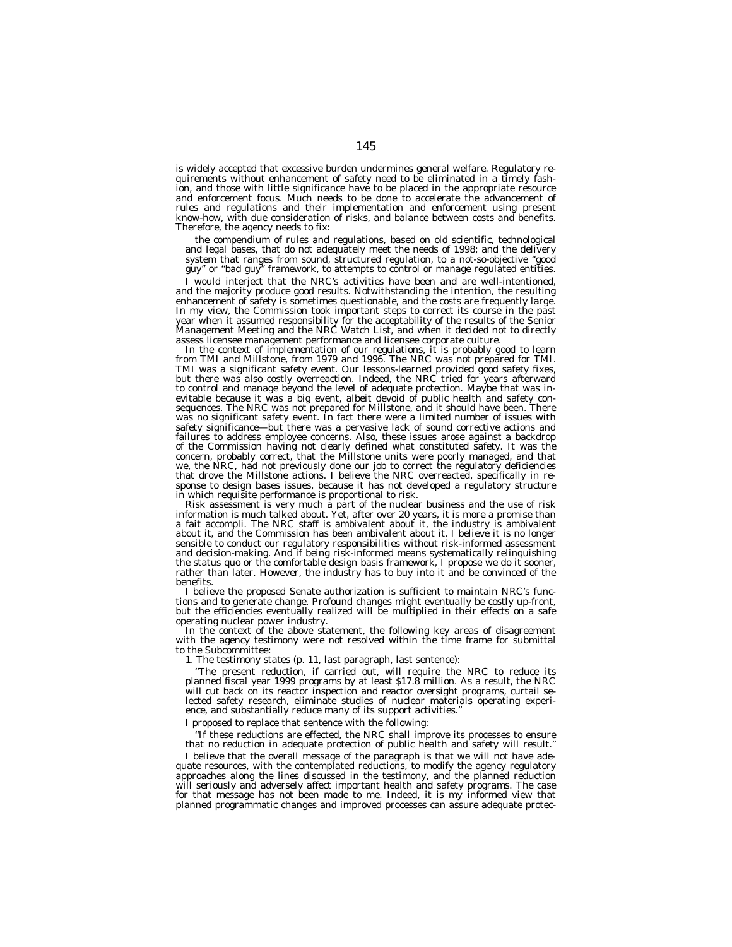is widely accepted that excessive burden undermines general welfare. Regulatory requirements without enhancement of safety need to be eliminated in a timely fashion, and those with little significance have to be placed in the appropriate resource and enforcement focus. Much needs to be done to accelerate the advancement of rules and regulations and their implementation and enforcement using present know-how, with due consideration of risks, and balance between costs and benefits. Therefore, the agency needs to fix:

the compendium of rules and regulations, based on old scientific, technological and legal bases, that do not adequately meet the needs of 1998; and the delivery system that ranges from sound, structured regulation, to a not-so-objective ''good guy'' or ''bad guy'' framework, to attempts to control or manage regulated entities.

I would interject that the NRC's activities have been and are well-intentioned, and the majority produce good results. Notwithstanding the intention, the resulting enhancement of safety is sometimes questionable, and the costs are frequently large. In my view, the Commission took important steps to correct its course in the past year when it assumed responsibility for the acceptability of the results of the Senior Management Meeting and the NRC Watch List, and when it decided not to directly assess licensee management performance and licensee corporate culture.

In the context of implementation of our regulations, it is probably good to learn from TMI and Millstone, from 1979 and 1996. The NRC was not prepared for TMI. TMI was a significant safety event. Our lessons-learned provided good safety fixes, but there was also costly overreaction. Indeed, the NRC tried for years afterward to control and manage beyond the level of adequate protection. Maybe that was inevitable because it was a big event, albeit devoid of public health and safety consequences. The NRC was not prepared for Millstone, and it should have been. There was no significant safety event. In fact there were a limited number of issues with safety significance—but there was a pervasive lack of sound corrective actions and failures to address employee concerns. Also, these issues arose against a backdrop of the Commission having not clearly defined what constituted safety. It was the concern, probably correct, that the Millstone units were poorly managed, and that we, the NRC, had not previously done our job to correct the regulatory deficiencies that drove the Millstone actions. I believe the NRC overreacted, specifically in response to design bases issues, because it has not developed a regulatory structure in which requisite performance is proportional to risk.

Risk assessment is very much a part of the nuclear business and the use of risk information is much talked about. Yet, after over 20 years, it is more a promise than a fait accompli. The NRC staff is ambivalent about it, the industry is ambivalent about it, and the Commission has been ambivalent about it. I believe it is no longer sensible to conduct our regulatory responsibilities without risk-informed assessment and decision-making. And if being risk-informed means systematically relinquishing the status quo or the comfortable design basis framework, I propose we do it sooner, rather than later. However, the industry has to buy into it and be convinced of the benefits.

I believe the proposed Senate authorization is sufficient to maintain NRC's functions and to generate change. Profound changes might eventually be costly up-front, but the efficiencies eventually realized will be multiplied in their effects on a safe operating nuclear power industry.

In the context of the above statement, the following key areas of disagreement with the agency testimony were not resolved within the time frame for submittal to the Subcommittee:

1. The testimony states (p. 11, last paragraph, last sentence):

''The present reduction, if carried out, will require the NRC to reduce its planned fiscal year 1999 programs by at least \$17.8 million. As a result, the NRC will cut back on its reactor inspection and reactor oversight programs, curtail selected safety research, eliminate studies of nuclear materials operating experience, and substantially reduce many of its support activities.'

I proposed to replace that sentence with the following:

''If these reductions are effected, the NRC shall improve its processes to ensure that no reduction in adequate protection of public health and safety will result.''

I believe that the overall message of the paragraph is that we will not have adequate resources, with the contemplated reductions, to modify the agency regulatory approaches along the lines discussed in the testimony, and the planned reduction will seriously and adversely affect important health and safety programs. The case for that message has not been made to me. Indeed, it is my informed view that planned programmatic changes and improved processes can assure adequate protec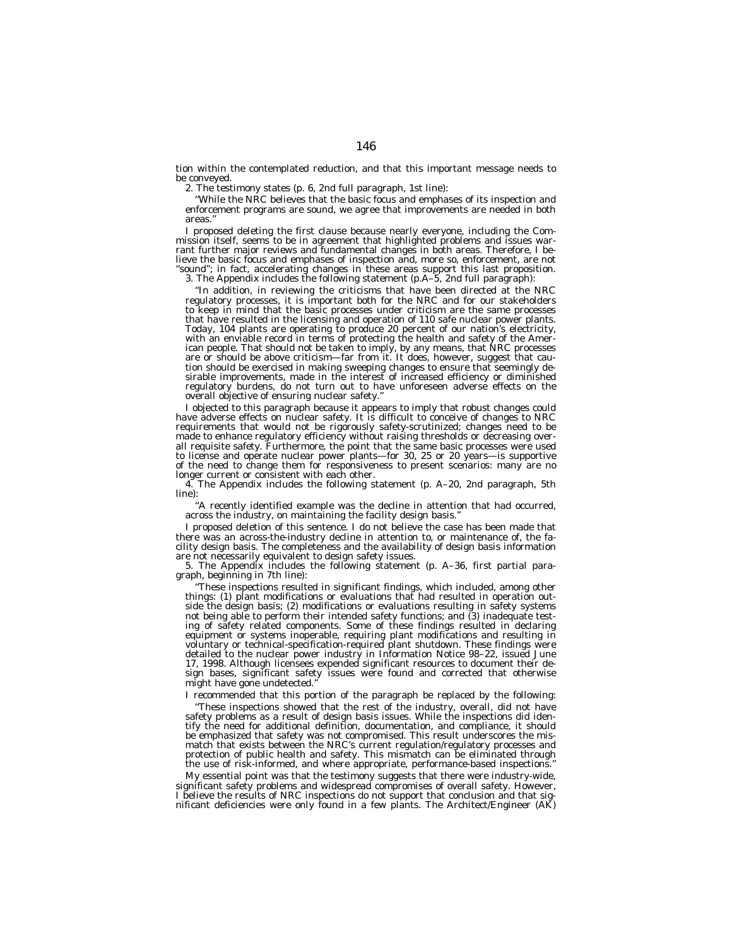tion within the contemplated reduction, and that this important message needs to be conveyed.

2. The testimony states (p. 6, 2nd full paragraph, 1st line):

''While the NRC believes that the basic focus and emphases of its inspection and enforcement programs are sound, we agree that improvements are needed in both areas.''

I proposed deleting the first clause because nearly everyone, including the Commission itself, seems to be in agreement that highlighted problems and issues warrant further major reviews and fundamental changes in both areas. Therefore, I believe the basic focus and emphases of inspection and, more so, enforcement, are not ''sound''; in fact, accelerating changes in these areas support this last proposition.

3. The Appendix includes the following statement (p.A–5, 2nd full paragraph):

''In addition, in reviewing the criticisms that have been directed at the NRC regulatory processes, it is important both for the NRC and for our stakeholders to keep in mind that the basic processes under criticism are the same processes that have resulted in the licensing and operation of 110 safe nuclear power plants. Today, 104 plants are operating to produce 20 percent of our nation's electricity, with an enviable record in terms of protecting the health and safety of the American people. That should not be taken to imply, by any means, that NRC processes are or should be above criticism—far from it. It does, however, suggest that caution should be exercised in making sweeping changes to ensure that seemingly desirable improvements, made in the interest of increased efficiency or diminished regulatory burdens, do not turn out to have unforeseen adverse effects on the overall objective of ensuring nuclear safety.

I objected to this paragraph because it appears to imply that robust changes could have adverse effects on nuclear safety. It is difficult to conceive of changes to NRC requirements that would not be rigorously safety-scrutinized; changes need to be made to enhance regulatory efficiency without raising thresholds or decreasing overall requisite safety. Furthermore, the point that the same basic processes were used to license and operate nuclear power plants—for 30, 25 or 20 years—is supportive of the need to change them for responsiveness to present scenarios: many are no longer current or consistent with each other.

4. The Appendix includes the following statement (p. A–20, 2nd paragraph, 5th line):

"A recently identified example was the decline in attention that had occurred, across the industry, on maintaining the facility design basis.''

I proposed deletion of this sentence. I do not believe the case has been made that there was an across-the-industry decline in attention to, or maintenance of, the facility design basis. The completeness and the availability of design basis information are not necessarily equivalent to design safety issues.

5. The Appendix includes the following statement (p. A–36, first partial paragraph, beginning in 7th line):

''These inspections resulted in significant findings, which included, among other things: (1) plant modifications or evaluations that had resulted in operation outside the design basis; (2) modifications or evaluations resulting in safety systems not being able to perform their intended safety functions; and (3) inadequate testing of safety related components. Some of these findings resulted in declaring equipment or systems inoperable, requiring plant modifications and resulting in voluntary or technical-specification-required plant shutdown. These findings were detailed to the nuclear power industry in Information Notice 98–22, issued June 17, 1998. Although licensees expended significant resources to document their design bases, significant safety issues were found and corrected that otherwise might have gone undetected.''

I recommended that this portion of the paragraph be replaced by the following: ''These inspections showed that the rest of the industry, overall, did not have safety problems as a result of design basis issues. While the inspections did identify the need for additional definition, documentation, and compliance, it should be emphasized that safety was not compromised. This result underscores the mismatch that exists between the NRC's current regulation/regulatory processes and protection of public health and safety. This mismatch can be eliminated through the use of risk-informed, and where appropriate, performance-based inspections.''

My essential point was that the testimony suggests that there were industry-wide, significant safety problems and widespread compromises of overall safety. However, I believe the results of NRC inspections do not support that conclusion and that sig-nificant deficiencies were only found in a few plants. The Architect/Engineer (AK)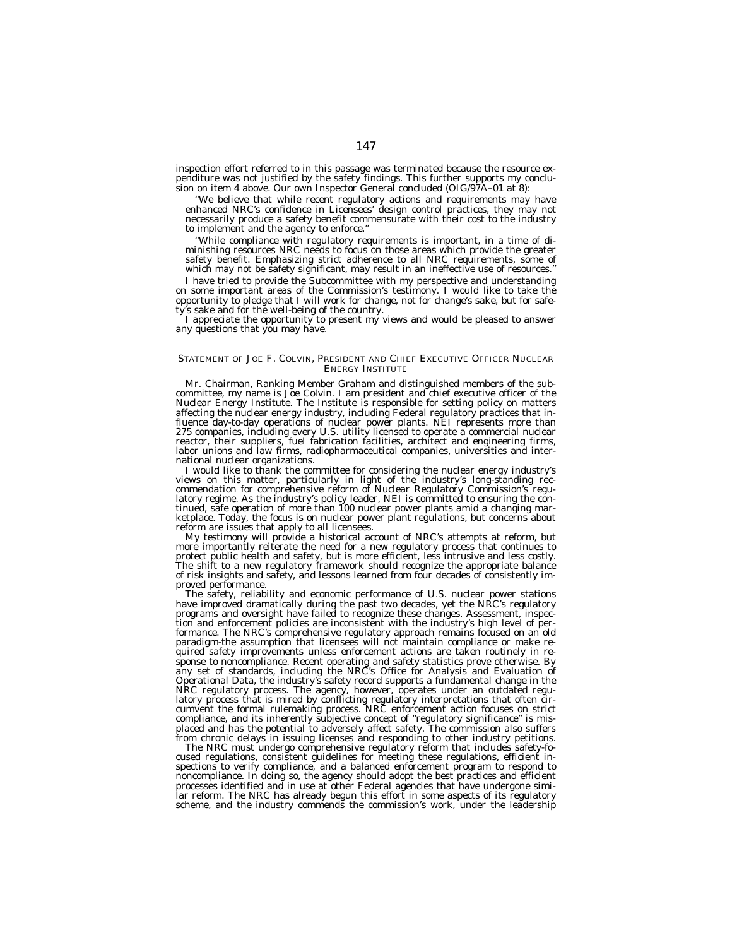inspection effort referred to in this passage was terminated because the resource expenditure was not justified by the safety findings. This further supports my conclusion on item 4 above. Our own Inspector General concluded (OIG/97A–01 at 8):

''We believe that while recent regulatory actions and requirements may have enhanced NRC's confidence in Licensees' design control practices, they may not necessarily produce a safety benefit commensurate with their cost to the industry to implement and the agency to enforce.''

''While compliance with regulatory requirements is important, in a time of diminishing resources NRC needs to focus on those areas which provide the greater safety benefit. Emphasizing strict adherence to all NRC requirements, some of which may not be safety significant, may result in an ineffective use of resources.''

I have tried to provide the Subcommittee with my perspective and understanding on some important areas of the Commission's testimony. I would like to take the opportunity to pledge that I will work for change, not for change's sake, but for safe-'s sake and for the well-being of the country.

I appreciate the opportunity to present my views and would be pleased to answer any questions that you may have.

#### STATEMENT OF JOE F. COLVIN, PRESIDENT AND CHIEF EXECUTIVE OFFICER NUCLEAR ENERGY INSTITUTE

Mr. Chairman, Ranking Member Graham and distinguished members of the subcommittee, my name is Joe Colvin. I am president and chief executive officer of the Nuclear Energy Institute. The Institute is responsible for setting policy on matters affecting the nuclear energy industry, including Federal regulatory practices that influence day-to-day operations of nuclear power plants. NEI represents more than 275 companies, including every U.S. utility licensed to operate a commercial nuclear reactor, their suppliers, fuel fabrication facilities, architect and engineering firms, labor unions and law firms, radiopharmaceutical companies, universities and international nuclear organizations.

I would like to thank the committee for considering the nuclear energy industry's views on this matter, particularly in light of the industry's long-standing recommendation for comprehensive reform of Nuclear Regulatory Commission's regulatory regime. As the industry's policy leader, NEI is committed to ensuring the continued, safe operation of more than 100 nuclear power plants amid a changing marketplace. Today, the focus is on nuclear power plant regulations, but concerns about reform are issues that apply to all licensees.

My testimony will provide a historical account of NRC's attempts at reform, but more importantly reiterate the need for a new regulatory process that continues to protect public health and safety, but is more efficient, less intrusive and less costly. The shift to a new regulatory framework should recognize the appropriate balance of risk insights and safety, and lessons learned from four decades of consistently improved performance.

The safety, reliability and economic performance of U.S. nuclear power stations have improved dramatically during the past two decades, yet the NRC's regulatory programs and oversight have failed to recognize these changes. Assessment, inspection and enforcement policies are inconsistent with the industry's high level of performance. The NRC's comprehensive regulatory approach remains focused on an old paradigm-the assumption that licensees will not maintain compliance or make required safety improvements unless enforcement actions are taken routinely in response to noncompliance. Recent operating and safety statistics prove otherwise. By any set of standards, including the NRC's Office for Analysis and Evaluation of Operational Data, the industry's safety record supports a fundamental change in the NRC regulatory process. The agency, however, operates under an outdated regulatory process that is mired by conflicting regulatory interpretations that often circumvent the formal rulemaking process. NRC enforcement action focuses on strict compliance, and its inherently subjective concept of ''regulatory significance'' is misplaced and has the potential to adversely affect safety. The commission also suffers from chronic delays in issuing licenses and responding to other industry petitions.

The NRC must undergo comprehensive regulatory reform that includes safety-focused regulations, consistent guidelines for meeting these regulations, efficient inspections to verify compliance, and a balanced enforcement program to respond to noncompliance. In doing so, the agency should adopt the best practices and efficient processes identified and in use at other Federal agencies that have undergone similar reform. The NRC has already begun this effort in some aspects of its regulatory scheme, and the industry commends the commission's work, under the leadership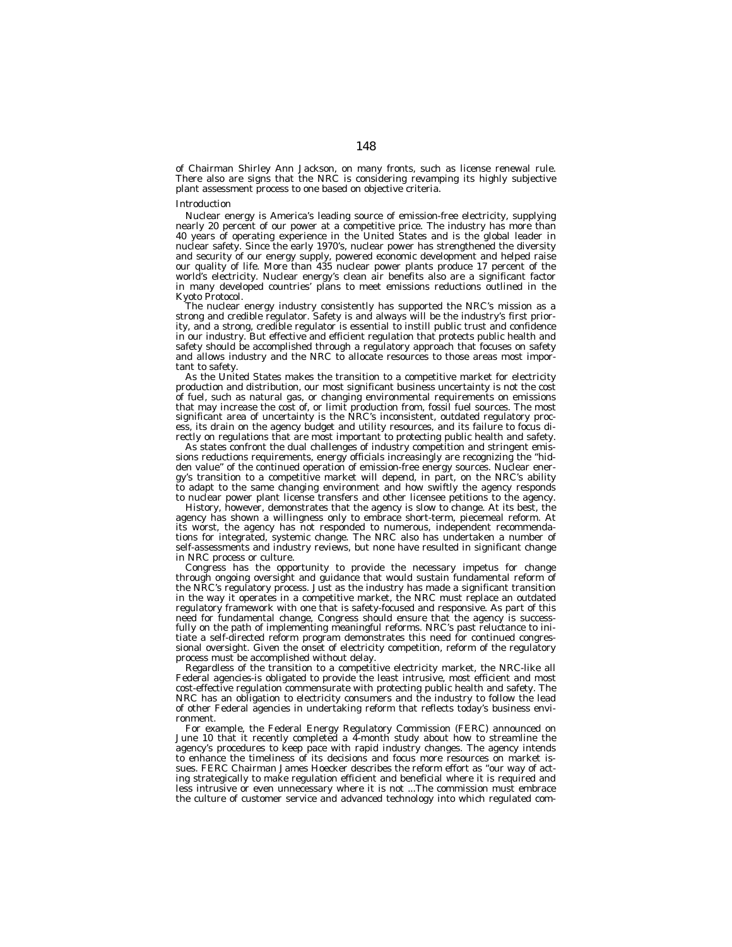of Chairman Shirley Ann Jackson, on many fronts, such as license renewal rule. There also are signs that the NRC is considering revamping its highly subjective plant assessment process to one based on objective criteria.

#### *Introduction*

Nuclear energy is America's leading source of emission-free electricity, supplying nearly 20 percent of our power at a competitive price. The industry has more than 40 years of operating experience in the United States and is the global leader in nuclear safety. Since the early 1970's, nuclear power has strengthened the diversity and security of our energy supply, powered economic development and helped raise our quality of life. More than 435 nuclear power plants produce 17 percent of the world's electricity. Nuclear energy's clean air benefits also are a significant factor in many developed countries' plans to meet emissions reductions outlined in the Kyoto Protocol.

The nuclear energy industry consistently has supported the NRC's mission as a strong and credible regulator. Safety is and always will be the industry's first priority, and a strong, credible regulator is essential to instill public trust and confidence in our industry. But effective and efficient regulation that protects public health and safety should be accomplished through a regulatory approach that focuses on safety and allows industry and the NRC to allocate resources to those areas most important to safety.

As the United States makes the transition to a competitive market for electricity production and distribution, our most significant business uncertainty is not the cost of fuel, such as natural gas, or changing environmental requirements on emissions that may increase the cost of, or limit production from, fossil fuel sources. The most significant area of uncertainty is the NRC's inconsistent, outdated regulatory process, its drain on the agency budget and utility resources, and its failure to focus directly on regulations that are most important to protecting public health and safety.

As states confront the dual challenges of industry competition and stringent emissions reductions requirements, energy officials increasingly are recognizing the ''hidden value'' of the continued operation of emission-free energy sources. Nuclear energy's transition to a competitive market will depend, in part, on the NRC's ability to adapt to the same changing environment and how swiftly the agency responds to nuclear power plant license transfers and other licensee petitions to the agency.

History, however, demonstrates that the agency is slow to change. At its best, the agency has shown a willingness only to embrace short-term, piecemeal reform. At its worst, the agency has not responded to numerous, independent recommendations for integrated, systemic change. The NRC also has undertaken a number of self-assessments and industry reviews, but none have resulted in significant change in NRC process or culture.

Congress has the opportunity to provide the necessary impetus for change through ongoing oversight and guidance that would sustain fundamental reform of the NRC's regulatory process. Just as the industry has made a significant transition in the way it operates in a competitive market, the NRC must replace an outdated regulatory framework with one that is safety-focused and responsive. As part of this need for fundamental change, Congress should ensure that the agency is successfully on the path of implementing meaningful reforms. NRC's past reluctance to initiate a self-directed reform program demonstrates this need for continued congressional oversight. Given the onset of electricity competition, reform of the regulatory process must be accomplished without delay.

Regardless of the transition to a competitive electricity market, the NRC-like all Federal agencies-is obligated to provide the least intrusive, most efficient and most cost-effective regulation commensurate with protecting public health and safety. The NRC has an obligation to electricity consumers and the industry to follow the lead of other Federal agencies in undertaking reform that reflects today's business environment.

For example, the Federal Energy Regulatory Commission (FERC) announced on June 10 that it recently completed a 4-month study about how to streamline the agency's procedures to keep pace with rapid industry changes. The agency intends to enhance the timeliness of its decisions and focus more resources on market issues. FERC Chairman James Hoecker describes the reform effort as ''our way of acting strategically to make regulation efficient and beneficial where it is required and less intrusive or even unnecessary where it is not ...The commission must embrace the culture of customer service and advanced technology into which regulated com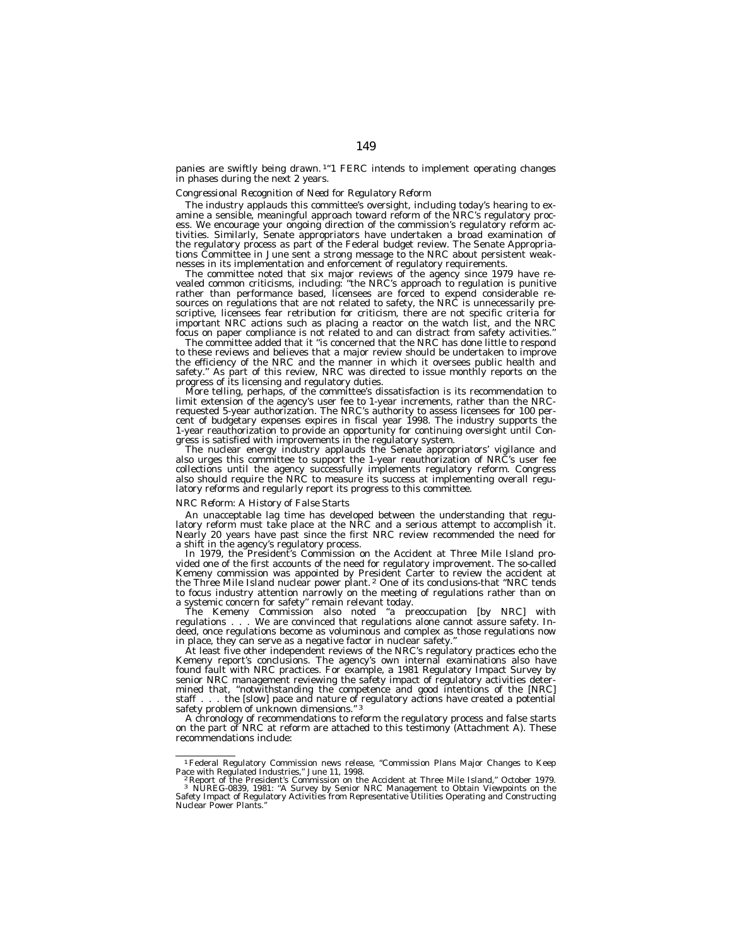panies are swiftly being drawn.<sup>1"</sup>1 FERC intends to implement operating changes in phases during the next 2 years.

# *Congressional Recognition of Need for Regulatory Reform*

The industry applauds this committee's oversight, including today's hearing to examine a sensible, meaningful approach toward reform of the NRC's regulatory process. We encourage your ongoing direction of the commission's regulatory reform activities. Similarly, Senate appropriators have undertaken a broad examination of the regulatory process as part of the Federal budget review. The Senate Appropriations Committee in June sent a strong message to the NRC about persistent weaknesses in its implementation and enforcement of regulatory requirements.

The committee noted that six major reviews of the agency since 1979 have revealed common criticisms, including: ''the NRC's approach to regulation is punitive rather than performance based, licensees are forced to expend considerable resources on regulations that are not related to safety, the NRC is unnecessarily prescriptive, licensees fear retribution for criticism, there are not specific criteria for important NRC actions such as placing a reactor on the watch list, and the NRC focus on paper compliance is not related to and can distract from safety activities.''

The committee added that it ''is concerned that the NRC has done little to respond to these reviews and believes that a major review should be undertaken to improve the efficiency of the NRC and the manner in which it oversees public health and safety." As part of this review, NRC was directed to issue monthly reports on the progress of its licensing and regulatory duties.

More telling, perhaps, of the committee's dissatisfaction is its recommendation to limit extension of the agency's user fee to 1-year increments, rather than the NRCrequested 5-year authorization. The NRC's authority to assess licensees for 100 percent of budgetary expenses expires in fiscal year 1998. The industry supports the 1-year reauthorization to provide an opportunity for continuing oversight until Congress is satisfied with improvements in the regulatory system.

The nuclear energy industry applauds the Senate appropriators' vigilance and also urges this committee to support the 1-year reauthorization of NRC's user fee collections until the agency successfully implements regulatory reform. Congress also should require the NRC to measure its success at implementing overall regulatory reforms and regularly report its progress to this committee.

#### *NRC Reform: A History of False Starts*

An unacceptable lag time has developed between the understanding that regulatory reform must take place at the NRC and a serious attempt to accomplish it. Nearly 20 years have past since the first NRC review recommended the need for a shift in the agency's regulatory process.

In 1979, the President's Commission on the Accident at Three Mile Island provided one of the first accounts of the need for regulatory improvement. The so-called Kemeny commission was appointed by President Carter to review the accident at the Three Mile Island nuclear power plant. 2 One of its conclusions-that ''NRC tends to focus industry attention narrowly on the meeting of regulations rather than on a systemic concern for safety'' remain relevant today.

The Kemeny Commission also noted ''a preoccupation [by NRC] with regulations . . . We are convinced that regulations alone cannot assure safety. Indeed, once regulations become as voluminous and complex as those regulations now in place, they can serve as a negative factor in nuclear safety.

At least five other independent reviews of the NRC's regulatory practices echo the Kemeny report's conclusions. The agency's own internal examinations also have found fault with NRC practices. For example, a 1981 Regulatory Impact Survey by senior NRC management reviewing the safety impact of regulatory activities determined that, ''notwithstanding the competence and good intentions of the [NRC] staff... the [slow] pace and nature of regulatory actions have created a potential safety problem of unknown dimensions."<sup>3</sup>

A chronology of recommendations to reform the regulatory process and false starts on the part of NRC at reform are attached to this testimony (Attachment A). These recommendations include:

<sup>1</sup>Federal Regulatory Commission news release, ''Commission Plans Major Changes to Keep Pace with Regulated Industries," June 11, 1998.<br><sup>2</sup> Report of the President's Commission on the Accident at Three Mile Island," October 1979.

<sup>3</sup> NUREG-0839, 1981: ''A Survey by Senior NRC Management to Obtain Viewpoints on the Safety Impact of Regulatory Activities from Representative Utilities Operating and Constructing Nuclear Power Plants.''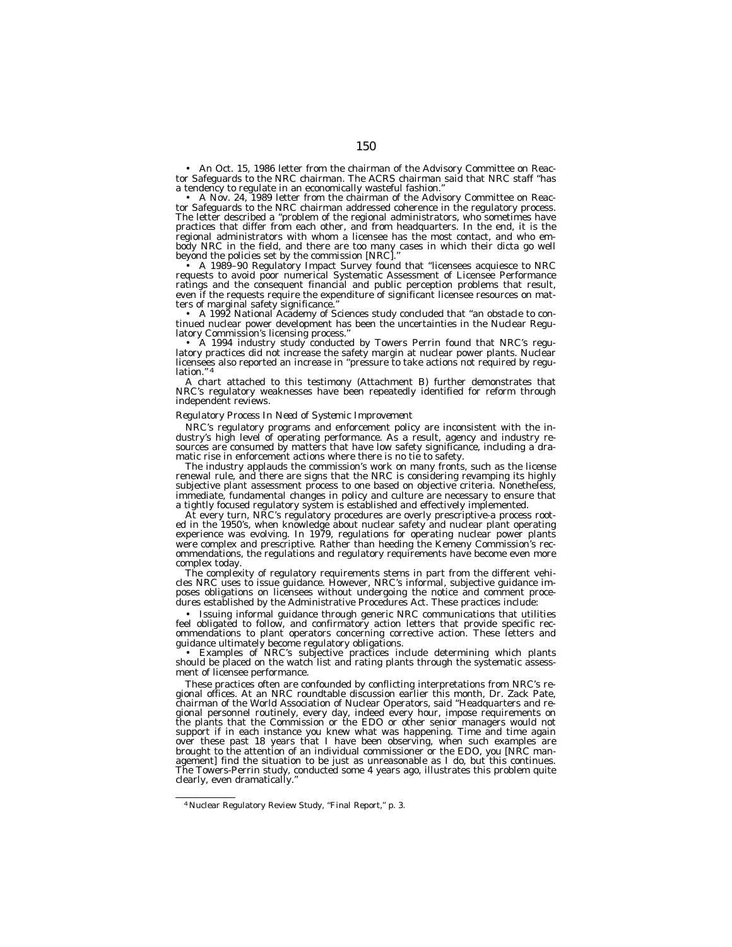• An Oct. 15, 1986 letter from the chairman of the Advisory Committee on Reactor Safeguards to the NRC chairman. The ACRS chairman said that NRC staff ''has a tendency to regulate in an economically wasteful fashion.''

A Nov. 24, 1989 letter from the chairman of the Advisory Committee on Reactor Safeguards to the NRC chairman addressed coherence in the regulatory process. The letter described a "problem of the regional administrators, who sometimes have practices that differ from each other, and from headquarters. In the end, it is the regional administrators with whom a licensee has the most contact, and who embody NRC in the field, and there are too many cases in which their dicta go well beyond the policies set by the commission [NRC].''

• A 1989–90 Regulatory Impact Survey found that ''licensees acquiesce to NRC requests to avoid poor numerical Systematic Assessment of Licensee Performance ratings and the consequent financial and public perception problems that result, even if the requests require the expenditure of significant licensee resources on matters of marginal safety significance.''

• A 1992 National Academy of Sciences study concluded that ''an obstacle to continued nuclear power development has been the uncertainties in the Nuclear Regulatory Commission's licensing process.''

• A 1994 industry study conducted by Towers Perrin found that NRC's regulatory practices did not increase the safety margin at nuclear power plants. Nuclear licensees also reported an increase in ''pressure to take actions not required by regulation.

A chart attached to this testimony (Attachment B) further demonstrates that NRC's regulatory weaknesses have been repeatedly identified for reform through independent reviews.

#### *Regulatory Process In Need of Systemic Improvement*

NRC's regulatory programs and enforcement policy are inconsistent with the industry's high level of operating performance. As a result, agency and industry resources are consumed by matters that have low safety significance, including a dramatic rise in enforcement actions where there is no tie to safety.

The industry applauds the commission's work on many fronts, such as the license renewal rule, and there are signs that the NRC is considering revamping its highly subjective plant assessment process to one based on objective criteria. Nonetheless, immediate, fundamental changes in policy and culture are necessary to ensure that a tightly focused regulatory system is established and effectively implemented.

At every turn, NRC's regulatory procedures are overly prescriptive-a process rooted in the 1950's, when knowledge about nuclear safety and nuclear plant operating experience was evolving. In 1979, regulations for operating nuclear power plants were complex and prescriptive. Rather than heeding the Kemeny Commission's recommendations, the regulations and regulatory requirements have become even more complex today.

The complexity of regulatory requirements stems in part from the different vehicles NRC uses to issue guidance. However, NRC's informal, subjective guidance imposes obligations on licensees without undergoing the notice and comment procedures established by the Administrative Procedures Act. These practices include:

• Issuing informal guidance through generic NRC communications that utilities feel obligated to follow, and confirmatory action letters that provide specific recommendations to plant operators concerning corrective action. These letters and guidance ultimately become regulatory obligations.

• Examples of NRC's subjective practices include determining which plants should be placed on the watch list and rating plants through the systematic assessment of licensee performance.

These practices often are confounded by conflicting interpretations from NRC's re-gional offices. At an NRC roundtable discussion earlier this month, Dr. Zack Pate, chairman of the World Association of Nuclear Operators, said ''Headquarters and regional personnel routinely, every day, indeed every hour, impose requirements on the plants that the Commission or the EDO or other senior managers would not support if in each instance you knew what was happening. Time and time again over these past 18 years that I have been observing, when such examples are brought to the attention of an individual commissioner or the EDO, you [NRC management] find the situation to be just as unreasonable as I do, but this continues. The Towers-Perrin study, conducted some 4 years ago, illustrates this problem quite clearly, even dramatically.''

<sup>&</sup>lt;sup>4</sup> Nuclear Regulatory Review Study, "Final Report," p. 3.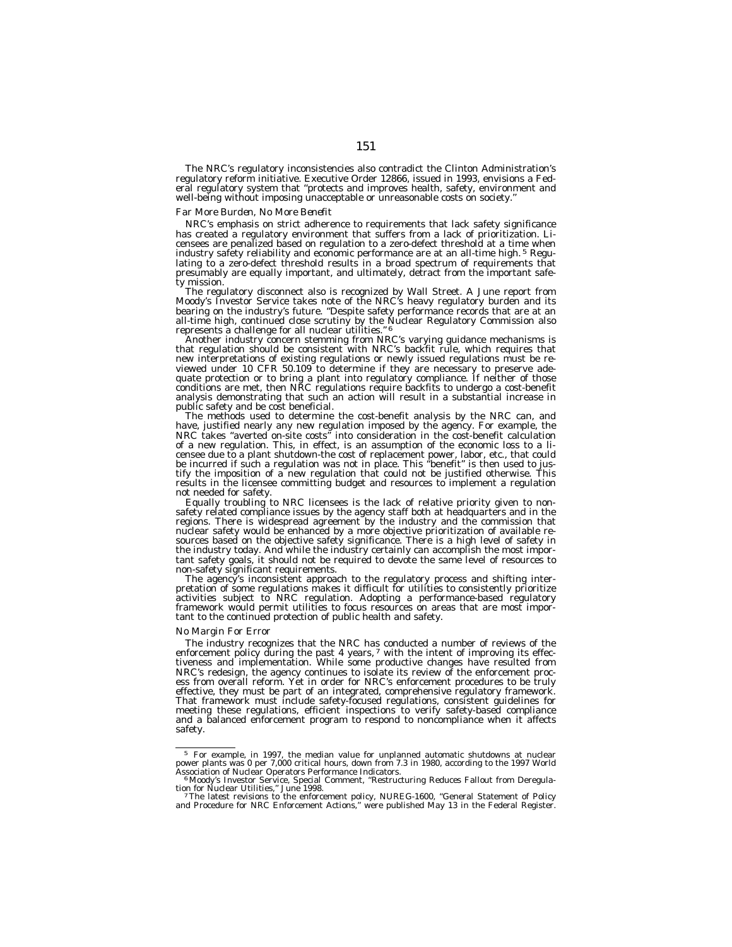The NRC's regulatory inconsistencies also contradict the Clinton Administration's regulatory reform initiative. Executive Order 12866, issued in 1993, envisions a Federal regulatory system that ''protects and improves health, safety, environment and well-being without imposing unacceptable or unreasonable costs on society.

#### *Far More Burden, No More Benefit*

NRC's emphasis on strict adherence to requirements that lack safety significance has created a regulatory environment that suffers from a lack of prioritization. Licensees are penalized based on regulation to a zero-defect threshold at a time when industry safety reliability and economic performance are at an all-time high. 5 Regulating to a zero-defect threshold results in a broad spectrum of requirements that presumably are equally important, and ultimately, detract from the important safety mission.

The regulatory disconnect also is recognized by Wall Street. A June report from Moody's Investor Service takes note of the NRC's heavy regulatory burden and its bearing on the industry's future. ''Despite safety performance records that are at an all-time high, continued close scrutiny by the Nuclear Regulatory Commission also<br>represents a challenge for all nuclear utilities."<sup>6</sup>

Another industry concern stemming from NRC's varying guidance mechanisms is that regulation should be consistent with NRC's backfit rule, which requires that new interpretations of existing regulations or newly issued regulations must be reviewed under 10 CFR 50.109 to determine if they are necessary to preserve adequate protection or to bring a plant into regulatory compliance. If neither of those conditions are met, then NRC regulations require backfits to undergo a cost-benefit analysis demonstrating that such an action will result in a substantial increase in public safety and be cost beneficial.

The methods used to determine the cost-benefit analysis by the NRC can, and have, justified nearly any new regulation imposed by the agency. For example, the NRC takes ''averted on-site costs'' into consideration in the cost-benefit calculation of a new regulation. This, in effect, is an assumption of the economic loss to a licensee due to a plant shutdown-the cost of replacement power, labor, etc., that could be incurred if such a regulation was not in place. This ''benefit'' is then used to justify the imposition of a new regulation that could not be justified otherwise. This results in the licensee committing budget and resources to implement a regulation not needed for safety.

Equally troubling to NRC licensees is the lack of relative priority given to nonsafety related compliance issues by the agency staff both at headquarters and in the regions. There is widespread agreement by the industry and the commission that nuclear safety would be enhanced by a more objective prioritization of available resources based on the objective safety significance. There is a high level of safety in the industry today. And while the industry certainly can accomplish the most important safety goals, it should not be required to devote the same level of resources to non-safety significant requirements.

The agency's inconsistent approach to the regulatory process and shifting interpretation of some regulations makes it difficult for utilities to consistently prioritize activities subject to NRC regulation. Adopting a performance-based regulatory framework would permit utilities to focus resources on areas that are most important to the continued protection of public health and safety.

#### *No Margin For Error*

The industry recognizes that the NRC has conducted a number of reviews of the enforcement policy during the past 4 years,  $\frac{7}{1}$  with the intent of improving its effectiveness and implementation. While some productive changes have resulted from NRC's redesign, the agency continues to isolate its review of the enforcement process from overall reform. Yet in order for NRC's enforcement procedures to be truly effective, they must be part of an integrated, comprehensive regulatory framework. That framework must include safety-focused regulations, consistent guidelines for meeting these regulations, efficient inspections to verify safety-based compliance and a balanced enforcement program to respond to noncompliance when it affects safety.

<sup>5</sup> For example, in 1997, the median value for unplanned automatic shutdowns at nuclear power plants was 0 per 7,000 critical hours, down from 7.3 in 1980, according to the 1997 World<br>Association of Nuclear Operators Performance Indicators.<br>"Moody's Investor Service, Special Comment, "Restructuring Reduces Fa

tion for Nuclear Utilities," June 1998.<br>7The latest revisions to the enforcement policy, NUREG-1600, "General Statement of Policy<br>and Procedure for NRC Enforcement Actions," were published May 13 in the Federal Register.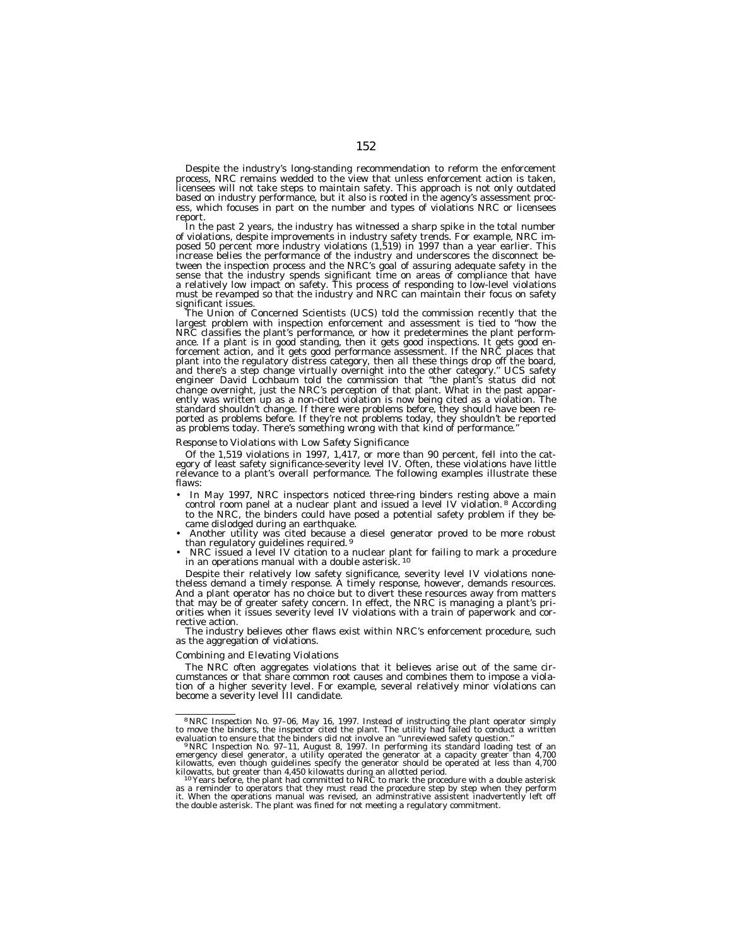Despite the industry's long-standing recommendation to reform the enforcement process, NRC remains wedded to the view that unless enforcement action is taken, licensees will not take steps to maintain safety. This approach is not only outdated based on industry performance, but it also is rooted in the agency's assessment process, which focuses in part on the number and types of violations NRC or licensees report.

In the past 2 years, the industry has witnessed a sharp spike in the total number of violations, despite improvements in industry safety trends. For example, NRC imposed 50 percent more industry violations (1,519) in 1997 than a year earlier. This increase belies the performance of the industry and underscores the disconnect between the inspection process and the NRC's goal of assuring adequate safety in the sense that the industry spends significant time on areas of compliance that have a relatively low impact on safety. This process of responding to low-level violations must be revamped so that the industry and NRC can maintain their focus on safety significant issues.

The Union of Concerned Scientists (UCS) told the commission recently that the largest problem with inspection enforcement and assessment is tied to ''how the NRC classifies the plant's performance, or how it predetermines the plant performance. If a plant is in good standing, then it gets good inspections. It gets good enforcement action, and it gets good performance assessment. If the NRC places that plant into the regulatory distress category, then all these things drop off the board, and there's a step change virtually overnight into the other category.'' UCS safety engineer David Lochbaum told the commission that ''the plant's status did not change overnight, just the NRC's perception of that plant. What in the past apparently was written up as a non-cited violation is now being cited as a violation. The standard shouldn't change. If there were problems before, they should have been reported as problems before. If they're not problems today, they shouldn't be reported as problems today. There's something wrong with that kind of performance.''

# *Response to Violations with Low Safety Significance*

Of the 1,519 violations in 1997, 1,417, or more than 90 percent, fell into the category of least safety significance-severity level IV. Often, these violations have little relevance to a plant's overall performance. The following examples illustrate these flaws:

- In May 1997, NRC inspectors noticed three-ring binders resting above a main control room panel at a nuclear plant and issued a level IV violation.<sup>8</sup> According to the NRC, the binders could have posed a potential safety problem if they became dislodged during an earthquake.
- Another utility was cited because a diesel generator proved to be more robust than regulatory guidelines required. 9
- NRC issued a level IV citation to a nuclear plant for failing to mark a procedure in an operations manual with a double asterisk. 10

Despite their relatively low safety significance, severity level IV violations nonetheless demand a timely response. A timely response, however, demands resources. And a plant operator has no choice but to divert these resources away from matters that may be of greater safety concern. In effect, the NRC is managing a plant's priorities when it issues severity level IV violations with a train of paperwork and corrective action.

The industry believes other flaws exist within NRC's enforcement procedure, such as the aggregation of violations.

# *Combining and Elevating Violations*

The NRC often aggregates violations that it believes arise out of the same circumstances or that share common root causes and combines them to impose a violation of a higher severity level. For example, several relatively minor violations can become a severity level III candidate.

<sup>&</sup>lt;sup>8</sup>NRC Inspection No. 97–06, May 16, 1997. Instead of instructing the plant operator simply<br>to move the binders, the inspector cited the plant. The utility had failed to conduct a written<br>evaluation to ensure that the bin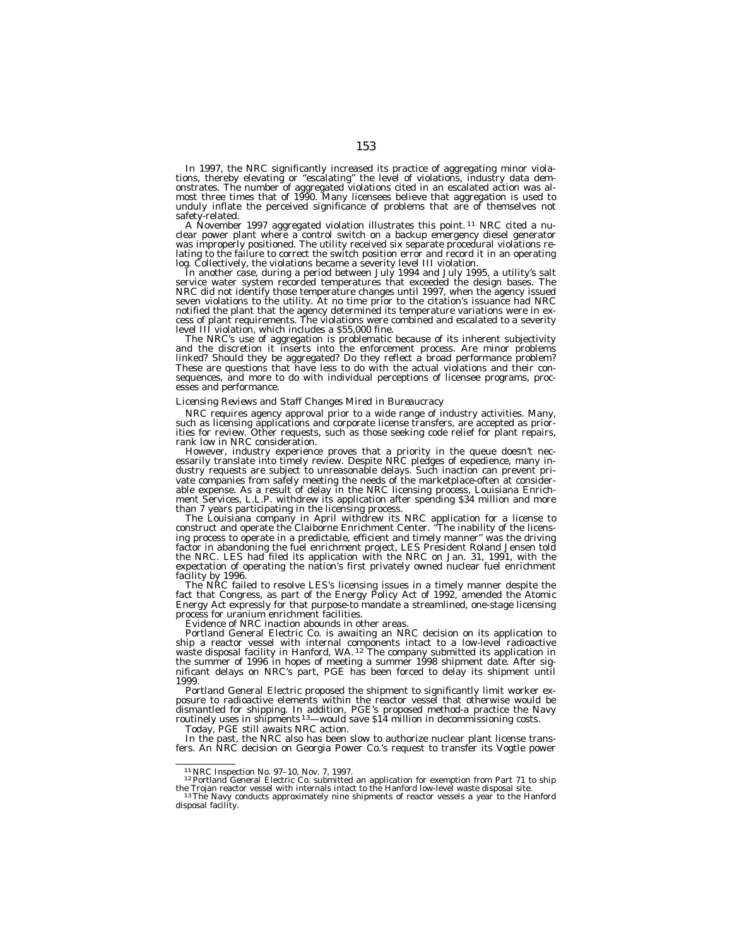In 1997, the NRC significantly increased its practice of aggregating minor violations, thereby elevating or "escalating" the level of violations, industry data demonstrates. The number of aggregated violations cited in an most three times that of 1990. Many licensees believe that aggregation is used to unduly inflate the perceived significance of problems that are of themselves not

A November 1997 aggregated violation illustrates this point. <sup>11</sup> NRC cited a nuclear power plant where a control switch on a backup emergency diesel generator<br>was improperly positioned. The utility received six separate procedural violations relating to the failure to correct the switch position error and record it in an operating<br>log. Collectively, the violations became a severity level III violation.

In another case, during a period between July 1994 and July 1995, a utility's salt<br>service water system recorded temperatures that exceeded the design bases. The NRC did not identify those temperature changes until 1997, when the agency issued seven violations to the utility. At no time prior to the citation's issuance had NRC notified the plant that the agency determined its temperature variations were in excess of plant requirements. The violations were combined and escalated to a severity level III violation, which includes a \$55,000 fine.

The NRC's use of aggregation is problematic because of its inherent subjectivity and the discretion it inserts into the enforcement process. Are minor problems linked? Should they be aggregated? Do they reflect a broad performance problem? These are questions that have less to do with the actual violations and their consequences, and more to do with individual perceptions of licensee programs, processes and performance.

# *Licensing Reviews and Staff Changes Mired in Bureaucracy*

NRC requires agency approval prior to a wide range of industry activities. Many, such as licensing applications and corporate license transfers, are accepted as priorities for review. Other requests, such as those seeking code relief for plant repairs, rank low in NRC consideration.

However, industry experience proves that a priority in the queue doesn't necessarily translate into timely review. Despite NRC pledges of expedience, many industry requests are subject to unreasonable delays. Such inaction can prevent private companies from safely meeting the needs of the marketplace-often at considerable expense. As a result of delay in the NRC licensing process, Louisiana Enrichment Services, L.L.P. withdrew its application after spending \$34 million and more than 7 years participating in the licensing process.

The Louisiana company in April withdrew its NRC application for a license to construct and operate the Claiborne Enrichment Center. ''The inability of the licensing process to operate in a predictable, efficient and timely manner'' was the driving factor in abandoning the fuel enrichment project, LES President Roland Jensen told the NRC. LES had filed its application with the NRC on Jan. 31, 1991, with the expectation of operating the nation's first privately owned nuclear fuel enrichment facility by 1996.

The NRC failed to resolve LES's licensing issues in a timely manner despite the fact that Congress, as part of the Energy Policy Act of 1992, amended the Atomic Energy Act expressly for that purpose-to mandate a streamlined, one-stage licensing process for uranium enrichment facilities.

Evidence of NRC inaction abounds in other areas.

Portland General Electric Co. is awaiting an NRC decision on its application to ship a reactor vessel with internal components intact to a low-level radioactive<br>waste disposal facility in Hanford, WA. <sup>12</sup> The company submitted its application in the summer of 1996 in hopes of meeting a summer 1998 shipment date. After significant delays on NRC's part, PGE has been forced to delay its shipment until 1999.

Portland General Electric proposed the shipment to significantly limit worker exposure to radioactive elements within the reactor vessel that otherwise would be dismantled for shipping. In addition, PGE's proposed method-a practice the Navy routinely uses in shipments <sup>13</sup>—would save \$14 million in decommissioning costs.

Today, PGE still awaits NRC action.

In the past, the NRC also has been slow to authorize nuclear plant license transfers. An NRC decision on Georgia Power Co.'s request to transfer its Vogtle power

<sup>&</sup>lt;sup>11</sup> NRC Inspection No. 97–10, Nov. 7, 1997.<br><sup>12</sup> Portland General Electric Co. submitted an application for exemption from Part 71 to ship

the Trojan reactor vessel with internals intact to the Hanford low-level waste disposal site.<br><sup>13</sup>The Navy conducts approximately nine shipments of reactor vessels a year to the Hanford<br>disposal facility.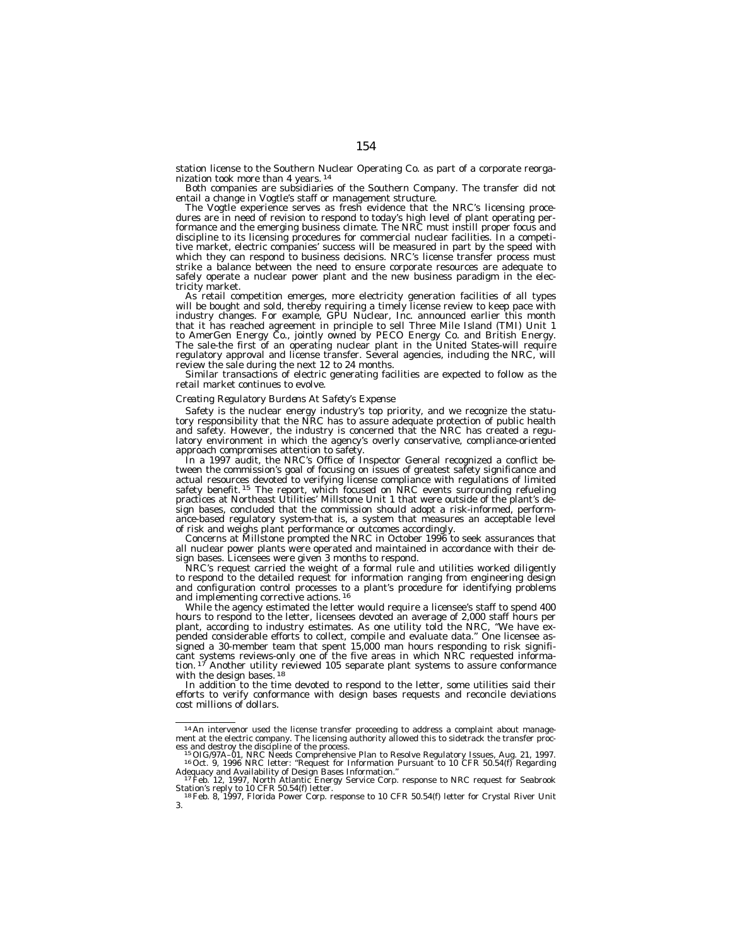station license to the Southern Nuclear Operating Co. as part of a corporate reorganization took more than 4 years. 14

Both companies are subsidiaries of the Southern Company. The transfer did not entail a change in Vogtle's staff or management structure.

The Vogtle experience serves as fresh evidence that the NRC's licensing procedures are in need of revision to respond to today's high level of plant operating performance and the emerging business climate. The NRC must instill proper focus and discipline to its licensing procedures for commercial nuclear facilities. In a competitive market, electric companies' success will be measured in part by the speed with which they can respond to business decisions. NRC's license transfer process must strike a balance between the need to ensure corporate resources are adequate to safely operate a nuclear power plant and the new business paradigm in the electricity market.

As retail competition emerges, more electricity generation facilities of all types will be bought and sold, thereby requiring a timely license review to keep pace with industry changes. For example, GPU Nuclear, Inc. announced earlier this month that it has reached agreement in principle to sell Three Mile Island (TMI) Unit 1 to AmerGen Energy Co., jointly owned by PECO Energy Co. and British Energy. The sale-the first of an operating nuclear plant in the United States-will require regulatory approval and license transfer. Several agencies, including the NRC, will review the sale during the next 12 to 24 months.

Similar transactions of electric generating facilities are expected to follow as the retail market continues to evolve.

#### *Creating Regulatory Burdens At Safety's Expense*

Safety is the nuclear energy industry's top priority, and we recognize the statutory responsibility that the NRC has to assure adequate protection of public health and safety. However, the industry is concerned that the NRC has created a regulatory environment in which the agency's overly conservative, compliance-oriented approach compromises attention to safety.

In a 1997 audit, the NRC's Office of Inspector General recognized a conflict between the commission's goal of focusing on issues of greatest safety significance and actual resources devoted to verifying license compliance with regulations of limited safety benefit. 15 The report, which focused on NRC events surrounding refueling practices at Northeast Utilities' Millstone Unit 1 that were outside of the plant's design bases, concluded that the commission should adopt a risk-informed, performance-based regulatory system-that is, a system that measures an acceptable level of risk and weighs plant performance or outcomes accordingly.

Concerns at Millstone prompted the NRC in October 1996 to seek assurances that all nuclear power plants were operated and maintained in accordance with their design bases. Licensees were given 3 months to respond.

NRC's request carried the weight of a formal rule and utilities worked diligently to respond to the detailed request for information ranging from engineering design and configuration control processes to a plant's procedure for identifying problems<br>and implementing corrective actions. <sup>16</sup>

While the agency estimated the letter would require a licensee's staff to spend 400 hours to respond to the letter, licensees devoted an average of 2,000 staff hours per plant, according to industry estimates. As one utility told the NRC, ''We have expended considerable efforts to collect, compile and evaluate data." One licensee assigned a 30-member team that spent 15,000 man hours responding to risk significant systems reviews-only one of the five areas in which NRC requested informa-tion. 17 Another utility reviewed 105 separate plant systems to assure conformance with the design bases.<sup>18</sup>

In addition to the time devoted to respond to the letter, some utilities said their efforts to verify conformance with design bases requests and reconcile deviations cost millions of dollars.

<sup>&</sup>lt;sup>14</sup> An intervenor used the license transfer proceeding to address a complaint about management at the electric company. The licensing authority allowed this to sidetrack the transfer process and destroy the discipline of

Adequacy and Availability of Design Bases Information."<br><sup>17</sup>Feb. 12, 1997, North Atlantic Energy Service Corp. response to NRC request for Seabrook Station's reply to 10 CFR 50.54(f) letter. 18Text Corp. response to 10 CFR 50.54(f) letter for Crystal River Unit<br><sup>18</sup>Feb. 8, 1997, Florida Power Corp. response to 10 CFR 50.54(f) letter for Crystal River Unit

<sup>3.</sup>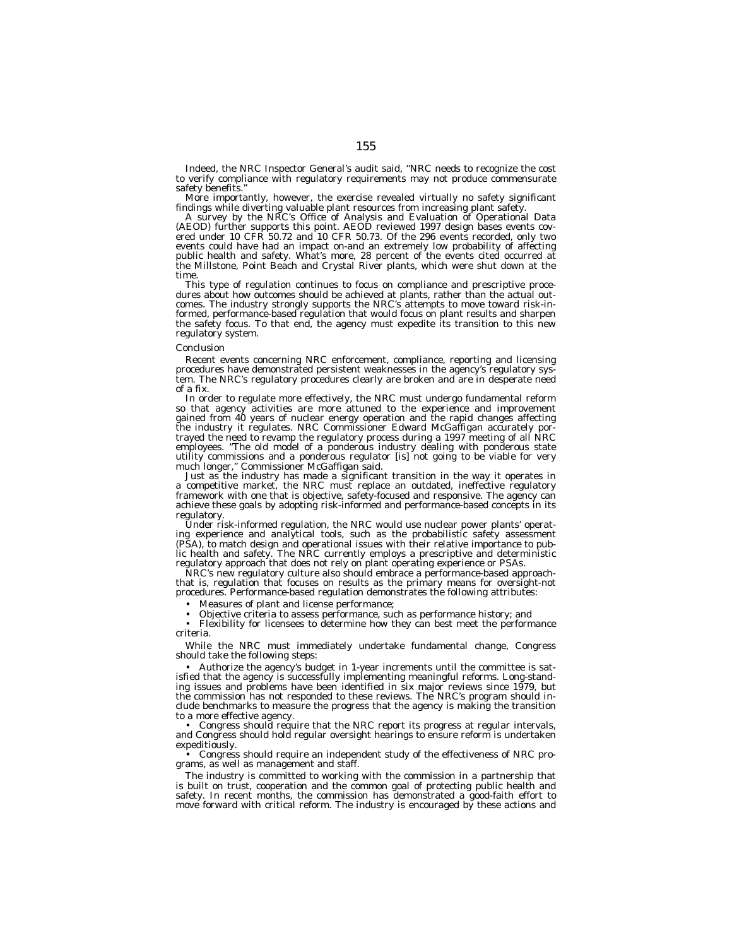Indeed, the NRC Inspector General's audit said, ''NRC needs to recognize the cost to verify compliance with regulatory requirements may not produce commensurate safety benefits.

More importantly, however, the exercise revealed virtually no safety significant findings while diverting valuable plant resources from increasing plant safety.

A survey by the NRC's Office of Analysis and Evaluation of Operational Data (AEOD) further supports this point. AEOD reviewed 1997 design bases events covered under 10 CFR 50.72 and 10 CFR 50.73. Of the 296 events recorded, only two events could have had an impact on-and an extremely low probability of affecting public health and safety. What's more, 28 percent of the events cited occurred at the Millstone, Point Beach and Crystal River plants, which were shut down at the time.

This type of regulation continues to focus on compliance and prescriptive procedures about how outcomes should be achieved at plants, rather than the actual outcomes. The industry strongly supports the NRC's attempts to move toward risk-informed, performance-based regulation that would focus on plant results and sharpen the safety focus. To that end, the agency must expedite its transition to this new regulatory system.

#### *Conclusion*

Recent events concerning NRC enforcement, compliance, reporting and licensing procedures have demonstrated persistent weaknesses in the agency's regulatory system. The NRC's regulatory procedures clearly are broken and are in desperate need of a fix.

In order to regulate more effectively, the NRC must undergo fundamental reform so that agency activities are more attuned to the experience and improvement gained from 40 years of nuclear energy operation and the rapid changes affecting the industry it regulates. NRC Commissioner Edward McGaffigan accurately portrayed the need to revamp the regulatory process during a 1997 meeting of all NRC employees. ''The old model of a ponderous industry dealing with ponderous state utility commissions and a ponderous regulator [is] not going to be viable for very much longer,'' Commissioner McGaffigan said.

Just as the industry has made a significant transition in the way it operates in a competitive market, the NRC must replace an outdated, ineffective regulatory framework with one that is objective, safety-focused and responsive. The agency can achieve these goals by adopting risk-informed and performance-based concepts in its regulatory.

Under risk-informed regulation, the NRC would use nuclear power plants' operating experience and analytical tools, such as the probabilistic safety assessment (PSA), to match design and operational issues with their relative importance to public health and safety. The NRC currently employs a prescriptive and deterministic regulatory approach that does not rely on plant operating experience or PSAs.

NRC's new regulatory culture also should embrace a performance-based approachthat is, regulation that focuses on results as the primary means for oversight-not procedures. Performance-based regulation demonstrates the following attributes:

• Measures of plant and license performance;

• Objective criteria to assess performance, such as performance history; and

• Flexibility for licensees to determine how they can best meet the performance criteria.

While the NRC must immediately undertake fundamental change, Congress should take the following steps:

• Authorize the agency's budget in 1-year increments until the committee is satisfied that the agency is successfully implementing meaningful reforms. Long-standing issues and problems have been identified in six major reviews since 1979, but the commission has not responded to these reviews. The NRC's program should include benchmarks to measure the progress that the agency is making the transition to a more effective agency.

• Congress should require that the NRC report its progress at regular intervals, and Congress should hold regular oversight hearings to ensure reform is undertaken expeditiously.

• Congress should require an independent study of the effectiveness of NRC programs, as well as management and staff.

The industry is committed to working with the commission in a partnership that is built on trust, cooperation and the common goal of protecting public health and safety. In recent months, the commission has demonstrated a good-faith effort to move forward with critical reform. The industry is encouraged by these actions and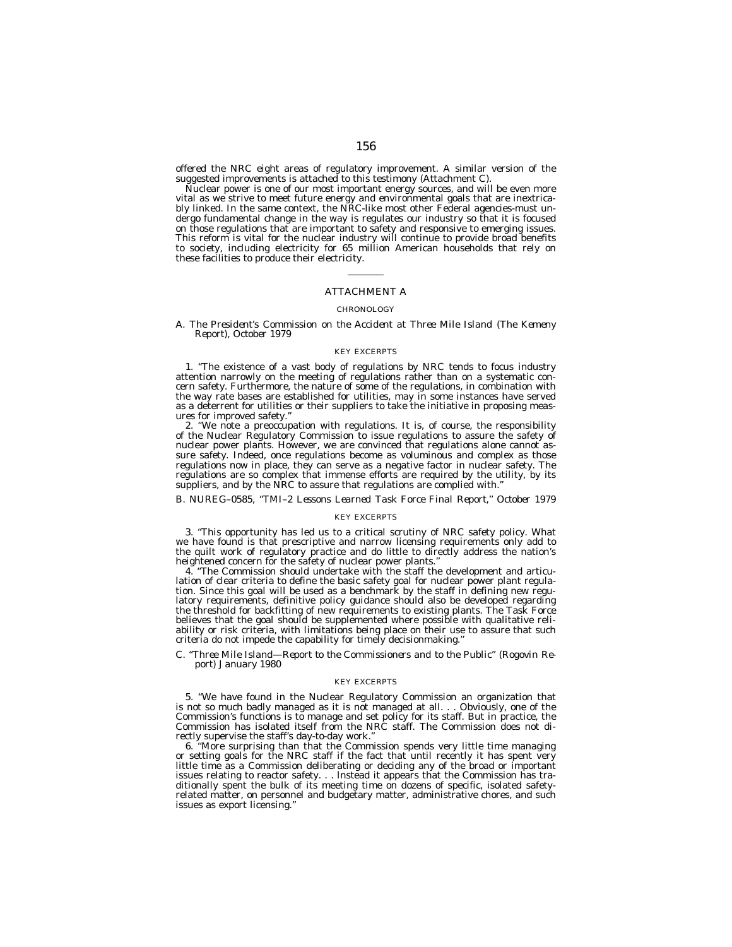offered the NRC eight areas of regulatory improvement. A similar version of the suggested improvements is attached to this testimony (Attachment C).

Nuclear power is one of our most important energy sources, and will be even more vital as we strive to meet future energy and environmental goals that are inextricably linked. In the same context, the NRC-like most other Federal agencies-must undergo fundamental change in the way is regulates our industry so that it is focused on those regulations that are important to safety and responsive to emerging issues. This reform is vital for the nuclear industry will continue to provide broad benefits to society, including electricity for 65 million American households that rely on these facilities to produce their electricity.

# ATTACHMENT A

#### **CHRONOLOGY**

#### *A. The President's Commission on the Accident at Three Mile Island (The Kemeny Report), October 1979*

#### KEY EXCERPTS

1. ''The existence of a vast body of regulations by NRC tends to focus industry attention narrowly on the meeting of regulations rather than on a systematic concern safety. Furthermore, the nature of some of the regulations, in combination with the way rate bases are established for utilities, may in some instances have served as a deterrent for utilities or their suppliers to take the initiative in proposing measures for improved safety.''

2. ''We note a preoccupation with regulations. It is, of course, the responsibility of the Nuclear Regulatory Commission to issue regulations to assure the safety of nuclear power plants. However, we are convinced that regulations alone cannot assure safety. Indeed, once regulations become as voluminous and complex as those regulations now in place, they can serve as a negative factor in nuclear safety. The regulations are so complex that immense efforts are required by the utility, by its suppliers, and by the NRC to assure that regulations are complied with.''

# *B. NUREG–0585, ''TMI–2 Lessons Learned Task Force Final Report,'' October 1979*

# KEY EXCERPTS

3. ''This opportunity has led us to a critical scrutiny of NRC safety policy. What we have found is that prescriptive and narrow licensing requirements only add to the quilt work of regulatory practice and do little to directly address the nation's heightened concern for the safety of nuclear power plants.''

4. ''The Commission should undertake with the staff the development and articulation of clear criteria to define the basic safety goal for nuclear power plant regulation. Since this goal will be used as a benchmark by the staff in defining new regulatory requirements, definitive policy guidance should also be developed regarding the threshold for backfitting of new requirements to existing plants. The Task Force believes that the goal should be supplemented where possible with qualitative reliability or risk criteria, with limitations being place on their use to assure that such criteria do not impede the capability for timely decisionmaking.''

#### *C. ''Three Mile Island—Report to the Commissioners and to the Public'' (Rogovin Report) January 1980*

#### KEY EXCERPTS

5. ''We have found in the Nuclear Regulatory Commission an organization that is not so much badly managed as it is not managed at all. . . Obviously, one of the Commission's functions is to manage and set policy for its staff. But in practice, the Commission has isolated itself from the NRC staff. The Commission does not directly supervise the staff's day-to-day work.''

6. ''More surprising than that the Commission spends very little time managing or setting goals for the NRC staff if the fact that until recently it has spent very little time as a Commission deliberating or deciding any of the broad or important issues relating to reactor safety. . . lnstead it appears that the Commission has traditionally spent the bulk of its meeting time on dozens of specific, isolated safetyrelated matter, on personnel and budgetary matter, administrative chores, and such issues as export licensing.''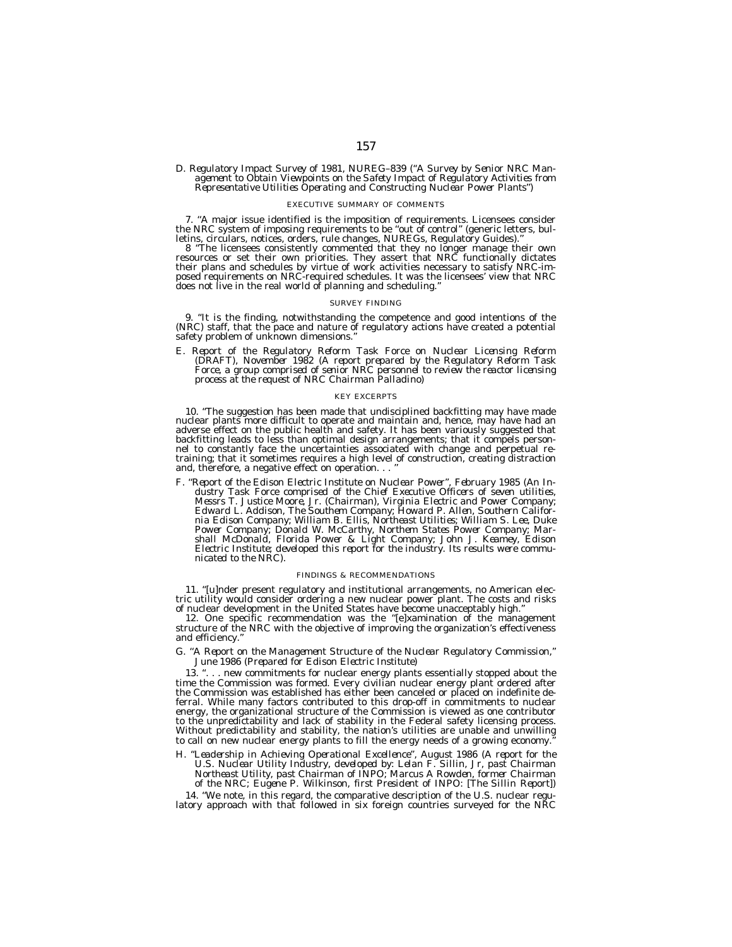# *D. Regulatory Impact Survey of 1981, NUREG–839 (''A Survey by Senior NRC Man- agement to Obtain Viewpoints on the Safety Impact of Regulatory Activities from Representative Utilities Operating and Constructing Nuclear Power Plants'')*

#### EXECUTIVE SUMMARY OF COMMENTS

7. "A major issue identified is the imposition of requirements. Licensees consider the NRC system of imposing requirements to be "out of control" (generic letters, bulletins, circulars, notices, orders, rule changes, NUREG

letins, circulars, notices, orders, rule changes, NUREGs, Regulatory Guides)."<br>8 "The licensees consistently commented that they no longer manage their own<br>resources or set their own priorities. They assert that NRC functi posed requirements on NRC-required schedules. It was the licensees' view that NRC does not live in the real world of planning and scheduling.

#### SURVEY FINDING

9. ''It is the finding, notwithstanding the competence and good intentions of the (NRC) staff, that the pace and nature of regulatory actions have created a potential safety problem of unknown dimensions.

E. Report of the Regulatory Reform Task Force on Nuclear Licensing Reform<br>(DRAFT), November 1982 (A report prepared by the Regulatory Reform Task)<br>Force, a group comprised of senior NRC personnel to review the reactor lice *process at the request of NRC Chairman Palladino)*

#### KEY EXCERPTS

10. ''The suggestion has been made that undisciplined backfitting may have made nuclear plants more difficult to operate and maintain and, hence, may have had an adverse effect on the public health and safety. It has been variously suggested that backfitting leads to less than optimal design arrangements; that it compels personnel to constantly face the uncertainties associated with change and perpetual re-training; that it sometimes requires a high level of construction, creating distraction and, therefore, a negative effect on operation. . .

F. "Report of the Edison Electric Institute on Nuclear Power", February 1985 (An Industry Task Force comprised of the Chief Executive Officers of seven utilities,<br>Messrs T. Justice Moore, Jr. (Chairman), Virginia Electric *nia Edison Company; William B. Ellis, Northeast Utilities; William S. Lee, Duke* Power Company; Donald W. McCarthy, Northem States Power Company; Mar*shall McDonald, Florida Power & Light Company; John J. Keamey, Edison Electric Institute; developed this report for the industry. Its results were communicated to the NRC).*

#### FINDINGS & RECOMMENDATIONS

11. "[u]nder present regulatory and institutional arrangements, no American electric utility would consider ordering a new nuclear power plant. The costs and risks<br>of nuclear development in the United States have become un

12. One specific recommendation was the ''[e]xamination of the management structure of the NRC with the objective of improving the organization's effectiveness and efficiency.''

#### *G. ''A Report on the Management Structure of the Nuclear Regulatory Commission,'' June 1986 (Prepared for Edison Electric Institute)*

13. ". . . new commitments for nuclear energy plants essentially stopped about the time the Commission was formed. Every civilian nuclear energy plant ordered after the Commission was established has either been canceled or placed on indefinite deferral. While many factors contributed to this drop-off in commitments to nuclear energy, the organizational structure of the Commission is viewed as one contributor to the unpredictability and lack of stability in the Federal safety licensing process. Without predictability and stability, the nation's utilities are unable and unwilling to call on new nuclear energy plants to fill the energy needs of a growing economy.''

*H. ''Leadership in Achieving Operational Excellence'', August 1986 (A report for the U.S. Nuclear Utility Industry, developed by: Lelan F. Sillin, Jr, past Chairman Northeast Utility, past Chairman of INPO; Marcus A Rowden, former Chairman of the NRC; Eugene P. Wilkinson, first President of INPO: [The Sillin Report])*

14. ''We note, in this regard, the comparative description of the U.S. nuclear regulatory approach with that followed in six foreign countries surveyed for the NRC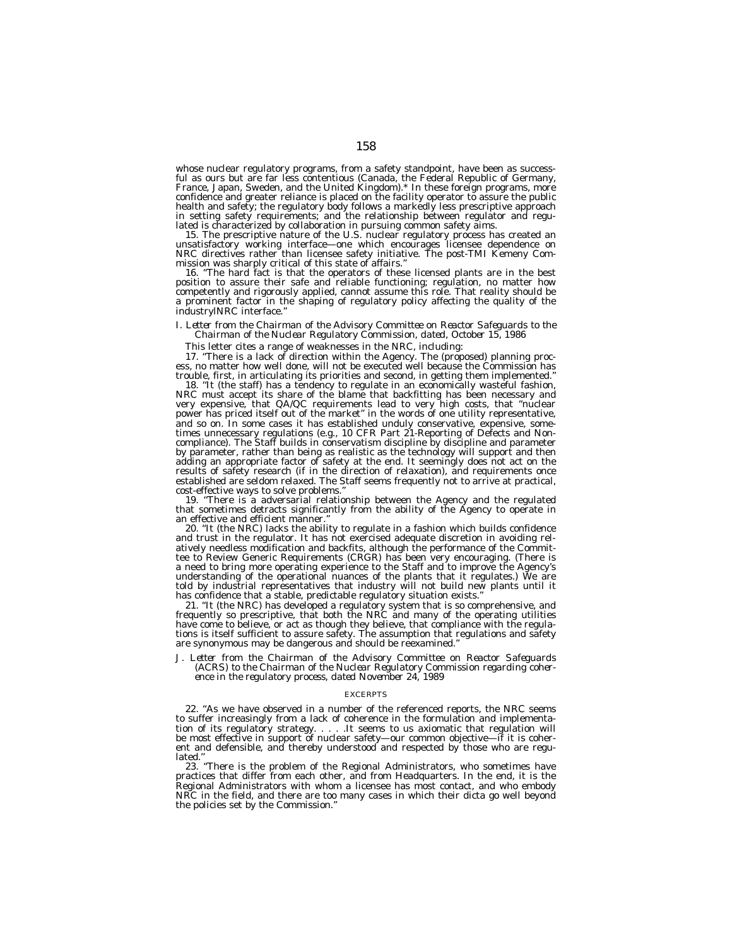whose nuclear regulatory programs, from a safety standpoint, have been as successful as ours but are far less contentious (Canada, the Federal Republic of Germany, France, Japan, Sweden, and the United Kingdom).\* In these foreign programs, more confidence and greater reliance is placed on the facility operator to assure the public health and safety; the regulatory body follows a markedly less prescriptive approach in setting safety requirements; and the relationship between regulator and regu-

lated is characterized by collaboration in pursuing common safety aims.<br>15. The prescriptive nature of the U.S. nuclear regulatory process has created an<br>unsatisfactory working interface—one which encourages licensee\_depen NRC directives rather than licensee safety initiative. The post-TMI Kemeny Com-mission was sharply critical of this state of affairs.''

16. ''The hard fact is that the operators of these licensed plants are in the best position to assure their safe and reliable functioning; regulation, no matter how competently and rigorously applied, cannot assume this role. That reality should be a prominent factor in the shaping of regulatory policy affecting the quality of the industrylNRC interface.''

# *I. Letter from the Chairman of the Advisory Committee on Reactor Safeguards to the Chairman of the Nuclear Regulatory Commission, dated, October 15, 1986*

This letter cites a range of weaknesses in the NRC, including:

17. ''There is a lack of direction within the Agency. The (proposed) planning process, no matter how well done, will not be executed well because the Commission has trouble, first, in articulating its priorities and second, in getting them implemented.''

18. ''It (the staff) has a tendency to regulate in an economically wasteful fashion, NRC must accept its share of the blame that backfitting has been necessary and very expensive, that QA/QC requirements lead to very high costs, that ''nuclear power has priced itself out of the market'' in the words of one utility representative, and so on. In some cases it has established unduly conservative, expensive, sometimes unnecessary regulations (e.g., 10 CFR Part 21-Reporting of Defects and Noncompliance). The Staff builds in conservatism discipline by discipline and parameter by parameter, rather than being as realistic as the technology will support and then adding an appropriate factor of safety at the end. It seemingly does not act on the results of safety research (if in the direction of relaxation), and requirements once established are seldom relaxed. The Staff seems frequently not to arrive at practical, cost-effective ways to solve problems.

19. "There is a adversarial relationship between the Agency and the regulated that sometimes detracts significantly from the ability of the Agency to operate in an effective and efficient manner.''

20. ''It (the NRC) lacks the ability to regulate in a fashion which builds confidence and trust in the regulator. It has not exercised adequate discretion in avoiding relatively needless modification and backfits, although the performance of the Committee to Review Generic Requirements (CRGR) has been very encouraging. (There is a need to bring more operating experience to the Staff and to improve the Agency's understanding of the operational nuances of the plants that it regulates.) We are told by industrial representatives that industry will not build new plants until it has confidence that a stable, predictable regulatory situation exists.'

21. ''It (the NRC) has developed a regulatory system that is so comprehensive, and frequently so prescriptive, that both the NRC and many of the operating utilities have come to believe, or act as though they believe, that compliance with the regulations is itself sufficient to assure safety. The assumption that regulations and safety are synonymous may be dangerous and should be reexamined.''

*J. Letter from the Chairman of the Advisory Committee on Reactor Safeguards (ACRS) to the Chairman of the Nuclear Regulatory Commission regarding coherence in the regulatory process, dated November 24, 1989*

#### **EXCERPTS**

22. ''As we have observed in a number of the referenced reports, the NRC seems to suffer increasingly from a lack of coherence in the formulation and implementation of its regulatory strategy. . . . .It seems to us axiomatic that regulation will be most effective in support of nuclear safety—our common objective—if it is coherent and defensible, and thereby understood and respected by those who are regulated.''

23. ''There is the problem of the Regional Administrators, who sometimes have practices that differ from each other, and from Headquarters. In the end, it is the Regional Administrators with whom a licensee has most contact, and who embody NRC in the field, and there are too many cases in which their dicta go well beyond the policies set by the Commission.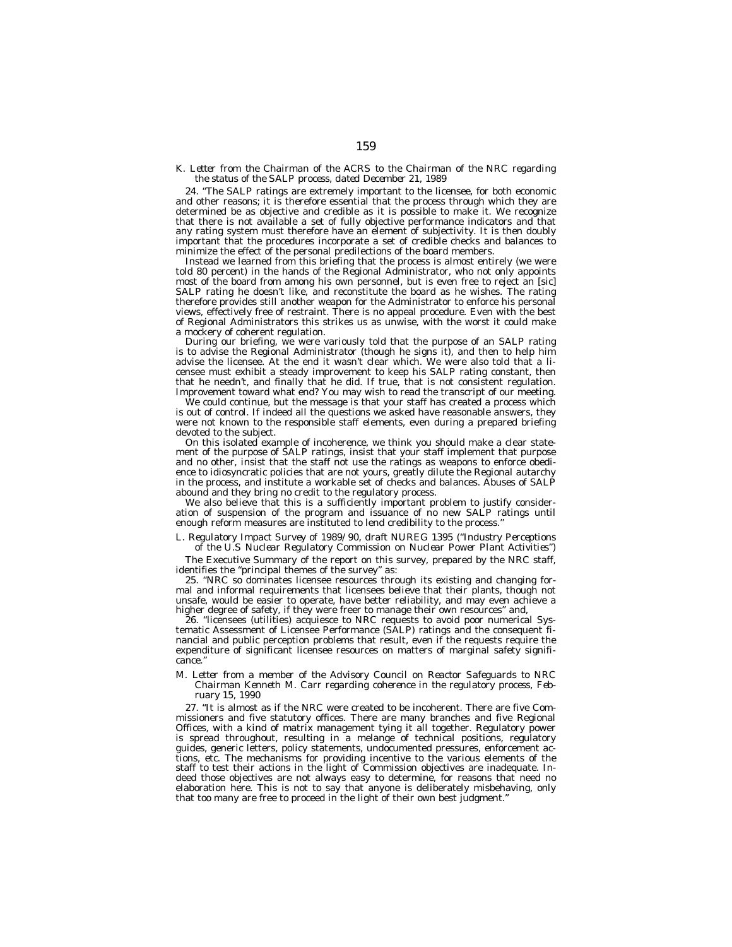# *K. Letter from the Chairman of the ACRS to the Chairman of the NRC regarding the status of the SALP process, dated December 21, 1989*

24. ''The SALP ratings are extremely important to the licensee, for both economic and other reasons; it is therefore essential that the process through which they are determined be as objective and credible as it is possible to make it. We recognize that there is not available a set of fully objective performance indicators and that any rating system must therefore have an element of subjectivity. It is then doubly important that the procedures incorporate a set of credible checks and balances to minimize the effect of the personal predilections of the board members.

Instead we learned from this briefing that the process is almost entirely (we were told 80 percent) in the hands of the Regional Administrator, who not only appoints most of the board from among his own personnel, but is even free to reject an [sic] SALP rating he doesn't like, and reconstitute the board as he wishes. The rating therefore provides still another weapon for the Administrator to enforce his personal views, effectively free of restraint. There is no appeal procedure. Even with the best of Regional Administrators this strikes us as unwise, with the worst it could make a mockery of coherent regulation.

During our briefing, we were variously told that the purpose of an SALP rating is to advise the Regional Administrator (though he signs it), and then to help him advise the licensee. At the end it wasn't clear which. We were also told that a licensee must exhibit a steady improvement to keep his SALP rating constant, then that he needn't, and finally that he did. If true, that is not consistent regulation. Improvement toward what end? You may wish to read the transcript of our meeting.

We could continue, but the message is that your staff has created a process which is out of control. If indeed all the questions we asked have reasonable answers, they were not known to the responsible staff elements, even during a prepared briefing devoted to the subject.

On this isolated example of incoherence, we think you should make a clear statement of the purpose of SALP ratings, insist that your staff implement that purpose and no other, insist that the staff not use the ratings as weapons to enforce obedience to idiosyncratic policies that are not yours, greatly dilute the Regional autarchy in the process, and institute a workable set of checks and balances. Abuses of SALP abound and they bring no credit to the regulatory process.

We also believe that this is a sufficiently important problem to justify consideration of suspension of the program and issuance of no new SALP ratings until enough reform measures are instituted to lend credibility to the process.

# *L. Regulatory Impact Survey of 1989/90, draft NUREG 1395 (''Industry Perceptions*

*of the U.S Nuclear Regulatory Commission on Nuclear Power Plant Activities'')* The Executive Summary of the report on this survey, prepared by the NRC staff, identifies the "principal themes of the survey" as:

25. ''NRC so dominates licensee resources through its existing and changing formal and informal requirements that licensees believe that their plants, though not unsafe, would be easier to operate, have better reliability, and may even achieve a higher degree of safety, if they were freer to manage their own resources" and,

26. ''licensees (utilities) acquiesce to NRC requests to avoid poor numerical Systematic Assessment of Licensee Performance (SALP) ratings and the consequent financial and public perception problems that result, even if the requests require the expenditure of significant licensee resources on matters of marginal safety significance.''

### *M. Letter from a member of the Advisory Council on Reactor Safeguards to NRC Chairman Kenneth M. Carr regarding coherence in the regulatory process, February 15, 1990*

27. ''It is almost as if the NRC were created to be incoherent. There are five Commissioners and five statutory offices. There are many branches and five Regional Offices, with a kind of matrix management tying it all together. Regulatory power is spread throughout, resulting in a melange of technical positions, regulatory guides, generic letters, policy statements, undocumented pressures, enforcement actions, etc. The mechanisms for providing incentive to the various elements of the staff to test their actions in the light of Commission objectives are inadequate. Indeed those objectives are not always easy to determine, for reasons that need no elaboration here. This is not to say that anyone is deliberately misbehaving, only that too many are free to proceed in the light of their own best judgment.''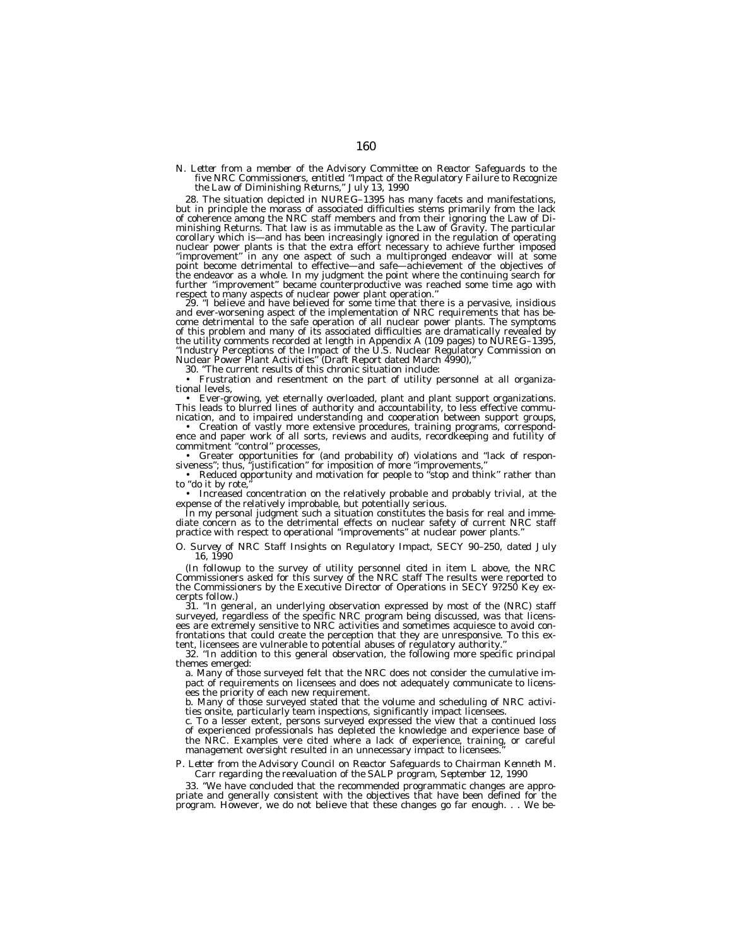# N. Letter from a member of the Advisory Committee on Reactor Safeguards to the<br>five NRC Commissioners, entitled "Impact of the Regulatory Failure to Recognize<br>the Law of Diminishing Returns," July 13, 1990

28. The situation depicted in NUREG-1395 has many facets and manifestations,<br>but in principle the morass of associated difficulties stems primarily from the lack<br>of coherence among the NRC staff members and from their igno minishing Returns. That law is as immutable as the Law of Gravity. The particular corollary which is—and has been increasingly ignored in the regulation of operating nuclear power plants is that the extra effort necessary to achieve further imposed ''improvement'' in any one aspect of such a multipronged endeavor will at some point become detrimental to effective—and safe—achievement of the objectives of the endeavor as a whole. In my judgment the point where the continuing search for<br>further "improvement" became counterproductive was reached some time ago with<br>respect to many aspects of nuclear power plant operation."<br>29.

and ever-worsening aspect of the implementation of NRC requirements that has be-<br>come detrimental to the safe operation of all nuclear power plants. The symptoms<br>of this problem and many of its associated difficulties are the utility comments recorded at length in Appendix A (109 pages) to NUREG–1395,<br>"Industry Perceptions of the Impact of the U.S. Nuclear Regulatory Commission on<br>Nuclear Power Plant Activities" (Draft Report dated March 49

30. ''The current results of this chronic situation include:

• Frustration and resentment on the part of utility personnel at all organizational levels,

• Ever-growing, yet eternally overloaded, plant and plant support organizations. This leads to blurred lines of authority and accountability, to less effective communication, and to impaired understanding and cooperation between support groups,

• Creation of vastly more extensive procedures, training programs, correspondence and paper work of all sorts, reviews and audits, recordkeeping and futility of commitment ''control'' processes,

• Greater opportunities for (and probability of) violations and ''lack of respon-siveness''; thus, ''justification'' for imposition of more ''improvements,''

• Reduced opportunity and motivation for people to "stop and think" rather than to "do it by rote,

• Increased concentration on the relatively probable and probably trivial, at the expense of the relatively improbable, but potentially serious.

In my personal judgment such a situation constitutes the basis for real and immediate concern as to the detrimental effects on nuclear safety of current NRC staff practice with respect to operational ''improvements'' at nuclear power plants.''

*O. Survey of NRC Staff Insights on Regulatory Impact, SECY 90–250, dated July 16, 1990*

(In followup to the survey of utility personnel cited in item L above, the NRC Commissioners asked for this survey of the NRC staff The results were reported to the Commissioners by the Executive Director of Operations in SECY 9?250 Key excerpts follow.)

31. ''In general, an underlying observation expressed by most of the (NRC) staff surveyed, regardless of the specific NRC program being discussed, was that licensees are extremely sensitive to NRC activities and sometimes acquiesce to avoid confrontations that could create the perception that they are unresponsive. To this extent, licensees are vulnerable to potential abuses of regulatory authority.''

32. ''In addition to this general observation, the following more specific principal themes emerged:

a. Many of those surveyed felt that the NRC does not consider the cumulative impact of requirements on licensees and does not adequately communicate to licensees the priority of each new requirement.

b. Many of those surveyed stated that the volume and scheduling of NRC activities onsite, particularly team inspections, significantly impact licensees.

c. To a lesser extent, persons surveyed expressed the view that a continued loss of experienced professionals has depleted the knowledge and experience base of the NRC. Examples vere cited where a lack of experience, training, or careful management oversight resulted in an unnecessary impact to licensees

# *P. Letter from the Advisory Council on Reactor Safeguards to Chairman Kenneth M. Carr regarding the reevaluation of the SALP program, September 12, 1990*

33. ''We have concluded that the recommended programmatic changes are appropriate and generally consistent with the objectives that have been defined for the program. However, we do not believe that these changes go far enough. . . We be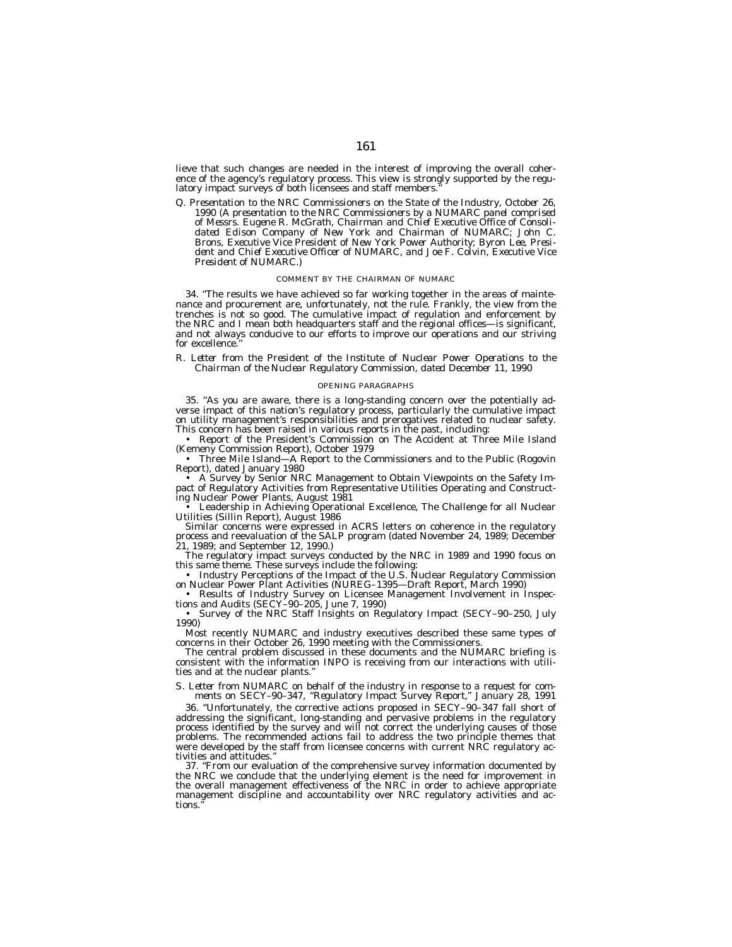lieve that such changes are needed in the interest of improving the overall coherence of the agency's regulatory process. This view is strongly supported by the regulatory impact surveys of both licensees and staff members

*Q. Presentation to the NRC Commissioners on the State of the Industry, October 26, 1990 (A presentation to the NRC Commissioners by a NUMARC panel comprised of Messrs. Eugene R. McGrath, Chairman and Chief Executive Office of Consolidated Edison Company of New York and Chairman of NUMARC; John C.* Brons, Executive Vice President of New York Power Authority; Byron Lee, Presi*dent and Chief Executive Officer of NUMARC, and Joe F. Colvin, Executive Vice President of NUMARC.)*

#### COMMENT BY THE CHAIRMAN OF NUMARC

34. "The results we have achieved so far working together in the areas of maintenance and procurement are, unfortunately, not the rule. Frankly, the view from the trenches is not so good. The cumulative impact of regulation and enforcement by the NRC and I mean both headquarters staff and the regional offices—is significant, and not always conducive to our efforts to improve our operations and our striving for excellence.

*R. Letter from the President of the Institute of Nuclear Power Operations to the Chairman of the Nuclear Regulatory Commission, dated December 11, 1990*

#### OPENING PARAGRAPHS

35. ''As you are aware, there is a long-standing concern over the potentially adverse impact of this nation's regulatory process, particularly the cumulative impact on utility management's responsibilities and prerogatives related to nuclear safety. This concern has been raised in various reports in the past, including:

• Report of the President's Commission on The Accident at Three Mile Island (Kemeny Commission Report), October 1979

• Three Mile Island—A Report to the Commissioners and to the Public (Rogovin Report), dated January 1980

• A Survey by Senior NRC Management to Obtain Viewpoints on the Safety Impact of Regulatory Activities from Representative Utilities Operating and Constructing Nuclear Power Plants, August 1981

• Leadership in Achieving Operational Excellence, The Challenge for all Nuclear Utilities (Sillin Report), August 1986

Similar concerns were expressed in ACRS letters on coherence in the regulatory process and reevaluation of the SALP program (dated November 24, 1989; December 21, 1989; and September 12, 1990.)

The regulatory impact surveys conducted by the NRC in 1989 and 1990 focus on this same theme. These surveys include the following:

• Industry Perceptions of the Impact of the U.S. Nuclear Regulatory Commission on Nuclear Power Plant Activities (NUREG–1395—Draft Report, March 1990)

• Results of Industry Survey on Licensee Management Involvement in Inspections and Audits (SECY–90–205, June 7, 1990)

• Survey of the NRC Staff Insights on Regulatory Impact (SECY–90–250, July 1990)

Most recently NUMARC and industry executives described these same types of concerns in their October 26, 1990 meeting with the Commissioners.

The central problem discussed in these documents and the NUMARC briefing is consistent with the information INPO is receiving from our interactions with utilities and at the nuclear plants.''

*S. Letter from NUMARC on behalf of the industry in response to a request for comments on SECY–90–347, ''Regulatory Impact Survey Report,'' January 28, 1991*

36. ''Unfortunately, the corrective actions proposed in SECY–90–347 fall short of addressing the significant, long-standing and pervasive problems in the regulatory process identified by the survey and will not correct the underlying causes of those problems. The recommended actions fail to address the two principle themes that were developed by the staff from licensee concerns with current NRC regulatory activities and attitudes.

37. ''From our evaluation of the comprehensive survey information documented by the NRC we conclude that the underlying element is the need for improvement in the overall management effectiveness of the NRC in order to achieve appropriate management discipline and accountability over NRC regulatory activities and actions.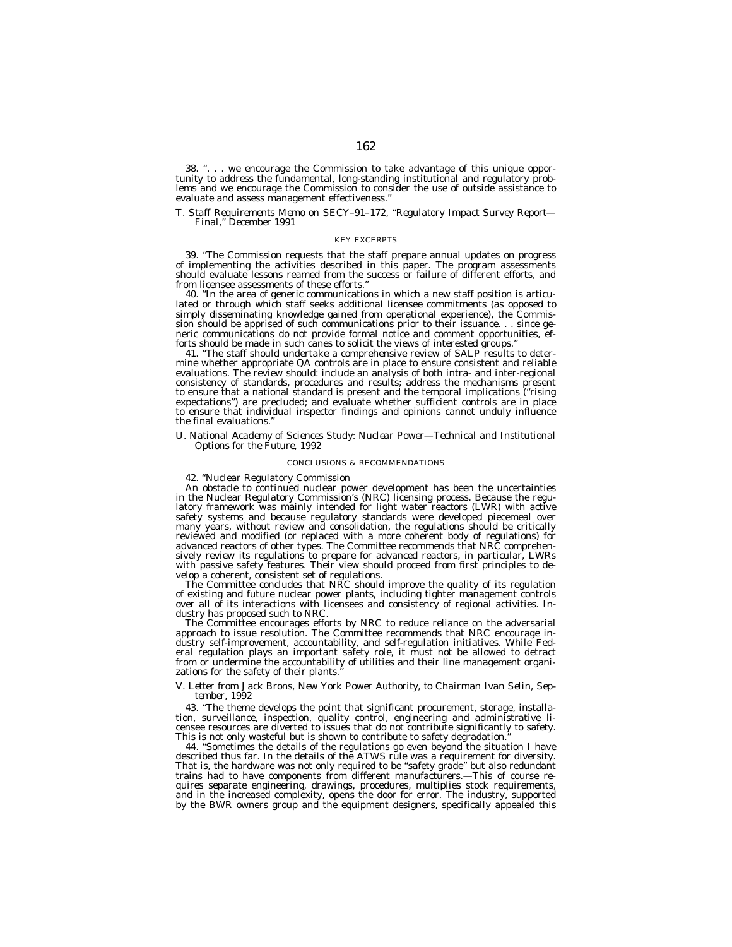38. ''. . . we encourage the Commission to take advantage of this unique opportunity to address the fundamental, long-standing institutional and regulatory problems and we encourage the Commission to consider the use of outside assistance to evaluate and assess management effectiveness.''

### *T. Staff Requirements Memo on SECY–91–172, ''Regulatory Impact Survey Report— Final,'' December 1991*

#### KEY EXCERPTS

39. ''The Commission requests that the staff prepare annual updates on progress of implementing the activities described in this paper. The program assessments should evaluate lessons reamed from the success or failure of different efforts, and from licensee assessments of these efforts.''

40. ''In the area of generic communications in which a new staff position is articulated or through which staff seeks additional licensee commitments (as opposed to simply disseminating knowledge gained from operational experience), the Commission should be apprised of such communications prior to their issuance. . . since generic communications do not provide formal notice and comment opportunities, efforts should be made in such canes to solicit the views of interested groups.''

41. ''The staff should undertake a comprehensive review of SALP results to determine whether appropriate QA controls are in place to ensure consistent and reliable evaluations. The review should: include an analysis of both intra- and inter-regional consistency of standards, procedures and results; address the mechanisms present to ensure that a national standard is present and the temporal implications (''rising expectations") are precluded; and evaluate whether sufficient controls are in place to ensure that individual inspector findings and opinions cannot unduly influence the final evaluations.

#### *U. National Academy of Sciences Study: Nuclear Power—Technical and Institutional Options for the Future, 1992*

#### CONCLUSIONS & RECOMMENDATIONS

42. ''Nuclear Regulatory Commission

An obstacle to continued nuclear power development has been the uncertainties in the Nuclear Regulatory Commission's (NRC) licensing process. Because the regulatory framework was mainly intended for light water reactors (LWR) with active safety systems and because regulatory standards were developed piecemeal over many years, without review and consolidation, the regulations should be critically reviewed and modified (or replaced with a more coherent body of regulations) for advanced reactors of other types. The Committee recommends that NRC comprehensively review its regulations to prepare for advanced reactors, in particular, LWRs with passive safety features. Their view should proceed from first principles to develop a coherent, consistent set of regulations.

The Committee concludes that NRC should improve the quality of its regulation of existing and future nuclear power plants, including tighter management controls over all of its interactions with licensees and consistency of regional activities. Industry has proposed such to NRC.

The Committee encourages efforts by NRC to reduce reliance on the adversarial approach to issue resolution. The Committee recommends that NRC encourage industry self-improvement, accountability, and self-regulation initiatives. While Federal regulation plays an important safety role, it must not be allowed to detract from or undermine the accountability of utilities and their line management organizations for the safety of their plants.

#### *V. Letter from Jack Brons, New York Power Authority, to Chairman Ivan Selin, September, 1992*

43. ''The theme develops the point that significant procurement, storage, installation, surveillance, inspection, quality control, engineering and administrative licensee resources are diverted to issues that do not contribute significantly to safety. This is not only wasteful but is shown to contribute to safety degradation.''

44. ''Sometimes the details of the regulations go even beyond the situation I have described thus far. In the details of the ATWS rule was a requirement for diversity. That is, the hardware was not only required to be ''safety grade'' but also redundant trains had to have components from different manufacturers.—This of course requires separate engineering, drawings, procedures, multiplies stock requirements, and in the increased complexity, opens the door for error. The industry, supported by the BWR owners group and the equipment designers, specifically appealed this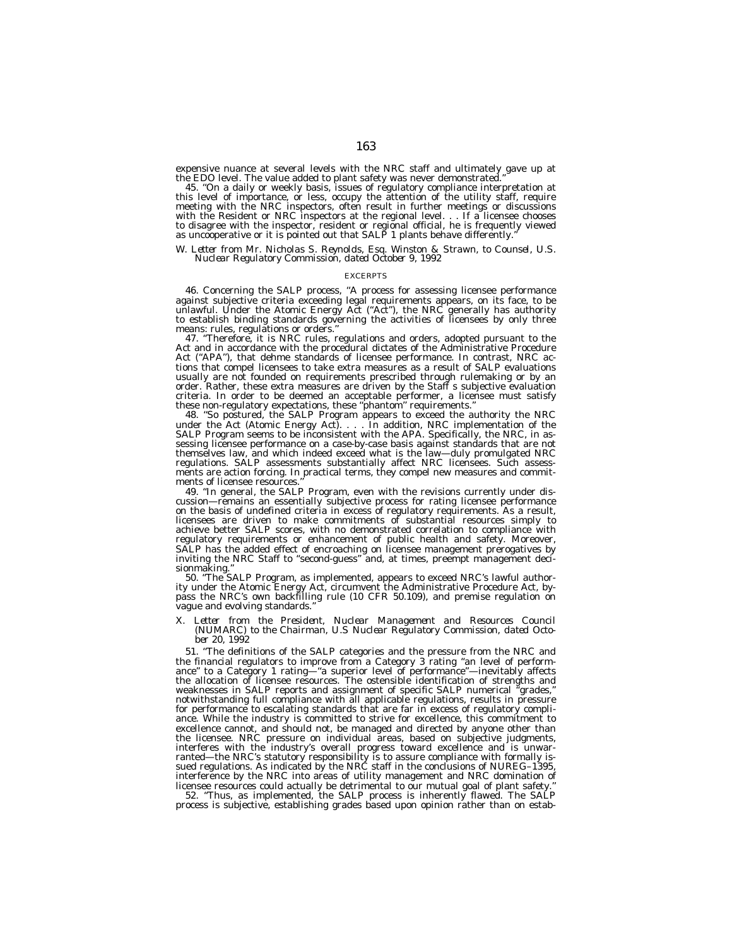expensive nuance at several levels with the NRC staff and ultimately gave up at the EDO level. The value added to plant safety was never demonstrated."

the EDO level. The value added to plant safety was never demonstrated."<br>45. "On a daily or weekly basis, issues of regulatory compliance interpretation at<br>this level of importance, or less, occupy the attention of the util with the Resident or NRC inspectors at the regional level. . . If a licensee chooses<br>to disagree with the inspector, resident or regional official, he is frequently viewed<br>as uncooperative or it is pointed out that SALP 1

# *W. Letter from Mr. Nicholas S. Reynolds, Esq. Winston & Strawn, to Counsel, U.S. Nuclear Regulatory Commission, dated October 9, 1992*

#### **EXCERPTS**

46. Concerning the SALP process, ''A process for assessing licensee performance against subjective criteria exceeding legal requirements appears, on its face, to be unlawful. Under the Atomic Energy Act (''Act''), the NRC generally has authority unlawful. Under the Atomic Energy Act ("Act"), the NRC generally has authority to establish binding standards governing the activities of licensees by only three means: rules, regulations or orders.''

47. ''Therefore, it is NRC rules, regulations and orders, adopted pursuant to the Act and in accordance with the procedural dictates of the Administrative Procedure Act (''APA''), that dehme standards of licensee performance. In contrast, NRC actions that compel licensees to take extra measures as a result of SALP evaluations usually are not founded on requirements prescribed through rulemaking or by an order. Rather, these extra measures are driven by the Staff s subjective evaluation criteria. In order to be deemed an acceptable performer, a licensee must satisfy these non-regulatory expectations, these ''phantom'' requirements.''

48. ''So postured, the SALP Program appears to exceed the authority the NRC under the Act (Atomic Energy Act). . . . In addition, NRC implementation of the SALP Program seems to be inconsistent with the APA. Specifically, the NRC, in assessing licensee performance on a case-by-case basis against standards that are not themselves law, and which indeed exceed what is the law—duly promulgated NRC regulations. SALP assessments substantially affect NRC licensees. Such assessments are action forcing. In practical terms, they compel new measures and commitments of licensee resources

49. ''In general, the SALP Program, even with the revisions currently under discussion—remains an essentially subjective process for rating licensee performance on the basis of undefined criteria in excess of regulatory requirements. As a result, licensees are driven to make commitments of substantial resources simply to achieve better SALP scores, with no demonstrated correlation to compliance with regulatory requirements or enhancement of public health and safety. Moreover, SALP has the added effect of encroaching on licensee management prerogatives by inviting the NRC Staff to ''second-guess'' and, at times, preempt management decisionmaking.

50. ''The SALP Program, as implemented, appears to exceed NRC's lawful authority under the Atomic Energy Act, circumvent the Administrative Procedure Act, bypass the NRC's own backfilling rule (10 CFR 50.109), and premise regulation on vague and evolving standards.''

#### *X. Letter from the President, Nuclear Management and Resources Council (NUMARC) to the Chairman, U.S Nuclear Regulatory Commission, dated October 20, 1992*

51. ''The definitions of the SALP categories and the pressure from the NRC and the financial regulators to improve from a Category 3 rating ''an level of performance'' to a Category 1 rating—''a superior level of performance''—inevitably affects the allocation of licensee resources. The ostensible identification of strengths and weaknesses in SALP reports and assignment of specific SALP numerical "grades, notwithstanding full compliance with all applicable regulations, results in pressure for performance to escalating standards that are far in excess of regulatory compliance. While the industry is committed to strive for excellence, this commitment to excellence cannot, and should not, be managed and directed by anyone other than the licensee. NRC pressure on individual areas, based on subjective judgments, interferes with the industry's overall progress toward excellence and is unwarranted—the NRC's statutory responsibility is to assure compliance with formally issued regulations. As indicated by the NRC staff in the conclusions of NUREG–1395, interference by the NRC into areas of utility management and NRC domination of licensee resources could actually be detrimental to our mutual goal of plant safety.

52. ''Thus, as implemented, the SALP process is inherently flawed. The SALP process is subjective, establishing grades based upon opinion rather than on estab-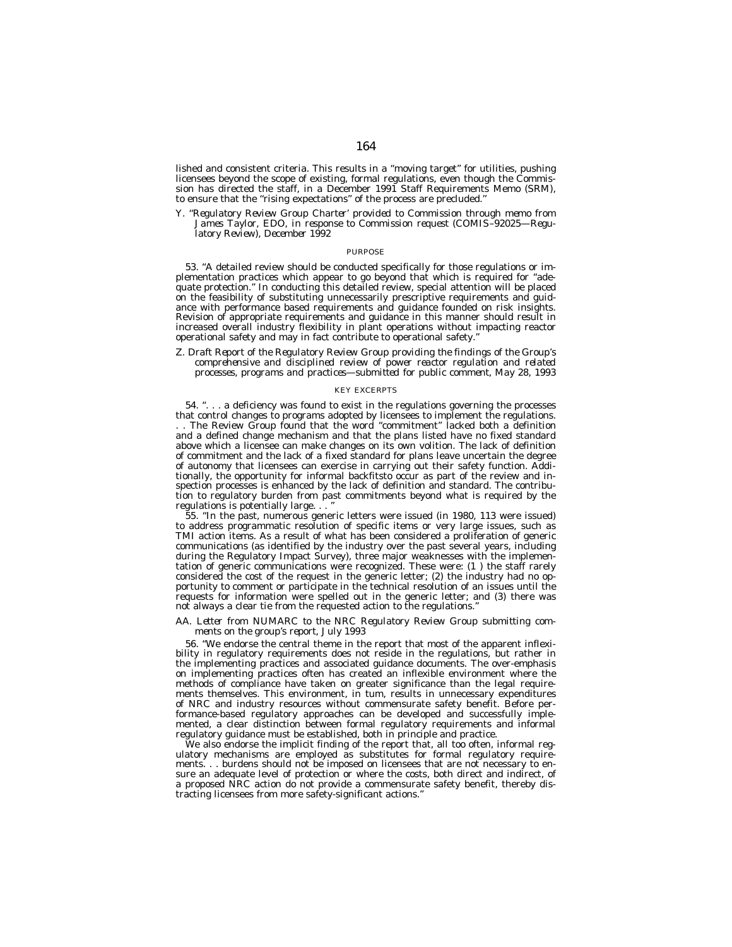lished and consistent criteria. This results in a ''moving target'' for utilities, pushing licensees beyond the scope of existing, formal regulations, even though the Commission has directed the staff, in a December 1991 Staff Requirements Memo (SRM), to ensure that the ''rising expectations'' of the process are precluded.''

*Y. ''Regulatory Review Group Charter' provided to Commission through memo from James Taylor, EDO, in response to Commission request (COMIS–92025—Regulatory Review), December 1992*

#### PURPOSE

53. ''A detailed review should be conducted specifically for those regulations or implementation practices which appear to go beyond that which is required for ''adequate protection.'' In conducting this detailed review, special attention will be placed on the feasibility of substituting unnecessarily prescriptive requirements and guidance with performance based requirements and guidance founded on risk insights. Revision of appropriate requirements and guidance in this manner should result in increased overall industry flexibility in plant operations without impacting reactor operational safety and may in fact contribute to operational safety.''

# *Z. Draft Report of the Regulatory Review Group providing the findings of the Group's comprehensive and disciplined review of power reactor regulation and related processes, programs and practices—submitted for public comment, May 28, 1993*

#### KEY EXCERPTS

54. ". . . a deficiency was found to exist in the regulations governing the processes that control changes to programs adopted by licensees to implement the regulations. . . The Review Group found that the word ''commitment'' lacked both a definition and a defined change mechanism and that the plans listed have no fixed standard above which a licensee can make changes on its own volition. The lack of definition of commitment and the lack of a fixed standard for plans leave uncertain the degree of autonomy that licensees can exercise in carrying out their safety function. Additionally, the opportunity for informal backfitsto occur as part of the review and inspection processes is enhanced by the lack of definition and standard. The contribution to regulatory burden from past commitments beyond what is required by the regulations is potentially large. . .

55. ''In the past, numerous generic letters were issued (in 1980, 113 were issued) to address programmatic resolution of specific items or very large issues, such as TMI action items. As a result of what has been considered a proliferation of generic communications (as identified by the industry over the past several years, including during the Regulatory Impact Survey), three major weaknesses with the implementation of generic communications were recognized. These were: (1 ) the staff rarely considered the cost of the request in the generic letter; (2) the industry had no opportunity to comment or participate in the technical resolution of an issues until the requests for information were spelled out in the generic letter; and (3) there was not always a clear tie from the requested action to the regulations.''

# *AA. Letter from NUMARC to the NRC Regulatory Review Group submitting comments on the group's report, July 1993*

56. ''We endorse the central theme in the report that most of the apparent inflexibility in regulatory requirements does not reside in the regulations, but rather in the implementing practices and associated guidance documents. The over-emphasis on implementing practices often has created an inflexible environment where the methods of compliance have taken on greater significance than the legal requirements themselves. This environment, in tum, results in unnecessary expenditures of NRC and industry resources without commensurate safety benefit. Before performance-based regulatory approaches can be developed and successfully implemented, a clear distinction between formal regulatory requirements and informal regulatory guidance must be established, both in principle and practice.

We also endorse the implicit finding of the report that, all too often, informal regulatory mechanisms are employed as substitutes for formal regulatory requirements. . . burdens should not be imposed on licensees that are not necessary to ensure an adequate level of protection or where the costs, both direct and indirect, of a proposed NRC action do not provide a commensurate safety benefit, thereby distracting licensees from more safety-significant actions.''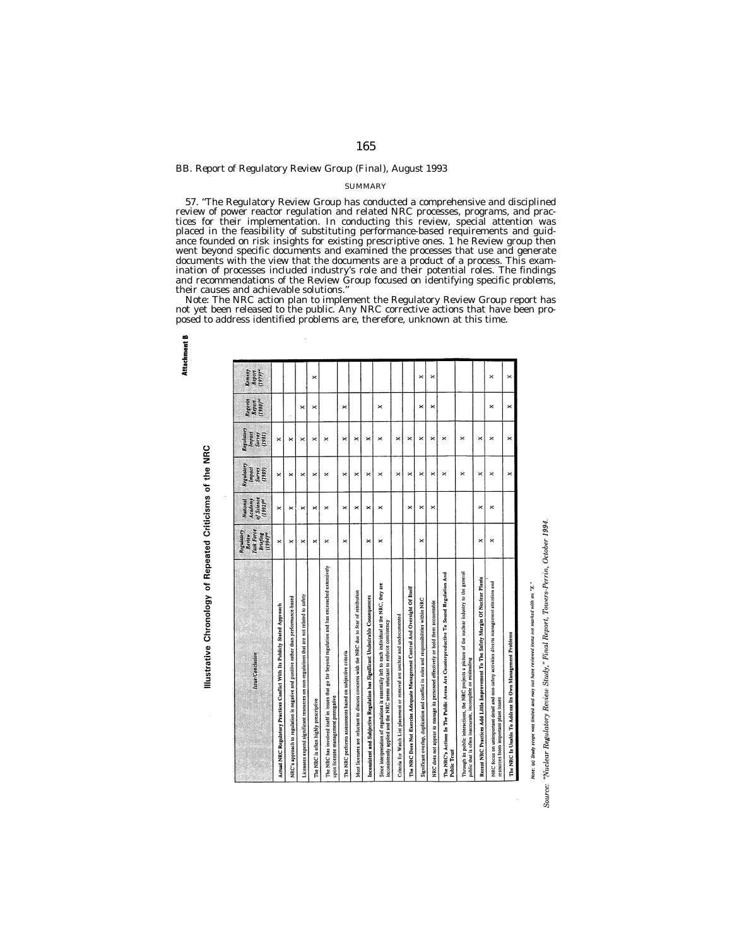# *BB. Report of Regulatory Review Group (Final), August 1993*

**Attachment** 

Illustrative Chronology of Repeated Criticisms of the NRC

# **SUMMARY**

57. ''The Regulatory Review Group has conducted a comprehensive and disciplined review of power reactor regulation and related NRC processes, programs, and practices for their implementation. In conducting this review, special attention was placed in the feasibility of substituting performance-based requirements and guidance founded on risk insights for existing prescriptive ones. 1 he Review group then went beyond specific documents and examined the processes that use and generate documents with the view that the documents are a product of a process. This examination of processes included industry's role and their potential roles. The findings and recommendations of the Review Group focused on identifying specific problems, their causes and achievable solutions.''

Note: The NRC action plan to implement the Regulatory Review Group report has not yet been released to the public. Any NRC corrective actions that have been proposed to address identified problems are, therefore, unknown at this time.

| Issue/Conclusion                                                                                                                                                             | Task Force<br>Central<br>Review<br>$s(e^{i\theta})$<br><b>Briefing</b> | of Science<br><b>Academy</b><br>$(1992)^{61}$<br>National | Regulatory<br>Impact<br><b>Survey</b><br>(1989) | Regulatory<br>Inpact<br>Saray<br>(1981) | $(1980)^{4}$<br>Rogorin<br>Report | (iij)<br>Keneny<br>Report |
|------------------------------------------------------------------------------------------------------------------------------------------------------------------------------|------------------------------------------------------------------------|-----------------------------------------------------------|-------------------------------------------------|-----------------------------------------|-----------------------------------|---------------------------|
| Actual NRC Regulatory Practices Conflict With Its Publicly Stated Approach                                                                                                   | ×                                                                      | ×                                                         | ×                                               | ×                                       |                                   |                           |
| NRC's approach to regulation is negative and punitive rather than performance-based                                                                                          | ×                                                                      | ×                                                         | ×                                               | ×                                       |                                   |                           |
| Licensees expend significant resources on non-regulations that are not related to safety                                                                                     | $\boldsymbol{\times}$                                                  | ×                                                         | ×                                               | ×                                       | ×                                 |                           |
| The NRC is often highly prescriptive                                                                                                                                         | ×                                                                      | ×                                                         | ×                                               | ×                                       | ×                                 | ×                         |
| The NRC has involved itself in issues that go far beyond regulation and has encroached extensively<br>upon licensee management prerogative                                   | ×                                                                      | ×                                                         | $\times$                                        | ×                                       |                                   |                           |
| The NRC performs assessments based on subjective criteria                                                                                                                    | $\mathbf{\times}$                                                      | ×                                                         | ×                                               | ×                                       | ×                                 |                           |
| Most licensees are reluctant to discuss concerns with the NRC due to fear of retribution                                                                                     |                                                                        | $\times$                                                  | $\boldsymbol{\times}$                           | ×                                       |                                   |                           |
| Inconsistent and Subjective Regulation has Significant Undesirable Consequences                                                                                              | $\times$                                                               | ×                                                         | $\boldsymbol{\times}$                           | ×                                       |                                   |                           |
| Since interpretation of regulations is essentially left to each individual at the NRC, they are<br>inconsistently applied and the NRC seems reluctant to enforce consistency | $\times$                                                               | $\times$                                                  | ×                                               | ×                                       | ×                                 |                           |
| Criteria for Watch List placement or removal are unclear and undocumented                                                                                                    |                                                                        |                                                           | ×                                               | ×                                       |                                   |                           |
| The NRC Does Not Exercise Adequate Management Control And Oversight Of Itself                                                                                                |                                                                        | ×                                                         | ×                                               | ×                                       |                                   |                           |
| Significant overlap, duplication and conflict in roles and responsibilities within NRC                                                                                       | ×                                                                      | ×                                                         | $\boldsymbol{\times}$                           | ×                                       | ×                                 | ×                         |
| NRC does not appear to manage its personnel effectively or hold them accountable                                                                                             |                                                                        | ×                                                         | ×                                               | ×                                       | $\times$                          | ×                         |
| The NRC's Actions In The Public Arena Are Counterproductive To Sound Regulation And<br>Public Trust                                                                          |                                                                        |                                                           | $\boldsymbol{\times}$                           | $\times$                                |                                   |                           |
| Through its public interactions, the NRC projects a picture of the nuclear industry to the general<br>public that is often inaccurate, incomplete or misleading              |                                                                        |                                                           | $\boldsymbol{\times}$                           | ×                                       |                                   |                           |
| Recent NRC Practices Add Little Improvement To The Safety Margin Of Nuclear Plants                                                                                           | ×                                                                      | ×                                                         | $\times$                                        | ×                                       |                                   |                           |
| NRC focus on unimportant detail and non-safety activities diverts management attention and<br>resources from important plant issues                                          | ×                                                                      | ×                                                         | ×                                               | ×                                       | ×                                 | ×                         |
| The NRC Is Unable To Address Its Own Management Problems                                                                                                                     |                                                                        |                                                           | $\boldsymbol{\times}$                           | ×                                       | ×                                 | ×                         |

Note: (a) Study scope was limited and may not have reviewed items not marked with an "X."

"Nuclear Regulatory Review Study," Final Report, Towers-Perrin, October 1994. Source: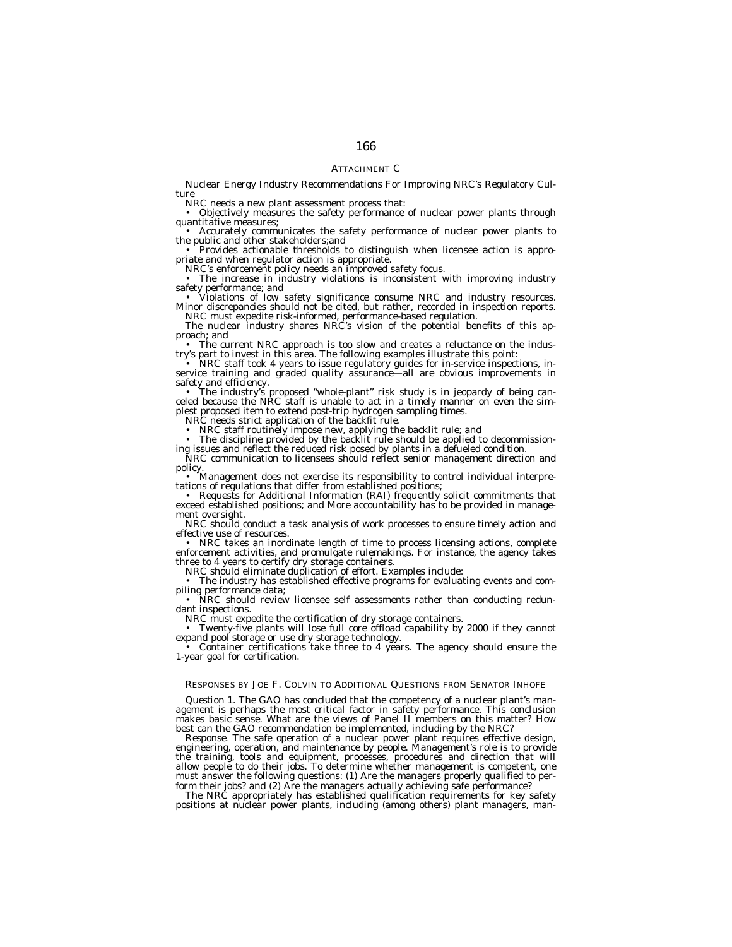# ATTACHMENT C

Nuclear Energy Industry Recommendations For Improving NRC's Regulatory Culture

NRC needs a new plant assessment process that:

• Objectively measures the safety performance of nuclear power plants through quantitative measures:

• Accurately communicates the safety performance of nuclear power plants to<br>the public and other stakeholders;<br>and<br>priate and when regulator action is appropriate.<br>and when regulator action is appropriate.<br>NRC's enforcemen

safety performance; and<br>• Violations of low safety significance consume NRC and industry resources.<br>Minor discrepancies should not be cited, but rather, recorded in inspection reports.

NRC must expedite risk-informed, performance-based regulation.<br>The nuclear industry shares NRC's vision of the potential benefits of this ap-

proach; and<br>• The current NRC approach is too slow and creates a reluctance on the indus-

• The following examples illustrate this point:<br>• NRC staff took 4 years to issue regulatory guides for in-service inspections, in-<br>service training and graded quality assurance—all are obvious improvements in<br>safety and e

**Safety** and efficiency. The industry's proposed "whole-plant" risk study is in jeopardy of being can-<br>celed because the NRC staff is unable to act in a timely manner on even the simplest proposed item to extend post-trip hydrogen sampling times. NRC needs strict application of the backfit rule.

• NRC staff routinely impose new, applying the backlit rule; and<br>• The discipline provided by the backlit rule should be applied to decommission-<br>ing issues and reflect the reduced risk posed by plants in a defueled condit

NRC should conduct a task analysis of work processes to ensure timely action and effective use of resources.<br>• NRC takes an inordinate length of time to process licensing actions, complete enforcement activities, and promu three to 4 years to certify dry storage containers. NRC should eliminate duplication of effort. Examples include:

• The industry has established effective programs for evaluating events and compiling performance data; • NRC should review licensee self assessments rather than conducting redundant inspections.

NRC must expedite the certification of dry storage containers.<br>• Twenty-five plants will lose full core offload capability by 2000 if they cannot

expand pool storage or use dry storage technology.<br>• Container certifications take three to 4 years. The agency should ensure the 1-year goal for certification.

# RESPONSES BY JOE F. COLVIN TO ADDITIONAL QUESTIONS FROM SENATOR INHOFE

*Question 1.* The GAO has concluded that the competency of a nuclear plant's man-agement is perhaps the most critical factor in safety performance. This conclusion makes basic sense. What are the views of Panel II members on this matter? How best can the GAO recommendation be implemented, including by the NRC?

*Response.* The safe operation of a nuclear power plant requires effective design, engineering, operation, and maintenance by people. Management's role is to provide the training, tools and equipment, processes, procedures and direction that will allow people to do their jobs. To determine whether management is competent, one must answer the following questions: (1) Are the managers properly qualified to perform their jobs? and (2) Are the managers actually achieving safe performance?

The NRC appropriately has established qualification requirements for key safety positions at nuclear power plants, including (among others) plant managers, man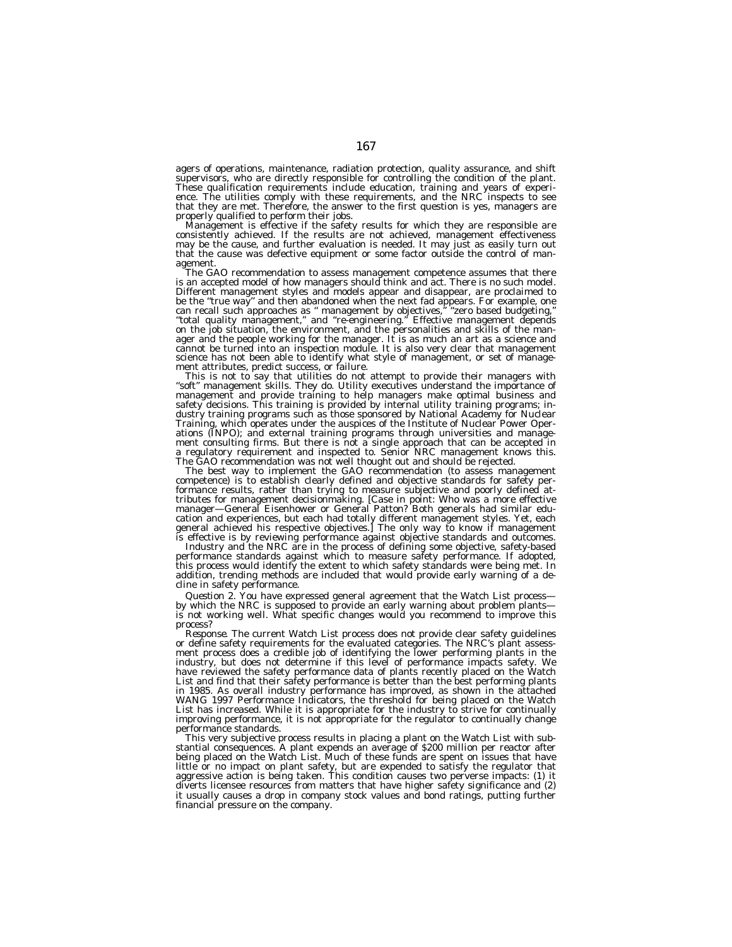agers of operations, maintenance, radiation protection, quality assurance, and shift supervisors, who are directly responsible for controlling the condition of the plant.<br>These qualification requirements include education, training and years of experi-<br>ence. The utilities comply with these requirements, an

properly qualified to perform their jobs.<br>Management is effective if the safety results for which they are responsible are<br>consistently achieved. If the results are not achieved, management effectiveness<br>may be the cause, that the cause was defective equipment or some factor outside the control of man-<br>agement.

The GAO recommendation to assess management competence assumes that there is an accepted model of how managers should think and act. There is no such model. Different management styles and models appear and disappear, are proclaimed to<br>be the "true way" and then abandoned when the next fad appears. For example, one<br>can recall such approaches as " management by objectives," "ze science has not been able to identify what style of management, or set of management attributes, predict success, or failure.

This is not to say that utilities do not attempt to provide their managers with<br>"soft" management skills. They do. Utility executives understand the importance of<br>management and provide training to help managers make optim

The GAO recommendation was not well thought out and should be rejected.<br>The best way to implement the GAO recommendation (to assess management formance results, rather than trying to measure subjective and poorly defined at-<br>tributes for management decisionmaking. [Case in point: Who was a more effective<br>manager—General Eisenhower or General Patton? Both generals cation and experiences, but each had totally different management styles. Yet, each general achieved his respective objectives.] The only way to know if management

is effective is by reviewing performance against objective standards and outcomes.<br>Industry and the NRC are in the process of defining some objective, safety-based this process would identify the extent to which safety standards were being met. In addition, trending methods are included that would provide early warning of a decline in safety performance.

*Question 2.* You have expressed general agreement that the Watch List process—<br>by which the NRC is supposed to provide an early warning about problem plants—<br>is not working well. What specific changes would you recommend process?

*Response.* The current Watch List process does not provide clear safety guidelines or define safety requirements for the evaluated categories. The NRC's plant assessment process does a credible job of identifying the lower performing plants in the industry, but does not determine if this level of performance impacts safety. We have reviewed the safety performance data of plants recently placed on the Watch List and find that their safety performance is better than the best performing plants in 1985. As overall industry performance has improved, as shown in the attached<br>WANG 1997 Performance Indicators, the threshold for being placed on the Watch<br>List has increased. While it is appropriate for the industry to improving performance, it is not appropriate for the regulator to continually change performance standards.

This very subjective process results in placing a plant on the Watch List with substantial consequences. A plant expends an average of \$200 million per reactor after being placed on the Watch List. Much of these funds are spent on issues that have little or no impact on plant safety, but are expended to satisfy the regulator that aggressive action is being taken. This condition causes two perverse impacts: (1) it diverts licensee resources from matters that have higher safety significance and (2) it usually causes a drop in company stock values and bond ratings, putting further financial pressure on the company.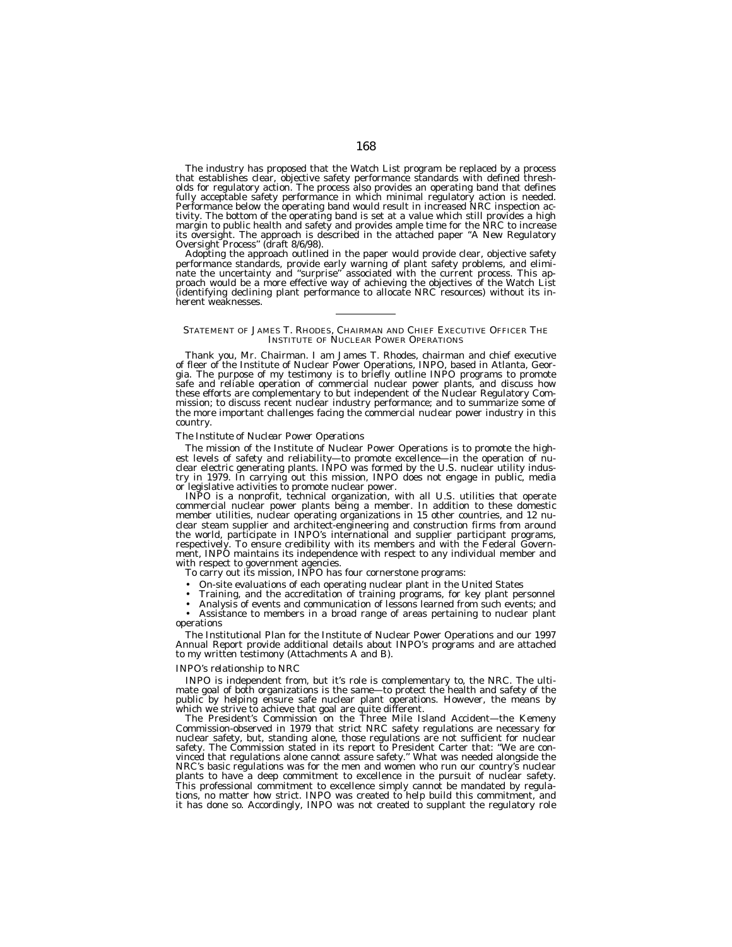The industry has proposed that the Watch List program be replaced by a process<br>that establishes clear, objective safety performance standards with defined thresh-<br>olds for regulatory action. The process also provides an op fully acceptable safety performance in which minimal regulatory action is needed. Performance below the operating band would result in increased NRC inspection activity. The bottom of the operating band is set at a value which still provides a high margin to public health and safety and provides ample time for the NRC to increase its oversight. The approach is described in the attached paper ''A New Regulatory Oversight Process'' (draft 8/6/98).

Adopting the approach outlined in the paper would provide clear, objective safety performance standards, provide early warning of plant safety problems, and eliminate the uncertainty and ''surprise'' associated with the current process. This approach would be a more effective way of achieving the objectives of the Watch List (identifying declining plant performance to allocate NRC resources) without its inherent weaknesses.

#### STATEMENT OF JAMES T. RHODES, CHAIRMAN AND CHIEF EXECUTIVE OFFICER THE INSTITUTE OF NUCLEAR POWER OPERATIONS

Thank you, Mr. Chairman. I am James T. Rhodes, chairman and chief executive of fleer of the Institute of Nuclear Power Operations, INPO, based in Atlanta, Georgia. The purpose of my testimony is to briefly outline INPO programs to promote safe and reliable operation of commercial nuclear power plants, and discuss how these efforts are complementary to but independent of the Nuclear Regulatory Commission; to discuss recent nuclear industry performance; and to summarize some of the more important challenges facing the commercial nuclear power industry in this country.

#### *The Institute of Nuclear Power Operations*

The mission of the Institute of Nuclear Power Operations is to promote the highest levels of safety and reliability—to promote excellence—in the operation of nuclear electric generating plants. INPO was formed by the U.S. nuclear utility industry in 1979. In carrying out this mission, INPO does not engage in public, media or legislative activities to promote nuclear power.

INPO is a nonprofit, technical organization, with all U.S. utilities that operate commercial nuclear power plants being a member. In addition to these domestic member utilities, nuclear operating organizations in 15 other countries, and 12 nuclear steam supplier and architect-engineering and construction firms from around the world, participate in INPO's international and supplier participant programs, respectively. To ensure credibility with its members and with the Federal Government, INPO maintains its independence with respect to any individual member and with respect to government agencies.

To carry out its mission, INPO has four cornerstone programs:

- On-site evaluations of each operating nuclear plant in the United States
- Training, and the accreditation of training programs, for key plant personnel

• Analysis of events and communication of lessons learned from such events; and • Assistance to members in a broad range of areas pertaining to nuclear plant

operations The Institutional Plan for the Institute of Nuclear Power Operations and our 1997

Annual Report provide additional details about INPO's programs and are attached to my written testimony (Attachments A and B).

# *INPO's relationship to NRC*

INPO is independent from, but it's role is complementary to, the NRC. The ultimate goal of both organizations is the same—to protect the health and safety of the public by helping ensure safe nuclear plant operations. However, the means by which we strive to achieve that goal are quite different.

The President's Commission on the Three Mile Island Accident—the Kemeny Commission-observed in 1979 that strict NRC safety regulations are necessary for nuclear safety, but, standing alone, those regulations are not sufficient for nuclear safety. The Commission stated in its report to President Carter that: ''We are convinced that regulations alone cannot assure safety.'' What was needed alongside the NRC's basic regulations was for the men and women who run our country's nuclear plants to have a deep commitment to excellence in the pursuit of nuclear safety. This professional commitment to excellence simply cannot be mandated by regulations, no matter how strict. INPO was created to help build this commitment, and it has done so. Accordingly, INPO was not created to supplant the regulatory role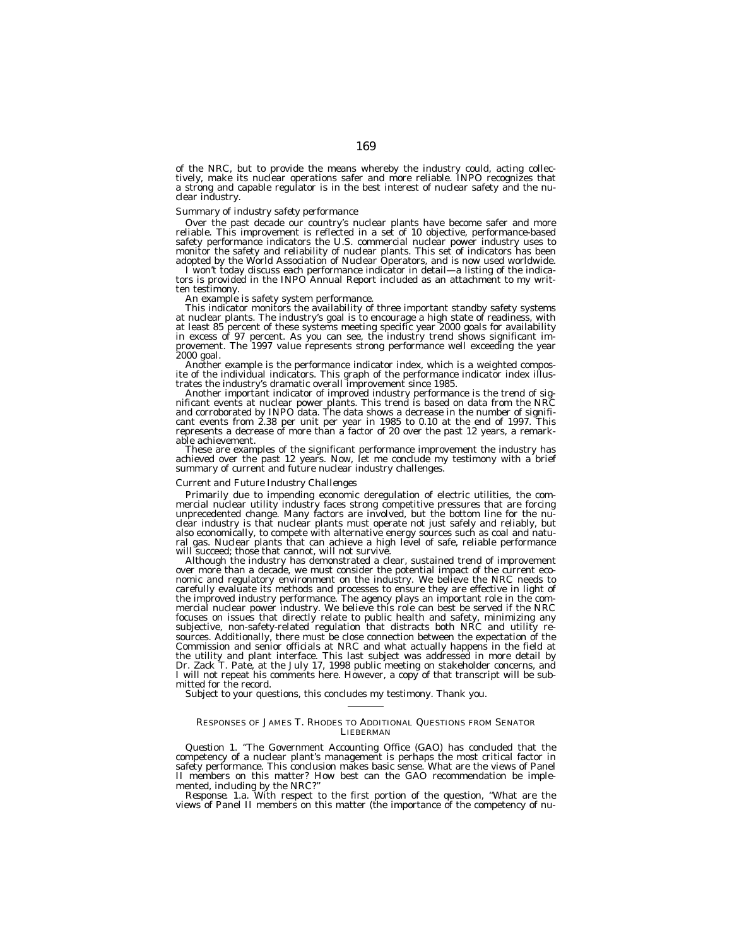of the NRC, but to provide the means whereby the industry could, acting collectively, make its nuclear operations safer and more reliable. INPO recognizes that a strong and capable regulator is in the best interest of nuclear safety and the nuclear industry.

# *Summary of industry safety performance*

Over the past decade our country's nuclear plants have become safer and more reliable. This improvement is reflected in a set of 10 objective, performance-based safety performance indicators the U.S. commercial nuclear power industry uses to monitor the safety and reliability of nuclear plants. This set of indicators has been<br>adopted by the World Association of Nuclear Operators, and is now used worldwide.

I won't today discuss each performance indicator in detail—a listing of the indicators is provided in the INPO Annual Report included as an attachment to my written testimony.

An example is safety system performance.<br>This indicator monitors the availability of three important standby safety systems at nuclear plants. The industry's goal is to encourage a high state of readiness, with at least 85 percent of these systems meeting specific year 2000 goals for availability in excess of 97 percent. As you can see, the industry trend shows significant improvement. The 1997 value represents strong performance well exceeding the year 2000 goal.

Another example is the performance indicator index, which is a weighted composite of the individual indicators. This graph of the performance indicator index illus-<br>trates the industry's dramatic overall improvement since

trates the industry's dramatic overall improvement since 1985.<br>Another important indicator of improved industry performance is the trend of significant events at nuclear power plants. This trend is based on data from the N able achievement.

These are examples of the significant performance improvement the industry has achieved over the past 12 years. Now, let me conclude my testimony with a brief summary of current and future nuclear industry challenges.

#### *Current and Future Industry Challenges*

Primarily due to impending economic deregulation of electric utilities, the com- mercial nuclear utility industry faces strong competitive pressures that are forcing unprecedented change. Many factors are involved, but the bottom line for the nuclear industry is that nuclear plants must operate not just safely and reliably, but also economically, to compete with alternative energy sources such as coal and natural gas. Nuclear plants that can achieve a high level of safe, reliable performance will succeed; those that cannot, will not survive.<br>Although the industry has demonstrated a clear, sustained trend of improvement

over more than a decade, we must consider the potential impact of the current economic and regulatory environment on the industry. We believe the NRC needs to carefully evaluate its methods and processes to ensure they are effective in light of the improved industry performance. The agency plays an important role in the commercial nuclear power industry. We believe this role can best be served if the NRC focuses on issues that directly relate to public health and safety, minimizing any subjective, non-safety-related regulation that distracts both NRC and utility resources. Additionally, there must be close connection between the expectation of the Commission and senior officials at NRC and what actually happens in the field at the utility and plant interface. This last subject was addressed in more detail by Dr. Zack T. Pate, at the July 17, 1998 public meeting on stakeholder concerns, and I will not repeat his comments here. However, a copy of that transcript will be submitted for the record.

Subject to your questions, this concludes my testimony. Thank you.

#### RESPONSES OF JAMES T. RHODES TO ADDITIONAL QUESTIONS FROM SENATOR LIEBERMAN

*Question 1.* ''The Government Accounting Office (GAO) has concluded that the competency of a nuclear plant's management is perhaps the most critical factor in safety performance. This conclusion makes basic sense. What are the views of Panel II members on this matter? How best can the GAO recommendation be imple-

mented, including by the NRC?"<br>*Response.* 1.a. With respect to the first portion of the question, "What are the<br>views of Panel II members on this matter (the importance of the competency of nu-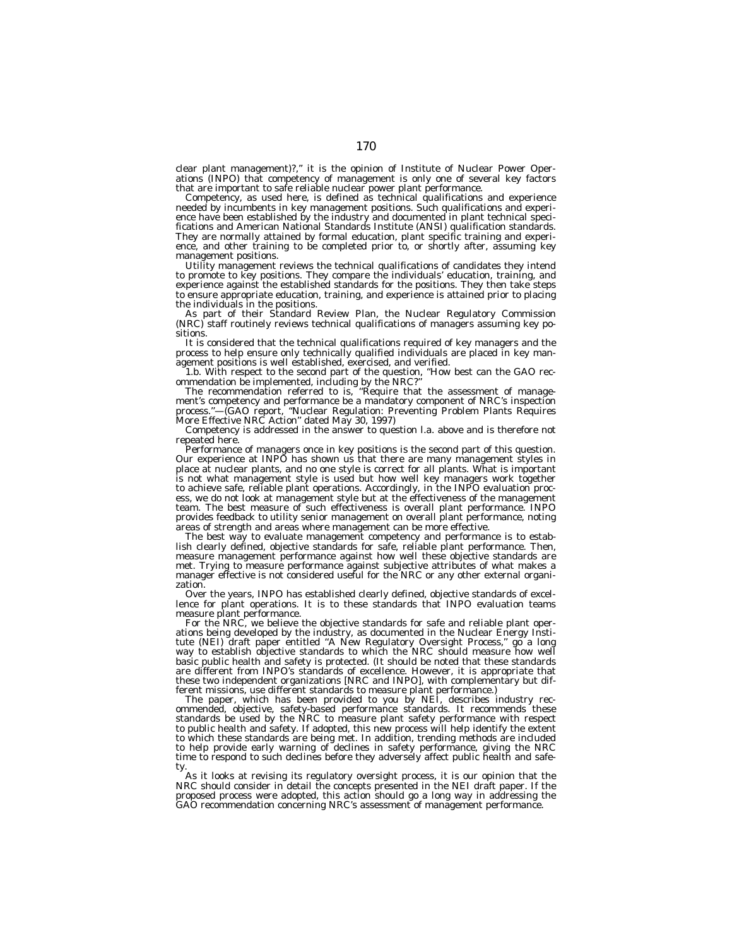clear plant management)?,'' it is the opinion of Institute of Nuclear Power Operations (INPO) that competency of management is only one of several key factors that are important to safe reliable nuclear power plant performance.

Competency, as used here, is defined as technical qualifications and experience needed by incumbents in key management positions. Such qualifications and experience have been established by the industry and documented in plant technical specifications and American National Standards Institute (ANSI) qualification standards. They are normally attained by formal education, plant specific training and experience, and other training to be completed prior to, or shortly after, assuming key management positions.

Utility management reviews the technical qualifications of candidates they intend to promote to key positions. They compare the individuals' education, training, and experience against the established standards for the positions. They then take steps to ensure appropriate education, training, and experience is attained prior to placing the individuals in the positions.

As part of their Standard Review Plan, the Nuclear Regulatory Commission (NRC) staff routinely reviews technical qualifications of managers assuming key positions.

It is considered that the technical qualifications required of key managers and the process to help ensure only technically qualified individuals are placed in key management positions is well established, exercised, and verified.

1.b. With respect to the second part of the question, ''How best can the GAO recommendation be implemented, including by the NRC?''

The recommendation referred to is, ''Require that the assessment of management's competency and performance be a mandatory component of NRC's inspection process.''—(GAO report, ''Nuclear Regulation: Preventing Problem Plants Requires More Effective NRC Action'' dated May 30, 1997)

Competency is addressed in the answer to question l.a. above and is therefore not repeated here.

Performance of managers once in key positions is the second part of this question. Our experience at INPO has shown us that there are many management styles in place at nuclear plants, and no one style is correct for all plants. What is important is not what management style is used but how well key managers work together to achieve safe, reliable plant operations. Accordingly, in the INPO evaluation process, we do not look at management style but at the effectiveness of the management team. The best measure of such effectiveness is overall plant performance. INPO provides feedback to utility senior management on overall plant performance, noting areas of strength and areas where management can be more effective.

The best way to evaluate management competency and performance is to establish clearly defined, objective standards for safe, reliable plant performance. Then, measure management performance against how well these objective standards are met. Trying to measure performance against subjective attributes of what makes a manager effective is not considered useful for the NRC or any other external organization.

Over the years, INPO has established clearly defined, objective standards of excellence for plant operations. It is to these standards that INPO evaluation teams measure plant performance.

For the NRC, we believe the objective standards for safe and reliable plant operations being developed by the industry, as documented in the Nuclear Energy Institute (NEI) draft paper entitled ''A New Regulatory Oversight Process,'' go a long way to establish objective standards to which the NRC should measure how well basic public health and safety is protected. (It should be noted that these standards are different from INPO's standards of excellence. However, it is appropriate that these two independent organizations [NRC and INPO], with complementary but different missions, use different standards to measure plant performance.)

The paper, which has been provided to you by NEI, describes industry recommended, objective, safety-based performance standards. It recommends these standards be used by the NRC to measure plant safety performance with respect to public health and safety. If adopted, this new process will help identify the extent to which these standards are being met. In addition, trending methods are included to help provide early warning of declines in safety performance, giving the NRC time to respond to such declines before they adversely affect public health and safety.

As it looks at revising its regulatory oversight process, it is our opinion that the NRC should consider in detail the concepts presented in the NEI draft paper. If the proposed process were adopted, this action should go a long way in addressing the GAO recommendation concerning NRC's assessment of management performance.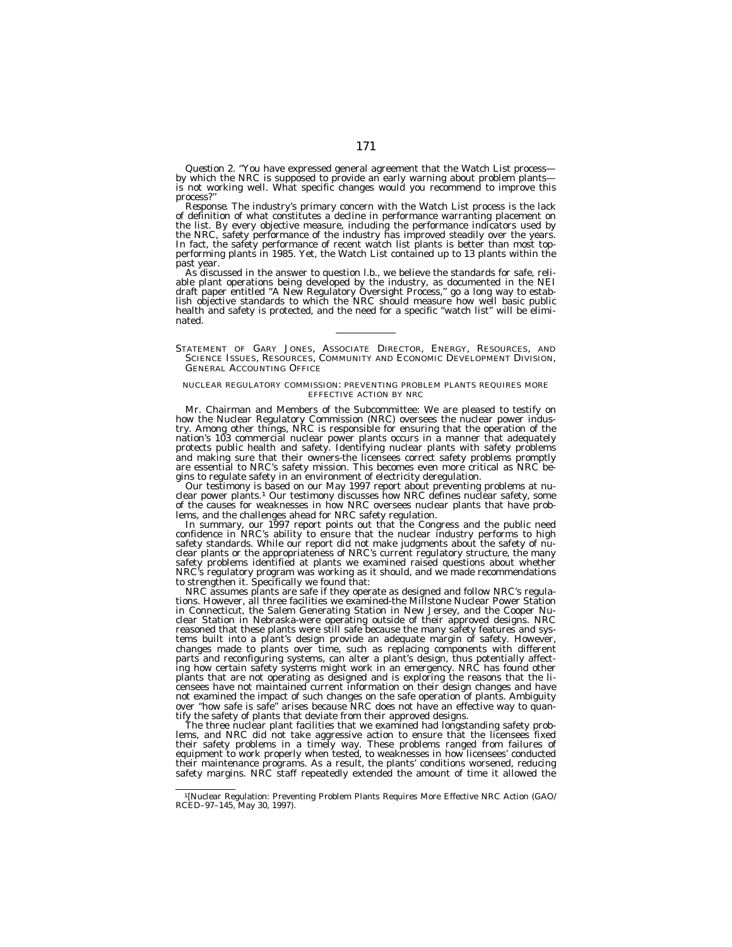*Question 2.* "You have expressed general agreement that the Watch List process—<br>by which the NRC is supposed to provide an early warning about problem plants—<br>is not working well. What specific changes would you recommend process?"<br>Response. The industry's primary concern with the Watch List process is the lack

of definition of what constitutes a decline in performance warranting placement on the list. By every objective measure, including the performance indicators used by the NRC, safety performance of the industry has improved steadily over the years. In fact, the safety performance of recent watch list plants is better than most topperforming plants in 1985. Yet, the Watch List contained up to 13 plants within the

As discussed in the answer to question l.b., we believe the standards for safe, reliable plant operations being developed by the industry, as documented in the NEI draft paper entitled ''A New Regulatory Oversight Process,'' go a long way to establish objective standards to which the NRC should measure how well basic public health and safety is protected, and the need for a specific "watch list" will be eliminated.

STATEMENT OF GARY JONES, ASSOCIATE DIRECTOR, ENERGY, RESOURCES, AND SCIENCE ISSUES, RESOURCES, COMMUNITY AND ECONOMIC DEVELOPMENT DIVISION, GENERAL ACCOUNTING OFFICE

#### NUCLEAR REGULATORY COMMISSION: PREVENTING PROBLEM PLANTS REQUIRES MORE EFFECTIVE ACTION BY NRC

Mr. Chairman and Members of the Subcommittee: We are pleased to testify on how the Nuclear Regulatory Commission (NRC) oversees the nuclear power industry. Among other things, NRC is responsible for ensuring that the operation of the nation's 103 commercial nuclear power plants occurs in a manner that adequately protects public health and safety. Identifying nuclear plants with safety problems and making sure that their owners-the licensees correct safety problems promptly are essential to NRC's safety mission. This becomes even more critical as NRC begins to regulate safety in an environment of electricity deregulation.

Our testimony is based on our May 1997 report about preventing problems at nu-clear power plants.1 Our testimony discusses how NRC defines nuclear safety, some of the causes for weaknesses in how NRC oversees nuclear plants that have problems, and the challenges ahead for NRC safety regulation.

In summary, our 1997 report points out that the Congress and the public need confidence in NRC's ability to ensure that the nuclear industry performs to high safety standards. While our report did not make judgments about the safety of nuclear plants or the appropriateness of NRC's current regulatory structure, the many safety problems identified at plants we examined raised questions about whether NRC's regulatory program was working as it should, and we made recommendations to strengthen it. Specifically we found that:

NRC assumes plants are safe if they operate as designed and follow NRC's regulations. However, all three facilities we examined-the Millstone Nuclear Power Station in Connecticut, the Salem Generating Station in New Jersey, and the Cooper Nuclear Station in Nebraska-were operating outside of their approved designs. NRC reasoned that these plants were still safe because the many safety features and systems built into a plant's design provide an adequate margin of safety. However, changes made to plants over time, such as replacing components with different parts and reconfiguring systems, can alter a plant's design, thus potentially affecting how certain safety systems might work in an emergency. NRC has found other plants that are not operating as designed and is exploring the reasons that the licensees have not maintained current information on their design changes and have not examined the impact of such changes on the safe operation of plants. Ambiguity over ''how safe is safe'' arises because NRC does not have an effective way to quantify the safety of plants that deviate from their approved designs.

The three nuclear plant facilities that we examined had longstanding safety problems, and NRC did not take aggressive action to ensure that the licensees fixed their safety problems in a timely way. These problems ranged from failures of equipment to work properly when tested, to weaknesses in how licensees' conducted their maintenance programs. As a result, the plants' conditions worsened, reducing safety margins. NRC staff repeatedly extended the amount of time it allowed the

<sup>1[</sup>Nuclear Regulation: Preventing Problem Plants Requires More Effective NRC Action (GAO/ RCED–97–145, May 30, 1997).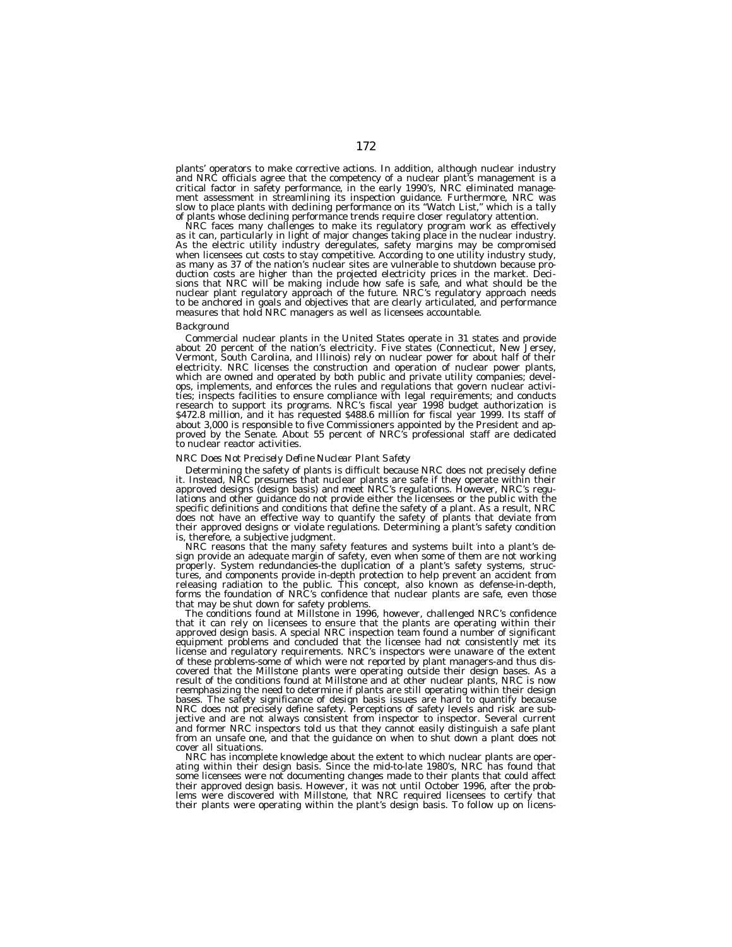plants' operators to make corrective actions. In addition, although nuclear industry and NRC officials agree that the competency of a nuclear plant's management is a critical factor in safety performance, in the early 1990's, NRC eliminated management assessment in streamlining its inspection guidance. Furthermore, NRC was slow to place plants with declining performance on its ''Watch List,'' which is a tally of plants whose declining performance trends require closer regulatory attention.

NRC faces many challenges to make its regulatory program work as effectively as it can, particularly in light of major changes taking place in the nuclear industry. As the electric utility industry deregulates, safety margins may be compromised when licensees cut costs to stay competitive. According to one utility industry study, as many as 37 of the nation's nuclear sites are vulnerable to shutdown because production costs are higher than the projected electricity prices in the market. Decisions that NRC will be making include how safe is safe, and what should be the nuclear plant regulatory approach of the future. NRC's regulatory approach needs to be anchored in goals and objectives that are clearly articulated, and performance measures that hold NRC managers as well as licensees accountable.

#### *Background*

Commercial nuclear plants in the United States operate in 31 states and provide about 20 percent of the nation's electricity. Five states (Connecticut, New Jersey, Vermont, South Carolina, and Illinois) rely on nuclear power for about half of their electricity. NRC licenses the construction and operation of nuclear power plants, which are owned and operated by both public and private utility companies; develops, implements, and enforces the rules and regulations that govern nuclear activities; inspects facilities to ensure compliance with legal requirements; and conducts research to support its programs. NRC's fiscal year 1998 budget authorization is \$472.8 million, and it has requested \$488.6 million for fiscal year 1999. Its staff of about 3,000 is responsible to five Commissioners appointed by the President and approved by the Senate. About 55 percent of NRC's professional staff are dedicated to nuclear reactor activities.

### *NRC Does Not Precisely Define Nuclear Plant Safety*

Determining the safety of plants is difficult because NRC does not precisely define it. Instead, NRC presumes that nuclear plants are safe if they operate within their approved designs (design basis) and meet NRC's regulations. However, NRC's regulations and other guidance do not provide either the licensees or the public with the specific definitions and conditions that define the safety of a plant. As a result, NRC does not have an effective way to quantify the safety of plants that deviate from their approved designs or violate regulations. Determining a plant's safety condition is, therefore, a subjective judgment.

NRC reasons that the many safety features and systems built into a plant's design provide an adequate margin of safety, even when some of them are not working properly. System redundancies-the duplication of a plant's safety systems, structures, and components provide in-depth protection to help prevent an accident from releasing radiation to the public. This concept, also known as defense-in-depth, forms the foundation of NRC's confidence that nuclear plants are safe, even those that may be shut down for safety problems.

The conditions found at Millstone in 1996, however, challenged NRC's confidence that it can rely on licensees to ensure that the plants are operating within their approved design basis. A special NRC inspection team found a number of significant equipment problems and concluded that the licensee had not consistently met its license and regulatory requirements. NRC's inspectors were unaware of the extent of these problems-some of which were not reported by plant managers-and thus discovered that the Millstone plants were operating outside their design bases. As a result of the conditions found at Millstone and at other nuclear plants, NRC is now reemphasizing the need to determine if plants are still operating within their design bases. The safety significance of design basis issues are hard to quantify because NRC does not precisely define safety. Perceptions of safety levels and risk are subjective and are not always consistent from inspector to inspector. Several current and former NRC inspectors told us that they cannot easily distinguish a safe plant from an unsafe one, and that the guidance on when to shut down a plant does not cover all situations.

NRC has incomplete knowledge about the extent to which nuclear plants are operating within their design basis. Since the mid-to-late 1980's, NRC has found that some licensees were not documenting changes made to their plants that could affect their approved design basis. However, it was not until October 1996, after the problems were discovered with Millstone, that NRC required licensees to certify that their plants were operating within the plant's design basis. To follow up on licens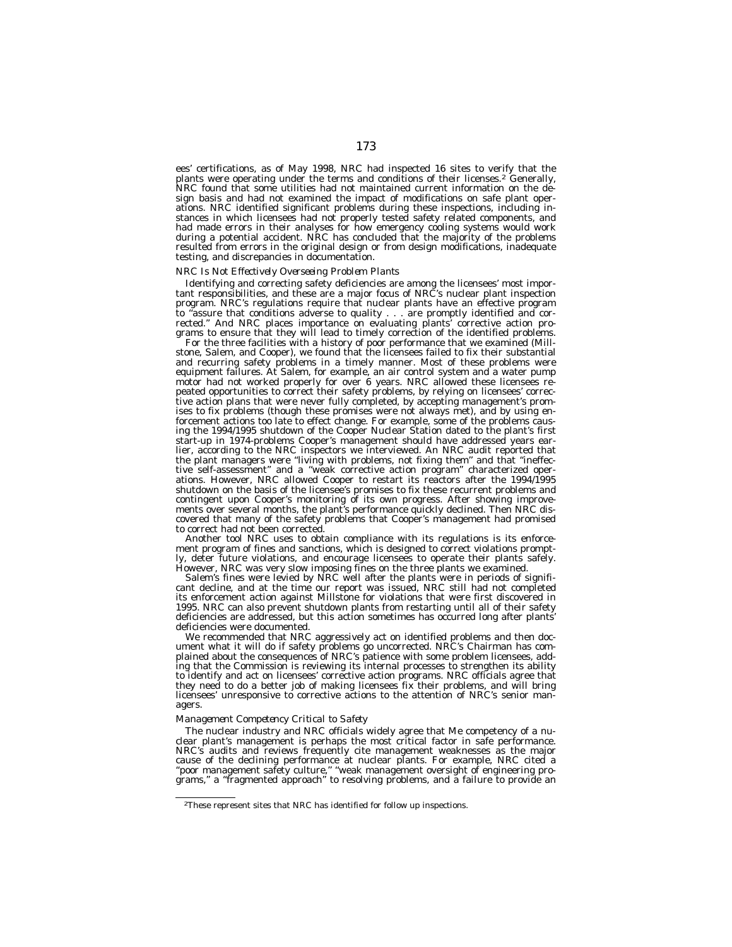ees' certifications, as of May 1998, NRC had inspected 16 sites to verify that the plants were operating under the terms and conditions of their licenses.2 Generally, NRC found that some utilities had not maintained current information on the design basis and had not examined the impact of modifications on safe plant operations. NRC identified significant problems during these inspections, including instances in which licensees had not properly tested safety related components, and had made errors in their analyses for how emergency cooling systems would work during a potential accident. NRC has concluded that the majority of the problems resulted from errors in the original design or from design modifications, inadequate testing, and discrepancies in documentation.

#### *NRC Is Not Effectively Overseeing Problem Plants*

Identifying and correcting safety deficiencies are among the licensees' most important responsibilities, and these are a major focus of NRC's nuclear plant inspection program. NRC's regulations require that nuclear plants have an effective program to ''assure that conditions adverse to quality . . . are promptly identified and corrected.'' And NRC places importance on evaluating plants' corrective action programs to ensure that they will lead to timely correction of the identified problems.

For the three facilities with a history of poor performance that we examined (Millstone, Salem, and Cooper), we found that the licensees failed to fix their substantial and recurring safety problems in a timely manner. Most of these problems were equipment failures. At Salem, for example, an air control system and a water pump motor had not worked properly for over 6 years. NRC allowed these licensees repeated opportunities to correct their safety problems, by relying on licensees' corrective action plans that were never fully completed, by accepting management's promises to fix problems (though these promises were not always met), and by using enforcement actions too late to effect change. For example, some of the problems causing the 1994/1995 shutdown of the Cooper Nuclear Station dated to the plant's first start-up in 1974-problems Cooper's management should have addressed years earlier, according to the NRC inspectors we interviewed. An NRC audit reported that the plant managers were ''living with problems, not fixing them'' and that ''ineffective self-assessment" and a "weak corrective action program" characterized operations. However, NRC allowed Cooper to restart its reactors after the 1994/1995 shutdown on the basis of the licensee's promises to fix these recurrent problems and contingent upon Cooper's monitoring of its own progress. After showing improvements over several months, the plant's performance quickly declined. Then NRC discovered that many of the safety problems that Cooper's management had promised to correct had not been corrected.

Another tool NRC uses to obtain compliance with its regulations is its enforcement program of fines and sanctions, which is designed to correct violations promptly, deter future violations, and encourage licensees to operate their plants safely. However, NRC was very slow imposing fines on the three plants we examined.

Salem's fines were levied by NRC well after the plants were in periods of significant decline, and at the time our report was issued, NRC still had not completed its enforcement action against Millstone for violations that were first discovered in 1995. NRC can also prevent shutdown plants from restarting until all of their safety deficiencies are addressed, but this action sometimes has occurred long after plants' deficiencies were documented.

We recommended that NRC aggressively act on identified problems and then document what it will do if safety problems go uncorrected. NRC's Chairman has complained about the consequences of NRC's patience with some problem licensees, adding that the Commission is reviewing its internal processes to strengthen its ability to identify and act on licensees' corrective action programs. NRC officials agree that they need to do a better job of making licensees fix their problems, and will bring licensees' unresponsive to corrective actions to the attention of NRC's senior managers.

#### *Management Competency Critical to Safety*

The nuclear industry and NRC officials widely agree that Me competency of a nuclear plant's management is perhaps the most critical factor in safe performance. NRC's audits and reviews frequently cite management weaknesses as the major cause of the declining performance at nuclear plants. For example, NRC cited a ''poor management safety culture,'' ''weak management oversight of engineering programs,'' a ''fragmented approach'' to resolving problems, and a failure to provide an

<sup>2</sup>These represent sites that NRC has identified for follow up inspections.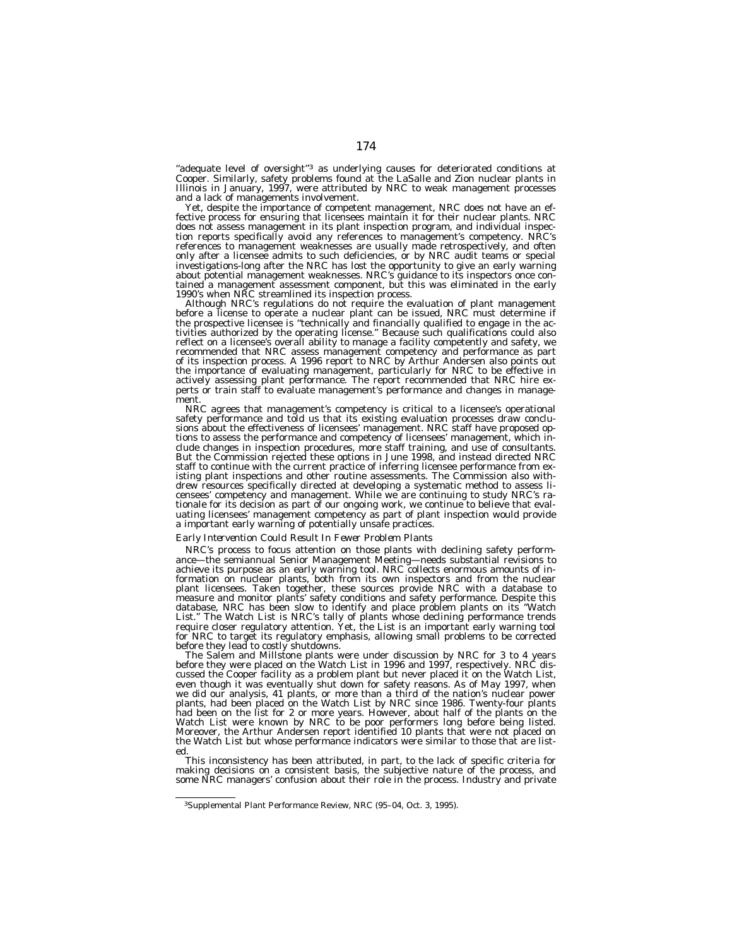"adequate level of oversight"<sup>3</sup> as underlying causes for deteriorated conditions at Cooper. Similarly, safety problems found at the LaSalle and Zion nuclear plants in Illinois in January, 1997, were attributed by NRC to weak management processes and a lack of managements involvement.

Yet, despite the importance of competent management, NRC does not have an effective process for ensuring that licensees maintain it for their nuclear plants. NRC does not assess management in its plant inspection program, and individual inspection reports specifically avoid any references to management's competency. NRC's references to management weaknesses are usually made retrospectively, and often only after a licensee admits to such deficiencies, or by NRC audit teams or special investigations-long after the NRC has lost the opportunity to give an early warning about potential management weaknesses. NRC's guidance to its inspectors once contained a management assessment component, but this was eliminated in the early 1990's when NRC streamlined its inspection process.

Although NRC's regulations do not require the evaluation of plant management before a license to operate a nuclear plant can be issued, NRC must determine if the prospective licensee is ''technically and financially qualified to engage in the activities authorized by the operating license.'' Because such qualifications could also reflect on a licensee's overall ability to manage a facility competently and safety, we recommended that NRC assess management competency and performance as part of its inspection process. A 1996 report to NRC by Arthur Andersen also points out the importance of evaluating management, particularly for NRC to be effective in actively assessing plant performance. The report recommended that NRC hire experts or train staff to evaluate management's performance and changes in management.

NRC agrees that management's competency is critical to a licensee's operational safety performance and told us that its existing evaluation processes draw conclusions about the effectiveness of licensees' management. NRC staff have proposed options to assess the performance and competency of licensees' management, which include changes in inspection procedures, more staff training, and use of consultants. But the Commission rejected these options in June 1998, and instead directed NRC staff to continue with the current practice of inferring licensee performance from existing plant inspections and other routine assessments. The Commission also withdrew resources specifically directed at developing a systematic method to assess licensees' competency and management. While we are continuing to study NRC's rationale for its decision as part of our ongoing work, we continue to believe that evaluating licensees' management competency as part of plant inspection would provide a important early warning of potentially unsafe practices.

#### *Early Intervention Could Result In Fewer Problem Plants*

NRC's process to focus attention on those plants with declining safety performance—the semiannual Senior Management Meeting—needs substantial revisions to achieve its purpose as an early warning tool. NRC collects enormous amounts of information on nuclear plants, both from its own inspectors and from the nuclear plant licensees. Taken together, these sources provide NRC with a database to measure and monitor plants' safety conditions and safety performance. Despite this database, NRC has been slow to identify and place problem plants on its ''Watch List.'' The Watch List is NRC's tally of plants whose declining performance trends require closer regulatory attention. Yet, the List is an important early warning tool for NRC to target its regulatory emphasis, allowing small problems to be corrected before they lead to costly shutdowns.

The Salem and Millstone plants were under discussion by NRC for 3 to 4 years before they were placed on the Watch List in 1996 and 1997, respectively. NRC discussed the Cooper facility as a problem plant but never placed it on the Watch List, even though it was eventually shut down for safety reasons. As of May 1997, when we did our analysis, 41 plants, or more than a third of the nation's nuclear power plants, had been placed on the Watch List by NRC since 1986. Twenty-four plants had been on the list for 2 or more years. However, about half of the plants on the Watch List were known by NRC to be poor performers long before being listed. Moreover, the Arthur Andersen report identified 10 plants that were not placed on the Watch List but whose performance indicators were similar to those that are listed.

This inconsistency has been attributed, in part, to the lack of specific criteria for making decisions on a consistent basis, the subjective nature of the process, and some NRC managers' confusion about their role in the process. Industry and private

<sup>3</sup>Supplemental Plant Performance Review, NRC (95–04, Oct. 3, 1995).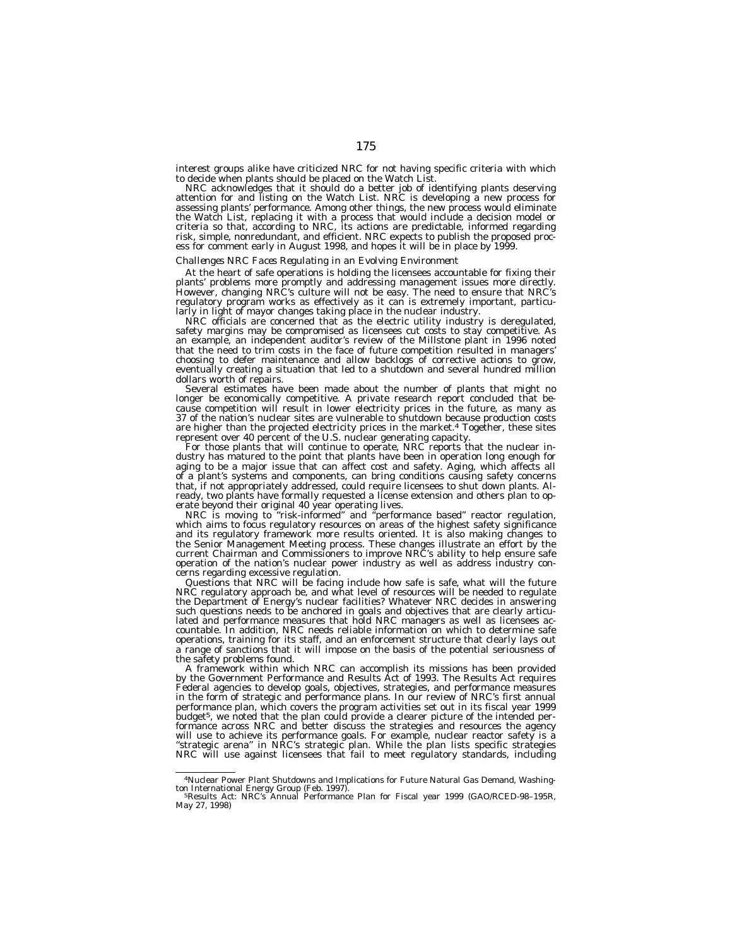interest groups alike have criticized NRC for not having specific criteria with which to decide when plants should be placed on the Watch List.

NRC acknowledges that it should do a better job of identifying plants deserving attention for and listing on the Watch List. NRC is developing a new process for assessing plants' performance. Among other things, the new process would eliminate the Watch List, replacing it with a process that would include a decision model or criteria so that, according to NRC, its actions are predictable, informed regarding risk, simple, nonredundant, and efficient. NRC expects to publish the proposed process for comment early in August 1998, and hopes it will be in place by 1999.

# *Challenges NRC Faces Regulating in an Evolving Environment*

At the heart of safe operations is holding the licensees accountable for fixing their plants' problems more promptly and addressing management issues more directly. However, changing NRC's culture will not be easy. The need to ensure that NRC's regulatory program works as effectively as it can is extremely important, particularly in light of mayor changes taking place in the nuclear industry.

NRC officials are concerned that as the electric utility industry is deregulated, safety margins may be compromised as licensees cut costs to stay competitive. As an example, an independent auditor's review of the Millstone plant in 1996 noted that the need to trim costs in the face of future competition resulted in managers' choosing to defer maintenance and allow backlogs of corrective actions to grow, eventually creating a situation that led to a shutdown and several hundred million dollars worth of repairs.

Several estimates have been made about the number of plants that might no longer be economically competitive. A private research report concluded that because competition will result in lower electricity prices in the future, as many as 37 of the nation's nuclear sites are vulnerable to shutdown because production costs are higher than the projected electricity prices in the market.4 Together, these sites represent over 40 percent of the U.S. nuclear generating capacity.

For those plants that will continue to operate, NRC reports that the nuclear industry has matured to the point that plants have been in operation long enough for aging to be a major issue that can affect cost and safety. Aging, which affects all of a plant's systems and components, can bring conditions causing safety concerns that, if not appropriately addressed, could require licensees to shut down plants. Already, two plants have formally requested a license extension and others plan to operate beyond their original 40 year operating lives.

NRC is moving to ''risk-informed'' and ''performance based'' reactor regulation, which aims to focus regulatory resources on areas of the highest safety significance and its regulatory framework more results oriented. It is also making changes to the Senior Management Meeting process. These changes illustrate an effort by the current Chairman and Commissioners to improve NRC's ability to help ensure safe operation of the nation's nuclear power industry as well as address industry concerns regarding excessive regulation.

Questions that NRC will be facing include how safe is safe, what will the future NRC regulatory approach be, and what level of resources will be needed to regulate the Department of Energy's nuclear facilities? Whatever NRC decides in answering such questions needs to be anchored in goals and objectives that are clearly articulated and performance measures that hold NRC managers as well as licensees accountable. In addition, NRC needs reliable information on which to determine safe operations, training for its staff, and an enforcement structure that clearly lays out a range of sanctions that it will impose on the basis of the potential seriousness of the safety problems found.

A framework within which NRC can accomplish its missions has been provided by the Government Performance and Results Act of 1993. The Results Act requires Federal agencies to develop goals, objectives, strategies, and performance measures in the form of strategic and performance plans. In our review of NRC's first annual performance plan, which covers the program activities set out in its fiscal year 1999 budget5, we noted that the plan could provide a clearer picture of the intended performance across NRC and better discuss the strategies and resources the agency will use to achieve its performance goals. For example, nuclear reactor safety is a ''strategic arena'' in NRC's strategic plan. While the plan lists specific strategies NRC will use against licensees that fail to meet regulatory standards, including

<sup>4</sup>Nuclear Power Plant Shutdowns and Implications for Future Natural Gas Demand, Washington International Energy Group (Feb. 1997). 5<br>5Results Act: NRC's Annual Performance Plan for Fiscal year 1999 (GAO/RCED-98–195R,

May 27, 1998)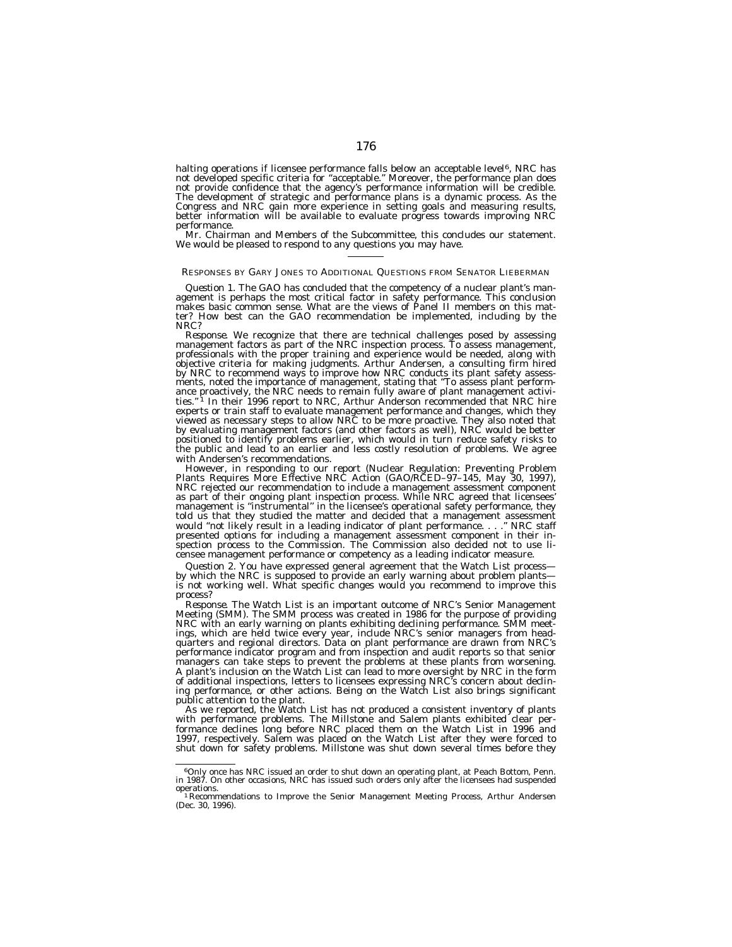halting operations if licensee performance falls below an acceptable level<sup>6</sup>, NRC has not developed specific criteria for ''acceptable.'' Moreover, the performance plan does not provide confidence that the agency's performance information will be credible. The development of strategic and performance plans is a dynamic process. As the Congress and NRC gain more experience in setting goals and measuring results, better information will be available to evaluate progress towards improving NRC performance.

Mr. Chairman and Members of the Subcommittee, this concludes our statement. We would be pleased to respond to any questions you may have.

#### RESPONSES BY GARY JONES TO ADDITIONAL QUESTIONS FROM SENATOR LIEBERMAN

Question 1. The GAO has concluded that the competency of a nuclear plant's man-<br>agement is perhaps the most critical factor in safety performance. This conclusion<br>makes basic common sense. What are the views of Panel II me ter? How best can the GAO recommendation be implemented, including by the NRC?

*Response.* We recognize that there are technical challenges posed by assessing management factors as part of the NRC inspection process. To assess management, professionals with the proper training and experience would be needed, along with objective criteria for making judgments. Arthur Andersen, a consulting firm hired by NRC to recommend ways to improve how NRC conducts its plant safety assess-ments, noted the importance of management, stating that ''To assess plant performance proactively, the NRC needs to remain fully aware of plant management activi-ties.'' 1 In their 1996 report to NRC, Arthur Anderson recommended that NRC hire experts or train staff to evaluate management performance and changes, which they viewed as necessary steps to allow NRC to be more proactive. They also noted that by evaluating management factors (and other factors as well), NRC would be better positioned to identify problems earlier, which would in turn reduce safety risks to the public and lead to an earlier and less costly resolution of problems. We agree with Andersen's recommendations.

However, in responding to our report (Nuclear Regulation: Preventing Problem Plants Requires More Effective NRC Action (GAO/RCED–97–145, May 30, 1997), NRC rejected our recommendation to include a management assessment component as part of their ongoing plant inspection process. While NRC agreed that licensees' management is ''instrumental'' in the licensee's operational safety performance, they told us that they studied the matter and decided that a management assessment would ''not likely result in a leading indicator of plant performance. . . .'' NRC staff presented options for including a management assessment component in their inspection process to the Commission. The Commission also decided not to use licensee management performance or competency as a leading indicator measure.

*Question 2.* You have expressed general agreement that the Watch List process by which the NRC is supposed to provide an early warning about problem plants is not working well. What specific changes would you recommend to improve this process?

*Response.* The Watch List is an important outcome of NRC's Senior Management Meeting (SMM). The SMM process was created in 1986 for the purpose of providing NRC with an early warning on plants exhibiting declining performance. SMM meetings, which are held twice every year, include NRC's senior managers from headquarters and regional directors. Data on plant performance are drawn from NRC's performance indicator program and from inspection and audit reports so that senior managers can take steps to prevent the problems at these plants from worsening. A plant's inclusion on the Watch List can lead to more oversight by NRC in the form of additional inspections, letters to licensees expressing NRC's concern about declining performance, or other actions. Being on the Watch List also brings significant public attention to the plant.

As we reported, the Watch List has not produced a consistent inventory of plants with performance problems. The Millstone and Salem plants exhibited clear performance declines long before NRC placed them on the Watch List in 1996 and 1997, respectively. Salem was placed on the Watch List after they were forced to shut down for safety problems. Millstone was shut down several times before they

<sup>6</sup>Only once has NRC issued an order to shut down an operating plant, at Peach Bottom, Penn. in 1987. On other occasions, NRC has issued such orders only after the licensees had suspended

operations.<br>"Recommendations to Improve the Senior Management Meeting Process, Arthur Andersen<br>(Dec. 30, 1996).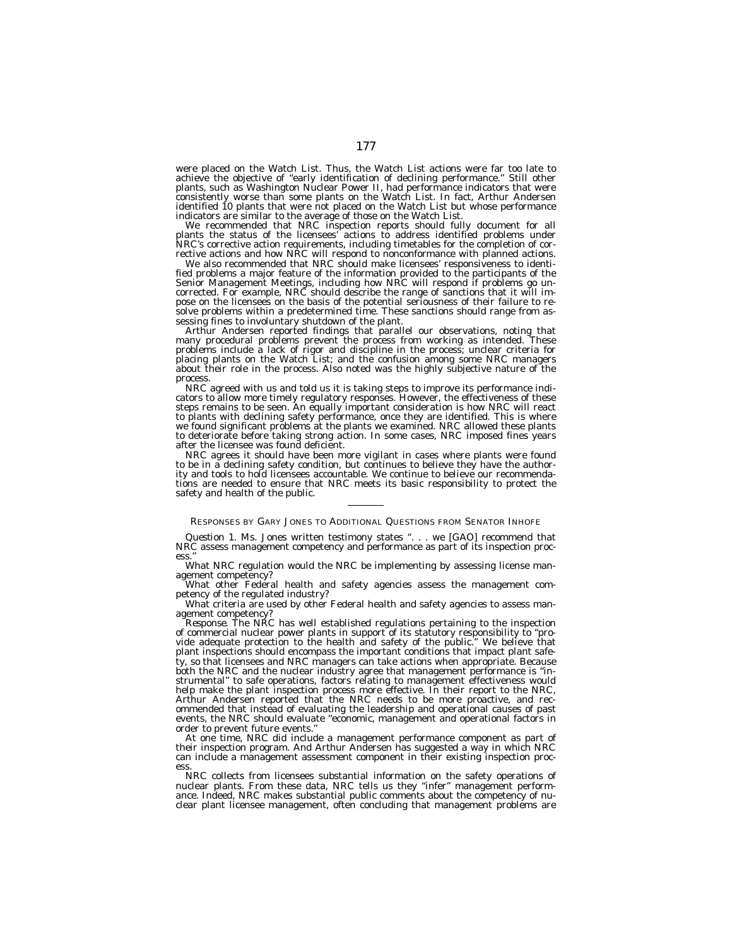were placed on the Watch List. Thus, the Watch List actions were far too late to achieve the objective of ''early identification of declining performance.'' Still other plants, such as Washington Nuclear Power II, had performance indicators that were consistently worse than some plants on the Watch List. In fact, Arthur Andersen identified 10 plants that were not placed on the Watch List but whose performance

indicators are similar to the average of those on the Watch List. We recommended that NRC inspection reports should fully document for all plants the status of the licensees' actions to address identified problems under NRC's corrective action requirements, including timetables for the completion of corrective actions and how NRC will respond to nonconformance with planned actions.

We also recommended that NRC should make licensees' responsiveness to identified problems a major feature of the information provided to the participants of the Senior Management Meetings, including how NRC will respond if problems go uncorrected. For example, NRC should describe the range of sanctions that it will impose on the licensees on the basis of the potential seriousness of their failure to resolve problems within a predetermined time. These sanctions should range from assessing fines to involuntary shutdown of the plant.

Arthur Andersen reported findings that parallel our observations, noting that many procedural problems prevent the process from working as intended. These problems include a lack of rigor and discipline in the process; unclear criteria for placing plants on the Watch List; and the confusion among some NRC managers about their role in the process. Also noted was the highly subjective nature of the process.

NRC agreed with us and told us it is taking steps to improve its performance indicators to allow more timely regulatory responses. However, the effectiveness of these steps remains to be seen. An equally important consideration is how NRC will react to plants with declining safety performance, once they are identified. This is where we found significant problems at the plants we examined. NRC allowed these plants to deteriorate before taking strong action. In some cases, NRC imposed fines years after the licensee was found deficient.

NRC agrees it should have been more vigilant in cases where plants were found to be in a declining safety condition, but continues to believe they have the authority and tools to hold licensees accountable. We continue to believe our recommendations are needed to ensure that NRC meets its basic responsibility to protect the safety and health of the public.

RESPONSES BY GARY JONES TO ADDITIONAL QUESTIONS FROM SENATOR INHOFE

*Question 1.* Ms. Jones written testimony states ". . . we [GAO] recommend that NRC assess management competency and performance as part of its inspection process.''

What NRC regulation would the NRC be implementing by assessing license management competency?

What other Federal health and safety agencies assess the management competency of the regulated industry?

What criteria are used by other Federal health and safety agencies to assess management competency?

*Response.* The NRC has well established regulations pertaining to the inspection of commercial nuclear power plants in support of its statutory responsibility to ''provide adequate protection to the health and safety of the public.'' We believe that plant inspections should encompass the important conditions that impact plant safety, so that licensees and NRC managers can take actions when appropriate. Because both the NRC and the nuclear industry agree that management performance is ''instrumental'' to safe operations, factors relating to management effectiveness would help make the plant inspection process more effective. In their report to the NRC, Arthur Andersen reported that the NRC needs to be more proactive, and recommended that instead of evaluating the leadership and operational causes of past events, the NRC should evaluate ''economic, management and operational factors in order to prevent future events.''

At one time, NRC did include a management performance component as part of their inspection program. And Arthur Andersen has suggested a way in which NRC can include a management assessment component in their existing inspection process.

NRC collects from licensees substantial information on the safety operations of nuclear plants. From these data, NRC tells us they ''infer'' management performance. Indeed, NRC makes substantial public comments about the competency of nu-clear plant licensee management, often concluding that management problems are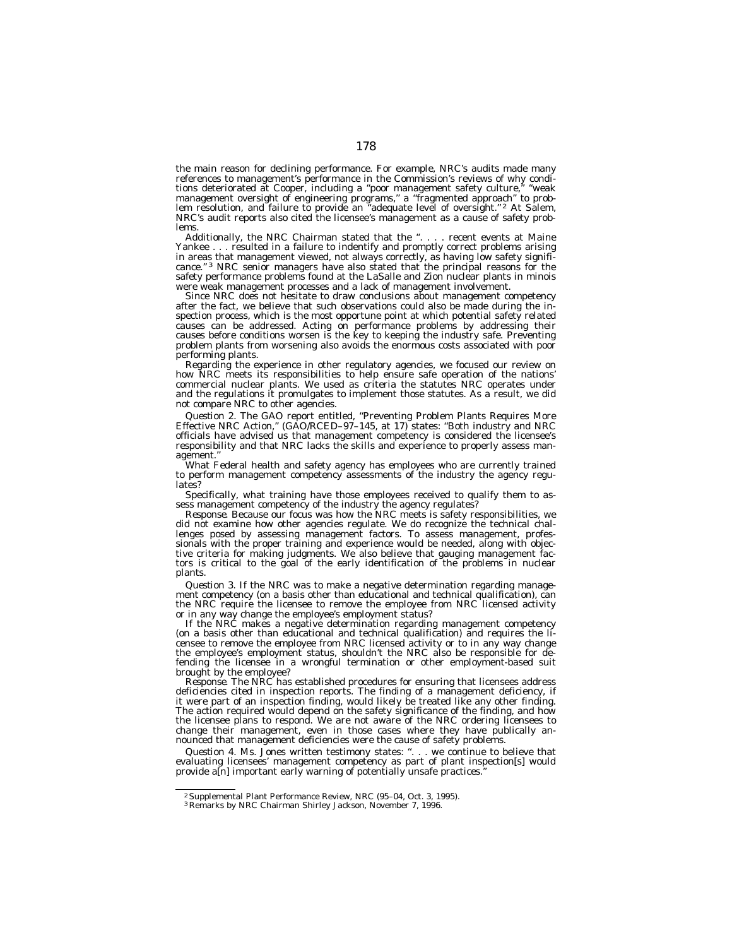the main reason for declining performance. For example, NRC's audits made many references to management's performance in the Commission's reviews of why condi-<br>tions deteriorated at Cooper, including a "poor management safety culture." "weak tions deteriorated at Cooper, including a "poor management safety culture, management oversight of engineering programs,'' a ''fragmented approach'' to prob-lem resolution, and failure to provide an ''adequate level of oversight.'' 2 At Salem, NRC's audit reports also cited the licensee's management as a cause of safety problems.

Additionally, the NRC Chairman stated that the ". . . . recent events at Maine Yankee . . . resulted in a failure to indentify and promptly correct problems arising in areas that management viewed, not always correctly, as having low safety significance."<sup>3</sup> NRC senior managers have also stated that the principal reasons for the safety performance problems found at the LaSalle and Zion nuclear plants in minois were weak management processes and a lack of management involvement.

Since NRC does not hesitate to draw conclusions about management competency after the fact, we believe that such observations could also be made during the inspection process, which is the most opportune point at which potential safety related causes can be addressed. Acting on performance problems by addressing their causes before conditions worsen is the key to keeping the industry safe. Preventing problem plants from worsening also avoids the enormous costs associated with poor performing plants.

Regarding the experience in other regulatory agencies, we focused our review on how NRC meets its responsibilities to help ensure safe operation of the nations' commercial nuclear plants. We used as criteria the statutes NRC operates under and the regulations it promulgates to implement those statutes. As a result, we did not compare NRC to other agencies.

*Question 2.* The GAO report entitled, ''Preventing Problem Plants Requires More Effective NRC Action,'' (GAO/RCED–97–145, at 17) states: ''Both industry and NRC officials have advised us that management competency is considered the licensee's responsibility and that NRC lacks the skills and experience to properly assess management.''

What Federal health and safety agency has employees who are currently trained to perform management competency assessments of the industry the agency regulates?

Specifically, what training have those employees received to qualify them to assess management competency of the industry the agency regulates?

*Response.* Because our focus was how the NRC meets is safety responsibilities, we did not examine how other agencies regulate. We do recognize the technical challenges posed by assessing management factors. To assess management, professionals with the proper training and experience would be needed, along with objective criteria for making judgments. We also believe that gauging management factors is critical to the goal of the early identification of the problems in nuclear plants.

*Question 3.* If the NRC was to make a negative determination regarding management competency (on a basis other than educational and technical qualification), can the NRC require the licensee to remove the employee from NRC licensed activity or in any way change the employee's employment status?

If the NRC makes a negative determination regarding management competency (on a basis other than educational and technical qualification) and requires the licensee to remove the employee from NRC licensed activity or to in any way change the employee's employment status, shouldn't the NRC also be responsible for defending the licensee in a wrongful termination or other employment-based suit brought by the employee?

*Response.* The NRC has established procedures for ensuring that licensees address deficiencies cited in inspection reports. The finding of a management deficiency, if it were part of an inspection finding, would likely be treated like any other finding. The action required would depend on the safety significance of the finding, and how the licensee plans to respond. We are not aware of the NRC ordering licensees to change their management, even in those cases where they have publically announced that management deficiencies were the cause of safety problems.

*Question 4.* Ms. Jones written testimony states: ''. . . we continue to believe that evaluating licensees' management competency as part of plant inspection[s] would provide a[n] important early warning of potentially unsafe practices.''

<sup>&</sup>lt;sup>2</sup> Supplemental Plant Performance Review, NRC (95–04, Oct. 3, 1995).<br><sup>3</sup> Remarks by NRC Chairman Shirley Jackson, November 7, 1996.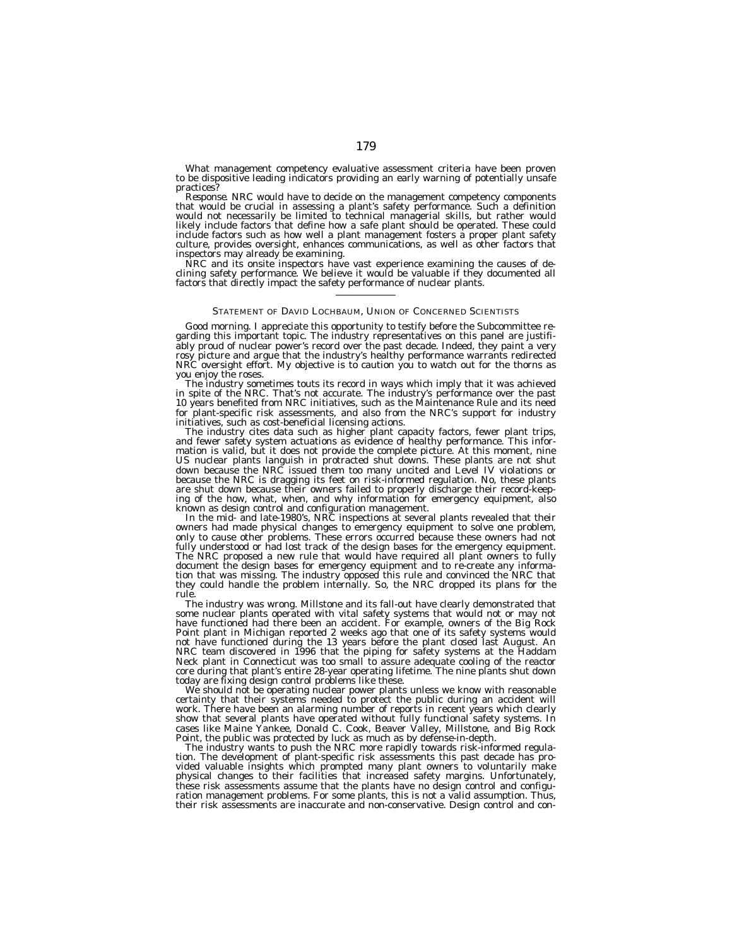What management competency evaluative assessment criteria have been proven to be dispositive leading indicators providing an early warning of potentially unsafe practices?

*Response.* NRC would have to decide on the management competency components that would be crucial in assessing a plant's safety performance. Such a definition would not necessarily be limited to technical managerial skills, but rather would likely include factors that define how a safe plant should be operated. These could include factors such as how well a plant management fosters a proper plant safety culture, provides oversight, enhances communications, as well as other factors that inspectors may already be examining.

NRC and its onsite inspectors have vast experience examining the causes of declining safety performance. We believe it would be valuable if they documented all factors that directly impact the safety performance of nuclear plants.

#### STATEMENT OF DAVID LOCHBAUM, UNION OF CONCERNED SCIENTISTS

Good morning. I appreciate this opportunity to testify before the Subcommittee regarding this important topic. The industry representatives on this panel are justifiably proud of nuclear power's record over the past decade. Indeed, they paint a very rosy picture and argue that the industry's healthy performance warrants redirected NRC oversight effort. My objective is to caution you to watch out for the thorns as you enjoy the roses.

The industry sometimes touts its record in ways which imply that it was achieved in spite of the NRC. That's not accurate. The industry's performance over the past 10 years benefited from NRC initiatives, such as the Maintenance Rule and its need for plant-specific risk assessments, and also from the NRC's support for industry initiatives, such as cost-beneficial licensing actions.

The industry cites data such as higher plant capacity factors, fewer plant trips, and fewer safety system actuations as evidence of healthy performance. This information is valid, but it does not provide the complete picture. At this moment, nine US nuclear plants languish in protracted shut downs. These plants are not shut down because the NRC issued them too many uncited and Level IV violations or because the NRC is dragging its feet on risk-informed regulation. No, these plants are shut down because their owners failed to properly discharge their record-keeping of the how, what, when, and why information for emergency equipment, also known as design control and configuration management.

In the mid- and late-1980's, NRC inspections at several plants revealed that their owners had made physical changes to emergency equipment to solve one problem, only to cause other problems. These errors occurred because these owners had not fully understood or had lost track of the design bases for the emergency equipment. The NRC proposed a new rule that would have required all plant owners to fully document the design bases for emergency equipment and to re-create any information that was missing. The industry opposed this rule and convinced the NRC that they could handle the problem internally. So, the NRC dropped its plans for the rule.

The industry was wrong. Millstone and its fall-out have clearly demonstrated that some nuclear plants operated with vital safety systems that would not or may not have functioned had there been an accident. For example, owners of the Big Rock Point plant in Michigan reported 2 weeks ago that one of its safety systems would not have functioned during the 13 years before the plant closed last August. An NRC team discovered in 1996 that the piping for safety systems at the Haddam Neck plant in Connecticut was too small to assure adequate cooling of the reactor core during that plant's entire 28-year operating lifetime. The nine plants shut down today are fixing design control problems like these.

We should not be operating nuclear power plants unless we know with reasonable certainty that their systems needed to protect the public during an accident will work. There have been an alarming number of reports in recent years which clearly show that several plants have operated without fully functional safety systems. In cases like Maine Yankee, Donald C. Cook, Beaver Valley, Millstone, and Big Rock Point, the public was protected by luck as much as by defense-in-depth.

The industry wants to push the NRC more rapidly towards risk-informed regulation. The development of plant-specific risk assessments this past decade has provided valuable insights which prompted many plant owners to voluntarily make physical changes to their facilities that increased safety margins. Unfortunately, these risk assessments assume that the plants have no design control and configuration management problems. For some plants, this is not a valid assumption. Thus, their risk assessments are inaccurate and non-conservative. Design control and con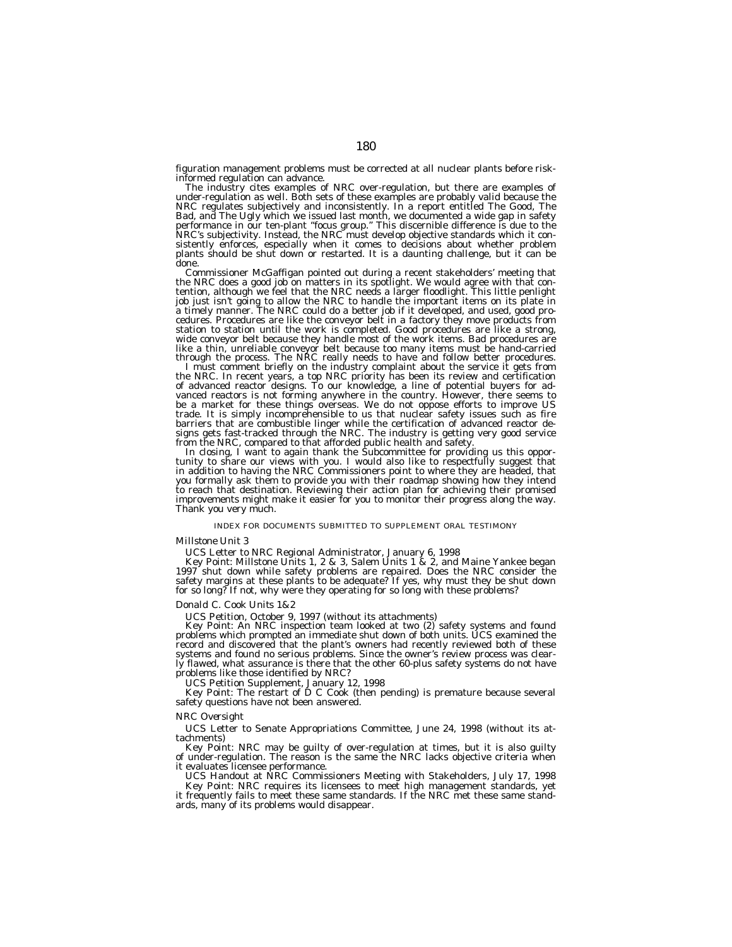figuration management problems must be corrected at all nuclear plants before risk-

The industry cites examples of NRC over-regulation, but there are examples of under-regulation as well. Both sets of these examples are probably valid because the NRC regulates subjectively and inconsistently. In a report entitled The Good, The Bad, and The Ugly which we issued last month, we documented a wide gap in safety<br>performance in our ten-plant "focus group." This discernible difference is due to the<br>NRC's subjectivity. Instead, the NRC must develop objec plants should be shut down or restarted. It is a daunting challenge, but it can be<br>done

done.<br>Commissioner McGaffigan pointed out during a recent stakeholders' meeting that<br>the NRC does a good job on matters in its spotlight. We would agree with that con-<br>tention, although we feel that the NRC needs a larger wide conveyor belt because they handle most of the work items. Bad procedures are like a thin, unreliable conveyor belt because too many items must be hand-carried through the process. The NRC really needs to have and follow better procedures.

through the process. The NRC really needs to have and follow better procedures.<br>I must comment briefly on the industry complaint about the service it gets from<br>the NRC. In recent years, a top NRC priority has been its revi barriers that are combustible linger while the certification of advanced reactor de-<br>signs gets fast-tracked through the NRC. The industry is getting very good service<br>from the NRC, compared to that afforded public health

tunity to share our views with you. I would also like to respectfully suggest that in addition to having the NRC Commissioners point to where they are headed, that you formally ask them to provide you with their roadmap showing how they intend to reach that destination. Reviewing their action plan for achieving their promised improvements might make it easier for you to monitor their progress along the way. Thank you very much.

# INDEX FOR DOCUMENTS SUBMITTED TO SUPPLEMENT ORAL TESTIMONY

# *Millstone Unit 3*

UCS Letter to NRC Regional Administrator, January 6, 1998<br>Key Point: Millstone Units 1, 2 & 3, Salem Units 1 & 2, and Maine Yankee began 1997 shut down while safety problems are repaired. Does the NRC consider the safety margins at these plants to be adequate? If yes, why must they be shut down for so long? If not, why were they operating for so long with these problems?

## *Donald C. Cook Units 1&2*

UCS Petition, October 9, 1997 (without its attachments)

Key Point: An NRC inspection team looked at two (2) safety systems and found problems which prompted an immediate shut down of both units. UCS examined the record and discovered that the plant's owners had recently reviewed both of these systems and found no serious problems. Since the owner's review process was clearly flawed, what assurance is there that the other 60-plus safety systems do not have problems like those identified by NRC?

UCS Petition Supplement, January 12, 1998

Key Point: The restart of D C Cook (then pending) is premature because several safety questions have not been answered.

# *NRC Oversight*

UCS Letter to Senate Appropriations Committee, June 24, 1998 (without its attachments)

Key Point: NRC may be guilty of over-regulation at times, but it is also guilty of under-regulation. The reason is the same the NRC lacks objective criteria when it evaluates licensee performance.

UCS Handout at NRC Commissioners Meeting with Stakeholders, July 17, 1998 Key Point: NRC requires its licensees to meet high management standards, yet it frequently fails to meet these same standards. If the NRC met these same standards, many of its problems would disappear.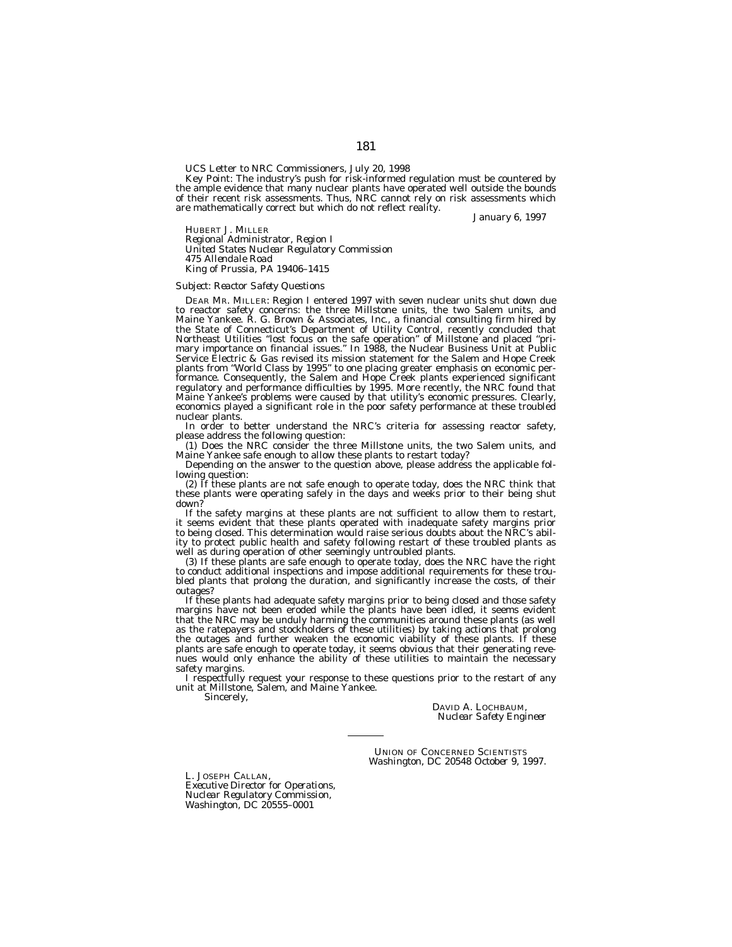UCS Letter to NRC Commissioners, July 20, 1998

Key Point: The industry's push for risk-informed regulation must be countered by the ample evidence that many nuclear plants have operated well outside the bounds of their recent risk assessments. Thus, NRC cannot rely on risk assessments which are mathematically correct but which do not reflect reality.

*January 6, 1997*

HUBERT J. MILLER *Regional Administrator, Region I United States Nuclear Regulatory Commission 475 Allendale Road King of Prussia, PA 19406–1415*

#### *Subject: Reactor Safety Questions*

DEAR MR. MILLER: Region I entered 1997 with seven nuclear units shut down due to reactor safety concerns: the three Millstone units, the two Salem units, and Maine Yankee. R. G. Brown & Associates, Inc., a financial consulting firm hired by the State of Connecticut's Department of Utility Control, recently concluded that Northeast Utilities ''lost focus on the safe operation'' of Millstone and placed ''primary importance on financial issues.'' In 1988, the Nuclear Business Unit at Public Service Electric & Gas revised its mission statement for the Salem and Hope Creek plants from "World Class by 1995" to one placing greater emphasis on economic performance. Consequently, the Salem and Hope Creek plants experienced significant regulatory and performance difficulties by 1995. More recently, the NRC found that Maine Yankee's problems were caused by that utility's economic pressures. Clearly, economics played a significant role in the poor safety performance at these troubled nuclear plants.

In order to better understand the NRC's criteria for assessing reactor safety, please address the following question:

(1) Does the NRC consider the three Millstone units, the two Salem units, and Maine Yankee safe enough to allow these plants to restart today?

Depending on the answer to the question above, please address the applicable following question:

(2) If these plants are not safe enough to operate today, does the NRC think that these plants were operating safely in the days and weeks prior to their being shut down?

If the safety margins at these plants are not sufficient to allow them to restart, it seems evident that these plants operated with inadequate safety margins prior to being closed. This determination would raise serious doubts about the NRC's ability to protect public health and safety following restart of these troubled plants as well as during operation of other seemingly untroubled plants.

(3) If these plants are safe enough to operate today, does the NRC have the right to conduct additional inspections and impose additional requirements for these troubled plants that prolong the duration, and significantly increase the costs, of their outages?

If these plants had adequate safety margins prior to being closed and those safety margins have not been eroded while the plants have been idled, it seems evident that the NRC may be unduly harming the communities around these plants (as well as the ratepayers and stockholders of these utilities) by taking actions that prolong the outages and further weaken the economic viability of these plants. If these plants are safe enough to operate today, it seems obvious that their generating revenues would only enhance the ability of these utilities to maintain the necessary safety margins.

I respectfully request your response to these questions prior to the restart of any unit at Millstone, Salem, and Maine Yankee.

Sincerely,

DAVID A. LOCHBAUM, *Nuclear Safety Engineer*

UNION OF CONCERNED SCIENTISTS *Washington, DC 20548 October 9, 1997.*

L. JOSEPH CALLAN, *Executive Director for Operations, Nuclear Regulatory Commission, Washington, DC 20555–0001*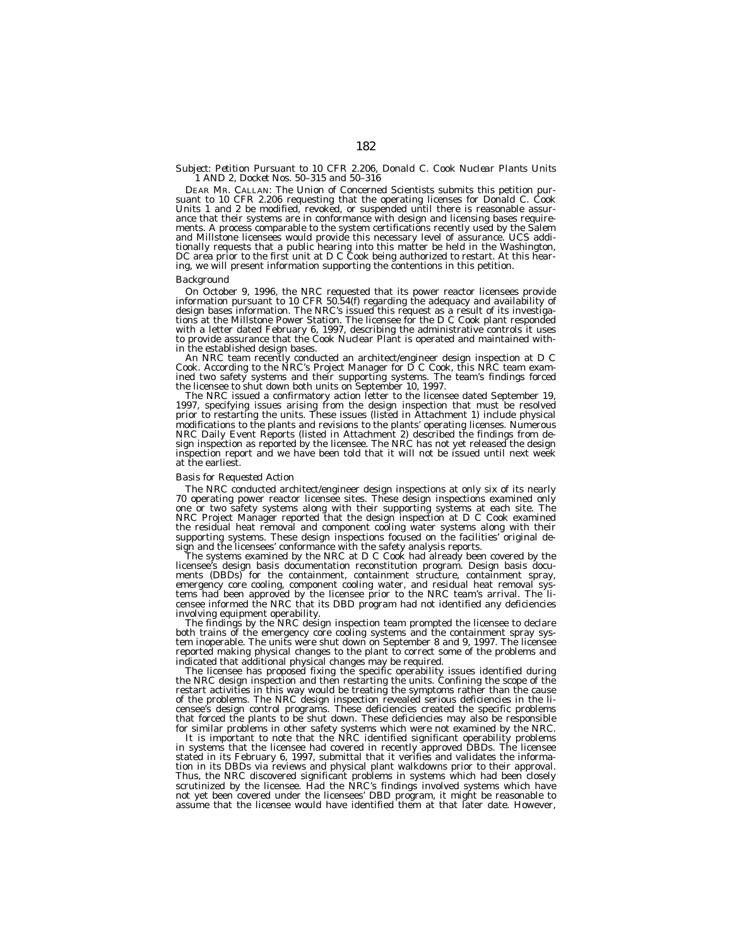# *Subject: Petition Pursuant to 10 CFR 2.206, Donald C. Cook Nuclear Plants Units 1 AND 2, Docket Nos. 50–315 and 50–316*

DEAR MR. CALLAN: The Union of Concerned Scientists submits this petition pur-suant to 10 CFR 2.206 requesting that the operating licenses for Donald C. Cook Units 1 and 2 be modified, revoked, or suspended until there is reasonable assur-<br>ance that their systems are in conformance with design and licensing bases requirements. A process comparable to the system certifications recently used by the Salem and Millstone licensees would provide this necessary level of assurance. UCS additionally requests that a public hearing into this matter be held in the Washington, DC area prior to the first unit at D C Cook being authorized to restart. At this hearing, we will present information supporting the contentions in this petition.

#### *Background*

On October 9, 1996, the NRC requested that its power reactor licensees provide information pursuant to 10 CFR 50.54(f) regarding the adequacy and availability of design bases information. The NRC's issued this request as a result of its investiga-<br>tions at the Millstone Power Station. The licensee for the D C Cook plant responded<br>with a letter dated February 6, 1997, describing the to provide assurance that the Cook Nuclear Plant is operated and maintained with-<br>in the established design bases.

in the established design bases. An NRC team recently conducted an architect/engineer design inspection at D C Cook. According to the NRC's Project Manager for D C Cook, this NRC team examined two safety systems and their supporting systems. The team's findings forced the licensee to shut down both units on September 10, 1997.

The NRC issued a confirmatory action letter to the licensee dated September 19, 1997, specifying issues arising from the design inspection that must be resolved prior to restarting the units. These issues (listed in Attachment 1) include physical modifications to the plants and revisions to the plants' operating licenses. Numerous NRC Daily Event Reports (listed in Attachment 2) described the findings from design inspection as reported by the licensee. The NRC has not yet released the design inspection report and we have been told that it will not be issued until next week at the earliest.

## *Basis for Requested Action*

The NRC conducted architect/engineer design inspections at only six of its nearly 70 operating power reactor licensee sites. These design inspections examined only one or two safety systems along with their supporting systems at each site. The NRC Project Manager reported that the design inspection at D C Cook examined the residual heat removal and component cooling water systems along with their supporting systems. These design inspections focused on the facilities' original design and the licensees' conformance with the safety analysis reports.

The systems examined by the NRC at D C Cook had already been covered by the licensee's design basis documentation reconstitution program. Design basis documents (DBDs) for the containment, containment structure, containment spray, emergency core cooling, component cooling water, and residual heat removal systems had been approved by the licensee prior to the NRC team's arrival. The licensee informed the NRC that its DBD program had not identified any deficiencies involving equipment operability.

The findings by the NRC design inspection team prompted the licensee to declare both trains of the emergency core cooling systems and the containment spray system inoperable. The units were shut down on September 8 and 9, 1997. The licensee reported making physical changes to the plant to correct some of the problems and indicated that additional physical changes may be required.

The licensee has proposed fixing the specific operability issues identified during the NRC design inspection and then restarting the units. Confining the scope of the restart activities in this way would be treating the symptoms rather than the cause of the problems. The NRC design inspection revealed serious deficiencies in the licensee's design control programs. These deficiencies created the specific problems that forced the plants to be shut down. These deficiencies may also be responsible for similar problems in other safety systems which were not examined by the NRC.

It is important to note that the NRC identified significant operability problems in systems that the licensee had covered in recently approved DBDs. The licensee stated in its February 6, 1997, submittal that it verifies and validates the information in its DBDs via reviews and physical plant walkdowns prior to their approval. Thus, the NRC discovered significant problems in systems which had been closely scrutinized by the licensee. Had the NRC's findings involved systems which have not yet been covered under the licensees' DBD program, it might be reasonable to assume that the licensee would have identified them at that later date. However,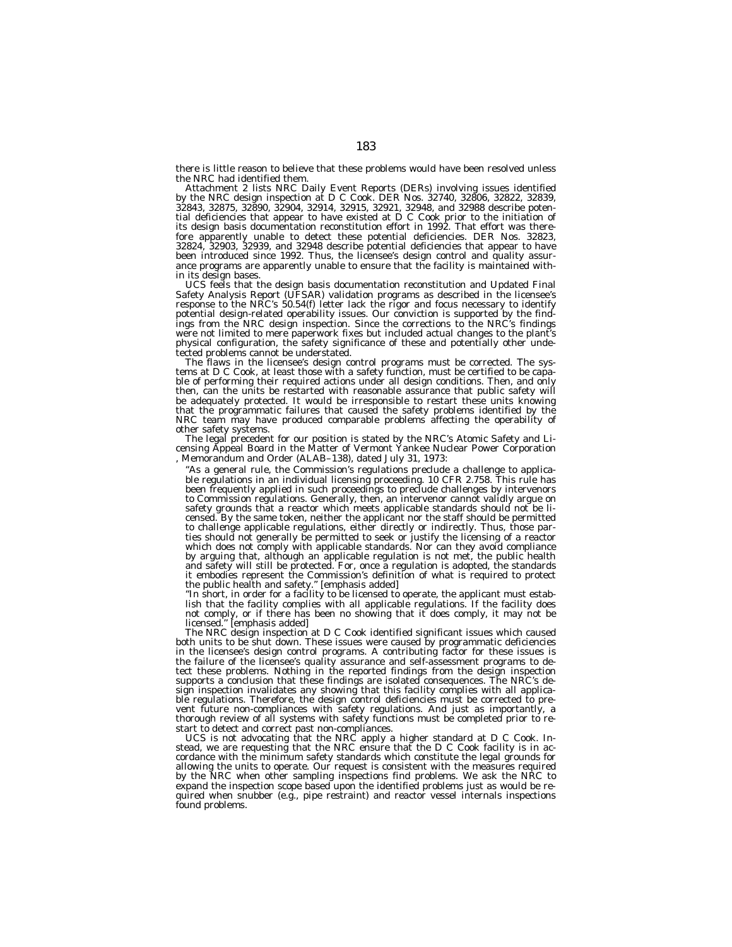there is little reason to believe that these problems would have been resolved unless the NRC had identified them.

Attachment 2 lists NRC Daily Event Reports (DERs) involving issues identified by the NRC design inspection at D C Cook. DER Nos. 32740, 32806, 32822, 32839, 32843, 32875, 32890, 32904, 32914, 32915, 32921, 32948, and 32988 describe potential deficiencies that appear to have existed at D C Cook prior to the initiation of its design basis documentation reconstitution effort in 1992. That effort was therefore apparently unable to detect these potential deficiencies. DER Nos. 32823, 32824, 32903, 32939, and 32948 describe potential deficiencies that appear to have been introduced since 1992. Thus, the licensee's design control and quality assurance programs are apparently unable to ensure that the facility is maintained within its design bases.

UCS feels that the design basis documentation reconstitution and Updated Final Safety Analysis Report (UFSAR) validation programs as described in the licensee's response to the NRC's 50.54(f) letter lack the rigor and focus necessary to identify potential design-related operability issues. Our conviction is supported by the findings from the NRC design inspection. Since the corrections to the NRC's findings were not limited to mere paperwork fixes but included actual changes to the plant's physical configuration, the safety significance of these and potentially other undetected problems cannot be understated.

The flaws in the licensee's design control programs must be corrected. The systems at D C Cook, at least those with a safety function, must be certified to be capable of performing their required actions under all design conditions. Then, and only then, can the units be restarted with reasonable assurance that public safety will be adequately protected. It would be irresponsible to restart these units knowing that the programmatic failures that caused the safety problems identified by the NRC team may have produced comparable problems affecting the operability of other safety systems.

The legal precedent for our position is stated by the NRC's Atomic Safety and Licensing Appeal Board in the Matter of Vermont Yankee Nuclear Power Corporation , Memorandum and Order (ALAB–138), dated July 31, 1973:

''As a general rule, the Commission's regulations preclude a challenge to applicable regulations in an individual licensing proceeding. 10 CFR 2.758. This rule has been frequently applied in such proceedings to preclude challenges by intervenors to Commission regulations. Generally, then, an intervenor cannot validly argue on safety grounds that a reactor which meets applicable standards should not be licensed. By the same token, neither the applicant nor the staff should be permitted to challenge applicable regulations, either directly or indirectly. Thus, those parties should not generally be permitted to seek or justify the licensing of a reactor which does not comply with applicable standards. Nor can they avoid compliance by arguing that, although an applicable regulation is not met, the public health and safety will still be protected. For, once a regulation is adopted, the standards it embodies represent the Commission's definition of what is required to protect the public health and safety.'' [emphasis added]

''In short, in order for a facility to be licensed to operate, the applicant must establish that the facility complies with all applicable regulations. If the facility does not comply, or if there has been no showing that it does comply, it may not be licensed.'' [emphasis added]

The NRC design inspection at D C Cook identified significant issues which caused both units to be shut down. These issues were caused by programmatic deficiencies in the licensee's design control programs. A contributing factor for these issues is the failure of the licensee's quality assurance and self-assessment programs to detect these problems. Nothing in the reported findings from the design inspection supports a conclusion that these findings are isolated consequences. The NRC's design inspection invalidates any showing that this facility complies with all applicable regulations. Therefore, the design control deficiencies must be corrected to prevent future non-compliances with safety regulations. And just as importantly, a thorough review of all systems with safety functions must be completed prior to restart to detect and correct past non-compliances.

UCS is not advocating that the NRC apply a higher standard at D C Cook. Instead, we are requesting that the NRC ensure that the D C Cook facility is in accordance with the minimum safety standards which constitute the legal grounds for allowing the units to operate. Our request is consistent with the measures required by the NRC when other sampling inspections find problems. We ask the NRC to expand the inspection scope based upon the identified problems just as would be required when snubber (e.g., pipe restraint) and reactor vessel internals inspections found problems.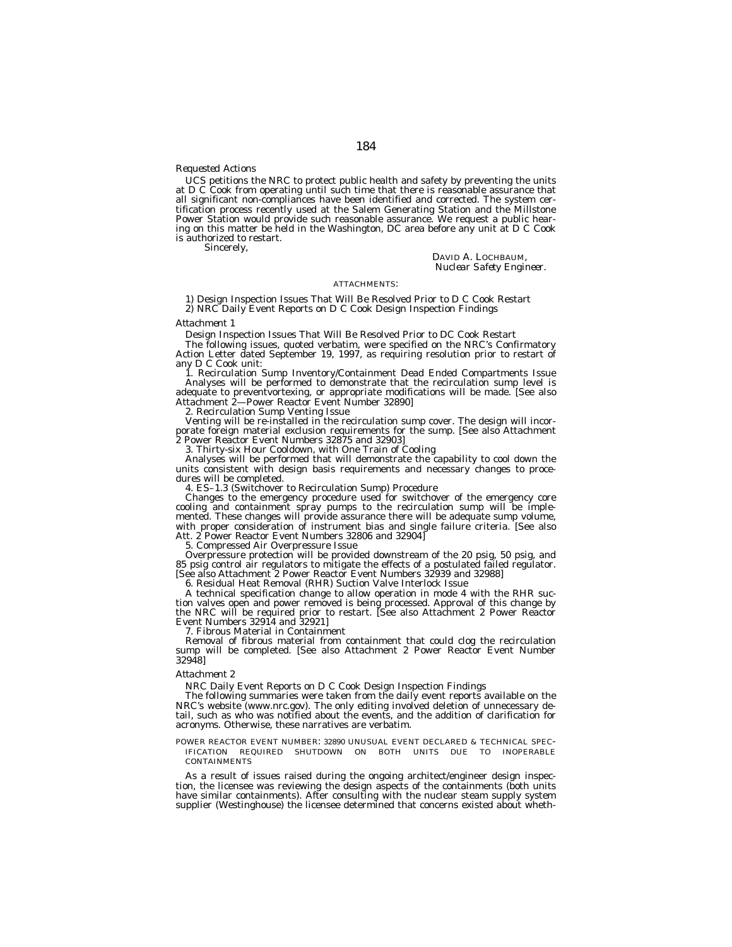# *Requested Actions*

UCS petitions the NRC to protect public health and safety by preventing the units at D C Cook from operating until such time that there is reasonable assurance that all significant non-compliances have been identified and corrected. The system certification process recently used at the Salem Generating Station and the Millstone Power Station would provide such reasonable assurance. We request a public hearing on this matter be held in the Washington, DC area before any unit at D C Cook is authorized to restart.

Sincerely,

DAVID A. LOCHBAUM, *Nuclear Safety Engineer.*

# ATTACHMENTS:

1) Design Inspection Issues That Will Be Resolved Prior to D C Cook Restart 2) NRC Daily Event Reports on D C Cook Design Inspection Findings

#### *Attachment 1*

Design Inspection Issues That Will Be Resolved Prior to DC Cook Restart

The following issues, quoted verbatim, were specified on the NRC's Confirmatory Action Letter dated September 19, 1997, as requiring resolution prior to restart of any D C Cook unit:

1. Recirculation Sump Inventory/Containment Dead Ended Compartments Issue Analyses will be performed to demonstrate that the recirculation sump level is adequate to preventvortexing, or appropriate modifications will be made. [See also Attachment 2—Power Reactor Event Number 32890]

2. Recirculation Sump Venting Issue

Venting will be re-installed in the recirculation sump cover. The design will incorporate foreign material exclusion requirements for the sump. [See also Attachment 2 Power Reactor Event Numbers 32875 and 32903]

3. Thirty-six Hour Cooldown, with One Train of Cooling

Analyses will be performed that will demonstrate the capability to cool down the units consistent with design basis requirements and necessary changes to procedures will be completed.

4. ES–1.3 (Switchover to Recirculation Sump) Procedure

Changes to the emergency procedure used for switchover of the emergency core cooling and containment spray pumps to the recirculation sump will be implemented. These changes will provide assurance there will be adequate sump volume, with proper consideration of instrument bias and single failure criteria. [See also Att. 2 Power Reactor Event Numbers 32806 and 32904]

5. Compressed Air Overpressure Issue

Overpressure protection will be provided downstream of the 20 psig, 50 psig, and 85 psig control air regulators to mitigate the effects of a postulated failed regulator. [See also Attachment 2 Power Reactor Event Numbers 32939 and 32988]

6. Residual Heat Removal (RHR) Suction Valve Interlock Issue

A technical specification change to allow operation in mode 4 with the RHR suction valves open and power removed is being processed. Approval of this change by the NRC will be required prior to restart. [See also Attachment 2 Power Reactor Event Numbers 32914 and 32921]

7. Fibrous Material in Containment

Removal of fibrous material from containment that could clog the recirculation sump will be completed. [See also Attachment 2 Power Reactor Event Number 32948]

# *Attachment 2*

NRC Daily Event Reports on D C Cook Design Inspection Findings

The following summaries were taken from the daily event reports available on the NRC's website (www.nrc.gov). The only editing involved deletion of unnecessary detail, such as who was notified about the events, and the addition of clarification for acronyms. Otherwise, these narratives are verbatim.

POWER REACTOR EVENT NUMBER: 32890 UNUSUAL EVENT DECLARED & TECHNICAL SPEC-IFICATION REQUIRED SHUTDOWN ON BOTH UNITS DUE TO INOPERABLE **CONTAINMENTS** 

As a result of issues raised during the ongoing architect/engineer design inspection, the licensee was reviewing the design aspects of the containments (both units have similar containments). After consulting with the nuclear steam supply system supplier (Westinghouse) the licensee determined that concerns existed about wheth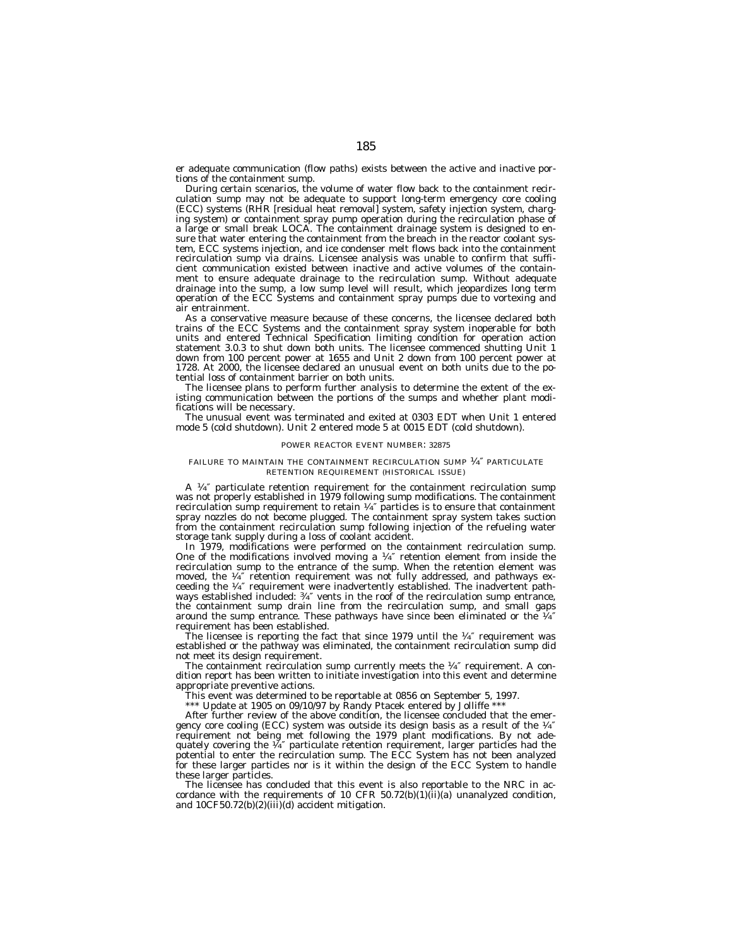er adequate communication (flow paths) exists between the active and inactive portions of the containment sump.

During certain scenarios, the volume of water flow back to the containment recirculation sump may not be adequate to support long-term emergency core cooling (ECC) systems (RHR [residual heat removal] system, safety injection system, charging system) or containment spray pump operation during the recirculation phase of a large or small break LOCA. The containment drainage system is designed to ensure that water entering the containment from the breach in the reactor coolant system, ECC systems injection, and ice condenser melt flows back into the containment recirculation sump via drains. Licensee analysis was unable to confirm that sufficient communication existed between inactive and active volumes of the containment to ensure adequate drainage to the recirculation sump. Without adequate drainage into the sump, a low sump level will result, which jeopardizes long term operation of the ECC Systems and containment spray pumps due to vortexing and air entrainment.

As a conservative measure because of these concerns, the licensee declared both trains of the ECC Systems and the containment spray system inoperable for both units and entered Technical Specification limiting condition for operation action statement 3.0.3 to shut down both units. The licensee commenced shutting Unit 1 down from 100 percent power at 1655 and Unit 2 down from 100 percent power at 1728. At 2000, the licensee declared an unusual event on both units due to the potential loss of containment barrier on both units.

The licensee plans to perform further analysis to determine the extent of the existing communication between the portions of the sumps and whether plant modifications will be necessary.

The unusual event was terminated and exited at 0303 EDT when Unit 1 entered mode 5 (cold shutdown). Unit 2 entered mode 5 at 0015 EDT (cold shutdown).

## POWER REACTOR EVENT NUMBER: 32875

## FAILURE TO MAINTAIN THE CONTAINMENT RECIRCULATION SUMP 1⁄4″ PARTICULATE RETENTION REQUIREMENT (HISTORICAL ISSUE)

A  $\frac{1}{4}$ " particulate retention requirement for the containment recirculation sump was not properly established in 1979 following sump modifications. The containment recirculation sump requirement to retain  $\frac{1}{4}$  particles is to ensure that containment spray nozzles do not become plugged. The containment spray system takes suction from the containment recirculation sump following injection of the refueling water storage tank supply during a loss of coolant accident.

In 1979, modifications were performed on the containment recirculation sump. One of the modifications involved moving a 1⁄4″ retention element from inside the recirculation sump to the entrance of the sump. When the retention element was moved, the  $\frac{1}{4}$  retention requirement was not fully addressed, and pathways exceeding the  $\frac{1}{4}$  requirement were inadvertently established. The inadvertent pathways established included: 3⁄4″ vents in the roof of the recirculation sump entrance, the containment sump drain line from the recirculation sump, and small gaps around the sump entrance. These pathways have since been eliminated or the  $\frac{1}{4}$ requirement has been established.

The licensee is reporting the fact that since 1979 until the  $\frac{1}{4}$  requirement was established or the pathway was eliminated, the containment recirculation sump did not meet its design requirement.

The containment recirculation sump currently meets the <sup>1</sup>/4" requirement. A condition report has been written to initiate investigation into this event and determine appropriate preventive actions.

This event was determined to be reportable at 0856 on September 5, 1997.

\*\*\* Update at 1905 on 09/10/97 by Randy Ptacek entered by Jolliffe \*\*\*

After further review of the above condition, the licensee concluded that the emergency core cooling (ECC) system was outside its design basis as a result of the  $\frac{1}{4}$ requirement not being met following the 1979 plant modifications. By not ade-quately covering the 1⁄4″ particulate retention requirement, larger particles had the potential to enter the recirculation sump. The ECC System has not been analyzed for these larger particles nor is it within the design of the ECC System to handle these larger particles.

The licensee has concluded that this event is also reportable to the NRC in accordance with the requirements of 10 CFR 50.72(b)(1)(ii)(a) unanalyzed condition, and  $10CF50.72(b)(2)(iii)(d)$  accident mitigation.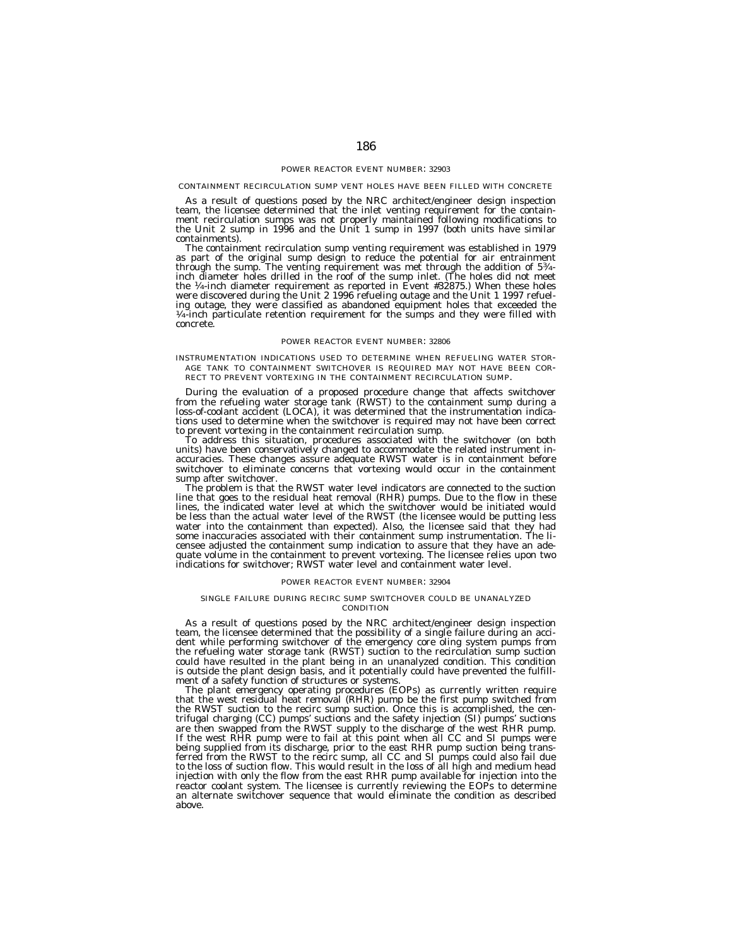#### CONTAINMENT RECIRCULATION SUMP VENT HOLES HAVE BEEN FILLED WITH CONCRETE

As a result of questions posed by the NRC architect/engineer design inspection team, the licensee determined that the inlet venting requirement for the containment recirculation sumps was not properly maintained following modifications to the Unit 2 sump in 1996 and the Unit 1 sump in 1997 (both units have similar

containments).<br>The containment recirculation sump venting requirement was established in 1979 The containment recirculation sump venting requirement was established in 1979 as part of the original sump design to reduce the potential for air entrainment through the sump. The venting requirement was met through the addition of 53⁄4- inch diameter holes drilled in the roof of the sump inlet. (The holes did not meet the 1⁄4-inch diameter requirement as reported in Event #32875.) When these holes were discovered during the Unit 2 1996 refueling outage and the Unit 1 1997 refueling outage, they were classified as abandoned equipment holes that exceeded the <sup>1</sup>/4-inch particulate retention requirement for the sumps and they were filled with concrete.

# POWER REACTOR EVENT NUMBER: 32806

INSTRUMENTATION INDICATIONS USED TO DETERMINE WHEN REFUELING WATER STOR-AGE TANK TO CONTAINMENT SWITCHOVER IS REQUIRED MAY NOT HAVE BEEN COR-RECT TO PREVENT VORTEXING IN THE CONTAINMENT RECIRCULATION SUMP.

During the evaluation of a proposed procedure change that affects switchover from the refueling water storage tank (RWST) to the containment sump during a loss-of-coolant accident (LOCA), it was determined that the instrumentation indications used to determine when the switchover is required may not have been correct to prevent vortexing in the containment recirculation sump.

To address this situation, procedures associated with the switchover (on both units) have been conservatively changed to accommodate the related instrument inaccuracies. These changes assure adequate RWST water is in containment before switchover to eliminate concerns that vortexing would occur in the containment sump after switchover.

The problem is that the RWST water level indicators are connected to the suction line that goes to the residual heat removal (RHR) pumps. Due to the flow in these lines, the indicated water level at which the switchover would be initiated would be less than the actual water level of the RWST (the licensee would be putting less water into the containment than expected). Also, the licensee said that they had some inaccuracies associated with their containment sump instrumentation. The licensee adjusted the containment sump indication to assure that they have an adequate volume in the containment to prevent vortexing. The licensee relies upon two indications for switchover; RWST water level and containment water level.

#### POWER REACTOR EVENT NUMBER: 32904

#### SINGLE FAILURE DURING RECIRC SUMP SWITCHOVER COULD BE UNANALYZED **CONDITION**

As a result of questions posed by the NRC architect/engineer design inspection team, the licensee determined that the possibility of a single failure during an accident while performing switchover of the emergency core oling system pumps from the refueling water storage tank (RWST) suction to the recirculation sump suction could have resulted in the plant being in an unanalyzed condition. This condition is outside the plant design basis, and it potentially could have prevented the fulfillment of a safety function of structures or systems.

The plant emergency operating procedures (EOPs) as currently written require that the west residual heat removal (RHR) pump be the first pump switched from the RWST suction to the recirc sump suction. Once this is accomplished, the centrifugal charging (CC) pumps' suctions and the safety injection (SI) pumps' suctions are then swapped from the RWST supply to the discharge of the west RHR pump. If the west RHR pump were to fail at this point when all CC and SI pumps were being supplied from its discharge, prior to the east RHR pump suction being transferred from the RWST to the recirc sump, all CC and SI pumps could also fail due to the loss of suction flow. This would result in the loss of all high and medium head injection with only the flow from the east RHR pump available for injection into the reactor coolant system. The licensee is currently reviewing the EOPs to determine an alternate switchover sequence that would eliminate the condition as described above.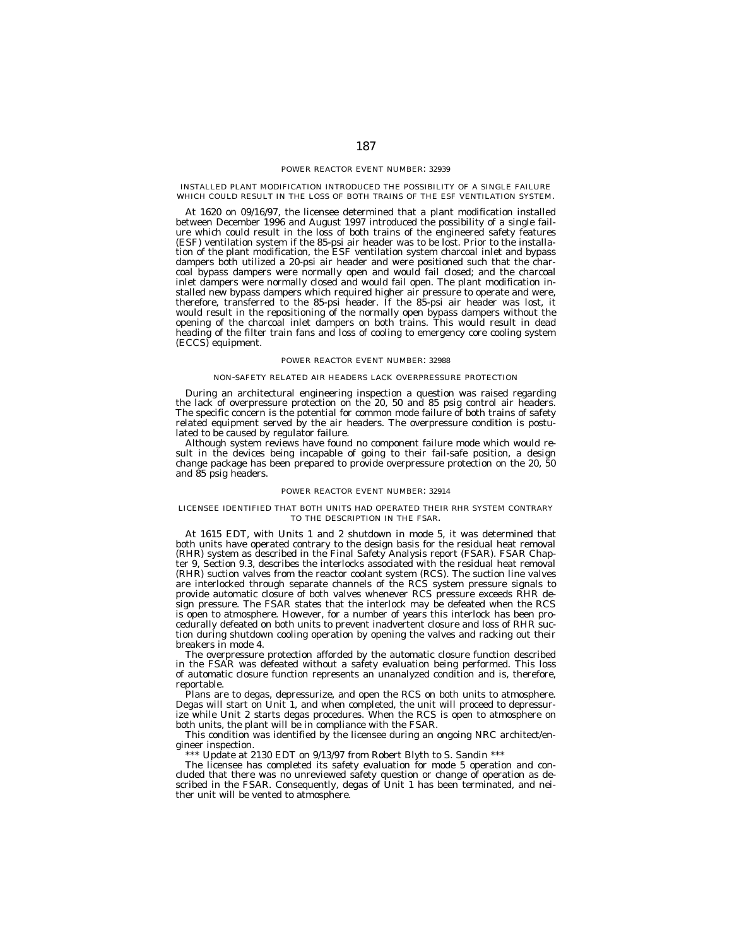INSTALLED PLANT MODIFICATION INTRODUCED THE POSSIBILITY OF A SINGLE FAILURE WHICH COULD RESULT IN THE LOSS OF BOTH TRAINS OF THE ESF VENTILATION SYSTEM.

At 1620 on 09/16/97, the licensee determined that a plant modification installed between December 1996 and August 1997 introduced the possibility of a single failure which could result in the loss of both trains of the engineered safety features (ESF) ventilation system if the 85-psi air header was to be lost. Prior to the installation of the plant modification, the ESF ventilation system charcoal inlet and bypass dampers both utilized a 20-psi air header and were positioned such that the charcoal bypass dampers were normally open and would fail closed; and the charcoal inlet dampers were normally closed and would fail open. The plant modification installed new bypass dampers which required higher air pressure to operate and were, therefore, transferred to the 85-psi header. If the 85-psi air header was lost, it would result in the repositioning of the normally open bypass dampers without the opening of the charcoal inlet dampers on both trains. This would result in dead heading of the filter train fans and loss of cooling to emergency core cooling system (ECCS) equipment.

# POWER REACTOR EVENT NUMBER: 32988

# NON-SAFETY RELATED AIR HEADERS LACK OVERPRESSURE PROTECTION

During an architectural engineering inspection a question was raised regarding the lack of overpressure protection on the 20, 50 and 85 psig control air headers. The specific concern is the potential for common mode failure of both trains of safety related equipment served by the air headers. The overpressure condition is postulated to be caused by regulator failure.

Although system reviews have found no component failure mode which would result in the devices being incapable of going to their fail-safe position, a design change package has been prepared to provide overpressure protection on the 20, 50 and 85 psig headers.

#### POWER REACTOR EVENT NUMBER: 32914

## LICENSEE IDENTIFIED THAT BOTH UNITS HAD OPERATED THEIR RHR SYSTEM CONTRARY TO THE DESCRIPTION IN THE FSAR.

At 1615 EDT, with Units 1 and 2 shutdown in mode 5, it was determined that both units have operated contrary to the design basis for the residual heat removal (RHR) system as described in the Final Safety Analysis report (FSAR). FSAR Chapter 9, Section 9.3, describes the interlocks associated with the residual heat removal (RHR) suction valves from the reactor coolant system (RCS). The suction line valves are interlocked through separate channels of the RCS system pressure signals to provide automatic closure of both valves whenever RCS pressure exceeds RHR design pressure. The FSAR states that the interlock may be defeated when the RCS is open to atmosphere. However, for a number of years this interlock has been procedurally defeated on both units to prevent inadvertent closure and loss of RHR suction during shutdown cooling operation by opening the valves and racking out their breakers in mode 4.

The overpressure protection afforded by the automatic closure function described in the FSAR was defeated without a safety evaluation being performed. This loss of automatic closure function represents an unanalyzed condition and is, therefore, reportable.

Plans are to degas, depressurize, and open the RCS on both units to atmosphere. Degas will start on Unit 1, and when completed, the unit will proceed to depressurize while Unit 2 starts degas procedures. When the RCS is open to atmosphere on both units, the plant will be in compliance with the FSAR.

This condition was identified by the licensee during an ongoing NRC architect/engineer inspection.

\*\*\* Update at 2130 EDT on 9/13/97 from Robert Blyth to S. Sandin \*\*\*

The licensee has completed its safety evaluation for mode 5 operation and concluded that there was no unreviewed safety question or change of operation as described in the FSAR. Consequently, degas of Unit 1 has been terminated, and neither unit will be vented to atmosphere.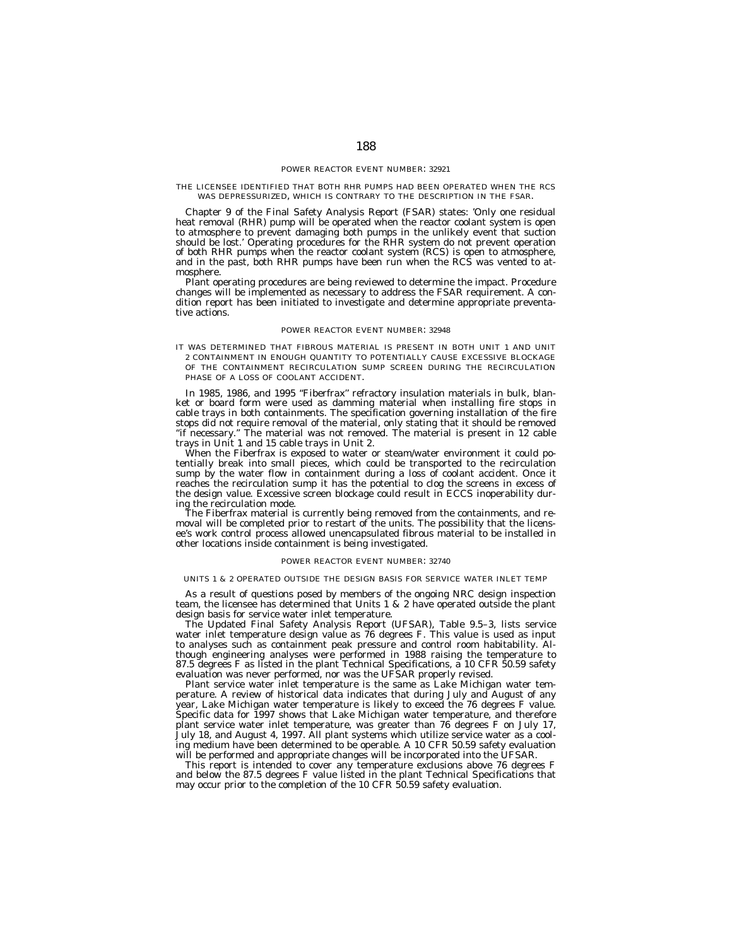#### THE LICENSEE IDENTIFIED THAT BOTH RHR PUMPS HAD BEEN OPERATED WHEN THE RCS WAS DEPRESSURIZED, WHICH IS CONTRARY TO THE DESCRIPTION IN THE FSAR.

Chapter 9 of the Final Safety Analysis Report (FSAR) states: 'Only one residual heat removal (RHR) pump will be operated when the reactor coolant system is open to atmosphere to prevent damaging both pumps in the unlikely event that suction should be lost.' Operating procedures for the RHR system do not prevent operation of both RHR pumps when the reactor coolant system (RCS) is open to atmosphere, and in the past, both RHR pumps have been run when the RCS was vented to atmosphere.

Plant operating procedures are being reviewed to determine the impact. Procedure changes will be implemented as necessary to address the FSAR requirement. A condition report has been initiated to investigate and determine appropriate preventative actions.

#### POWER REACTOR EVENT NUMBER: 32948

IT WAS DETERMINED THAT FIBROUS MATERIAL IS PRESENT IN BOTH UNIT 1 AND UNIT 2 CONTAINMENT IN ENOUGH QUANTITY TO POTENTIALLY CAUSE EXCESSIVE BLOCKAGE OF THE CONTAINMENT RECIRCULATION SUMP SCREEN DURING THE RECIRCULATION PHASE OF A LOSS OF COOLANT ACCIDENT.

In 1985, 1986, and 1995 "Fiberfrax" refractory insulation materials in bulk, blanket or board form were used as damming material when installing fire stops in cable trays in both containments. The specification governing installation of the fire stops did not require removal of the material, only stating that it should be removed ''if necessary.'' The material was not removed. The material is present in 12 cable trays in Unit 1 and 15 cable trays in Unit 2.

When the Fiberfrax is exposed to water or steam/water environment it could potentially break into small pieces, which could be transported to the recirculation sump by the water flow in containment during a loss of coolant accident. Once it reaches the recirculation sump it has the potential to clog the screens in excess of the design value. Excessive screen blockage could result in ECCS inoperability during the recirculation mode.

The Fiberfrax material is currently being removed from the containments, and removal will be completed prior to restart of the units. The possibility that the licensee's work control process allowed unencapsulated fibrous material to be installed in other locations inside containment is being investigated.

## POWER REACTOR EVENT NUMBER: 32740

# UNITS 1 & 2 OPERATED OUTSIDE THE DESIGN BASIS FOR SERVICE WATER INLET TEMP

As a result of questions posed by members of the ongoing NRC design inspection team, the licensee has determined that Units 1 & 2 have operated outside the plant design basis for service water inlet temperature.

The Updated Final Safety Analysis Report (UFSAR), Table 9.5–3, lists service water inlet temperature design value as 76 degrees F. This value is used as input to analyses such as containment peak pressure and control room habitability. Although engineering analyses were performed in 1988 raising the temperature to 87.5 degrees F as listed in the plant Technical Specifications, a 10 CFR 50.59 safety evaluation was never performed, nor was the UFSAR properly revised.

Plant service water inlet temperature is the same as Lake Michigan water temperature. A review of historical data indicates that during July and August of any year, Lake Michigan water temperature is likely to exceed the 76 degrees F value. Specific data for 1997 shows that Lake Michigan water temperature, and therefore plant service water inlet temperature, was greater than 76 degrees F on July 17, July 18, and August 4, 1997. All plant systems which utilize service water as a cooling medium have been determined to be operable. A 10 CFR 50.59 safety evaluation will be performed and appropriate changes will be incorporated into the UFSAR.

This report is intended to cover any temperature exclusions above 76 degrees F and below the 87.5 degrees F value listed in the plant Technical Specifications that may occur prior to the completion of the 10 CFR 50.59 safety evaluation.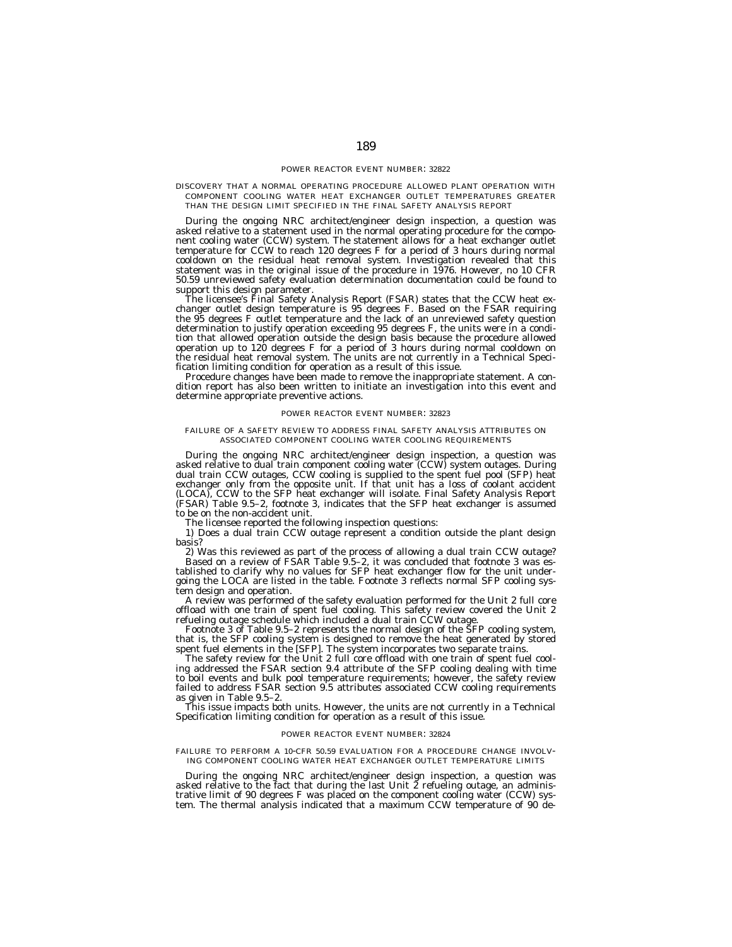# DISCOVERY THAT A NORMAL OPERATING PROCEDURE ALLOWED PLANT OPERATION WITH COMPONENT COOLING WATER HEAT EXCHANGER OUTLET TEMPERATURES GREATER THAN THE DESIGN LIMIT SPECIFIED IN THE FINAL SAFETY ANALYSIS REPORT

During the ongoing NRC architect/engineer design inspection, a question was asked relative to a statement used in the normal operating procedure for the component cooling water (CCW) system. The statement allows for a heat exchanger outlet temperature for CCW to reach 120 degrees F for a period of 3 hours during normal cooldown on the residual heat removal system. Investigation revealed that this statement was in the original issue of the procedure in 1976. However, no 10 CFR 50.59 unreviewed safety evaluation determination documentation could be found to support this design parameter.

The licensee's Final Safety Analysis Report (FSAR) states that the CCW heat exchanger outlet design temperature is 95 degrees F. Based on the FSAR requiring the 95 degrees F outlet temperature and the lack of an unreviewed safety question determination to justify operation exceeding 95 degrees F, the units were in a condition that allowed operation outside the design basis because the procedure allowed operation up to 120 degrees F for a period of 3 hours during normal cooldown on the residual heat removal system. The units are not currently in a Technical Specification limiting condition for operation as a result of this issue.

Procedure changes have been made to remove the inappropriate statement. A condition report has also been written to initiate an investigation into this event and determine appropriate preventive actions.

# POWER REACTOR EVENT NUMBER: 32823

# FAILURE OF A SAFETY REVIEW TO ADDRESS FINAL SAFETY ANALYSIS ATTRIBUTES ON ASSOCIATED COMPONENT COOLING WATER COOLING REQUIREMENTS

During the ongoing NRC architect/engineer design inspection, a question was asked relative to dual train component cooling water (CCW) system outages. During dual train CCW outages, CCW cooling is supplied to the spent fuel pool (SFP) heat exchanger only from the opposite unit. If that unit has a loss of coolant accident (LOCA), CCW to the SFP heat exchanger will isolate. Final Safety Analysis Report (FSAR) Table 9.5–2, footnote 3, indicates that the SFP heat exchanger is assumed to be on the non-accident unit.

The licensee reported the following inspection questions:

1) Does a dual train CCW outage represent a condition outside the plant design basis?

2) Was this reviewed as part of the process of allowing a dual train CCW outage? Based on a review of FSAR Table 9.5–2, it was concluded that footnote 3 was established to clarify why no values for SFP heat exchanger flow for the unit undergoing the LOCA are listed in the table. Footnote 3 reflects normal SFP cooling system design and operation.

A review was performed of the safety evaluation performed for the Unit 2 full core offload with one train of spent fuel cooling. This safety review covered the Unit 2 refueling outage schedule which included a dual train CCW outage.

Footnote 3 of Table 9.5–2 represents the normal design of the SFP cooling system, that is, the SFP cooling system is designed to remove the heat generated by stored spent fuel elements in the [SFP]. The system incorporates two separate trains.

The safety review for the Unit 2 full core offload with one train of spent fuel cooling addressed the FSAR section 9.4 attribute of the SFP cooling dealing with time to boil events and bulk pool temperature requirements; however, the safety review failed to address FSAR section 9.5 attributes associated CCW cooling requirements as given in Table 9.5–2.

This issue impacts both units. However, the units are not currently in a Technical Specification limiting condition for operation as a result of this issue.

#### POWER REACTOR EVENT NUMBER: 32824

## FAILURE TO PERFORM A 10-CFR 50.59 EVALUATION FOR A PROCEDURE CHANGE INVOLV-ING COMPONENT COOLING WATER HEAT EXCHANGER OUTLET TEMPERATURE LIMITS

During the ongoing NRC architect/engineer design inspection, a question was asked relative to the fact that during the last Unit 2 refueling outage, an administrative limit of 90 degrees F was placed on the component cooling water (CCW) system. The thermal analysis indicated that a maximum CCW temperature of 90 de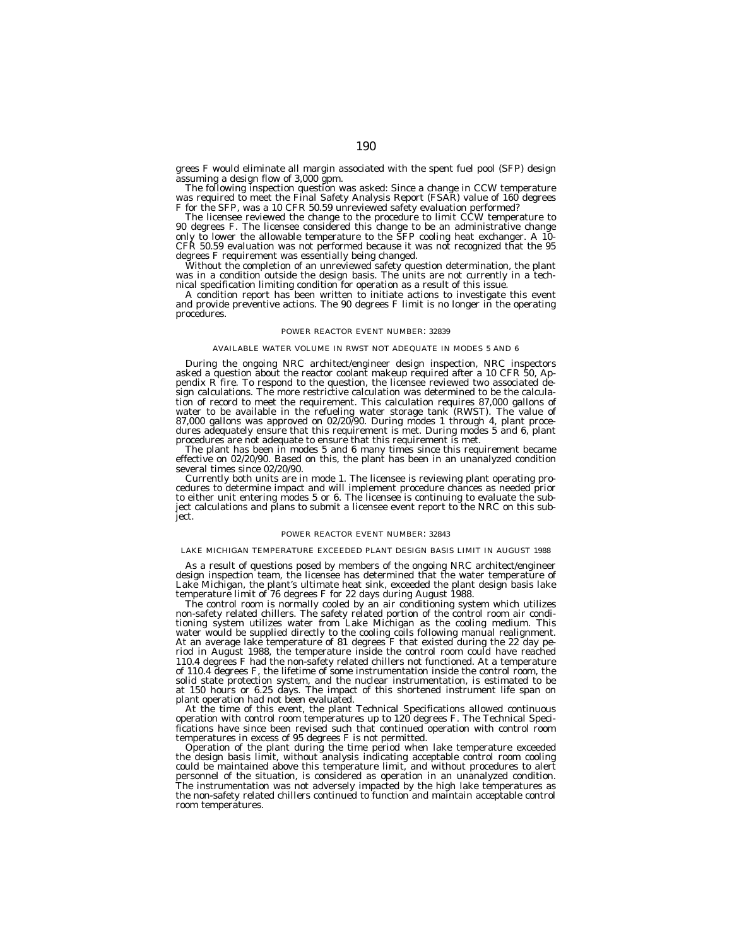grees F would eliminate all margin associated with the spent fuel pool (SFP) design assuming a design flow of 3,000 gpm.

The following inspection question was asked: Since a change in CCW temperature was required to meet the Final Safety Analysis Report (FSAR) value of 160 degrees F for the SFP, was a 10 CFR 50.59 unreviewed safety evaluation performed?

The licensee reviewed the change to the procedure to limit CCW temperature to 90 degrees F. The licensee considered this change to be an administrative change only to lower the allowable temperature to the SFP cooling heat exchanger. A 10- CFR 50.59 evaluation was not performed because it was not recognized that the 95 degrees F requirement was essentially being changed.

Without the completion of an unreviewed safety question determination, the plant was in a condition outside the design basis. The units are not currently in a technical specification limiting condition for operation as a result of this issue.

A condition report has been written to initiate actions to investigate this event and provide preventive actions. The 90 degrees F limit is no longer in the operating procedures.

## POWER REACTOR EVENT NUMBER: 32839

## AVAILABLE WATER VOLUME IN RWST NOT ADEQUATE IN MODES 5 AND 6

During the ongoing NRC architect/engineer design inspection, NRC inspectors asked a question about the reactor coolant makeup required after a 10 CFR 50, Appendix R fire. To respond to the question, the licensee reviewed two associated design calculations. The more restrictive calculation was determined to be the calculation of record to meet the requirement. This calculation requires 87,000 gallons of water to be available in the refueling water storage tank (RWST). The value of 87,000 gallons was approved on 02/20/90. During modes 1 through 4, plant procedures adequately ensure that this requirement is met. During modes 5 and 6, plant procedures are not adequate to ensure that this requirement is met.

The plant has been in modes 5 and 6 many times since this requirement became effective on 02/20/90. Based on this, the plant has been in an unanalyzed condition several times since 02/20/90.

Currently both units are in mode 1. The licensee is reviewing plant operating procedures to determine impact and will implement procedure chances as needed prior to either unit entering modes 5 or 6. The licensee is continuing to evaluate the subject calculations and plans to submit a licensee event report to the NRC on this subject.

## POWER REACTOR EVENT NUMBER: 32843

# LAKE MICHIGAN TEMPERATURE EXCEEDED PLANT DESIGN BASIS LIMIT IN AUGUST 1988

As a result of questions posed by members of the ongoing NRC architect/engineer design inspection team, the licensee has determined that the water temperature of Lake Michigan, the plant's ultimate heat sink, exceeded the plant design basis lake temperature limit of 76 degrees F for 22 days during August 1988.

The control room is normally cooled by an air conditioning system which utilizes non-safety related chillers. The safety related portion of the control room air conditioning system utilizes water from Lake Michigan as the cooling medium. This water would be supplied directly to the cooling coils following manual realignment. At an average lake temperature of 81 degrees F that existed during the 22 day period in August 1988, the temperature inside the control room could have reached 110.4 degrees F had the non-safety related chillers not functioned. At a temperature of 110.4 degrees F, the lifetime of some instrumentation inside the control room, the solid state protection system, and the nuclear instrumentation, is estimated to be at 150 hours or 6.25 days. The impact of this shortened instrument life span on plant operation had not been evaluated.

At the time of this event, the plant Technical Specifications allowed continuous operation with control room temperatures up to 120 degrees F. The Technical Specifications have since been revised such that continued operation with control room temperatures in excess of 95 degrees F is not permitted.

Operation of the plant during the time period when lake temperature exceeded the design basis limit, without analysis indicating acceptable control room cooling could be maintained above this temperature limit, and without procedures to alert personnel of the situation, is considered as operation in an unanalyzed condition. The instrumentation was not adversely impacted by the high lake temperatures as the non-safety related chillers continued to function and maintain acceptable control room temperatures.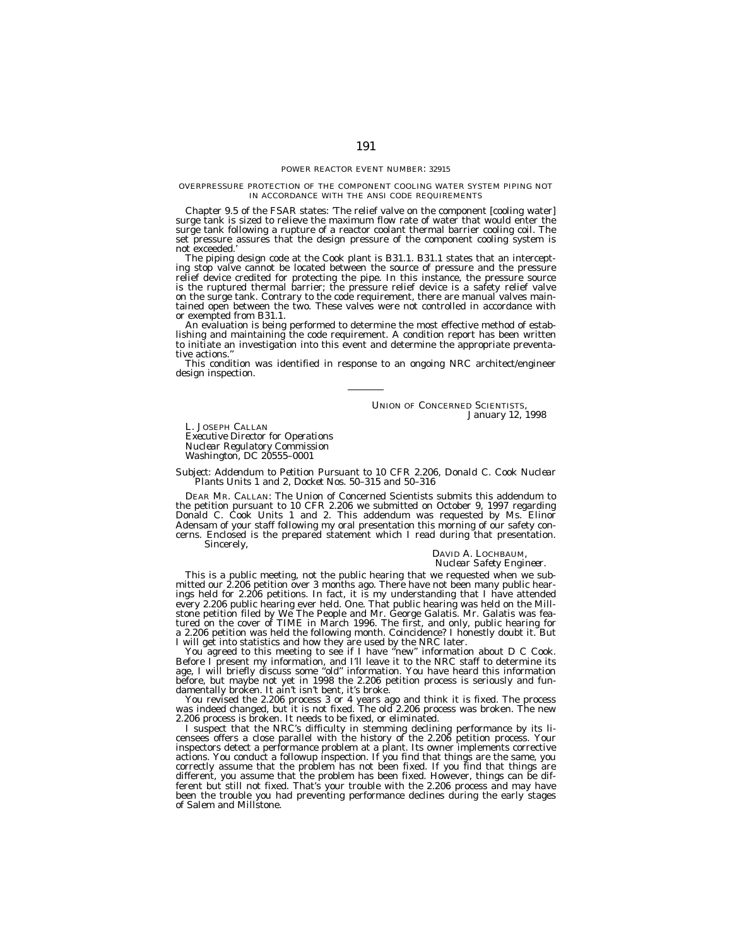#### OVERPRESSURE PROTECTION OF THE COMPONENT COOLING WATER SYSTEM PIPING NOT IN ACCORDANCE WITH THE ANSI CODE REQUIREMENTS

Chapter 9.5 of the FSAR states: 'The relief valve on the component [cooling water] surge tank is sized to relieve the maximum flow rate of water that would enter the surge tank following a rupture of a reactor coolant thermal barrier cooling coil. The set pressure assures that the design pressure of the component cooling system is not exceeded.'

The piping design code at the Cook plant is B31.1. B31.1 states that an intercepting stop valve cannot be located between the source of pressure and the pressure relief device credited for protecting the pipe. In this instance, the pressure source is the ruptured thermal barrier; the pressure relief device is a safety relief valve on the surge tank. Contrary to the code requirement, there are manual valves maintained open between the two. These valves were not controlled in accordance with or exempted from B31.1.

An evaluation is being performed to determine the most effective method of establishing and maintaining the code requirement. A condition report has been written to initiate an investigation into this event and determine the appropriate preventative actions.

This condition was identified in response to an ongoing NRC architect/engineer design inspection.

> UNION OF CONCERNED SCIENTISTS, *January 12, 1998*

L. JOSEPH CALLAN *Executive Director for Operations Nuclear Regulatory Commission Washington, DC 20555–0001*

#### *Subject: Addendum to Petition Pursuant to 10 CFR 2.206, Donald C. Cook Nuclear Plants Units 1 and 2, Docket Nos. 50–315 and 50–316*

DEAR MR. CALLAN: The Union of Concerned Scientists submits this addendum to the petition pursuant to 10 CFR 2.206 we submitted on October 9, 1997 regarding Donald C. Cook Units 1 and 2. This addendum was requested by Ms. Elinor Adensam of your staff following my oral presentation this morning of our safety concerns. Enclosed is the prepared statement which I read during that presentation. Sincerely,

# DAVID A. LOCHBAUM, *Nuclear Safety Engineer.*

This is a public meeting, not the public hearing that we requested when we submitted our 2.206 petition over 3 months ago. There have not been many public hearings held for 2.206 petitions. In fact, it is my understanding that I have attended every 2.206 public hearing ever held. One. That public hearing was held on the Millstone petition filed by We The People and Mr. George Galatis. Mr. Galatis was featured on the cover of TIME in March 1996. The first, and only, public hearing for a 2.206 petition was held the following month. Coincidence? I honestly doubt it. But I will get into statistics and how they are used by the NRC later.

You agreed to this meeting to see if I have "new" information about D C Cook. Before I present my information, and I'll leave it to the NRC staff to determine its age, I will briefly discuss some ''old'' information. You have heard this information before, but maybe not yet in 1998 the 2.206 petition process is seriously and fundamentally broken. It ain't isn't bent, it's broke.

You revised the 2.206 process 3 or 4 years ago and think it is fixed. The process was indeed changed, but it is not fixed. The old 2.206 process was broken. The new 2.206 process is broken. It needs to be fixed, or eliminated.

I suspect that the NRC's difficulty in stemming declining performance by its licensees offers a close parallel with the history of the 2.206 petition process. Your inspectors detect a performance problem at a plant. Its owner implements corrective actions. You conduct a followup inspection. If you find that things are the same, you correctly assume that the problem has not been fixed. If you find that things are different, you assume that the problem has been fixed. However, things can be different but still not fixed. That's your trouble with the 2.206 process and may have been the trouble you had preventing performance declines during the early stages of Salem and Millstone.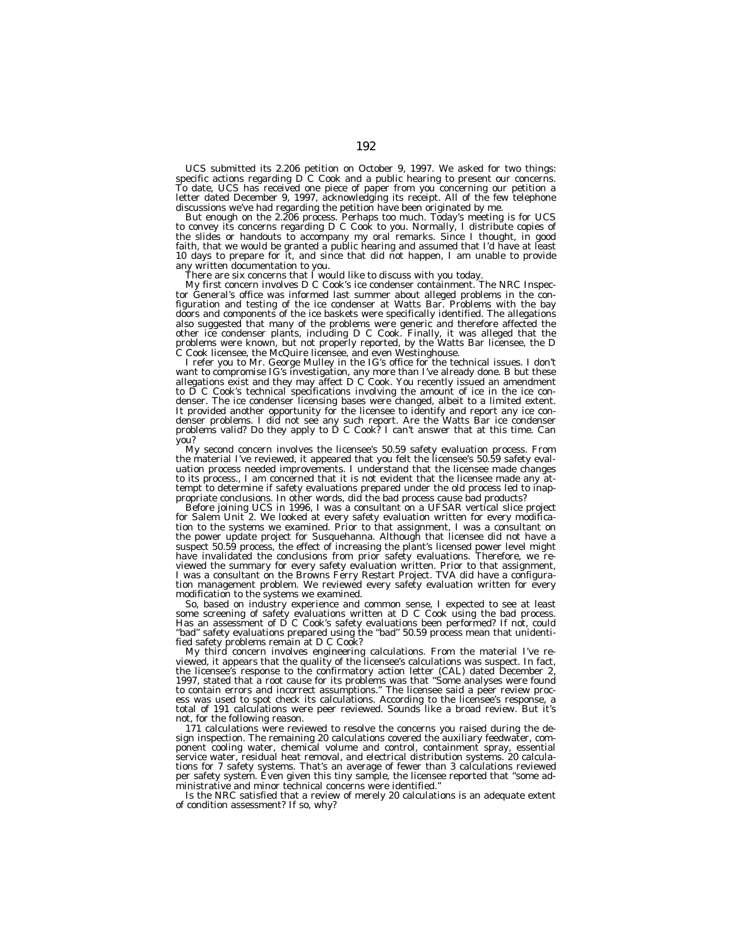UCS submitted its 2.206 petition on October 9, 1997. We asked for two things: specific actions regarding  $D^C$  Cook and a public hearing to present our concerns. To date, UCS has received one piece of paper from you concerning our petition a letter dated December 9, 1997, acknowledging its receipt. All of the few telephone discussions we've had regarding the petition have been originated by me.

But enough on the 2.206 process. Perhaps too much. Today's meeting is for UCS to convey its concerns regarding D C Cook to you. Normally, I distribute copies of the slides or handouts to accompany my oral remarks. Since I thought, in good faith, that we would be granted a public hearing and assumed that I'd have at least 10 days to prepare for it, and since that did not happen, I am unable to provide any written documentation to you.

There are six concerns that I would like to discuss with you today.

My first concern involves D C Cook's ice condenser containment. The NRC Inspector General's office was informed last summer about alleged problems in the configuration and testing of the ice condenser at Watts Bar. Problems with the bay doors and components of the ice baskets were specifically identified. The allegations also suggested that many of the problems were generic and therefore affected the other ice condenser plants, including D C Cook. Finally, it was alleged that the problems were known, but not properly reported, by the Watts Bar licensee, the D C Cook licensee, the McQuire licensee, and even Westinghouse.

I refer you to Mr. George Mulley in the IG's office for the technical issues. I don't want to compromise IG's investigation, any more than I've already done. B but these allegations exist and they may affect D C Cook. You recently issued an amendment to D C Cook's technical specifications involving the amount of ice in the ice condenser. The ice condenser licensing bases were changed, albeit to a limited extent. It provided another opportunity for the licensee to identify and report any ice condenser problems. I did not see any such report. Are the Watts Bar ice condenser problems valid? Do they apply to D C Cook? I can't answer that at this time. Can you?

My second concern involves the licensee's 50.59 safety evaluation process. From the material I've reviewed, it appeared that you felt the licensee's 50.59 safety evaluation process needed improvements. I understand that the licensee made changes to its process., I am concerned that it is not evident that the licensee made any attempt to determine if safety evaluations prepared under the old process led to inappropriate conclusions. In other words, did the bad process cause bad products?

Before joining UCS in 1996, I was a consultant on a UFSAR vertical slice project for Salem Unit 2. We looked at every safety evaluation written for every modification to the systems we examined. Prior to that assignment, I was a consultant on the power update project for Susquehanna. Although that licensee did not have a suspect 50.59 process, the effect of increasing the plant's licensed power level might have invalidated the conclusions from prior safety evaluations. Therefore, we reviewed the summary for every safety evaluation written. Prior to that assignment, I was a consultant on the Browns Ferry Restart Project. TVA did have a configuration management problem. We reviewed every safety evaluation written for every modification to the systems we examined.

So, based on industry experience and common sense, I expected to see at least some screening of safety evaluations written at D C Cook using the bad process. Has an assessment of D C Cook's safety evaluations been performed? If not, could ''bad'' safety evaluations prepared using the ''bad'' 50.59 process mean that unidentified safety problems remain at D C Cook?

My third concern involves engineering calculations. From the material I've reviewed, it appears that the quality of the licensee's calculations was suspect. In fact, the licensee's response to the confirmatory action letter (CAL) dated December 2, 1997, stated that a root cause for its problems was that ''Some analyses were found to contain errors and incorrect assumptions.'' The licensee said a peer review process was used to spot check its calculations. According to the licensee's response, a total of 191 calculations were peer reviewed. Sounds like a broad review. But it's not, for the following reason.

171 calculations were reviewed to resolve the concerns you raised during the design inspection. The remaining 20 calculations covered the auxiliary feedwater, component cooling water, chemical volume and control, containment spray, essential service water, residual heat removal, and electrical distribution systems. 20 calculations for 7 safety systems. That's an average of fewer than 3 calculations reviewed per safety system. Even given this tiny sample, the licensee reported that ''some administrative and minor technical concerns were identified.''

Is the NRC satisfied that a review of merely 20 calculations is an adequate extent of condition assessment? If so, why?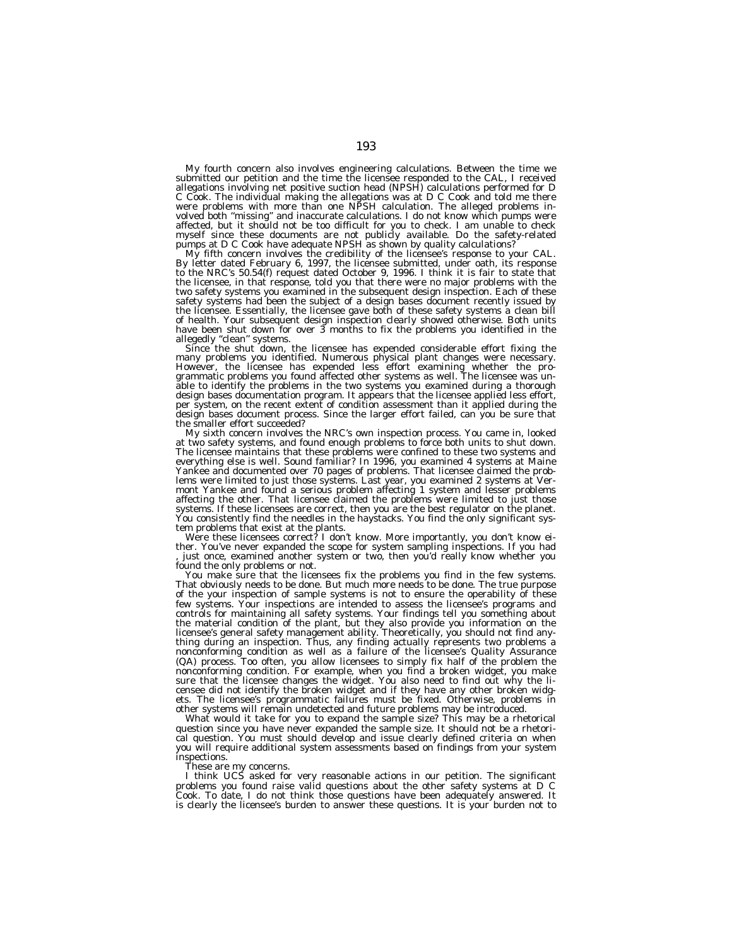My fourth concern also involves engineering calculations. Between the time we<br>submitted our petition and the time the licensee responded to the CAL, I received<br>allegations involving net positive suction head (NPSH) calcula C Cook. The individual making the allegations was at D C Cook and told me there were problems with more than one NPSH calculation. The alleged problems involved both ''missing'' and inaccurate calculations. I do not know which pumps were affected, but it should not be too difficult for you to check. I am unable to check myself since these documents are not publicly available. Do the safety-related pumps at D C Cook have adequate NPSH as shown by quality calculations?

My fifth concern involves the credibility of the licensee's response to your CAL.<br>By letter dated February 6, 1997, the licensee submitted, under oath, its response to the NRC's 50.54(f) request dated October 9, 1996. I think it is fair to state that the licensee, in that response, told you that there were no major problems with the two safety systems you examined in the subsequent design inspection. Each of these safety systems had been the subject of a design bases document recently issued by the licensee. Essentially, the licensee gave both of these safety systems a clean bill of health. Your subsequent design inspection clearly showed otherwise. Both units have been shut down for over 3 months to fix the problems you identified in the

allegedly ''clean'' systems. Since the shut down, the licensee has expended considerable effort fixing the many problems you identified. Numerous physical plant changes were necessary. However, the licensee has expended less effort examining whether the pro-grammatic problems you found affected other systems as well. The licensee was unable to identify the problems in the two systems you examined during a thorough design bases documentation program. It appears that the licensee applied less effort,<br>per system, on the recent extent of condition assessment than it applied during the<br>design bases document process. Since the larger effo the smaller effort succeeded?

My sixth concern involves the NRC's own inspection process. You came in, looked at two safety systems, and found enough problems to force both units to shut down. The licensee maintains that these problems were confined to these two systems and everything else is well. Sound familiar? In 1996, you examined 4 systems at Maine Yankee and documented over 70 pages of problems. That licensee claimed the problems were limited to just those systems. Last year, you examined 2 systems at Vermont Yankee and found a serious problem affecting 1 system and lesser problems affecting the other. That licensee claimed the problems were l You consistently find the needles in the haystacks. You find the only significant system problems that exist at the plants.<br>Were these licensees correct? I don't know. More importantly, you don't know ei-<br>ther. You've neve

, just once, examined another system or two, then you'd really know whether you found the only problems or not.

You make sure that the licensees fix the problems you find in the few systems. That obviously needs to be done. But much more needs to be done. The true purpose of the your inspection of sample systems is not to ensure the operability of these few systems. Your inspections are intended to assess the licensee's programs and controls for maintaining all safety systems. Your findings tell you something about the material condition of the plant, but they also provide you information on the licensee's general safety management ability. Theoretically, you should not find anything during an inspection. Thus, any finding actually represents two problems a nonconforming condition as well as a failure of the licensee's Quality Assurance (QA) process. Too often, you allow licensees to simply fix half of the problem the nonconforming condition. For example, when you find a broken widget, you make sure that the licensee changes the widget. You also need to find out why the licensee did not identify the broken widget and if they have any other broken widgets. The licensee's programmatic failures must be fixed. Otherwise, problems in other systems will remain undetected and future problems may be introduced.

What would it take for you to expand the sample size? This may be a rhetorical question since you have never expanded the sample size. It should not be a rhetorical question. You must should develop and issue clearly defined criteria on when you will require additional system assessments based on findings from your system inspections.

These are my concerns.

I think UCS asked for very reasonable actions in our petition. The significant problems you found raise valid questions about the other safety systems at D C Cook. To date, I do not think those questions have been adequately answered. It is clearly the licensee's burden to answer these questions. It is your burden not to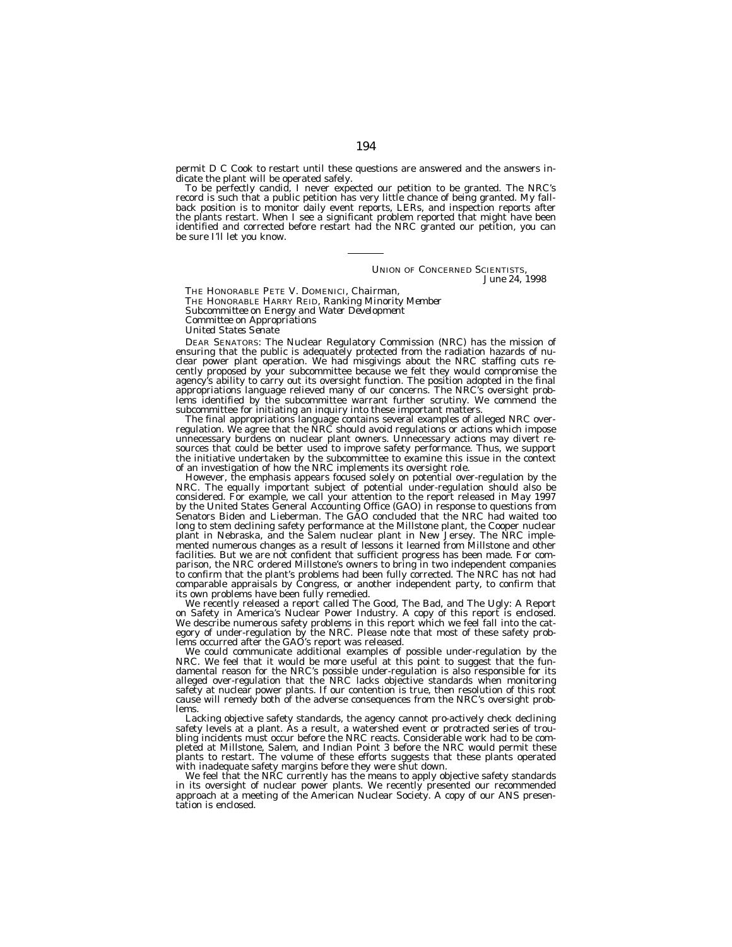permit D C Cook to restart until these questions are answered and the answers indicate the plant will be operated safely.

To be perfectly candid, I never expected our petition to be granted. The NRC's record is such that a public petition has very little chance of being granted. My fallback position is to monitor daily event reports, LERs, and inspection reports after the plants restart. When I see a significant problem reported that might have been identified and corrected before restart had the NRC granted our petition, you can be sure I'll let you know.

> UNION OF CONCERNED SCIENTISTS, *June 24, 1998*

THE HONORABLE PETE V. DOMENICI, *Chairman,* THE HONORABLE HARRY REID, *Ranking Minority Member*

*Subcommittee on Energy and Water Development*

*Committee on Appropriations*

*United States Senate*

DEAR SENATORS: The Nuclear Regulatory Commission (NRC) has the mission of ensuring that the public is adequately protected from the radiation hazards of nuclear power plant operation. We had misgivings about the NRC staffing cuts recently proposed by your subcommittee because we felt they would compromise the agency's ability to carry out its oversight function. The position adopted in the final appropriations language relieved many of our concerns. The NRC's oversight problems identified by the subcommittee warrant further scrutiny. We commend the subcommittee for initiating an inquiry into these important matters.

The final appropriations language contains several examples of alleged NRC overregulation. We agree that the NRC should avoid regulations or actions which impose unnecessary burdens on nuclear plant owners. Unnecessary actions may divert resources that could be better used to improve safety performance. Thus, we support the initiative undertaken by the subcommittee to examine this issue in the context of an investigation of how the NRC implements its oversight role.

However, the emphasis appears focused solely on potential over-regulation by the NRC. The equally important subject of potential under-regulation should also be considered. For example, we call your attention to the report released in May 1997 by the United States General Accounting Office (GAO) in response to questions from Senators Biden and Lieberman. The GAO concluded that the NRC had waited too long to stem declining safety performance at the Millstone plant, the Cooper nuclear plant in Nebraska, and the Salem nuclear plant in New Jersey. The NRC implemented numerous changes as a result of lessons it learned from Millstone and other facilities. But we are not confident that sufficient progress has been made. For comparison, the NRC ordered Millstone's owners to bring in two independent companies to confirm that the plant's problems had been fully corrected. The NRC has not had comparable appraisals by Congress, or another independent party, to confirm that its own problems have been fully remedied.

We recently released a report called The Good, The Bad, and The Ugly: A Report on Safety in America's Nuclear Power Industry. A copy of this report is enclosed. We describe numerous safety problems in this report which we feel fall into the category of under-regulation by the NRC. Please note that most of these safety problems occurred after the GAO's report was released.

We could communicate additional examples of possible under-regulation by the NRC. We feel that it would be more useful at this point to suggest that the fundamental reason for the NRC's possible under-regulation is also responsible for its alleged over-regulation that the NRC lacks objective standards when monitoring safety at nuclear power plants. If our contention is true, then resolution of this root cause will remedy both of the adverse consequences from the NRC's oversight problems.

Lacking objective safety standards, the agency cannot pro-actively check declining safety levels at a plant. As a result, a watershed event or protracted series of troubling incidents must occur before the NRC reacts. Considerable work had to be completed at Millstone, Salem, and Indian Point 3 before the NRC would permit these plants to restart. The volume of these efforts suggests that these plants operated with inadequate safety margins before they were shut down.

We feel that the NRC currently has the means to apply objective safety standards in its oversight of nuclear power plants. We recently presented our recommended approach at a meeting of the American Nuclear Society. A copy of our ANS presen-tation is enclosed.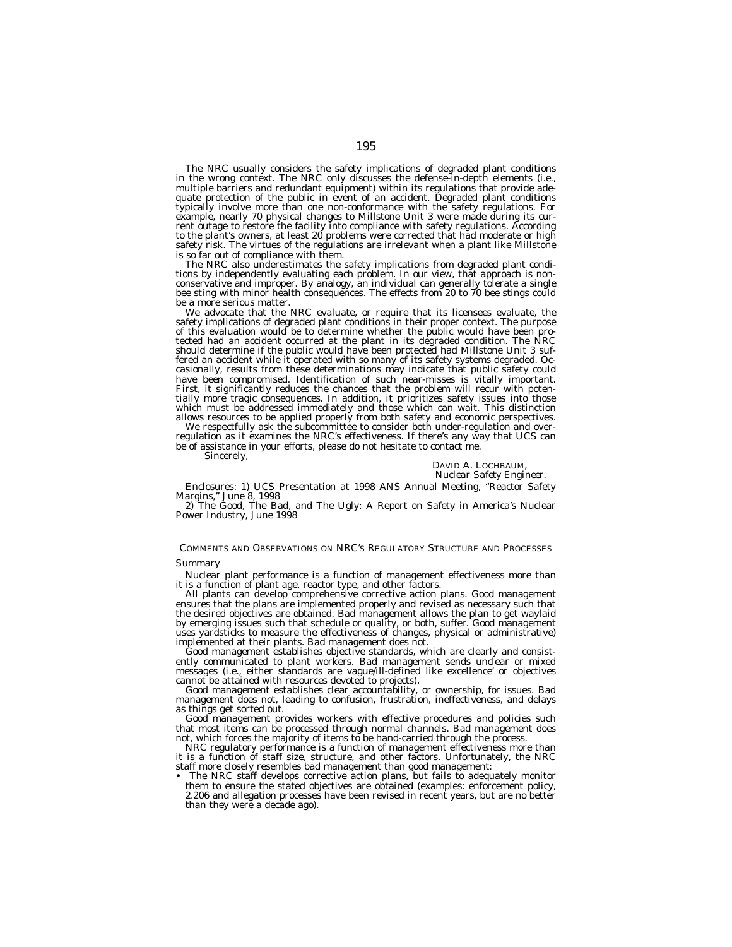The NRC usually considers the safety implications of degraded plant conditions in the wrong context. The NRC only discusses the defense-in-depth elements (i.e., multiple barriers and redundant equipment) within its regulations that provide adequate protection of the public in event of an accident. Degraded plant conditions typically involve more than one non-conformance with the safety regulations. For example, nearly 70 physical changes to Millstone Unit 3 were made during its current outage to restore the facility into compliance with safety regulations. According to the plant's owners, at least 20 problems were corrected that had moderate or high safety risk. The virtues of the regulations are irrelevant when a plant like Millstone is so far out of compliance with them.

The NRC also underestimates the safety implications from degraded plant conditions by independently evaluating each problem. In our view, that approach is nonconservative and improper. By analogy, an individual can generally tolerate a single bee sting with minor health consequences. The effects from 20 to 70 bee stings could be a more serious matter.

We advocate that the NRC evaluate, or require that its licensees evaluate, the safety implications of degraded plant conditions in their proper context. The purpose of this evaluation would be to determine whether the public would have been protected had an accident occurred at the plant in its degraded condition. The NRC should determine if the public would have been protected had Millstone Unit 3 suffered an accident while it operated with so many of its safety systems degraded. Occasionally, results from these determinations may indicate that public safety could have been compromised. Identification of such near-misses is vitally important. First, it significantly reduces the chances that the problem will recur with potentially more tragic consequences. In addition, it prioritizes safety issues into those which must be addressed immediately and those which can wait. This distinction allows resources to be applied properly from both safety and economic perspectives.

We respectfully ask the subcommittee to consider both under-regulation and overregulation as it examines the NRC's effectiveness. If there's any way that UCS can be of assistance in your efforts, please do not hesitate to contact me.

Sincerely,

#### DAVID A. LOCHBAUM, *Nuclear Safety Engineer.*

Enclosures: 1) UCS Presentation at 1998 ANS Annual Meeting, ''Reactor Safety Margins,'' June 8, 1998

2) The Good, The Bad, and The Ugly: A Report on Safety in America's Nuclear Power Industry, June 1998

COMMENTS AND OBSERVATIONS ON NRC'S REGULATORY STRUCTURE AND PROCESSES

# *Summary*

Nuclear plant performance is a function of management effectiveness more than it is a function of plant age, reactor type, and other factors.

All plants can develop comprehensive corrective action plans. Good management ensures that the plans are implemented properly and revised as necessary such that the desired objectives are obtained. Bad management allows the plan to get waylaid by emerging issues such that schedule or quality, or both, suffer. Good management uses yardsticks to measure the effectiveness of changes, physical or administrative) implemented at their plants. Bad management does not.

Good management establishes objective standards, which are clearly and consistently communicated to plant workers. Bad management sends unclear or mixed messages (i.e., either standards are vague/ill-defined like excellence' or objectives cannot be attained with resources devoted to projects).

Good management establishes clear accountability, or ownership, for issues. Bad management does not, leading to confusion, frustration, ineffectiveness, and delays as things get sorted out.

Good management provides workers with effective procedures and policies such that most items can be processed through normal channels. Bad management does not, which forces the majority of items to be hand-carried through the process.

NRC regulatory performance is a function of management effectiveness more than it is a function of staff size, structure, and other factors. Unfortunately, the NRC staff more closely resembles bad management than good management:

• The NRC staff develops corrective action plans, but fails to adequately monitor them to ensure the stated objectives are obtained (examples: enforcement policy, 2.206 and allegation processes have been revised in recent years, but are no better than they were a decade ago).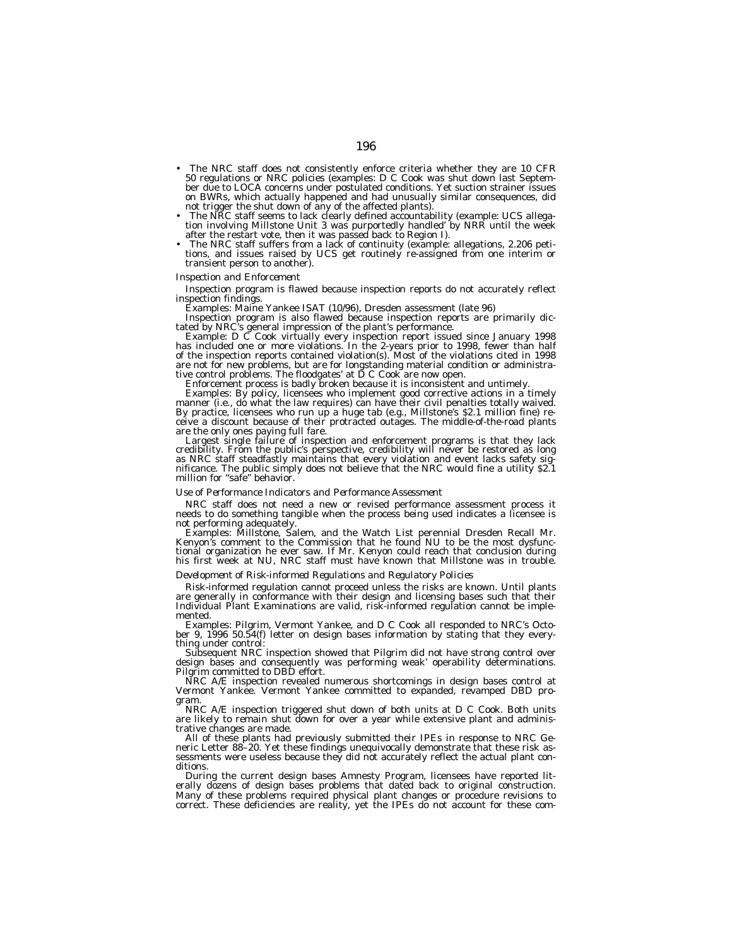- The NRC staff does not consistently enforce criteria whether they are 10 CFR 50 regulations or NRC policies (examples: D C Cook was shut down last September due to LOCA concerns under postulated conditions. Yet suction strainer issues on BWRs, which actually happened and had unusually similar consequences, did
- not trigger the shut down of any of the affected plants). The NRC staff seems to lack clearly defined accountability (example: UCS allega-tion involving Millstone Unit 3 was purportedly handled' by NRR until the week after the restart vote, then it was passed back to Region I). • The NRC staff suffers from a lack of continuity (example: allegations, 2.206 peti-
- tions, and issues raised by UCS get routinely re-assigned from one interim or transient person to another).

# *Inspection and Enforcement*

Inspection program is flawed because inspection reports do not accurately reflect inspection findings.<br>Examples: Maine Yankee ISAT (10/96), Dresden assessment (late 96)<br>Inspection program is also flawed because inspection

tated by NRC's general impression of the plant's performance.<br>
Example: D C Cook virtually every inspection report issued since January 1998.

has included one or more violations. In the 2-years prior to 1998, fewer than half of the inspection reports contained violation(s). Most of the violations cited in 1998 are not for new problems, but are for longstanding material condition or administrative control problems. The floodgates' at D C Cook are now open.<br>Enforcement process is badly broken because it is inconsistent and untimel

Examples: By policy, licensees who implement good corrective actions in a timely manner (i.e., do what the law requires) can have their civil penalties totally waived. By practice, licensees who run up a huge tab (e.g., Millstone's \$2.1 million fine) receive a discount because of their protracted outages. The middle-of-the-road plants

are the only ones paying full fare. Largest single failure of inspection and enforcement programs is that they lack credibility. From the public's perspective, credibility will never be restored as long as NRC staff steadfastly maintains that every violation and event lacks safety significance. The public simply does not believe that the NRC would fine a utility \$2.1 million for "safe" behavior.

# *Use of Performance Indicators and Performance Assessment*

NRC staff does not need a new or revised performance assessment process it needs to do something tangible when the process being used indicates a licensee is not performing adequately.

not performing adequately. <br>Examples: Millstone, Salem, and the Watch List perennial Dresden Recall Mr.<br>Kenyon's comment to the Commission that he found NU to be the most dysfunctional organization he ever saw. If Mr. Kenyon could reach that conclusion during his first week at NU, NRC staff must have known that Millstone was in trouble.

# *Development of Risk-informed Regulations and Regulatory Policies*

Risk-informed regulation cannot proceed unless the risks are known. Until plants<br>are generally in conformance with their design and licensing bases such that their<br>-Individual Plant Examinations are valid, risk-informed re mented.

Examples: Pilgrim, Vermont Yankee, and D C Cook all responded to NRC's October 9, 1996 50.54(f) letter on design bases information by stating that they every-<br>thing under control:

Subsequent NRC inspection showed that Pilgrim did not have strong control over design bases and consequently was performing weak' operability determinations. Pilgrim committed to DBD effort.

NRC A/E inspection revealed numerous shortcomings in design bases control at Vermont Yankee. Vermont Yankee committed to expanded, revamped DBD program.

 $\degree$  NRC A/E inspection triggered shut down of both units at D C Cook. Both units are likely to remain shut down for over a year while extensive plant and administrative changes are made.

All of these plants had previously submitted their IPEs in response to NRC Ge-<br>neric Letter 88–20. Yet these findings unequivocally demonstrate that these risk assessments were useless because they did not accurately reflect the actual plant conditions.

During the current design bases Amnesty Program, licensees have reported literally dozens of design bases problems that dated back to original construction. Many of these problems required physical plant changes or procedure revisions to correct. These deficiencies are reality, yet the IPEs do not account for these com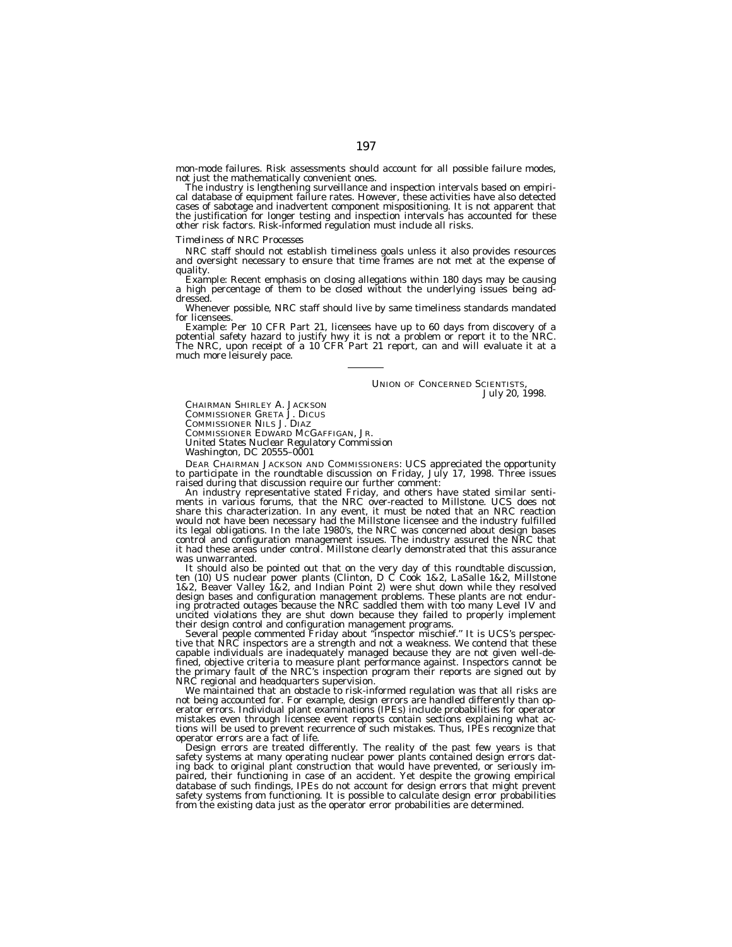mon-mode failures. Risk assessments should account for all possible failure modes,

The industry is lengthening surveillance and inspection intervals based on empirical database of equipment failure rates. However, these activities have also detected cases of sabotage and inadvertent component mispositioning. It is not apparent that the justification for longer testing and inspection intervals has accounted for these other risk factors. Risk-informed regulation must include all risks.

## *Timeliness of NRC Processes*

NRC staff should not establish timeliness goals unless it also provides resources and oversight necessary to ensure that time frames are not met at the expense of

**Example: Recent emphasis on closing allegations within 180 days may be causing a high percentage of them to be closed without the underlying issues being ad**dressed.

Whenever possible, NRC staff should live by same timeliness standards mandated for licensees.<br>Example: Per 10 CFR Part 21, licensees have up to 60 days from discovery of a

Example: Per 10 CFR Part 21, licensees have up to 60 days from discovery of a<br>potential safety hazard to justify hwy it is not a problem or report it to the NRC.<br>The NRC, upon receipt of a 10 CFR Part 21 report, can and wi much more leisurely pace.

> UNION OF CONCERNED SCIENTISTS, *July 20, 1998.*

CHAIRMAN SHIRLEY A **JACKSON** 

COMMISSIONER GRETA J. DICUS

COMMISSIONER NILS J. DIAZ<br>COMMISSIONER EDWARD MCGAFFIGAN, JR. COMMISSIONER EDWARD MCGAFFIGAN, JR. *United States Nuclear Regulatory Commission Washington, DC 20555–0001*

DEAR CHAIRMAN JACKSON AND COMMISSIONERS: UCS appreciated the opportunity to participate in the roundtable discussion on Friday, July 17, 1998. Three issues

An industry representative stated Friday, and others have stated similar senti-<br>ments in various forums, that the NRC over-reacted to Millstone. UCS does not share this characterization. In any event, it must be noted that an NRC reaction<br>would not have been necessary had the Millstone licensee and the industry fulfilled<br>its legal obligations. In the late 1980's, the NRC was co was unwarranted.

It should also be pointed out that on the very day of this roundtable discussion,<br>ten (10) US nuclear power plants (Clinton, D C Cook 1&2, LaSalle 1&2, Millstone<br>1&2, Beaver Valley 1&2, and Indian Point 2) were shut down w design bases and configuration management problems. These plants are not endur-ing protracted outages because the NRC saddled them with too many Level IV and uncited violations they are shut down because they failed to properly implement their design control and configuration management programs.

their design control and configuration management programs. Several people commented Friday about ''inspector mischief.'' It is UCS's perspec- tive that NRC inspectors are a strength and not a weakness. We contend that these capable individuals are inadequately managed because they are not given well-defined, objective criteria to measure plant performance against. Inspectors cannot be the primary fault of the NRC's inspection program their reports are signed out by

We maintained that an obstacle to risk-informed regulation was that all risks are not being accounted for. For example, design errors are handled differently than operator errors. Individual plant examinations (IPEs) include probabilities for operator mistakes even through licensee event reports contain sections explaining what ac-tions will be used to prevent recurrence of such mistakes. Thus, IPEs recognize that operator errors are a fact of life.

Design errors are treated differently. The reality of the past few years is that safety systems at many operating nuclear power plants contained design errors dating back to original plant construction that would have prevented, or seriously impaired, their functioning in case of an accident. Yet despite the growing empirical database of such findings, IPEs do not account for design errors that might prevent safety systems from functioning. It is possible to calculate design error probabilities from the existing data just as the operator error probabilities are determined.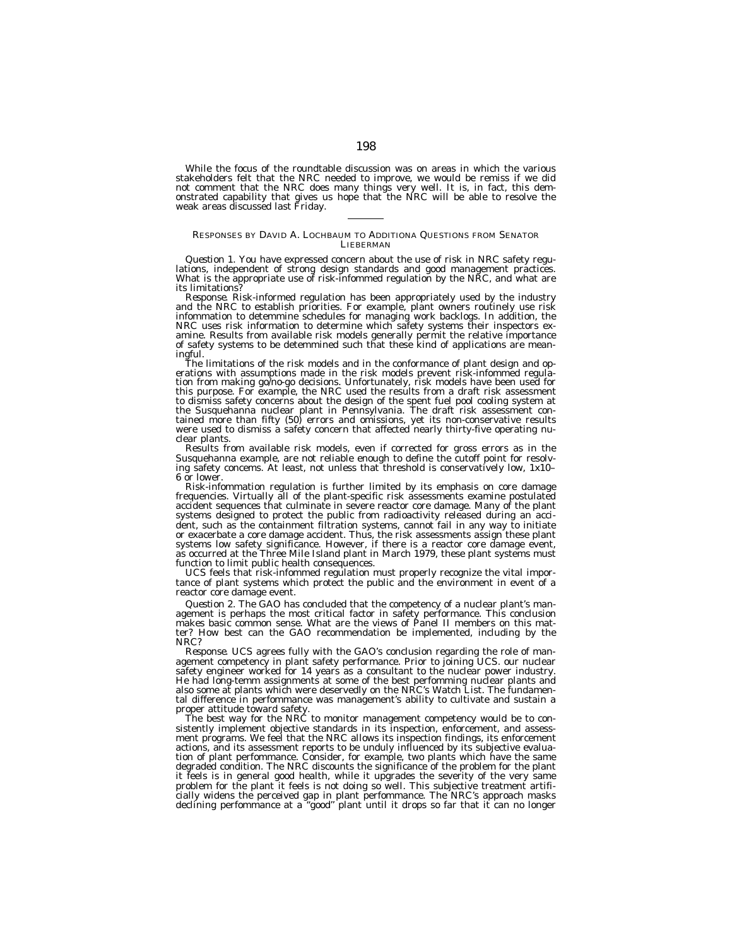While the focus of the roundtable discussion was on areas in which the various stakeholders felt that the NRC needed to improve, we would be remiss if we did not comment that the NRC does many things very well. It is, in fact, this demonstrated capability that gives us hope that the NRC will be able to resolve the weak areas discussed last Friday.

# RESPONSES BY DAVID A. LOCHBAUM TO ADDITIONA QUESTIONS FROM SENATOR LIEBERMAN

*Question 1.* You have expressed concern about the use of risk in NRC safety regulations, independent of strong design standards and good management practices.<br>What is the appropriate use of risk-infommed regulation by the its limitations?<br>Response. Risk-informed regulation has been appropriately used by the industry

Response. Risk-informed regulation has been appropriately used by the industry<br>and the NRC to establish priorities. For example, plant owners routinely use risk<br>infommation to detemmine schedules for managing work backlogs amine. Results from available risk models generally permit the relative importance of safety systems to be detemmined such that these kind of applications are meaningful. The limitations of the risk models and in the conformance of plant design and op-<br>The limitations of the risk-models and in the conformance of plant design and op-

tion from making go/no-go decisions. Unfortunately, risk models have been used for<br>this purpose. For example, the NRC used the results from a draft risk assessment<br>to dismiss safety concerns about the design of the spent f were used to dismiss a safety concern that affected nearly thirty-five operating nuclear plants.

Results from available risk models, even if corrected for gross errors as in the Susquehanna example, are not reliable enough to define the cutoff point for resolving safety concems. At least, not unless that threshold is conservatively low, 1x10– 6 or lower.

Risk-infommation regulation is further limited by its emphasis on core damage frequencies. Virtually all of the plant-specific risk assessments examine postulated accident sequences that culminate in severe reactor core damage. Many of the plant systems designed to protect the public from radioactivity released during an accident, such as the containment filtration systems, cannot fail in any way to initiate or exacerbate a core damage accident. Thus, the risk assessments assign these plant systems low safety significance. However, if there is a reactor core damage event, as occurred at the Three Mile Island plant in March 1979, these plant systems must function to limit public health consequences.

UCS feels that risk-infommed regulation must properly recognize the vital importance of plant systems which protect the public and the environment in event of a reactor core damage event.

*Question 2.* The GAO has concluded that the competency of a nuclear plant's management is perhaps the most critical factor in safety performance. This conclusion makes basic common sense. What are the views of Panel II members on this matter? How best can the GAO recommendation be implemented, including by the NRC?

*Response.* UCS agrees fully with the GAO's conclusion regarding the role of management competency in plant safety performance. Prior to joining UCS. our nuclear safety engineer worked for 14 years as a consultant to the nuclear power industry. He had long-temm assignments at some of the best perfomming nuclear plants and also some at plants which were deservedly on the NRC's Watch List. The fundamental difference in perfommance was management's ability to cultivate and sustain a proper attitude toward safety.

The best way for the NRC to monitor management competency would be to consistently implement objective standards in its inspection, enforcement, and assessment programs. We feel that the NRC allows its inspection findings, its enforcement actions, and its assessment reports to be unduly influenced by its subjective evaluation of plant perfommance. Consider, for example, two plants which have the same degraded condition. The NRC discounts the significance of the problem for the plant it feels is in general good health, while it upgrades the severity of the very same problem for the plant it feels is not doing so well. This subjective treatment artificially widens the perceived gap in plant perfommance. The NRC's approach masks declining perfommance at a ''good'' plant until it drops so far that it can no longer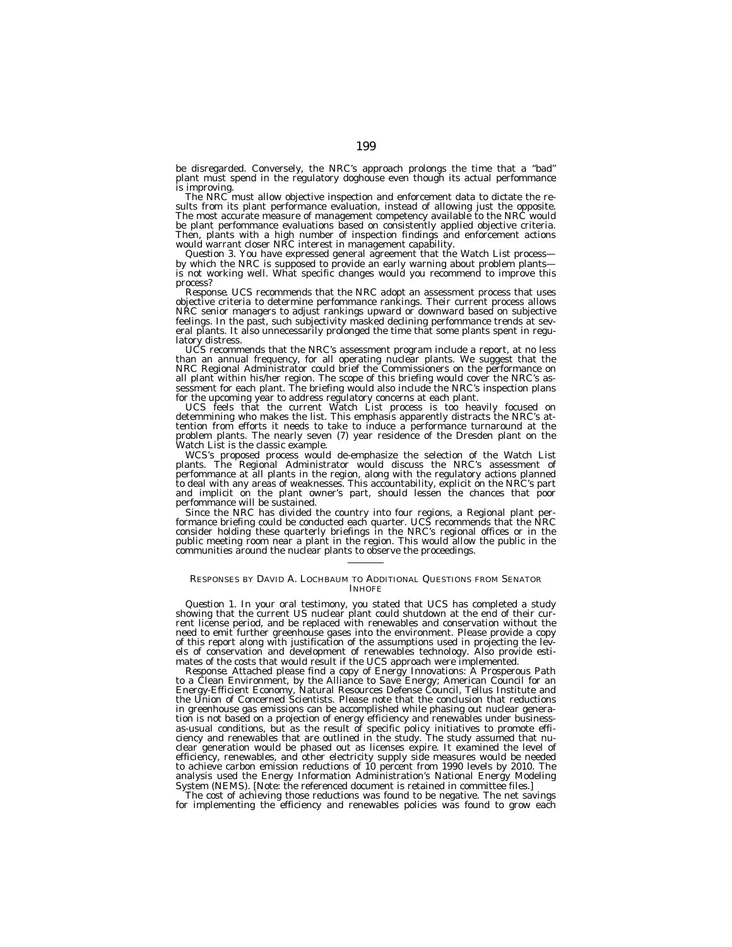be disregarded. Conversely, the NRC's approach prolongs the time that a ''bad'' plant must spend in the regulatory doghouse even though its actual perfommance is improving.

The NRC must allow objective inspection and enforcement data to dictate the re-sults from its plant performance evaluation, instead of allowing just the opposite. The most accurate measure of management competency available to the NRC would be plant perfommance evaluations based on consistently applied objective criteria. Then, plants with a high number of inspection findings and enforcement actions would warrant closer NRC interest in management capability.

*Question 3.* You have expressed general agreement that the Watch List process by which the NRC is supposed to provide an early warning about problem plants is not working well. What specific changes would you recommend to improve this process?

*Response.* UCS recommends that the NRC adopt an assessment process that uses objective criteria to determine perfommance rankings. Their current process allows NRC senior managers to adjust rankings upward or downward based on subjective feelings. In the past, such subjectivity masked declining perfommance trends at several plants. It also unnecessarily prolonged the time that some plants spent in regulatory distress.

UCS recommends that the NRC's assessment program include a report, at no less than an annual frequency, for all operating nuclear plants. We suggest that the NRC Regional Administrator could brief the Commissioners on the performance on all plant within his/her region. The scope of this briefing would cover the NRC's assessment for each plant. The briefing would also include the NRC's inspection plans for the upcoming year to address regulatory concerns at each plant.

UCS feels that the current Watch List process is too heavily focused on detemmining who makes the list. This emphasis apparently distracts the NRC's attention from efforts it needs to take to induce a performance turnaround at the problem plants. The nearly seven (7) year residence of the Dresden plant on the Watch List is the classic example.

WCS's proposed process would de-emphasize the selection of the Watch List plants. The Regional Administrator would discuss the NRC's assessment of perfommance at all plants in the region, along with the regulatory actions planned to deal with any areas of weaknesses. This accountability, explicit on the NRC's part and implicit on the plant owner's part, should lessen the chances that poor perfommance will be sustained.

Since the NRC has divided the country into four regions, a Regional plant performance briefing could be conducted each quarter. UCS recommends that the NRC consider holding these quarterly briefings in the NRC's regional offices or in the public meeting room near a plant in the region. This would allow the public in the communities around the nuclear plants to observe the proceedings.

# RESPONSES BY DAVID A. LOCHBAUM TO ADDITIONAL QUESTIONS FROM SENATOR INHOFE

*Question 1.* In your oral testimony, you stated that UCS has completed a study showing that the current US nuclear plant could shutdown at the end of their current license period, and be replaced with renewables and conservation without the need to emit further greenhouse gases into the environment. Please provide a copy of this report along with justification of the assumptions used in projecting the levels of conservation and development of renewables technology. Also provide estimates of the costs that would result if the UCS approach were implemented.

*Response.* Attached please find a copy of Energy Innovations: A Prosperous Path to a Clean Environment, by the Alliance to Save Energy; American Council for an Energy-Efficient Economy, Natural Resources Defense Council, Tellus Institute and the Union of Concerned Scientists. Please note that the conclusion that reductions in greenhouse gas emissions can be accomplished while phasing out nuclear generation is not based on a projection of energy efficiency and renewables under businessas-usual conditions, but as the result of specific policy initiatives to promote efficiency and renewables that are outlined in the study. The study assumed that nuclear generation would be phased out as licenses expire. It examined the level of efficiency, renewables, and other electricity supply side measures would be needed to achieve carbon emission reductions of 10 percent from 1990 levels by 2010. The analysis used the Energy Information Administration's National Energy Modeling System (NEMS). [Note: the referenced document is retained in committee files.]

The cost of achieving those reductions was found to be negative. The net savings for implementing the efficiency and renewables policies was found to grow each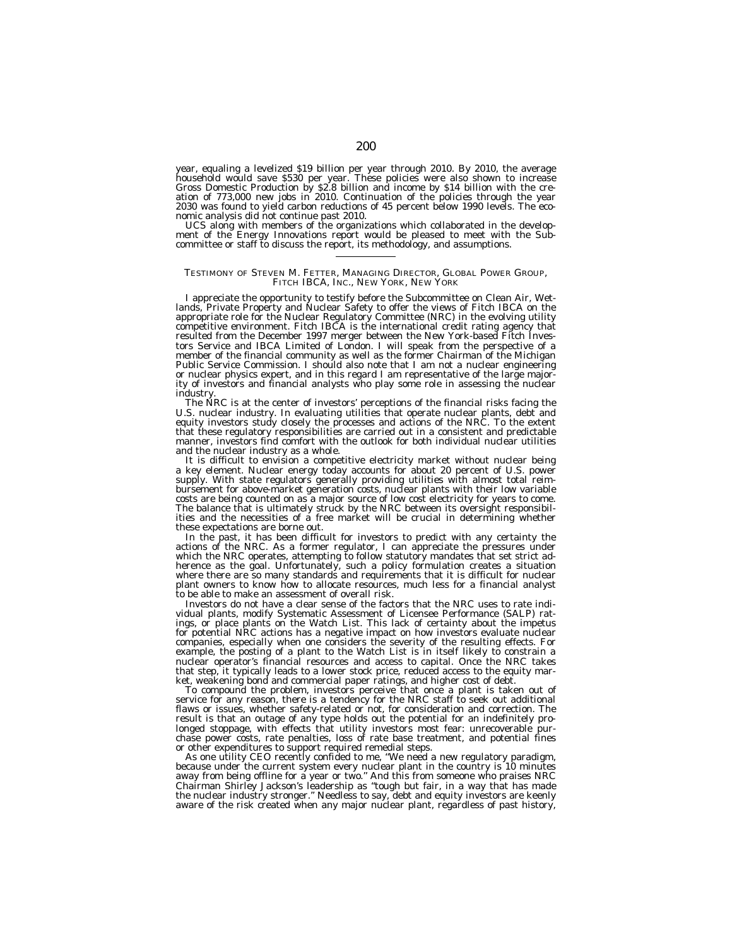year, equaling a levelized \$19 billion per year through 2010. By 2010, the average household would save \$530 per year. These policies were also shown to increase Gross Domestic Production by \$2.8 billion and income by \$14 billion with the creation of 773,000 new jobs in 2010. Continuation of the policies through the year 2030 was found to yield carbon reductions of 45 percent below 1990 levels. The economic analysis did not continue past 2010.<br>UCS along with members of the organizations which collaborated in the develop-

ment of the Energy Innovations report would be pleased to meet with the Subcommittee or staff to discuss the report, its methodology, and assumptions.

# TESTIMONY OF STEVEN M. FETTER, MANAGING DIRECTOR, GLOBAL POWER GROUP, FITCH IBCA, INC., NEW YORK, NEW YORK

I appreciate the opportunity to testify before the Subcommittee on Clean Air, Wetlands, Private Property and Nuclear Safety to offer the views of Fitch IBCA on the appropriate role for the Nuclear Regulatory Committee (NRC) in the evolving utility competitive environment. Fitch IBCA is the international credit rating agency that resulted from the December 1997 merger between the New York-based Fitch Investors Service and IBCA Limited of London. I will speak from the perspective of a member of the financial community as well as the former Chairman of the Michigan Public Service Commission. I should also note that I am not a nuclear engineering or nuclear physics expert, and in this regard I am representative of the large majority of investors and financial analysts who play some role in assessing the nuclear industry.

The NRC is at the center of investors' perceptions of the financial risks facing the U.S. nuclear industry. In evaluating utilities that operate nuclear plants, debt and equity investors study closely the processes and actions of the NRC. To the extent that these regulatory responsibilities are carried out in a consistent and predictable manner, investors find comfort with the outlook for both individual nuclear utilities and the nuclear industry as a whole.

It is difficult to envision a competitive electricity market without nuclear being a key element. Nuclear energy today accounts for about 20 percent of U.S. power supply. With state regulators generally providing utilities with almost total reimbursement for above-market generation costs, nuclear plants with their low variable costs are being counted on as a major source of low cost electricity for years to come. The balance that is ultimately struck by the NRC between its oversight responsibilities and the necessities of a free market will be crucial in determining whether these expectations are borne out.

In the past, it has been difficult for investors to predict with any certainty the actions of the NRC. As a former regulator, I can appreciate the pressures under which the NRC operates, attempting to follow statutory mandates that set strict adherence as the goal. Unfortunately, such a policy formulation creates a situation where there are so many standards and requirements that it is difficult for nuclear plant owners to know how to allocate resources, much less for a financial analyst to be able to make an assessment of overall risk.

Investors do not have a clear sense of the factors that the NRC uses to rate individual plants, modify Systematic Assessment of Licensee Performance (SALP) ratings, or place plants on the Watch List. This lack of certainty about the impetus for potential NRC actions has a negative impact on how investors evaluate nuclear companies, especially when one considers the severity of the resulting effects. For example, the posting of a plant to the Watch List is in itself likely to constrain a nuclear operator's financial resources and access to capital. Once the NRC takes that step, it typically leads to a lower stock price, reduced access to the equity market, weakening bond and commercial paper ratings, and higher cost of debt.

To compound the problem, investors perceive that once a plant is taken out of service for any reason, there is a tendency for the NRC staff to seek out additional flaws or issues, whether safety-related or not, for consideration and correction. The result is that an outage of any type holds out the potential for an indefinitely prolonged stoppage, with effects that utility investors most fear: unrecoverable purchase power costs, rate penalties, loss of rate base treatment, and potential fines or other expenditures to support required remedial steps.

As one utility CEO recently confided to me, ''We need a new regulatory paradigm, because under the current system every nuclear plant in the country is 10 minutes away from being offline for a year or two.'' And this from someone who praises NRC Chairman Shirley Jackson's leadership as "tough but fair, in a way that has made<br>the nuclear industry stronger." Needless to say, debt and equity investors are keenly<br>aware of the risk created when any major nuclear plant,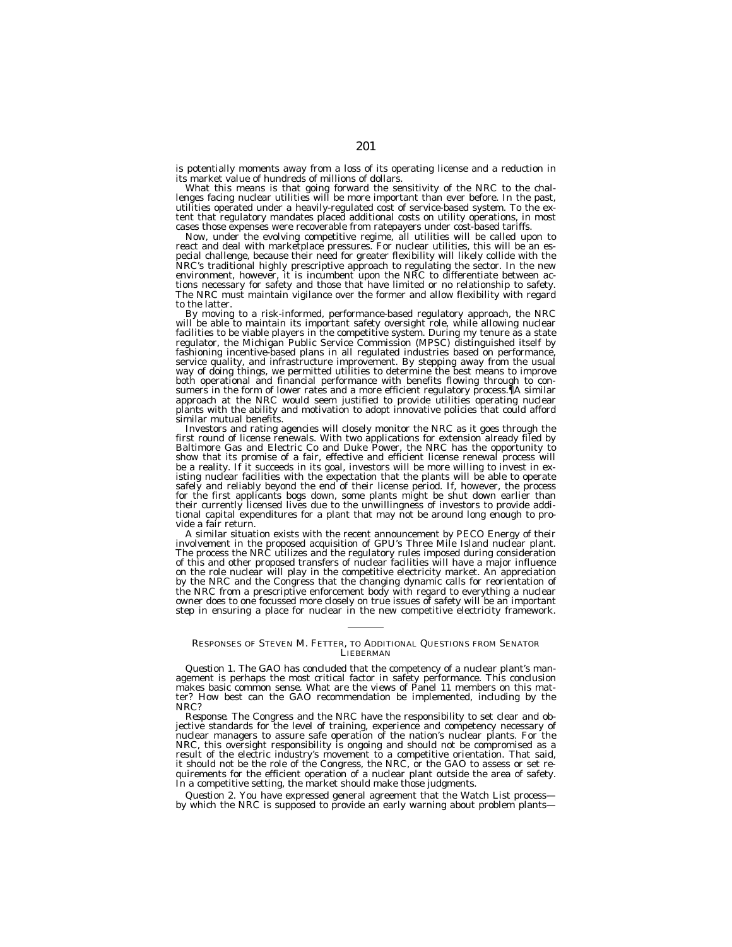is potentially moments away from a loss of its operating license and a reduction in its market value of hundreds of millions of dollars.

What this means is that going forward the sensitivity of the NRC to the challenges facing nuclear utilities will be more important than ever before. In the past, utilities operated under a heavily-regulated cost of service-based system. To the extent that regulatory mandates placed additional costs on utility operations, in most cases those expenses were recoverable from ratepayers under cost-based tariffs.

Now, under the evolving competitive regime, all utilities will be called upon to react and deal with marketplace pressures. For nuclear utilities, this will be an especial challenge, because their need for greater flexibility will likely collide with the NRC's traditional highly prescriptive approach to regulating the sector. In the new environment, however, it is incumbent upon the NRC to differentiate between actions necessary for safety and those that have limited or no relationship to safety. The NRC must maintain vigilance over the former and allow flexibility with regard to the latter.

By moving to a risk-informed, performance-based regulatory approach, the NRC will be able to maintain its important safety oversight role, while allowing nuclear facilities to be viable players in the competitive system. During my tenure as a state regulator, the Michigan Public Service Commission (MPSC) distinguished itself by fashioning incentive-based plans in all regulated industries based on performance, service quality, and infrastructure improvement. By stepping away from the usual way of doing things, we permitted utilities to determine the best means to improve both operational and financial performance with benefits flowing through to consumers in the form of lower rates and a more efficient regulatory process.¶A similar approach at the NRC would seem justified to provide utilities operating nuclear plants with the ability and motivation to adopt innovative policies that could afford similar mutual benefits.

Investors and rating agencies will closely monitor the NRC as it goes through the first round of license renewals. With two applications for extension already filed by Baltimore Gas and Electric Co and Duke Power, the NRC has the opportunity to show that its promise of a fair, effective and efficient license renewal process will be a reality. If it succeeds in its goal, investors will be more willing to invest in existing nuclear facilities with the expectation that the plants will be able to operate safely and reliably beyond the end of their license period. If, however, the process for the first applicants bogs down, some plants might be shut down earlier than their currently licensed lives due to the unwillingness of investors to provide additional capital expenditures for a plant that may not be around long enough to provide a fair return.

A similar situation exists with the recent announcement by PECO Energy of their involvement in the proposed acquisition of GPU's Three Mile Island nuclear plant. The process the NRC utilizes and the regulatory rules imposed during consideration of this and other proposed transfers of nuclear facilities will have a major influence on the role nuclear will play in the competitive electricity market. An appreciation by the NRC and the Congress that the changing dynamic calls for reorientation of the NRC from a prescriptive enforcement body with regard to everything a nuclear owner does to one focussed more closely on true issues of safety will be an important step in ensuring a place for nuclear in the new competitive electricity framework.

# RESPONSES OF STEVEN M. FETTER, TO ADDITIONAL QUESTIONS FROM SENATOR LIEBERMAN

*Question 1.* The GAO has concluded that the competency of a nuclear plant's management is perhaps the most critical factor in safety performance. This conclusion makes basic common sense. What are the views of Panel 11 members on this matter? How best can the GAO recommendation be implemented, including by the NRC?

*Response.* The Congress and the NRC have the responsibility to set clear and objective standards for the level of training, experience and competency necessary of nuclear managers to assure safe operation of the nation's nuclear plants. For the NRC, this oversight responsibility is ongoing and should not be compromised as a result of the electric industry's movement to a competitive orientation. That said, it should not be the role of the Congress, the NRC, or the GAO to assess or set requirements for the efficient operation of a nuclear plant outside the area of safety. In a competitive setting, the market should make those judgments.

*Question 2.* You have expressed general agreement that the Watch List process by which the NRC is supposed to provide an early warning about problem plants